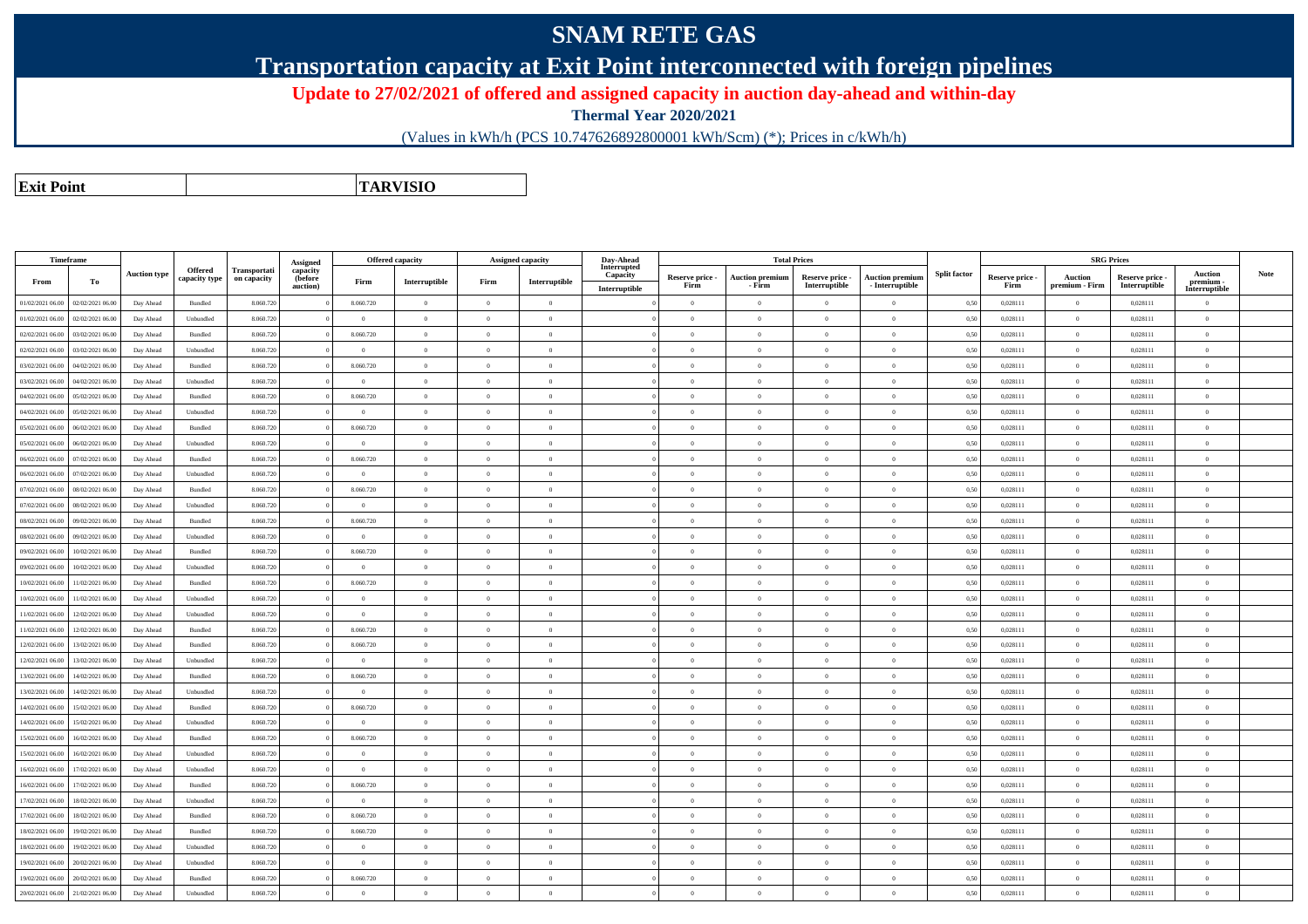## **SNAM RETE GAS**

**Transportation capacity at Exit Point interconnected with foreign pipelines**

**Update to 27/02/2021 of offered and assigned capacity in auction day-ahead and within-day**

**Thermal Year 2020/2021**

(Values in kWh/h (PCS 10.747626892800001 kWh/Scm) (\*); Prices in c/kWh/h)

**Exit PointTARVISIO**

| Timeframe        |                  |                     |                                 |                             | Assigned                        |                | <b>Offered capacity</b>                 |                | Assigned capacity | Day-Ahead                                |                         |                                  | <b>Total Prices</b>              |                                           |                     |                         | <b>SRG Prices</b>                |                                  |                                              |             |
|------------------|------------------|---------------------|---------------------------------|-----------------------------|---------------------------------|----------------|-----------------------------------------|----------------|-------------------|------------------------------------------|-------------------------|----------------------------------|----------------------------------|-------------------------------------------|---------------------|-------------------------|----------------------------------|----------------------------------|----------------------------------------------|-------------|
| From             | To               | <b>Auction type</b> | <b>Offered</b><br>capacity type | Transportati<br>on capacity | capacity<br>(before<br>auction) | Firm           | $\label{prop:1} \textbf{Interruptible}$ | Firm           | Interruptible     | Interrupted<br>Capacity<br>Interruptible | Reserve price -<br>Firm | <b>Auction premium</b><br>- Firm | Reserve price -<br>Interruptible | <b>Auction premium</b><br>- Interruptible | <b>Split factor</b> | Reserve price -<br>Firm | <b>Auction</b><br>premium - Firm | Reserve price -<br>Interruptible | <b>Auction</b><br>premium -<br>Interruptible | <b>Note</b> |
| 01/02/2021 06:00 | 02/02/2021 06:00 | Day Ahead           | Bundled                         | 8.060.720                   |                                 | 8.060.720      | $\overline{0}$                          | $\theta$       | $\overline{0}$    |                                          | $\overline{0}$          | $\theta$                         | $\Omega$                         | $\theta$                                  | 0,50                | 0.028111                | $\theta$                         | 0.028111                         | $\theta$                                     |             |
| 01/02/2021 06:00 | 02/02/2021 06:00 | Day Ahead           | Unbundled                       | 8.060.72                    |                                 | $\overline{0}$ | $\theta$                                | $\theta$       | $\theta$          |                                          | $\theta$                | $\theta$                         | $\Omega$                         | $\overline{0}$                            | 0,50                | 0,028111                | $\overline{0}$                   | 0,028111                         | $\overline{0}$                               |             |
| 02/02/2021 06:00 | 03/02/2021 06:00 | Day Ahead           | Bundled                         | 8.060.72                    |                                 | 8.060.720      | $\overline{0}$                          | $\theta$       | $\Omega$          |                                          | $\theta$                | $\Omega$                         | $\overline{0}$                   | $\Omega$                                  | 0,50                | 0,028111                | $\overline{0}$                   | 0,028111                         | $\overline{0}$                               |             |
| 02/02/2021 06:00 | 03/02/2021 06:00 | Day Ahead           | Unbundled                       | 8.060.72                    |                                 | $\theta$       | $\theta$                                | $\Omega$       | $\Omega$          |                                          | $\theta$                | $\Omega$                         | $\Omega$                         | $\Omega$                                  | 0,50                | 0,028111                | $\theta$                         | 0,028111                         | $\theta$                                     |             |
| 03/02/2021 06:00 | 04/02/2021 06:00 | Day Ahead           | Bundled                         | 8.060.72                    |                                 | 8.060.720      | $\overline{0}$                          | $\theta$       | $\Omega$          |                                          | $\theta$                | $\Omega$                         | $\overline{0}$                   | $\Omega$                                  | 0,50                | 0,028111                | $\overline{0}$                   | 0,028111                         | $\overline{0}$                               |             |
| 03/02/2021 06:00 | 04/02/2021 06:00 | Day Ahead           | Unbundled                       | 8.060.72                    |                                 | $\overline{0}$ | $\overline{0}$                          | $\theta$       | $\overline{0}$    |                                          | $\overline{0}$          | $\theta$                         | $\overline{0}$                   | $\mathbf{0}$                              | 0,50                | 0,028111                | $\overline{0}$                   | 0,028111                         | $\mathbf{0}$                                 |             |
| 04/02/2021 06:00 | 05/02/2021 06.0  | Day Ahead           | Bundled                         | 8.060.72                    |                                 | 8.060.720      | $\overline{0}$                          | $\theta$       | $\overline{0}$    |                                          | $\overline{0}$          | $\theta$                         | $\overline{0}$                   | $\mathbf{0}$                              | 0,50                | 0,028111                | $\overline{0}$                   | 0,028111                         | $\overline{0}$                               |             |
| 04/02/2021 06:00 | 05/02/2021 06:00 | Day Ahead           | Unbundled                       | 8.060.720                   |                                 | $\theta$       | $\overline{0}$                          | $\theta$       | $\theta$          |                                          | $\Omega$                | $\Omega$                         | $\overline{0}$                   | $\Omega$                                  | 0,50                | 0,028111                | $\overline{0}$                   | 0,028111                         | $\overline{0}$                               |             |
| 05/02/2021 06:00 | 06/02/2021 06:00 | Day Ahead           | Bundled                         | 8.060.720                   |                                 | 8.060.720      | $\theta$                                | $\theta$       | $\Omega$          |                                          | $\overline{0}$          | $\Omega$                         | $\theta$                         | $\theta$                                  | 0,50                | 0.028111                | $\Omega$                         | 0.028111                         | $\theta$                                     |             |
| 05/02/2021 06:00 | 06/02/2021 06:00 | Day Ahead           | Unbundled                       | 8.060.72                    |                                 | $\overline{0}$ | $\overline{0}$                          | $\theta$       | $\overline{0}$    |                                          | $\overline{0}$          | $\theta$                         | $\theta$                         | $\theta$                                  | 0,50                | 0,028111                | $\overline{0}$                   | 0,028111                         | $\theta$                                     |             |
| 06/02/2021 06:00 | 07/02/2021 06:00 | Day Ahead           | Bundled                         | 8.060.72                    |                                 | 8.060.720      | $\theta$                                | $\theta$       | $\overline{0}$    |                                          | $\theta$                | $\theta$                         | $\overline{0}$                   | $\Omega$                                  | 0,50                | 0,028111                | $\overline{0}$                   | 0,028111                         | $\mathbf{0}$                                 |             |
| 06/02/2021 06:00 | 07/02/2021 06:00 | Day Ahead           | Unbundled                       | 8.060.72                    |                                 | $\theta$       | $\overline{0}$                          | $\theta$       | $\Omega$          |                                          | $\theta$                | $\Omega$                         | $\overline{0}$                   | $\Omega$                                  | 0,50                | 0,028111                | $\overline{0}$                   | 0,028111                         | $\overline{0}$                               |             |
| 07/02/2021 06:00 | 08/02/2021 06:00 | Day Ahead           | Bundled                         | 8.060.72                    |                                 | 8.060.720      | $\theta$                                | $\theta$       | $\theta$          |                                          | $\Omega$                | $\theta$                         | $\Omega$                         | $\Omega$                                  | 0,50                | 0,028111                | $\overline{0}$                   | 0,028111                         | $\overline{0}$                               |             |
| 07/02/2021 06:00 | 08/02/2021 06.0  | Day Ahead           | Unbundled                       | 8.060.72                    |                                 | $\theta$       | $\overline{0}$                          | $\theta$       | $\Omega$          |                                          | $\theta$                | $\Omega$                         | $\overline{0}$                   | $\Omega$                                  | 0,50                | 0,028111                | $\overline{0}$                   | 0,028111                         | $\overline{0}$                               |             |
| 08/02/2021 06:00 | 09/02/2021 06:00 | Day Ahead           | Bundled                         | 8.060.72                    |                                 | 8.060.720      | $\overline{0}$                          | $\theta$       | $\overline{0}$    |                                          | $\overline{0}$          | $\theta$                         | $\overline{0}$                   | $\mathbf{0}$                              | 0,50                | 0,028111                | $\overline{0}$                   | 0,028111                         | $\mathbf{0}$                                 |             |
| 08/02/2021 06:00 | 09/02/2021 06:00 | Day Ahead           | Unbundled                       | 8.060.72                    |                                 | $\theta$       | $\overline{0}$                          | $\theta$       | $\theta$          |                                          | $\Omega$                | $\theta$                         | $\overline{0}$                   | $\theta$                                  | 0,50                | 0,028111                | $\mathbf{0}$                     | 0,028111                         | $\overline{0}$                               |             |
| 09/02/2021 06:00 | 10/02/2021 06:00 | Day Ahead           | Bundled                         | 8.060.720                   |                                 | 8.060.720      | $\overline{0}$                          | $\theta$       | $\theta$          |                                          | $\Omega$                | $\Omega$                         | $\overline{0}$                   | $\Omega$                                  | 0,50                | 0,028111                | $\overline{0}$                   | 0,028111                         | $\overline{0}$                               |             |
| 09/02/2021 06:00 | 10/02/2021 06:00 | Day Ahead           | Unbundled                       | 8.060.720                   |                                 | $\theta$       | $\theta$                                | $\Omega$       | $\theta$          |                                          | $\overline{0}$          | $\Omega$                         | $\Omega$                         | $\theta$                                  | 0,50                | 0.028111                | $\Omega$                         | 0.028111                         | $\theta$                                     |             |
| 10/02/2021 06:00 | 11/02/2021 06:00 | Day Ahead           | Bundled                         | 8.060.72                    |                                 | 8.060.720      | $\overline{0}$                          | $\theta$       | $\overline{0}$    |                                          | $\overline{0}$          | $\bf{0}$                         | $\overline{0}$                   | $\overline{0}$                            | 0,50                | 0,028111                | $\overline{0}$                   | 0,028111                         | $\mathbf{0}$                                 |             |
| 10/02/2021 06:00 | 11/02/2021 06:00 | Day Ahead           | Unbundled                       | 8.060.720                   |                                 | $\bf{0}$       | $\overline{0}$                          | $\theta$       | $\overline{0}$    |                                          | $\overline{0}$          | $\theta$                         | $\theta$                         | $\overline{0}$                            | 0,50                | 0,028111                | $\overline{0}$                   | 0,028111                         | $\mathbf{0}$                                 |             |
| 11/02/2021 06:00 | 12/02/2021 06:00 | Day Ahead           | Unbundled                       | 8.060.72                    |                                 | $\overline{0}$ | $\overline{0}$                          | $\theta$       | $\theta$          |                                          | $\overline{0}$          | $\Omega$                         | $\overline{0}$                   | $\Omega$                                  | 0,50                | 0,028111                | $\overline{0}$                   | 0,028111                         | $\overline{0}$                               |             |
| 11/02/2021 06:00 | 12/02/2021 06:00 | Day Ahead           | Bundled                         | 8.060.72                    |                                 | 8.060.720      | $\overline{0}$                          | $\theta$       | $\theta$          |                                          | $\theta$                | $\theta$                         | $\overline{0}$                   | $\Omega$                                  | 0,50                | 0,028111                | $\overline{0}$                   | 0,028111                         | $\overline{0}$                               |             |
| 12/02/2021 06:00 | 13/02/2021 06.0  | Day Ahead           | Bundled                         | 8.060.72                    |                                 | 8.060.720      | $\overline{0}$                          | $\theta$       | $\Omega$          |                                          | $\theta$                | $\Omega$                         | $\overline{0}$                   | $\theta$                                  | 0,50                | 0,028111                | $\overline{0}$                   | 0,028111                         | $\theta$                                     |             |
| 12/02/2021 06:00 | 13/02/2021 06:00 | Day Ahead           | Unbundled                       | 8.060.72                    |                                 | $\overline{0}$ | $\overline{0}$                          | $\theta$       | $\overline{0}$    |                                          | $\overline{0}$          | $\theta$                         | $\overline{0}$                   | $\mathbf{0}$                              | 0,50                | 0,028111                | $\overline{0}$                   | 0,028111                         | $\mathbf{0}$                                 |             |
| 13/02/2021 06:00 | 14/02/2021 06:00 | Day Ahead           | Bundled                         | 8.060.720                   |                                 | 8.060.720      | $\overline{0}$                          | $\theta$       | $\Omega$          |                                          | $\Omega$                | $\Omega$                         | $\overline{0}$                   | $\theta$                                  | 0,50                | 0,028111                | $\mathbf{0}$                     | 0,028111                         | $\overline{0}$                               |             |
| 13/02/2021 06:00 | 14/02/2021 06:00 | Day Ahead           | Unbundled                       | 8.060.720                   |                                 | $\theta$       | $\overline{0}$                          | $\theta$       | $\theta$          |                                          | $\Omega$                | $\Omega$                         | $\overline{0}$                   | $\Omega$                                  | 0,50                | 0,028111                | $\overline{0}$                   | 0,028111                         | $\mathbf{0}$                                 |             |
| 14/02/2021 06:00 | 15/02/2021 06:00 | Day Ahead           | Bundled                         | 8.060.720                   |                                 | 8.060.720      | $\theta$                                | $\theta$       | $\theta$          |                                          | $\overline{0}$          | $\Omega$                         | $\theta$                         | $\theta$                                  | 0.50                | 0.028111                | $\Omega$                         | 0.028111                         | $\theta$                                     |             |
| 14/02/2021 06:00 | 15/02/2021 06:00 | Day Ahead           | Unbundled                       | 8.060.72                    |                                 | $\bf{0}$       | $\overline{0}$                          | $\overline{0}$ | $\overline{0}$    |                                          | $\overline{0}$          | $\bf{0}$                         | $\theta$                         | $\overline{0}$                            | 0,50                | 0,028111                | $\overline{0}$                   | 0,028111                         | $\mathbf{0}$                                 |             |
| 15/02/2021 06:00 | 16/02/2021 06:00 | Day Ahead           | Bundled                         | 8.060.720                   |                                 | 8.060.720      | $\overline{0}$                          | $\theta$       | $\overline{0}$    |                                          | $\theta$                | $\theta$                         | $\overline{0}$                   | $\overline{0}$                            | 0,50                | 0,028111                | $\overline{0}$                   | 0,028111                         | $\mathbf{0}$                                 |             |
| 15/02/2021 06:00 | 16/02/2021 06:00 | Day Ahead           | Unbundled                       | 8.060.72                    |                                 | $\overline{0}$ | $\overline{0}$                          | $\theta$       | $\theta$          |                                          | $\overline{0}$          | $\Omega$                         | $\overline{0}$                   | $\Omega$                                  | 0,50                | 0,028111                | $\overline{0}$                   | 0,028111                         | $\overline{0}$                               |             |
| 16/02/2021 06:00 | 17/02/2021 06:00 | Day Ahead           | Unbundled                       | 8.060.72                    |                                 | $\overline{0}$ | $\overline{0}$                          | $\theta$       | $\overline{0}$    |                                          | $\overline{0}$          | $\theta$                         | $\overline{0}$                   | $\mathbf{0}$                              | 0,50                | 0,028111                | $\overline{0}$                   | 0,028111                         | $\overline{0}$                               |             |
| 16/02/2021 06:00 | 17/02/2021 06.0  | Day Ahead           | Bundled                         | 8.060.72                    |                                 | 8.060.720      | $\overline{0}$                          | $\theta$       | $\Omega$          |                                          | $\theta$                | $\Omega$                         | $\overline{0}$                   | $\Omega$                                  | 0,50                | 0,028111                | $\overline{0}$                   | 0,028111                         | $\overline{0}$                               |             |
| 17/02/2021 06:00 | 18/02/2021 06:00 | Day Ahead           | Unbundled                       | 8.060.72                    |                                 | $\overline{0}$ | $\overline{0}$                          | $\theta$       | $\overline{0}$    |                                          | $\overline{0}$          | $\theta$                         | $\overline{0}$                   | $\mathbf{0}$                              | 0,50                | 0,028111                | $\overline{0}$                   | 0,028111                         | $\mathbf{0}$                                 |             |
| 17/02/2021 06:00 | 18/02/2021 06:00 | Day Ahead           | Bundled                         | 8.060.720                   |                                 | 8.060.720      | $\overline{0}$                          | $\theta$       | $\Omega$          |                                          | $\Omega$                | $\theta$                         | $\overline{0}$                   | $\theta$                                  | 0,50                | 0,028111                | $\mathbf{0}$                     | 0,028111                         | $\overline{0}$                               |             |
| 18/02/2021 06:00 | 19/02/2021 06:00 | Day Ahead           | Bundled                         | 8.060.720                   |                                 | 8.060.720      | $\overline{0}$                          | $\overline{0}$ | $\theta$          |                                          | $\overline{0}$          | $\theta$                         | $\overline{0}$                   | $\overline{0}$                            | 0,50                | 0,028111                | $\overline{0}$                   | 0,028111                         | $\mathbf{0}$                                 |             |
| 18/02/2021 06:00 | 19/02/2021 06:00 | Day Ahead           | Unbundled                       | 8.060.720                   |                                 | $\theta$       | $\theta$                                | $\theta$       | $\Omega$          |                                          | $\Omega$                | $\Omega$                         | $\theta$                         | $\theta$                                  | 0,50                | 0.028111                | $\Omega$                         | 0.028111                         | $\theta$                                     |             |
| 19/02/2021 06:00 | 20/02/2021 06:00 | Day Ahead           | Unbundled                       | 8.060.72                    |                                 | $\overline{0}$ | $\theta$                                | $\overline{0}$ | $\Omega$          |                                          | $\overline{0}$          | $\mathbf{0}$                     | $\overline{0}$                   | $\theta$                                  | 0,50                | 0,028111                | $\overline{0}$                   | 0,028111                         | $\mathbf{0}$                                 |             |
| 19/02/2021 06:00 | 20/02/2021 06:00 | Day Ahead           | Bundled                         | 8.060.720                   |                                 | 8.060.720      | $\theta$                                | $\theta$       | $\Omega$          |                                          | $\theta$                | $\theta$                         | $\overline{0}$                   | $\mathbf{0}$                              | 0,50                | 0,028111                | $\mathbf{0}$                     | 0,028111                         | $\mathbf{0}$                                 |             |
| 20/02/2021 06:00 | 21/02/2021 06:00 | Day Ahead           | Unbundled                       | 8.060.720                   |                                 | $\theta$       | $\Omega$                                | $\theta$       | $\Omega$          |                                          | $\Omega$                | $\theta$                         | $\Omega$                         | $\theta$                                  | 0,50                | 0,028111                | $\Omega$                         | 0,028111                         | $\theta$                                     |             |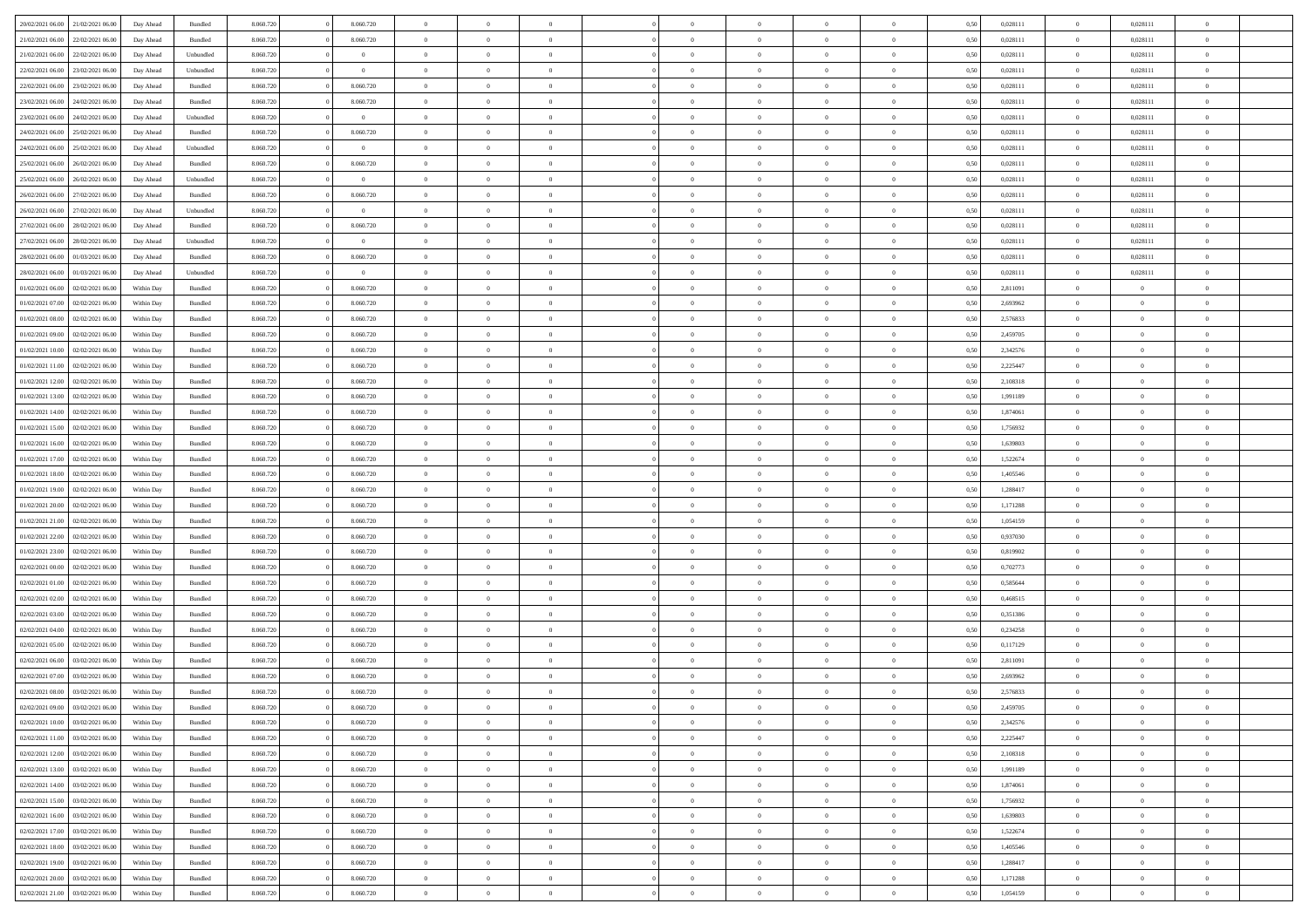| 20/02/2021 06:00 | 21/02/2021 06:00 | Day Ahead  | Bundled            | 8.060.720 | 8.060.720      | $\overline{0}$ | $\Omega$       |                | $\Omega$       | $\Omega$       | $\theta$       | $\theta$       | 0,50 | 0,028111 | $\theta$       | 0,028111       | $\overline{0}$           |  |
|------------------|------------------|------------|--------------------|-----------|----------------|----------------|----------------|----------------|----------------|----------------|----------------|----------------|------|----------|----------------|----------------|--------------------------|--|
| 21/02/2021 06:00 | 22/02/2021 06:00 | Day Ahead  | Bundled            | 8.060.720 | 8.060.720      | $\overline{0}$ | $\theta$       | $\overline{0}$ | $\overline{0}$ | $\bf{0}$       | $\overline{0}$ | $\bf{0}$       | 0,50 | 0,028111 | $\theta$       | 0,028111       | $\overline{0}$           |  |
| 21/02/2021 06:00 | 22/02/2021 06:00 | Day Ahead  | Unbundled          | 8.060.720 | $\bf{0}$       | $\overline{0}$ | $\overline{0}$ | $\overline{0}$ | $\overline{0}$ | $\bf{0}$       | $\overline{0}$ | $\mathbf{0}$   | 0,50 | 0,028111 | $\overline{0}$ | 0,028111       | $\overline{0}$           |  |
|                  |                  |            |                    |           | $\theta$       |                |                |                |                |                |                |                |      |          | $\overline{0}$ |                | $\overline{0}$           |  |
| 22/02/2021 06:00 | 23/02/2021 06:00 | Day Ahead  | Unbundled          | 8.060.720 |                | $\overline{0}$ | $\overline{0}$ | $\overline{0}$ | $\overline{0}$ | $\bf{0}$       | $\overline{0}$ | $\overline{0}$ | 0.50 | 0.028111 |                | 0,028111       |                          |  |
| 22/02/2021 06:00 | 23/02/2021 06:00 | Day Ahead  | Bundled            | 8.060.720 | 8.060.720      | $\overline{0}$ | $\theta$       | $\overline{0}$ | $\overline{0}$ | $\bf{0}$       | $\overline{0}$ | $\bf{0}$       | 0,50 | 0,028111 | $\,$ 0 $\,$    | 0,028111       | $\overline{0}$           |  |
| 23/02/2021 06:00 | 24/02/2021 06:00 | Day Ahead  | Bundled            | 8.060.720 | 8.060.720      | $\overline{0}$ | $\overline{0}$ | $\overline{0}$ | $\overline{0}$ | $\overline{0}$ | $\overline{0}$ | $\mathbf{0}$   | 0,50 | 0,028111 | $\overline{0}$ | 0,028111       | $\bf{0}$                 |  |
| 23/02/2021 06:00 | 24/02/2021 06.00 | Day Ahead  | Unbundled          | 8.060.720 | $\overline{0}$ | $\overline{0}$ | $\overline{0}$ | $\overline{0}$ | $\overline{0}$ | $\overline{0}$ | $\overline{0}$ | $\overline{0}$ | 0.50 | 0,028111 | $\overline{0}$ | 0,028111       | $\overline{0}$           |  |
|                  |                  |            |                    |           |                |                |                |                |                |                |                |                |      |          |                |                |                          |  |
| 24/02/2021 06.00 | 25/02/2021 06:00 | Day Ahead  | Bundled            | 8.060.720 | 8.060.720      | $\overline{0}$ | $\theta$       | $\overline{0}$ | $\overline{0}$ | $\bf{0}$       | $\overline{0}$ | $\bf{0}$       | 0,50 | 0,028111 | $\,$ 0 $\,$    | 0,028111       | $\overline{0}$           |  |
| 24/02/2021 06:00 | 25/02/2021 06:00 | Day Ahead  | Unbundled          | 8.060.720 | $\bf{0}$       | $\overline{0}$ | $\overline{0}$ | $\overline{0}$ | $\overline{0}$ | $\bf{0}$       | $\overline{0}$ | $\bf{0}$       | 0,50 | 0,028111 | $\overline{0}$ | 0,028111       | $\overline{0}$           |  |
| 25/02/2021 06:00 | 26/02/2021 06:00 | Day Ahead  | Bundled            | 8.060.720 | 8.060.720      | $\overline{0}$ | $\overline{0}$ | $\overline{0}$ | $\overline{0}$ | $\overline{0}$ | $\overline{0}$ | $\overline{0}$ | 0.50 | 0,028111 | $\overline{0}$ | 0,028111       | $\overline{0}$           |  |
| 25/02/2021 06:00 | 26/02/2021 06:00 |            |                    | 8.060.720 | $\overline{0}$ | $\overline{0}$ | $\theta$       | $\overline{0}$ | $\overline{0}$ | $\bf{0}$       | $\overline{0}$ |                |      | 0,028111 | $\,$ 0 $\,$    | 0,028111       | $\overline{0}$           |  |
|                  |                  | Day Ahead  | Unbundled          |           |                |                |                |                |                |                |                | $\bf{0}$       | 0,50 |          |                |                |                          |  |
| 26/02/2021 06:00 | 27/02/2021 06:00 | Day Ahead  | Bundled            | 8.060.720 | 8.060.720      | $\overline{0}$ | $\overline{0}$ | $\overline{0}$ | $\overline{0}$ | $\bf{0}$       | $\overline{0}$ | $\mathbf{0}$   | 0,50 | 0,028111 | $\overline{0}$ | 0,028111       | $\overline{\phantom{a}}$ |  |
| 26/02/2021 06:00 | 27/02/2021 06:00 | Day Ahead  | Unbundled          | 8.060.720 | $\overline{0}$ | $\overline{0}$ | $\overline{0}$ | $\overline{0}$ | $\overline{0}$ | $\bf{0}$       | $\overline{0}$ | $\overline{0}$ | 0.50 | 0,028111 | $\overline{0}$ | 0.028111       | $\overline{0}$           |  |
| 27/02/2021 06:00 | 28/02/2021 06:00 | Day Ahead  | Bundled            | 8.060.720 | 8.060.720      | $\overline{0}$ | $\theta$       | $\overline{0}$ | $\overline{0}$ | $\bf{0}$       | $\overline{0}$ | $\bf{0}$       | 0,50 | 0,028111 | $\,$ 0 $\,$    | 0,028111       | $\overline{0}$           |  |
|                  |                  |            |                    |           |                |                |                |                |                |                |                |                |      |          |                |                |                          |  |
| 27/02/2021 06:00 | 28/02/2021 06:00 | Day Ahead  | Unbundled          | 8.060.720 | $\mathbf{0}$   | $\overline{0}$ | $\overline{0}$ | $\overline{0}$ | $\overline{0}$ | $\overline{0}$ | $\overline{0}$ | $\mathbf{0}$   | 0,50 | 0,028111 | $\overline{0}$ | 0,028111       | $\bf{0}$                 |  |
| 28/02/2021 06:00 | 01/03/2021 06:00 | Day Ahead  | Bundled            | 8.060.720 | 8.060.720      | $\overline{0}$ | $\overline{0}$ | $\overline{0}$ | $\overline{0}$ | $\overline{0}$ | $\overline{0}$ | $\overline{0}$ | 0.50 | 0,028111 | $\overline{0}$ | 0,028111       | $\overline{0}$           |  |
| 28/02/2021 06:00 | 01/03/2021 06:00 | Day Ahead  | Unbundled          | 8.060.720 | $\overline{0}$ | $\overline{0}$ | $\theta$       | $\overline{0}$ | $\overline{0}$ | $\bf{0}$       | $\overline{0}$ | $\bf{0}$       | 0,50 | 0,028111 | $\theta$       | 0,028111       | $\overline{0}$           |  |
| 01/02/2021 06:00 | 02/02/2021 06:00 | Within Day | Bundled            | 8.060.720 | 8.060.720      | $\overline{0}$ | $\overline{0}$ | $\overline{0}$ | $\overline{0}$ | $\bf{0}$       | $\bf{0}$       | $\mathbf{0}$   | 0,50 | 2,811091 | $\overline{0}$ | $\overline{0}$ | $\overline{0}$           |  |
|                  |                  |            |                    |           |                |                | $\overline{0}$ |                |                | $\overline{0}$ |                |                |      |          | $\theta$       | $\overline{0}$ | $\overline{0}$           |  |
| 01/02/2021 07:00 | 02/02/2021 06:00 | Within Dav | Bundled            | 8.060.720 | 8.060.720      | $\overline{0}$ |                | $\overline{0}$ | $\overline{0}$ |                | $\overline{0}$ | $\overline{0}$ | 0.50 | 2,693962 |                |                |                          |  |
| 01/02/2021 08:00 | 02/02/2021 06:00 | Within Day | Bundled            | 8.060.720 | 8.060.720      | $\overline{0}$ | $\theta$       | $\overline{0}$ | $\overline{0}$ | $\bf{0}$       | $\overline{0}$ | $\bf{0}$       | 0,50 | 2,576833 | $\,$ 0 $\,$    | $\overline{0}$ | $\overline{0}$           |  |
| 01/02/2021 09:00 | 02/02/2021 06:00 | Within Day | Bundled            | 8.060.720 | 8.060.720      | $\overline{0}$ | $\overline{0}$ | $\overline{0}$ | $\bf{0}$       | $\bf{0}$       | $\bf{0}$       | $\mathbf{0}$   | 0,50 | 2,459705 | $\overline{0}$ | $\overline{0}$ | $\bf{0}$                 |  |
| 01/02/2021 10:00 | 02/02/2021 06:00 | Within Day | Bundled            | 8.060.720 | 8.060.720      | $\overline{0}$ | $\overline{0}$ | $\overline{0}$ | $\overline{0}$ | $\overline{0}$ | $\overline{0}$ | $\overline{0}$ | 0.50 | 2,342576 | $\theta$       | $\overline{0}$ | $\overline{0}$           |  |
|                  |                  |            |                    |           |                |                |                |                |                |                |                |                |      |          |                |                |                          |  |
| 01/02/2021 11:00 | 02/02/2021 06:00 | Within Day | Bundled            | 8.060.720 | 8.060.720      | $\overline{0}$ | $\theta$       | $\overline{0}$ | $\overline{0}$ | $\bf{0}$       | $\overline{0}$ | $\bf{0}$       | 0,50 | 2,225447 | $\,$ 0 $\,$    | $\overline{0}$ | $\overline{0}$           |  |
| 01/02/2021 12:00 | 02/02/2021 06:00 | Within Day | Bundled            | 8.060.720 | 8.060.720      | $\overline{0}$ | $\overline{0}$ | $\overline{0}$ | $\bf{0}$       | $\overline{0}$ | $\overline{0}$ | $\mathbf{0}$   | 0,50 | 2,108318 | $\overline{0}$ | $\overline{0}$ | $\bf{0}$                 |  |
| 01/02/2021 13:00 | 02/02/2021 06:00 | Within Dav | Bundled            | 8.060.720 | 8.060.720      | $\overline{0}$ | $\overline{0}$ | $\overline{0}$ | $\overline{0}$ | $\overline{0}$ | $\overline{0}$ | $\overline{0}$ | 0.50 | 1,991189 | $\overline{0}$ | $\overline{0}$ | $\overline{0}$           |  |
| 01/02/2021 14:00 | 02/02/2021 06:00 | Within Day | Bundled            | 8.060.720 | 8.060.720      | $\overline{0}$ | $\theta$       | $\overline{0}$ | $\overline{0}$ | $\bf{0}$       | $\overline{0}$ | $\bf{0}$       | 0,50 | 1,874061 | $\theta$       | $\theta$       | $\overline{0}$           |  |
|                  |                  |            |                    |           |                |                |                |                |                |                |                |                |      |          |                |                |                          |  |
| 01/02/2021 15:00 | 02/02/2021 06:00 | Within Day | Bundled            | 8.060.720 | 8.060.720      | $\overline{0}$ | $\overline{0}$ | $\overline{0}$ | $\bf{0}$       | $\bf{0}$       | $\bf{0}$       | $\bf{0}$       | 0,50 | 1,756932 | $\,0\,$        | $\overline{0}$ | $\bf{0}$                 |  |
| 01/02/2021 16:00 | 02/02/2021 06:00 | Within Day | Bundled            | 8.060.720 | 8.060.720      | $\overline{0}$ | $\overline{0}$ | $\overline{0}$ | $\overline{0}$ | $\overline{0}$ | $\overline{0}$ | $\overline{0}$ | 0.50 | 1,639803 | $\theta$       | $\overline{0}$ | $\overline{0}$           |  |
| 01/02/2021 17:00 | 02/02/2021 06:00 | Within Day | Bundled            | 8.060.720 | 8.060.720      | $\overline{0}$ | $\theta$       | $\overline{0}$ | $\overline{0}$ | $\bf{0}$       | $\overline{0}$ | $\bf{0}$       | 0,50 | 1,522674 | $\,$ 0 $\,$    | $\overline{0}$ | $\overline{0}$           |  |
| 01/02/2021 18:00 | 02/02/2021 06:00 | Within Day | Bundled            | 8.060.720 | 8.060.720      | $\overline{0}$ | $\overline{0}$ | $\overline{0}$ | $\bf{0}$       | $\bf{0}$       | $\bf{0}$       | $\bf{0}$       | 0,50 | 1,405546 | $\overline{0}$ | $\overline{0}$ | $\bf{0}$                 |  |
|                  |                  |            |                    |           |                | $\overline{0}$ | $\Omega$       | $\Omega$       | $\Omega$       | $\Omega$       |                |                |      |          |                |                | $\theta$                 |  |
| 01/02/2021 19:00 | 02/02/2021 06:00 | Within Day | Bundled            | 8.060.720 | 8.060.720      |                |                |                |                |                | $\overline{0}$ | $\overline{0}$ | 0,50 | 1,288417 | $\,0\,$        | $\theta$       |                          |  |
| 01/02/2021 20:00 | 02/02/2021 06:00 | Within Day | Bundled            | 8.060.720 | 8.060.720      | $\overline{0}$ | $\theta$       | $\overline{0}$ | $\overline{0}$ | $\bf{0}$       | $\overline{0}$ | $\bf{0}$       | 0,50 | 1,171288 | $\,$ 0 $\,$    | $\overline{0}$ | $\overline{0}$           |  |
| 01/02/2021 21.00 | 02/02/2021 06:00 | Within Day | Bundled            | 8.060.720 | 8.060.720      | $\overline{0}$ | $\overline{0}$ | $\overline{0}$ | $\bf{0}$       | $\overline{0}$ | $\overline{0}$ | $\mathbf{0}$   | 0,50 | 1,054159 | $\overline{0}$ | $\overline{0}$ | $\bf{0}$                 |  |
| 01/02/2021 22.00 | 02/02/2021 06:00 | Within Day | Bundled            | 8.060.720 | 8.060.720      | $\overline{0}$ | $\Omega$       | $\Omega$       | $\Omega$       | $\bf{0}$       | $\overline{0}$ | $\overline{0}$ | 0.50 | 0.937030 | $\,0\,$        | $\theta$       | $\theta$                 |  |
| 01/02/2021 23:00 | 02/02/2021 06:00 |            |                    | 8.060.720 | 8.060.720      | $\overline{0}$ | $\theta$       | $\overline{0}$ | $\overline{0}$ | $\bf{0}$       | $\overline{0}$ |                |      | 0,819902 | $\,$ 0 $\,$    | $\overline{0}$ | $\overline{0}$           |  |
|                  |                  | Within Day | Bundled            |           |                |                |                |                |                |                |                | $\bf{0}$       | 0,50 |          |                |                |                          |  |
| 02/02/2021 00:00 | 02/02/2021 06:00 | Within Day | Bundled            | 8.060.720 | 8.060.720      | $\overline{0}$ | $\overline{0}$ | $\overline{0}$ | $\bf{0}$       | $\bf{0}$       | $\bf{0}$       | $\bf{0}$       | 0,50 | 0,702773 | $\bf{0}$       | $\overline{0}$ | $\bf{0}$                 |  |
| 02/02/2021 01:00 | 02/02/2021 06:00 | Within Day | Bundled            | 8.060.720 | 8.060.720      | $\overline{0}$ | $\Omega$       | $\Omega$       | $\Omega$       | $\overline{0}$ | $\overline{0}$ | $\overline{0}$ | 0.50 | 0.585644 | $\theta$       | $\theta$       | $\theta$                 |  |
| 02/02/2021 02:00 | 02/02/2021 06:00 | Within Day | Bundled            | 8.060.720 | 8.060.720      | $\overline{0}$ | $\overline{0}$ | $\overline{0}$ | $\overline{0}$ | $\bf{0}$       | $\overline{0}$ | $\bf{0}$       | 0,50 | 0,468515 | $\,$ 0 $\,$    | $\overline{0}$ | $\overline{0}$           |  |
|                  |                  |            |                    |           |                |                |                |                |                |                |                |                |      |          |                |                |                          |  |
| 02/02/2021 03:00 | 02/02/2021 06:00 | Within Day | Bundled            | 8.060.720 | 8.060.720      | $\overline{0}$ | $\overline{0}$ | $\overline{0}$ | $\bf{0}$       | $\bf{0}$       | $\overline{0}$ | $\mathbf{0}$   | 0,50 | 0,351386 | $\overline{0}$ | $\overline{0}$ | $\bf{0}$                 |  |
| 02/02/2021 04:00 | 02/02/2021 06:00 | Within Day | Bundled            | 8.060.720 | 8.060.720      | $\overline{0}$ | $\Omega$       | $\overline{0}$ | $\Omega$       | $\overline{0}$ | $\overline{0}$ | $\overline{0}$ | 0,50 | 0,234258 | $\,0\,$        | $\theta$       | $\theta$                 |  |
| 02/02/2021 05:00 | 02/02/2021 06:00 | Within Day | Bundled            | 8.060.720 | 8.060.720      | $\overline{0}$ | $\overline{0}$ | $\overline{0}$ | $\overline{0}$ | $\bf{0}$       | $\overline{0}$ | $\bf{0}$       | 0,50 | 0,117129 | $\,$ 0 $\,$    | $\overline{0}$ | $\overline{0}$           |  |
| 02/02/2021 06:00 | 03/02/2021 06:00 | Within Day | Bundled            | 8.060.720 | 8.060.720      | $\overline{0}$ | $\overline{0}$ | $\overline{0}$ | $\overline{0}$ | $\bf{0}$       | $\overline{0}$ | $\mathbf{0}$   | 0,50 | 2,811091 | $\overline{0}$ | $\overline{0}$ | $\bf{0}$                 |  |
| 02/02/2021 07:00 | 03/02/2021 06:00 | Within Day | Bundled            | 8.060.720 | 8.060.720      | $\overline{0}$ | $\Omega$       | $\Omega$       | $\Omega$       | $\Omega$       | $\Omega$       | $\overline{0}$ | 0.50 | 2.693962 | $\theta$       | $\theta$       | $\theta$                 |  |
|                  |                  |            |                    |           |                |                |                |                |                |                |                |                |      |          |                |                |                          |  |
| 02/02/2021 08:00 | 03/02/2021 06:00 | Within Day | Bundled            | 8.060.720 | 8.060.720      | $\overline{0}$ | $\overline{0}$ | $\overline{0}$ | $\bf{0}$       | $\,$ 0         | $\overline{0}$ | $\bf{0}$       | 0,50 | 2,576833 | $\,0\,$        | $\,$ 0 $\,$    | $\overline{0}$           |  |
| 02/02/2021 09:00 | 03/02/2021 06:00 | Within Day | $\mathbf B$ undled | 8.060.720 | 8.060.720      | $\overline{0}$ | $\bf{0}$       |                |                | $\bf{0}$       |                |                | 0,50 | 2,459705 | $\bf{0}$       | $\overline{0}$ |                          |  |
| 02/02/2021 10:00 | 03/02/2021 06:00 | Within Day | Bundled            | 8.060.720 | 8.060.720      | $\overline{0}$ | $\overline{0}$ | $\overline{0}$ | $\Omega$       | $\overline{0}$ | $\overline{0}$ | $\overline{0}$ | 0,50 | 2,342576 | $\theta$       | $\theta$       | $\theta$                 |  |
| 02/02/2021 11:00 | 03/02/2021 06:00 | Within Day | Bundled            | 8.060.720 | 8.060.720      | $\overline{0}$ | $\,$ 0         | $\overline{0}$ | $\overline{0}$ | $\,$ 0 $\,$    | $\overline{0}$ | $\mathbf{0}$   | 0,50 | 2,225447 | $\,$ 0 $\,$    | $\,$ 0 $\,$    | $\,$ 0                   |  |
|                  |                  |            |                    |           |                |                |                |                |                |                |                |                |      |          |                |                |                          |  |
| 02/02/2021 12:00 | 03/02/2021 06:00 | Within Day | Bundled            | 8.060.720 | 8.060.720      | $\overline{0}$ | $\overline{0}$ | $\overline{0}$ | $\overline{0}$ | $\overline{0}$ | $\overline{0}$ | $\mathbf{0}$   | 0,50 | 2,108318 | $\overline{0}$ | $\bf{0}$       | $\bf{0}$                 |  |
| 02/02/2021 13:00 | 03/02/2021 06:00 | Within Day | Bundled            | 8.060.720 | 8.060.720      | $\overline{0}$ | $\overline{0}$ | $\overline{0}$ | $\Omega$       | $\overline{0}$ | $\overline{0}$ | $\overline{0}$ | 0,50 | 1,991189 | $\overline{0}$ | $\theta$       | $\overline{0}$           |  |
| 02/02/2021 14:00 | 03/02/2021 06:00 | Within Day | Bundled            | 8.060.720 | 8.060.720      | $\overline{0}$ | $\,$ 0         | $\overline{0}$ | $\overline{0}$ | $\,$ 0 $\,$    | $\overline{0}$ | $\mathbf{0}$   | 0,50 | 1,874061 | $\,$ 0 $\,$    | $\overline{0}$ | $\overline{0}$           |  |
| 02/02/2021 15:00 | 03/02/2021 06:00 | Within Day | Bundled            | 8.060.720 | 8.060.720      | $\overline{0}$ | $\overline{0}$ | $\overline{0}$ | $\overline{0}$ | $\overline{0}$ | $\overline{0}$ | $\mathbf{0}$   | 0,50 | 1,756932 | $\overline{0}$ | $\overline{0}$ | $\bf{0}$                 |  |
|                  |                  |            |                    |           |                |                |                |                |                |                |                |                |      |          |                |                |                          |  |
| 02/02/2021 16:00 | 03/02/2021 06:00 | Within Day | Bundled            | 8.060.720 | 8.060.720      | $\overline{0}$ | $\overline{0}$ | $\overline{0}$ | $\Omega$       | $\overline{0}$ | $\overline{0}$ | $\bf{0}$       | 0.50 | 1,639803 | $\overline{0}$ | $\theta$       | $\overline{0}$           |  |
| 02/02/2021 17:00 | 03/02/2021 06:00 | Within Day | Bundled            | 8.060.720 | 8.060.720      | $\overline{0}$ | $\,$ 0         | $\overline{0}$ | $\overline{0}$ | $\bf{0}$       | $\overline{0}$ | $\bf{0}$       | 0,50 | 1,522674 | $\,$ 0 $\,$    | $\overline{0}$ | $\overline{0}$           |  |
| 02/02/2021 18:00 | 03/02/2021 06:00 | Within Day | Bundled            | 8.060.720 | 8.060.720      | $\overline{0}$ | $\bf{0}$       | $\overline{0}$ | $\overline{0}$ | $\overline{0}$ | $\overline{0}$ | $\mathbf{0}$   | 0,50 | 1,405546 | $\overline{0}$ | $\overline{0}$ | $\bf{0}$                 |  |
|                  |                  | Within Day |                    |           |                |                | $\overline{0}$ | $\overline{0}$ | $\Omega$       | $\overline{0}$ | $\overline{0}$ |                |      |          |                | $\overline{0}$ | $\overline{0}$           |  |
|                  |                  |            | Bundled            | 8.060.720 | 8.060.720      | $\overline{0}$ |                |                |                |                |                | $\overline{0}$ | 0.50 | 1,288417 | $\overline{0}$ |                |                          |  |
| 02/02/2021 19:00 | 03/02/2021 06:00 |            |                    |           |                |                |                |                |                |                |                |                |      |          |                |                |                          |  |
| 02/02/2021 20:00 | 03/02/2021 06:00 | Within Day | Bundled            | 8.060.720 | 8.060.720      | $\overline{0}$ | $\bf{0}$       | $\overline{0}$ | $\overline{0}$ | $\bf{0}$       | $\bf{0}$       | $\mathbf{0}$   | 0,50 | 1,171288 | $\,$ 0 $\,$    | $\,$ 0 $\,$    | $\bf{0}$                 |  |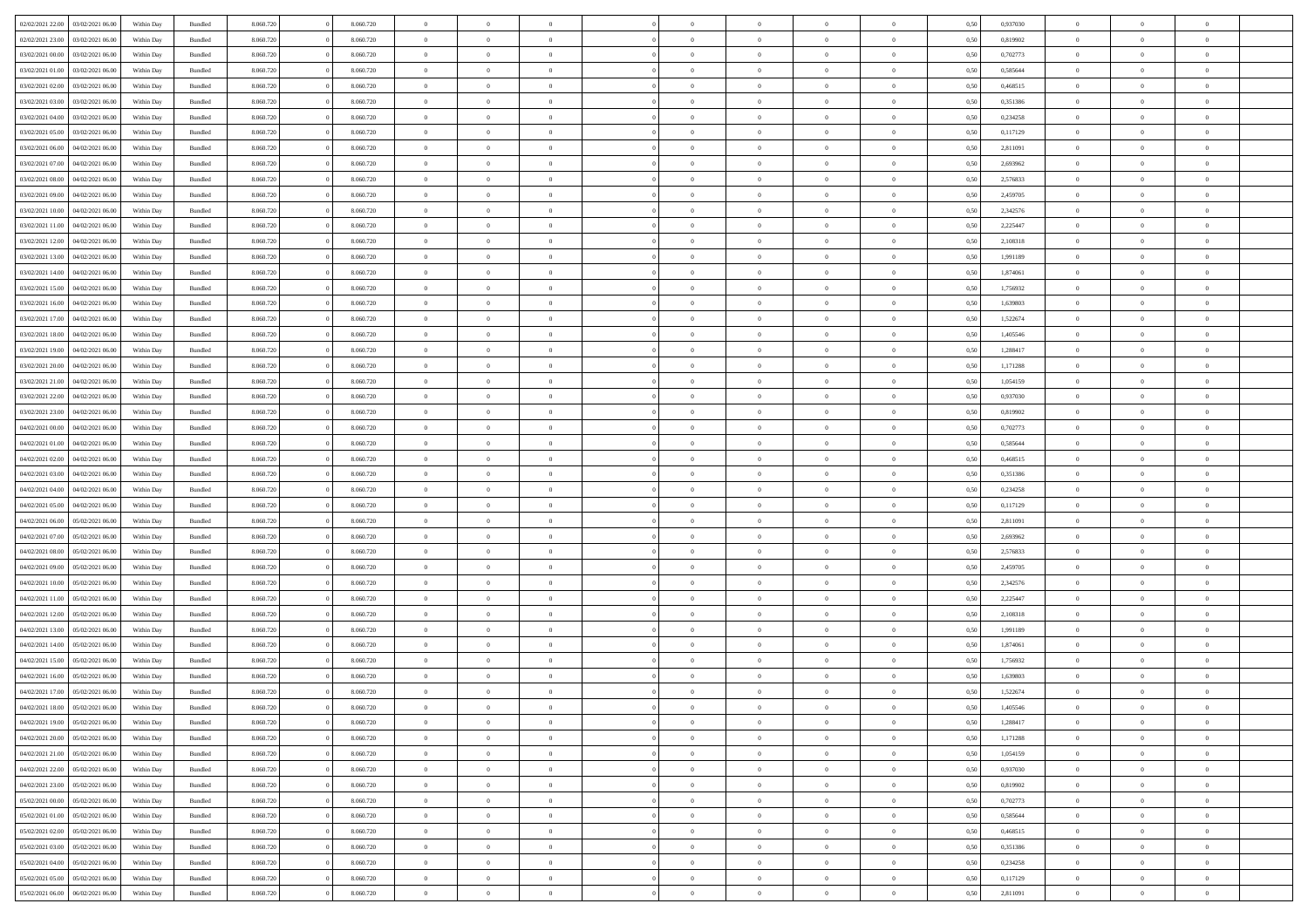| 02/02/2021 22:00<br>03/02/2021 06:00 | Within Day | Bundled            | 8.060.720 | 8.060.720 | $\overline{0}$ | $\Omega$       |                | $\Omega$       | $\Omega$       | $\theta$       | $\theta$       | 0,50 | 0,937030 | $\theta$       | $\theta$       | $\overline{0}$ |  |
|--------------------------------------|------------|--------------------|-----------|-----------|----------------|----------------|----------------|----------------|----------------|----------------|----------------|------|----------|----------------|----------------|----------------|--|
| 02/02/2021 23:00<br>03/02/2021 06:00 | Within Day | Bundled            | 8.060.720 | 8.060.720 | $\overline{0}$ | $\theta$       | $\overline{0}$ | $\overline{0}$ | $\bf{0}$       | $\overline{0}$ | $\bf{0}$       | 0,50 | 0,819902 | $\theta$       | $\overline{0}$ | $\overline{0}$ |  |
| 03/02/2021 00:00<br>03/02/2021 06:00 | Within Day | Bundled            | 8.060.720 | 8.060.720 | $\overline{0}$ | $\bf{0}$       | $\overline{0}$ | $\bf{0}$       | $\bf{0}$       | $\bf{0}$       | $\mathbf{0}$   | 0,50 | 0,702773 | $\overline{0}$ | $\overline{0}$ | $\bf{0}$       |  |
| 03/02/2021 01:00<br>03/02/2021 06:00 | Within Dav | Bundled            | 8.060.720 | 8.060.720 | $\overline{0}$ | $\overline{0}$ | $\overline{0}$ | $\overline{0}$ | $\bf{0}$       | $\overline{0}$ | $\overline{0}$ | 0.50 | 0.585644 | $\theta$       | $\theta$       | $\overline{0}$ |  |
| 03/02/2021 02:00<br>03/02/2021 06:00 | Within Day | Bundled            | 8.060.720 | 8.060.720 | $\overline{0}$ | $\theta$       | $\overline{0}$ | $\overline{0}$ | $\bf{0}$       | $\overline{0}$ | $\bf{0}$       | 0,50 | 0,468515 | $\theta$       | $\overline{0}$ | $\overline{0}$ |  |
|                                      |            |                    |           |           |                |                |                |                |                |                |                |      |          |                |                |                |  |
| 03/02/2021 03:00<br>03/02/2021 06:00 | Within Day | Bundled            | 8.060.720 | 8.060.720 | $\overline{0}$ | $\overline{0}$ | $\overline{0}$ | $\bf{0}$       | $\overline{0}$ | $\overline{0}$ | $\mathbf{0}$   | 0,50 | 0,351386 | $\overline{0}$ | $\overline{0}$ | $\bf{0}$       |  |
| 03/02/2021 04:00<br>03/02/2021 06:00 | Within Dav | Bundled            | 8.060.720 | 8.060.720 | $\overline{0}$ | $\overline{0}$ | $\overline{0}$ | $\overline{0}$ | $\overline{0}$ | $\overline{0}$ | $\overline{0}$ | 0.50 | 0,234258 | $\theta$       | $\overline{0}$ | $\overline{0}$ |  |
| 03/02/2021 05:00<br>03/02/2021 06:00 | Within Day | Bundled            | 8.060.720 | 8.060.720 | $\overline{0}$ | $\theta$       | $\overline{0}$ | $\overline{0}$ | $\bf{0}$       | $\overline{0}$ | $\bf{0}$       | 0,50 | 0,117129 | $\theta$       | $\theta$       | $\overline{0}$ |  |
| 03/02/2021 06:00<br>04/02/2021 06.00 | Within Day | Bundled            | 8.060.720 | 8.060.720 | $\overline{0}$ | $\overline{0}$ | $\overline{0}$ | $\bf{0}$       | $\bf{0}$       | $\bf{0}$       | $\bf{0}$       | 0,50 | 2,811091 | $\,0\,$        | $\overline{0}$ | $\overline{0}$ |  |
| 03/02/2021 07:00<br>04/02/2021 06:00 | Within Dav | Bundled            | 8.060.720 | 8.060.720 | $\overline{0}$ | $\overline{0}$ | $\overline{0}$ | $\overline{0}$ | $\overline{0}$ | $\overline{0}$ | $\overline{0}$ | 0.50 | 2,693962 | $\theta$       | $\overline{0}$ | $\overline{0}$ |  |
| 03/02/2021 08:00<br>04/02/2021 06.00 | Within Day | Bundled            | 8.060.720 | 8.060.720 | $\overline{0}$ | $\theta$       | $\overline{0}$ | $\overline{0}$ | $\bf{0}$       | $\overline{0}$ | $\bf{0}$       | 0,50 | 2,576833 | $\,$ 0 $\,$    | $\overline{0}$ | $\overline{0}$ |  |
| 03/02/2021 09:00<br>04/02/2021 06.00 | Within Day | Bundled            | 8.060.720 | 8.060.720 | $\overline{0}$ | $\bf{0}$       | $\overline{0}$ | $\bf{0}$       | $\bf{0}$       | $\bf{0}$       | $\mathbf{0}$   | 0,50 | 2,459705 | $\overline{0}$ | $\overline{0}$ | $\bf{0}$       |  |
|                                      |            |                    |           |           |                |                |                |                |                |                |                |      |          |                |                |                |  |
| 03/02/2021 10:00<br>04/02/2021 06:00 | Within Day | Bundled            | 8.060.720 | 8.060.720 | $\overline{0}$ | $\overline{0}$ | $\overline{0}$ | $\overline{0}$ | $\bf{0}$       | $\overline{0}$ | $\overline{0}$ | 0.50 | 2,342576 | $\theta$       | $\theta$       | $\overline{0}$ |  |
| 03/02/2021 11:00<br>04/02/2021 06.00 | Within Day | Bundled            | 8.060.720 | 8.060.720 | $\overline{0}$ | $\theta$       | $\overline{0}$ | $\overline{0}$ | $\bf{0}$       | $\overline{0}$ | $\bf{0}$       | 0,50 | 2,225447 | $\theta$       | $\overline{0}$ | $\overline{0}$ |  |
| 03/02/2021 12:00<br>04/02/2021 06.00 | Within Day | Bundled            | 8.060.720 | 8.060.720 | $\overline{0}$ | $\overline{0}$ | $\overline{0}$ | $\bf{0}$       | $\overline{0}$ | $\overline{0}$ | $\mathbf{0}$   | 0,50 | 2,108318 | $\overline{0}$ | $\overline{0}$ | $\bf{0}$       |  |
| 03/02/2021 13:00<br>04/02/2021 06:00 | Within Dav | Bundled            | 8.060.720 | 8.060.720 | $\overline{0}$ | $\overline{0}$ | $\overline{0}$ | $\overline{0}$ | $\overline{0}$ | $\overline{0}$ | $\overline{0}$ | 0.50 | 1,991189 | $\theta$       | $\overline{0}$ | $\overline{0}$ |  |
| 03/02/2021 14:00<br>04/02/2021 06.00 | Within Day | Bundled            | 8.060.720 | 8.060.720 | $\overline{0}$ | $\theta$       | $\overline{0}$ | $\overline{0}$ | $\bf{0}$       | $\overline{0}$ | $\bf{0}$       | 0,50 | 1,874061 | $\theta$       | $\theta$       | $\overline{0}$ |  |
| 03/02/2021 15:00<br>04/02/2021 06.00 | Within Day | Bundled            | 8.060.720 | 8.060.720 | $\overline{0}$ | $\overline{0}$ | $\overline{0}$ | $\bf{0}$       | $\bf{0}$       | $\bf{0}$       | $\mathbf{0}$   | 0,50 | 1,756932 | $\bf{0}$       | $\overline{0}$ | $\bf{0}$       |  |
| 03/02/2021 16:00<br>04/02/2021 06:00 | Within Day | Bundled            | 8.060.720 | 8.060.720 | $\overline{0}$ | $\overline{0}$ | $\overline{0}$ | $\overline{0}$ | $\overline{0}$ | $\overline{0}$ | $\overline{0}$ | 0.50 | 1,639803 | $\theta$       | $\overline{0}$ | $\overline{0}$ |  |
|                                      |            |                    |           |           | $\overline{0}$ | $\theta$       | $\overline{0}$ |                | $\bf{0}$       | $\overline{0}$ |                |      |          |                |                | $\overline{0}$ |  |
| 03/02/2021 17:00<br>04/02/2021 06.00 | Within Day | Bundled            | 8.060.720 | 8.060.720 |                |                |                | $\overline{0}$ |                |                | $\bf{0}$       | 0,50 | 1,522674 | $\,$ 0 $\,$    | $\overline{0}$ |                |  |
| 03/02/2021 18:00<br>04/02/2021 06:00 | Within Day | Bundled            | 8.060.720 | 8.060.720 | $\overline{0}$ | $\overline{0}$ | $\overline{0}$ | $\bf{0}$       | $\bf{0}$       | $\bf{0}$       | $\bf{0}$       | 0,50 | 1,405546 | $\bf{0}$       | $\overline{0}$ | $\bf{0}$       |  |
| 03/02/2021 19:00<br>04/02/2021 06:00 | Within Day | Bundled            | 8.060.720 | 8.060.720 | $\overline{0}$ | $\overline{0}$ | $\overline{0}$ | $\overline{0}$ | $\overline{0}$ | $\overline{0}$ | $\overline{0}$ | 0.50 | 1.288417 | $\theta$       | $\overline{0}$ | $\overline{0}$ |  |
| 03/02/2021 20:00<br>04/02/2021 06.00 | Within Day | Bundled            | 8.060.720 | 8.060.720 | $\overline{0}$ | $\theta$       | $\overline{0}$ | $\overline{0}$ | $\bf{0}$       | $\overline{0}$ | $\bf{0}$       | 0,50 | 1,171288 | $\,$ 0 $\,$    | $\overline{0}$ | $\overline{0}$ |  |
| 03/02/2021 21.00<br>04/02/2021 06.00 | Within Day | Bundled            | 8.060.720 | 8.060.720 | $\overline{0}$ | $\overline{0}$ | $\overline{0}$ | $\bf{0}$       | $\overline{0}$ | $\overline{0}$ | $\mathbf{0}$   | 0,50 | 1,054159 | $\overline{0}$ | $\overline{0}$ | $\bf{0}$       |  |
| 03/02/2021 22.00<br>04/02/2021 06:00 | Within Dav | Bundled            | 8.060.720 | 8.060.720 | $\overline{0}$ | $\overline{0}$ | $\overline{0}$ | $\overline{0}$ | $\overline{0}$ | $\overline{0}$ | $\overline{0}$ | 0.50 | 0,937030 | $\theta$       | $\overline{0}$ | $\overline{0}$ |  |
| 03/02/2021 23:00<br>04/02/2021 06.00 | Within Day | Bundled            | 8.060.720 | 8.060.720 | $\overline{0}$ | $\theta$       | $\overline{0}$ | $\overline{0}$ | $\bf{0}$       | $\overline{0}$ | $\bf{0}$       | 0,50 | 0,819902 | $\theta$       | $\theta$       | $\overline{0}$ |  |
|                                      |            |                    |           |           |                | $\overline{0}$ |                |                | $\bf{0}$       |                |                |      |          | $\,0\,$        | $\overline{0}$ | $\overline{0}$ |  |
| 04/02/2021 00:00<br>04/02/2021 06.00 | Within Day | Bundled            | 8.060.720 | 8.060.720 | $\overline{0}$ |                | $\overline{0}$ | $\overline{0}$ |                | $\overline{0}$ | $\bf{0}$       | 0,50 | 0,702773 |                |                |                |  |
| 04/02/2021 01:00<br>04/02/2021 06:00 | Within Day | Bundled            | 8.060.720 | 8.060.720 | $\overline{0}$ | $\overline{0}$ | $\overline{0}$ | $\overline{0}$ | $\overline{0}$ | $\overline{0}$ | $\overline{0}$ | 0.50 | 0,585644 | $\theta$       | $\overline{0}$ | $\overline{0}$ |  |
| 04/02/2021 02:00<br>04/02/2021 06.00 | Within Day | Bundled            | 8.060.720 | 8.060.720 | $\overline{0}$ | $\theta$       | $\overline{0}$ | $\overline{0}$ | $\bf{0}$       | $\overline{0}$ | $\bf{0}$       | 0,50 | 0,468515 | $\,$ 0 $\,$    | $\overline{0}$ | $\overline{0}$ |  |
| 04/02/2021 03:00<br>04/02/2021 06.00 | Within Day | Bundled            | 8.060.720 | 8.060.720 | $\overline{0}$ | $\bf{0}$       | $\overline{0}$ | $\overline{0}$ | $\bf{0}$       | $\overline{0}$ | $\bf{0}$       | 0,50 | 0,351386 | $\overline{0}$ | $\overline{0}$ | $\bf{0}$       |  |
| 04/02/2021 04:00<br>04/02/2021 06.00 | Within Day | Bundled            | 8.060.720 | 8.060.720 | $\overline{0}$ | $\Omega$       | $\Omega$       | $\Omega$       | $\Omega$       | $\overline{0}$ | $\overline{0}$ | 0,50 | 0,234258 | $\,0\,$        | $\theta$       | $\theta$       |  |
| 04/02/2021 05:00<br>04/02/2021 06.00 | Within Day | Bundled            | 8.060.720 | 8.060.720 | $\overline{0}$ | $\theta$       | $\overline{0}$ | $\overline{0}$ | $\bf{0}$       | $\overline{0}$ | $\bf{0}$       | 0,50 | 0,117129 | $\,$ 0 $\,$    | $\overline{0}$ | $\overline{0}$ |  |
| 04/02/2021 06.00<br>05/02/2021 06:00 | Within Day | Bundled            | 8.060.720 | 8.060.720 | $\overline{0}$ | $\overline{0}$ | $\overline{0}$ | $\overline{0}$ | $\overline{0}$ | $\overline{0}$ | $\mathbf{0}$   | 0,50 | 2,811091 | $\overline{0}$ | $\overline{0}$ | $\bf{0}$       |  |
| 04/02/2021 07:00<br>05/02/2021 06:00 | Within Day | Bundled            | 8.060.720 | 8.060.720 | $\overline{0}$ | $\Omega$       | $\Omega$       | $\Omega$       | $\overline{0}$ | $\overline{0}$ | $\overline{0}$ | 0.50 | 2,693962 | $\,0\,$        | $\theta$       | $\theta$       |  |
| 04/02/2021 08:00<br>05/02/2021 06:00 |            |                    | 8.060.720 | 8.060.720 | $\overline{0}$ | $\theta$       | $\overline{0}$ | $\overline{0}$ | $\bf{0}$       | $\overline{0}$ |                |      | 2,576833 | $\theta$       | $\overline{0}$ | $\overline{0}$ |  |
|                                      | Within Day | Bundled            |           |           |                |                |                |                |                |                | $\bf{0}$       | 0,50 |          |                |                |                |  |
| 04/02/2021 09:00<br>05/02/2021 06:00 | Within Day | Bundled            | 8.060.720 | 8.060.720 | $\overline{0}$ | $\overline{0}$ | $\overline{0}$ | $\overline{0}$ | $\bf{0}$       | $\overline{0}$ | $\bf{0}$       | 0,50 | 2,459705 | $\bf{0}$       | $\overline{0}$ | $\bf{0}$       |  |
| 04/02/2021 10:00<br>05/02/2021 06:00 | Within Day | Bundled            | 8.060.720 | 8.060.720 | $\overline{0}$ | $\Omega$       | $\Omega$       | $\Omega$       | $\overline{0}$ | $\overline{0}$ | $\overline{0}$ | 0.50 | 2,342576 | $\,$ 0 $\,$    | $\theta$       | $\theta$       |  |
| 04/02/2021 11:00<br>05/02/2021 06:00 | Within Day | Bundled            | 8.060.720 | 8.060.720 | $\overline{0}$ | $\theta$       | $\overline{0}$ | $\overline{0}$ | $\bf{0}$       | $\overline{0}$ | $\bf{0}$       | 0,50 | 2,225447 | $\,$ 0 $\,$    | $\overline{0}$ | $\overline{0}$ |  |
| 04/02/2021 12:00<br>05/02/2021 06:00 | Within Day | Bundled            | 8.060.720 | 8.060.720 | $\overline{0}$ | $\overline{0}$ | $\overline{0}$ | $\overline{0}$ | $\bf{0}$       | $\overline{0}$ | $\mathbf{0}$   | 0,50 | 2,108318 | $\overline{0}$ | $\overline{0}$ | $\bf{0}$       |  |
| 04/02/2021 13:00<br>05/02/2021 06:00 | Within Day | Bundled            | 8.060.720 | 8.060.720 | $\overline{0}$ | $\Omega$       | $\overline{0}$ | $\Omega$       | $\overline{0}$ | $\overline{0}$ | $\overline{0}$ | 0.50 | 1,991189 | $\,0\,$        | $\theta$       | $\theta$       |  |
| 04/02/2021 14:00<br>05/02/2021 06:00 | Within Day | Bundled            | 8.060.720 | 8.060.720 | $\overline{0}$ | $\overline{0}$ | $\overline{0}$ | $\overline{0}$ | $\bf{0}$       | $\overline{0}$ | $\bf{0}$       | 0,50 | 1,874061 | $\,$ 0 $\,$    | $\overline{0}$ | $\overline{0}$ |  |
| 04/02/2021 15:00<br>05/02/2021 06:00 | Within Day | Bundled            | 8.060.720 | 8.060.720 | $\overline{0}$ | $\overline{0}$ | $\overline{0}$ | $\bf{0}$       | $\bf{0}$       | $\overline{0}$ | $\mathbf{0}$   | 0,50 | 1,756932 | $\bf{0}$       | $\overline{0}$ | $\bf{0}$       |  |
| 04/02/2021 16:00<br>05/02/2021 06:00 | Within Day | Bundled            | 8.060.720 | 8.060.720 | $\overline{0}$ | $\Omega$       | $\Omega$       | $\Omega$       | $\Omega$       | $\Omega$       | $\overline{0}$ | 0.50 | 1,639803 | $\theta$       | $\theta$       | $\theta$       |  |
|                                      |            |                    |           |           |                |                |                |                |                |                |                |      |          |                |                |                |  |
| 04/02/2021 17:00<br>05/02/2021 06:00 | Within Day | Bundled            | 8.060.720 | 8.060.720 | $\overline{0}$ | $\overline{0}$ | $\overline{0}$ | $\bf{0}$       | $\,$ 0         | $\bf{0}$       | $\bf{0}$       | 0,50 | 1,522674 | $\,0\,$        | $\,$ 0 $\,$    | $\overline{0}$ |  |
| 04/02/2021 18:00<br>05/02/2021 06:00 | Within Day | $\mathbf B$ undled | 8.060.720 | 8.060.720 | $\overline{0}$ | $\bf{0}$       |                |                | $\bf{0}$       |                |                | 0,50 | 1,405546 | $\bf{0}$       | $\overline{0}$ |                |  |
| 04/02/2021 19:00<br>05/02/2021 06:00 | Within Day | Bundled            | 8.060.720 | 8.060.720 | $\overline{0}$ | $\overline{0}$ | $\overline{0}$ | $\Omega$       | $\overline{0}$ | $\overline{0}$ | $\overline{0}$ | 0.50 | 1,288417 | $\theta$       | $\theta$       | $\theta$       |  |
| 04/02/2021 20:00<br>05/02/2021 06:00 | Within Day | Bundled            | 8.060.720 | 8.060.720 | $\overline{0}$ | $\,$ 0         | $\overline{0}$ | $\bf{0}$       | $\,$ 0 $\,$    | $\overline{0}$ | $\mathbf{0}$   | 0,50 | 1,171288 | $\,$ 0 $\,$    | $\,$ 0 $\,$    | $\,$ 0         |  |
| 04/02/2021 21:00<br>05/02/2021 06:00 | Within Day | Bundled            | 8.060.720 | 8.060.720 | $\overline{0}$ | $\overline{0}$ | $\overline{0}$ | $\overline{0}$ | $\overline{0}$ | $\overline{0}$ | $\mathbf{0}$   | 0,50 | 1,054159 | $\overline{0}$ | $\bf{0}$       | $\bf{0}$       |  |
| 04/02/2021 22:00<br>05/02/2021 06:00 | Within Day | Bundled            | 8.060.720 | 8.060.720 | $\overline{0}$ | $\overline{0}$ | $\overline{0}$ | $\Omega$       | $\overline{0}$ | $\overline{0}$ | $\overline{0}$ | 0,50 | 0,937030 | $\overline{0}$ | $\theta$       | $\overline{0}$ |  |
| 04/02/2021 23:00<br>05/02/2021 06:00 | Within Day | Bundled            | 8.060.720 | 8.060.720 | $\overline{0}$ | $\,$ 0         | $\overline{0}$ | $\overline{0}$ | $\,$ 0 $\,$    | $\overline{0}$ | $\mathbf{0}$   | 0,50 | 0,819902 | $\,$ 0 $\,$    | $\overline{0}$ | $\overline{0}$ |  |
|                                      |            |                    |           |           |                |                |                |                |                |                |                |      |          |                |                |                |  |
| 05/02/2021 00:00<br>05/02/2021 06:00 | Within Day | Bundled            | 8.060.720 | 8.060.720 | $\overline{0}$ | $\overline{0}$ | $\overline{0}$ | $\overline{0}$ | $\overline{0}$ | $\overline{0}$ | $\mathbf{0}$   | 0,50 | 0,702773 | $\overline{0}$ | $\overline{0}$ | $\bf{0}$       |  |
| 05/02/2021 01:00<br>05/02/2021 06:00 | Within Day | Bundled            | 8.060.720 | 8.060.720 | $\overline{0}$ | $\overline{0}$ | $\overline{0}$ | $\Omega$       | $\overline{0}$ | $\overline{0}$ | $\bf{0}$       | 0.50 | 0,585644 | $\overline{0}$ | $\theta$       | $\overline{0}$ |  |
| 05/02/2021 02:00<br>05/02/2021 06:00 | Within Day | Bundled            | 8.060.720 | 8.060.720 | $\overline{0}$ | $\,$ 0         | $\overline{0}$ | $\bf{0}$       | $\bf{0}$       | $\bf{0}$       | $\bf{0}$       | 0,50 | 0,468515 | $\,$ 0 $\,$    | $\overline{0}$ | $\overline{0}$ |  |
| 05/02/2021 03:00<br>05/02/2021 06:00 | Within Day | Bundled            | 8.060.720 | 8.060.720 | $\overline{0}$ | $\bf{0}$       | $\overline{0}$ | $\overline{0}$ | $\overline{0}$ | $\overline{0}$ | $\mathbf{0}$   | 0,50 | 0,351386 | $\overline{0}$ | $\overline{0}$ | $\bf{0}$       |  |
| 05/02/2021 04:00<br>05/02/2021 06:00 | Within Day | Bundled            | 8.060.720 | 8.060.720 | $\overline{0}$ | $\overline{0}$ | $\overline{0}$ | $\Omega$       | $\overline{0}$ | $\overline{0}$ | $\overline{0}$ | 0.50 | 0,234258 | $\overline{0}$ | $\overline{0}$ | $\overline{0}$ |  |
| 05/02/2021 05:00<br>05/02/2021 06:00 | Within Day | Bundled            | 8.060.720 | 8.060.720 | $\overline{0}$ | $\bf{0}$       | $\overline{0}$ | $\overline{0}$ | $\bf{0}$       | $\bf{0}$       | $\bf{0}$       | 0,50 | 0,117129 | $\,$ 0 $\,$    | $\,$ 0 $\,$    | $\bf{0}$       |  |
| 05/02/2021 06:00<br>06/02/2021 06:00 | Within Day | Bundled            | 8.060.720 | 8.060.720 | $\overline{0}$ | $\bf{0}$       | $\overline{0}$ | $\bf{0}$       | $\bf{0}$       | $\bf{0}$       | $\bf{0}$       | 0,50 | 2,811091 | $\overline{0}$ | $\overline{0}$ | $\bf{0}$       |  |
|                                      |            |                    |           |           |                |                |                |                |                |                |                |      |          |                |                |                |  |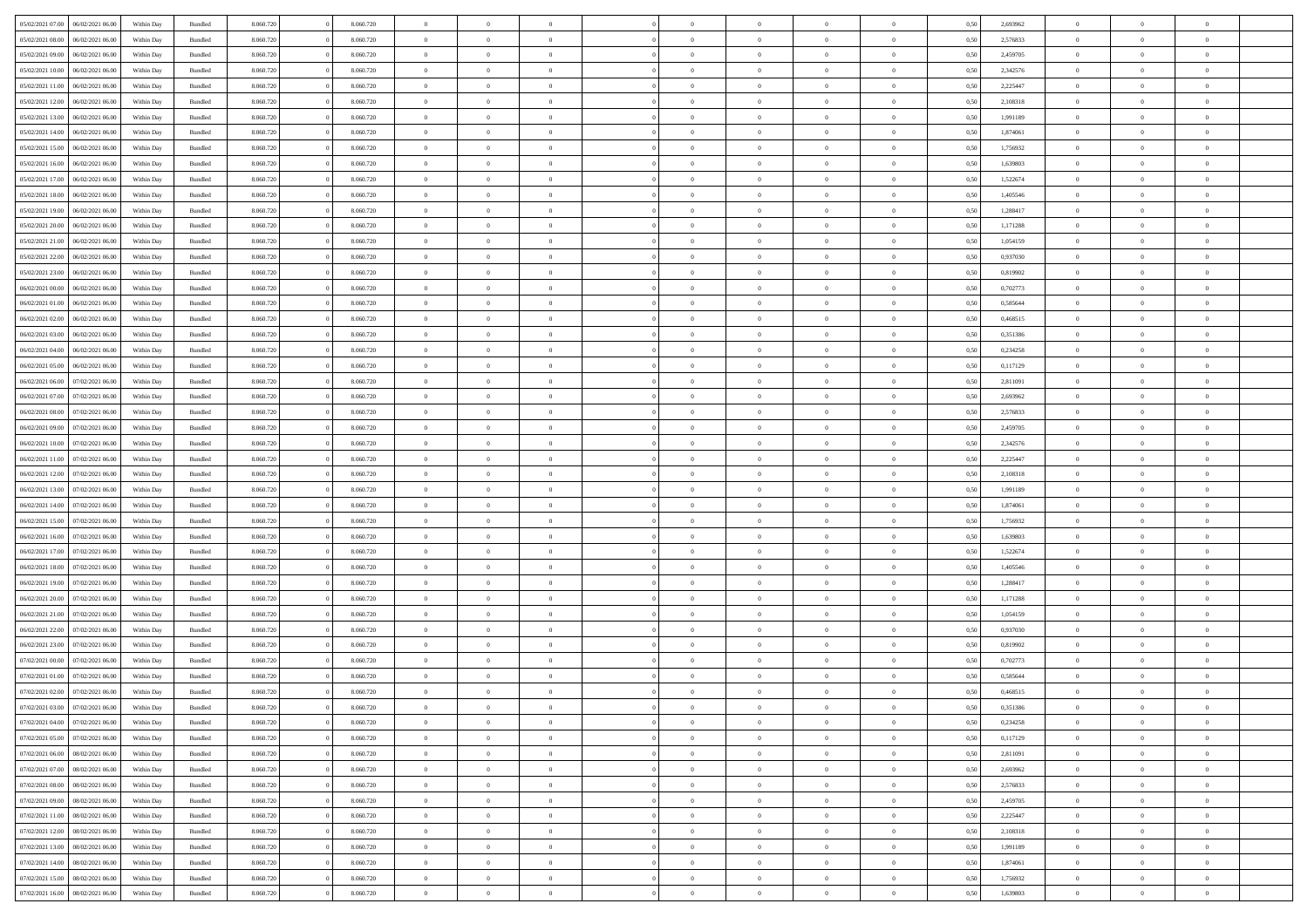| 05/02/2021 07:00                  | 06/02/2021 06:00 | Within Day | Bundled            | 8.060.720 | 8.060.720 | $\overline{0}$ | $\Omega$       |                | $\Omega$       | $\Omega$       | $\theta$       | $\theta$       | 0,50 | 2,693962 | $\theta$       | $\theta$       | $\overline{0}$ |  |
|-----------------------------------|------------------|------------|--------------------|-----------|-----------|----------------|----------------|----------------|----------------|----------------|----------------|----------------|------|----------|----------------|----------------|----------------|--|
| 05/02/2021 08:00                  | 06/02/2021 06:00 | Within Day | Bundled            | 8.060.720 | 8.060.720 | $\overline{0}$ | $\theta$       | $\overline{0}$ | $\overline{0}$ | $\bf{0}$       | $\overline{0}$ | $\bf{0}$       | 0,50 | 2,576833 | $\theta$       | $\overline{0}$ | $\overline{0}$ |  |
| 05/02/2021 09:00                  | 06/02/2021 06:00 | Within Day | Bundled            | 8.060.720 | 8.060.720 | $\overline{0}$ | $\bf{0}$       | $\overline{0}$ | $\bf{0}$       | $\bf{0}$       | $\bf{0}$       | $\mathbf{0}$   | 0,50 | 2,459705 | $\bf{0}$       | $\overline{0}$ | $\bf{0}$       |  |
| 05/02/2021 10:00                  | 06/02/2021 06:00 | Within Dav | Bundled            | 8.060.720 | 8.060.720 | $\overline{0}$ | $\overline{0}$ | $\overline{0}$ | $\overline{0}$ | $\bf{0}$       | $\overline{0}$ | $\overline{0}$ | 0.50 | 2,342576 | $\theta$       | $\theta$       | $\overline{0}$ |  |
| 05/02/2021 11:00                  | 06/02/2021 06:00 | Within Day | Bundled            | 8.060.720 | 8.060.720 | $\overline{0}$ | $\theta$       | $\overline{0}$ | $\overline{0}$ | $\bf{0}$       | $\overline{0}$ | $\bf{0}$       | 0,50 | 2,225447 | $\theta$       | $\overline{0}$ | $\overline{0}$ |  |
|                                   |                  |            |                    |           |           |                |                |                |                |                |                |                |      |          |                |                |                |  |
| 05/02/2021 12:00                  | 06/02/2021 06:00 | Within Day | Bundled            | 8.060.720 | 8.060.720 | $\overline{0}$ | $\overline{0}$ | $\overline{0}$ | $\bf{0}$       | $\overline{0}$ | $\overline{0}$ | $\mathbf{0}$   | 0,50 | 2,108318 | $\bf{0}$       | $\overline{0}$ | $\bf{0}$       |  |
| 05/02/2021 13:00                  | 06/02/2021 06:00 | Within Dav | Bundled            | 8.060.720 | 8.060.720 | $\overline{0}$ | $\overline{0}$ | $\overline{0}$ | $\overline{0}$ | $\overline{0}$ | $\overline{0}$ | $\overline{0}$ | 0.50 | 1,991189 | $\theta$       | $\overline{0}$ | $\overline{0}$ |  |
| 05/02/2021 14:00                  | 06/02/2021 06:00 | Within Day | Bundled            | 8.060.720 | 8.060.720 | $\overline{0}$ | $\theta$       | $\overline{0}$ | $\overline{0}$ | $\bf{0}$       | $\overline{0}$ | $\bf{0}$       | 0,50 | 1,874061 | $\theta$       | $\theta$       | $\overline{0}$ |  |
| 05/02/2021 15:00                  | 06/02/2021 06:00 | Within Day | Bundled            | 8.060.720 | 8.060.720 | $\overline{0}$ | $\overline{0}$ | $\overline{0}$ | $\bf{0}$       | $\bf{0}$       | $\bf{0}$       | $\bf{0}$       | 0,50 | 1,756932 | $\,0\,$        | $\overline{0}$ | $\overline{0}$ |  |
| 05/02/2021 16:00                  | 06/02/2021 06:00 | Within Dav | Bundled            | 8.060.720 | 8.060.720 | $\overline{0}$ | $\overline{0}$ | $\overline{0}$ | $\overline{0}$ | $\overline{0}$ | $\overline{0}$ | $\overline{0}$ | 0.50 | 1,639803 | $\theta$       | $\overline{0}$ | $\overline{0}$ |  |
| 05/02/2021 17:00                  | 06/02/2021 06:00 | Within Day | Bundled            | 8.060.720 | 8.060.720 | $\overline{0}$ | $\theta$       | $\overline{0}$ | $\overline{0}$ | $\bf{0}$       | $\overline{0}$ | $\bf{0}$       | 0,50 | 1,522674 | $\,$ 0 $\,$    | $\overline{0}$ | $\overline{0}$ |  |
|                                   |                  |            |                    |           |           |                |                |                |                |                |                |                |      |          |                |                |                |  |
| 05/02/2021 18:00                  | 06/02/2021 06:00 | Within Day | Bundled            | 8.060.720 | 8.060.720 | $\overline{0}$ | $\bf{0}$       | $\overline{0}$ | $\bf{0}$       | $\bf{0}$       | $\bf{0}$       | $\mathbf{0}$   | 0,50 | 1,405546 | $\overline{0}$ | $\overline{0}$ | $\bf{0}$       |  |
| 05/02/2021 19:00                  | 06/02/2021 06:00 | Within Dav | Bundled            | 8.060.720 | 8.060.720 | $\overline{0}$ | $\overline{0}$ | $\overline{0}$ | $\overline{0}$ | $\bf{0}$       | $\overline{0}$ | $\overline{0}$ | 0.50 | 1,288417 | $\theta$       | $\theta$       | $\overline{0}$ |  |
| 05/02/2021 20:00                  | 06/02/2021 06:00 | Within Day | Bundled            | 8.060.720 | 8.060.720 | $\overline{0}$ | $\theta$       | $\overline{0}$ | $\overline{0}$ | $\bf{0}$       | $\overline{0}$ | $\bf{0}$       | 0,50 | 1,171288 | $\theta$       | $\overline{0}$ | $\overline{0}$ |  |
| 05/02/2021 21.00                  | 06/02/2021 06:00 | Within Day | Bundled            | 8.060.720 | 8.060.720 | $\overline{0}$ | $\overline{0}$ | $\overline{0}$ | $\bf{0}$       | $\overline{0}$ | $\overline{0}$ | $\mathbf{0}$   | 0,50 | 1,054159 | $\overline{0}$ | $\overline{0}$ | $\bf{0}$       |  |
| 05/02/2021 22.00                  | 06/02/2021 06:00 | Within Dav | Bundled            | 8.060.720 | 8.060.720 | $\overline{0}$ | $\overline{0}$ | $\overline{0}$ | $\overline{0}$ | $\overline{0}$ | $\overline{0}$ | $\overline{0}$ | 0.50 | 0,937030 | $\theta$       | $\overline{0}$ | $\overline{0}$ |  |
| 05/02/2021 23:00                  | 06/02/2021 06:00 | Within Day | Bundled            | 8.060.720 | 8.060.720 | $\overline{0}$ | $\theta$       | $\overline{0}$ | $\overline{0}$ | $\bf{0}$       | $\overline{0}$ | $\bf{0}$       | 0,50 | 0,819902 | $\theta$       | $\theta$       | $\overline{0}$ |  |
| 06/02/2021 00:00                  | 06/02/2021 06:00 | Within Day | Bundled            | 8.060.720 | 8.060.720 | $\overline{0}$ | $\overline{0}$ | $\overline{0}$ | $\bf{0}$       | $\bf{0}$       | $\bf{0}$       | $\bf{0}$       | 0,50 | 0,702773 | $\bf{0}$       | $\overline{0}$ | $\overline{0}$ |  |
| 06/02/2021 01:00                  | 06/02/2021 06:00 | Within Dav | Bundled            | 8.060.720 | 8.060.720 | $\overline{0}$ | $\overline{0}$ | $\overline{0}$ | $\overline{0}$ | $\overline{0}$ | $\overline{0}$ | $\overline{0}$ | 0.50 | 0,585644 | $\theta$       | $\overline{0}$ | $\overline{0}$ |  |
|                                   |                  |            |                    |           |           |                |                |                |                |                |                |                |      |          |                |                |                |  |
| 06/02/2021 02:00                  | 06/02/2021 06:00 | Within Day | Bundled            | 8.060.720 | 8.060.720 | $\overline{0}$ | $\theta$       | $\overline{0}$ | $\overline{0}$ | $\bf{0}$       | $\overline{0}$ | $\bf{0}$       | 0,50 | 0,468515 | $\,$ 0 $\,$    | $\overline{0}$ | $\overline{0}$ |  |
| 06/02/2021 03:00                  | 06/02/2021 06:00 | Within Day | Bundled            | 8.060.720 | 8.060.720 | $\overline{0}$ | $\overline{0}$ | $\overline{0}$ | $\bf{0}$       | $\bf{0}$       | $\bf{0}$       | $\bf{0}$       | 0,50 | 0,351386 | $\overline{0}$ | $\overline{0}$ | $\bf{0}$       |  |
| 06/02/2021 04:00                  | 06/02/2021 06:00 | Within Day | Bundled            | 8.060.720 | 8.060.720 | $\overline{0}$ | $\overline{0}$ | $\overline{0}$ | $\overline{0}$ | $\bf{0}$       | $\overline{0}$ | $\overline{0}$ | 0.50 | 0,234258 | $\theta$       | $\overline{0}$ | $\overline{0}$ |  |
| 06/02/2021 05:00                  | 06/02/2021 06:00 | Within Day | Bundled            | 8.060.720 | 8.060.720 | $\overline{0}$ | $\theta$       | $\overline{0}$ | $\overline{0}$ | $\bf{0}$       | $\overline{0}$ | $\bf{0}$       | 0,50 | 0,117129 | $\,$ 0 $\,$    | $\overline{0}$ | $\overline{0}$ |  |
| 06/02/2021 06:00                  | 07/02/2021 06:00 | Within Day | Bundled            | 8.060.720 | 8.060.720 | $\overline{0}$ | $\overline{0}$ | $\overline{0}$ | $\bf{0}$       | $\overline{0}$ | $\overline{0}$ | $\mathbf{0}$   | 0,50 | 2,811091 | $\overline{0}$ | $\overline{0}$ | $\bf{0}$       |  |
| 06/02/2021 07:00                  | 07/02/2021 06:00 | Within Dav | Bundled            | 8.060.720 | 8.060.720 | $\overline{0}$ | $\overline{0}$ | $\overline{0}$ | $\overline{0}$ | $\overline{0}$ | $\overline{0}$ | $\overline{0}$ | 0.50 | 2,693962 | $\theta$       | $\overline{0}$ | $\overline{0}$ |  |
| 06/02/2021 08:00                  | 07/02/2021 06:00 |            |                    | 8.060.720 | 8.060.720 | $\overline{0}$ | $\theta$       | $\overline{0}$ | $\overline{0}$ | $\bf{0}$       | $\overline{0}$ |                |      | 2,576833 | $\theta$       | $\theta$       | $\overline{0}$ |  |
|                                   |                  | Within Day | Bundled            |           |           |                |                |                |                |                |                | $\bf{0}$       | 0,50 |          |                |                |                |  |
| 06/02/2021 09:00                  | 07/02/2021 06:00 | Within Day | Bundled            | 8.060.720 | 8.060.720 | $\overline{0}$ | $\overline{0}$ | $\overline{0}$ | $\bf{0}$       | $\bf{0}$       | $\bf{0}$       | $\bf{0}$       | 0,50 | 2,459705 | $\,0\,$        | $\overline{0}$ | $\overline{0}$ |  |
| 06/02/2021 10:00                  | 07/02/2021 06:00 | Within Day | Bundled            | 8.060.720 | 8.060.720 | $\overline{0}$ | $\overline{0}$ | $\overline{0}$ | $\overline{0}$ | $\overline{0}$ | $\overline{0}$ | $\overline{0}$ | 0.50 | 2,342576 | $\theta$       | $\overline{0}$ | $\overline{0}$ |  |
| 06/02/2021 11:00                  | 07/02/2021 06:00 | Within Day | Bundled            | 8.060.720 | 8.060.720 | $\overline{0}$ | $\theta$       | $\overline{0}$ | $\overline{0}$ | $\bf{0}$       | $\overline{0}$ | $\bf{0}$       | 0,50 | 2,225447 | $\,$ 0 $\,$    | $\overline{0}$ | $\overline{0}$ |  |
| 06/02/2021 12:00                  | 07/02/2021 06:00 | Within Day | Bundled            | 8.060.720 | 8.060.720 | $\overline{0}$ | $\overline{0}$ | $\overline{0}$ | $\bf{0}$       | $\bf{0}$       | $\bf{0}$       | $\bf{0}$       | 0,50 | 2,108318 | $\bf{0}$       | $\overline{0}$ | $\bf{0}$       |  |
| 06/02/2021 13:00                  | 07/02/2021 06:00 | Within Day | Bundled            | 8.060.720 | 8.060.720 | $\overline{0}$ | $\Omega$       | $\Omega$       | $\Omega$       | $\Omega$       | $\Omega$       | $\overline{0}$ | 0,50 | 1,991189 | $\,0\,$        | $\theta$       | $\theta$       |  |
| 06/02/2021 14:00                  | 07/02/2021 06.00 | Within Day | Bundled            | 8.060.720 | 8.060.720 | $\overline{0}$ | $\theta$       | $\overline{0}$ | $\overline{0}$ | $\bf{0}$       | $\overline{0}$ | $\bf{0}$       | 0,50 | 1,874061 | $\theta$       | $\overline{0}$ | $\overline{0}$ |  |
|                                   |                  |            |                    |           |           |                |                |                |                |                |                |                |      |          |                |                |                |  |
| 06/02/2021 15:00                  | 07/02/2021 06:00 | Within Day | Bundled            | 8.060.720 | 8.060.720 | $\overline{0}$ | $\overline{0}$ | $\overline{0}$ | $\bf{0}$       | $\overline{0}$ | $\overline{0}$ | $\mathbf{0}$   | 0,50 | 1,756932 | $\bf{0}$       | $\overline{0}$ | $\bf{0}$       |  |
| 06/02/2021 16:00                  | 07/02/2021 06:00 | Within Day | Bundled            | 8.060.720 | 8.060.720 | $\overline{0}$ | $\Omega$       | $\Omega$       | $\Omega$       | $\bf{0}$       | $\overline{0}$ | $\overline{0}$ | 0.50 | 1,639803 | $\,0\,$        | $\theta$       | $\theta$       |  |
| 06/02/2021 17:00                  | 07/02/2021 06:00 | Within Day | Bundled            | 8.060.720 | 8.060.720 | $\overline{0}$ | $\theta$       | $\overline{0}$ | $\overline{0}$ | $\bf{0}$       | $\overline{0}$ | $\bf{0}$       | 0,50 | 1,522674 | $\,$ 0 $\,$    | $\overline{0}$ | $\overline{0}$ |  |
| 06/02/2021 18:00                  | 07/02/2021 06:00 | Within Day | Bundled            | 8.060.720 | 8.060.720 | $\overline{0}$ | $\overline{0}$ | $\overline{0}$ | $\bf{0}$       | $\bf{0}$       | $\bf{0}$       | $\bf{0}$       | 0,50 | 1,405546 | $\bf{0}$       | $\overline{0}$ | $\bf{0}$       |  |
| 06/02/2021 19:00                  | 07/02/2021 06:00 | Within Day | Bundled            | 8.060.720 | 8.060.720 | $\overline{0}$ | $\Omega$       | $\Omega$       | $\Omega$       | $\theta$       | $\theta$       | $\overline{0}$ | 0.50 | 1,288417 | $\theta$       | $\theta$       | $\theta$       |  |
| 06/02/2021 20:00                  | 07/02/2021 06:00 | Within Day | Bundled            | 8.060.720 | 8.060.720 | $\overline{0}$ | $\theta$       | $\overline{0}$ | $\overline{0}$ | $\bf{0}$       | $\overline{0}$ | $\bf{0}$       | 0,50 | 1,171288 | $\,$ 0 $\,$    | $\overline{0}$ | $\overline{0}$ |  |
| 06/02/2021 21.00                  | 07/02/2021 06:00 | Within Day | Bundled            | 8.060.720 | 8.060.720 | $\overline{0}$ | $\bf{0}$       | $\overline{0}$ | $\bf{0}$       | $\bf{0}$       | $\bf{0}$       | $\mathbf{0}$   | 0,50 | 1,054159 | $\overline{0}$ | $\overline{0}$ | $\bf{0}$       |  |
| 06/02/2021 22.00                  | 07/02/2021 06:00 | Within Day | Bundled            | 8.060.720 | 8.060.720 | $\overline{0}$ | $\Omega$       | $\Omega$       | $\Omega$       | $\overline{0}$ | $\overline{0}$ | $\overline{0}$ | 0,50 | 0,937030 | $\,0\,$        | $\theta$       | $\theta$       |  |
| 06/02/2021 23:00                  | 07/02/2021 06:00 |            |                    | 8.060.720 | 8.060.720 | $\overline{0}$ | $\overline{0}$ | $\overline{0}$ | $\overline{0}$ | $\bf{0}$       | $\overline{0}$ |                |      | 0,819902 | $\,$ 0 $\,$    | $\overline{0}$ | $\overline{0}$ |  |
|                                   |                  | Within Day | Bundled            |           |           |                |                |                |                |                |                | $\bf{0}$       | 0,50 |          |                |                |                |  |
| 07/02/2021 00:00                  | 07/02/2021 06:00 | Within Day | Bundled            | 8.060.720 | 8.060.720 | $\overline{0}$ | $\overline{0}$ | $\overline{0}$ | $\bf{0}$       | $\bf{0}$       | $\bf{0}$       | $\mathbf{0}$   | 0,50 | 0,702773 | $\overline{0}$ | $\overline{0}$ | $\bf{0}$       |  |
| 07/02/2021 01:00                  | 07/02/2021 06:00 | Within Day | Bundled            | 8.060.720 | 8.060.720 | $\overline{0}$ | $\Omega$       | $\Omega$       | $\Omega$       | $\Omega$       | $\Omega$       | $\overline{0}$ | 0.50 | 0.585644 | $\theta$       | $\theta$       | $\theta$       |  |
| 07/02/2021 02:00                  | 07/02/2021 06:00 | Within Day | Bundled            | 8.060.720 | 8.060.720 | $\overline{0}$ | $\overline{0}$ | $\bf{0}$       | $\bf{0}$       | $\,$ 0         | $\overline{0}$ | $\bf{0}$       | 0,50 | 0,468515 | $\,0\,$        | $\,$ 0 $\,$    | $\overline{0}$ |  |
| 07/02/2021 03:00 07/02/2021 06:00 |                  | Within Day | $\mathbf B$ undled | 8.060.720 | 8.060.720 | $\bf{0}$       | $\bf{0}$       |                |                | $\bf{0}$       |                |                | 0,50 | 0,351386 | $\bf{0}$       | $\overline{0}$ |                |  |
| 07/02/2021 04:00                  | 07/02/2021 06:00 | Within Day | Bundled            | 8.060.720 | 8.060.720 | $\overline{0}$ | $\overline{0}$ | $\overline{0}$ | $\Omega$       | $\overline{0}$ | $\overline{0}$ | $\overline{0}$ | 0.50 | 0,234258 | $\theta$       | $\theta$       | $\theta$       |  |
| 07/02/2021 05:00                  | 07/02/2021 06:00 | Within Day | Bundled            | 8.060.720 | 8.060.720 | $\overline{0}$ | $\,$ 0         | $\overline{0}$ | $\overline{0}$ | $\,$ 0 $\,$    | $\overline{0}$ | $\mathbf{0}$   | 0,50 | 0,117129 | $\,$ 0 $\,$    | $\,$ 0 $\,$    | $\,$ 0         |  |
| 07/02/2021 06:00                  | 08/02/2021 06:00 | Within Day | Bundled            | 8.060.720 | 8.060.720 | $\overline{0}$ | $\overline{0}$ | $\overline{0}$ | $\overline{0}$ | $\overline{0}$ | $\overline{0}$ | $\mathbf{0}$   | 0,50 | 2,811091 | $\overline{0}$ | $\bf{0}$       | $\bf{0}$       |  |
|                                   |                  |            |                    |           |           |                |                |                |                |                |                |                |      |          |                |                |                |  |
| 07/02/2021 07:00                  | 08/02/2021 06:00 | Within Day | Bundled            | 8.060.720 | 8.060.720 | $\overline{0}$ | $\overline{0}$ | $\overline{0}$ | $\Omega$       | $\overline{0}$ | $\overline{0}$ | $\overline{0}$ | 0,50 | 2,693962 | $\overline{0}$ | $\theta$       | $\overline{0}$ |  |
| 07/02/2021 08:00                  | 08/02/2021 06:00 | Within Day | Bundled            | 8.060.720 | 8.060.720 | $\overline{0}$ | $\,$ 0         | $\overline{0}$ | $\overline{0}$ | $\,$ 0 $\,$    | $\overline{0}$ | $\mathbf{0}$   | 0,50 | 2,576833 | $\,$ 0 $\,$    | $\overline{0}$ | $\overline{0}$ |  |
| 07/02/2021 09:00                  | 08/02/2021 06:00 | Within Day | Bundled            | 8.060.720 | 8.060.720 | $\overline{0}$ | $\overline{0}$ | $\overline{0}$ | $\overline{0}$ | $\overline{0}$ | $\overline{0}$ | $\mathbf{0}$   | 0,50 | 2,459705 | $\overline{0}$ | $\overline{0}$ | $\bf{0}$       |  |
| 07/02/2021 11:00                  | 08/02/2021 06:00 | Within Day | Bundled            | 8.060.720 | 8.060.720 | $\overline{0}$ | $\overline{0}$ | $\overline{0}$ | $\overline{0}$ | $\overline{0}$ | $\overline{0}$ | $\bf{0}$       | 0.50 | 2,225447 | $\overline{0}$ | $\theta$       | $\overline{0}$ |  |
| 07/02/2021 12:00                  | 08/02/2021 06:00 | Within Day | Bundled            | 8.060.720 | 8.060.720 | $\overline{0}$ | $\,$ 0         | $\overline{0}$ | $\overline{0}$ | $\bf{0}$       | $\overline{0}$ | $\bf{0}$       | 0,50 | 2,108318 | $\,$ 0 $\,$    | $\overline{0}$ | $\overline{0}$ |  |
| 07/02/2021 13:00                  | 08/02/2021 06:00 | Within Day | Bundled            | 8.060.720 | 8.060.720 | $\overline{0}$ | $\bf{0}$       | $\overline{0}$ | $\overline{0}$ | $\overline{0}$ | $\overline{0}$ | $\mathbf{0}$   | 0,50 | 1,991189 | $\overline{0}$ | $\overline{0}$ | $\bf{0}$       |  |
| 07/02/2021 14:00                  | 08/02/2021 06:00 | Within Day | Bundled            | 8.060.720 | 8.060.720 | $\overline{0}$ | $\overline{0}$ | $\overline{0}$ | $\Omega$       | $\overline{0}$ | $\overline{0}$ | $\overline{0}$ | 0.50 | 1,874061 | $\overline{0}$ | $\overline{0}$ | $\overline{0}$ |  |
|                                   |                  |            |                    |           |           |                |                |                |                |                |                |                |      |          |                |                |                |  |
| 07/02/2021 15:00                  | 08/02/2021 06:00 | Within Day | Bundled            | 8.060.720 | 8.060.720 | $\overline{0}$ | $\bf{0}$       | $\overline{0}$ | $\overline{0}$ | $\bf{0}$       | $\overline{0}$ | $\bf{0}$       | 0,50 | 1,756932 | $\,$ 0 $\,$    | $\,$ 0 $\,$    | $\bf{0}$       |  |
| 07/02/2021 16:00                  | 08/02/2021 06:00 | Within Day | Bundled            | 8.060.720 | 8.060.720 | $\overline{0}$ | $\bf{0}$       | $\overline{0}$ | $\overline{0}$ | $\bf{0}$       | $\overline{0}$ | $\bf{0}$       | 0,50 | 1,639803 | $\overline{0}$ | $\overline{0}$ | $\bf{0}$       |  |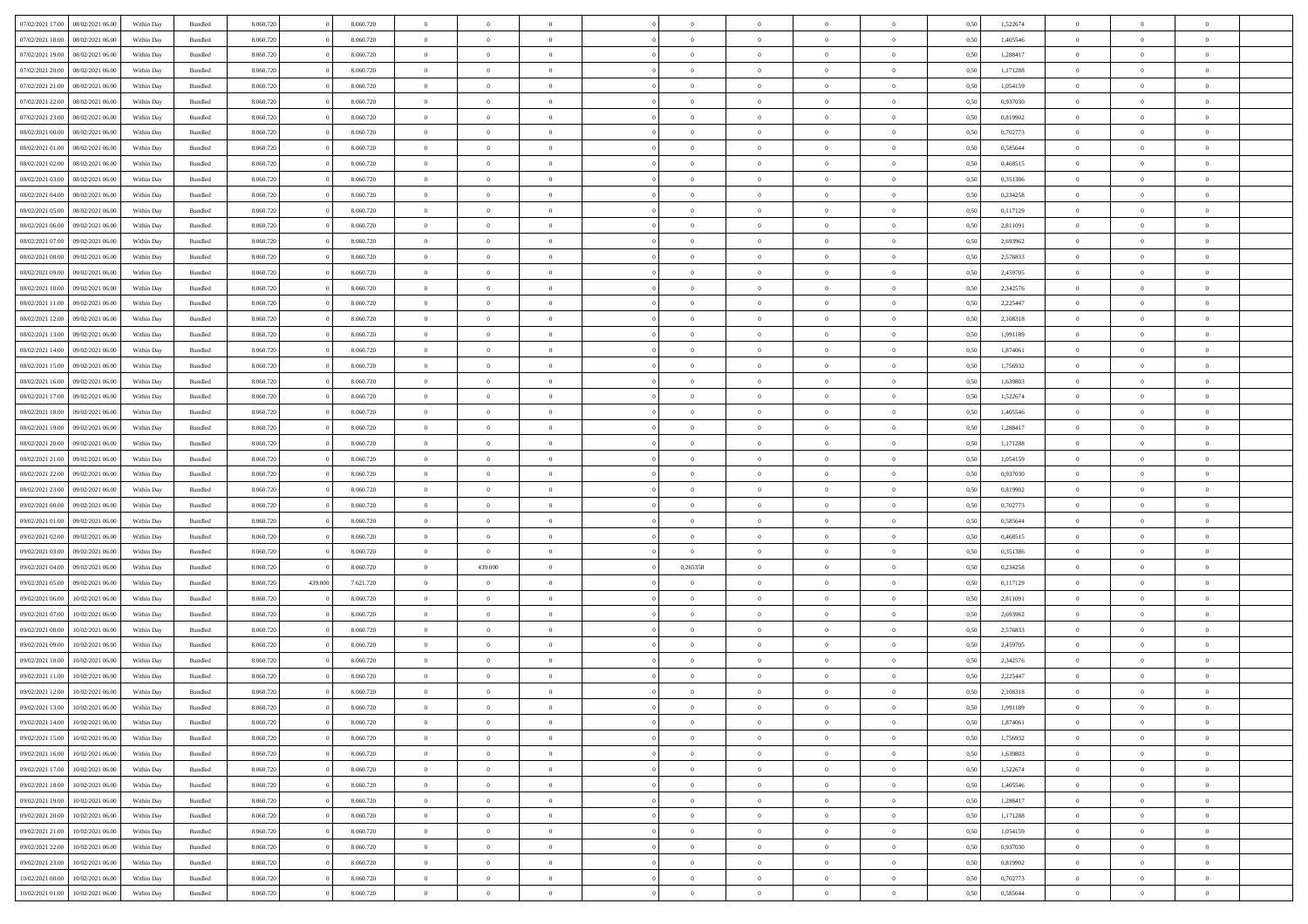| 07/02/2021 17:00 | 08/02/2021 06:00 | Within Day | Bundled            | 8.060.720 |         | 8.060.720 | $\overline{0}$ | $\Omega$       |                | $\Omega$       | $\Omega$       | $\theta$       | $\theta$       | 0.50 | 1,522674 | $\theta$       | $\theta$       | $\theta$       |  |
|------------------|------------------|------------|--------------------|-----------|---------|-----------|----------------|----------------|----------------|----------------|----------------|----------------|----------------|------|----------|----------------|----------------|----------------|--|
| 07/02/2021 18:00 | 08/02/2021 06:00 | Within Day | Bundled            | 8.060.720 |         | 8.060.720 | $\overline{0}$ | $\theta$       | $\overline{0}$ | $\overline{0}$ | $\bf{0}$       | $\overline{0}$ | $\bf{0}$       | 0,50 | 1,405546 | $\theta$       | $\theta$       | $\overline{0}$ |  |
| 07/02/2021 19:00 | 08/02/2021 06:00 | Within Day | Bundled            | 8.060.720 |         | 8.060.720 | $\overline{0}$ | $\overline{0}$ | $\overline{0}$ | $\bf{0}$       | $\bf{0}$       | $\bf{0}$       | $\bf{0}$       | 0,50 | 1,288417 | $\overline{0}$ | $\overline{0}$ | $\overline{0}$ |  |
| 07/02/2021 20:00 | 08/02/2021 06:00 | Within Dav | Bundled            | 8.060.720 |         | 8.060.720 | $\overline{0}$ | $\overline{0}$ | $\overline{0}$ | $\overline{0}$ | $\bf{0}$       | $\overline{0}$ | $\overline{0}$ | 0.50 | 1,171288 | $\theta$       | $\theta$       | $\overline{0}$ |  |
| 07/02/2021 21:00 | 08/02/2021 06:00 |            |                    | 8.060.720 |         | 8.060.720 | $\overline{0}$ | $\theta$       | $\overline{0}$ | $\overline{0}$ | $\bf{0}$       | $\overline{0}$ |                |      | 1,054159 | $\theta$       | $\theta$       | $\overline{0}$ |  |
|                  |                  | Within Day | Bundled            |           |         |           |                |                |                |                |                |                | $\bf{0}$       | 0,50 |          |                |                |                |  |
| 07/02/2021 22.00 | 08/02/2021 06:00 | Within Day | Bundled            | 8.060.720 |         | 8.060.720 | $\overline{0}$ | $\bf{0}$       | $\overline{0}$ | $\bf{0}$       | $\overline{0}$ | $\overline{0}$ | $\mathbf{0}$   | 0,50 | 0,937030 | $\overline{0}$ | $\overline{0}$ | $\bf{0}$       |  |
| 07/02/2021 23:00 | 08/02/2021 06:00 | Within Dav | Bundled            | 8.060.720 |         | 8.060.720 | $\overline{0}$ | $\overline{0}$ | $\overline{0}$ | $\overline{0}$ | $\overline{0}$ | $\overline{0}$ | $\overline{0}$ | 0.50 | 0,819902 | $\theta$       | $\overline{0}$ | $\overline{0}$ |  |
| 08/02/2021 00:00 | 08/02/2021 06:00 | Within Day | Bundled            | 8.060.720 |         | 8.060.720 | $\overline{0}$ | $\theta$       | $\overline{0}$ | $\overline{0}$ | $\bf{0}$       | $\overline{0}$ | $\bf{0}$       | 0,50 | 0,702773 | $\theta$       | $\theta$       | $\overline{0}$ |  |
| 08/02/2021 01:00 | 08/02/2021 06:00 | Within Day | Bundled            | 8.060.720 |         | 8.060.720 | $\overline{0}$ | $\overline{0}$ | $\overline{0}$ | $\bf{0}$       | $\bf{0}$       | $\bf{0}$       | $\bf{0}$       | 0,50 | 0,585644 | $\,0\,$        | $\overline{0}$ | $\overline{0}$ |  |
|                  |                  |            |                    |           |         |           |                |                |                |                |                |                |                |      |          |                |                |                |  |
| 08/02/2021 02:00 | 08/02/2021 06:00 | Within Dav | Bundled            | 8.060.720 |         | 8.060.720 | $\overline{0}$ | $\overline{0}$ | $\overline{0}$ | $\overline{0}$ | $\overline{0}$ | $\overline{0}$ | $\overline{0}$ | 0.50 | 0,468515 | $\theta$       | $\overline{0}$ | $\overline{0}$ |  |
| 08/02/2021 03:00 | 08/02/2021 06:00 | Within Day | Bundled            | 8.060.720 |         | 8.060.720 | $\overline{0}$ | $\theta$       | $\overline{0}$ | $\overline{0}$ | $\bf{0}$       | $\overline{0}$ | $\bf{0}$       | 0,50 | 0,351386 | $\,$ 0 $\,$    | $\theta$       | $\overline{0}$ |  |
| 08/02/2021 04:00 | 08/02/2021 06:00 | Within Day | Bundled            | 8.060.720 |         | 8.060.720 | $\overline{0}$ | $\overline{0}$ | $\overline{0}$ | $\bf{0}$       | $\bf{0}$       | $\bf{0}$       | $\mathbf{0}$   | 0,50 | 0,234258 | $\overline{0}$ | $\overline{0}$ | $\overline{0}$ |  |
| 08/02/2021 05:00 | 08/02/2021 06:00 | Within Dav | Bundled            | 8.060.720 |         | 8.060.720 | $\overline{0}$ | $\overline{0}$ | $\overline{0}$ | $\overline{0}$ | $\bf{0}$       | $\overline{0}$ | $\overline{0}$ | 0.50 | 0,117129 | $\theta$       | $\theta$       | $\overline{0}$ |  |
| 08/02/2021 06:00 | 09/02/2021 06:00 | Within Day | Bundled            | 8.060.720 |         | 8.060.720 | $\overline{0}$ | $\theta$       | $\overline{0}$ | $\overline{0}$ | $\bf{0}$       | $\overline{0}$ | $\bf{0}$       | 0,50 | 2,811091 | $\theta$       | $\overline{0}$ | $\overline{0}$ |  |
|                  |                  |            |                    |           |         |           |                |                |                |                |                |                |                |      |          |                |                |                |  |
| 08/02/2021 07:00 | 09/02/2021 06:00 | Within Day | Bundled            | 8.060.720 |         | 8.060.720 | $\overline{0}$ | $\overline{0}$ | $\overline{0}$ | $\bf{0}$       | $\overline{0}$ | $\overline{0}$ | $\mathbf{0}$   | 0,50 | 2,693962 | $\overline{0}$ | $\overline{0}$ | $\bf{0}$       |  |
| 08/02/2021 08:00 | 09/02/2021 06:00 | Within Dav | Bundled            | 8.060.720 |         | 8.060.720 | $\overline{0}$ | $\overline{0}$ | $\overline{0}$ | $\overline{0}$ | $\overline{0}$ | $\overline{0}$ | $\overline{0}$ | 0.50 | 2,576833 | $\theta$       | $\overline{0}$ | $\overline{0}$ |  |
| 08/02/2021 09:00 | 09/02/2021 06:00 | Within Day | Bundled            | 8.060.720 |         | 8.060.720 | $\overline{0}$ | $\theta$       | $\overline{0}$ | $\overline{0}$ | $\bf{0}$       | $\overline{0}$ | $\bf{0}$       | 0,50 | 2,459705 | $\theta$       | $\theta$       | $\overline{0}$ |  |
| 08/02/2021 10:00 | 09/02/2021 06:00 | Within Day | Bundled            | 8.060.720 |         | 8.060.720 | $\overline{0}$ | $\overline{0}$ | $\overline{0}$ | $\bf{0}$       | $\bf{0}$       | $\bf{0}$       | $\bf{0}$       | 0,50 | 2,342576 | $\bf{0}$       | $\overline{0}$ | $\overline{0}$ |  |
| 08/02/2021 11:00 | 09/02/2021 06:00 | Within Dav | Bundled            | 8.060.720 |         | 8.060.720 | $\overline{0}$ | $\overline{0}$ | $\overline{0}$ | $\overline{0}$ | $\overline{0}$ | $\overline{0}$ | $\overline{0}$ | 0.50 | 2,225447 | $\theta$       | $\overline{0}$ | $\overline{0}$ |  |
|                  |                  |            |                    |           |         |           |                |                |                |                |                |                |                |      |          |                |                |                |  |
| 08/02/2021 12:00 | 09/02/2021 06:00 | Within Day | Bundled            | 8.060.720 |         | 8.060.720 | $\overline{0}$ | $\theta$       | $\overline{0}$ | $\overline{0}$ | $\bf{0}$       | $\overline{0}$ | $\bf{0}$       | 0,50 | 2,108318 | $\,$ 0 $\,$    | $\overline{0}$ | $\overline{0}$ |  |
| 08/02/2021 13:00 | 09/02/2021 06:00 | Within Day | Bundled            | 8.060.720 |         | 8.060.720 | $\overline{0}$ | $\overline{0}$ | $\overline{0}$ | $\bf{0}$       | $\bf{0}$       | $\bf{0}$       | $\bf{0}$       | 0,50 | 1,991189 | $\bf{0}$       | $\overline{0}$ | $\overline{0}$ |  |
| 08/02/2021 14:00 | 09/02/2021 06:00 | Within Day | Bundled            | 8.060.720 |         | 8.060.720 | $\overline{0}$ | $\overline{0}$ | $\overline{0}$ | $\overline{0}$ | $\bf{0}$       | $\overline{0}$ | $\overline{0}$ | 0.50 | 1.874061 | $\theta$       | $\overline{0}$ | $\overline{0}$ |  |
| 08/02/2021 15:00 | 09/02/2021 06:00 | Within Day | Bundled            | 8.060.720 |         | 8.060.720 | $\overline{0}$ | $\theta$       | $\overline{0}$ | $\overline{0}$ | $\bf{0}$       | $\overline{0}$ | $\bf{0}$       | 0,50 | 1,756932 | $\theta$       | $\overline{0}$ | $\overline{0}$ |  |
|                  |                  |            |                    |           |         |           |                |                |                |                |                |                |                |      |          |                |                |                |  |
| 08/02/2021 16:00 | 09/02/2021 06:00 | Within Day | Bundled            | 8.060.720 |         | 8.060.720 | $\overline{0}$ | $\bf{0}$       | $\overline{0}$ | $\bf{0}$       | $\overline{0}$ | $\overline{0}$ | $\mathbf{0}$   | 0,50 | 1,639803 | $\overline{0}$ | $\overline{0}$ | $\bf{0}$       |  |
| 08/02/2021 17:00 | 09/02/2021 06:00 | Within Dav | Bundled            | 8.060.720 |         | 8.060.720 | $\overline{0}$ | $\overline{0}$ | $\overline{0}$ | $\overline{0}$ | $\overline{0}$ | $\overline{0}$ | $\overline{0}$ | 0.50 | 1,522674 | $\theta$       | $\overline{0}$ | $\overline{0}$ |  |
| 08/02/2021 18:00 | 09/02/2021 06:00 | Within Day | Bundled            | 8.060.720 |         | 8.060.720 | $\overline{0}$ | $\theta$       | $\overline{0}$ | $\overline{0}$ | $\bf{0}$       | $\overline{0}$ | $\bf{0}$       | 0,50 | 1,405546 | $\theta$       | $\theta$       | $\overline{0}$ |  |
| 08/02/2021 19:00 | 09/02/2021 06:00 | Within Day | Bundled            | 8.060.720 |         | 8.060.720 | $\overline{0}$ | $\overline{0}$ | $\overline{0}$ | $\bf{0}$       | $\bf{0}$       | $\bf{0}$       | $\bf{0}$       | 0,50 | 1,288417 | $\,0\,$        | $\overline{0}$ | $\overline{0}$ |  |
| 08/02/2021 20:00 | 09/02/2021 06:00 | Within Day | Bundled            | 8.060.720 |         | 8.060.720 | $\overline{0}$ | $\overline{0}$ | $\overline{0}$ | $\overline{0}$ | $\overline{0}$ | $\overline{0}$ | $\overline{0}$ | 0.50 | 1,171288 | $\theta$       | $\overline{0}$ | $\overline{0}$ |  |
|                  |                  |            |                    |           |         |           |                |                |                |                |                |                |                |      |          |                |                |                |  |
| 08/02/2021 21:00 | 09/02/2021 06:00 | Within Day | Bundled            | 8.060.720 |         | 8.060.720 | $\overline{0}$ | $\theta$       | $\overline{0}$ | $\overline{0}$ | $\bf{0}$       | $\overline{0}$ | $\bf{0}$       | 0,50 | 1,054159 | $\,$ 0 $\,$    | $\overline{0}$ | $\overline{0}$ |  |
| 08/02/2021 22.00 | 09/02/2021 06:00 | Within Day | Bundled            | 8.060.720 |         | 8.060.720 | $\overline{0}$ | $\overline{0}$ | $\overline{0}$ | $\overline{0}$ | $\bf{0}$       | $\overline{0}$ | $\bf{0}$       | 0,50 | 0,937030 | $\overline{0}$ | $\overline{0}$ | $\overline{0}$ |  |
| 08/02/2021 23:00 | 09/02/2021 06:00 | Within Day | Bundled            | 8.060.720 |         | 8.060.720 | $\overline{0}$ | $\Omega$       | $\Omega$       | $\Omega$       | $\Omega$       | $\Omega$       | $\overline{0}$ | 0,50 | 0,819902 | $\,0\,$        | $\theta$       | $\theta$       |  |
| 09/02/2021 00:00 | 09/02/2021 06:00 | Within Day | Bundled            | 8.060.720 |         | 8.060.720 | $\overline{0}$ | $\theta$       | $\overline{0}$ | $\overline{0}$ | $\bf{0}$       | $\overline{0}$ | $\bf{0}$       | 0,50 | 0,702773 | $\theta$       | $\theta$       | $\overline{0}$ |  |
| 09/02/2021 01:00 | 09/02/2021 06:00 | Within Day | Bundled            | 8.060.720 |         | 8.060.720 | $\overline{0}$ | $\overline{0}$ | $\overline{0}$ | $\overline{0}$ | $\bf{0}$       | $\overline{0}$ | $\mathbf{0}$   | 0,50 | 0,585644 | $\overline{0}$ | $\overline{0}$ | $\bf{0}$       |  |
|                  |                  |            |                    |           |         |           |                |                |                |                |                |                |                |      |          |                |                |                |  |
| 09/02/2021 02:00 | 09/02/2021 06:00 | Within Day | Bundled            | 8.060.720 |         | 8.060.720 | $\overline{0}$ | $\Omega$       | $\Omega$       | $\Omega$       | $\bf{0}$       | $\overline{0}$ | $\overline{0}$ | 0.50 | 0.468515 | $\theta$       | $\theta$       | $\theta$       |  |
| 09/02/2021 03:00 | 09/02/2021 06:00 | Within Day | Bundled            | 8.060.720 |         | 8.060.720 | $\overline{0}$ | $\overline{0}$ | $\overline{0}$ | $\overline{0}$ | $\bf{0}$       | $\overline{0}$ | $\bf{0}$       | 0,50 | 0,351386 | $\,$ 0 $\,$    | $\theta$       | $\overline{0}$ |  |
| 09/02/2021 04:00 | 09/02/2021 06:00 | Within Day | Bundled            | 8.060.720 |         | 8.060.720 | $\overline{0}$ | 439.000        | $\overline{0}$ | 0,265358       | $\bf{0}$       | $\overline{0}$ | $\bf{0}$       | 0,50 | 0,234258 | $\bf{0}$       | $\overline{0}$ | $\overline{0}$ |  |
| 09/02/2021 05:00 | 09/02/2021 06:00 | Within Day | Bundled            | 8.060.720 | 439,000 | 7.621.720 | $\overline{0}$ | $\Omega$       | $\Omega$       | $\Omega$       | $\theta$       | $\theta$       | $\overline{0}$ | 0.50 | 0,117129 | $\theta$       | $\theta$       | $\theta$       |  |
| 09/02/2021 06:00 | 10/02/2021 06:00 | Within Day | Bundled            | 8.060.720 |         | 8.060.720 | $\overline{0}$ | $\theta$       | $\overline{0}$ | $\overline{0}$ | $\bf{0}$       | $\overline{0}$ | $\bf{0}$       | 0,50 | 2,811091 | $\,$ 0 $\,$    | $\overline{0}$ | $\overline{0}$ |  |
|                  |                  |            |                    |           |         |           |                |                |                |                |                |                |                |      |          |                |                |                |  |
| 09/02/2021 07:00 | 10/02/2021 06:00 | Within Day | Bundled            | 8.060.720 |         | 8.060.720 | $\overline{0}$ | $\bf{0}$       | $\overline{0}$ | $\overline{0}$ | $\bf{0}$       | $\overline{0}$ | $\bf{0}$       | 0,50 | 2,693962 | $\overline{0}$ | $\overline{0}$ | $\overline{0}$ |  |
| 09/02/2021 08:00 | 10/02/2021 06:00 | Within Day | Bundled            | 8.060.720 |         | 8.060.720 | $\overline{0}$ | $\Omega$       | $\overline{0}$ | $\Omega$       | $\overline{0}$ | $\overline{0}$ | $\overline{0}$ | 0.50 | 2,576833 | $\,0\,$        | $\theta$       | $\theta$       |  |
| 09/02/2021 09:00 | 10/02/2021 06:00 | Within Day | Bundled            | 8.060.720 |         | 8.060.720 | $\overline{0}$ | $\theta$       | $\overline{0}$ | $\overline{0}$ | $\bf{0}$       | $\overline{0}$ | $\bf{0}$       | 0,50 | 2,459705 | $\,$ 0 $\,$    | $\overline{0}$ | $\overline{0}$ |  |
| 09/02/2021 10:00 | 10/02/2021 06:00 | Within Day | Bundled            | 8.060.720 |         | 8.060.720 | $\overline{0}$ | $\overline{0}$ | $\overline{0}$ | $\overline{0}$ | $\bf{0}$       | $\overline{0}$ | $\mathbf{0}$   | 0,50 | 2,342576 | $\overline{0}$ | $\overline{0}$ | $\bf{0}$       |  |
| 09/02/2021 11:00 | 10/02/2021 06:00 | Within Day | Bundled            | 8.060.720 |         | 8.060.720 | $\overline{0}$ | $\Omega$       | $\Omega$       | $\Omega$       | $\Omega$       | $\Omega$       | $\overline{0}$ | 0.50 | 2,225447 | $\theta$       | $\theta$       | $\theta$       |  |
|                  |                  |            |                    |           |         |           |                |                |                |                |                |                |                |      |          |                |                |                |  |
| 09/02/2021 12:00 | 10/02/2021 06:00 | Within Day | Bundled            | 8.060.720 |         | 8.060.720 | $\overline{0}$ | $\overline{0}$ | $\bf{0}$       | $\bf{0}$       | $\,$ 0         | $\overline{0}$ | $\bf{0}$       | 0,50 | 2,108318 | $\,0\,$        | $\,0\,$        | $\overline{0}$ |  |
| 09/02/2021 13:00 | 10/02/2021 06:00 | Within Day | $\mathbf B$ undled | 8.060.720 |         | 8.060.720 | $\bf{0}$       | $\bf{0}$       |                |                | $\bf{0}$       |                |                | 0,50 | 1,991189 | $\bf{0}$       | $\overline{0}$ |                |  |
| 09/02/2021 14:00 | 10/02/2021 06:00 | Within Day | Bundled            | 8.060.720 |         | 8.060.720 | $\overline{0}$ | $\overline{0}$ | $\overline{0}$ | $\Omega$       | $\overline{0}$ | $\overline{0}$ | $\overline{0}$ | 0,50 | 1,874061 | $\theta$       | $\theta$       | $\theta$       |  |
| 09/02/2021 15:00 | 10/02/2021 06:00 | Within Day | Bundled            | 8.060.720 |         | 8.060.720 | $\overline{0}$ | $\,$ 0         | $\overline{0}$ | $\overline{0}$ | $\,$ 0 $\,$    | $\overline{0}$ | $\mathbf{0}$   | 0,50 | 1,756932 | $\,$ 0 $\,$    | $\,$ 0 $\,$    | $\,$ 0         |  |
| 09/02/2021 16:00 | 10/02/2021 06:00 | Within Day | Bundled            | 8.060.720 |         | 8.060.720 | $\overline{0}$ | $\overline{0}$ | $\overline{0}$ | $\overline{0}$ | $\overline{0}$ | $\overline{0}$ | $\mathbf{0}$   | 0,50 | 1,639803 | $\overline{0}$ | $\bf{0}$       | $\overline{0}$ |  |
|                  |                  |            |                    |           |         |           |                |                |                |                |                |                |                |      |          |                |                |                |  |
| 09/02/2021 17:00 | 10/02/2021 06:00 | Within Day | Bundled            | 8.060.720 |         | 8.060.720 | $\overline{0}$ | $\overline{0}$ | $\overline{0}$ | $\Omega$       | $\overline{0}$ | $\overline{0}$ | $\overline{0}$ | 0,50 | 1,522674 | $\overline{0}$ | $\theta$       | $\overline{0}$ |  |
| 09/02/2021 18:00 | 10/02/2021 06:00 | Within Day | Bundled            | 8.060.720 |         | 8.060.720 | $\overline{0}$ | $\,$ 0         | $\overline{0}$ | $\overline{0}$ | $\,$ 0 $\,$    | $\overline{0}$ | $\mathbf{0}$   | 0,50 | 1,405546 | $\,$ 0 $\,$    | $\overline{0}$ | $\overline{0}$ |  |
| 09/02/2021 19:00 | 10/02/2021 06:00 | Within Day | Bundled            | 8.060.720 |         | 8.060.720 | $\overline{0}$ | $\overline{0}$ | $\overline{0}$ | $\overline{0}$ | $\overline{0}$ | $\overline{0}$ | $\mathbf{0}$   | 0,50 | 1,288417 | $\overline{0}$ | $\overline{0}$ | $\bf{0}$       |  |
| 09/02/2021 20:00 | 10/02/2021 06:00 | Within Day | Bundled            | 8.060.720 |         | 8.060.720 | $\overline{0}$ | $\overline{0}$ | $\overline{0}$ | $\Omega$       | $\overline{0}$ | $\overline{0}$ | $\bf{0}$       | 0.50 | 1,171288 | $\overline{0}$ | $\theta$       | $\overline{0}$ |  |
|                  |                  |            |                    |           |         |           |                |                |                |                |                |                |                |      |          |                |                |                |  |
| 09/02/2021 21:00 | 10/02/2021 06:00 | Within Day | Bundled            | 8.060.720 |         | 8.060.720 | $\overline{0}$ | $\,$ 0         | $\overline{0}$ | $\overline{0}$ | $\bf{0}$       | $\bf{0}$       | $\bf{0}$       | 0,50 | 1,054159 | $\,$ 0 $\,$    | $\overline{0}$ | $\overline{0}$ |  |
| 09/02/2021 22:00 | 10/02/2021 06:00 | Within Day | Bundled            | 8.060.720 |         | 8.060.720 | $\overline{0}$ | $\bf{0}$       | $\overline{0}$ | $\overline{0}$ | $\overline{0}$ | $\overline{0}$ | $\mathbf{0}$   | 0,50 | 0,937030 | $\overline{0}$ | $\overline{0}$ | $\bf{0}$       |  |
| 09/02/2021 23:00 | 10/02/2021 06:00 | Within Day | Bundled            | 8.060.720 |         | 8.060.720 | $\overline{0}$ | $\overline{0}$ | $\overline{0}$ | $\Omega$       | $\overline{0}$ | $\overline{0}$ | $\overline{0}$ | 0.50 | 0,819902 | $\overline{0}$ | $\overline{0}$ | $\overline{0}$ |  |
| 10/02/2021 00:00 | 10/02/2021 06:00 | Within Day | Bundled            | 8.060.720 |         | 8.060.720 | $\overline{0}$ | $\bf{0}$       | $\overline{0}$ | $\overline{0}$ | $\bf{0}$       | $\bf{0}$       | $\bf{0}$       | 0,50 | 0,702773 | $\,$ 0 $\,$    | $\,$ 0 $\,$    | $\bf{0}$       |  |
| 10/02/2021 01:00 | 10/02/2021 06:00 | Within Day | Bundled            | 8.060.720 |         | 8.060.720 | $\overline{0}$ | $\bf{0}$       | $\overline{0}$ | $\bf{0}$       | $\bf{0}$       | $\bf{0}$       | $\bf{0}$       | 0,50 | 0,585644 | $\overline{0}$ | $\overline{0}$ | $\bf{0}$       |  |
|                  |                  |            |                    |           |         |           |                |                |                |                |                |                |                |      |          |                |                |                |  |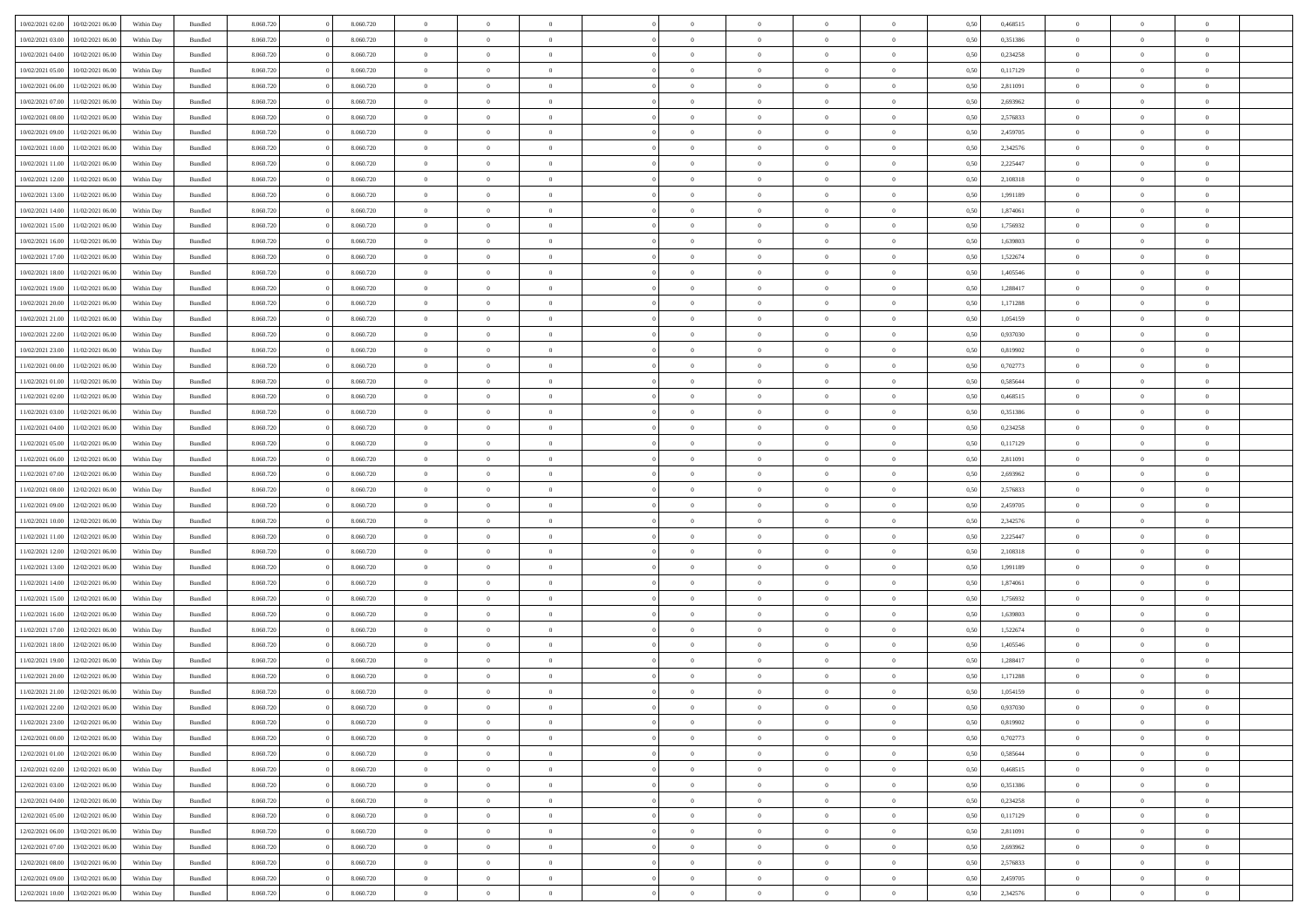|                  | 10/02/2021 06:00 | Within Day | Bundled            | 8.060.720 | 8.060.720 | $\overline{0}$ | $\Omega$       |                | $\Omega$       | $\Omega$       | $\theta$       | $\theta$       | 0,50 | 0,468515 | $\theta$       | $\theta$       | $\overline{0}$ |  |
|------------------|------------------|------------|--------------------|-----------|-----------|----------------|----------------|----------------|----------------|----------------|----------------|----------------|------|----------|----------------|----------------|----------------|--|
| 10/02/2021 02:00 |                  |            |                    |           |           |                |                |                |                |                |                |                |      |          |                |                |                |  |
| 10/02/2021 03:00 | 10/02/2021 06:00 | Within Day | Bundled            | 8.060.720 | 8.060.720 | $\overline{0}$ | $\theta$       | $\overline{0}$ | $\overline{0}$ | $\bf{0}$       | $\overline{0}$ | $\bf{0}$       | 0,50 | 0,351386 | $\theta$       | $\overline{0}$ | $\overline{0}$ |  |
| 10/02/2021 04:00 | 10/02/2021 06:00 | Within Day | Bundled            | 8.060.720 | 8.060.720 | $\overline{0}$ | $\bf{0}$       | $\overline{0}$ | $\bf{0}$       | $\bf{0}$       | $\bf{0}$       | $\mathbf{0}$   | 0,50 | 0,234258 | $\overline{0}$ | $\overline{0}$ | $\bf{0}$       |  |
| 10/02/2021 05:00 | 10/02/2021 06:00 | Within Dav | Bundled            | 8.060.720 | 8.060.720 | $\overline{0}$ | $\overline{0}$ | $\overline{0}$ | $\overline{0}$ | $\bf{0}$       | $\overline{0}$ | $\overline{0}$ | 0.50 | 0,117129 | $\theta$       | $\theta$       | $\overline{0}$ |  |
|                  |                  |            |                    |           |           | $\overline{0}$ | $\theta$       | $\overline{0}$ | $\overline{0}$ | $\bf{0}$       | $\overline{0}$ |                |      |          | $\theta$       | $\overline{0}$ | $\overline{0}$ |  |
| 10/02/2021 06:00 | 11/02/2021 06:00 | Within Day | Bundled            | 8.060.720 | 8.060.720 |                |                |                |                |                |                | $\bf{0}$       | 0,50 | 2,811091 |                |                |                |  |
| 10/02/2021 07:00 | 11/02/2021 06:00 | Within Day | Bundled            | 8.060.720 | 8.060.720 | $\overline{0}$ | $\overline{0}$ | $\overline{0}$ | $\bf{0}$       | $\overline{0}$ | $\overline{0}$ | $\mathbf{0}$   | 0,50 | 2,693962 | $\overline{0}$ | $\overline{0}$ | $\bf{0}$       |  |
| 10/02/2021 08:00 | 11/02/2021 06:00 | Within Dav | Bundled            | 8.060.720 | 8.060.720 | $\overline{0}$ | $\overline{0}$ | $\overline{0}$ | $\overline{0}$ | $\overline{0}$ | $\overline{0}$ | $\overline{0}$ | 0.50 | 2,576833 | $\theta$       | $\overline{0}$ | $\overline{0}$ |  |
| 10/02/2021 09:00 | 11/02/2021 06:00 | Within Day | Bundled            | 8.060.720 | 8.060.720 | $\overline{0}$ | $\theta$       | $\overline{0}$ | $\overline{0}$ | $\bf{0}$       | $\overline{0}$ | $\bf{0}$       | 0,50 | 2,459705 | $\theta$       | $\theta$       | $\overline{0}$ |  |
|                  | 11/02/2021 06:00 | Within Day | Bundled            | 8.060.720 | 8.060.720 | $\overline{0}$ | $\overline{0}$ | $\overline{0}$ | $\bf{0}$       | $\bf{0}$       | $\bf{0}$       | $\bf{0}$       | 0,50 | 2,342576 | $\,0\,$        | $\overline{0}$ | $\overline{0}$ |  |
| 10/02/2021 10:00 |                  |            |                    |           |           |                |                |                |                |                |                |                |      |          |                |                |                |  |
| 10/02/2021 11:00 | 11/02/2021 06:00 | Within Dav | Bundled            | 8.060.720 | 8.060.720 | $\overline{0}$ | $\overline{0}$ | $\overline{0}$ | $\overline{0}$ | $\overline{0}$ | $\overline{0}$ | $\overline{0}$ | 0.50 | 2,225447 | $\theta$       | $\overline{0}$ | $\overline{0}$ |  |
| 10/02/2021 12:00 | 11/02/2021 06:00 | Within Day | Bundled            | 8.060.720 | 8.060.720 | $\overline{0}$ | $\theta$       | $\overline{0}$ | $\overline{0}$ | $\bf{0}$       | $\overline{0}$ | $\bf{0}$       | 0,50 | 2,108318 | $\,$ 0 $\,$    | $\overline{0}$ | $\overline{0}$ |  |
| 10/02/2021 13:00 | 11/02/2021 06:00 | Within Day | Bundled            | 8.060.720 | 8.060.720 | $\overline{0}$ | $\bf{0}$       | $\overline{0}$ | $\bf{0}$       | $\bf{0}$       | $\bf{0}$       | $\mathbf{0}$   | 0,50 | 1,991189 | $\overline{0}$ | $\overline{0}$ | $\bf{0}$       |  |
| 10/02/2021 14:00 | 11/02/2021 06:00 | Within Dav | Bundled            | 8.060.720 | 8.060.720 | $\overline{0}$ | $\overline{0}$ | $\overline{0}$ | $\overline{0}$ | $\bf{0}$       | $\overline{0}$ | $\overline{0}$ | 0.50 | 1,874061 | $\theta$       | $\theta$       | $\overline{0}$ |  |
| 10/02/2021 15:00 | 11/02/2021 06:00 | Within Day | Bundled            | 8.060.720 | 8.060.720 | $\overline{0}$ | $\theta$       | $\overline{0}$ | $\overline{0}$ | $\bf{0}$       | $\overline{0}$ | $\bf{0}$       | 0,50 | 1,756932 | $\theta$       | $\overline{0}$ | $\overline{0}$ |  |
|                  |                  |            |                    |           |           |                |                |                |                |                |                |                |      |          |                |                |                |  |
| 10/02/2021 16:00 | 11/02/2021 06:00 | Within Day | Bundled            | 8.060.720 | 8.060.720 | $\overline{0}$ | $\overline{0}$ | $\overline{0}$ | $\bf{0}$       | $\overline{0}$ | $\overline{0}$ | $\mathbf{0}$   | 0,50 | 1,639803 | $\overline{0}$ | $\overline{0}$ | $\bf{0}$       |  |
| 10/02/2021 17:00 | 11/02/2021 06:00 | Within Dav | Bundled            | 8.060.720 | 8.060.720 | $\overline{0}$ | $\overline{0}$ | $\overline{0}$ | $\overline{0}$ | $\overline{0}$ | $\overline{0}$ | $\overline{0}$ | 0.50 | 1,522674 | $\theta$       | $\overline{0}$ | $\overline{0}$ |  |
| 10/02/2021 18:00 | 11/02/2021 06:00 | Within Day | Bundled            | 8.060.720 | 8.060.720 | $\overline{0}$ | $\theta$       | $\overline{0}$ | $\overline{0}$ | $\bf{0}$       | $\overline{0}$ | $\bf{0}$       | 0,50 | 1,405546 | $\,$ 0 $\,$    | $\theta$       | $\overline{0}$ |  |
| 10/02/2021 19:00 | 11/02/2021 06:00 | Within Day | Bundled            | 8.060.720 | 8.060.720 | $\overline{0}$ | $\overline{0}$ | $\overline{0}$ | $\bf{0}$       | $\bf{0}$       | $\bf{0}$       | $\mathbf{0}$   | 0,50 | 1,288417 | $\bf{0}$       | $\overline{0}$ | $\bf{0}$       |  |
|                  | 11/02/2021 06:00 | Within Dav | Bundled            | 8.060.720 | 8.060.720 | $\overline{0}$ | $\overline{0}$ | $\overline{0}$ | $\overline{0}$ | $\overline{0}$ | $\overline{0}$ | $\overline{0}$ | 0.50 | 1,171288 | $\theta$       | $\overline{0}$ | $\overline{0}$ |  |
| 10/02/2021 20:00 |                  |            |                    |           |           |                |                |                |                |                |                |                |      |          |                |                |                |  |
| 10/02/2021 21:00 | 11/02/2021 06:00 | Within Day | Bundled            | 8.060.720 | 8.060.720 | $\overline{0}$ | $\theta$       | $\overline{0}$ | $\overline{0}$ | $\bf{0}$       | $\overline{0}$ | $\bf{0}$       | 0,50 | 1,054159 | $\,$ 0 $\,$    | $\overline{0}$ | $\overline{0}$ |  |
| 10/02/2021 22:00 | 11/02/2021 06:00 | Within Day | Bundled            | 8.060.720 | 8.060.720 | $\overline{0}$ | $\overline{0}$ | $\overline{0}$ | $\bf{0}$       | $\bf{0}$       | $\bf{0}$       | $\mathbf{0}$   | 0,50 | 0,937030 | $\overline{0}$ | $\overline{0}$ | $\bf{0}$       |  |
| 10/02/2021 23:00 | 11/02/2021 06:00 | Within Day | Bundled            | 8.060.720 | 8.060.720 | $\overline{0}$ | $\overline{0}$ | $\overline{0}$ | $\overline{0}$ | $\overline{0}$ | $\overline{0}$ | $\overline{0}$ | 0.50 | 0,819902 | $\theta$       | $\overline{0}$ | $\overline{0}$ |  |
| 11/02/2021 00:00 | 11/02/2021 06:00 | Within Day | Bundled            | 8.060.720 | 8.060.720 | $\overline{0}$ | $\theta$       | $\overline{0}$ | $\overline{0}$ | $\bf{0}$       | $\overline{0}$ | $\bf{0}$       | 0,50 | 0,702773 | $\,$ 0 $\,$    | $\overline{0}$ | $\overline{0}$ |  |
|                  |                  |            |                    |           |           |                |                |                |                |                |                |                |      |          |                |                |                |  |
| 11/02/2021 01:00 | 11/02/2021 06:00 | Within Day | Bundled            | 8.060.720 | 8.060.720 | $\overline{0}$ | $\overline{0}$ | $\overline{0}$ | $\bf{0}$       | $\overline{0}$ | $\overline{0}$ | $\mathbf{0}$   | 0,50 | 0,585644 | $\overline{0}$ | $\overline{0}$ | $\bf{0}$       |  |
| 11/02/2021 02:00 | 11/02/2021 06:00 | Within Dav | Bundled            | 8.060.720 | 8.060.720 | $\overline{0}$ | $\overline{0}$ | $\overline{0}$ | $\overline{0}$ | $\overline{0}$ | $\overline{0}$ | $\overline{0}$ | 0.50 | 0,468515 | $\theta$       | $\overline{0}$ | $\overline{0}$ |  |
| 11/02/2021 03:00 | 11/02/2021 06:00 | Within Day | Bundled            | 8.060.720 | 8.060.720 | $\overline{0}$ | $\theta$       | $\overline{0}$ | $\overline{0}$ | $\bf{0}$       | $\overline{0}$ | $\bf{0}$       | 0,50 | 0,351386 | $\theta$       | $\theta$       | $\overline{0}$ |  |
| 11/02/2021 04:00 | 11/02/2021 06:00 | Within Day | Bundled            | 8.060.720 | 8.060.720 | $\overline{0}$ | $\overline{0}$ | $\overline{0}$ | $\bf{0}$       | $\bf{0}$       | $\bf{0}$       | $\bf{0}$       | 0,50 | 0,234258 | $\,0\,$        | $\overline{0}$ | $\bf{0}$       |  |
| 11/02/2021 05:00 | 11/02/2021 06:00 | Within Day | Bundled            | 8.060.720 | 8.060.720 | $\overline{0}$ | $\overline{0}$ | $\overline{0}$ | $\overline{0}$ | $\overline{0}$ | $\overline{0}$ | $\overline{0}$ | 0.50 | 0,117129 | $\theta$       | $\overline{0}$ | $\overline{0}$ |  |
|                  |                  |            |                    |           |           |                |                |                |                |                |                |                |      |          |                |                |                |  |
| 11/02/2021 06:00 | 12/02/2021 06:00 | Within Day | Bundled            | 8.060.720 | 8.060.720 | $\overline{0}$ | $\theta$       | $\overline{0}$ | $\overline{0}$ | $\bf{0}$       | $\overline{0}$ | $\bf{0}$       | 0,50 | 2,811091 | $\,$ 0 $\,$    | $\overline{0}$ | $\overline{0}$ |  |
| 11/02/2021 07:00 | 12/02/2021 06:00 | Within Day | Bundled            | 8.060.720 | 8.060.720 | $\overline{0}$ | $\overline{0}$ | $\overline{0}$ | $\bf{0}$       | $\bf{0}$       | $\bf{0}$       | $\bf{0}$       | 0,50 | 2,693962 | $\bf{0}$       | $\overline{0}$ | $\bf{0}$       |  |
| 11/02/2021 08:00 | 12/02/2021 06:00 | Within Day | Bundled            | 8.060.720 | 8.060.720 | $\overline{0}$ | $\Omega$       | $\Omega$       | $\Omega$       | $\Omega$       | $\overline{0}$ | $\overline{0}$ | 0,50 | 2,576833 | $\,0\,$        | $\theta$       | $\theta$       |  |
| 11/02/2021 09:00 | 12/02/2021 06:00 | Within Day | Bundled            | 8.060.720 | 8.060.720 | $\overline{0}$ | $\theta$       | $\overline{0}$ | $\overline{0}$ | $\bf{0}$       | $\overline{0}$ | $\bf{0}$       | 0,50 | 2,459705 | $\,$ 0 $\,$    | $\overline{0}$ | $\overline{0}$ |  |
| 11/02/2021 10:00 | 12/02/2021 06:00 | Within Day | Bundled            | 8.060.720 | 8.060.720 | $\overline{0}$ | $\overline{0}$ | $\overline{0}$ | $\bf{0}$       | $\overline{0}$ | $\overline{0}$ | $\mathbf{0}$   | 0,50 | 2,342576 | $\bf{0}$       | $\overline{0}$ | $\bf{0}$       |  |
|                  |                  |            |                    |           |           |                |                |                |                |                |                |                |      |          |                |                |                |  |
| 11/02/2021 11:00 | 12/02/2021 06:00 | Within Day | Bundled            | 8.060.720 | 8.060.720 | $\overline{0}$ | $\Omega$       | $\Omega$       | $\Omega$       | $\overline{0}$ | $\overline{0}$ | $\overline{0}$ | 0.50 | 2,225447 | $\,0\,$        | $\theta$       | $\theta$       |  |
| 11/02/2021 12:00 | 12/02/2021 06:00 | Within Day | Bundled            | 8.060.720 | 8.060.720 | $\overline{0}$ | $\theta$       | $\overline{0}$ | $\overline{0}$ | $\bf{0}$       | $\overline{0}$ | $\bf{0}$       | 0,50 | 2,108318 | $\,$ 0 $\,$    | $\overline{0}$ | $\overline{0}$ |  |
| 11/02/2021 13:00 | 12/02/2021 06:00 | Within Day | Bundled            | 8.060.720 | 8.060.720 | $\overline{0}$ | $\overline{0}$ | $\overline{0}$ | $\bf{0}$       | $\bf{0}$       | $\bf{0}$       | $\mathbf{0}$   | 0,50 | 1,991189 | $\bf{0}$       | $\overline{0}$ | $\bf{0}$       |  |
| 11/02/2021 14:00 | 12/02/2021 06:00 | Within Day | Bundled            | 8.060.720 | 8.060.720 | $\overline{0}$ | $\Omega$       | $\Omega$       | $\Omega$       | $\theta$       | $\theta$       | $\overline{0}$ | 0.50 | 1,874061 | $\theta$       | $\theta$       | $\theta$       |  |
| 11/02/2021 15:00 | 12/02/2021 06:00 | Within Day | Bundled            | 8.060.720 | 8.060.720 | $\overline{0}$ | $\theta$       | $\overline{0}$ | $\overline{0}$ | $\bf{0}$       | $\overline{0}$ | $\bf{0}$       | 0,50 | 1,756932 | $\,$ 0 $\,$    | $\overline{0}$ | $\overline{0}$ |  |
|                  |                  |            |                    |           |           |                | $\bf{0}$       |                |                | $\bf{0}$       |                |                |      |          |                | $\overline{0}$ | $\bf{0}$       |  |
| 11/02/2021 16:00 | 12/02/2021 06:00 | Within Day | Bundled            | 8.060.720 | 8.060.720 | $\overline{0}$ |                | $\overline{0}$ | $\bf{0}$       |                | $\bf{0}$       | $\mathbf{0}$   | 0,50 | 1,639803 | $\bf{0}$       |                |                |  |
| 11/02/2021 17:00 | 12/02/2021 06:00 | Within Day | Bundled            | 8.060.720 | 8.060.720 | $\overline{0}$ | $\Omega$       | $\overline{0}$ | $\Omega$       | $\overline{0}$ | $\overline{0}$ | $\overline{0}$ | 0.50 | 1,522674 | $\,0\,$        | $\theta$       | $\theta$       |  |
| 11/02/2021 18:00 | 12/02/2021 06:00 | Within Day | Bundled            | 8.060.720 | 8.060.720 | $\overline{0}$ | $\overline{0}$ | $\overline{0}$ | $\overline{0}$ | $\bf{0}$       | $\overline{0}$ | $\bf{0}$       | 0,50 | 1,405546 | $\,$ 0 $\,$    | $\overline{0}$ | $\overline{0}$ |  |
| 11/02/2021 19:00 | 12/02/2021 06:00 | Within Day | Bundled            | 8.060.720 | 8.060.720 | $\overline{0}$ | $\overline{0}$ | $\overline{0}$ | $\bf{0}$       | $\bf{0}$       | $\overline{0}$ | $\mathbf{0}$   | 0,50 | 1,288417 | $\overline{0}$ | $\overline{0}$ | $\bf{0}$       |  |
| 11/02/2021 20:00 | 12/02/2021 06:00 | Within Day | Bundled            | 8.060.720 | 8.060.720 | $\overline{0}$ | $\Omega$       | $\Omega$       | $\Omega$       | $\Omega$       | $\Omega$       | $\overline{0}$ | 0.50 | 1,171288 | $\theta$       | $\theta$       | $\theta$       |  |
| 11/02/2021 21:00 | 12/02/2021 06:00 | Within Day | Bundled            | 8.060.720 | 8.060.720 | $\overline{0}$ | $\overline{0}$ | $\bf{0}$       | $\bf{0}$       | $\,$ 0         | $\bf{0}$       | $\bf{0}$       | 0,50 | 1,054159 | $\,0\,$        | $\,$ 0 $\,$    | $\overline{0}$ |  |
|                  |                  |            |                    |           |           |                |                |                |                |                |                |                |      |          |                |                |                |  |
| 11/02/2021 22:00 | 12/02/2021 06:00 | Within Day | $\mathbf B$ undled | 8.060.720 | 8.060.720 | $\bf{0}$       | $\bf{0}$       |                |                | $\bf{0}$       |                |                | 0,50 | 0,937030 | $\bf{0}$       | $\overline{0}$ |                |  |
| 11/02/2021 23:00 | 12/02/2021 06:00 | Within Day | Bundled            | 8.060.720 | 8.060.720 | $\overline{0}$ | $\overline{0}$ | $\overline{0}$ | $\Omega$       | $\overline{0}$ | $\overline{0}$ | $\overline{0}$ | 0.50 | 0,819902 | $\theta$       | $\theta$       | $\theta$       |  |
| 12/02/2021 00:00 | 12/02/2021 06:00 | Within Day | Bundled            | 8.060.720 | 8.060.720 | $\overline{0}$ | $\,$ 0         | $\overline{0}$ | $\bf{0}$       | $\,$ 0 $\,$    | $\overline{0}$ | $\mathbf{0}$   | 0,50 | 0,702773 | $\,$ 0 $\,$    | $\,$ 0 $\,$    | $\,$ 0         |  |
| 12/02/2021 01:00 | 12/02/2021 06:00 | Within Day | Bundled            | 8.060.720 | 8.060.720 | $\overline{0}$ | $\overline{0}$ | $\overline{0}$ | $\overline{0}$ | $\overline{0}$ | $\overline{0}$ | $\mathbf{0}$   | 0,50 | 0,585644 | $\overline{0}$ | $\bf{0}$       | $\bf{0}$       |  |
| 12/02/2021 02:00 | 12/02/2021 06:00 | Within Day | Bundled            | 8.060.720 | 8.060.720 | $\overline{0}$ | $\overline{0}$ | $\overline{0}$ | $\Omega$       | $\overline{0}$ | $\overline{0}$ | $\overline{0}$ | 0,50 | 0,468515 | $\overline{0}$ | $\theta$       | $\overline{0}$ |  |
|                  |                  |            |                    |           |           |                |                |                |                |                |                |                |      |          |                |                |                |  |
| 12/02/2021 03:00 | 12/02/2021 06:00 | Within Day | Bundled            | 8.060.720 | 8.060.720 | $\overline{0}$ | $\,$ 0         | $\overline{0}$ | $\overline{0}$ | $\,$ 0 $\,$    | $\overline{0}$ | $\mathbf{0}$   | 0,50 | 0,351386 | $\,$ 0 $\,$    | $\overline{0}$ | $\overline{0}$ |  |
| 12/02/2021 04:00 | 12/02/2021 06:00 | Within Day | Bundled            | 8.060.720 | 8.060.720 | $\overline{0}$ | $\overline{0}$ | $\overline{0}$ | $\overline{0}$ | $\overline{0}$ | $\overline{0}$ | $\mathbf{0}$   | 0,50 | 0,234258 | $\overline{0}$ | $\overline{0}$ | $\bf{0}$       |  |
| 12/02/2021 05:00 | 12/02/2021 06:00 | Within Day | Bundled            | 8.060.720 | 8.060.720 | $\overline{0}$ | $\overline{0}$ | $\overline{0}$ | $\Omega$       | $\overline{0}$ | $\overline{0}$ | $\bf{0}$       | 0.50 | 0,117129 | $\overline{0}$ | $\theta$       | $\overline{0}$ |  |
| 12/02/2021 06:00 | 13/02/2021 06:00 | Within Day | Bundled            | 8.060.720 | 8.060.720 | $\overline{0}$ | $\,$ 0         | $\overline{0}$ | $\bf{0}$       | $\bf{0}$       | $\bf{0}$       | $\bf{0}$       | 0,50 | 2,811091 | $\,$ 0 $\,$    | $\overline{0}$ | $\overline{0}$ |  |
| 12/02/2021 07:00 | 13/02/2021 06:00 | Within Day | Bundled            | 8.060.720 | 8.060.720 | $\overline{0}$ | $\bf{0}$       | $\overline{0}$ | $\overline{0}$ | $\overline{0}$ | $\overline{0}$ | $\mathbf{0}$   | 0,50 | 2,693962 | $\overline{0}$ | $\overline{0}$ | $\bf{0}$       |  |
|                  |                  |            |                    |           |           |                |                |                |                |                |                |                |      |          |                |                |                |  |
| 12/02/2021 08:00 | 13/02/2021 06:00 | Within Day | Bundled            | 8.060.720 | 8.060.720 | $\overline{0}$ | $\overline{0}$ | $\overline{0}$ | $\Omega$       | $\overline{0}$ | $\overline{0}$ | $\overline{0}$ | 0.50 | 2,576833 | $\overline{0}$ | $\overline{0}$ | $\overline{0}$ |  |
| 12/02/2021 09:00 | 13/02/2021 06:00 | Within Day | Bundled            | 8.060.720 | 8.060.720 | $\overline{0}$ | $\bf{0}$       | $\overline{0}$ | $\overline{0}$ | $\bf{0}$       | $\bf{0}$       | $\bf{0}$       | 0,50 | 2,459705 | $\,$ 0 $\,$    | $\,$ 0 $\,$    | $\bf{0}$       |  |
| 12/02/2021 10:00 | 13/02/2021 06:00 | Within Day | Bundled            | 8.060.720 | 8.060.720 | $\overline{0}$ | $\bf{0}$       | $\overline{0}$ | $\bf{0}$       | $\bf{0}$       | $\bf{0}$       | $\bf{0}$       | 0,50 | 2,342576 | $\overline{0}$ | $\overline{0}$ | $\bf{0}$       |  |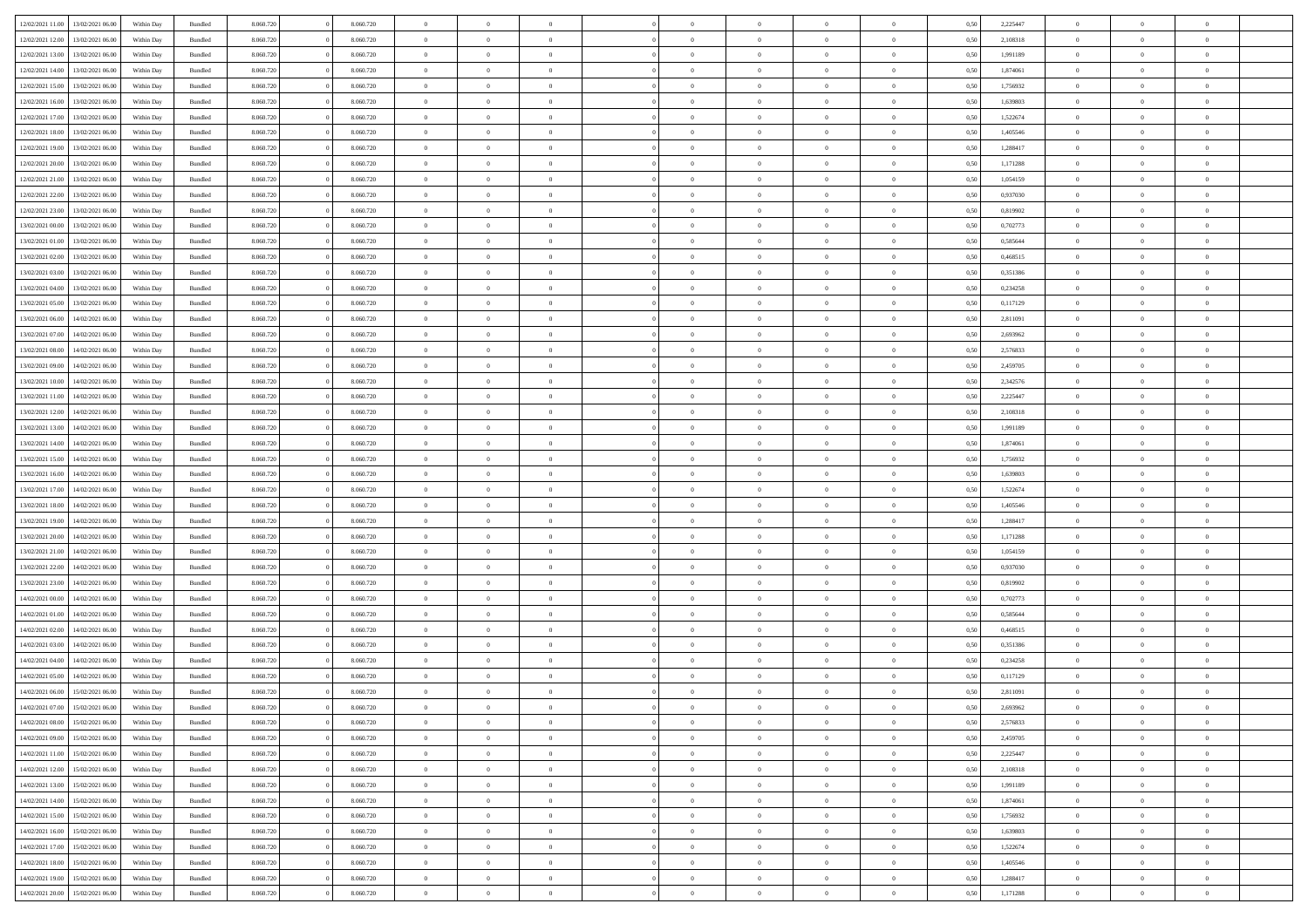|                  |                  |            |                    |           |           | $\overline{0}$ | $\Omega$       |                |                | $\Omega$       | $\theta$       | $\theta$       |      |          | $\theta$       |                | $\theta$       |  |
|------------------|------------------|------------|--------------------|-----------|-----------|----------------|----------------|----------------|----------------|----------------|----------------|----------------|------|----------|----------------|----------------|----------------|--|
| 12/02/2021 11:00 | 13/02/2021 06:00 | Within Day | Bundled            | 8.060.720 | 8.060.720 |                |                |                | $\Omega$       |                |                |                | 0.50 | 2,225447 |                | $\theta$       |                |  |
| 12/02/2021 12:00 | 13/02/2021 06:00 | Within Day | Bundled            | 8.060.720 | 8.060.720 | $\overline{0}$ | $\theta$       | $\overline{0}$ | $\overline{0}$ | $\bf{0}$       | $\overline{0}$ | $\bf{0}$       | 0,50 | 2,108318 | $\theta$       | $\theta$       | $\overline{0}$ |  |
| 12/02/2021 13:00 | 13/02/2021 06:00 | Within Day | Bundled            | 8.060.720 | 8.060.720 | $\overline{0}$ | $\overline{0}$ | $\overline{0}$ | $\bf{0}$       | $\bf{0}$       | $\bf{0}$       | $\bf{0}$       | 0,50 | 1,991189 | $\overline{0}$ | $\overline{0}$ | $\overline{0}$ |  |
|                  |                  |            |                    |           |           |                |                |                |                |                |                |                |      |          | $\theta$       |                |                |  |
| 12/02/2021 14:00 | 13/02/2021 06:00 | Within Dav | Bundled            | 8.060.720 | 8.060.720 | $\overline{0}$ | $\overline{0}$ | $\overline{0}$ | $\overline{0}$ | $\bf{0}$       | $\overline{0}$ | $\overline{0}$ | 0.50 | 1,874061 |                | $\theta$       | $\overline{0}$ |  |
| 12/02/2021 15:00 | 13/02/2021 06:00 | Within Day | Bundled            | 8.060.720 | 8.060.720 | $\overline{0}$ | $\theta$       | $\overline{0}$ | $\overline{0}$ | $\bf{0}$       | $\overline{0}$ | $\bf{0}$       | 0,50 | 1,756932 | $\theta$       | $\theta$       | $\overline{0}$ |  |
| 12/02/2021 16:00 | 13/02/2021 06:00 | Within Day | Bundled            | 8.060.720 | 8.060.720 | $\overline{0}$ | $\bf{0}$       | $\overline{0}$ | $\bf{0}$       | $\overline{0}$ | $\overline{0}$ | $\mathbf{0}$   | 0,50 | 1,639803 | $\overline{0}$ | $\overline{0}$ | $\bf{0}$       |  |
| 12/02/2021 17:00 | 13/02/2021 06:00 | Within Dav | Bundled            | 8.060.720 | 8.060.720 | $\overline{0}$ | $\overline{0}$ | $\overline{0}$ | $\overline{0}$ | $\overline{0}$ | $\overline{0}$ | $\overline{0}$ | 0.50 | 1,522674 | $\theta$       | $\overline{0}$ | $\overline{0}$ |  |
|                  |                  |            |                    |           |           |                |                |                |                |                |                |                |      |          |                |                |                |  |
| 12/02/2021 18:00 | 13/02/2021 06:00 | Within Day | Bundled            | 8.060.720 | 8.060.720 | $\overline{0}$ | $\theta$       | $\overline{0}$ | $\overline{0}$ | $\bf{0}$       | $\overline{0}$ | $\bf{0}$       | 0,50 | 1,405546 | $\theta$       | $\theta$       | $\overline{0}$ |  |
| 12/02/2021 19:00 | 13/02/2021 06:00 | Within Day | Bundled            | 8.060.720 | 8.060.720 | $\overline{0}$ | $\overline{0}$ | $\overline{0}$ | $\bf{0}$       | $\bf{0}$       | $\bf{0}$       | $\bf{0}$       | 0,50 | 1,288417 | $\,0\,$        | $\overline{0}$ | $\overline{0}$ |  |
| 12/02/2021 20:00 | 13/02/2021 06:00 | Within Dav | Bundled            | 8.060.720 | 8.060.720 | $\overline{0}$ | $\overline{0}$ | $\overline{0}$ | $\overline{0}$ | $\overline{0}$ | $\overline{0}$ | $\overline{0}$ | 0.50 | 1,171288 | $\theta$       | $\overline{0}$ | $\overline{0}$ |  |
|                  |                  |            |                    |           |           |                |                |                |                |                |                |                |      |          |                |                |                |  |
| 12/02/2021 21:00 | 13/02/2021 06:00 | Within Day | Bundled            | 8.060.720 | 8.060.720 | $\overline{0}$ | $\theta$       | $\overline{0}$ | $\overline{0}$ | $\bf{0}$       | $\overline{0}$ | $\bf{0}$       | 0,50 | 1,054159 | $\,$ 0 $\,$    | $\theta$       | $\overline{0}$ |  |
| 12/02/2021 22:00 | 13/02/2021 06:00 | Within Day | Bundled            | 8.060.720 | 8.060.720 | $\overline{0}$ | $\overline{0}$ | $\overline{0}$ | $\bf{0}$       | $\bf{0}$       | $\bf{0}$       | $\mathbf{0}$   | 0,50 | 0,937030 | $\bf{0}$       | $\overline{0}$ | $\overline{0}$ |  |
| 12/02/2021 23:00 | 13/02/2021 06:00 | Within Day | Bundled            | 8.060.720 | 8.060.720 | $\overline{0}$ | $\overline{0}$ | $\overline{0}$ | $\overline{0}$ | $\bf{0}$       | $\overline{0}$ | $\overline{0}$ | 0.50 | 0.819902 | $\theta$       | $\theta$       | $\overline{0}$ |  |
| 13/02/2021 00:00 | 13/02/2021 06:00 |            |                    | 8.060.720 | 8.060.720 | $\overline{0}$ | $\theta$       | $\overline{0}$ | $\overline{0}$ | $\bf{0}$       | $\overline{0}$ |                |      | 0,702773 | $\theta$       | $\theta$       | $\overline{0}$ |  |
|                  |                  | Within Day | Bundled            |           |           |                |                |                |                |                |                | $\bf{0}$       | 0,50 |          |                |                |                |  |
| 13/02/2021 01:00 | 13/02/2021 06:00 | Within Day | Bundled            | 8.060.720 | 8.060.720 | $\overline{0}$ | $\overline{0}$ | $\overline{0}$ | $\bf{0}$       | $\overline{0}$ | $\overline{0}$ | $\mathbf{0}$   | 0,50 | 0,585644 | $\bf{0}$       | $\overline{0}$ | $\bf{0}$       |  |
| 13/02/2021 02:00 | 13/02/2021 06:00 | Within Dav | Bundled            | 8.060.720 | 8.060.720 | $\overline{0}$ | $\overline{0}$ | $\overline{0}$ | $\overline{0}$ | $\overline{0}$ | $\overline{0}$ | $\overline{0}$ | 0.50 | 0,468515 | $\theta$       | $\overline{0}$ | $\overline{0}$ |  |
| 13/02/2021 03:00 | 13/02/2021 06:00 | Within Day | Bundled            | 8.060.720 | 8.060.720 | $\overline{0}$ | $\theta$       | $\overline{0}$ | $\overline{0}$ | $\bf{0}$       | $\overline{0}$ | $\bf{0}$       | 0,50 | 0,351386 | $\theta$       | $\theta$       | $\overline{0}$ |  |
|                  |                  |            |                    |           |           |                |                |                |                |                |                |                |      |          |                |                |                |  |
| 13/02/2021 04:00 | 13/02/2021 06:00 | Within Day | Bundled            | 8.060.720 | 8.060.720 | $\overline{0}$ | $\overline{0}$ | $\overline{0}$ | $\bf{0}$       | $\bf{0}$       | $\bf{0}$       | $\bf{0}$       | 0,50 | 0,234258 | $\,0\,$        | $\overline{0}$ | $\overline{0}$ |  |
| 13/02/2021 05:00 | 13/02/2021 06:00 | Within Day | Bundled            | 8.060.720 | 8.060.720 | $\overline{0}$ | $\overline{0}$ | $\overline{0}$ | $\overline{0}$ | $\overline{0}$ | $\overline{0}$ | $\overline{0}$ | 0.50 | 0,117129 | $\theta$       | $\overline{0}$ | $\overline{0}$ |  |
| 13/02/2021 06:00 | 14/02/2021 06:00 | Within Day | Bundled            | 8.060.720 | 8.060.720 | $\overline{0}$ | $\theta$       | $\overline{0}$ | $\overline{0}$ | $\bf{0}$       | $\overline{0}$ | $\bf{0}$       | 0,50 | 2,811091 | $\,$ 0 $\,$    | $\overline{0}$ | $\overline{0}$ |  |
| 13/02/2021 07:00 | 14/02/2021 06:00 | Within Day | Bundled            | 8.060.720 | 8.060.720 | $\overline{0}$ | $\overline{0}$ | $\overline{0}$ | $\bf{0}$       | $\bf{0}$       | $\bf{0}$       | $\bf{0}$       | 0,50 | 2,693962 | $\,0\,$        | $\overline{0}$ | $\overline{0}$ |  |
|                  |                  |            |                    |           |           |                |                |                |                |                |                |                |      |          |                |                |                |  |
| 13/02/2021 08:00 | 14/02/2021 06:00 | Within Day | Bundled            | 8.060.720 | 8.060.720 | $\overline{0}$ | $\overline{0}$ | $\overline{0}$ | $\overline{0}$ | $\bf{0}$       | $\overline{0}$ | $\overline{0}$ | 0.50 | 2.576833 | $\theta$       | $\theta$       | $\overline{0}$ |  |
| 13/02/2021 09:00 | 14/02/2021 06:00 | Within Day | Bundled            | 8.060.720 | 8.060.720 | $\overline{0}$ | $\theta$       | $\overline{0}$ | $\overline{0}$ | $\bf{0}$       | $\overline{0}$ | $\bf{0}$       | 0,50 | 2,459705 | $\,$ 0 $\,$    | $\overline{0}$ | $\overline{0}$ |  |
| 13/02/2021 10:00 | 14/02/2021 06:00 | Within Day | Bundled            | 8.060.720 | 8.060.720 | $\overline{0}$ | $\bf{0}$       | $\overline{0}$ | $\bf{0}$       | $\overline{0}$ | $\overline{0}$ | $\mathbf{0}$   | 0,50 | 2,342576 | $\bf{0}$       | $\overline{0}$ | $\bf{0}$       |  |
| 13/02/2021 11:00 | 14/02/2021 06:00 | Within Dav | Bundled            | 8.060.720 | 8.060.720 | $\overline{0}$ | $\overline{0}$ | $\overline{0}$ | $\overline{0}$ | $\overline{0}$ | $\overline{0}$ | $\overline{0}$ | 0.50 | 2,225447 | $\theta$       | $\overline{0}$ | $\overline{0}$ |  |
|                  |                  |            |                    |           |           |                |                |                |                |                |                |                |      |          |                |                |                |  |
| 13/02/2021 12:00 | 14/02/2021 06:00 | Within Day | Bundled            | 8.060.720 | 8.060.720 | $\overline{0}$ | $\theta$       | $\overline{0}$ | $\overline{0}$ | $\bf{0}$       | $\overline{0}$ | $\bf{0}$       | 0,50 | 2,108318 | $\theta$       | $\theta$       | $\overline{0}$ |  |
| 13/02/2021 13:00 | 14/02/2021 06:00 | Within Day | Bundled            | 8.060.720 | 8.060.720 | $\overline{0}$ | $\overline{0}$ | $\overline{0}$ | $\bf{0}$       | $\bf{0}$       | $\bf{0}$       | $\bf{0}$       | 0,50 | 1,991189 | $\,0\,$        | $\overline{0}$ | $\overline{0}$ |  |
| 13/02/2021 14:00 | 14/02/2021 06:00 | Within Day | Bundled            | 8.060.720 | 8.060.720 | $\overline{0}$ | $\overline{0}$ | $\overline{0}$ | $\overline{0}$ | $\overline{0}$ | $\overline{0}$ | $\overline{0}$ | 0.50 | 1,874061 | $\theta$       | $\overline{0}$ | $\overline{0}$ |  |
| 13/02/2021 15:00 | 14/02/2021 06:00 | Within Day | Bundled            | 8.060.720 | 8.060.720 | $\overline{0}$ | $\theta$       | $\overline{0}$ | $\overline{0}$ | $\bf{0}$       | $\overline{0}$ | $\bf{0}$       | 0,50 | 1,756932 | $\,$ 0 $\,$    | $\overline{0}$ | $\overline{0}$ |  |
|                  |                  |            |                    |           |           |                |                |                |                |                |                |                |      |          |                |                |                |  |
| 13/02/2021 16:00 | 14/02/2021 06:00 | Within Day | Bundled            | 8.060.720 | 8.060.720 | $\overline{0}$ | $\overline{0}$ | $\overline{0}$ | $\bf{0}$       | $\bf{0}$       | $\bf{0}$       | $\bf{0}$       | 0,50 | 1,639803 | $\bf{0}$       | $\overline{0}$ | $\overline{0}$ |  |
| 13/02/2021 17:00 | 14/02/2021 06:00 | Within Day | Bundled            | 8.060.720 | 8.060.720 | $\overline{0}$ | $\Omega$       | $\Omega$       | $\Omega$       | $\Omega$       | $\overline{0}$ | $\overline{0}$ | 0.50 | 1,522674 | $\,0\,$        | $\theta$       | $\theta$       |  |
| 13/02/2021 18:00 | 14/02/2021 06:00 | Within Day | Bundled            | 8.060.720 | 8.060.720 | $\overline{0}$ | $\theta$       | $\overline{0}$ | $\overline{0}$ | $\bf{0}$       | $\overline{0}$ | $\bf{0}$       | 0,50 | 1,405546 | $\,$ 0 $\,$    | $\theta$       | $\overline{0}$ |  |
|                  |                  |            |                    |           |           |                |                |                |                |                |                |                |      |          |                |                |                |  |
| 13/02/2021 19:00 | 14/02/2021 06:00 | Within Day | Bundled            | 8.060.720 | 8.060.720 | $\overline{0}$ | $\overline{0}$ | $\overline{0}$ | $\bf{0}$       | $\bf{0}$       | $\overline{0}$ | $\mathbf{0}$   | 0,50 | 1,288417 | $\bf{0}$       | $\overline{0}$ | $\bf{0}$       |  |
| 13/02/2021 20:00 | 14/02/2021 06:00 | Within Day | Bundled            | 8.060.720 | 8.060.720 | $\overline{0}$ | $\Omega$       | $\Omega$       | $\Omega$       | $\bf{0}$       | $\overline{0}$ | $\overline{0}$ | 0.50 | 1,171288 | $\,0\,$        | $\theta$       | $\theta$       |  |
| 13/02/2021 21:00 | 14/02/2021 06:00 | Within Day | Bundled            | 8.060.720 | 8.060.720 | $\overline{0}$ | $\theta$       | $\overline{0}$ | $\overline{0}$ | $\bf{0}$       | $\overline{0}$ | $\bf{0}$       | 0,50 | 1,054159 | $\,$ 0 $\,$    | $\theta$       | $\overline{0}$ |  |
| 13/02/2021 22:00 | 14/02/2021 06:00 | Within Day | Bundled            | 8.060.720 | 8.060.720 | $\overline{0}$ | $\overline{0}$ | $\overline{0}$ | $\bf{0}$       | $\bf{0}$       | $\bf{0}$       | $\bf{0}$       | 0,50 | 0,937030 | $\,0\,$        | $\overline{0}$ | $\overline{0}$ |  |
|                  |                  |            |                    |           |           |                |                |                |                |                |                |                |      |          |                |                |                |  |
| 13/02/2021 23:00 | 14/02/2021 06:00 | Within Day | Bundled            | 8.060.720 | 8.060.720 | $\overline{0}$ | $\Omega$       | $\Omega$       | $\Omega$       | $\theta$       | $\theta$       | $\overline{0}$ | 0.50 | 0,819902 | $\theta$       | $\theta$       | $\theta$       |  |
| 14/02/2021 00:00 | 14/02/2021 06:00 | Within Day | Bundled            | 8.060.720 | 8.060.720 | $\overline{0}$ | $\theta$       | $\overline{0}$ | $\overline{0}$ | $\bf{0}$       | $\overline{0}$ | $\bf{0}$       | 0,50 | 0,702773 | $\,$ 0 $\,$    | $\overline{0}$ | $\overline{0}$ |  |
| 14/02/2021 01:00 | 14/02/2021 06:00 | Within Day | Bundled            | 8.060.720 | 8.060.720 | $\overline{0}$ | $\overline{0}$ | $\overline{0}$ | $\bf{0}$       | $\bf{0}$       | $\bf{0}$       | $\bf{0}$       | 0,50 | 0,585644 | $\bf{0}$       | $\overline{0}$ | $\overline{0}$ |  |
|                  |                  |            |                    |           |           | $\overline{0}$ | $\Omega$       | $\overline{0}$ | $\Omega$       | $\overline{0}$ | $\overline{0}$ | $\overline{0}$ | 0.50 | 0,468515 | $\,0\,$        | $\theta$       | $\theta$       |  |
| 14/02/2021 02:00 | 14/02/2021 06:00 | Within Day | Bundled            | 8.060.720 | 8.060.720 |                |                |                |                |                |                |                |      |          |                |                |                |  |
| 14/02/2021 03:00 | 14/02/2021 06:00 | Within Day | Bundled            | 8.060.720 | 8.060.720 | $\overline{0}$ | $\theta$       | $\overline{0}$ | $\overline{0}$ | $\bf{0}$       | $\overline{0}$ | $\bf{0}$       | 0,50 | 0,351386 | $\,$ 0 $\,$    | $\overline{0}$ | $\overline{0}$ |  |
| 14/02/2021 04:00 | 14/02/2021 06:00 | Within Day | Bundled            | 8.060.720 | 8.060.720 | $\overline{0}$ | $\overline{0}$ | $\overline{0}$ | $\bf{0}$       | $\bf{0}$       | $\bf{0}$       | $\mathbf{0}$   | 0,50 | 0,234258 | $\bf{0}$       | $\overline{0}$ | $\bf{0}$       |  |
| 14/02/2021 05:00 | 14/02/2021 06:00 | Within Day | Bundled            | 8.060.720 | 8.060.720 | $\overline{0}$ | $\Omega$       | $\Omega$       | $\Omega$       | $\Omega$       | $\Omega$       | $\overline{0}$ | 0.50 | 0,117129 | $\theta$       | $\theta$       | $\theta$       |  |
| 14/02/2021 06:00 | 15/02/2021 06:00 | Within Day | Bundled            | 8.060.720 | 8.060.720 | $\overline{0}$ | $\overline{0}$ | $\overline{0}$ | $\bf{0}$       | $\,$ 0         | $\bf{0}$       | $\bf{0}$       | 0,50 | 2,811091 | $\,0\,$        | $\,0\,$        | $\overline{0}$ |  |
|                  |                  |            |                    |           |           |                |                |                |                |                |                |                |      |          |                |                |                |  |
| 14/02/2021 07:00 | 15/02/2021 06:00 | Within Day | $\mathbf B$ undled | 8.060.720 | 8.060.720 | $\bf{0}$       | $\bf{0}$       |                |                | $\bf{0}$       |                |                | 0,50 | 2,693962 | $\bf{0}$       | $\overline{0}$ |                |  |
| 14/02/2021 08:00 | 15/02/2021 06:00 | Within Day | Bundled            | 8.060.720 | 8.060.720 | $\overline{0}$ | $\overline{0}$ | $\overline{0}$ | $\Omega$       | $\overline{0}$ | $\overline{0}$ | $\overline{0}$ | 0.50 | 2,576833 | $\theta$       | $\theta$       | $\theta$       |  |
| 14/02/2021 09:00 | 15/02/2021 06:00 | Within Day | Bundled            | 8.060.720 | 8.060.720 | $\overline{0}$ | $\,$ 0         | $\overline{0}$ | $\bf{0}$       | $\,$ 0 $\,$    | $\overline{0}$ | $\mathbf{0}$   | 0,50 | 2,459705 | $\,$ 0 $\,$    | $\,$ 0 $\,$    | $\,$ 0         |  |
|                  |                  |            |                    |           |           |                |                |                |                |                |                |                |      |          |                |                |                |  |
| 14/02/2021 11:00 | 15/02/2021 06:00 | Within Day | Bundled            | 8.060.720 | 8.060.720 | $\overline{0}$ | $\overline{0}$ | $\overline{0}$ | $\overline{0}$ | $\overline{0}$ | $\overline{0}$ | $\mathbf{0}$   | 0,50 | 2,225447 | $\overline{0}$ | $\bf{0}$       | $\bf{0}$       |  |
| 14/02/2021 12:00 | 15/02/2021 06:00 | Within Day | Bundled            | 8.060.720 | 8.060.720 | $\overline{0}$ | $\overline{0}$ | $\overline{0}$ | $\Omega$       | $\overline{0}$ | $\overline{0}$ | $\overline{0}$ | 0,50 | 2,108318 | $\overline{0}$ | $\theta$       | $\overline{0}$ |  |
| 14/02/2021 13:00 | 15/02/2021 06:00 | Within Day | Bundled            | 8.060.720 | 8.060.720 | $\overline{0}$ | $\,$ 0         | $\overline{0}$ | $\overline{0}$ | $\,$ 0 $\,$    | $\overline{0}$ | $\mathbf{0}$   | 0,50 | 1,991189 | $\,$ 0 $\,$    | $\overline{0}$ | $\overline{0}$ |  |
| 14/02/2021 14:00 | 15/02/2021 06:00 | Within Day | Bundled            | 8.060.720 | 8.060.720 | $\overline{0}$ | $\overline{0}$ | $\overline{0}$ | $\overline{0}$ | $\overline{0}$ | $\overline{0}$ | $\mathbf{0}$   | 0,50 | 1,874061 | $\overline{0}$ | $\overline{0}$ | $\bf{0}$       |  |
|                  |                  |            |                    |           |           |                |                |                |                |                |                |                |      |          |                |                |                |  |
| 14/02/2021 15:00 | 15/02/2021 06:00 | Within Day | Bundled            | 8.060.720 | 8.060.720 | $\overline{0}$ | $\overline{0}$ | $\overline{0}$ | $\Omega$       | $\overline{0}$ | $\overline{0}$ | $\bf{0}$       | 0.50 | 1,756932 | $\overline{0}$ | $\theta$       | $\overline{0}$ |  |
| 14/02/2021 16:00 | 15/02/2021 06:00 | Within Day | Bundled            | 8.060.720 | 8.060.720 | $\overline{0}$ | $\,$ 0         | $\overline{0}$ | $\bf{0}$       | $\bf{0}$       | $\bf{0}$       | $\bf{0}$       | 0,50 | 1,639803 | $\,$ 0 $\,$    | $\overline{0}$ | $\overline{0}$ |  |
| 14/02/2021 17:00 | 15/02/2021 06:00 | Within Day | Bundled            | 8.060.720 | 8.060.720 | $\overline{0}$ | $\bf{0}$       | $\overline{0}$ | $\overline{0}$ | $\overline{0}$ | $\overline{0}$ | $\mathbf{0}$   | 0,50 | 1,522674 | $\overline{0}$ | $\overline{0}$ | $\bf{0}$       |  |
|                  |                  |            |                    |           |           |                | $\overline{0}$ | $\overline{0}$ | $\Omega$       | $\overline{0}$ | $\overline{0}$ |                |      |          |                | $\overline{0}$ | $\overline{0}$ |  |
| 14/02/2021 18:00 | 15/02/2021 06:00 | Within Day | Bundled            | 8.060.720 | 8.060.720 | $\overline{0}$ |                |                |                |                |                | $\overline{0}$ | 0.50 | 1,405546 | $\overline{0}$ |                |                |  |
| 14/02/2021 19:00 | 15/02/2021 06:00 | Within Day | Bundled            | 8.060.720 | 8.060.720 | $\overline{0}$ | $\bf{0}$       | $\overline{0}$ | $\overline{0}$ | $\bf{0}$       | $\bf{0}$       | $\mathbf{0}$   | 0,50 | 1,288417 | $\,$ 0 $\,$    | $\,$ 0 $\,$    | $\bf{0}$       |  |
| 14/02/2021 20:00 | 15/02/2021 06:00 | Within Day | Bundled            | 8.060.720 | 8.060.720 | $\overline{0}$ | $\overline{0}$ | $\overline{0}$ | $\overline{0}$ | $\overline{0}$ | $\bf{0}$       | $\mathbf{0}$   | 0,50 | 1,171288 | $\overline{0}$ | $\bf{0}$       | $\bf{0}$       |  |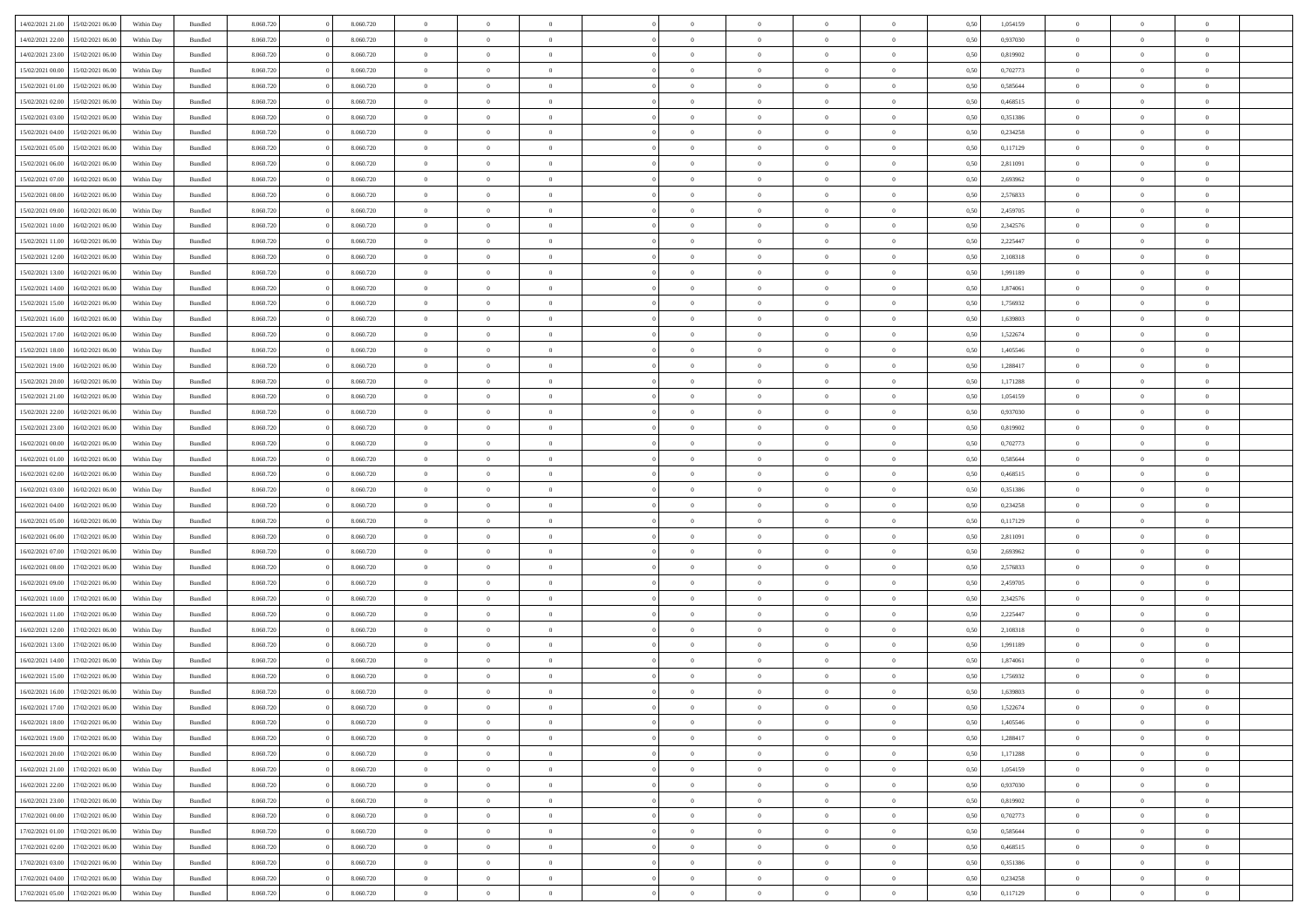| 14/02/2021 21:00 | 15/02/2021 06:00 | Within Day | Bundled            | 8.060.720 | 8.060.720 | $\overline{0}$ | $\Omega$       |                | $\Omega$       | $\Omega$       | $\Omega$       | $\theta$       | 0.50 | 1,054159 | $\theta$       | $\theta$       | $\theta$       |  |
|------------------|------------------|------------|--------------------|-----------|-----------|----------------|----------------|----------------|----------------|----------------|----------------|----------------|------|----------|----------------|----------------|----------------|--|
| 14/02/2021 22:00 | 15/02/2021 06:00 | Within Day | Bundled            | 8.060.720 | 8.060.720 | $\overline{0}$ | $\theta$       | $\overline{0}$ | $\overline{0}$ | $\bf{0}$       | $\overline{0}$ | $\bf{0}$       | 0,50 | 0,937030 | $\theta$       | $\theta$       | $\overline{0}$ |  |
| 14/02/2021 23:00 | 15/02/2021 06:00 | Within Day | Bundled            | 8.060.720 | 8.060.720 | $\overline{0}$ | $\overline{0}$ | $\overline{0}$ | $\bf{0}$       | $\bf{0}$       | $\bf{0}$       | $\mathbf{0}$   | 0,50 | 0,819902 | $\bf{0}$       | $\overline{0}$ | $\overline{0}$ |  |
|                  |                  |            |                    |           |           |                |                |                |                |                |                |                |      |          | $\theta$       |                |                |  |
| 15/02/2021 00:00 | 15/02/2021 06:00 | Within Dav | Bundled            | 8.060.720 | 8.060.720 | $\overline{0}$ | $\overline{0}$ | $\overline{0}$ | $\overline{0}$ | $\bf{0}$       | $\overline{0}$ | $\overline{0}$ | 0.50 | 0,702773 |                | $\theta$       | $\overline{0}$ |  |
| 15/02/2021 01:00 | 15/02/2021 06:00 | Within Day | Bundled            | 8.060.720 | 8.060.720 | $\overline{0}$ | $\theta$       | $\overline{0}$ | $\overline{0}$ | $\bf{0}$       | $\overline{0}$ | $\bf{0}$       | 0,50 | 0,585644 | $\theta$       | $\theta$       | $\overline{0}$ |  |
| 15/02/2021 02:00 | 15/02/2021 06:00 | Within Day | Bundled            | 8.060.720 | 8.060.720 | $\overline{0}$ | $\bf{0}$       | $\overline{0}$ | $\bf{0}$       | $\overline{0}$ | $\overline{0}$ | $\mathbf{0}$   | 0,50 | 0,468515 | $\overline{0}$ | $\overline{0}$ | $\bf{0}$       |  |
| 15/02/2021 03:00 | 15/02/2021 06:00 | Within Dav | Bundled            | 8.060.720 | 8.060.720 | $\overline{0}$ | $\overline{0}$ | $\overline{0}$ | $\overline{0}$ | $\overline{0}$ | $\overline{0}$ | $\overline{0}$ | 0.50 | 0,351386 | $\theta$       | $\theta$       | $\overline{0}$ |  |
|                  |                  |            |                    |           |           |                |                |                |                |                |                |                |      |          |                |                |                |  |
| 15/02/2021 04:00 | 15/02/2021 06:00 | Within Day | Bundled            | 8.060.720 | 8.060.720 | $\overline{0}$ | $\theta$       | $\overline{0}$ | $\overline{0}$ | $\bf{0}$       | $\overline{0}$ | $\bf{0}$       | 0,50 | 0,234258 | $\theta$       | $\theta$       | $\overline{0}$ |  |
| 15/02/2021 05:00 | 15/02/2021 06:00 | Within Day | Bundled            | 8.060.720 | 8.060.720 | $\overline{0}$ | $\overline{0}$ | $\overline{0}$ | $\bf{0}$       | $\bf{0}$       | $\bf{0}$       | $\bf{0}$       | 0,50 | 0,117129 | $\,0\,$        | $\overline{0}$ | $\overline{0}$ |  |
| 15/02/2021 06:00 | 16/02/2021 06:00 | Within Dav | Bundled            | 8.060.720 | 8.060.720 | $\overline{0}$ | $\overline{0}$ | $\overline{0}$ | $\overline{0}$ | $\overline{0}$ | $\overline{0}$ | $\overline{0}$ | 0.50 | 2,811091 | $\theta$       | $\overline{0}$ | $\overline{0}$ |  |
| 15/02/2021 07:00 | 16/02/2021 06:00 |            | Bundled            | 8.060.720 | 8.060.720 | $\overline{0}$ | $\theta$       | $\overline{0}$ | $\overline{0}$ | $\bf{0}$       | $\overline{0}$ |                |      | 2,693962 | $\,$ 0 $\,$    | $\theta$       | $\overline{0}$ |  |
|                  |                  | Within Day |                    |           |           |                |                |                |                |                |                | $\bf{0}$       | 0,50 |          |                |                |                |  |
| 15/02/2021 08:00 | 16/02/2021 06:00 | Within Day | Bundled            | 8.060.720 | 8.060.720 | $\overline{0}$ | $\overline{0}$ | $\overline{0}$ | $\bf{0}$       | $\bf{0}$       | $\bf{0}$       | $\bf{0}$       | 0,50 | 2,576833 | $\overline{0}$ | $\overline{0}$ | $\overline{0}$ |  |
| 15/02/2021 09:00 | 16/02/2021 06:00 | Within Day | Bundled            | 8.060.720 | 8.060.720 | $\overline{0}$ | $\overline{0}$ | $\overline{0}$ | $\overline{0}$ | $\bf{0}$       | $\overline{0}$ | $\overline{0}$ | 0.50 | 2,459705 | $\theta$       | $\theta$       | $\overline{0}$ |  |
| 15/02/2021 10:00 | 16/02/2021 06:00 | Within Day | Bundled            | 8.060.720 | 8.060.720 | $\overline{0}$ | $\theta$       | $\overline{0}$ | $\overline{0}$ | $\bf{0}$       | $\overline{0}$ | $\bf{0}$       | 0,50 | 2,342576 | $\theta$       | $\theta$       | $\overline{0}$ |  |
|                  |                  |            |                    |           |           |                |                |                |                |                |                |                |      |          |                |                |                |  |
| 15/02/2021 11:00 | 16/02/2021 06:00 | Within Day | Bundled            | 8.060.720 | 8.060.720 | $\overline{0}$ | $\overline{0}$ | $\overline{0}$ | $\bf{0}$       | $\overline{0}$ | $\overline{0}$ | $\mathbf{0}$   | 0,50 | 2,225447 | $\overline{0}$ | $\overline{0}$ | $\bf{0}$       |  |
| 15/02/2021 12:00 | 16/02/2021 06:00 | Within Dav | Bundled            | 8.060.720 | 8.060.720 | $\overline{0}$ | $\overline{0}$ | $\overline{0}$ | $\overline{0}$ | $\overline{0}$ | $\overline{0}$ | $\overline{0}$ | 0.50 | 2,108318 | $\theta$       | $\overline{0}$ | $\overline{0}$ |  |
| 15/02/2021 13:00 | 16/02/2021 06:00 | Within Day | Bundled            | 8.060.720 | 8.060.720 | $\overline{0}$ | $\theta$       | $\overline{0}$ | $\overline{0}$ | $\bf{0}$       | $\overline{0}$ | $\bf{0}$       | 0,50 | 1,991189 | $\theta$       | $\theta$       | $\overline{0}$ |  |
| 15/02/2021 14:00 | 16/02/2021 06:00 | Within Day | Bundled            | 8.060.720 | 8.060.720 | $\overline{0}$ | $\overline{0}$ | $\overline{0}$ | $\bf{0}$       | $\bf{0}$       | $\bf{0}$       | $\bf{0}$       | 0,50 | 1,874061 | $\,0\,$        | $\overline{0}$ | $\overline{0}$ |  |
|                  |                  |            |                    |           |           |                | $\overline{0}$ |                |                | $\overline{0}$ |                |                |      |          | $\theta$       | $\overline{0}$ | $\overline{0}$ |  |
| 15/02/2021 15:00 | 16/02/2021 06:00 | Within Day | Bundled            | 8.060.720 | 8.060.720 | $\overline{0}$ |                | $\overline{0}$ | $\overline{0}$ |                | $\overline{0}$ | $\overline{0}$ | 0.50 | 1,756932 |                |                |                |  |
| 15/02/2021 16:00 | 16/02/2021 06:00 | Within Day | Bundled            | 8.060.720 | 8.060.720 | $\overline{0}$ | $\theta$       | $\overline{0}$ | $\overline{0}$ | $\bf{0}$       | $\overline{0}$ | $\bf{0}$       | 0,50 | 1,639803 | $\theta$       | $\theta$       | $\overline{0}$ |  |
| 15/02/2021 17:00 | 16/02/2021 06:00 | Within Day | Bundled            | 8.060.720 | 8.060.720 | $\overline{0}$ | $\overline{0}$ | $\overline{0}$ | $\bf{0}$       | $\bf{0}$       | $\bf{0}$       | $\bf{0}$       | 0,50 | 1,522674 | $\bf{0}$       | $\overline{0}$ | $\overline{0}$ |  |
| 15/02/2021 18:00 | 16/02/2021 06:00 | Within Day | Bundled            | 8.060.720 | 8.060.720 | $\overline{0}$ | $\overline{0}$ | $\overline{0}$ | $\overline{0}$ | $\bf{0}$       | $\overline{0}$ | $\overline{0}$ | 0.50 | 1,405546 | $\theta$       | $\theta$       | $\overline{0}$ |  |
|                  |                  |            |                    |           |           |                |                |                |                |                |                |                |      |          |                |                |                |  |
| 15/02/2021 19:00 | 16/02/2021 06:00 | Within Day | Bundled            | 8.060.720 | 8.060.720 | $\overline{0}$ | $\theta$       | $\overline{0}$ | $\overline{0}$ | $\bf{0}$       | $\overline{0}$ | $\bf{0}$       | 0,50 | 1,288417 | $\theta$       | $\overline{0}$ | $\overline{0}$ |  |
| 15/02/2021 20:00 | 16/02/2021 06:00 | Within Day | Bundled            | 8.060.720 | 8.060.720 | $\overline{0}$ | $\bf{0}$       | $\overline{0}$ | $\bf{0}$       | $\overline{0}$ | $\overline{0}$ | $\mathbf{0}$   | 0,50 | 1,171288 | $\overline{0}$ | $\overline{0}$ | $\bf{0}$       |  |
| 15/02/2021 21:00 | 16/02/2021 06:00 | Within Dav | Bundled            | 8.060.720 | 8.060.720 | $\overline{0}$ | $\overline{0}$ | $\overline{0}$ | $\overline{0}$ | $\overline{0}$ | $\overline{0}$ | $\overline{0}$ | 0.50 | 1,054159 | $\theta$       | $\theta$       | $\overline{0}$ |  |
| 15/02/2021 22:00 | 16/02/2021 06:00 | Within Day | Bundled            | 8.060.720 | 8.060.720 | $\overline{0}$ | $\theta$       | $\overline{0}$ | $\overline{0}$ | $\bf{0}$       | $\overline{0}$ | $\bf{0}$       | 0,50 | 0,937030 | $\theta$       | $\theta$       | $\overline{0}$ |  |
|                  |                  |            |                    |           |           |                |                |                |                |                |                |                |      |          |                |                |                |  |
| 15/02/2021 23:00 | 16/02/2021 06:00 | Within Day | Bundled            | 8.060.720 | 8.060.720 | $\overline{0}$ | $\overline{0}$ | $\overline{0}$ | $\bf{0}$       | $\bf{0}$       | $\bf{0}$       | $\bf{0}$       | 0,50 | 0,819902 | $\,0\,$        | $\overline{0}$ | $\overline{0}$ |  |
| 16/02/2021 00:00 | 16/02/2021 06:00 | Within Day | Bundled            | 8.060.720 | 8.060.720 | $\overline{0}$ | $\overline{0}$ | $\overline{0}$ | $\overline{0}$ | $\overline{0}$ | $\overline{0}$ | $\overline{0}$ | 0.50 | 0,702773 | $\theta$       | $\overline{0}$ | $\overline{0}$ |  |
| 16/02/2021 01:00 | 16/02/2021 06:00 | Within Day | Bundled            | 8.060.720 | 8.060.720 | $\overline{0}$ | $\theta$       | $\overline{0}$ | $\overline{0}$ | $\bf{0}$       | $\overline{0}$ | $\bf{0}$       | 0,50 | 0,585644 | $\,$ 0 $\,$    | $\overline{0}$ | $\overline{0}$ |  |
| 16/02/2021 02:00 | 16/02/2021 06:00 | Within Day | Bundled            | 8.060.720 | 8.060.720 | $\overline{0}$ | $\overline{0}$ | $\overline{0}$ | $\bf{0}$       | $\bf{0}$       | $\bf{0}$       | $\bf{0}$       | 0,50 | 0,468515 | $\bf{0}$       | $\overline{0}$ | $\overline{0}$ |  |
|                  |                  |            |                    |           |           | $\overline{0}$ | $\Omega$       | $\Omega$       | $\Omega$       | $\Omega$       |                |                |      |          |                |                | $\theta$       |  |
| 16/02/2021 03:00 | 16/02/2021 06:00 | Within Day | Bundled            | 8.060.720 | 8.060.720 |                |                |                |                |                | $\overline{0}$ | $\overline{0}$ | 0.50 | 0,351386 | $\,0\,$        | $\theta$       |                |  |
| 16/02/2021 04:00 | 16/02/2021 06:00 | Within Day | Bundled            | 8.060.720 | 8.060.720 | $\overline{0}$ | $\theta$       | $\overline{0}$ | $\overline{0}$ | $\bf{0}$       | $\overline{0}$ | $\bf{0}$       | 0,50 | 0,234258 | $\theta$       | $\theta$       | $\overline{0}$ |  |
| 16/02/2021 05:00 | 16/02/2021 06:00 | Within Day | Bundled            | 8.060.720 | 8.060.720 | $\overline{0}$ | $\overline{0}$ | $\overline{0}$ | $\bf{0}$       | $\bf{0}$       | $\overline{0}$ | $\mathbf{0}$   | 0,50 | 0,117129 | $\overline{0}$ | $\overline{0}$ | $\bf{0}$       |  |
| 16/02/2021 06:00 | 17/02/2021 06:00 | Within Day | Bundled            | 8.060.720 | 8.060.720 | $\overline{0}$ | $\Omega$       | $\Omega$       | $\Omega$       | $\bf{0}$       | $\overline{0}$ | $\overline{0}$ | 0.50 | 2,811091 | $\,0\,$        | $\theta$       | $\theta$       |  |
| 16/02/2021 07:00 | 17/02/2021 06:00 |            |                    | 8.060.720 | 8.060.720 | $\overline{0}$ | $\theta$       | $\overline{0}$ | $\overline{0}$ | $\bf{0}$       | $\overline{0}$ |                |      | 2,693962 | $\,$ 0 $\,$    | $\theta$       | $\overline{0}$ |  |
|                  |                  | Within Day | Bundled            |           |           |                |                |                |                |                |                | $\bf{0}$       | 0,50 |          |                |                |                |  |
| 16/02/2021 08:00 | 17/02/2021 06:00 | Within Day | Bundled            | 8.060.720 | 8.060.720 | $\overline{0}$ | $\overline{0}$ | $\overline{0}$ | $\bf{0}$       | $\bf{0}$       | $\bf{0}$       | $\bf{0}$       | 0,50 | 2,576833 | $\,0\,$        | $\overline{0}$ | $\overline{0}$ |  |
| 16/02/2021 09:00 | 17/02/2021 06:00 | Within Day | Bundled            | 8.060.720 | 8.060.720 | $\overline{0}$ | $\Omega$       | $\Omega$       | $\Omega$       | $\theta$       | $\theta$       | $\overline{0}$ | 0.50 | 2,459705 | $\theta$       | $\theta$       | $\theta$       |  |
| 16/02/2021 10:00 | 17/02/2021 06:00 | Within Day | Bundled            | 8.060.720 | 8.060.720 | $\overline{0}$ | $\theta$       | $\overline{0}$ | $\overline{0}$ | $\bf{0}$       | $\overline{0}$ | $\bf{0}$       | 0,50 | 2,342576 | $\,$ 0 $\,$    | $\overline{0}$ | $\overline{0}$ |  |
|                  |                  |            |                    |           |           |                |                |                |                |                |                |                |      |          |                |                |                |  |
| 16/02/2021 11:00 | 17/02/2021 06:00 | Within Day | Bundled            | 8.060.720 | 8.060.720 | $\overline{0}$ | $\overline{0}$ | $\overline{0}$ | $\bf{0}$       | $\bf{0}$       | $\bf{0}$       | $\bf{0}$       | 0,50 | 2,225447 | $\overline{0}$ | $\overline{0}$ | $\overline{0}$ |  |
| 16/02/2021 12:00 | 17/02/2021 06:00 | Within Day | Bundled            | 8.060.720 | 8.060.720 | $\overline{0}$ | $\Omega$       | $\Omega$       | $\Omega$       | $\Omega$       | $\overline{0}$ | $\overline{0}$ | 0.50 | 2,108318 | $\,0\,$        | $\theta$       | $\theta$       |  |
| 16/02/2021 13:00 | 17/02/2021 06:00 | Within Day | Bundled            | 8.060.720 | 8.060.720 | $\overline{0}$ | $\theta$       | $\overline{0}$ | $\overline{0}$ | $\bf{0}$       | $\overline{0}$ | $\bf{0}$       | 0,50 | 1,991189 | $\,$ 0 $\,$    | $\overline{0}$ | $\overline{0}$ |  |
| 16/02/2021 14:00 | 17/02/2021 06:00 | Within Day | Bundled            | 8.060.720 | 8.060.720 | $\overline{0}$ | $\overline{0}$ | $\overline{0}$ | $\bf{0}$       | $\bf{0}$       | $\bf{0}$       | $\mathbf{0}$   | 0,50 | 1,874061 | $\bf{0}$       | $\overline{0}$ | $\bf{0}$       |  |
| 16/02/2021 15:00 | 17/02/2021 06.00 |            | Bundled            | 8.060.720 | 8.060.720 | $\overline{0}$ | $\Omega$       | $\Omega$       | $\Omega$       | $\Omega$       | $\Omega$       | $\overline{0}$ | 0.50 | 1,756932 | $\theta$       | $\theta$       | $\theta$       |  |
|                  |                  | Within Day |                    |           |           |                |                |                |                |                |                |                |      |          |                |                |                |  |
| 16/02/2021 16:00 | 17/02/2021 06:00 | Within Day | Bundled            | 8.060.720 | 8.060.720 | $\overline{0}$ | $\overline{0}$ | $\overline{0}$ | $\bf{0}$       | $\,$ 0         | $\bf{0}$       | $\bf{0}$       | 0,50 | 1,639803 | $\,0\,$        | $\overline{0}$ | $\overline{0}$ |  |
| 16/02/2021 17:00 | 17/02/2021 06:00 | Within Day | $\mathbf B$ undled | 8.060.720 | 8.060.720 | $\bf{0}$       | $\bf{0}$       |                |                | $\bf{0}$       |                |                | 0,50 | 1,522674 | $\bf{0}$       | $\overline{0}$ |                |  |
| 16/02/2021 18:00 | 17/02/2021 06:00 | Within Day | Bundled            | 8.060.720 | 8.060.720 | $\overline{0}$ | $\overline{0}$ | $\overline{0}$ | $\Omega$       | $\overline{0}$ | $\overline{0}$ | $\overline{0}$ | 0.50 | 1.405546 | $\theta$       | $\theta$       | $\theta$       |  |
| 16/02/2021 19:00 | 17/02/2021 06:00 | Within Day | Bundled            | 8.060.720 | 8.060.720 | $\overline{0}$ | $\,$ 0         | $\overline{0}$ | $\bf{0}$       | $\,$ 0 $\,$    | $\overline{0}$ | $\mathbf{0}$   | 0,50 | 1,288417 | $\,$ 0 $\,$    | $\,$ 0 $\,$    | $\,$ 0         |  |
|                  |                  |            |                    |           |           |                |                |                |                |                |                |                |      |          |                |                |                |  |
| 16/02/2021 20:00 | 17/02/2021 06:00 | Within Day | Bundled            | 8.060.720 | 8.060.720 | $\overline{0}$ | $\overline{0}$ | $\overline{0}$ | $\overline{0}$ | $\overline{0}$ | $\overline{0}$ | $\mathbf{0}$   | 0,50 | 1,171288 | $\overline{0}$ | $\bf{0}$       | $\bf{0}$       |  |
| 16/02/2021 21:00 | 17/02/2021 06:00 | Within Day | Bundled            | 8.060.720 | 8.060.720 | $\overline{0}$ | $\overline{0}$ | $\overline{0}$ | $\Omega$       | $\overline{0}$ | $\overline{0}$ | $\overline{0}$ | 0,50 | 1,054159 | $\overline{0}$ | $\theta$       | $\overline{0}$ |  |
| 16/02/2021 22:00 | 17/02/2021 06:00 | Within Day | Bundled            | 8.060.720 | 8.060.720 | $\overline{0}$ | $\,$ 0         | $\overline{0}$ | $\overline{0}$ | $\,$ 0 $\,$    | $\overline{0}$ | $\mathbf{0}$   | 0,50 | 0,937030 | $\,$ 0 $\,$    | $\overline{0}$ | $\overline{0}$ |  |
| 16/02/2021 23:00 | 17/02/2021 06:00 | Within Day | Bundled            | 8.060.720 | 8.060.720 | $\overline{0}$ | $\overline{0}$ | $\overline{0}$ | $\overline{0}$ | $\overline{0}$ | $\overline{0}$ | $\mathbf{0}$   | 0,50 | 0,819902 | $\overline{0}$ | $\overline{0}$ | $\bf{0}$       |  |
|                  |                  |            |                    |           |           |                |                |                |                |                |                |                |      |          |                |                |                |  |
| 17/02/2021 00:00 | 17/02/2021 06:00 | Within Day | Bundled            | 8.060.720 | 8.060.720 | $\overline{0}$ | $\overline{0}$ | $\overline{0}$ | $\Omega$       | $\overline{0}$ | $\overline{0}$ | $\bf{0}$       | 0.50 | 0,702773 | $\overline{0}$ | $\theta$       | $\overline{0}$ |  |
| 17/02/2021 01:00 | 17/02/2021 06:00 | Within Day | Bundled            | 8.060.720 | 8.060.720 | $\overline{0}$ | $\,$ 0         | $\overline{0}$ | $\bf{0}$       | $\bf{0}$       | $\bf{0}$       | $\bf{0}$       | 0,50 | 0,585644 | $\,$ 0 $\,$    | $\overline{0}$ | $\overline{0}$ |  |
| 17/02/2021 02:00 | 17/02/2021 06:00 | Within Day | Bundled            | 8.060.720 | 8.060.720 | $\overline{0}$ | $\bf{0}$       | $\overline{0}$ | $\overline{0}$ | $\overline{0}$ | $\overline{0}$ | $\mathbf{0}$   | 0,50 | 0,468515 | $\overline{0}$ | $\overline{0}$ | $\bf{0}$       |  |
| 17/02/2021 03:00 | 17/02/2021 06:00 | Within Day | Bundled            | 8.060.720 | 8.060.720 | $\overline{0}$ | $\overline{0}$ | $\overline{0}$ | $\Omega$       | $\overline{0}$ | $\overline{0}$ | $\overline{0}$ | 0.50 | 0,351386 | $\overline{0}$ | $\overline{0}$ | $\overline{0}$ |  |
|                  |                  |            |                    |           |           |                |                |                |                |                |                |                |      |          |                |                |                |  |
| 17/02/2021 04:00 | 17/02/2021 06:00 | Within Day | Bundled            | 8.060.720 | 8.060.720 | $\overline{0}$ | $\bf{0}$       | $\overline{0}$ | $\overline{0}$ | $\bf{0}$       | $\bf{0}$       | $\mathbf{0}$   | 0,50 | 0,234258 | $\,$ 0 $\,$    | $\,$ 0 $\,$    | $\bf{0}$       |  |
| 17/02/2021 05:00 | 17/02/2021 06:00 | Within Day | Bundled            | 8.060.720 | 8.060.720 | $\overline{0}$ | $\overline{0}$ | $\overline{0}$ | $\overline{0}$ | $\overline{0}$ | $\bf{0}$       | $\mathbf{0}$   | 0,50 | 0,117129 | $\overline{0}$ | $\bf{0}$       | $\bf{0}$       |  |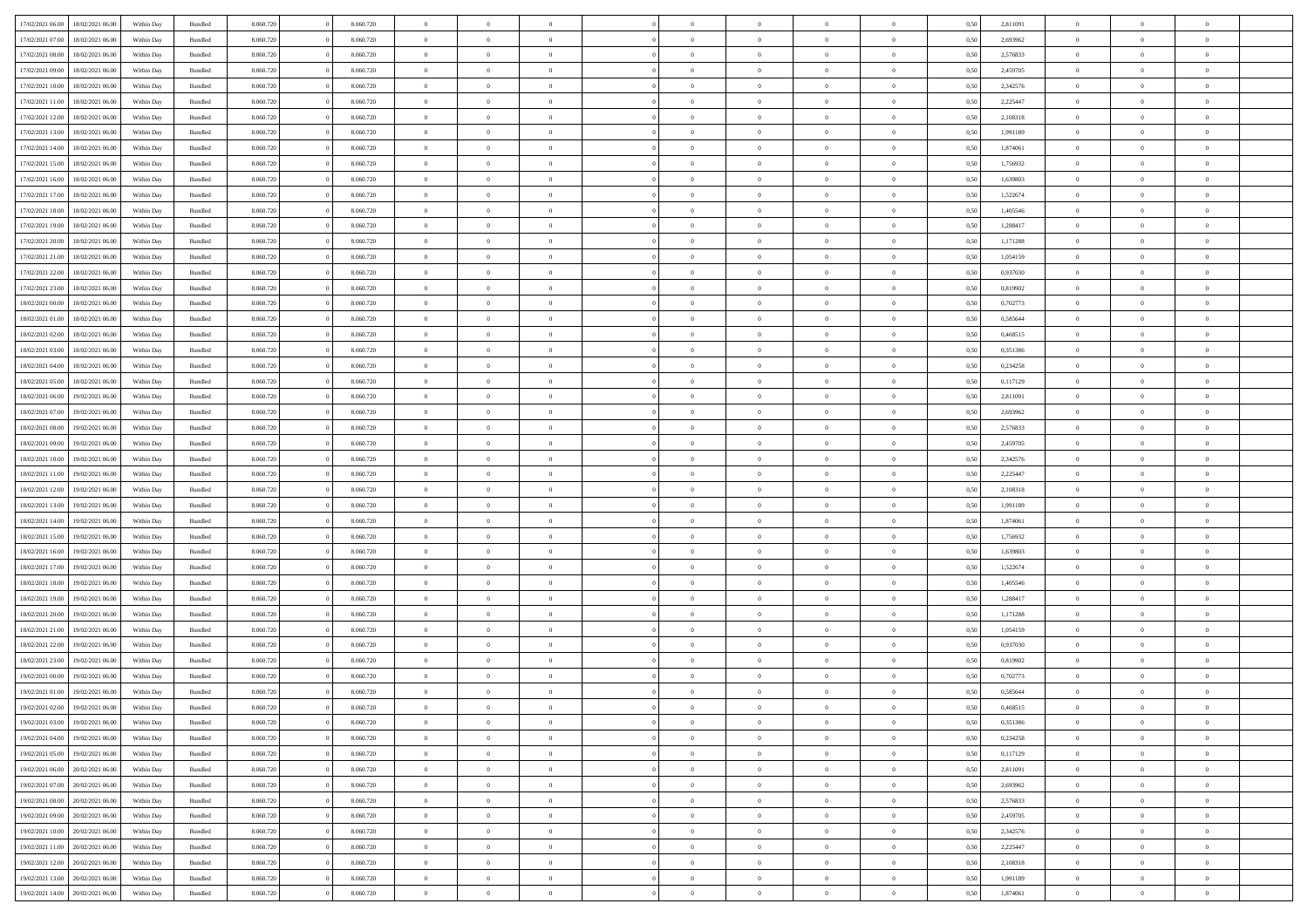| 17/02/2021 06:00 | 18/02/2021 06:00 | Within Day | Bundled            | 8.060.720 | 8.060.720 | $\overline{0}$ | $\Omega$       |                | $\Omega$       | $\Omega$       | $\theta$       | $\theta$       | 0.50 | 2,811091 | $\theta$       | $\theta$       | $\theta$       |  |
|------------------|------------------|------------|--------------------|-----------|-----------|----------------|----------------|----------------|----------------|----------------|----------------|----------------|------|----------|----------------|----------------|----------------|--|
| 17/02/2021 07:00 | 18/02/2021 06:00 | Within Day | Bundled            | 8.060.720 | 8.060.720 | $\overline{0}$ | $\theta$       | $\overline{0}$ | $\overline{0}$ | $\bf{0}$       | $\overline{0}$ | $\bf{0}$       | 0,50 | 2,693962 | $\theta$       | $\theta$       | $\overline{0}$ |  |
| 17/02/2021 08:00 | 18/02/2021 06:00 | Within Day | Bundled            | 8.060.720 | 8.060.720 | $\overline{0}$ | $\overline{0}$ | $\overline{0}$ | $\bf{0}$       | $\bf{0}$       | $\bf{0}$       | $\bf{0}$       | 0,50 | 2,576833 | $\bf{0}$       | $\overline{0}$ | $\overline{0}$ |  |
| 17/02/2021 09:00 | 18/02/2021 06:00 | Within Dav | Bundled            | 8.060.720 | 8.060.720 | $\overline{0}$ | $\overline{0}$ | $\overline{0}$ | $\overline{0}$ | $\bf{0}$       | $\overline{0}$ | $\overline{0}$ | 0.50 | 2,459705 | $\theta$       | $\theta$       | $\overline{0}$ |  |
| 17/02/2021 10:00 | 18/02/2021 06:00 | Within Day | Bundled            | 8.060.720 | 8.060.720 | $\overline{0}$ | $\theta$       | $\overline{0}$ | $\overline{0}$ | $\bf{0}$       | $\overline{0}$ | $\bf{0}$       | 0,50 | 2,342576 | $\theta$       | $\theta$       | $\overline{0}$ |  |
|                  |                  |            |                    |           |           |                |                |                |                |                |                |                |      |          |                |                |                |  |
| 17/02/2021 11:00 | 18/02/2021 06:00 | Within Day | Bundled            | 8.060.720 | 8.060.720 | $\overline{0}$ | $\bf{0}$       | $\overline{0}$ | $\bf{0}$       | $\overline{0}$ | $\overline{0}$ | $\mathbf{0}$   | 0,50 | 2,225447 | $\bf{0}$       | $\overline{0}$ | $\bf{0}$       |  |
| 17/02/2021 12:00 | 18/02/2021 06:00 | Within Dav | Bundled            | 8.060.720 | 8.060.720 | $\overline{0}$ | $\overline{0}$ | $\overline{0}$ | $\overline{0}$ | $\overline{0}$ | $\overline{0}$ | $\overline{0}$ | 0.50 | 2,108318 | $\theta$       | $\overline{0}$ | $\overline{0}$ |  |
| 17/02/2021 13:00 | 18/02/2021 06:00 | Within Day | Bundled            | 8.060.720 | 8.060.720 | $\overline{0}$ | $\theta$       | $\overline{0}$ | $\overline{0}$ | $\bf{0}$       | $\overline{0}$ | $\bf{0}$       | 0,50 | 1,991189 | $\theta$       | $\theta$       | $\overline{0}$ |  |
| 17/02/2021 14:00 | 18/02/2021 06:00 | Within Day | Bundled            | 8.060.720 | 8.060.720 | $\overline{0}$ | $\overline{0}$ | $\overline{0}$ | $\bf{0}$       | $\bf{0}$       | $\bf{0}$       | $\bf{0}$       | 0,50 | 1,874061 | $\,0\,$        | $\overline{0}$ | $\overline{0}$ |  |
| 17/02/2021 15:00 | 18/02/2021 06:00 | Within Dav | Bundled            | 8.060.720 | 8.060.720 | $\overline{0}$ | $\overline{0}$ | $\overline{0}$ | $\overline{0}$ | $\overline{0}$ | $\overline{0}$ | $\overline{0}$ | 0.50 | 1,756932 | $\theta$       | $\overline{0}$ | $\overline{0}$ |  |
| 17/02/2021 16:00 | 18/02/2021 06:00 | Within Day | Bundled            | 8.060.720 | 8.060.720 | $\overline{0}$ | $\theta$       | $\overline{0}$ | $\overline{0}$ | $\bf{0}$       | $\overline{0}$ | $\bf{0}$       | 0,50 | 1,639803 | $\,$ 0 $\,$    | $\theta$       | $\overline{0}$ |  |
|                  |                  |            |                    |           |           |                |                |                |                |                |                |                |      |          |                |                |                |  |
| 17/02/2021 17:00 | 18/02/2021 06:00 | Within Day | Bundled            | 8.060.720 | 8.060.720 | $\overline{0}$ | $\overline{0}$ | $\overline{0}$ | $\bf{0}$       | $\bf{0}$       | $\bf{0}$       | $\bf{0}$       | 0,50 | 1,522674 | $\bf{0}$       | $\overline{0}$ | $\overline{0}$ |  |
| 17/02/2021 18:00 | 18/02/2021 06:00 | Within Dav | Bundled            | 8.060.720 | 8.060.720 | $\overline{0}$ | $\overline{0}$ | $\overline{0}$ | $\overline{0}$ | $\bf{0}$       | $\overline{0}$ | $\overline{0}$ | 0.50 | 1,405546 | $\theta$       | $\theta$       | $\overline{0}$ |  |
| 17/02/2021 19:00 | 18/02/2021 06:00 | Within Day | Bundled            | 8.060.720 | 8.060.720 | $\overline{0}$ | $\theta$       | $\overline{0}$ | $\overline{0}$ | $\bf{0}$       | $\overline{0}$ | $\overline{0}$ | 0,50 | 1,288417 | $\theta$       | $\overline{0}$ | $\overline{0}$ |  |
| 17/02/2021 20:00 | 18/02/2021 06:00 | Within Day | Bundled            | 8.060.720 | 8.060.720 | $\overline{0}$ | $\overline{0}$ | $\overline{0}$ | $\bf{0}$       | $\overline{0}$ | $\overline{0}$ | $\mathbf{0}$   | 0,50 | 1,171288 | $\bf{0}$       | $\overline{0}$ | $\bf{0}$       |  |
| 17/02/2021 21:00 | 18/02/2021 06:00 | Within Dav | Bundled            | 8.060.720 | 8.060.720 | $\overline{0}$ | $\overline{0}$ | $\overline{0}$ | $\overline{0}$ | $\overline{0}$ | $\overline{0}$ | $\overline{0}$ | 0.50 | 1,054159 | $\theta$       | $\overline{0}$ | $\overline{0}$ |  |
| 17/02/2021 22:00 | 18/02/2021 06:00 | Within Day | Bundled            | 8.060.720 | 8.060.720 | $\overline{0}$ | $\theta$       | $\overline{0}$ | $\overline{0}$ | $\bf{0}$       | $\overline{0}$ | $\bf{0}$       | 0,50 | 0,937030 | $\theta$       | $\theta$       | $\overline{0}$ |  |
| 17/02/2021 23:00 | 18/02/2021 06:00 | Within Day | Bundled            | 8.060.720 | 8.060.720 | $\overline{0}$ | $\overline{0}$ | $\overline{0}$ | $\overline{0}$ | $\bf{0}$       | $\overline{0}$ | $\bf{0}$       | 0,50 | 0,819902 | $\,0\,$        | $\overline{0}$ | $\overline{0}$ |  |
| 18/02/2021 00:00 | 18/02/2021 06:00 | Within Dav | Bundled            | 8.060.720 | 8.060.720 | $\overline{0}$ | $\overline{0}$ | $\overline{0}$ | $\overline{0}$ | $\overline{0}$ | $\overline{0}$ | $\overline{0}$ | 0.50 | 0,702773 | $\theta$       | $\overline{0}$ | $\overline{0}$ |  |
|                  |                  |            |                    |           |           |                |                |                |                |                |                |                |      |          |                |                |                |  |
| 18/02/2021 01:00 | 18/02/2021 06:00 | Within Day | Bundled            | 8.060.720 | 8.060.720 | $\overline{0}$ | $\theta$       | $\overline{0}$ | $\overline{0}$ | $\bf{0}$       | $\overline{0}$ | $\bf{0}$       | 0,50 | 0,585644 | $\,$ 0 $\,$    | $\theta$       | $\overline{0}$ |  |
| 18/02/2021 02:00 | 18/02/2021 06:00 | Within Day | Bundled            | 8.060.720 | 8.060.720 | $\overline{0}$ | $\overline{0}$ | $\overline{0}$ | $\overline{0}$ | $\bf{0}$       | $\overline{0}$ | $\bf{0}$       | 0,50 | 0,468515 | $\bf{0}$       | $\overline{0}$ | $\overline{0}$ |  |
| 18/02/2021 03:00 | 18/02/2021 06:00 | Within Dav | Bundled            | 8.060.720 | 8.060.720 | $\overline{0}$ | $\overline{0}$ | $\overline{0}$ | $\overline{0}$ | $\bf{0}$       | $\overline{0}$ | $\overline{0}$ | 0.50 | 0,351386 | $\theta$       | $\theta$       | $\overline{0}$ |  |
| 18/02/2021 04:00 | 18/02/2021 06:00 | Within Day | Bundled            | 8.060.720 | 8.060.720 | $\overline{0}$ | $\theta$       | $\overline{0}$ | $\overline{0}$ | $\bf{0}$       | $\overline{0}$ | $\bf{0}$       | 0,50 | 0,234258 | $\,$ 0 $\,$    | $\overline{0}$ | $\overline{0}$ |  |
| 18/02/2021 05:00 | 18/02/2021 06:00 | Within Day | Bundled            | 8.060.720 | 8.060.720 | $\overline{0}$ | $\bf{0}$       | $\overline{0}$ | $\overline{0}$ | $\overline{0}$ | $\overline{0}$ | $\mathbf{0}$   | 0,50 | 0,117129 | $\overline{0}$ | $\overline{0}$ | $\bf{0}$       |  |
| 18/02/2021 06:00 | 19/02/2021 06:00 | Within Dav | Bundled            | 8.060.720 | 8.060.720 | $\overline{0}$ | $\overline{0}$ | $\overline{0}$ | $\overline{0}$ | $\overline{0}$ | $\overline{0}$ | $\overline{0}$ | 0.50 | 2,811091 | $\theta$       | $\overline{0}$ | $\overline{0}$ |  |
|                  |                  |            |                    |           |           | $\overline{0}$ | $\theta$       | $\overline{0}$ |                | $\bf{0}$       | $\overline{0}$ |                |      |          | $\theta$       | $\theta$       | $\overline{0}$ |  |
| 18/02/2021 07:00 | 19/02/2021 06:00 | Within Day | Bundled            | 8.060.720 | 8.060.720 |                |                |                | $\overline{0}$ |                |                | $\bf{0}$       | 0,50 | 2,693962 |                |                |                |  |
| 18/02/2021 08:00 | 19/02/2021 06:00 | Within Day | Bundled            | 8.060.720 | 8.060.720 | $\overline{0}$ | $\overline{0}$ | $\overline{0}$ | $\bf{0}$       | $\bf{0}$       | $\bf{0}$       | $\bf{0}$       | 0,50 | 2,576833 | $\,0\,$        | $\overline{0}$ | $\overline{0}$ |  |
| 18/02/2021 09:00 | 19/02/2021 06:00 | Within Day | Bundled            | 8.060.720 | 8.060.720 | $\overline{0}$ | $\overline{0}$ | $\overline{0}$ | $\overline{0}$ | $\overline{0}$ | $\overline{0}$ | $\overline{0}$ | 0.50 | 2,459705 | $\theta$       | $\overline{0}$ | $\overline{0}$ |  |
| 18/02/2021 10:00 | 19/02/2021 06:00 | Within Day | Bundled            | 8.060.720 | 8.060.720 | $\overline{0}$ | $\theta$       | $\overline{0}$ | $\overline{0}$ | $\bf{0}$       | $\overline{0}$ | $\bf{0}$       | 0,50 | 2,342576 | $\,$ 0 $\,$    | $\overline{0}$ | $\overline{0}$ |  |
| 18/02/2021 11:00 | 19/02/2021 06:00 | Within Day | Bundled            | 8.060.720 | 8.060.720 | $\overline{0}$ | $\overline{0}$ | $\overline{0}$ | $\bf{0}$       | $\bf{0}$       | $\bf{0}$       | $\bf{0}$       | 0,50 | 2,225447 | $\overline{0}$ | $\overline{0}$ | $\overline{0}$ |  |
| 18/02/2021 12:00 | 19/02/2021 06:00 | Within Day | Bundled            | 8.060.720 | 8.060.720 | $\overline{0}$ | $\Omega$       | $\Omega$       | $\Omega$       | $\Omega$       | $\Omega$       | $\overline{0}$ | 0,50 | 2,108318 | $\,0\,$        | $\theta$       | $\theta$       |  |
| 18/02/2021 13:00 | 19/02/2021 06:00 | Within Day | Bundled            | 8.060.720 | 8.060.720 | $\overline{0}$ | $\theta$       | $\overline{0}$ | $\overline{0}$ | $\bf{0}$       | $\overline{0}$ | $\bf{0}$       | 0,50 | 1,991189 | $\theta$       | $\theta$       | $\overline{0}$ |  |
|                  |                  |            |                    |           |           |                |                |                |                |                |                |                |      |          |                |                |                |  |
| 18/02/2021 14:00 | 19/02/2021 06:00 | Within Day | Bundled            | 8.060.720 | 8.060.720 | $\overline{0}$ | $\overline{0}$ | $\overline{0}$ | $\bf{0}$       | $\bf{0}$       | $\overline{0}$ | $\mathbf{0}$   | 0,50 | 1,874061 | $\overline{0}$ | $\overline{0}$ | $\bf{0}$       |  |
| 18/02/2021 15:00 | 19/02/2021 06:00 | Within Day | Bundled            | 8.060.720 | 8.060.720 | $\overline{0}$ | $\Omega$       | $\Omega$       | $\Omega$       | $\bf{0}$       | $\overline{0}$ | $\overline{0}$ | 0.50 | 1,756932 | $\,0\,$        | $\theta$       | $\theta$       |  |
| 18/02/2021 16:00 | 19/02/2021 06:00 | Within Day | Bundled            | 8.060.720 | 8.060.720 | $\overline{0}$ | $\theta$       | $\overline{0}$ | $\overline{0}$ | $\bf{0}$       | $\overline{0}$ | $\bf{0}$       | 0,50 | 1,639803 | $\,$ 0 $\,$    | $\theta$       | $\overline{0}$ |  |
| 18/02/2021 17:00 | 19/02/2021 06:00 | Within Day | Bundled            | 8.060.720 | 8.060.720 | $\overline{0}$ | $\overline{0}$ | $\overline{0}$ | $\bf{0}$       | $\bf{0}$       | $\overline{0}$ | $\bf{0}$       | 0,50 | 1,522674 | $\bf{0}$       | $\overline{0}$ | $\overline{0}$ |  |
| 18/02/2021 18:00 | 19/02/2021 06:00 | Within Day | Bundled            | 8.060.720 | 8.060.720 | $\overline{0}$ | $\Omega$       | $\Omega$       | $\Omega$       | $\theta$       | $\theta$       | $\overline{0}$ | 0.50 | 1.405546 | $\theta$       | $\theta$       | $\theta$       |  |
| 18/02/2021 19:00 | 19/02/2021 06:00 | Within Day | Bundled            | 8.060.720 | 8.060.720 | $\overline{0}$ | $\theta$       | $\overline{0}$ | $\overline{0}$ | $\bf{0}$       | $\overline{0}$ | $\bf{0}$       | 0,50 | 1,288417 | $\,$ 0 $\,$    | $\overline{0}$ | $\overline{0}$ |  |
| 18/02/2021 20:00 | 19/02/2021 06:00 | Within Day | Bundled            | 8.060.720 | 8.060.720 | $\overline{0}$ | $\overline{0}$ | $\overline{0}$ | $\overline{0}$ | $\bf{0}$       | $\overline{0}$ | $\bf{0}$       | 0,50 | 1,171288 | $\bf{0}$       | $\overline{0}$ | $\overline{0}$ |  |
| 18/02/2021 21:00 | 19/02/2021 06:00 | Within Day | Bundled            | 8.060.720 | 8.060.720 | $\overline{0}$ | $\Omega$       | $\Omega$       | $\Omega$       | $\Omega$       | $\overline{0}$ | $\overline{0}$ | 0.50 | 1,054159 | $\,0\,$        | $\theta$       | $\theta$       |  |
|                  |                  |            |                    |           |           |                |                |                |                |                |                |                |      |          |                |                |                |  |
| 18/02/2021 22:00 | 19/02/2021 06:00 | Within Day | Bundled            | 8.060.720 | 8.060.720 | $\overline{0}$ | $\theta$       | $\overline{0}$ | $\overline{0}$ | $\bf{0}$       | $\overline{0}$ | $\bf{0}$       | 0,50 | 0,937030 | $\,$ 0 $\,$    | $\overline{0}$ | $\overline{0}$ |  |
| 18/02/2021 23:00 | 19/02/2021 06:00 | Within Day | Bundled            | 8.060.720 | 8.060.720 | $\overline{0}$ | $\overline{0}$ | $\overline{0}$ | $\overline{0}$ | $\bf{0}$       | $\overline{0}$ | $\mathbf{0}$   | 0,50 | 0,819902 | $\bf{0}$       | $\overline{0}$ | $\bf{0}$       |  |
| 19/02/2021 00:00 | 19/02/2021 06:00 | Within Day | Bundled            | 8.060.720 | 8.060.720 | $\overline{0}$ | $\Omega$       | $\Omega$       | $\Omega$       | $\Omega$       | $\Omega$       | $\overline{0}$ | 0.50 | 0.702773 | $\theta$       | $\theta$       | $\theta$       |  |
| 19/02/2021 01:00 | 19/02/2021 06:00 | Within Day | Bundled            | 8.060.720 | 8.060.720 | $\overline{0}$ | $\overline{0}$ | $\bf{0}$       | $\bf{0}$       | $\,$ 0         | $\overline{0}$ | $\bf{0}$       | 0,50 | 0,585644 | $\,0\,$        | $\,$ 0 $\,$    | $\overline{0}$ |  |
| 19/02/2021 02:00 | 19/02/2021 06:00 | Within Day | $\mathbf B$ undled | 8.060.720 | 8.060.720 | $\bf{0}$       | $\bf{0}$       |                |                | $\bf{0}$       |                |                | 0,50 | 0,468515 | $\bf{0}$       | $\overline{0}$ |                |  |
| 19/02/2021 03:00 | 19/02/2021 06:00 | Within Day | Bundled            | 8.060.720 | 8.060.720 | $\overline{0}$ | $\overline{0}$ | $\overline{0}$ | $\Omega$       | $\overline{0}$ | $\overline{0}$ | $\overline{0}$ | 0.50 | 0,351386 | $\theta$       | $\theta$       | $\theta$       |  |
| 19/02/2021 04:00 | 19/02/2021 06:00 | Within Day | Bundled            | 8.060.720 | 8.060.720 | $\overline{0}$ | $\,$ 0         | $\overline{0}$ | $\overline{0}$ | $\,$ 0 $\,$    | $\overline{0}$ | $\mathbf{0}$   | 0,50 | 0,234258 | $\,$ 0 $\,$    | $\,$ 0 $\,$    | $\,$ 0         |  |
|                  |                  |            |                    |           |           |                |                |                |                |                |                |                |      |          |                |                |                |  |
| 19/02/2021 05:00 | 19/02/2021 06:00 | Within Day | Bundled            | 8.060.720 | 8.060.720 | $\overline{0}$ | $\overline{0}$ | $\overline{0}$ | $\overline{0}$ | $\overline{0}$ | $\overline{0}$ | $\mathbf{0}$   | 0,50 | 0,117129 | $\overline{0}$ | $\bf{0}$       | $\bf{0}$       |  |
| 19/02/2021 06:00 | 20/02/2021 06:00 | Within Day | Bundled            | 8.060.720 | 8.060.720 | $\overline{0}$ | $\overline{0}$ | $\overline{0}$ | $\Omega$       | $\overline{0}$ | $\overline{0}$ | $\overline{0}$ | 0,50 | 2,811091 | $\overline{0}$ | $\theta$       | $\overline{0}$ |  |
| 19/02/2021 07:00 | 20/02/2021 06:00 | Within Day | Bundled            | 8.060.720 | 8.060.720 | $\overline{0}$ | $\,$ 0         | $\overline{0}$ | $\overline{0}$ | $\,$ 0 $\,$    | $\overline{0}$ | $\mathbf{0}$   | 0,50 | 2,693962 | $\,$ 0 $\,$    | $\overline{0}$ | $\overline{0}$ |  |
| 19/02/2021 08:00 | 20/02/2021 06:00 | Within Day | Bundled            | 8.060.720 | 8.060.720 | $\overline{0}$ | $\overline{0}$ | $\overline{0}$ | $\overline{0}$ | $\overline{0}$ | $\overline{0}$ | $\mathbf{0}$   | 0,50 | 2,576833 | $\overline{0}$ | $\overline{0}$ | $\bf{0}$       |  |
| 19/02/2021 09:00 | 20/02/2021 06:00 | Within Day | Bundled            | 8.060.720 | 8.060.720 | $\overline{0}$ | $\overline{0}$ | $\overline{0}$ | $\Omega$       | $\overline{0}$ | $\overline{0}$ | $\bf{0}$       | 0.50 | 2,459705 | $\overline{0}$ | $\theta$       | $\overline{0}$ |  |
| 19/02/2021 10:00 | 20/02/2021 06:00 | Within Day | Bundled            | 8.060.720 | 8.060.720 | $\overline{0}$ | $\,$ 0         | $\overline{0}$ | $\overline{0}$ | $\bf{0}$       | $\overline{0}$ | $\bf{0}$       | 0,50 | 2,342576 | $\,$ 0 $\,$    | $\overline{0}$ | $\overline{0}$ |  |
| 19/02/2021 11:00 | 20/02/2021 06:00 | Within Day | Bundled            | 8.060.720 | 8.060.720 | $\overline{0}$ | $\bf{0}$       | $\overline{0}$ | $\overline{0}$ | $\overline{0}$ | $\overline{0}$ | $\mathbf{0}$   | 0,50 | 2,225447 | $\overline{0}$ | $\overline{0}$ | $\bf{0}$       |  |
|                  |                  |            |                    |           |           |                |                |                |                |                |                |                |      |          |                |                |                |  |
| 19/02/2021 12:00 | 20/02/2021 06:00 | Within Day | Bundled            | 8.060.720 | 8.060.720 | $\overline{0}$ | $\overline{0}$ | $\overline{0}$ | $\Omega$       | $\overline{0}$ | $\overline{0}$ | $\overline{0}$ | 0.50 | 2,108318 | $\overline{0}$ | $\overline{0}$ | $\overline{0}$ |  |
| 19/02/2021 13:00 | 20/02/2021 06:00 | Within Day | Bundled            | 8.060.720 | 8.060.720 | $\overline{0}$ | $\bf{0}$       | $\overline{0}$ | $\overline{0}$ | $\bf{0}$       | $\bf{0}$       | $\bf{0}$       | 0,50 | 1,991189 | $\,$ 0 $\,$    | $\,$ 0 $\,$    | $\bf{0}$       |  |
| 19/02/2021 14:00 | 20/02/2021 06:00 | Within Day | Bundled            | 8.060.720 | 8.060.720 | $\overline{0}$ | $\bf{0}$       | $\overline{0}$ | $\bf{0}$       | $\bf{0}$       | $\bf{0}$       | $\bf{0}$       | 0,50 | 1,874061 | $\overline{0}$ | $\overline{0}$ | $\bf{0}$       |  |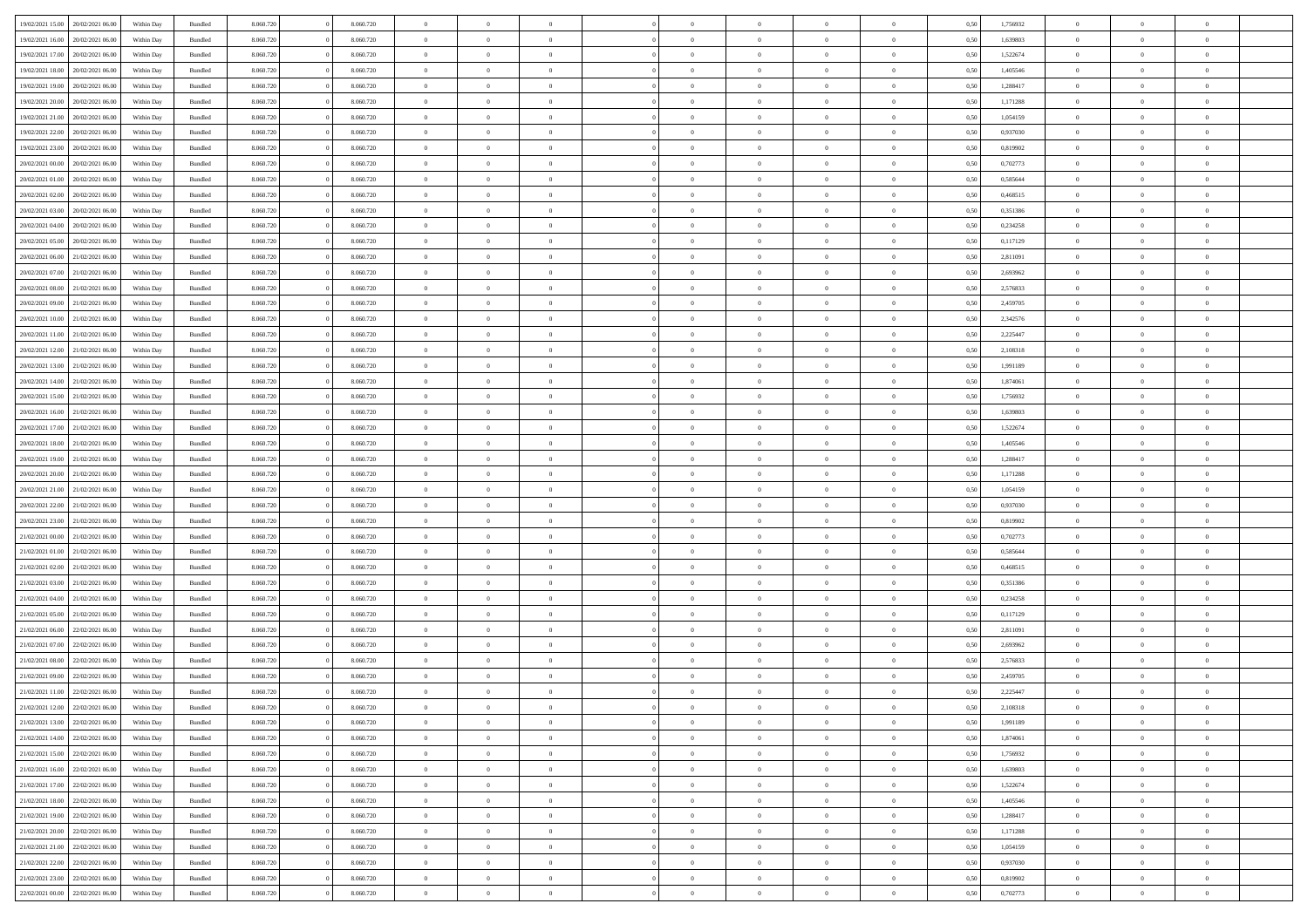| 19/02/2021 15:00                  | 20/02/2021 06:00 | Within Day | Bundled            | 8.060.720 | 8.060.720 | $\overline{0}$ | $\Omega$       |                | $\Omega$       | $\Omega$       | $\theta$       | $\theta$       | 0.50 | 1,756932 | $\theta$       | $\theta$       | $\theta$       |  |
|-----------------------------------|------------------|------------|--------------------|-----------|-----------|----------------|----------------|----------------|----------------|----------------|----------------|----------------|------|----------|----------------|----------------|----------------|--|
| 19/02/2021 16:00                  | 20/02/2021 06:00 | Within Day | Bundled            | 8.060.720 | 8.060.720 | $\overline{0}$ | $\theta$       | $\overline{0}$ | $\overline{0}$ | $\bf{0}$       | $\overline{0}$ | $\bf{0}$       | 0,50 | 1,639803 | $\theta$       | $\overline{0}$ | $\overline{0}$ |  |
| 19/02/2021 17:00                  | 20/02/2021 06:00 | Within Day | Bundled            | 8.060.720 | 8.060.720 | $\overline{0}$ | $\bf{0}$       | $\overline{0}$ | $\bf{0}$       | $\bf{0}$       | $\bf{0}$       | $\mathbf{0}$   | 0,50 | 1,522674 | $\overline{0}$ | $\overline{0}$ | $\bf{0}$       |  |
| 19/02/2021 18:00                  | 20/02/2021 06:00 | Within Dav | Bundled            | 8.060.720 | 8.060.720 | $\overline{0}$ | $\overline{0}$ | $\overline{0}$ | $\overline{0}$ | $\bf{0}$       | $\overline{0}$ | $\overline{0}$ | 0.50 | 1,405546 | $\theta$       | $\theta$       | $\overline{0}$ |  |
| 19/02/2021 19:00                  | 20/02/2021 06:00 | Within Day | Bundled            | 8.060.720 | 8.060.720 | $\overline{0}$ | $\theta$       | $\overline{0}$ | $\overline{0}$ | $\bf{0}$       | $\overline{0}$ | $\bf{0}$       | 0,50 | 1,288417 | $\theta$       | $\overline{0}$ | $\overline{0}$ |  |
|                                   |                  |            |                    |           |           |                |                |                |                |                |                |                |      |          |                |                |                |  |
| 19/02/2021 20:00                  | 20/02/2021 06:00 | Within Day | Bundled            | 8.060.720 | 8.060.720 | $\overline{0}$ | $\overline{0}$ | $\overline{0}$ | $\bf{0}$       | $\overline{0}$ | $\overline{0}$ | $\mathbf{0}$   | 0,50 | 1,171288 | $\overline{0}$ | $\overline{0}$ | $\bf{0}$       |  |
| 19/02/2021 21:00                  | 20/02/2021 06:00 | Within Dav | Bundled            | 8.060.720 | 8.060.720 | $\overline{0}$ | $\overline{0}$ | $\overline{0}$ | $\overline{0}$ | $\overline{0}$ | $\overline{0}$ | $\overline{0}$ | 0.50 | 1,054159 | $\theta$       | $\overline{0}$ | $\overline{0}$ |  |
| 19/02/2021 22:00                  | 20/02/2021 06:00 | Within Day | Bundled            | 8.060.720 | 8.060.720 | $\overline{0}$ | $\theta$       | $\overline{0}$ | $\overline{0}$ | $\bf{0}$       | $\overline{0}$ | $\bf{0}$       | 0,50 | 0,937030 | $\theta$       | $\theta$       | $\overline{0}$ |  |
| 19/02/2021 23:00                  | 20/02/2021 06:00 | Within Day | Bundled            | 8.060.720 | 8.060.720 | $\overline{0}$ | $\overline{0}$ | $\overline{0}$ | $\bf{0}$       | $\bf{0}$       | $\overline{0}$ | $\bf{0}$       | 0,50 | 0,819902 | $\,0\,$        | $\overline{0}$ | $\overline{0}$ |  |
| 20/02/2021 00:00                  | 20/02/2021 06:00 | Within Dav | Bundled            | 8.060.720 | 8.060.720 | $\overline{0}$ | $\overline{0}$ | $\overline{0}$ | $\overline{0}$ | $\overline{0}$ | $\overline{0}$ | $\overline{0}$ | 0.50 | 0,702773 | $\theta$       | $\overline{0}$ | $\overline{0}$ |  |
| 20/02/2021 01:00                  | 20/02/2021 06:00 | Within Day | Bundled            | 8.060.720 | 8.060.720 | $\overline{0}$ | $\theta$       | $\overline{0}$ | $\overline{0}$ | $\bf{0}$       | $\overline{0}$ | $\bf{0}$       | 0,50 | 0,585644 | $\,$ 0 $\,$    | $\overline{0}$ | $\overline{0}$ |  |
|                                   |                  |            |                    |           |           |                |                |                |                |                |                |                |      |          |                |                |                |  |
| 20/02/2021 02:00                  | 20/02/2021 06:00 | Within Day | Bundled            | 8.060.720 | 8.060.720 | $\overline{0}$ | $\bf{0}$       | $\overline{0}$ | $\overline{0}$ | $\bf{0}$       | $\overline{0}$ | $\mathbf{0}$   | 0,50 | 0,468515 | $\overline{0}$ | $\overline{0}$ | $\bf{0}$       |  |
| 20/02/2021 03:00                  | 20/02/2021 06:00 | Within Dav | Bundled            | 8.060.720 | 8.060.720 | $\overline{0}$ | $\overline{0}$ | $\overline{0}$ | $\overline{0}$ | $\bf{0}$       | $\overline{0}$ | $\overline{0}$ | 0.50 | 0,351386 | $\theta$       | $\theta$       | $\overline{0}$ |  |
| 20/02/2021 04:00                  | 20/02/2021 06:00 | Within Day | Bundled            | 8.060.720 | 8.060.720 | $\overline{0}$ | $\theta$       | $\overline{0}$ | $\overline{0}$ | $\bf{0}$       | $\overline{0}$ | $\bf{0}$       | 0,50 | 0,234258 | $\theta$       | $\overline{0}$ | $\overline{0}$ |  |
| 20/02/2021 05:00                  | 20/02/2021 06:00 | Within Day | Bundled            | 8.060.720 | 8.060.720 | $\overline{0}$ | $\overline{0}$ | $\overline{0}$ | $\overline{0}$ | $\overline{0}$ | $\overline{0}$ | $\mathbf{0}$   | 0,50 | 0,117129 | $\overline{0}$ | $\overline{0}$ | $\bf{0}$       |  |
| 20/02/2021 06:00                  | 21/02/2021 06:00 | Within Dav | Bundled            | 8.060.720 | 8.060.720 | $\overline{0}$ | $\overline{0}$ | $\overline{0}$ | $\overline{0}$ | $\overline{0}$ | $\overline{0}$ | $\overline{0}$ | 0.50 | 2,811091 | $\theta$       | $\overline{0}$ | $\overline{0}$ |  |
| 20/02/2021 07:00                  | 21/02/2021 06:00 | Within Day | Bundled            | 8.060.720 | 8.060.720 | $\overline{0}$ | $\theta$       | $\overline{0}$ | $\overline{0}$ | $\bf{0}$       | $\overline{0}$ | $\bf{0}$       | 0,50 | 2,693962 | $\theta$       | $\theta$       | $\overline{0}$ |  |
| 20/02/2021 08:00                  | 21/02/2021 06:00 | Within Day | Bundled            | 8.060.720 | 8.060.720 | $\overline{0}$ | $\overline{0}$ | $\overline{0}$ | $\overline{0}$ | $\bf{0}$       | $\overline{0}$ | $\mathbf{0}$   | 0,50 | 2,576833 | $\bf{0}$       | $\overline{0}$ | $\overline{0}$ |  |
| 20/02/2021 09:00                  | 21/02/2021 06:00 | Within Dav | Bundled            | 8.060.720 | 8.060.720 | $\overline{0}$ | $\overline{0}$ | $\overline{0}$ | $\overline{0}$ | $\overline{0}$ | $\overline{0}$ | $\overline{0}$ | 0.50 | 2,459705 | $\theta$       | $\overline{0}$ | $\overline{0}$ |  |
|                                   |                  |            |                    |           |           |                |                |                |                |                |                |                |      |          |                |                |                |  |
| 20/02/2021 10:00                  | 21/02/2021 06:00 | Within Day | Bundled            | 8.060.720 | 8.060.720 | $\overline{0}$ | $\theta$       | $\overline{0}$ | $\overline{0}$ | $\bf{0}$       | $\overline{0}$ | $\bf{0}$       | 0,50 | 2,342576 | $\,$ 0 $\,$    | $\overline{0}$ | $\overline{0}$ |  |
| 20/02/2021 11:00                  | 21/02/2021 06:00 | Within Day | Bundled            | 8.060.720 | 8.060.720 | $\overline{0}$ | $\overline{0}$ | $\overline{0}$ | $\overline{0}$ | $\bf{0}$       | $\overline{0}$ | $\mathbf{0}$   | 0,50 | 2,225447 | $\overline{0}$ | $\overline{0}$ | $\bf{0}$       |  |
| 20/02/2021 12:00                  | 21/02/2021 06:00 | Within Day | Bundled            | 8.060.720 | 8.060.720 | $\overline{0}$ | $\overline{0}$ | $\overline{0}$ | $\overline{0}$ | $\bf{0}$       | $\overline{0}$ | $\overline{0}$ | 0.50 | 2,108318 | $\theta$       | $\overline{0}$ | $\overline{0}$ |  |
| 20/02/2021 13:00                  | 21/02/2021 06:00 | Within Day | Bundled            | 8.060.720 | 8.060.720 | $\overline{0}$ | $\theta$       | $\overline{0}$ | $\overline{0}$ | $\bf{0}$       | $\overline{0}$ | $\bf{0}$       | 0,50 | 1,991189 | $\,$ 0 $\,$    | $\overline{0}$ | $\overline{0}$ |  |
| 20/02/2021 14:00                  | 21/02/2021 06:00 | Within Day | Bundled            | 8.060.720 | 8.060.720 | $\overline{0}$ | $\overline{0}$ | $\overline{0}$ | $\overline{0}$ | $\overline{0}$ | $\overline{0}$ | $\mathbf{0}$   | 0,50 | 1,874061 | $\overline{0}$ | $\overline{0}$ | $\bf{0}$       |  |
| 20/02/2021 15:00                  | 21/02/2021 06:00 | Within Dav | Bundled            | 8.060.720 | 8.060.720 | $\overline{0}$ | $\overline{0}$ | $\overline{0}$ | $\overline{0}$ | $\overline{0}$ | $\overline{0}$ | $\overline{0}$ | 0.50 | 1,756932 | $\theta$       | $\overline{0}$ | $\overline{0}$ |  |
|                                   |                  |            |                    |           |           | $\overline{0}$ | $\theta$       | $\overline{0}$ |                | $\bf{0}$       | $\overline{0}$ |                |      |          | $\theta$       | $\theta$       | $\overline{0}$ |  |
| 20/02/2021 16:00                  | 21/02/2021 06:00 | Within Day | Bundled            | 8.060.720 | 8.060.720 |                |                |                | $\overline{0}$ |                |                | $\bf{0}$       | 0,50 | 1,639803 |                |                |                |  |
| 20/02/2021 17:00                  | 21/02/2021 06:00 | Within Day | Bundled            | 8.060.720 | 8.060.720 | $\overline{0}$ | $\overline{0}$ | $\overline{0}$ | $\overline{0}$ | $\bf{0}$       | $\overline{0}$ | $\bf{0}$       | 0,50 | 1,522674 | $\,0\,$        | $\overline{0}$ | $\overline{0}$ |  |
| 20/02/2021 18:00                  | 21/02/2021 06:00 | Within Day | Bundled            | 8.060.720 | 8.060.720 | $\overline{0}$ | $\overline{0}$ | $\overline{0}$ | $\overline{0}$ | $\overline{0}$ | $\overline{0}$ | $\overline{0}$ | 0.50 | 1,405546 | $\theta$       | $\overline{0}$ | $\overline{0}$ |  |
| 20/02/2021 19:00                  | 21/02/2021 06:00 | Within Day | Bundled            | 8.060.720 | 8.060.720 | $\overline{0}$ | $\theta$       | $\overline{0}$ | $\overline{0}$ | $\bf{0}$       | $\overline{0}$ | $\bf{0}$       | 0,50 | 1,288417 | $\,$ 0 $\,$    | $\overline{0}$ | $\overline{0}$ |  |
| 20/02/2021 20:00                  | 21/02/2021 06:00 | Within Day | Bundled            | 8.060.720 | 8.060.720 | $\overline{0}$ | $\overline{0}$ | $\overline{0}$ | $\bf{0}$       | $\bf{0}$       | $\bf{0}$       | $\bf{0}$       | 0,50 | 1,171288 | $\bf{0}$       | $\overline{0}$ | $\bf{0}$       |  |
| 20/02/2021 21:00                  | 21/02/2021 06:00 | Within Day | Bundled            | 8.060.720 | 8.060.720 | $\overline{0}$ | $\Omega$       | $\Omega$       | $\Omega$       | $\Omega$       | $\overline{0}$ | $\overline{0}$ | 0,50 | 1,054159 | $\,0\,$        | $\theta$       | $\theta$       |  |
| 20/02/2021 22:00                  | 21/02/2021 06:00 | Within Day | Bundled            | 8.060.720 | 8.060.720 | $\overline{0}$ | $\theta$       | $\overline{0}$ | $\overline{0}$ | $\bf{0}$       | $\overline{0}$ | $\bf{0}$       | 0,50 | 0,937030 | $\theta$       | $\overline{0}$ | $\overline{0}$ |  |
|                                   |                  |            |                    |           |           |                |                |                |                |                |                |                |      |          |                |                |                |  |
| 20/02/2021 23:00                  | 21/02/2021 06:00 | Within Day | Bundled            | 8.060.720 | 8.060.720 | $\overline{0}$ | $\overline{0}$ | $\overline{0}$ | $\bf{0}$       | $\overline{0}$ | $\overline{0}$ | $\mathbf{0}$   | 0,50 | 0,819902 | $\bf{0}$       | $\overline{0}$ | $\bf{0}$       |  |
| 21/02/2021 00:00                  | 21/02/2021 06:00 | Within Day | Bundled            | 8.060.720 | 8.060.720 | $\overline{0}$ | $\Omega$       | $\Omega$       | $\Omega$       | $\bf{0}$       | $\overline{0}$ | $\overline{0}$ | 0.50 | 0,702773 | $\,0\,$        | $\theta$       | $\theta$       |  |
| 21/02/2021 01:00                  | 21/02/2021 06:00 | Within Day | Bundled            | 8.060.720 | 8.060.720 | $\overline{0}$ | $\theta$       | $\overline{0}$ | $\overline{0}$ | $\bf{0}$       | $\overline{0}$ | $\bf{0}$       | 0,50 | 0,585644 | $\,$ 0 $\,$    | $\overline{0}$ | $\overline{0}$ |  |
| 21/02/2021 02:00                  | 21/02/2021 06:00 | Within Day | Bundled            | 8.060.720 | 8.060.720 | $\overline{0}$ | $\overline{0}$ | $\overline{0}$ | $\bf{0}$       | $\bf{0}$       | $\bf{0}$       | $\mathbf{0}$   | 0,50 | 0,468515 | $\bf{0}$       | $\overline{0}$ | $\bf{0}$       |  |
| 21/02/2021 03:00                  | 21/02/2021 06:00 | Within Day | Bundled            | 8.060.720 | 8.060.720 | $\overline{0}$ | $\Omega$       | $\Omega$       | $\Omega$       | $\theta$       | $\theta$       | $\overline{0}$ | 0.50 | 0,351386 | $\theta$       | $\theta$       | $\theta$       |  |
| 21/02/2021 04:00                  | 21/02/2021 06:00 | Within Day | Bundled            | 8.060.720 | 8.060.720 | $\overline{0}$ | $\theta$       | $\overline{0}$ | $\overline{0}$ | $\bf{0}$       | $\overline{0}$ | $\bf{0}$       | 0,50 | 0,234258 | $\,$ 0 $\,$    | $\overline{0}$ | $\overline{0}$ |  |
| 21/02/2021 05:00                  | 21/02/2021 06:00 | Within Day | Bundled            | 8.060.720 | 8.060.720 | $\overline{0}$ | $\bf{0}$       | $\overline{0}$ | $\bf{0}$       | $\bf{0}$       | $\bf{0}$       | $\mathbf{0}$   | 0,50 | 0,117129 | $\bf{0}$       | $\overline{0}$ | $\bf{0}$       |  |
| 21/02/2021 06:00                  | 22/02/2021 06:00 |            |                    | 8.060.720 | 8.060.720 | $\overline{0}$ | $\Omega$       | $\overline{0}$ | $\Omega$       | $\overline{0}$ | $\overline{0}$ | $\overline{0}$ | 0.50 | 2,811091 | $\,0\,$        | $\theta$       | $\theta$       |  |
|                                   |                  | Within Day | Bundled            |           |           |                |                |                |                |                |                |                |      |          |                |                |                |  |
| 21/02/2021 07:00                  | 22/02/2021 06:00 | Within Day | Bundled            | 8.060.720 | 8.060.720 | $\overline{0}$ | $\theta$       | $\overline{0}$ | $\overline{0}$ | $\bf{0}$       | $\overline{0}$ | $\bf{0}$       | 0,50 | 2,693962 | $\,$ 0 $\,$    | $\overline{0}$ | $\overline{0}$ |  |
| 21/02/2021 08:00                  | 22/02/2021 06:00 | Within Day | Bundled            | 8.060.720 | 8.060.720 | $\overline{0}$ | $\overline{0}$ | $\overline{0}$ | $\bf{0}$       | $\bf{0}$       | $\bf{0}$       | $\mathbf{0}$   | 0,50 | 2,576833 | $\overline{0}$ | $\overline{0}$ | $\bf{0}$       |  |
| 21/02/2021 09:00                  | 22/02/2021 06:00 | Within Day | Bundled            | 8.060.720 | 8.060.720 | $\overline{0}$ | $\Omega$       | $\Omega$       | $\Omega$       | $\Omega$       | $\Omega$       | $\overline{0}$ | 0.50 | 2,459705 | $\theta$       | $\theta$       | $\theta$       |  |
| 21/02/2021 11:00                  | 22/02/2021 06:00 | Within Day | Bundled            | 8.060.720 | 8.060.720 | $\overline{0}$ | $\overline{0}$ | $\overline{0}$ | $\bf{0}$       | $\,$ 0         | $\bf{0}$       | $\bf{0}$       | 0,50 | 2,225447 | $\,0\,$        | $\,$ 0 $\,$    | $\overline{0}$ |  |
| 21/02/2021 12:00                  | 22/02/2021 06:00 | Within Day | $\mathbf B$ undled | 8.060.720 | 8.060.720 | $\bf{0}$       | $\bf{0}$       |                |                | $\bf{0}$       |                |                | 0,50 | 2,108318 | $\bf{0}$       | $\overline{0}$ |                |  |
| 21/02/2021 13:00                  | 22/02/2021 06:00 | Within Day | Bundled            | 8.060.720 | 8.060.720 | $\overline{0}$ | $\overline{0}$ | $\overline{0}$ | $\Omega$       | $\overline{0}$ | $\overline{0}$ | $\overline{0}$ | 0.50 | 1,991189 | $\theta$       | $\theta$       | $\theta$       |  |
| 21/02/2021 14:00                  | 22/02/2021 06:00 | Within Day | Bundled            | 8.060.720 | 8.060.720 | $\overline{0}$ | $\,$ 0         | $\overline{0}$ | $\bf{0}$       | $\,$ 0 $\,$    | $\overline{0}$ | $\mathbf{0}$   | 0,50 | 1,874061 | $\,$ 0 $\,$    | $\,$ 0 $\,$    | $\,$ 0         |  |
| 21/02/2021 15:00                  | 22/02/2021 06:00 | Within Day | Bundled            | 8.060.720 | 8.060.720 | $\overline{0}$ | $\overline{0}$ | $\overline{0}$ | $\overline{0}$ | $\overline{0}$ | $\overline{0}$ | $\mathbf{0}$   | 0,50 | 1,756932 | $\overline{0}$ | $\bf{0}$       | $\bf{0}$       |  |
|                                   |                  |            |                    |           |           |                |                |                |                |                |                |                |      |          |                |                |                |  |
| 21/02/2021 16:00                  | 22/02/2021 06:00 | Within Day | Bundled            | 8.060.720 | 8.060.720 | $\overline{0}$ | $\overline{0}$ | $\overline{0}$ | $\Omega$       | $\overline{0}$ | $\overline{0}$ | $\overline{0}$ | 0,50 | 1,639803 | $\overline{0}$ | $\theta$       | $\overline{0}$ |  |
| 21/02/2021 17:00                  | 22/02/2021 06:00 | Within Day | Bundled            | 8.060.720 | 8.060.720 | $\overline{0}$ | $\,$ 0         | $\overline{0}$ | $\overline{0}$ | $\,$ 0 $\,$    | $\overline{0}$ | $\mathbf{0}$   | 0,50 | 1,522674 | $\,$ 0 $\,$    | $\overline{0}$ | $\overline{0}$ |  |
| 21/02/2021 18:00                  | 22/02/2021 06:00 | Within Day | Bundled            | 8.060.720 | 8.060.720 | $\overline{0}$ | $\overline{0}$ | $\overline{0}$ | $\overline{0}$ | $\overline{0}$ | $\overline{0}$ | $\mathbf{0}$   | 0,50 | 1,405546 | $\overline{0}$ | $\overline{0}$ | $\bf{0}$       |  |
| 21/02/2021 19:00                  | 22/02/2021 06:00 | Within Day | Bundled            | 8.060.720 | 8.060.720 | $\overline{0}$ | $\overline{0}$ | $\overline{0}$ | $\Omega$       | $\overline{0}$ | $\overline{0}$ | $\bf{0}$       | 0.50 | 1,288417 | $\overline{0}$ | $\theta$       | $\overline{0}$ |  |
| 21/02/2021 20:00                  | 22/02/2021 06:00 | Within Day | Bundled            | 8.060.720 | 8.060.720 | $\overline{0}$ | $\,$ 0         | $\overline{0}$ | $\overline{0}$ | $\bf{0}$       | $\overline{0}$ | $\bf{0}$       | 0,50 | 1,171288 | $\,$ 0 $\,$    | $\overline{0}$ | $\overline{0}$ |  |
| 21/02/2021 21:00                  | 22/02/2021 06:00 | Within Day | Bundled            | 8.060.720 | 8.060.720 | $\overline{0}$ | $\bf{0}$       | $\overline{0}$ | $\overline{0}$ | $\overline{0}$ | $\overline{0}$ | $\mathbf{0}$   | 0,50 | 1,054159 | $\overline{0}$ | $\overline{0}$ | $\bf{0}$       |  |
| 21/02/2021 22.00                  | 22/02/2021 06:00 | Within Day | Bundled            | 8.060.720 | 8.060.720 | $\overline{0}$ | $\overline{0}$ | $\overline{0}$ | $\Omega$       | $\overline{0}$ | $\overline{0}$ | $\overline{0}$ | 0.50 | 0,937030 | $\overline{0}$ | $\overline{0}$ | $\overline{0}$ |  |
|                                   |                  |            |                    |           |           |                |                |                |                |                |                |                |      |          |                |                |                |  |
| 21/02/2021 23:00                  | 22/02/2021 06:00 | Within Day | Bundled            | 8.060.720 | 8.060.720 | $\overline{0}$ | $\bf{0}$       | $\overline{0}$ | $\overline{0}$ | $\bf{0}$       | $\overline{0}$ | $\bf{0}$       | 0,50 | 0,819902 | $\,$ 0 $\,$    | $\,$ 0 $\,$    | $\bf{0}$       |  |
| 22/02/2021 00:00 22/02/2021 06:00 |                  | Within Day | Bundled            | 8.060.720 | 8.060.720 | $\overline{0}$ | $\bf{0}$       | $\overline{0}$ | $\bf{0}$       | $\bf{0}$       | $\overline{0}$ | $\bf{0}$       | 0,50 | 0,702773 | $\overline{0}$ | $\overline{0}$ | $\bf{0}$       |  |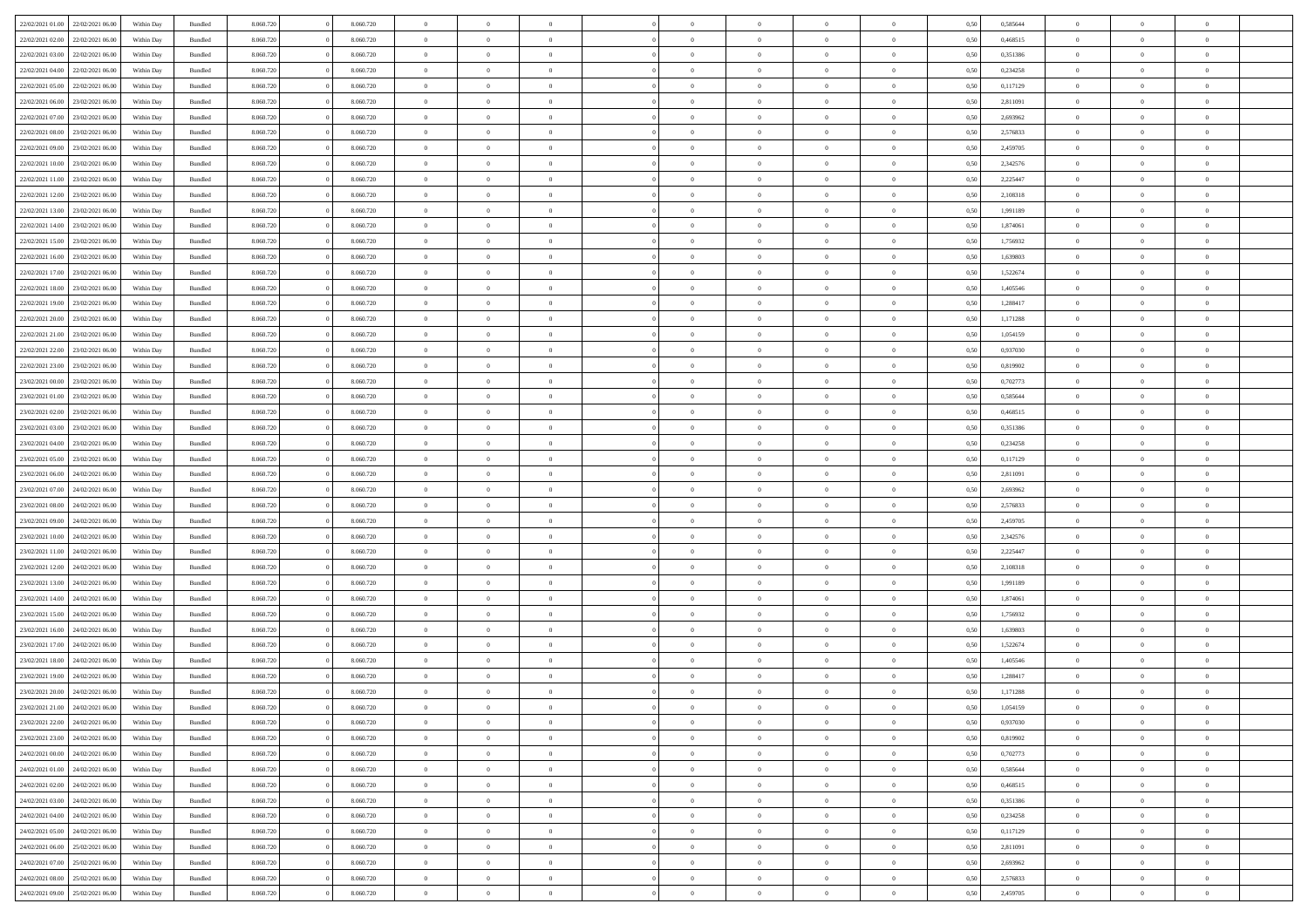|                                   | 22/02/2021 06:00 | Within Day | Bundled            | 8.060.720 | 8.060.720 | $\overline{0}$ | $\Omega$       |                | $\Omega$       | $\Omega$       | $\Omega$       | $\theta$       | 0,50 | 0,585644 | $\theta$       | $\theta$       | $\theta$       |  |
|-----------------------------------|------------------|------------|--------------------|-----------|-----------|----------------|----------------|----------------|----------------|----------------|----------------|----------------|------|----------|----------------|----------------|----------------|--|
| 22/02/2021 01:00                  |                  |            |                    |           |           |                |                |                |                |                |                |                |      |          |                |                |                |  |
| 22/02/2021 02:00                  | 22/02/2021 06:00 | Within Day | Bundled            | 8.060.720 | 8.060.720 | $\overline{0}$ | $\theta$       | $\overline{0}$ | $\overline{0}$ | $\bf{0}$       | $\overline{0}$ | $\overline{0}$ | 0,50 | 0,468515 | $\theta$       | $\theta$       | $\overline{0}$ |  |
| 22/02/2021 03:00                  | 22/02/2021 06:00 | Within Day | Bundled            | 8.060.720 | 8.060.720 | $\overline{0}$ | $\overline{0}$ | $\overline{0}$ | $\overline{0}$ | $\bf{0}$       | $\overline{0}$ | $\bf{0}$       | 0,50 | 0,351386 | $\bf{0}$       | $\overline{0}$ | $\overline{0}$ |  |
| 22/02/2021 04:00                  | 22/02/2021 06:00 | Within Dav | Bundled            | 8.060.720 | 8.060.720 | $\overline{0}$ | $\overline{0}$ | $\overline{0}$ | $\overline{0}$ | $\bf{0}$       | $\overline{0}$ | $\overline{0}$ | 0.50 | 0,234258 | $\theta$       | $\theta$       | $\overline{0}$ |  |
|                                   |                  |            |                    |           |           |                |                |                |                |                |                |                |      |          |                |                |                |  |
| 22/02/2021 05:00                  | 22/02/2021 06:00 | Within Day | Bundled            | 8.060.720 | 8.060.720 | $\overline{0}$ | $\theta$       | $\overline{0}$ | $\overline{0}$ | $\bf{0}$       | $\overline{0}$ | $\bf{0}$       | 0,50 | 0,117129 | $\theta$       | $\theta$       | $\overline{0}$ |  |
| 22/02/2021 06:00                  | 23/02/2021 06:00 | Within Day | Bundled            | 8.060.720 | 8.060.720 | $\overline{0}$ | $\bf{0}$       | $\overline{0}$ | $\overline{0}$ | $\overline{0}$ | $\overline{0}$ | $\mathbf{0}$   | 0,50 | 2,811091 | $\bf{0}$       | $\overline{0}$ | $\bf{0}$       |  |
| 22/02/2021 07:00                  | 23/02/2021 06:00 | Within Dav | Bundled            | 8.060.720 | 8.060.720 | $\overline{0}$ | $\overline{0}$ | $\overline{0}$ | $\overline{0}$ | $\overline{0}$ | $\overline{0}$ | $\overline{0}$ | 0.50 | 2,693962 | $\theta$       | $\theta$       | $\overline{0}$ |  |
| 22/02/2021 08:00                  | 23/02/2021 06:00 | Within Day | Bundled            | 8.060.720 | 8.060.720 | $\overline{0}$ | $\theta$       | $\overline{0}$ | $\overline{0}$ | $\bf{0}$       | $\overline{0}$ | $\bf{0}$       | 0,50 | 2,576833 | $\theta$       | $\theta$       | $\overline{0}$ |  |
|                                   |                  |            |                    |           |           |                | $\overline{0}$ |                |                | $\bf{0}$       |                |                |      |          | $\,0\,$        | $\overline{0}$ | $\overline{0}$ |  |
| 22/02/2021 09:00                  | 23/02/2021 06:00 | Within Day | Bundled            | 8.060.720 | 8.060.720 | $\overline{0}$ |                | $\overline{0}$ | $\overline{0}$ |                | $\overline{0}$ | $\bf{0}$       | 0,50 | 2,459705 |                |                |                |  |
| 22/02/2021 10:00                  | 23/02/2021 06:00 | Within Dav | Bundled            | 8.060.720 | 8.060.720 | $\overline{0}$ | $\overline{0}$ | $\overline{0}$ | $\overline{0}$ | $\overline{0}$ | $\overline{0}$ | $\overline{0}$ | 0.50 | 2,342576 | $\theta$       | $\overline{0}$ | $\overline{0}$ |  |
| 22/02/2021 11:00                  | 23/02/2021 06:00 | Within Day | Bundled            | 8.060.720 | 8.060.720 | $\overline{0}$ | $\theta$       | $\overline{0}$ | $\overline{0}$ | $\bf{0}$       | $\overline{0}$ | $\bf{0}$       | 0,50 | 2,225447 | $\,$ 0 $\,$    | $\theta$       | $\overline{0}$ |  |
| 22/02/2021 12:00                  | 23/02/2021 06:00 | Within Day | Bundled            | 8.060.720 | 8.060.720 | $\overline{0}$ | $\overline{0}$ | $\overline{0}$ | $\overline{0}$ | $\bf{0}$       | $\overline{0}$ | $\bf{0}$       | 0,50 | 2,108318 | $\bf{0}$       | $\overline{0}$ | $\overline{0}$ |  |
| 22/02/2021 13:00                  | 23/02/2021 06:00 | Within Dav | Bundled            | 8.060.720 | 8.060.720 | $\overline{0}$ | $\overline{0}$ | $\overline{0}$ | $\overline{0}$ | $\bf{0}$       | $\overline{0}$ | $\overline{0}$ | 0.50 | 1.991189 | $\theta$       | $\theta$       | $\overline{0}$ |  |
|                                   |                  |            |                    |           |           | $\overline{0}$ | $\theta$       | $\overline{0}$ | $\overline{0}$ | $\bf{0}$       | $\overline{0}$ | $\overline{0}$ |      |          | $\theta$       | $\theta$       | $\overline{0}$ |  |
| 22/02/2021 14:00                  | 23/02/2021 06:00 | Within Day | Bundled            | 8.060.720 | 8.060.720 |                |                |                |                |                |                |                | 0,50 | 1,874061 |                |                |                |  |
| 22/02/2021 15:00                  | 23/02/2021 06:00 | Within Day | Bundled            | 8.060.720 | 8.060.720 | $\overline{0}$ | $\overline{0}$ | $\overline{0}$ | $\overline{0}$ | $\overline{0}$ | $\overline{0}$ | $\mathbf{0}$   | 0,50 | 1,756932 | $\bf{0}$       | $\overline{0}$ | $\bf{0}$       |  |
| 22/02/2021 16:00                  | 23/02/2021 06:00 | Within Dav | Bundled            | 8.060.720 | 8.060.720 | $\overline{0}$ | $\overline{0}$ | $\overline{0}$ | $\overline{0}$ | $\overline{0}$ | $\overline{0}$ | $\overline{0}$ | 0.50 | 1,639803 | $\theta$       | $\overline{0}$ | $\overline{0}$ |  |
| 22/02/2021 17:00                  | 23/02/2021 06:00 | Within Day | Bundled            | 8.060.720 | 8.060.720 | $\overline{0}$ | $\theta$       | $\overline{0}$ | $\overline{0}$ | $\bf{0}$       | $\overline{0}$ | $\bf{0}$       | 0,50 | 1,522674 | $\theta$       | $\theta$       | $\overline{0}$ |  |
| 22/02/2021 18:00                  | 23/02/2021 06:00 | Within Day | Bundled            | 8.060.720 | 8.060.720 | $\overline{0}$ | $\overline{0}$ | $\overline{0}$ | $\overline{0}$ | $\bf{0}$       | $\overline{0}$ | $\bf{0}$       | 0,50 | 1,405546 | $\,0\,$        | $\overline{0}$ | $\overline{0}$ |  |
|                                   |                  |            |                    |           |           |                |                |                |                |                |                |                |      |          |                |                |                |  |
| 22/02/2021 19:00                  | 23/02/2021 06:00 | Within Dav | Bundled            | 8.060.720 | 8.060.720 | $\overline{0}$ | $\overline{0}$ | $\overline{0}$ | $\overline{0}$ | $\overline{0}$ | $\overline{0}$ | $\overline{0}$ | 0.50 | 1,288417 | $\theta$       | $\overline{0}$ | $\overline{0}$ |  |
| 22/02/2021 20:00                  | 23/02/2021 06:00 | Within Day | Bundled            | 8.060.720 | 8.060.720 | $\overline{0}$ | $\theta$       | $\overline{0}$ | $\overline{0}$ | $\bf{0}$       | $\overline{0}$ | $\bf{0}$       | 0,50 | 1,171288 | $\,$ 0 $\,$    | $\theta$       | $\overline{0}$ |  |
| 22/02/2021 21:00                  | 23/02/2021 06:00 | Within Day | Bundled            | 8.060.720 | 8.060.720 | $\overline{0}$ | $\overline{0}$ | $\overline{0}$ | $\overline{0}$ | $\bf{0}$       | $\overline{0}$ | $\bf{0}$       | 0,50 | 1,054159 | $\bf{0}$       | $\overline{0}$ | $\overline{0}$ |  |
| 22/02/2021 22:00                  | 23/02/2021 06:00 | Within Day | Bundled            | 8.060.720 | 8.060.720 | $\overline{0}$ | $\overline{0}$ | $\overline{0}$ | $\overline{0}$ | $\bf{0}$       | $\overline{0}$ | $\overline{0}$ | 0.50 | 0,937030 | $\theta$       | $\theta$       | $\overline{0}$ |  |
| 22/02/2021 23:00                  | 23/02/2021 06:00 |            |                    | 8.060.720 | 8.060.720 | $\overline{0}$ | $\theta$       | $\overline{0}$ | $\overline{0}$ | $\bf{0}$       | $\overline{0}$ |                |      | 0,819902 | $\theta$       | $\overline{0}$ | $\overline{0}$ |  |
|                                   |                  | Within Day | Bundled            |           |           |                |                |                |                |                |                | $\bf{0}$       | 0,50 |          |                |                |                |  |
| 23/02/2021 00:00                  | 23/02/2021 06:00 | Within Day | Bundled            | 8.060.720 | 8.060.720 | $\overline{0}$ | $\bf{0}$       | $\overline{0}$ | $\overline{0}$ | $\overline{0}$ | $\overline{0}$ | $\mathbf{0}$   | 0,50 | 0,702773 | $\bf{0}$       | $\overline{0}$ | $\bf{0}$       |  |
| 23/02/2021 01:00                  | 23/02/2021 06:00 | Within Dav | Bundled            | 8.060.720 | 8.060.720 | $\overline{0}$ | $\overline{0}$ | $\overline{0}$ | $\overline{0}$ | $\overline{0}$ | $\overline{0}$ | $\overline{0}$ | 0.50 | 0.585644 | $\theta$       | $\theta$       | $\overline{0}$ |  |
| 23/02/2021 02:00                  | 23/02/2021 06:00 | Within Day | Bundled            | 8.060.720 | 8.060.720 | $\overline{0}$ | $\theta$       | $\overline{0}$ | $\overline{0}$ | $\bf{0}$       | $\overline{0}$ | $\bf{0}$       | 0,50 | 0,468515 | $\theta$       | $\theta$       | $\overline{0}$ |  |
| 23/02/2021 03:00                  | 23/02/2021 06:00 | Within Day | Bundled            | 8.060.720 | 8.060.720 | $\overline{0}$ | $\overline{0}$ | $\overline{0}$ | $\bf{0}$       | $\bf{0}$       | $\bf{0}$       | $\bf{0}$       | 0,50 | 0,351386 | $\,0\,$        | $\overline{0}$ | $\overline{0}$ |  |
|                                   | 23/02/2021 06:00 |            | Bundled            | 8.060.720 | 8.060.720 | $\overline{0}$ | $\overline{0}$ | $\overline{0}$ | $\overline{0}$ | $\overline{0}$ | $\overline{0}$ | $\overline{0}$ | 0.50 | 0,234258 | $\theta$       | $\overline{0}$ | $\overline{0}$ |  |
| 23/02/2021 04:00                  |                  | Within Day |                    |           |           |                |                |                |                |                |                |                |      |          |                |                |                |  |
| 23/02/2021 05:00                  | 23/02/2021 06:00 | Within Day | Bundled            | 8.060.720 | 8.060.720 | $\overline{0}$ | $\theta$       | $\overline{0}$ | $\overline{0}$ | $\bf{0}$       | $\overline{0}$ | $\bf{0}$       | 0,50 | 0,117129 | $\,$ 0 $\,$    | $\overline{0}$ | $\overline{0}$ |  |
| 23/02/2021 06:00                  | 24/02/2021 06:00 | Within Day | Bundled            | 8.060.720 | 8.060.720 | $\overline{0}$ | $\overline{0}$ | $\overline{0}$ | $\bf{0}$       | $\bf{0}$       | $\bf{0}$       | $\bf{0}$       | 0,50 | 2,811091 | $\overline{0}$ | $\overline{0}$ | $\overline{0}$ |  |
| 23/02/2021 07:00                  | 24/02/2021 06.00 | Within Day | Bundled            | 8.060.720 | 8.060.720 | $\overline{0}$ | $\Omega$       | $\Omega$       | $\Omega$       | $\Omega$       | $\Omega$       | $\overline{0}$ | 0.50 | 2,693962 | $\,0\,$        | $\theta$       | $\theta$       |  |
| 23/02/2021 08:00                  | 24/02/2021 06.00 | Within Day | Bundled            | 8.060.720 | 8.060.720 | $\overline{0}$ | $\theta$       | $\overline{0}$ | $\overline{0}$ | $\bf{0}$       | $\overline{0}$ | $\bf{0}$       | 0,50 | 2,576833 | $\theta$       | $\theta$       | $\overline{0}$ |  |
|                                   |                  |            |                    |           |           |                |                |                |                |                |                |                |      |          |                |                |                |  |
| 23/02/2021 09:00                  | 24/02/2021 06:00 | Within Day | Bundled            | 8.060.720 | 8.060.720 | $\overline{0}$ | $\overline{0}$ | $\overline{0}$ | $\bf{0}$       | $\bf{0}$       | $\overline{0}$ | $\mathbf{0}$   | 0,50 | 2,459705 | $\overline{0}$ | $\overline{0}$ | $\bf{0}$       |  |
| 23/02/2021 10:00                  | 24/02/2021 06:00 | Within Day | Bundled            | 8.060.720 | 8.060.720 | $\overline{0}$ | $\Omega$       | $\Omega$       | $\Omega$       | $\bf{0}$       | $\overline{0}$ | $\overline{0}$ | 0.50 | 2,342576 | $\,0\,$        | $\theta$       | $\theta$       |  |
| 23/02/2021 11:00                  | 24/02/2021 06.00 | Within Day | Bundled            | 8.060.720 | 8.060.720 | $\overline{0}$ | $\theta$       | $\overline{0}$ | $\overline{0}$ | $\bf{0}$       | $\overline{0}$ | $\bf{0}$       | 0,50 | 2,225447 | $\,$ 0 $\,$    | $\theta$       | $\overline{0}$ |  |
| 23/02/2021 12:00                  | 24/02/2021 06:00 | Within Day | Bundled            | 8.060.720 | 8.060.720 | $\overline{0}$ | $\overline{0}$ | $\overline{0}$ | $\bf{0}$       | $\bf{0}$       | $\bf{0}$       | $\bf{0}$       | 0,50 | 2,108318 | $\,0\,$        | $\overline{0}$ | $\overline{0}$ |  |
| 23/02/2021 13:00                  | 24/02/2021 06:00 | Within Day | Bundled            | 8.060.720 | 8.060.720 | $\overline{0}$ | $\Omega$       | $\Omega$       | $\Omega$       | $\theta$       | $\theta$       | $\overline{0}$ | 0.50 | 1,991189 | $\theta$       | $\theta$       | $\theta$       |  |
|                                   |                  |            |                    |           |           |                |                |                |                |                |                |                |      |          |                |                |                |  |
| 23/02/2021 14:00                  | 24/02/2021 06.00 | Within Day | Bundled            | 8.060.720 | 8.060.720 | $\overline{0}$ | $\theta$       | $\overline{0}$ | $\overline{0}$ | $\bf{0}$       | $\overline{0}$ | $\bf{0}$       | 0,50 | 1,874061 | $\,$ 0 $\,$    | $\overline{0}$ | $\overline{0}$ |  |
| 23/02/2021 15:00                  | 24/02/2021 06:00 | Within Day | Bundled            | 8.060.720 | 8.060.720 | $\overline{0}$ | $\overline{0}$ | $\overline{0}$ | $\bf{0}$       | $\bf{0}$       | $\bf{0}$       | $\bf{0}$       | 0,50 | 1,756932 | $\overline{0}$ | $\overline{0}$ | $\overline{0}$ |  |
| 23/02/2021 16:00                  | 24/02/2021 06.00 | Within Day | Bundled            | 8.060.720 | 8.060.720 | $\overline{0}$ | $\Omega$       | $\Omega$       | $\Omega$       | $\Omega$       | $\overline{0}$ | $\overline{0}$ | 0.50 | 1,639803 | $\,0\,$        | $\theta$       | $\theta$       |  |
| 23/02/2021 17:00                  | 24/02/2021 06.00 | Within Day | Bundled            | 8.060.720 | 8.060.720 | $\overline{0}$ | $\theta$       | $\overline{0}$ | $\overline{0}$ | $\bf{0}$       | $\overline{0}$ | $\bf{0}$       | 0,50 | 1,522674 | $\,$ 0 $\,$    | $\overline{0}$ | $\overline{0}$ |  |
| 23/02/2021 18:00                  | 24/02/2021 06:00 | Within Day | Bundled            | 8.060.720 | 8.060.720 | $\overline{0}$ | $\overline{0}$ | $\overline{0}$ | $\bf{0}$       | $\bf{0}$       | $\bf{0}$       | $\mathbf{0}$   | 0,50 | 1,405546 | $\overline{0}$ | $\overline{0}$ | $\bf{0}$       |  |
|                                   |                  |            |                    |           |           |                |                |                |                |                |                |                |      |          |                |                |                |  |
| 23/02/2021 19:00                  | 24/02/2021 06.00 | Within Day | Bundled            | 8.060.720 | 8.060.720 | $\overline{0}$ | $\Omega$       | $\Omega$       | $\Omega$       | $\Omega$       | $\Omega$       | $\overline{0}$ | 0.50 | 1,288417 | $\theta$       | $\theta$       | $\theta$       |  |
| 23/02/2021 20:00                  | 24/02/2021 06:00 | Within Day | Bundled            | 8.060.720 | 8.060.720 | $\overline{0}$ | $\overline{0}$ | $\overline{0}$ | $\bf{0}$       | $\,$ 0         | $\bf{0}$       | $\bf{0}$       | 0,50 | 1,171288 | $\,0\,$        | $\overline{0}$ | $\overline{0}$ |  |
| 23/02/2021 21:00                  | 24/02/2021 06:00 | Within Day | $\mathbf B$ undled | 8.060.720 | 8.060.720 | $\bf{0}$       | $\bf{0}$       |                |                | $\bf{0}$       |                |                | 0,50 | 1,054159 | $\bf{0}$       | $\overline{0}$ |                |  |
| 23/02/2021 22:00                  | 24/02/2021 06:00 | Within Day | Bundled            | 8.060.720 | 8.060.720 | $\overline{0}$ | $\overline{0}$ | $\overline{0}$ | $\Omega$       | $\overline{0}$ | $\overline{0}$ | $\overline{0}$ | 0.50 | 0.937030 | $\theta$       | $\theta$       | $\theta$       |  |
| 23/02/2021 23:00                  | 24/02/2021 06.00 | Within Day | Bundled            | 8.060.720 | 8.060.720 | $\overline{0}$ | $\,$ 0         | $\overline{0}$ | $\bf{0}$       | $\,$ 0 $\,$    | $\overline{0}$ | $\mathbf{0}$   | 0,50 | 0,819902 | $\,$ 0 $\,$    | $\,$ 0 $\,$    | $\,$ 0         |  |
|                                   |                  |            |                    |           |           |                |                |                |                |                |                |                |      |          |                |                |                |  |
| 24/02/2021 00:00                  | 24/02/2021 06:00 | Within Day | Bundled            | 8.060.720 | 8.060.720 | $\overline{0}$ | $\overline{0}$ | $\overline{0}$ | $\overline{0}$ | $\overline{0}$ | $\overline{0}$ | $\mathbf{0}$   | 0,50 | 0,702773 | $\overline{0}$ | $\bf{0}$       | $\bf{0}$       |  |
| 24/02/2021 01:00                  | 24/02/2021 06:00 | Within Day | Bundled            | 8.060.720 | 8.060.720 | $\overline{0}$ | $\overline{0}$ | $\overline{0}$ | $\Omega$       | $\overline{0}$ | $\overline{0}$ | $\overline{0}$ | 0,50 | 0,585644 | $\overline{0}$ | $\theta$       | $\overline{0}$ |  |
| 24/02/2021 02:00                  | 24/02/2021 06.00 | Within Day | Bundled            | 8.060.720 | 8.060.720 | $\overline{0}$ | $\,$ 0         | $\overline{0}$ | $\overline{0}$ | $\,$ 0 $\,$    | $\overline{0}$ | $\mathbf{0}$   | 0,50 | 0,468515 | $\,$ 0 $\,$    | $\overline{0}$ | $\overline{0}$ |  |
| 24/02/2021 03:00                  | 24/02/2021 06:00 | Within Day | Bundled            | 8.060.720 | 8.060.720 | $\overline{0}$ | $\overline{0}$ | $\overline{0}$ | $\overline{0}$ | $\overline{0}$ | $\overline{0}$ | $\mathbf{0}$   | 0,50 | 0,351386 | $\overline{0}$ | $\overline{0}$ | $\bf{0}$       |  |
|                                   |                  |            |                    |           |           | $\overline{0}$ | $\overline{0}$ | $\overline{0}$ | $\Omega$       | $\overline{0}$ | $\overline{0}$ |                | 0.50 |          |                | $\theta$       | $\overline{0}$ |  |
| 24/02/2021 04:00                  | 24/02/2021 06:00 | Within Day | Bundled            | 8.060.720 | 8.060.720 |                |                |                |                |                |                | $\bf{0}$       |      | 0,234258 | $\overline{0}$ |                |                |  |
| 24/02/2021 05:00                  | 24/02/2021 06:00 | Within Day | Bundled            | 8.060.720 | 8.060.720 | $\overline{0}$ | $\,$ 0         | $\overline{0}$ | $\bf{0}$       | $\bf{0}$       | $\bf{0}$       | $\bf{0}$       | 0,50 | 0,117129 | $\,$ 0 $\,$    | $\overline{0}$ | $\overline{0}$ |  |
| 24/02/2021 06.00                  | 25/02/2021 06:00 | Within Day | Bundled            | 8.060.720 | 8.060.720 | $\overline{0}$ | $\bf{0}$       | $\overline{0}$ | $\overline{0}$ | $\overline{0}$ | $\overline{0}$ | $\mathbf{0}$   | 0,50 | 2,811091 | $\overline{0}$ | $\overline{0}$ | $\bf{0}$       |  |
| 24/02/2021 07:00                  | 25/02/2021 06:00 | Within Day | Bundled            | 8.060.720 | 8.060.720 | $\overline{0}$ | $\overline{0}$ | $\overline{0}$ | $\Omega$       | $\overline{0}$ | $\overline{0}$ | $\overline{0}$ | 0.50 | 2,693962 | $\overline{0}$ | $\overline{0}$ | $\overline{0}$ |  |
| 24/02/2021 08:00                  | 25/02/2021 06:00 | Within Day | Bundled            | 8.060.720 | 8.060.720 | $\overline{0}$ | $\bf{0}$       | $\overline{0}$ | $\overline{0}$ | $\bf{0}$       | $\bf{0}$       | $\mathbf{0}$   | 0,50 | 2,576833 | $\,$ 0 $\,$    | $\,$ 0 $\,$    | $\bf{0}$       |  |
|                                   |                  |            |                    |           |           |                |                |                |                |                |                |                |      |          |                |                |                |  |
| 24/02/2021 09:00 25/02/2021 06:00 |                  | Within Day | Bundled            | 8.060.720 | 8.060.720 | $\overline{0}$ | $\overline{0}$ | $\overline{0}$ | $\overline{0}$ | $\overline{0}$ | $\bf{0}$       | $\mathbf{0}$   | 0,50 | 2,459705 | $\overline{0}$ | $\bf{0}$       | $\bf{0}$       |  |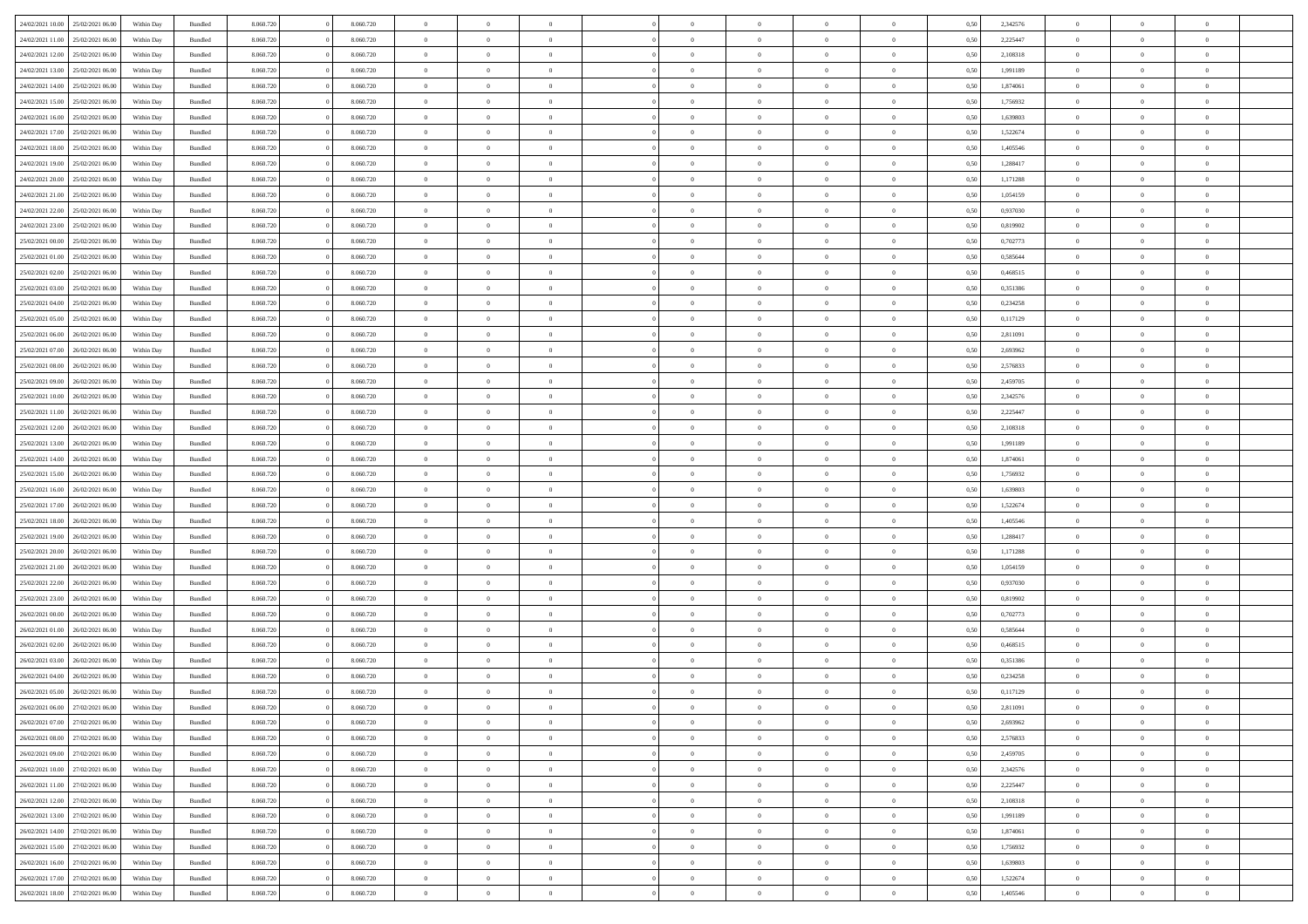| 24/02/2021 10:00                  | 25/02/2021 06:00 | Within Day | Bundled            | 8.060.720 | 8.060.720 | $\overline{0}$ | $\Omega$       |                | $\Omega$       | $\Omega$       | $\Omega$       | $\theta$       | 0.50 | 2,342576 | $\theta$       | $\theta$       | $\theta$       |  |
|-----------------------------------|------------------|------------|--------------------|-----------|-----------|----------------|----------------|----------------|----------------|----------------|----------------|----------------|------|----------|----------------|----------------|----------------|--|
| 24/02/2021 11:00                  | 25/02/2021 06:00 | Within Day | Bundled            | 8.060.720 | 8.060.720 | $\overline{0}$ | $\theta$       | $\overline{0}$ | $\overline{0}$ | $\bf{0}$       | $\overline{0}$ | $\overline{0}$ | 0,50 | 2,225447 | $\theta$       | $\theta$       | $\overline{0}$ |  |
| 24/02/2021 12:00                  | 25/02/2021 06:00 | Within Day | Bundled            | 8.060.720 | 8.060.720 | $\overline{0}$ | $\overline{0}$ | $\overline{0}$ | $\bf{0}$       | $\bf{0}$       | $\bf{0}$       | $\bf{0}$       | 0,50 | 2,108318 | $\bf{0}$       | $\overline{0}$ | $\overline{0}$ |  |
| 24/02/2021 13:00                  | 25/02/2021 06:00 | Within Dav | Bundled            | 8.060.720 | 8.060.720 | $\overline{0}$ | $\overline{0}$ | $\overline{0}$ | $\overline{0}$ | $\bf{0}$       | $\overline{0}$ | $\overline{0}$ | 0.50 | 1.991189 | $\theta$       | $\theta$       | $\overline{0}$ |  |
| 24/02/2021 14:00                  | 25/02/2021 06:00 |            |                    | 8.060.720 | 8.060.720 | $\overline{0}$ | $\theta$       | $\overline{0}$ | $\overline{0}$ | $\bf{0}$       | $\overline{0}$ |                |      | 1,874061 | $\theta$       | $\theta$       | $\overline{0}$ |  |
|                                   |                  | Within Day | Bundled            |           |           |                |                |                |                |                |                | $\bf{0}$       | 0,50 |          |                |                |                |  |
| 24/02/2021 15:00                  | 25/02/2021 06:00 | Within Day | Bundled            | 8.060.720 | 8.060.720 | $\overline{0}$ | $\bf{0}$       | $\overline{0}$ | $\bf{0}$       | $\overline{0}$ | $\overline{0}$ | $\mathbf{0}$   | 0,50 | 1,756932 | $\bf{0}$       | $\overline{0}$ | $\bf{0}$       |  |
| 24/02/2021 16:00                  | 25/02/2021 06:00 | Within Dav | Bundled            | 8.060.720 | 8.060.720 | $\overline{0}$ | $\overline{0}$ | $\overline{0}$ | $\overline{0}$ | $\overline{0}$ | $\overline{0}$ | $\overline{0}$ | 0.50 | 1,639803 | $\theta$       | $\theta$       | $\overline{0}$ |  |
| 24/02/2021 17:00                  | 25/02/2021 06:00 | Within Day | Bundled            | 8.060.720 | 8.060.720 | $\overline{0}$ | $\theta$       | $\overline{0}$ | $\overline{0}$ | $\bf{0}$       | $\overline{0}$ | $\bf{0}$       | 0,50 | 1,522674 | $\theta$       | $\theta$       | $\overline{0}$ |  |
| 24/02/2021 18:00                  | 25/02/2021 06:00 | Within Day | Bundled            | 8.060.720 | 8.060.720 | $\overline{0}$ | $\overline{0}$ | $\overline{0}$ | $\bf{0}$       | $\bf{0}$       | $\bf{0}$       | $\bf{0}$       | 0,50 | 1,405546 | $\,0\,$        | $\overline{0}$ | $\overline{0}$ |  |
| 24/02/2021 19:00                  | 25/02/2021 06:00 | Within Dav | Bundled            | 8.060.720 | 8.060.720 | $\overline{0}$ | $\overline{0}$ | $\overline{0}$ | $\overline{0}$ | $\overline{0}$ | $\overline{0}$ | $\overline{0}$ | 0.50 | 1,288417 | $\theta$       | $\overline{0}$ | $\overline{0}$ |  |
|                                   |                  |            |                    |           |           |                |                |                |                |                |                |                |      |          |                |                |                |  |
| 24/02/2021 20:00                  | 25/02/2021 06:00 | Within Day | Bundled            | 8.060.720 | 8.060.720 | $\overline{0}$ | $\theta$       | $\overline{0}$ | $\overline{0}$ | $\bf{0}$       | $\overline{0}$ | $\bf{0}$       | 0,50 | 1,171288 | $\,$ 0 $\,$    | $\theta$       | $\overline{0}$ |  |
| 24/02/2021 21:00                  | 25/02/2021 06:00 | Within Day | Bundled            | 8.060.720 | 8.060.720 | $\overline{0}$ | $\overline{0}$ | $\overline{0}$ | $\bf{0}$       | $\bf{0}$       | $\bf{0}$       | $\mathbf{0}$   | 0,50 | 1,054159 | $\bf{0}$       | $\overline{0}$ | $\overline{0}$ |  |
| 24/02/2021 22:00                  | 25/02/2021 06:00 | Within Day | Bundled            | 8.060.720 | 8.060.720 | $\overline{0}$ | $\overline{0}$ | $\overline{0}$ | $\overline{0}$ | $\bf{0}$       | $\overline{0}$ | $\overline{0}$ | 0.50 | 0,937030 | $\theta$       | $\theta$       | $\overline{0}$ |  |
| 24/02/2021 23:00                  | 25/02/2021 06:00 | Within Day | Bundled            | 8.060.720 | 8.060.720 | $\overline{0}$ | $\theta$       | $\overline{0}$ | $\overline{0}$ | $\bf{0}$       | $\overline{0}$ | $\bf{0}$       | 0,50 | 0,819902 | $\theta$       | $\theta$       | $\overline{0}$ |  |
| 25/02/2021 00:00                  | 25/02/2021 06:00 | Within Day | Bundled            | 8.060.720 | 8.060.720 | $\overline{0}$ | $\overline{0}$ | $\overline{0}$ | $\bf{0}$       | $\overline{0}$ | $\overline{0}$ | $\mathbf{0}$   | 0,50 | 0,702773 | $\bf{0}$       | $\overline{0}$ | $\bf{0}$       |  |
|                                   |                  |            |                    |           |           |                |                |                |                |                |                |                |      |          |                |                |                |  |
| 25/02/2021 01:00                  | 25/02/2021 06:00 | Within Dav | Bundled            | 8.060.720 | 8.060.720 | $\overline{0}$ | $\overline{0}$ | $\overline{0}$ | $\overline{0}$ | $\overline{0}$ | $\overline{0}$ | $\overline{0}$ | 0.50 | 0.585644 | $\theta$       | $\overline{0}$ | $\overline{0}$ |  |
| 25/02/2021 02:00                  | 25/02/2021 06:00 | Within Day | Bundled            | 8.060.720 | 8.060.720 | $\overline{0}$ | $\theta$       | $\overline{0}$ | $\overline{0}$ | $\bf{0}$       | $\overline{0}$ | $\bf{0}$       | 0,50 | 0,468515 | $\theta$       | $\theta$       | $\overline{0}$ |  |
| 25/02/2021 03:00                  | 25/02/2021 06:00 | Within Day | Bundled            | 8.060.720 | 8.060.720 | $\overline{0}$ | $\overline{0}$ | $\overline{0}$ | $\bf{0}$       | $\bf{0}$       | $\bf{0}$       | $\bf{0}$       | 0,50 | 0,351386 | $\,0\,$        | $\overline{0}$ | $\overline{0}$ |  |
| 25/02/2021 04:00                  | 25/02/2021 06:00 | Within Dav | Bundled            | 8.060.720 | 8.060.720 | $\overline{0}$ | $\overline{0}$ | $\overline{0}$ | $\overline{0}$ | $\overline{0}$ | $\overline{0}$ | $\overline{0}$ | 0.50 | 0,234258 | $\theta$       | $\overline{0}$ | $\overline{0}$ |  |
| 25/02/2021 05:00                  | 25/02/2021 06:00 | Within Day | Bundled            | 8.060.720 | 8.060.720 | $\overline{0}$ | $\theta$       | $\overline{0}$ | $\overline{0}$ | $\bf{0}$       | $\overline{0}$ | $\bf{0}$       | 0,50 | 0,117129 | $\,$ 0 $\,$    | $\theta$       | $\overline{0}$ |  |
| 25/02/2021 06:00                  | 26/02/2021 06:00 | Within Day | Bundled            | 8.060.720 | 8.060.720 | $\overline{0}$ | $\overline{0}$ | $\overline{0}$ | $\bf{0}$       | $\bf{0}$       | $\bf{0}$       | $\bf{0}$       | 0,50 | 2,811091 | $\bf{0}$       | $\overline{0}$ | $\overline{0}$ |  |
|                                   |                  |            |                    |           |           |                |                |                |                |                |                |                |      |          |                |                |                |  |
| 25/02/2021 07:00                  | 26/02/2021 06:00 | Within Day | Bundled            | 8.060.720 | 8.060.720 | $\overline{0}$ | $\overline{0}$ | $\overline{0}$ | $\overline{0}$ | $\bf{0}$       | $\overline{0}$ | $\overline{0}$ | 0.50 | 2,693962 | $\theta$       | $\theta$       | $\overline{0}$ |  |
| 25/02/2021 08:00                  | 26/02/2021 06:00 | Within Day | Bundled            | 8.060.720 | 8.060.720 | $\overline{0}$ | $\theta$       | $\overline{0}$ | $\overline{0}$ | $\bf{0}$       | $\overline{0}$ | $\bf{0}$       | 0,50 | 2,576833 | $\theta$       | $\overline{0}$ | $\overline{0}$ |  |
| 25/02/2021 09:00                  | 26/02/2021 06:00 | Within Day | Bundled            | 8.060.720 | 8.060.720 | $\overline{0}$ | $\bf{0}$       | $\overline{0}$ | $\bf{0}$       | $\overline{0}$ | $\overline{0}$ | $\mathbf{0}$   | 0,50 | 2,459705 | $\overline{0}$ | $\overline{0}$ | $\bf{0}$       |  |
| 25/02/2021 10:00                  | 26/02/2021 06:00 | Within Dav | Bundled            | 8.060.720 | 8.060.720 | $\overline{0}$ | $\overline{0}$ | $\overline{0}$ | $\overline{0}$ | $\overline{0}$ | $\overline{0}$ | $\overline{0}$ | 0.50 | 2,342576 | $\theta$       | $\theta$       | $\overline{0}$ |  |
| 25/02/2021 11:00                  | 26/02/2021 06:00 | Within Day | Bundled            | 8.060.720 | 8.060.720 | $\overline{0}$ | $\theta$       | $\overline{0}$ | $\overline{0}$ | $\bf{0}$       | $\overline{0}$ | $\bf{0}$       | 0,50 | 2,225447 | $\theta$       | $\theta$       | $\overline{0}$ |  |
| 25/02/2021 12:00                  | 26/02/2021 06:00 | Within Day | Bundled            | 8.060.720 | 8.060.720 | $\overline{0}$ | $\overline{0}$ | $\overline{0}$ | $\bf{0}$       | $\bf{0}$       | $\bf{0}$       | $\bf{0}$       | 0,50 | 2,108318 | $\,0\,$        | $\overline{0}$ | $\overline{0}$ |  |
|                                   |                  |            |                    |           |           |                |                |                |                | $\overline{0}$ |                |                |      |          | $\theta$       | $\overline{0}$ | $\overline{0}$ |  |
| 25/02/2021 13:00                  | 26/02/2021 06:00 | Within Day | Bundled            | 8.060.720 | 8.060.720 | $\overline{0}$ | $\overline{0}$ | $\overline{0}$ | $\overline{0}$ |                | $\overline{0}$ | $\overline{0}$ | 0.50 | 1,991189 |                |                |                |  |
| 25/02/2021 14:00                  | 26/02/2021 06:00 | Within Day | Bundled            | 8.060.720 | 8.060.720 | $\overline{0}$ | $\theta$       | $\overline{0}$ | $\overline{0}$ | $\bf{0}$       | $\overline{0}$ | $\bf{0}$       | 0,50 | 1,874061 | $\,$ 0 $\,$    | $\overline{0}$ | $\overline{0}$ |  |
| 25/02/2021 15:00                  | 26/02/2021 06:00 | Within Day | Bundled            | 8.060.720 | 8.060.720 | $\overline{0}$ | $\overline{0}$ | $\overline{0}$ | $\bf{0}$       | $\bf{0}$       | $\bf{0}$       | $\bf{0}$       | 0,50 | 1,756932 | $\overline{0}$ | $\overline{0}$ | $\overline{0}$ |  |
| 25/02/2021 16:00                  | 26/02/2021 06:00 | Within Day | Bundled            | 8.060.720 | 8.060.720 | $\overline{0}$ | $\Omega$       | $\Omega$       | $\Omega$       | $\Omega$       | $\Omega$       | $\overline{0}$ | 0.50 | 1,639803 | $\,0\,$        | $\theta$       | $\theta$       |  |
| 25/02/2021 17:00                  | 26/02/2021 06:00 | Within Day | Bundled            | 8.060.720 | 8.060.720 | $\overline{0}$ | $\theta$       | $\overline{0}$ | $\overline{0}$ | $\bf{0}$       | $\overline{0}$ | $\bf{0}$       | 0,50 | 1,522674 | $\theta$       | $\theta$       | $\overline{0}$ |  |
| 25/02/2021 18:00                  | 26/02/2021 06:00 | Within Day | Bundled            | 8.060.720 | 8.060.720 | $\overline{0}$ | $\overline{0}$ | $\overline{0}$ | $\bf{0}$       | $\bf{0}$       | $\overline{0}$ | $\mathbf{0}$   | 0,50 | 1,405546 | $\overline{0}$ | $\overline{0}$ | $\bf{0}$       |  |
|                                   | 26/02/2021 06:00 |            |                    |           |           | $\overline{0}$ | $\Omega$       | $\Omega$       | $\Omega$       | $\bf{0}$       | $\overline{0}$ | $\overline{0}$ | 0.50 |          | $\theta$       | $\theta$       | $\theta$       |  |
| 25/02/2021 19:00                  |                  | Within Day | Bundled            | 8.060.720 | 8.060.720 |                |                |                |                |                |                |                |      | 1,288417 |                |                |                |  |
| 25/02/2021 20:00                  | 26/02/2021 06:00 | Within Day | Bundled            | 8.060.720 | 8.060.720 | $\overline{0}$ | $\theta$       | $\overline{0}$ | $\overline{0}$ | $\bf{0}$       | $\overline{0}$ | $\bf{0}$       | 0,50 | 1,171288 | $\,$ 0 $\,$    | $\theta$       | $\overline{0}$ |  |
| 25/02/2021 21:00                  | 26/02/2021 06:00 | Within Day | Bundled            | 8.060.720 | 8.060.720 | $\overline{0}$ | $\overline{0}$ | $\overline{0}$ | $\bf{0}$       | $\bf{0}$       | $\bf{0}$       | $\bf{0}$       | 0,50 | 1,054159 | $\bf{0}$       | $\overline{0}$ | $\overline{0}$ |  |
| 25/02/2021 22:00                  | 26/02/2021 06:00 | Within Day | Bundled            | 8.060.720 | 8.060.720 | $\overline{0}$ | $\Omega$       | $\Omega$       | $\Omega$       | $\theta$       | $\theta$       | $\overline{0}$ | 0.50 | 0.937030 | $\theta$       | $\theta$       | $\theta$       |  |
| 25/02/2021 23:00                  | 26/02/2021 06:00 | Within Day | Bundled            | 8.060.720 | 8.060.720 | $\overline{0}$ | $\theta$       | $\overline{0}$ | $\overline{0}$ | $\bf{0}$       | $\overline{0}$ | $\bf{0}$       | 0,50 | 0,819902 | $\,$ 0 $\,$    | $\overline{0}$ | $\overline{0}$ |  |
| 26/02/2021 00:00                  | 26/02/2021 06:00 | Within Day | Bundled            | 8.060.720 | 8.060.720 | $\overline{0}$ | $\overline{0}$ | $\overline{0}$ | $\bf{0}$       | $\bf{0}$       | $\bf{0}$       | $\bf{0}$       | 0,50 | 0,702773 | $\bf{0}$       | $\overline{0}$ | $\overline{0}$ |  |
|                                   |                  |            |                    |           |           |                |                |                |                |                |                |                |      |          |                |                |                |  |
| 26/02/2021 01:00                  | 26/02/2021 06:00 | Within Day | Bundled            | 8.060.720 | 8.060.720 | $\overline{0}$ | $\Omega$       | $\Omega$       | $\Omega$       | $\Omega$       | $\overline{0}$ | $\overline{0}$ | 0.50 | 0,585644 | $\,0\,$        | $\theta$       | $\theta$       |  |
| 26/02/2021 02:00                  | 26/02/2021 06:00 | Within Day | Bundled            | 8.060.720 | 8.060.720 | $\overline{0}$ | $\theta$       | $\overline{0}$ | $\overline{0}$ | $\bf{0}$       | $\overline{0}$ | $\bf{0}$       | 0,50 | 0,468515 | $\,$ 0 $\,$    | $\overline{0}$ | $\overline{0}$ |  |
| 26/02/2021 03:00                  | 26/02/2021 06:00 | Within Day | Bundled            | 8.060.720 | 8.060.720 | $\overline{0}$ | $\overline{0}$ | $\overline{0}$ | $\bf{0}$       | $\bf{0}$       | $\bf{0}$       | $\mathbf{0}$   | 0,50 | 0,351386 | $\bf{0}$       | $\overline{0}$ | $\bf{0}$       |  |
| 26/02/2021 04:00                  | 26/02/2021 06:00 | Within Day | Bundled            | 8.060.720 | 8.060.720 | $\overline{0}$ | $\Omega$       | $\Omega$       | $\Omega$       | $\Omega$       | $\Omega$       | $\overline{0}$ | 0.50 | 0,234258 | $\theta$       | $\theta$       | $\theta$       |  |
| 26/02/2021 05:00                  | 26/02/2021 06:00 | Within Day | Bundled            | 8.060.720 | 8.060.720 | $\overline{0}$ | $\overline{0}$ | $\overline{0}$ | $\bf{0}$       | $\,$ 0         | $\bf{0}$       | $\bf{0}$       | 0,50 | 0,117129 | $\,0\,$        | $\overline{0}$ | $\overline{0}$ |  |
| 26/02/2021 06:00                  | 27/02/2021 06:00 | Within Day | $\mathbf B$ undled | 8.060.720 | 8.060.720 | $\bf{0}$       | $\bf{0}$       |                |                | $\bf{0}$       |                |                | 0,50 | 2,811091 | $\bf{0}$       | $\overline{0}$ |                |  |
| 26/02/2021 07:00                  | 27/02/2021 06:00 | Within Day | Bundled            | 8.060.720 | 8.060.720 | $\overline{0}$ | $\overline{0}$ | $\overline{0}$ | $\Omega$       | $\overline{0}$ | $\overline{0}$ | $\overline{0}$ | 0.50 | 2,693962 | $\theta$       | $\theta$       | $\theta$       |  |
|                                   |                  |            |                    |           |           |                |                |                |                |                |                |                |      |          |                |                |                |  |
| 26/02/2021 08:00                  | 27/02/2021 06.00 | Within Day | Bundled            | 8.060.720 | 8.060.720 | $\overline{0}$ | $\,$ 0         | $\overline{0}$ | $\bf{0}$       | $\,$ 0 $\,$    | $\overline{0}$ | $\mathbf{0}$   | 0,50 | 2,576833 | $\,$ 0 $\,$    | $\,$ 0 $\,$    | $\,$ 0         |  |
| 26/02/2021 09:00                  | 27/02/2021 06:00 | Within Day | Bundled            | 8.060.720 | 8.060.720 | $\overline{0}$ | $\overline{0}$ | $\overline{0}$ | $\overline{0}$ | $\overline{0}$ | $\overline{0}$ | $\mathbf{0}$   | 0,50 | 2,459705 | $\overline{0}$ | $\bf{0}$       | $\bf{0}$       |  |
| 26/02/2021 10:00                  | 27/02/2021 06:00 | Within Day | Bundled            | 8.060.720 | 8.060.720 | $\overline{0}$ | $\overline{0}$ | $\overline{0}$ | $\Omega$       | $\overline{0}$ | $\overline{0}$ | $\overline{0}$ | 0,50 | 2,342576 | $\overline{0}$ | $\theta$       | $\overline{0}$ |  |
| 26/02/2021 11:00                  | 27/02/2021 06.00 | Within Day | Bundled            | 8.060.720 | 8.060.720 | $\overline{0}$ | $\,$ 0         | $\overline{0}$ | $\overline{0}$ | $\,$ 0 $\,$    | $\overline{0}$ | $\mathbf{0}$   | 0,50 | 2,225447 | $\,$ 0 $\,$    | $\overline{0}$ | $\overline{0}$ |  |
| 26/02/2021 12:00                  | 27/02/2021 06:00 | Within Day | Bundled            | 8.060.720 | 8.060.720 | $\overline{0}$ | $\overline{0}$ | $\overline{0}$ | $\overline{0}$ | $\overline{0}$ | $\overline{0}$ | $\mathbf{0}$   | 0,50 | 2,108318 | $\overline{0}$ | $\overline{0}$ | $\bf{0}$       |  |
| 26/02/2021 13:00                  | 27/02/2021 06:00 | Within Day | Bundled            | 8.060.720 | 8.060.720 | $\overline{0}$ | $\overline{0}$ | $\overline{0}$ | $\Omega$       | $\overline{0}$ | $\overline{0}$ | $\bf{0}$       | 0.50 | 1,991189 | $\overline{0}$ | $\theta$       | $\overline{0}$ |  |
| 26/02/2021 14:00                  | 27/02/2021 06.00 | Within Day | Bundled            | 8.060.720 | 8.060.720 | $\overline{0}$ | $\,$ 0         | $\overline{0}$ | $\bf{0}$       | $\bf{0}$       | $\bf{0}$       | $\bf{0}$       | 0,50 | 1,874061 | $\,$ 0 $\,$    | $\overline{0}$ | $\overline{0}$ |  |
|                                   |                  |            |                    |           |           |                |                |                |                |                |                |                |      |          |                |                |                |  |
| 26/02/2021 15:00                  | 27/02/2021 06:00 | Within Day | Bundled            | 8.060.720 | 8.060.720 | $\overline{0}$ | $\bf{0}$       | $\overline{0}$ | $\overline{0}$ | $\overline{0}$ | $\overline{0}$ | $\mathbf{0}$   | 0,50 | 1,756932 | $\overline{0}$ | $\overline{0}$ | $\bf{0}$       |  |
| 26/02/2021 16:00                  | 27/02/2021 06:00 | Within Day | Bundled            | 8.060.720 | 8.060.720 | $\overline{0}$ | $\overline{0}$ | $\overline{0}$ | $\Omega$       | $\overline{0}$ | $\overline{0}$ | $\overline{0}$ | 0.50 | 1,639803 | $\overline{0}$ | $\overline{0}$ | $\overline{0}$ |  |
| 26/02/2021 17:00                  | 27/02/2021 06.00 | Within Day | Bundled            | 8.060.720 | 8.060.720 | $\overline{0}$ | $\bf{0}$       | $\overline{0}$ | $\overline{0}$ | $\bf{0}$       | $\bf{0}$       | $\mathbf{0}$   | 0,50 | 1,522674 | $\,$ 0 $\,$    | $\,$ 0 $\,$    | $\bf{0}$       |  |
| 26/02/2021 18:00 27/02/2021 06:00 |                  | Within Day | Bundled            | 8.060.720 | 8.060.720 | $\overline{0}$ | $\overline{0}$ | $\overline{0}$ | $\overline{0}$ | $\overline{0}$ | $\bf{0}$       | $\mathbf{0}$   | 0,50 | 1,405546 | $\overline{0}$ | $\bf{0}$       | $\bf{0}$       |  |
|                                   |                  |            |                    |           |           |                |                |                |                |                |                |                |      |          |                |                |                |  |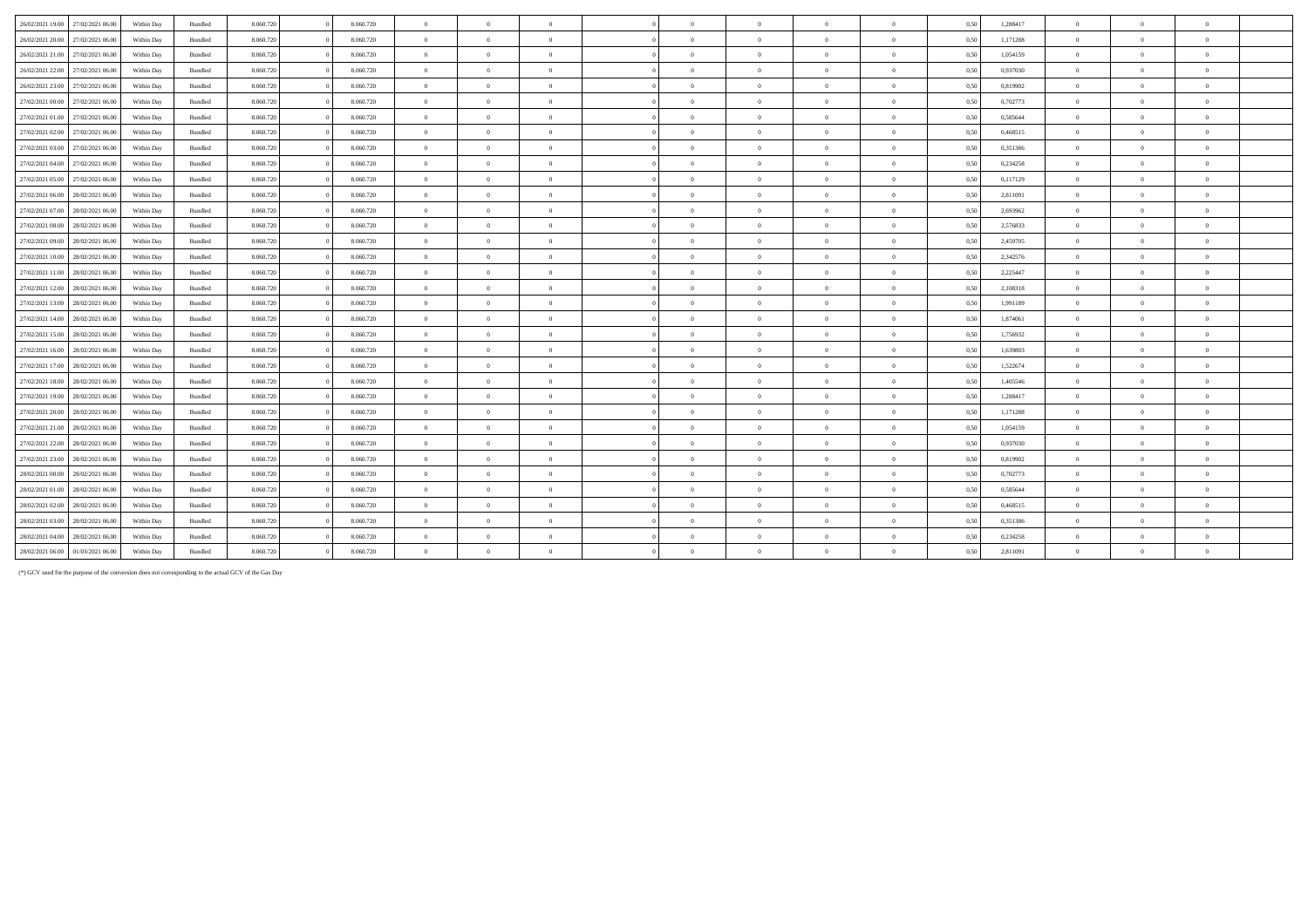| 26/02/2021 19:00<br>27/02/2021 06:00 | Within Day | Bundled | 8.060.720 | 8.060.720 | $\overline{0}$ | $\Omega$       | $\overline{0}$ | $\sqrt{2}$     | $\overline{0}$ | $\theta$       | $\theta$       | 0,50 | 1,288417 | $\overline{0}$ |                |              |  |
|--------------------------------------|------------|---------|-----------|-----------|----------------|----------------|----------------|----------------|----------------|----------------|----------------|------|----------|----------------|----------------|--------------|--|
| 27/02/2021 06:00<br>26/02/2021 20:00 | Within Day | Bundled | 8.060.720 | 8.060.720 | $\overline{0}$ | $\overline{0}$ | $\overline{0}$ | $\overline{0}$ | $\mathbf{0}$   | $\Omega$       | $\overline{0}$ | 0,50 | 1,171288 | $\overline{0}$ | $\Omega$       | $\theta$     |  |
| 26/02/2021 21:00<br>27/02/2021 06:00 | Within Day | Bundled | 8.060.720 | 8.060.720 | $\overline{0}$ | $\Omega$       | $\Omega$       | $\sqrt{2}$     | $\theta$       | $\Omega$       | $\mathbf{a}$   | 0,50 | 1,054159 | $\overline{0}$ |                |              |  |
| 26/02/2021 22:00<br>27/02/2021 06:00 | Within Day | Bundled | 8.060.720 | 8.060.720 | $\overline{0}$ | $\overline{0}$ | $\Omega$       | $\theta$       | $\overline{0}$ | $\theta$       | $\theta$       | 0,50 | 0,937030 | $\overline{0}$ |                | $\theta$     |  |
| 26/02/2021 23:00<br>27/02/2021 06:00 | Within Day | Bundled | 8.060.720 | 8.060.720 | $\overline{0}$ | $\overline{0}$ | $\overline{0}$ | $\sqrt{2}$     | $\overline{0}$ | $\overline{0}$ | $\theta$       | 0,50 | 0,819902 | $\overline{0}$ | $\Omega$       | $\sqrt{ }$   |  |
| 27/02/2021 00:00<br>27/02/2021 06.00 | Within Day | Bundled | 8.060.720 | 8.060.720 | $\overline{0}$ | $\overline{0}$ | $\overline{0}$ | $\Omega$       | $\overline{0}$ | $\overline{0}$ | $\overline{0}$ | 0,50 | 0,702773 | $\overline{0}$ | $\overline{0}$ | $\theta$     |  |
| 27/02/2021 01:00<br>27/02/2021 06:00 | Within Day | Bundled | 8.060.720 | 8.060.720 | $\overline{0}$ | $\theta$       | $\overline{0}$ | $\Omega$       | $\theta$       | $\Omega$       | $\overline{0}$ | 0.50 | 0,585644 | $\overline{0}$ | $\Omega$       | $\theta$     |  |
| 27/02/2021 02:00<br>27/02/2021 06:00 | Within Day | Bundled | 8.060.720 | 8.060.720 | $\overline{0}$ | $\overline{0}$ | $\overline{0}$ | $\sqrt{2}$     | $\overline{0}$ | $\theta$       | $\theta$       | 0,50 | 0,468515 | $\overline{0}$ | $^{\circ}$     |              |  |
| 27/02/2021 03:00<br>27/02/2021 06:00 | Within Day | Bundled | 8.060.720 | 8.060.720 | $\overline{0}$ | $\Omega$       | $\overline{0}$ | $\Omega$       | $\theta$       | $\Omega$       | $\theta$       | 0,50 | 0,351386 | $\overline{0}$ | $\Omega$       |              |  |
| 27/02/2021 04:00<br>27/02/2021 06:00 | Within Day | Bundled | 8.060.720 | 8.060.720 | $\overline{0}$ | $\overline{0}$ | $\overline{0}$ | $\Omega$       | $\overline{0}$ | $\overline{0}$ | $\overline{0}$ | 0,50 | 0,234258 | $\overline{0}$ | $\Omega$       |              |  |
| 27/02/2021 05:00<br>27/02/2021 06:00 | Within Day | Bundled | 8.060.720 | 8.060.720 | $\overline{0}$ | $\overline{0}$ | $\overline{0}$ | $\Omega$       | $\overline{0}$ | $\overline{0}$ | $\theta$       | 0,50 | 0,117129 | $\overline{0}$ | $\Omega$       | $\theta$     |  |
| 27/02/2021 06:00<br>28/02/2021 06:00 | Within Day | Bundled | 8.060.720 | 8.060.720 | $\overline{0}$ | $\overline{0}$ | $\Omega$       | $\sqrt{2}$     | $\overline{0}$ | $\theta$       | $\mathbf{a}$   | 0,50 | 2,811091 | $\overline{0}$ | $\Omega$       |              |  |
| 27/02/2021 07:00<br>28/02/2021 06:00 | Within Day | Bundled | 8.060.720 | 8.060.720 | $\overline{0}$ | $\overline{0}$ | $\Omega$       | $\sqrt{2}$     | $\bf{0}$       | $\overline{0}$ | $\theta$       | 0,50 | 2,693962 | $\overline{0}$ | $\Omega$       | $\sqrt{2}$   |  |
| 27/02/2021 08:00<br>28/02/2021 06:00 | Within Day | Bundled | 8.060.720 | 8.060.720 | $\overline{0}$ | $\theta$       | $\overline{0}$ | $\sqrt{2}$     | $\theta$       | $\Omega$       | $\theta$       | 0,50 | 2,576833 | $\overline{0}$ | $\Omega$       |              |  |
| 27/02/2021 09:00<br>28/02/2021 06:00 | Within Day | Bundled | 8.060.720 | 8.060.720 | $\overline{0}$ | $\overline{0}$ | $\overline{0}$ | $\theta$       | $\bf{0}$       | $\overline{0}$ | $\overline{0}$ | 0.50 | 2,459705 | $\overline{0}$ | $\overline{0}$ | $\theta$     |  |
| 27/02/2021 10:00<br>28/02/2021 06:00 | Within Day | Bundled | 8.060.720 | 8.060.720 | $\overline{0}$ | $\overline{0}$ | $\overline{0}$ | $\Omega$       | $\overline{0}$ | $\overline{0}$ | $\overline{0}$ | 0,50 | 2,342576 | $\overline{0}$ | $\overline{0}$ | $\theta$     |  |
| 27/02/2021 11:00<br>28/02/2021 06:00 | Within Day | Bundled | 8.060.720 | 8.060.720 | $\overline{0}$ | $\overline{0}$ | $\overline{0}$ | $\sqrt{2}$     | $\bf{0}$       | $\theta$       | $\theta$       | 0,50 | 2,225447 | $\overline{0}$ | $^{\circ}$     | $\sqrt{ }$   |  |
| 27/02/2021 12:00<br>28/02/2021 06:00 | Within Day | Bundled | 8.060.720 | 8.060.720 | $\overline{0}$ | $\overline{0}$ | $\overline{0}$ | $\theta$       | $\overline{0}$ | $\theta$       | $\theta$       | 0.50 | 2,108318 | $\overline{0}$ | $\Omega$       |              |  |
| 27/02/2021 13:00<br>28/02/2021 06:00 | Within Day | Bundled | 8.060.720 | 8.060.720 | $\overline{0}$ | $\theta$       | $\overline{0}$ | $\Omega$       | $\theta$       | $\Omega$       | $\theta$       | 0,50 | 1,991189 | $\overline{0}$ | $\Omega$       | $\sqrt{2}$   |  |
| 27/02/2021 14:00<br>28/02/2021 06:00 | Within Day | Bundled | 8.060.720 | 8.060.720 | $\overline{0}$ | $\overline{0}$ | $\overline{0}$ | $\theta$       | $\bf{0}$       | $\overline{0}$ | $\overline{0}$ | 0,50 | 1,874061 | $\overline{0}$ | $\overline{0}$ | $\mathbf{a}$ |  |
| 27/02/2021 15:00<br>28/02/2021 06:00 | Within Day | Bundled | 8.060.720 | 8.060.720 | $\overline{0}$ | $\theta$       | $\Omega$       | $\theta$       | $\theta$       | $\Omega$       | $\theta$       | 0.50 | 1.756932 | $\overline{0}$ | $\Omega$       |              |  |
| 27/02/2021 16:00<br>28/02/2021 06:00 | Within Day | Bundled | 8.060.720 | 8.060.720 | $\overline{0}$ | $\Omega$       | $\Omega$       | $\sqrt{2}$     | $\theta$       | $\Omega$       | $\mathbf{a}$   | 0,50 | 1,639803 | $\overline{0}$ | $\Omega$       | $\sqrt{ }$   |  |
| 27/02/2021 17:00<br>28/02/2021 06:00 | Within Day | Bundled | 8.060.720 | 8.060.720 | $\overline{0}$ | $\overline{0}$ | $\overline{0}$ |                | $\overline{0}$ | $\theta$       | $\Omega$       | 0.50 | 1,522674 | $\overline{0}$ |                |              |  |
| 27/02/2021 18:00<br>28/02/2021 06:00 | Within Day | Bundled | 8.060.720 | 8.060.720 | $\overline{0}$ | $\overline{0}$ | $\overline{0}$ | $\sqrt{2}$     | $\bf{0}$       | $\overline{0}$ | $\overline{0}$ | 0,50 | 1,405546 | $\overline{0}$ | $\Omega$       | $\theta$     |  |
| 27/02/2021 19:00<br>28/02/2021 06:00 | Within Day | Bundled | 8.060.720 | 8.060.720 | $\overline{0}$ | $\overline{0}$ | $\overline{0}$ | $\overline{0}$ | $\bf{0}$       | $\overline{0}$ | $\overline{0}$ | 0,50 | 1,288417 | $\overline{0}$ | $\overline{0}$ | $\bf{0}$     |  |
| 27/02/2021 20:00<br>28/02/2021 06:00 | Within Day | Bundled | 8.060.720 | 8.060.720 | $\overline{0}$ | $\overline{0}$ | $\overline{0}$ | $\theta$       | $\bf{0}$       | $\overline{0}$ | $\Omega$       | 0.50 | 1,171288 | $\overline{0}$ | $\Omega$       | $\theta$     |  |
| 27/02/2021 21:00<br>28/02/2021 06:00 | Within Day | Bundled | 8.060.720 | 8.060.720 | $\overline{0}$ | $\overline{0}$ | $\overline{0}$ | $\theta$       | $\bf{0}$       | $\overline{0}$ | $\overline{0}$ | 0,50 | 1,054159 | $\overline{0}$ | $\Omega$       |              |  |
| 27/02/2021 22:00<br>28/02/2021 06:00 | Within Dav | Bundled | 8.060.720 | 8.060.720 | $\overline{0}$ | $\overline{0}$ | $\overline{0}$ | $\theta$       | $\overline{0}$ | $\theta$       | $\overline{0}$ | 0.50 | 0.937030 | $\overline{0}$ | $\Omega$       |              |  |
| 27/02/2021 23:00<br>28/02/2021 06:00 | Within Day | Bundled | 8.060.720 | 8.060.720 | $\overline{0}$ | $\overline{0}$ | $\overline{0}$ | $\sqrt{2}$     | $\overline{0}$ | $\overline{0}$ | $\overline{0}$ | 0,50 | 0,819902 | $\overline{0}$ | $\Omega$       | $\sqrt{2}$   |  |
| 28/02/2021 00:00<br>28/02/2021 06:00 | Within Day | Bundled | 8.060.720 | 8.060.720 | $\overline{0}$ | $\theta$       | $\overline{0}$ | $\overline{0}$ | $\theta$       | $\Omega$       | $\overline{0}$ | 0.50 | 0.702773 | $\overline{0}$ | $\Omega$       | $\theta$     |  |
| 28/02/2021 01:00<br>28/02/2021 06:00 | Within Day | Bundled | 8.060.720 | 8.060.720 | $\overline{0}$ | $\Omega$       | $\Omega$       | $\Omega$       | $\theta$       | $\Omega$       | $\mathbf{a}$   | 0,50 | 0,585644 | $\overline{0}$ | $\Omega$       |              |  |
| 28/02/2021 02:00<br>28/02/2021 06:00 | Within Day | Bundled | 8.060.720 | 8.060.720 | $\overline{0}$ | $\overline{0}$ | $\Omega$       | $\sqrt{2}$     | $\overline{0}$ | $\overline{0}$ | $\theta$       | 0,50 | 0,468515 | $\overline{0}$ |                |              |  |
| 28/02/2021 03:00<br>28/02/2021 06:00 | Within Day | Bundled | 8.060.720 | 8.060.720 | $\theta$       | $\theta$       | $\Omega$       | $\sqrt{2}$     | $\theta$       | $\Omega$       | $\theta$       | 0,50 | 0,351386 | $\overline{0}$ | $\Omega$       |              |  |
| 28/02/2021 04:00<br>28/02/2021 06:00 | Within Day | Bundled | 8.060.720 | 8.060.720 | $\overline{0}$ | $\Omega$       | $\Omega$       | $\Omega$       | $\theta$       | $\Omega$       | $\theta$       | 0,50 | 0,234258 | $\overline{0}$ | $\Omega$       |              |  |
| 28/02/2021 06:00<br>01/03/2021 06:00 | Within Day | Bundled | 8.060.720 | 8.060.720 | $\overline{0}$ | $\Omega$       | $\Omega$       | $\Omega$       | $\Omega$       | $\Omega$       |                | 0.50 | 2.811091 | $\overline{0}$ | $\Omega$       |              |  |

(\*) GCV used for the purpose of the conversion does not corresponding to the actual GCV of the Gas Day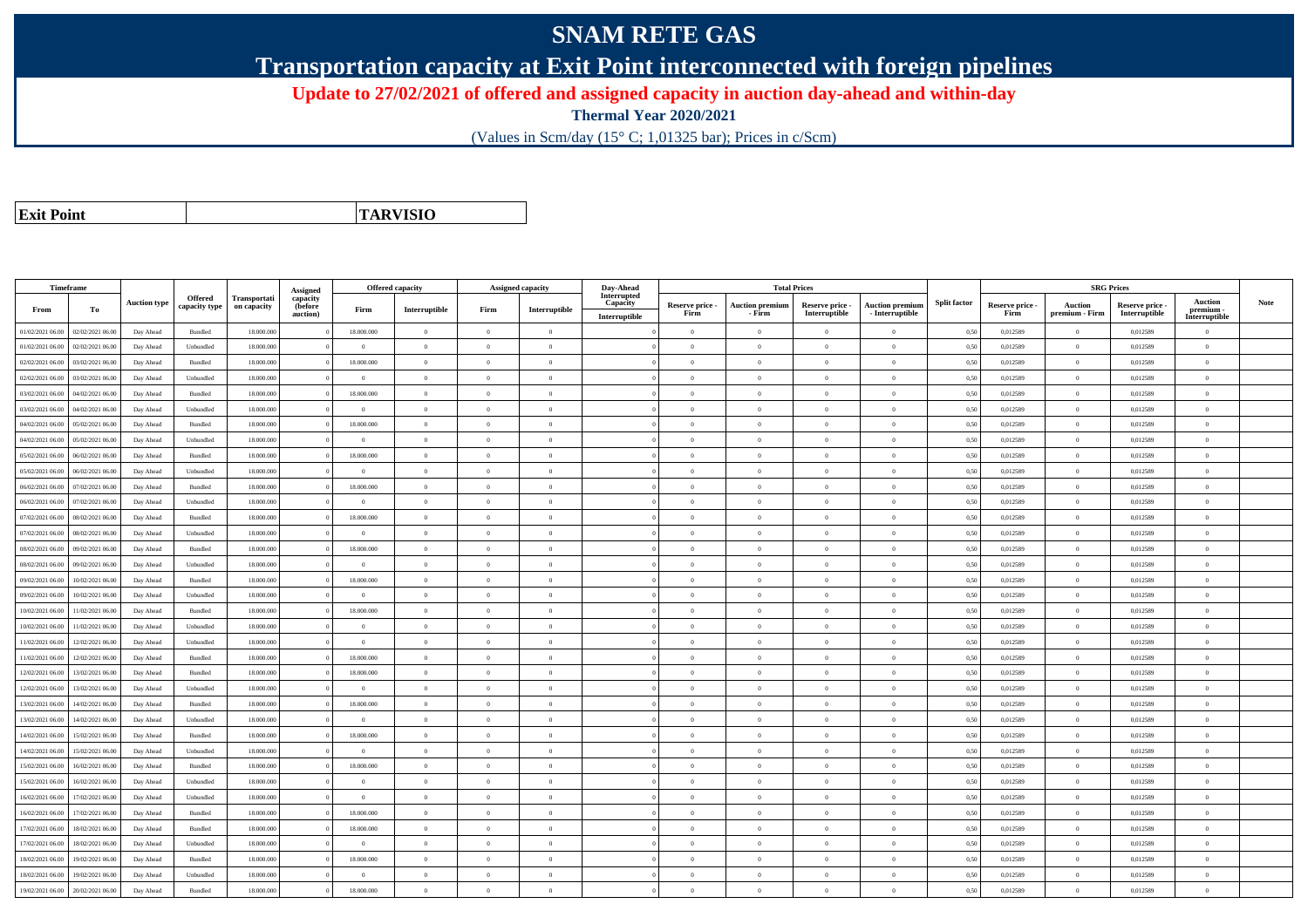## **SNAM RETE GAS**

**Transportation capacity at Exit Point interconnected with foreign pipelines**

**Update to 27/02/2021 of offered and assigned capacity in auction day-ahead and within-day**

**Thermal Year 2020/2021**

(Values in Scm/day (15° C; 1,01325 bar); Prices in c/Scm)

| <b>Exit Point</b> |
|-------------------|

**TARVISIO**

|                  | Timeframe        |                     |                          |                             |                                 | <b>Offered capacity</b> |                |                | <b>Assigned capacity</b> | Day-Ahead               |                 | <b>Total Prices</b>    |                 |                        |                     |                 | <b>SRG Prices</b>                |               |                             |      |
|------------------|------------------|---------------------|--------------------------|-----------------------------|---------------------------------|-------------------------|----------------|----------------|--------------------------|-------------------------|-----------------|------------------------|-----------------|------------------------|---------------------|-----------------|----------------------------------|---------------|-----------------------------|------|
| From             | To               | <b>Auction type</b> | Offered<br>capacity type | Transportati<br>on capacity | Assigned<br>capacity<br>(before | Firm                    | Interruptible  | Firm           | Interruptible            | Interrupted<br>Capacity | Reserve price - | <b>Auction premium</b> | Reserve price - | <b>Auction premium</b> | <b>Split factor</b> | Reserve price - | <b>Auction</b>                   | Reserve price | <b>Auction</b><br>premium - | Note |
|                  |                  |                     |                          |                             | auction)                        |                         | $\overline{0}$ |                |                          | Interruptible           | Firm            | - Firm<br>$\theta$     | Interruptible   | $-$ Interruptible      |                     | Firm            | premium - Firm<br>$\overline{0}$ | Interruptible | Interruptible               |      |
| 01/02/2021 06:00 | 02/02/2021 06:00 | Day Ahead           | Bundled                  | 18.000.000                  |                                 | 18.000.000              |                | $\overline{0}$ | $\overline{0}$           |                         | $\theta$        |                        | $\overline{0}$  | $\mathbf{0}$           | 0,50                | 0,012589        |                                  | 0,012589      | $\bf{0}$                    |      |
| 01/02/2021 06:00 | 02/02/2021 06:00 | Day Ahead           | Unbundled                | 18.000.000                  |                                 | $\Omega$                | $\overline{0}$ | $\Omega$       | $\Omega$                 |                         | $\Omega$        | $\theta$               | $\overline{0}$  | $\mathbf{0}$           | 0,50                | 0,012589        | $\overline{0}$                   | 0,012589      | $\bf{0}$                    |      |
| 02/02/2021 06:00 | 03/02/2021 06.00 | Day Ahead           | Bundled                  | 18.000.000                  |                                 | 18.000.000              | $\mathbf{0}$   | $\Omega$       | $\Omega$                 |                         | $\Omega$        |                        | $\Omega$        | $\theta$               | 0,50                | 0,012589        | $\overline{0}$                   | 0,012589      | $\Omega$                    |      |
| 02/02/2021 06:00 | 03/02/2021 06:00 | Day Ahead           | Unbundled                | 18,000,000                  |                                 | $\theta$                | $\overline{0}$ | $\overline{0}$ | $\Omega$                 |                         | $\Omega$        | $\overline{0}$         | $\overline{0}$  | $\Omega$               | 0,50                | 0,012589        | $\overline{0}$                   | 0.012589      | $\theta$                    |      |
| 03/02/2021 06:00 | 04/02/2021 06:00 | Day Ahead           | Bundled                  | 18.000.000                  |                                 | 18.000.000              | $\overline{0}$ | $\Omega$       | $\theta$                 |                         | $\theta$        | $\theta$               | $\overline{0}$  | $\mathbf{0}$           | 0,50                | 0,012589        | $\overline{0}$                   | 0,012589      | $\Omega$                    |      |
| 03/02/2021 06:00 | 04/02/2021 06:00 | Day Ahead           | Unbundled                | 18,000,000                  |                                 | $\theta$                | $\theta$       | $\Omega$       | $\theta$                 |                         | $\theta$        | $\theta$               | $\Omega$        | $\theta$               | 0.50                | 0.012589        | $\overline{0}$                   | 0.012589      | $\theta$                    |      |
| 04/02/2021 06:00 | 05/02/2021 06:00 | Day Ahead           | Bundled                  | 18.000.000                  |                                 | 18.000.000              | $\overline{0}$ | $\Omega$       | $\Omega$                 |                         | $\Omega$        | $\theta$               | $\overline{0}$  | $\overline{0}$         | 0,50                | 0,012589        | $\overline{0}$                   | 0,012589      | $\Omega$                    |      |
| 04/02/2021 06:00 | 05/02/2021 06.0  | Day Ahead           | Unbundled                | 18.000.000                  |                                 | $\Omega$                | $\overline{0}$ | $\overline{0}$ | $\theta$                 |                         | $\theta$        | $\theta$               | $\overline{0}$  | $\mathbf{0}$           | 0,50                | 0,012589        | $\overline{0}$                   | 0,012589      | $\bf{0}$                    |      |
| 05/02/2021 06:00 | 06/02/2021 06:00 | Day Ahead           | <b>Bundled</b>           | 18,000,000                  |                                 | 18,000,000              | $\Omega$       | $\Omega$       | $\theta$                 |                         | $\theta$        | $\mathbf{a}$           | $\Omega$        | $\Omega$               | 0,50                | 0,012589        | $\Omega$                         | 0,012589      | $\Omega$                    |      |
| 05/02/2021 06:00 | 06/02/2021 06.0  | Day Ahead           | Unbundled                | 18.000.000                  |                                 | $\theta$                | $\overline{0}$ | $\Omega$       | $\theta$                 |                         | $\Omega$        | $\sqrt{2}$             | $\Omega$        | $\Omega$               | 0,50                | 0,012589        | $\overline{0}$                   | 0,012589      | $\Omega$                    |      |
| 06/02/2021 06:00 | 07/02/2021 06.00 | Day Ahead           | Bundled                  | 18.000.000                  |                                 | 18.000.000              | $\overline{0}$ | $\Omega$       | $\theta$                 |                         | $\theta$        | $\theta$               | $\overline{0}$  | $\mathbf{0}$           | 0,50                | 0,012589        | $\overline{0}$                   | 0,012589      | $\theta$                    |      |
| 06/02/2021 06:00 | 07/02/2021 06:00 | Day Ahead           | Unbundled                | 18,000,000                  |                                 | $\theta$                | $\overline{0}$ | $\Omega$       | $\Omega$                 |                         | $\Omega$        | $\sim$                 | $\overline{0}$  | $\overline{0}$         | 0.50                | 0.012589        | $\overline{0}$                   | 0.012589      | $\theta$                    |      |
| 07/02/2021 06:00 | 08/02/2021 06.0  | Day Ahead           | Bundled                  | 18.000.000                  |                                 | 18.000.000              | $\overline{0}$ | $\Omega$       | $\theta$                 |                         | $\theta$        | $\theta$               | $\overline{0}$  | $\theta$               | 0,50                | 0,012589        | $\overline{0}$                   | 0,012589      | $\theta$                    |      |
| 07/02/2021 06:00 | 08/02/2021 06:00 | Day Ahead           | Unbundled                | 18.000.000                  |                                 | $\overline{0}$          | $\overline{0}$ | $\overline{0}$ | $\theta$                 |                         | $\overline{0}$  | $\theta$               | $\overline{0}$  | $\mathbf{0}$           | 0,50                | 0,012589        | $\overline{0}$                   | 0,012589      | $\bf{0}$                    |      |
| 08/02/2021 06:00 | 09/02/2021 06.00 | Day Ahead           | Bundled                  | 18.000.000                  |                                 | 18.000.000              | $\overline{0}$ | $\Omega$       | $\Omega$                 |                         | $\theta$        | $\mathbf{a}$           | $\overline{0}$  | $\Omega$               | 0,50                | 0,012589        | $\,$ 0 $\,$                      | 0,012589      | $\Omega$                    |      |
| 08/02/2021 06:00 | 09/02/2021 06.00 | Day Ahead           | Unbundled                | 18.000.000                  |                                 | $\theta$                | $\mathbf{0}$   | $\Omega$       | $\Omega$                 |                         | $\Omega$        |                        | $\Omega$        | $\theta$               | 0,50                | 0,012589        | $\overline{0}$                   | 0,012589      | $\Omega$                    |      |
| 09/02/2021 06:00 | 10/02/2021 06:00 | Day Ahead           | Bundled                  | 18,000,000                  |                                 | 18.000.000              | $\overline{0}$ | $\overline{0}$ | $\Omega$                 |                         | $\theta$        | $\theta$               | $\Omega$        | $\theta$               | 0,50                | 0,012589        | $\overline{0}$                   | 0,012589      | $\theta$                    |      |
| 09/02/2021 06:00 | 10/02/2021 06:00 | Day Ahead           | Unbundled                | 18.000.000                  |                                 | $\overline{0}$          | $\overline{0}$ | $\overline{0}$ | $\theta$                 |                         | $\theta$        | $\theta$               | $\overline{0}$  | $\mathbf{0}$           | 0,50                | 0,012589        | $\overline{0}$                   | 0,012589      | $\bf{0}$                    |      |
| 10/02/2021 06:00 | 1/02/2021 06:00  | Day Ahead           | <b>Bundled</b>           | 18,000,000                  |                                 | 18,000,000              | $\theta$       | $\Omega$       | $\theta$                 |                         | $\theta$        | $\theta$               | $\Omega$        | $\theta$               | 0.50                | 0.012589        | $\Omega$                         | 0.012589      | $\theta$                    |      |
| 10/02/2021 06:00 | 1/02/2021 06.00  | Day Ahead           | Unbundled                | 18,000,000                  |                                 | $\overline{0}$          | $\overline{0}$ | $\overline{0}$ | $\overline{0}$           |                         | $\overline{0}$  | $\theta$               | $\overline{0}$  | $\overline{0}$         | 0.50                | 0,012589        | $\overline{0}$                   | 0.012589      | $\bf{0}$                    |      |
| 11/02/2021 06:00 | 12/02/2021 06:00 | Day Ahead           | Unbundled                | 18.000.000                  |                                 | $\overline{0}$          | $\overline{0}$ | $\overline{0}$ | $\theta$                 |                         | $\theta$        | $\theta$               | $\overline{0}$  | $\mathbf{0}$           | 0,50                | 0,012589        | $\overline{0}$                   | 0,012589      | $\bf{0}$                    |      |
| 11/02/2021 06.00 | 12/02/2021 06:00 | Day Ahead           | <b>Bundled</b>           | 18,000,000                  |                                 | 18,000,000              | $\theta$       | $\theta$       | $\theta$                 |                         | $\theta$        | $\theta$               | $\Omega$        | $\Omega$               | 0,50                | 0,012589        | $\Omega$                         | 0,012589      | $\Omega$                    |      |
| 12/02/2021 06:00 | 13/02/2021 06:00 | Day Ahead           | Bundled                  | 18.000.000                  |                                 | 18.000.000              | $\overline{0}$ | $\Omega$       | $\theta$                 |                         | $\theta$        | $\theta$               | $\theta$        | $\theta$               | 0,50                | 0,012589        | $\Omega$                         | 0,012589      | $\Omega$                    |      |
| 12/02/2021 06:00 | 13/02/2021 06:00 | Day Ahead           | Unbundled                | 18.000.000                  |                                 | $\Omega$                | $\overline{0}$ | $\Omega$       | $\theta$                 |                         | $\theta$        | $\theta$               | $\overline{0}$  | $\mathbf{0}$           | 0,50                | 0,012589        | $\overline{0}$                   | 0,012589      | $\Omega$                    |      |
| 13/02/2021 06:00 | 14/02/2021 06.00 | Day Ahead           | Bundled                  | 18,000,000                  |                                 | 18,000,000              | $\,$ 0 $\,$    | $\Omega$       | $\Omega$                 |                         | $\Omega$        | $\theta$               | $\overline{0}$  | $\overline{0}$         | 0.50                | 0,012589        | $\,$ 0 $\,$                      | 0,012589      | $\Omega$                    |      |
| 13/02/2021 06:00 | 4/02/2021 06.0   | Day Ahead           | Unbundled                | 18.000.000                  |                                 | $\Omega$                | $\overline{0}$ | $\overline{0}$ | $\Omega$                 |                         | $\Omega$        | $\theta$               | $\overline{0}$  | $\overline{0}$         | 0,50                | 0,012589        | $\overline{0}$                   | 0,012589      | $\Omega$                    |      |
| 14/02/2021 06:00 | 15/02/2021 06:00 | Day Ahead           | Bundled                  | 18,000,000                  |                                 | 18,000,000              | $\overline{0}$ | $\overline{0}$ | $\overline{0}$           |                         | $\overline{0}$  | $\theta$               | $\overline{0}$  | $\mathbf{0}$           | 0,50                | 0.012589        | $\overline{0}$                   | 0.012589      | $\bf{0}$                    |      |
| 14/02/2021 06:00 | 15/02/2021 06:00 | Day Ahead           | Unbundled                | 18.000.000                  |                                 | $\Omega$                | $\overline{0}$ | $\theta$       | $\theta$                 |                         | $\Omega$        | $\theta$               | $\overline{0}$  | $\mathbf{0}$           | 0,50                | 0,012589        | $\overline{0}$                   | 0,012589      | $\overline{0}$              |      |
| 15/02/2021 06:00 | 16/02/2021 06.00 | Day Ahead           | Bundled                  | 18.000.000                  |                                 | 18.000.000              | $\overline{0}$ | $\overline{0}$ | $\theta$                 |                         | $\theta$        | $\theta$               | $\overline{0}$  | $\mathbf{0}$           | 0,50                | 0,012589        | $\overline{0}$                   | 0,012589      | $\bf{0}$                    |      |
| 15/02/2021 06:00 | 16/02/2021 06:00 | Day Ahead           | Unbundled                | 18,000,000                  |                                 | $\theta$                | $\overline{0}$ | $\overline{0}$ | $\Omega$                 |                         | $\theta$        | $\theta$               | $\Omega$        | $\mathbf{0}$           | 0,50                | 0,012589        | $\overline{0}$                   | 0,012589      | $\theta$                    |      |
| 16/02/2021 06:00 | 17/02/2021 06.00 | Day Ahead           | Unbundled                | 18.000.000                  |                                 | $\overline{0}$          | $\overline{0}$ | $\overline{0}$ | $\theta$                 |                         | $\theta$        | $\theta$               | $\overline{0}$  | $\mathbf{0}$           | 0,50                | 0,012589        | $\overline{0}$                   | 0,012589      | $\bf{0}$                    |      |
| 16/02/2021 06:00 | 7/02/2021 06.0   | Day Ahead           | Bundled                  | 18.000.000                  |                                 | 18.000.000              | $\overline{0}$ | $\Omega$       | $\Omega$                 |                         | $\theta$        | $\theta$               | $\Omega$        | $\theta$               | 0,50                | 0,012589        | $\overline{0}$                   | 0,012589      | $\Omega$                    |      |
| 17/02/2021 06:00 | 18/02/2021 06:00 | Day Ahead           | Bundled                  | 18,000,000                  |                                 | 18,000,000              | $\overline{0}$ | $\overline{0}$ | $\Omega$                 |                         | $\Omega$        | $\theta$               | $\overline{0}$  | $\theta$               | 0.50                | 0,012589        | $\overline{0}$                   | 0.012589      | $\Omega$                    |      |
| 17/02/2021 06:00 | 18/02/2021 06:00 | Day Ahead           | Unbundled                | 18.000.000                  |                                 | $\overline{0}$          | $\overline{0}$ | $\overline{0}$ | $\theta$                 |                         | $\theta$        | $\theta$               | $\overline{0}$  | $\mathbf{0}$           | 0,50                | 0,012589        | $\overline{0}$                   | 0.012589      | $\bf{0}$                    |      |
| 18/02/2021 06:00 | 19/02/2021 06:00 | Day Ahead           | Bundled                  | 18.000.000                  |                                 | 18.000.000              | $\overline{0}$ | $\Omega$       | $\theta$                 |                         | $\theta$        | $\theta$               | $\overline{0}$  | $\mathbf{0}$           | 0,50                | 0,012589        | $\overline{0}$                   | 0,012589      | $\Omega$                    |      |
| 18/02/2021 06:00 | 19/02/2021 06.0  | Day Ahead           | Unbundled                | 18.000.000                  |                                 | $\theta$                | $\overline{0}$ | $\overline{0}$ | $\overline{0}$           |                         | $\theta$        | $\mathbf{a}$           | $\overline{0}$  | $\mathbf{0}$           | 0,50                | 0,012589        | $\overline{0}$                   | 0,012589      | $\bf{0}$                    |      |
| 19/02/2021 06:00 | 20/02/2021 06:00 | Day Ahead           | Bundled                  | 18.000.000                  |                                 | 18.000.000              | $\Omega$       | $\Omega$       | $\theta$                 |                         | $\theta$        | $\Omega$               | $\Omega$        | $\Omega$               | 0,50                | 0,012589        | $\overline{0}$                   | 0,012589      | $\theta$                    |      |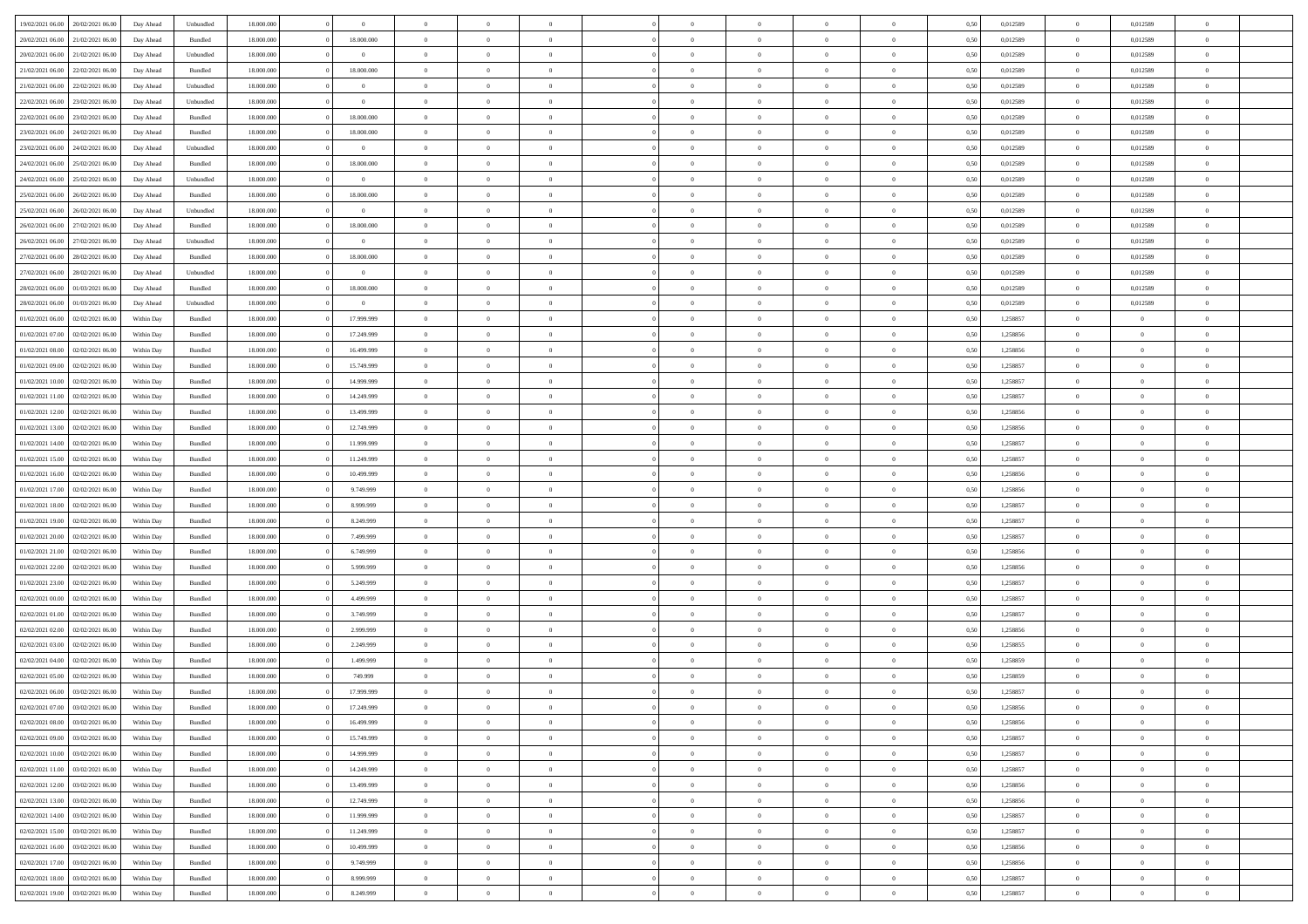| 19/02/2021 06:00 | 20/02/2021 06:00 |            | Unbundled          | 18.000.000 | $\theta$       | $\Omega$       | $\Omega$       |                | $\Omega$       | $\Omega$       | $\Omega$       | $\theta$       | 0,50 | 0,012589 | $\theta$       | 0,012589       | $\theta$                 |  |
|------------------|------------------|------------|--------------------|------------|----------------|----------------|----------------|----------------|----------------|----------------|----------------|----------------|------|----------|----------------|----------------|--------------------------|--|
|                  |                  | Day Ahead  |                    |            |                |                |                |                |                |                |                |                |      |          |                |                |                          |  |
| 20/02/2021 06:00 | 21/02/2021 06:00 | Day Ahead  | Bundled            | 18.000.000 | 18.000.000     | $\overline{0}$ | $\theta$       | $\overline{0}$ | $\overline{0}$ | $\bf{0}$       | $\overline{0}$ | $\overline{0}$ | 0,50 | 0,012589 | $\theta$       | 0,012589       | $\overline{0}$           |  |
| 20/02/2021 06:00 | 21/02/2021 06:00 | Day Ahead  | Unbundled          | 18.000.000 | $\bf{0}$       | $\overline{0}$ | $\bf{0}$       | $\overline{0}$ | $\bf{0}$       | $\bf{0}$       | $\bf{0}$       | $\bf{0}$       | 0,50 | 0,012589 | $\overline{0}$ | 0,012589       | $\overline{0}$           |  |
| 21/02/2021 06:00 | 22/02/2021 06:00 | Day Ahead  | Bundled            | 18.000.000 | 18.000.000     | $\overline{0}$ | $\overline{0}$ | $\overline{0}$ | $\overline{0}$ | $\bf{0}$       | $\overline{0}$ | $\overline{0}$ | 0.50 | 0.012589 | $\overline{0}$ | 0.012589       | $\overline{0}$           |  |
| 21/02/2021 06:00 | 22/02/2021 06:00 | Day Ahead  | Unbundled          | 18.000.000 | $\theta$       | $\overline{0}$ | $\theta$       | $\overline{0}$ | $\overline{0}$ | $\bf{0}$       | $\overline{0}$ | $\bf{0}$       | 0,50 | 0,012589 | $\,$ 0 $\,$    | 0,012589       | $\overline{0}$           |  |
|                  |                  |            |                    |            |                |                |                |                |                |                |                |                |      |          |                |                |                          |  |
| 22/02/2021 06:00 | 23/02/2021 06:00 | Day Ahead  | Unbundled          | 18.000.000 | $\bf{0}$       | $\overline{0}$ | $\bf{0}$       | $\overline{0}$ | $\bf{0}$       | $\overline{0}$ | $\overline{0}$ | $\mathbf{0}$   | 0,50 | 0,012589 | $\overline{0}$ | 0,012589       | $\bf{0}$                 |  |
| 22/02/2021 06:00 | 23/02/2021 06:00 | Day Ahead  | Bundled            | 18.000.000 | 18.000.000     | $\overline{0}$ | $\overline{0}$ | $\overline{0}$ | $\overline{0}$ | $\overline{0}$ | $\overline{0}$ | $\overline{0}$ | 0.50 | 0,012589 | $\overline{0}$ | 0.012589       | $\overline{0}$           |  |
| 23/02/2021 06:00 | 24/02/2021 06.00 | Day Ahead  | Bundled            | 18.000.000 | 18.000.000     | $\overline{0}$ | $\theta$       | $\overline{0}$ | $\overline{0}$ | $\bf{0}$       | $\overline{0}$ | $\bf{0}$       | 0,50 | 0,012589 | $\,$ 0 $\,$    | 0,012589       | $\overline{0}$           |  |
| 23/02/2021 06:00 | 24/02/2021 06:00 | Day Ahead  | Unbundled          | 18.000.000 | $\bf{0}$       | $\overline{0}$ | $\overline{0}$ | $\overline{0}$ | $\bf{0}$       | $\bf{0}$       | $\bf{0}$       | $\bf{0}$       | 0,50 | 0,012589 | $\bf{0}$       | 0,012589       | $\overline{0}$           |  |
| 24/02/2021 06:00 | 25/02/2021 06:00 | Day Ahead  | Bundled            | 18.000.000 | 18.000.000     | $\overline{0}$ | $\overline{0}$ | $\overline{0}$ | $\overline{0}$ | $\overline{0}$ | $\overline{0}$ | $\overline{0}$ | 0.50 | 0,012589 | $\overline{0}$ | 0,012589       | $\overline{0}$           |  |
| 24/02/2021 06:00 | 25/02/2021 06:00 | Day Ahead  | Unbundled          | 18.000.000 | $\theta$       | $\overline{0}$ | $\theta$       | $\overline{0}$ | $\overline{0}$ | $\bf{0}$       | $\overline{0}$ | $\bf{0}$       | 0,50 | 0,012589 | $\,$ 0 $\,$    | 0,012589       | $\overline{0}$           |  |
| 25/02/2021 06:00 | 26/02/2021 06:00 | Day Ahead  | Bundled            | 18.000.000 | 18.000.000     | $\overline{0}$ | $\overline{0}$ | $\overline{0}$ | $\bf{0}$       | $\bf{0}$       | $\bf{0}$       | $\bf{0}$       | 0,50 | 0,012589 | $\bf{0}$       | 0,012589       | $\overline{0}$           |  |
|                  |                  |            |                    |            | $\overline{0}$ |                |                |                |                |                |                |                |      |          | $\overline{0}$ |                |                          |  |
| 25/02/2021 06:00 | 26/02/2021 06:00 | Day Ahead  | Unbundled          | 18.000.000 |                | $\overline{0}$ | $\overline{0}$ | $\overline{0}$ | $\overline{0}$ | $\bf{0}$       | $\overline{0}$ | $\overline{0}$ | 0.50 | 0.012589 |                | 0.012589       | $\overline{0}$           |  |
| 26/02/2021 06:00 | 27/02/2021 06:00 | Day Ahead  | Bundled            | 18.000.000 | 18.000.000     | $\overline{0}$ | $\theta$       | $\overline{0}$ | $\overline{0}$ | $\bf{0}$       | $\overline{0}$ | $\overline{0}$ | 0,50 | 0,012589 | $\,$ 0 $\,$    | 0,012589       | $\overline{0}$           |  |
| 26/02/2021 06:00 | 27/02/2021 06:00 | Day Ahead  | Unbundled          | 18.000.000 | $\bf{0}$       | $\overline{0}$ | $\overline{0}$ | $\overline{0}$ | $\bf{0}$       | $\overline{0}$ | $\overline{0}$ | $\mathbf{0}$   | 0,50 | 0,012589 | $\overline{0}$ | 0,012589       | $\bf{0}$                 |  |
| 27/02/2021 06:00 | 28/02/2021 06:00 | Day Ahead  | Bundled            | 18.000.000 | 18.000.000     | $\overline{0}$ | $\overline{0}$ | $\overline{0}$ | $\overline{0}$ | $\overline{0}$ | $\overline{0}$ | $\overline{0}$ | 0.50 | 0,012589 | $\overline{0}$ | 0.012589       | $\overline{0}$           |  |
| 27/02/2021 06:00 | 28/02/2021 06:00 | Day Ahead  | Unbundled          | 18.000.000 | $\overline{0}$ | $\overline{0}$ | $\theta$       | $\overline{0}$ | $\overline{0}$ | $\bf{0}$       | $\overline{0}$ | $\bf{0}$       | 0,50 | 0,012589 | $\theta$       | 0,012589       | $\overline{0}$           |  |
| 28/02/2021 06:00 | 01/03/2021 06:00 | Day Ahead  | Bundled            | 18.000.000 | 18.000.000     | $\overline{0}$ | $\overline{0}$ | $\overline{0}$ | $\bf{0}$       | $\bf{0}$       | $\bf{0}$       | $\bf{0}$       | 0,50 | 0,012589 | $\bf{0}$       | 0,012589       | $\overline{0}$           |  |
| 28/02/2021 06:00 | 01/03/2021 06:00 | Day Ahead  | Unbundled          | 18.000.000 | $\overline{0}$ | $\overline{0}$ | $\overline{0}$ | $\overline{0}$ | $\overline{0}$ | $\overline{0}$ | $\overline{0}$ | $\overline{0}$ | 0.50 | 0,012589 | $\theta$       | 0,012589       | $\overline{0}$           |  |
|                  |                  |            |                    |            |                |                |                |                |                |                |                |                |      |          |                |                |                          |  |
| 01/02/2021 06:00 | 02/02/2021 06:00 | Within Day | Bundled            | 18.000.000 | 17.999.999     | $\overline{0}$ | $\theta$       | $\overline{0}$ | $\overline{0}$ | $\bf{0}$       | $\overline{0}$ | $\bf{0}$       | 0,50 | 1,258857 | $\,$ 0 $\,$    | $\theta$       | $\overline{0}$           |  |
| 01/02/2021 07:00 | 02/02/2021 06:00 | Within Day | Bundled            | 18.000.000 | 17.249.999     | $\overline{0}$ | $\overline{0}$ | $\overline{0}$ | $\bf{0}$       | $\bf{0}$       | $\bf{0}$       | $\bf{0}$       | 0,50 | 1,258856 | $\overline{0}$ | $\overline{0}$ | $\overline{\phantom{a}}$ |  |
| 01/02/2021 08:00 | 02/02/2021 06:00 | Within Day | Bundled            | 18.000.000 | 16.499.999     | $\overline{0}$ | $\overline{0}$ | $\overline{0}$ | $\overline{0}$ | $\bf{0}$       | $\overline{0}$ | $\overline{0}$ | 0.50 | 1.258856 | $\theta$       | $\overline{0}$ | $\overline{0}$           |  |
| 01/02/2021 09:00 | 02/02/2021 06:00 | Within Day | Bundled            | 18.000.000 | 15.749.999     | $\overline{0}$ | $\theta$       | $\overline{0}$ | $\overline{0}$ | $\bf{0}$       | $\overline{0}$ | $\bf{0}$       | 0,50 | 1,258857 | $\theta$       | $\overline{0}$ | $\overline{0}$           |  |
| 01/02/2021 10:00 | 02/02/2021 06:00 | Within Day | Bundled            | 18.000.000 | 14.999.999     | $\overline{0}$ | $\bf{0}$       | $\overline{0}$ | $\bf{0}$       | $\overline{0}$ | $\overline{0}$ | $\mathbf{0}$   | 0,50 | 1,258857 | $\overline{0}$ | $\overline{0}$ | $\bf{0}$                 |  |
| 01/02/2021 11:00 | 02/02/2021 06:00 | Within Dav | Bundled            | 18.000.000 | 14.249.999     | $\overline{0}$ | $\overline{0}$ | $\overline{0}$ | $\overline{0}$ | $\overline{0}$ | $\overline{0}$ | $\overline{0}$ | 0.50 | 1,258857 | $\theta$       | $\overline{0}$ | $\overline{0}$           |  |
| 01/02/2021 12:00 | 02/02/2021 06:00 | Within Day | Bundled            | 18.000.000 | 13.499.999     | $\overline{0}$ | $\theta$       | $\overline{0}$ | $\overline{0}$ | $\bf{0}$       | $\overline{0}$ | $\bf{0}$       | 0,50 | 1,258856 | $\theta$       | $\theta$       | $\overline{0}$           |  |
|                  |                  |            |                    |            |                |                |                |                |                |                |                |                |      |          |                |                |                          |  |
| 01/02/2021 13:00 | 02/02/2021 06:00 | Within Day | Bundled            | 18.000.000 | 12.749.999     | $\overline{0}$ | $\overline{0}$ | $\overline{0}$ | $\bf{0}$       | $\bf{0}$       | $\bf{0}$       | $\bf{0}$       | 0,50 | 1,258856 | $\,0\,$        | $\overline{0}$ | $\overline{0}$           |  |
| 01/02/2021 14:00 | 02/02/2021 06:00 | Within Day | Bundled            | 18.000.000 | 11.999.999     | $\overline{0}$ | $\overline{0}$ | $\overline{0}$ | $\overline{0}$ | $\overline{0}$ | $\overline{0}$ | $\overline{0}$ | 0.50 | 1,258857 | $\theta$       | $\overline{0}$ | $\overline{0}$           |  |
| 01/02/2021 15:00 | 02/02/2021 06:00 | Within Day | Bundled            | 18.000.000 | 11.249.999     | $\overline{0}$ | $\theta$       | $\overline{0}$ | $\overline{0}$ | $\bf{0}$       | $\overline{0}$ | $\bf{0}$       | 0,50 | 1,258857 | $\,$ 0 $\,$    | $\theta$       | $\overline{0}$           |  |
| 01/02/2021 16:00 | 02/02/2021 06:00 | Within Day | Bundled            | 18.000.000 | 10.499.999     | $\overline{0}$ | $\overline{0}$ | $\overline{0}$ | $\bf{0}$       | $\bf{0}$       | $\bf{0}$       | $\bf{0}$       | 0,50 | 1,258856 | $\overline{0}$ | $\overline{0}$ | $\overline{0}$           |  |
| 01/02/2021 17:00 | 02/02/2021 06:00 | Within Day | Bundled            | 18,000,000 | 9.749.999      | $\overline{0}$ | $\Omega$       | $\Omega$       | $\Omega$       | $\Omega$       | $\Omega$       | $\overline{0}$ | 0.50 | 1,258856 | $\,0\,$        | $\theta$       | $\theta$                 |  |
| 01/02/2021 18:00 | 02/02/2021 06:00 | Within Day | Bundled            | 18.000.000 | 8.999.999      | $\overline{0}$ | $\theta$       | $\overline{0}$ | $\overline{0}$ | $\bf{0}$       | $\overline{0}$ | $\bf{0}$       | 0,50 | 1,258857 | $\theta$       | $\theta$       | $\overline{0}$           |  |
|                  |                  |            |                    |            |                |                | $\bf{0}$       |                |                | $\bf{0}$       |                |                |      |          |                | $\overline{0}$ | $\bf{0}$                 |  |
| 01/02/2021 19:00 | 02/02/2021 06:00 | Within Day | Bundled            | 18.000.000 | 8.249.999      | $\overline{0}$ |                | $\overline{0}$ | $\bf{0}$       |                | $\overline{0}$ | $\mathbf{0}$   | 0,50 | 1,258857 | $\overline{0}$ |                |                          |  |
| 01/02/2021 20:00 | 02/02/2021 06:00 | Within Day | Bundled            | 18,000,000 | 7.499.999      | $\overline{0}$ | $\Omega$       | $\Omega$       | $\Omega$       | $\Omega$       | $\Omega$       | $\overline{0}$ | 0.50 | 1,258857 | $\theta$       | $\theta$       | $\theta$                 |  |
| 01/02/2021 21:00 | 02/02/2021 06:00 | Within Day | Bundled            | 18.000.000 | 6.749.999      | $\overline{0}$ | $\theta$       | $\overline{0}$ | $\overline{0}$ | $\bf{0}$       | $\overline{0}$ | $\bf{0}$       | 0,50 | 1,258856 | $\theta$       | $\theta$       | $\overline{0}$           |  |
| 01/02/2021 22.00 | 02/02/2021 06:00 | Within Day | Bundled            | 18.000.000 | 5.999.999      | $\overline{0}$ | $\overline{0}$ | $\overline{0}$ | $\bf{0}$       | $\bf{0}$       | $\bf{0}$       | $\bf{0}$       | 0,50 | 1,258856 | $\,0\,$        | $\overline{0}$ | $\overline{0}$           |  |
| 01/02/2021 23:00 | 02/02/2021 06:00 | Within Day | Bundled            | 18,000,000 | 5.249.999      | $\overline{0}$ | $\Omega$       | $\Omega$       | $\Omega$       | $\Omega$       | $\theta$       | $\overline{0}$ | 0.50 | 1,258857 | $\theta$       | $\theta$       | $\theta$                 |  |
| 02/02/2021 00:00 | 02/02/2021 06:00 | Within Day | Bundled            | 18.000.000 | 4.499.999      | $\overline{0}$ | $\theta$       | $\overline{0}$ | $\overline{0}$ | $\bf{0}$       | $\overline{0}$ | $\bf{0}$       | 0,50 | 1,258857 | $\,$ 0 $\,$    | $\overline{0}$ | $\overline{0}$           |  |
| 02/02/2021 01:00 | 02/02/2021 06:00 | Within Day | Bundled            | 18.000.000 | 3.749.999      | $\overline{0}$ | $\overline{0}$ | $\overline{0}$ | $\bf{0}$       | $\bf{0}$       | $\bf{0}$       | $\bf{0}$       | 0,50 | 1,258857 | $\bf{0}$       | $\overline{0}$ | $\overline{0}$           |  |
| 02/02/2021 02:00 | 02/02/2021 06:00 | Within Day | Bundled            | 18,000,000 | 2.999.999      | $\overline{0}$ | $\Omega$       | $\Omega$       | $\Omega$       | $\Omega$       | $\overline{0}$ | $\overline{0}$ | 0.50 | 1,258856 | $\,0\,$        | $\theta$       | $\theta$                 |  |
|                  |                  |            |                    |            |                |                | $\theta$       |                |                |                |                |                |      |          |                | $\overline{0}$ |                          |  |
| 02/02/2021 03:00 | 02/02/2021 06:00 | Within Day | Bundled            | 18.000.000 | 2.249.999      | $\overline{0}$ |                | $\overline{0}$ | $\overline{0}$ | $\bf{0}$       | $\overline{0}$ | $\bf{0}$       | 0,50 | 1,258855 | $\,$ 0 $\,$    |                | $\overline{0}$           |  |
| 02/02/2021 04:00 | 02/02/2021 06:00 | Within Day | Bundled            | 18.000.000 | 1.499.999      | $\overline{0}$ | $\overline{0}$ | $\overline{0}$ | $\bf{0}$       | $\bf{0}$       | $\bf{0}$       | $\mathbf{0}$   | 0,50 | 1,258859 | $\bf{0}$       | $\overline{0}$ | $\bf{0}$                 |  |
| 02/02/2021 05:00 | 02/02/2021 06:00 | Within Day | Bundled            | 18,000,000 | 749,999        | $\overline{0}$ | $\Omega$       | $\Omega$       | $\Omega$       | $\Omega$       | $\Omega$       | $\overline{0}$ | 0.50 | 1,258859 | $\theta$       | $\Omega$       | $\theta$                 |  |
| 02/02/2021 06:00 | 03/02/2021 06:00 | Within Day | Bundled            | 18.000.000 | 17.999.999     | $\overline{0}$ | $\overline{0}$ | $\overline{0}$ | $\bf{0}$       | $\,$ 0         | $\bf{0}$       | $\bf{0}$       | 0,50 | 1,258857 | $\,0\,$        | $\overline{0}$ | $\overline{0}$           |  |
| 02/02/2021 07:00 | 03/02/2021 06:00 | Within Day | $\mathbf B$ undled | 18.000.000 | 17.249.999     | $\bf{0}$       | $\bf{0}$       |                |                | $\bf{0}$       |                |                | 0,50 | 1,258856 | $\bf{0}$       | $\overline{0}$ |                          |  |
| 02/02/2021 08:00 | 03/02/2021 06:00 | Within Day | Bundled            | 18,000,000 | 16.499.999     | $\overline{0}$ | $\Omega$       | $\overline{0}$ | $\Omega$       | $\theta$       | $\overline{0}$ | $\overline{0}$ | 0.50 | 1,258856 | $\theta$       | $\theta$       | $\theta$                 |  |
| 02/02/2021 09:00 | 03/02/2021 06:00 | Within Day | Bundled            | 18.000.000 | 15.749.999     | $\overline{0}$ | $\,$ 0         | $\overline{0}$ | $\bf{0}$       | $\,$ 0 $\,$    | $\overline{0}$ | $\mathbf{0}$   | 0,50 | 1,258857 | $\,$ 0 $\,$    | $\overline{0}$ | $\,$ 0                   |  |
| 02/02/2021 10:00 | 03/02/2021 06:00 | Within Day | Bundled            | 18.000.000 | 14.999.999     | $\overline{0}$ | $\overline{0}$ | $\overline{0}$ | $\overline{0}$ | $\overline{0}$ | $\overline{0}$ | $\mathbf{0}$   | 0,50 | 1,258857 | $\overline{0}$ | $\bf{0}$       | $\bf{0}$                 |  |
|                  |                  |            |                    |            |                |                |                |                |                |                |                |                |      |          |                |                |                          |  |
| 02/02/2021 11:00 | 03/02/2021 06:00 | Within Day | Bundled            | 18,000,000 | 14.249.999     | $\overline{0}$ | $\theta$       | $\overline{0}$ | $\Omega$       | $\overline{0}$ | $\overline{0}$ | $\bf{0}$       | 0,50 | 1,258857 | $\bf{0}$       | $\theta$       | $\overline{0}$           |  |
| 02/02/2021 12:00 | 03/02/2021 06:00 | Within Day | Bundled            | 18.000.000 | 13.499.999     | $\overline{0}$ | $\,$ 0         | $\overline{0}$ | $\overline{0}$ | $\overline{0}$ | $\overline{0}$ | $\bf{0}$       | 0,50 | 1,258856 | $\,$ 0 $\,$    | $\overline{0}$ | $\overline{0}$           |  |
| 02/02/2021 13:00 | 03/02/2021 06:00 | Within Day | Bundled            | 18.000.000 | 12.749.999     | $\overline{0}$ | $\overline{0}$ | $\overline{0}$ | $\overline{0}$ | $\overline{0}$ | $\overline{0}$ | $\mathbf{0}$   | 0,50 | 1,258856 | $\overline{0}$ | $\overline{0}$ | $\bf{0}$                 |  |
| 02/02/2021 14:00 | 03/02/2021 06:00 | Within Day | Bundled            | 18,000,000 | 11.999.999     | $\overline{0}$ | $\overline{0}$ | $\overline{0}$ | $\Omega$       | $\overline{0}$ | $\overline{0}$ | $\bf{0}$       | 0.50 | 1,258857 | $\overline{0}$ | $\theta$       | $\overline{0}$           |  |
| 02/02/2021 15:00 | 03/02/2021 06:00 | Within Day | Bundled            | 18.000.000 | 11.249.999     | $\overline{0}$ | $\,$ 0         | $\overline{0}$ | $\bf{0}$       | $\bf{0}$       | $\bf{0}$       | $\bf{0}$       | 0,50 | 1,258857 | $\,$ 0 $\,$    | $\overline{0}$ | $\overline{0}$           |  |
| 02/02/2021 16:00 | 03/02/2021 06:00 | Within Day | Bundled            | 18.000.000 | 10.499.999     | $\overline{0}$ | $\bf{0}$       | $\overline{0}$ | $\overline{0}$ | $\overline{0}$ | $\bf{0}$       | $\mathbf{0}$   | 0,50 | 1,258856 | $\overline{0}$ | $\overline{0}$ | $\bf{0}$                 |  |
| 02/02/2021 17:00 |                  |            |                    | 18,000,000 | 9.749.999      | $\overline{0}$ | $\overline{0}$ | $\overline{0}$ | $\Omega$       | $\overline{0}$ | $\overline{0}$ |                | 0.50 |          | $\overline{0}$ | $\overline{0}$ | $\overline{0}$           |  |
|                  | 03/02/2021 06:00 | Within Day | Bundled            |            |                |                |                |                |                |                |                | $\bf{0}$       |      | 1,258856 |                |                |                          |  |
| 02/02/2021 18:00 | 03/02/2021 06:00 | Within Day | Bundled            | 18.000.000 | 8.999.999      | $\overline{0}$ | $\,$ 0         | $\overline{0}$ | $\overline{0}$ | $\bf{0}$       | $\bf{0}$       | $\bf{0}$       | 0,50 | 1,258857 | $\,$ 0 $\,$    | $\,$ 0 $\,$    | $\bf{0}$                 |  |
| 02/02/2021 19:00 | 03/02/2021 06:00 | Within Day | Bundled            | 18.000.000 | 8.249.999      | $\overline{0}$ | $\overline{0}$ | $\overline{0}$ | $\overline{0}$ | $\bf{0}$       | $\bf{0}$       | $\mathbf{0}$   | 0,50 | 1,258857 | $\overline{0}$ | $\bf{0}$       | $\bf{0}$                 |  |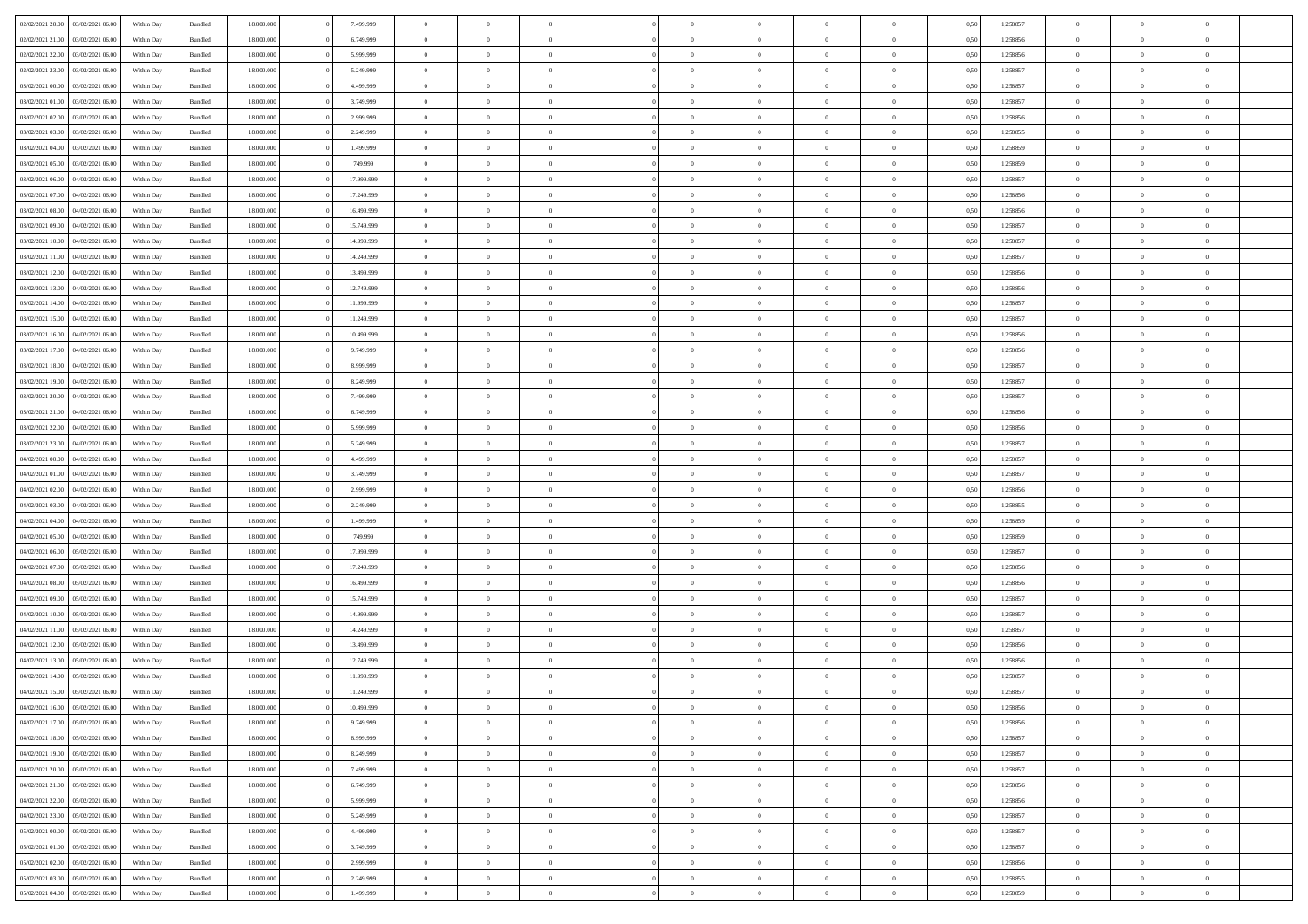|                  |                  |            |                    |            |            | $\overline{0}$ | $\Omega$       |                |                | $\Omega$       | $\Omega$       | $\theta$       |      |          | $\theta$       |                | $\theta$       |  |
|------------------|------------------|------------|--------------------|------------|------------|----------------|----------------|----------------|----------------|----------------|----------------|----------------|------|----------|----------------|----------------|----------------|--|
| 02/02/2021 20:00 | 03/02/2021 06:00 | Within Day | Bundled            | 18.000.000 | 7.499.999  |                |                |                | $\Omega$       |                |                |                | 0.50 | 1,258857 |                | $\theta$       |                |  |
| 02/02/2021 21:00 | 03/02/2021 06:00 | Within Day | Bundled            | 18.000.000 | 6.749.999  | $\overline{0}$ | $\theta$       | $\overline{0}$ | $\overline{0}$ | $\bf{0}$       | $\overline{0}$ | $\overline{0}$ | 0,50 | 1,258856 | $\theta$       | $\theta$       | $\overline{0}$ |  |
| 02/02/2021 22.00 | 03/02/2021 06:00 | Within Day | Bundled            | 18.000.000 | 5.999.999  | $\overline{0}$ | $\overline{0}$ | $\overline{0}$ | $\bf{0}$       | $\bf{0}$       | $\bf{0}$       | $\bf{0}$       | 0,50 | 1,258856 | $\bf{0}$       | $\overline{0}$ | $\overline{0}$ |  |
| 02/02/2021 23:00 | 03/02/2021 06:00 | Within Dav | Bundled            | 18.000.000 | 5.249.999  | $\overline{0}$ | $\theta$       | $\overline{0}$ | $\overline{0}$ | $\bf{0}$       | $\overline{0}$ | $\overline{0}$ | 0.50 | 1.258857 | $\theta$       | $\theta$       | $\overline{0}$ |  |
|                  |                  |            |                    |            |            |                |                |                |                |                |                |                |      |          |                |                |                |  |
| 03/02/2021 00:00 | 03/02/2021 06.00 | Within Day | Bundled            | 18.000.000 | 4.499.999  | $\overline{0}$ | $\theta$       | $\overline{0}$ | $\overline{0}$ | $\bf{0}$       | $\overline{0}$ | $\bf{0}$       | 0,50 | 1,258857 | $\theta$       | $\theta$       | $\overline{0}$ |  |
| 03/02/2021 01:00 | 03/02/2021 06:00 | Within Day | Bundled            | 18.000.000 | 3.749.999  | $\overline{0}$ | $\bf{0}$       | $\overline{0}$ | $\bf{0}$       | $\overline{0}$ | $\overline{0}$ | $\mathbf{0}$   | 0,50 | 1,258857 | $\overline{0}$ | $\overline{0}$ | $\bf{0}$       |  |
| 03/02/2021 02:00 | 03/02/2021 06:00 | Within Dav | Bundled            | 18.000.000 | 2.999.999  | $\overline{0}$ | $\overline{0}$ | $\overline{0}$ | $\overline{0}$ | $\bf{0}$       | $\overline{0}$ | $\overline{0}$ | 0.50 | 1,258856 | $\theta$       | $\theta$       | $\overline{0}$ |  |
| 03/02/2021 03:00 | 03/02/2021 06:00 | Within Day | Bundled            | 18.000.000 | 2.249.999  | $\overline{0}$ | $\theta$       | $\overline{0}$ | $\overline{0}$ | $\bf{0}$       | $\overline{0}$ | $\bf{0}$       | 0,50 | 1,258855 | $\theta$       | $\theta$       | $\overline{0}$ |  |
|                  |                  |            |                    |            |            |                |                |                |                |                |                |                |      |          |                |                |                |  |
| 03/02/2021 04:00 | 03/02/2021 06:00 | Within Day | Bundled            | 18.000.000 | 1.499.999  | $\overline{0}$ | $\overline{0}$ | $\overline{0}$ | $\bf{0}$       | $\bf{0}$       | $\bf{0}$       | $\bf{0}$       | 0,50 | 1,258859 | $\,0\,$        | $\overline{0}$ | $\overline{0}$ |  |
| 03/02/2021 05:00 | 03/02/2021 06:00 | Within Dav | Bundled            | 18.000.000 | 749.999    | $\overline{0}$ | $\overline{0}$ | $\overline{0}$ | $\overline{0}$ | $\overline{0}$ | $\overline{0}$ | $\overline{0}$ | 0.50 | 1,258859 | $\theta$       | $\overline{0}$ | $\overline{0}$ |  |
| 03/02/2021 06:00 | 04/02/2021 06.00 | Within Day | Bundled            | 18.000.000 | 17.999.999 | $\overline{0}$ | $\theta$       | $\overline{0}$ | $\overline{0}$ | $\bf{0}$       | $\overline{0}$ | $\bf{0}$       | 0,50 | 1,258857 | $\theta$       | $\theta$       | $\overline{0}$ |  |
| 03/02/2021 07:00 | 04/02/2021 06.00 | Within Day | Bundled            | 18.000.000 | 17.249.999 | $\overline{0}$ | $\overline{0}$ | $\overline{0}$ | $\bf{0}$       | $\bf{0}$       | $\bf{0}$       | $\bf{0}$       | 0,50 | 1,258856 | $\bf{0}$       | $\overline{0}$ | $\overline{0}$ |  |
| 03/02/2021 08:00 | 04/02/2021 06:00 | Within Day | Bundled            | 18.000.000 | 16.499.999 | $\overline{0}$ | $\theta$       | $\overline{0}$ | $\overline{0}$ | $\bf{0}$       | $\overline{0}$ | $\overline{0}$ | 0.50 | 1.258856 | $\theta$       | $\theta$       | $\overline{0}$ |  |
|                  |                  |            |                    |            |            |                |                |                |                |                |                |                |      |          |                |                |                |  |
| 03/02/2021 09:00 | 04/02/2021 06.00 | Within Day | Bundled            | 18.000.000 | 15.749.999 | $\overline{0}$ | $\theta$       | $\overline{0}$ | $\overline{0}$ | $\bf{0}$       | $\overline{0}$ | $\overline{0}$ | 0,50 | 1,258857 | $\theta$       | $\theta$       | $\overline{0}$ |  |
| 03/02/2021 10:00 | 04/02/2021 06.00 | Within Day | Bundled            | 18.000.000 | 14.999.999 | $\overline{0}$ | $\overline{0}$ | $\overline{0}$ | $\bf{0}$       | $\overline{0}$ | $\overline{0}$ | $\mathbf{0}$   | 0,50 | 1,258857 | $\bf{0}$       | $\overline{0}$ | $\bf{0}$       |  |
| 03/02/2021 11:00 | 04/02/2021 06:00 | Within Dav | Bundled            | 18.000.000 | 14.249.999 | $\overline{0}$ | $\overline{0}$ | $\overline{0}$ | $\overline{0}$ | $\overline{0}$ | $\overline{0}$ | $\overline{0}$ | 0.50 | 1,258857 | $\theta$       | $\overline{0}$ | $\overline{0}$ |  |
| 03/02/2021 12:00 | 04/02/2021 06.00 | Within Day | Bundled            | 18.000.000 | 13.499.999 | $\overline{0}$ | $\theta$       | $\overline{0}$ | $\overline{0}$ | $\bf{0}$       | $\overline{0}$ | $\bf{0}$       | 0,50 | 1,258856 | $\theta$       | $\theta$       | $\overline{0}$ |  |
|                  |                  |            |                    |            |            |                |                |                |                |                |                |                |      |          |                |                |                |  |
| 03/02/2021 13:00 | 04/02/2021 06.00 | Within Day | Bundled            | 18.000.000 | 12.749.999 | $\overline{0}$ | $\overline{0}$ | $\overline{0}$ | $\bf{0}$       | $\bf{0}$       | $\bf{0}$       | $\bf{0}$       | 0,50 | 1,258856 | $\,0\,$        | $\overline{0}$ | $\overline{0}$ |  |
| 03/02/2021 14:00 | 04/02/2021 06:00 | Within Day | Bundled            | 18.000.000 | 11.999.999 | $\overline{0}$ | $\overline{0}$ | $\overline{0}$ | $\overline{0}$ | $\overline{0}$ | $\overline{0}$ | $\overline{0}$ | 0.50 | 1,258857 | $\theta$       | $\overline{0}$ | $\overline{0}$ |  |
| 03/02/2021 15:00 | 04/02/2021 06.00 | Within Day | Bundled            | 18.000.000 | 11.249.999 | $\overline{0}$ | $\theta$       | $\overline{0}$ | $\overline{0}$ | $\bf{0}$       | $\overline{0}$ | $\bf{0}$       | 0,50 | 1,258857 | $\theta$       | $\theta$       | $\overline{0}$ |  |
| 03/02/2021 16:00 | 04/02/2021 06.00 | Within Day | Bundled            | 18.000.000 | 10.499.999 | $\overline{0}$ | $\overline{0}$ | $\overline{0}$ | $\bf{0}$       | $\bf{0}$       | $\bf{0}$       | $\bf{0}$       | 0,50 | 1,258856 | $\,0\,$        | $\overline{0}$ | $\overline{0}$ |  |
| 03/02/2021 17:00 | 04/02/2021 06:00 | Within Day | Bundled            | 18.000.000 | 9.749.999  | $\overline{0}$ | $\overline{0}$ | $\overline{0}$ | $\overline{0}$ | $\bf{0}$       | $\overline{0}$ | $\overline{0}$ | 0.50 | 1.258856 | $\theta$       | $\theta$       | $\overline{0}$ |  |
|                  |                  |            |                    |            |            |                |                |                |                |                |                |                |      |          |                |                |                |  |
| 03/02/2021 18:00 | 04/02/2021 06.00 | Within Day | Bundled            | 18.000.000 | 8.999.999  | $\overline{0}$ | $\theta$       | $\overline{0}$ | $\overline{0}$ | $\bf{0}$       | $\overline{0}$ | $\bf{0}$       | 0,50 | 1,258857 | $\theta$       | $\overline{0}$ | $\overline{0}$ |  |
| 03/02/2021 19:00 | 04/02/2021 06.00 | Within Day | Bundled            | 18.000.000 | 8.249.999  | $\overline{0}$ | $\bf{0}$       | $\overline{0}$ | $\bf{0}$       | $\overline{0}$ | $\overline{0}$ | $\mathbf{0}$   | 0,50 | 1,258857 | $\bf{0}$       | $\overline{0}$ | $\bf{0}$       |  |
| 03/02/2021 20:00 | 04/02/2021 06:00 | Within Dav | Bundled            | 18.000.000 | 7.499.999  | $\overline{0}$ | $\overline{0}$ | $\overline{0}$ | $\overline{0}$ | $\overline{0}$ | $\overline{0}$ | $\overline{0}$ | 0.50 | 1,258857 | $\theta$       | $\theta$       | $\overline{0}$ |  |
| 03/02/2021 21:00 | 04/02/2021 06.00 | Within Day | Bundled            | 18.000.000 | 6.749.999  | $\overline{0}$ | $\theta$       | $\overline{0}$ | $\overline{0}$ | $\bf{0}$       | $\overline{0}$ | $\bf{0}$       | 0,50 | 1,258856 | $\theta$       | $\theta$       | $\overline{0}$ |  |
|                  |                  |            |                    |            |            |                |                |                |                |                |                |                |      |          |                |                |                |  |
| 03/02/2021 22.00 | 04/02/2021 06.00 | Within Day | Bundled            | 18.000.000 | 5.999.999  | $\overline{0}$ | $\overline{0}$ | $\overline{0}$ | $\bf{0}$       | $\bf{0}$       | $\bf{0}$       | $\bf{0}$       | 0,50 | 1,258856 | $\,0\,$        | $\overline{0}$ | $\overline{0}$ |  |
| 03/02/2021 23:00 | 04/02/2021 06:00 | Within Day | Bundled            | 18.000.000 | 5.249.999  | $\overline{0}$ | $\overline{0}$ | $\overline{0}$ | $\overline{0}$ | $\overline{0}$ | $\overline{0}$ | $\overline{0}$ | 0.50 | 1,258857 | $\theta$       | $\theta$       | $\overline{0}$ |  |
| 04/02/2021 00:00 | 04/02/2021 06.00 | Within Day | Bundled            | 18.000.000 | 4.499.999  | $\overline{0}$ | $\theta$       | $\overline{0}$ | $\overline{0}$ | $\bf{0}$       | $\overline{0}$ | $\bf{0}$       | 0,50 | 1,258857 | $\,$ 0 $\,$    | $\theta$       | $\overline{0}$ |  |
| 04/02/2021 01:00 | 04/02/2021 06.00 | Within Day | Bundled            | 18.000.000 | 3.749.999  | $\overline{0}$ | $\overline{0}$ | $\overline{0}$ | $\bf{0}$       | $\bf{0}$       | $\bf{0}$       | $\bf{0}$       | 0,50 | 1,258857 | $\bf{0}$       | $\overline{0}$ | $\overline{0}$ |  |
| 04/02/2021 02:00 | 04/02/2021 06.00 |            |                    | 18.000.000 | 2.999.999  | $\overline{0}$ | $\Omega$       | $\Omega$       | $\Omega$       | $\Omega$       | $\Omega$       | $\overline{0}$ | 0.50 | 1,258856 | $\,0\,$        | $\theta$       | $\theta$       |  |
|                  |                  | Within Day | Bundled            |            |            |                |                |                |                |                |                |                |      |          |                |                |                |  |
| 04/02/2021 03:00 | 04/02/2021 06.00 | Within Day | Bundled            | 18.000.000 | 2.249.999  | $\overline{0}$ | $\theta$       | $\overline{0}$ | $\overline{0}$ | $\bf{0}$       | $\overline{0}$ | $\bf{0}$       | 0,50 | 1,258855 | $\theta$       | $\theta$       | $\overline{0}$ |  |
| 04/02/2021 04:00 | 04/02/2021 06.00 | Within Day | Bundled            | 18.000.000 | 1.499.999  | $\overline{0}$ | $\overline{0}$ | $\overline{0}$ | $\bf{0}$       | $\bf{0}$       | $\overline{0}$ | $\mathbf{0}$   | 0,50 | 1,258859 | $\overline{0}$ | $\overline{0}$ | $\bf{0}$       |  |
| 04/02/2021 05:00 | 04/02/2021 06.00 | Within Day | Bundled            | 18,000,000 | 749.999    | $\overline{0}$ | $\Omega$       | $\Omega$       | $\Omega$       | $\Omega$       | $\Omega$       | $\overline{0}$ | 0.50 | 1,258859 | $\theta$       | $\theta$       | $\theta$       |  |
| 04/02/2021 06:00 | 05/02/2021 06:00 | Within Day | Bundled            | 18.000.000 | 17.999.999 | $\overline{0}$ | $\theta$       | $\overline{0}$ | $\overline{0}$ | $\bf{0}$       | $\overline{0}$ | $\bf{0}$       | 0,50 | 1,258857 | $\theta$       | $\theta$       | $\overline{0}$ |  |
|                  |                  |            |                    |            |            |                |                |                |                |                |                |                |      |          |                |                |                |  |
| 04/02/2021 07:00 | 05/02/2021 06:00 | Within Day | Bundled            | 18.000.000 | 17.249.999 | $\overline{0}$ | $\overline{0}$ | $\overline{0}$ | $\bf{0}$       | $\bf{0}$       | $\bf{0}$       | $\bf{0}$       | 0,50 | 1,258856 | $\,0\,$        | $\overline{0}$ | $\overline{0}$ |  |
| 04/02/2021 08:00 | 05/02/2021 06:00 | Within Day | Bundled            | 18,000,000 | 16.499.999 | $\overline{0}$ | $\Omega$       | $\Omega$       | $\Omega$       | $\Omega$       | $\theta$       | $\overline{0}$ | 0.50 | 1,258856 | $\theta$       | $\theta$       | $\theta$       |  |
| 04/02/2021 09:00 | 05/02/2021 06:00 | Within Day | Bundled            | 18.000.000 | 15.749.999 | $\overline{0}$ | $\theta$       | $\overline{0}$ | $\overline{0}$ | $\bf{0}$       | $\overline{0}$ | $\bf{0}$       | 0,50 | 1,258857 | $\,$ 0 $\,$    | $\overline{0}$ | $\overline{0}$ |  |
| 04/02/2021 10:00 | 05/02/2021 06:00 | Within Day | Bundled            | 18.000.000 | 14.999.999 | $\overline{0}$ | $\overline{0}$ | $\overline{0}$ | $\bf{0}$       | $\bf{0}$       | $\bf{0}$       | $\bf{0}$       | 0,50 | 1,258857 | $\overline{0}$ | $\overline{0}$ | $\overline{0}$ |  |
| 04/02/2021 11:00 | 05/02/2021 06:00 | Within Day | Bundled            | 18.000.000 | 14.249.999 | $\overline{0}$ | $\Omega$       | $\Omega$       | $\Omega$       | $\Omega$       | $\overline{0}$ | $\overline{0}$ | 0.50 | 1,258857 | $\,0\,$        | $\theta$       | $\theta$       |  |
|                  |                  |            |                    |            |            |                |                |                |                |                |                |                |      |          |                |                |                |  |
| 04/02/2021 12:00 | 05/02/2021 06:00 | Within Day | Bundled            | 18.000.000 | 13.499.999 | $\overline{0}$ | $\theta$       | $\overline{0}$ | $\overline{0}$ | $\bf{0}$       | $\overline{0}$ | $\bf{0}$       | 0,50 | 1,258856 | $\,$ 0 $\,$    | $\theta$       | $\overline{0}$ |  |
| 04/02/2021 13:00 | 05/02/2021 06:00 | Within Day | Bundled            | 18.000.000 | 12.749.999 | $\overline{0}$ | $\overline{0}$ | $\overline{0}$ | $\bf{0}$       | $\bf{0}$       | $\bf{0}$       | $\mathbf{0}$   | 0,50 | 1,258856 | $\bf{0}$       | $\overline{0}$ | $\bf{0}$       |  |
| 04/02/2021 14:00 | 05/02/2021 06:00 | Within Day | Bundled            | 18,000,000 | 11.999.999 | $\overline{0}$ | $\Omega$       | $\Omega$       | $\Omega$       | $\Omega$       | $\Omega$       | $\overline{0}$ | 0.50 | 1,258857 | $\theta$       | $\theta$       | $\theta$       |  |
| 04/02/2021 15:00 | 05/02/2021 06:00 | Within Day | Bundled            | 18.000.000 | 11.249.999 | $\overline{0}$ | $\overline{0}$ | $\overline{0}$ | $\bf{0}$       | $\,$ 0         | $\bf{0}$       | $\bf{0}$       | 0,50 | 1,258857 | $\,0\,$        | $\,0\,$        | $\overline{0}$ |  |
| 04/02/2021 16:00 | 05/02/2021 06:00 | Within Day | $\mathbf B$ undled | 18.000.000 | 10.499.999 | $\bf{0}$       | $\bf{0}$       |                |                | $\bf{0}$       |                |                | 0,50 | 1,258856 | $\bf{0}$       | $\overline{0}$ |                |  |
|                  |                  |            |                    |            |            |                |                |                | $\Omega$       |                |                |                |      |          | $\theta$       |                | $\theta$       |  |
| 04/02/2021 17.00 | 05/02/2021 06:00 | Within Day | Bundled            | 18,000,000 | 9.749.999  | $\overline{0}$ | $\overline{0}$ | $\overline{0}$ |                | $\overline{0}$ | $\overline{0}$ | $\overline{0}$ | 0.50 | 1,258856 |                | $\theta$       |                |  |
| 04/02/2021 18:00 | 05/02/2021 06:00 | Within Day | Bundled            | 18.000.000 | 8.999.999  | $\overline{0}$ | $\,$ 0         | $\overline{0}$ | $\bf{0}$       | $\,$ 0 $\,$    | $\overline{0}$ | $\mathbf{0}$   | 0,50 | 1,258857 | $\,$ 0 $\,$    | $\,$ 0 $\,$    | $\,$ 0         |  |
| 04/02/2021 19:00 | 05/02/2021 06:00 | Within Day | Bundled            | 18.000.000 | 8.249.999  | $\overline{0}$ | $\overline{0}$ | $\overline{0}$ | $\overline{0}$ | $\overline{0}$ | $\overline{0}$ | $\mathbf{0}$   | 0,50 | 1,258857 | $\overline{0}$ | $\bf{0}$       | $\bf{0}$       |  |
| 04/02/2021 20:00 | 05/02/2021 06:00 | Within Day | Bundled            | 18,000,000 | 7.499.999  | $\overline{0}$ | $\overline{0}$ | $\overline{0}$ | $\Omega$       | $\overline{0}$ | $\overline{0}$ | $\overline{0}$ | 0,50 | 1,258857 | $\overline{0}$ | $\theta$       | $\overline{0}$ |  |
| 04/02/2021 21:00 | 05/02/2021 06:00 | Within Day | Bundled            | 18.000.000 | 6.749.999  | $\overline{0}$ | $\,$ 0         | $\overline{0}$ | $\overline{0}$ | $\,$ 0 $\,$    | $\overline{0}$ | $\mathbf{0}$   | 0,50 | 1,258856 | $\,$ 0 $\,$    | $\overline{0}$ | $\overline{0}$ |  |
|                  |                  |            |                    |            |            |                |                |                |                |                |                |                |      |          |                |                |                |  |
| 04/02/2021 22.00 | 05/02/2021 06:00 | Within Day | Bundled            | 18.000.000 | 5.999.999  | $\overline{0}$ | $\overline{0}$ | $\overline{0}$ | $\overline{0}$ | $\overline{0}$ | $\overline{0}$ | $\mathbf{0}$   | 0,50 | 1,258856 | $\overline{0}$ | $\overline{0}$ | $\bf{0}$       |  |
| 04/02/2021 23:00 | 05/02/2021 06:00 | Within Day | Bundled            | 18,000,000 | 5.249.999  | $\overline{0}$ | $\overline{0}$ | $\overline{0}$ | $\Omega$       | $\overline{0}$ | $\overline{0}$ | $\bf{0}$       | 0.50 | 1,258857 | $\overline{0}$ | $\theta$       | $\overline{0}$ |  |
| 05/02/2021 00:00 | 05/02/2021 06:00 | Within Day | Bundled            | 18.000.000 | 4.499.999  | $\overline{0}$ | $\,$ 0         | $\overline{0}$ | $\bf{0}$       | $\bf{0}$       | $\bf{0}$       | $\bf{0}$       | 0,50 | 1,258857 | $\,$ 0 $\,$    | $\overline{0}$ | $\overline{0}$ |  |
| 05/02/2021 01:00 | 05/02/2021 06:00 | Within Day | Bundled            | 18.000.000 | 3.749.999  | $\overline{0}$ | $\bf{0}$       | $\overline{0}$ | $\overline{0}$ | $\overline{0}$ | $\overline{0}$ | $\mathbf{0}$   | 0,50 | 1,258857 | $\overline{0}$ | $\overline{0}$ | $\bf{0}$       |  |
|                  |                  |            |                    |            |            |                |                |                |                |                |                |                |      |          |                |                |                |  |
| 05/02/2021 02:00 | 05/02/2021 06:00 | Within Day | Bundled            | 18,000,000 | 2.999.999  | $\overline{0}$ | $\overline{0}$ | $\overline{0}$ | $\Omega$       | $\overline{0}$ | $\overline{0}$ | $\overline{0}$ | 0.50 | 1,258856 | $\overline{0}$ | $\overline{0}$ | $\overline{0}$ |  |
| 05/02/2021 03:00 | 05/02/2021 06:00 | Within Day | Bundled            | 18.000.000 | 2.249.999  | $\overline{0}$ | $\bf{0}$       | $\overline{0}$ | $\overline{0}$ | $\bf{0}$       | $\bf{0}$       | $\bf{0}$       | 0,50 | 1,258855 | $\,$ 0 $\,$    | $\,$ 0 $\,$    | $\bf{0}$       |  |
| 05/02/2021 04:00 | 05/02/2021 06:00 | Within Day | Bundled            | 18.000.000 | 1.499.999  | $\overline{0}$ | $\bf{0}$       | $\overline{0}$ | $\bf{0}$       | $\bf{0}$       | $\bf{0}$       | $\bf{0}$       | 0,50 | 1,258859 | $\overline{0}$ | $\overline{0}$ | $\bf{0}$       |  |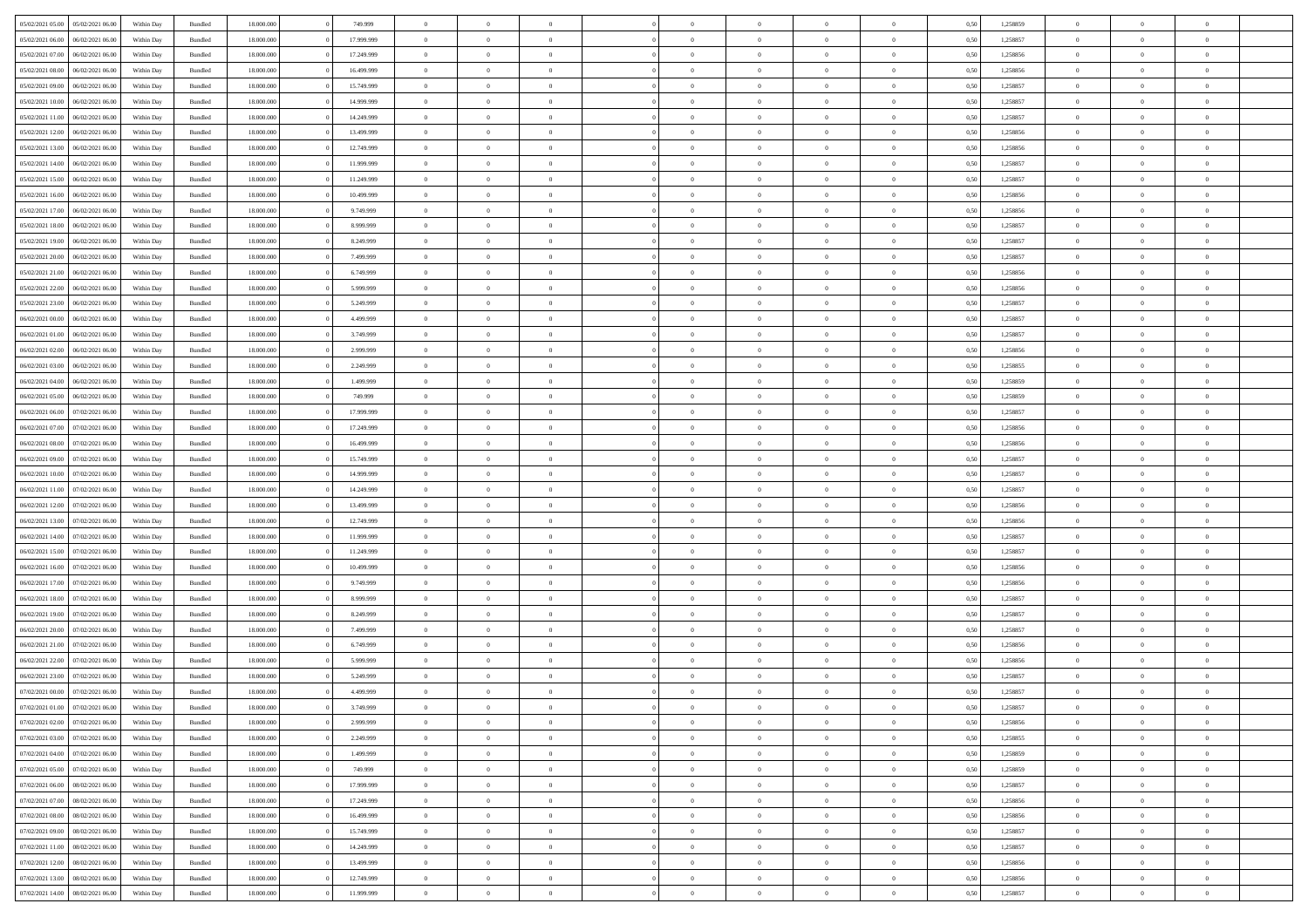| 05/02/2021 05:00 | 05/02/2021 06:00 | Within Day | Bundled            | 18.000.000 | 749.999    | $\overline{0}$ | $\Omega$       |                | $\Omega$       | $\Omega$       | $\Omega$       | $\theta$       | 0.50 | 1,258859 | $\theta$       | $\theta$       | $\theta$       |  |
|------------------|------------------|------------|--------------------|------------|------------|----------------|----------------|----------------|----------------|----------------|----------------|----------------|------|----------|----------------|----------------|----------------|--|
| 05/02/2021 06:00 | 06/02/2021 06:00 | Within Day | Bundled            | 18.000.000 | 17.999.999 | $\overline{0}$ | $\theta$       | $\overline{0}$ | $\overline{0}$ | $\bf{0}$       | $\overline{0}$ | $\overline{0}$ | 0,50 | 1,258857 | $\theta$       | $\theta$       | $\overline{0}$ |  |
| 05/02/2021 07:00 | 06/02/2021 06:00 | Within Day | Bundled            | 18.000.000 | 17.249.999 | $\overline{0}$ | $\overline{0}$ | $\overline{0}$ | $\bf{0}$       | $\bf{0}$       | $\bf{0}$       | $\bf{0}$       | 0,50 | 1,258856 | $\bf{0}$       | $\overline{0}$ | $\overline{0}$ |  |
|                  |                  |            |                    |            |            |                |                |                |                |                |                |                |      |          |                |                |                |  |
| 05/02/2021 08:00 | 06/02/2021 06:00 | Within Dav | Bundled            | 18.000.000 | 16.499.999 | $\overline{0}$ | $\theta$       | $\overline{0}$ | $\overline{0}$ | $\bf{0}$       | $\overline{0}$ | $\overline{0}$ | 0.50 | 1.258856 | $\theta$       | $\theta$       | $\overline{0}$ |  |
| 05/02/2021 09:00 | 06/02/2021 06:00 | Within Day | Bundled            | 18.000.000 | 15.749.999 | $\overline{0}$ | $\theta$       | $\overline{0}$ | $\overline{0}$ | $\bf{0}$       | $\overline{0}$ | $\bf{0}$       | 0,50 | 1,258857 | $\theta$       | $\theta$       | $\overline{0}$ |  |
| 05/02/2021 10:00 | 06/02/2021 06:00 | Within Day | Bundled            | 18.000.000 | 14.999.999 | $\overline{0}$ | $\bf{0}$       | $\overline{0}$ | $\bf{0}$       | $\overline{0}$ | $\overline{0}$ | $\mathbf{0}$   | 0,50 | 1,258857 | $\bf{0}$       | $\overline{0}$ | $\bf{0}$       |  |
|                  |                  |            |                    |            |            |                |                |                |                | $\bf{0}$       |                |                |      |          | $\theta$       | $\overline{0}$ |                |  |
| 05/02/2021 11:00 | 06/02/2021 06:00 | Within Dav | Bundled            | 18.000.000 | 14.249.999 | $\overline{0}$ | $\overline{0}$ | $\overline{0}$ | $\overline{0}$ |                | $\overline{0}$ | $\overline{0}$ | 0.50 | 1,258857 |                |                | $\overline{0}$ |  |
| 05/02/2021 12:00 | 06/02/2021 06:00 | Within Day | Bundled            | 18.000.000 | 13.499.999 | $\overline{0}$ | $\theta$       | $\overline{0}$ | $\overline{0}$ | $\bf{0}$       | $\overline{0}$ | $\bf{0}$       | 0,50 | 1,258856 | $\theta$       | $\theta$       | $\overline{0}$ |  |
| 05/02/2021 13:00 | 06/02/2021 06:00 | Within Day | Bundled            | 18.000.000 | 12.749.999 | $\overline{0}$ | $\overline{0}$ | $\overline{0}$ | $\bf{0}$       | $\bf{0}$       | $\bf{0}$       | $\bf{0}$       | 0,50 | 1,258856 | $\,0\,$        | $\overline{0}$ | $\overline{0}$ |  |
| 05/02/2021 14:00 | 06/02/2021 06:00 | Within Dav | Bundled            | 18.000.000 | 11.999.999 | $\overline{0}$ | $\overline{0}$ | $\overline{0}$ | $\overline{0}$ | $\overline{0}$ | $\overline{0}$ | $\overline{0}$ | 0.50 | 1,258857 | $\theta$       | $\overline{0}$ | $\overline{0}$ |  |
|                  |                  |            |                    |            |            |                |                |                |                |                |                |                |      |          |                |                |                |  |
| 05/02/2021 15:00 | 06/02/2021 06:00 | Within Day | Bundled            | 18.000.000 | 11.249.999 | $\overline{0}$ | $\theta$       | $\overline{0}$ | $\overline{0}$ | $\bf{0}$       | $\overline{0}$ | $\bf{0}$       | 0,50 | 1,258857 | $\theta$       | $\theta$       | $\overline{0}$ |  |
| 05/02/2021 16:00 | 06/02/2021 06:00 | Within Day | Bundled            | 18.000.000 | 10.499.999 | $\overline{0}$ | $\overline{0}$ | $\overline{0}$ | $\bf{0}$       | $\bf{0}$       | $\bf{0}$       | $\bf{0}$       | 0,50 | 1,258856 | $\bf{0}$       | $\overline{0}$ | $\overline{0}$ |  |
| 05/02/2021 17:00 | 06/02/2021 06:00 | Within Dav | Bundled            | 18.000.000 | 9.749.999  | $\overline{0}$ | $\overline{0}$ | $\overline{0}$ | $\overline{0}$ | $\bf{0}$       | $\overline{0}$ | $\overline{0}$ | 0.50 | 1.258856 | $\theta$       | $\theta$       | $\overline{0}$ |  |
|                  |                  |            |                    |            |            |                |                |                |                |                |                |                |      |          |                |                |                |  |
| 05/02/2021 18:00 | 06/02/2021 06:00 | Within Day | Bundled            | 18.000.000 | 8.999.999  | $\overline{0}$ | $\theta$       | $\overline{0}$ | $\overline{0}$ | $\bf{0}$       | $\overline{0}$ | $\overline{0}$ | 0,50 | 1,258857 | $\theta$       | $\theta$       | $\overline{0}$ |  |
| 05/02/2021 19:00 | 06/02/2021 06:00 | Within Day | Bundled            | 18.000.000 | 8.249.999  | $\overline{0}$ | $\bf{0}$       | $\overline{0}$ | $\bf{0}$       | $\overline{0}$ | $\overline{0}$ | $\mathbf{0}$   | 0,50 | 1,258857 | $\bf{0}$       | $\overline{0}$ | $\bf{0}$       |  |
| 05/02/2021 20:00 | 06/02/2021 06:00 | Within Dav | Bundled            | 18.000.000 | 7.499.999  | $\overline{0}$ | $\overline{0}$ | $\overline{0}$ | $\overline{0}$ | $\overline{0}$ | $\overline{0}$ | $\overline{0}$ | 0.50 | 1,258857 | $\theta$       | $\overline{0}$ | $\overline{0}$ |  |
|                  |                  |            |                    |            |            |                |                |                |                |                |                |                |      |          |                |                |                |  |
| 05/02/2021 21:00 | 06/02/2021 06:00 | Within Day | Bundled            | 18.000.000 | 6.749.999  | $\overline{0}$ | $\theta$       | $\overline{0}$ | $\overline{0}$ | $\bf{0}$       | $\overline{0}$ | $\bf{0}$       | 0,50 | 1,258856 | $\theta$       | $\theta$       | $\overline{0}$ |  |
| 05/02/2021 22.00 | 06/02/2021 06:00 | Within Day | Bundled            | 18.000.000 | 5.999.999  | $\overline{0}$ | $\overline{0}$ | $\overline{0}$ | $\bf{0}$       | $\bf{0}$       | $\bf{0}$       | $\bf{0}$       | 0,50 | 1,258856 | $\,0\,$        | $\overline{0}$ | $\overline{0}$ |  |
| 05/02/2021 23:00 | 06/02/2021 06:00 | Within Dav | Bundled            | 18.000.000 | 5.249.999  | $\overline{0}$ | $\overline{0}$ | $\overline{0}$ | $\overline{0}$ | $\overline{0}$ | $\overline{0}$ | $\overline{0}$ | 0.50 | 1,258857 | $\theta$       | $\overline{0}$ | $\overline{0}$ |  |
|                  |                  |            |                    |            |            | $\overline{0}$ | $\theta$       | $\overline{0}$ |                | $\bf{0}$       | $\overline{0}$ |                |      |          | $\theta$       | $\theta$       | $\overline{0}$ |  |
| 06/02/2021 00:00 | 06/02/2021 06:00 | Within Day | Bundled            | 18.000.000 | 4.499.999  |                |                |                | $\overline{0}$ |                |                | $\bf{0}$       | 0,50 | 1,258857 |                |                |                |  |
| 06/02/2021 01:00 | 06/02/2021 06:00 | Within Day | Bundled            | 18.000.000 | 3.749.999  | $\overline{0}$ | $\overline{0}$ | $\overline{0}$ | $\overline{0}$ | $\bf{0}$       | $\overline{0}$ | $\bf{0}$       | 0,50 | 1,258857 | $\,0\,$        | $\overline{0}$ | $\overline{0}$ |  |
| 06/02/2021 02:00 | 06/02/2021 06:00 | Within Day | Bundled            | 18.000.000 | 2.999.999  | $\overline{0}$ | $\overline{0}$ | $\overline{0}$ | $\overline{0}$ | $\bf{0}$       | $\overline{0}$ | $\overline{0}$ | 0.50 | 1.258856 | $\theta$       | $\theta$       | $\overline{0}$ |  |
| 06/02/2021 03:00 | 06/02/2021 06:00 | Within Day | Bundled            | 18.000.000 | 2.249.999  | $\overline{0}$ | $\theta$       | $\overline{0}$ | $\overline{0}$ | $\bf{0}$       | $\overline{0}$ | $\bf{0}$       | 0,50 | 1,258855 | $\theta$       | $\overline{0}$ | $\overline{0}$ |  |
|                  |                  |            |                    |            |            |                |                |                |                |                |                |                |      |          |                |                |                |  |
| 06/02/2021 04:00 | 06/02/2021 06:00 | Within Day | Bundled            | 18.000.000 | 1.499.999  | $\overline{0}$ | $\bf{0}$       | $\overline{0}$ | $\overline{0}$ | $\overline{0}$ | $\overline{0}$ | $\mathbf{0}$   | 0,50 | 1,258859 | $\overline{0}$ | $\overline{0}$ | $\bf{0}$       |  |
| 06/02/2021 05:00 | 06/02/2021 06:00 | Within Dav | Bundled            | 18.000.000 | 749.999    | $\overline{0}$ | $\overline{0}$ | $\overline{0}$ | $\overline{0}$ | $\overline{0}$ | $\overline{0}$ | $\overline{0}$ | 0.50 | 1,258859 | $\theta$       | $\theta$       | $\overline{0}$ |  |
| 06/02/2021 06:00 | 07/02/2021 06.00 | Within Day | Bundled            | 18.000.000 | 17.999.999 | $\overline{0}$ | $\theta$       | $\overline{0}$ | $\overline{0}$ | $\bf{0}$       | $\overline{0}$ | $\bf{0}$       | 0,50 | 1,258857 | $\theta$       | $\theta$       | $\overline{0}$ |  |
|                  |                  |            |                    |            |            |                |                |                |                |                |                |                |      |          |                |                |                |  |
| 06/02/2021 07:00 | 07/02/2021 06:00 | Within Day | Bundled            | 18.000.000 | 17.249.999 | $\overline{0}$ | $\overline{0}$ | $\overline{0}$ | $\overline{0}$ | $\bf{0}$       | $\overline{0}$ | $\bf{0}$       | 0,50 | 1,258856 | $\,0\,$        | $\overline{0}$ | $\overline{0}$ |  |
| 06/02/2021 08:00 | 07/02/2021 06:00 | Within Day | Bundled            | 18.000.000 | 16.499.999 | $\overline{0}$ | $\overline{0}$ | $\overline{0}$ | $\overline{0}$ | $\overline{0}$ | $\overline{0}$ | $\overline{0}$ | 0.50 | 1,258856 | $\theta$       | $\overline{0}$ | $\overline{0}$ |  |
| 06/02/2021 09:00 | 07/02/2021 06:00 | Within Day | Bundled            | 18.000.000 | 15.749.999 | $\overline{0}$ | $\theta$       | $\overline{0}$ | $\overline{0}$ | $\bf{0}$       | $\overline{0}$ | $\bf{0}$       | 0,50 | 1,258857 | $\,$ 0 $\,$    | $\theta$       | $\overline{0}$ |  |
|                  |                  |            |                    |            |            |                |                |                |                |                |                |                |      |          |                |                |                |  |
| 06/02/2021 10:00 | 07/02/2021 06:00 | Within Day | Bundled            | 18.000.000 | 14.999.999 | $\overline{0}$ | $\overline{0}$ | $\overline{0}$ | $\overline{0}$ | $\bf{0}$       | $\overline{0}$ | $\bf{0}$       | 0,50 | 1,258857 | $\bf{0}$       | $\overline{0}$ | $\overline{0}$ |  |
| 06/02/2021 11:00 | 07/02/2021 06:00 | Within Day | Bundled            | 18.000.000 | 14.249.999 | $\overline{0}$ | $\Omega$       | $\Omega$       | $\Omega$       | $\Omega$       | $\Omega$       | $\overline{0}$ | 0.50 | 1,258857 | $\,0\,$        | $\theta$       | $\theta$       |  |
| 06/02/2021 12:00 | 07/02/2021 06.00 | Within Day | Bundled            | 18.000.000 | 13.499.999 | $\overline{0}$ | $\theta$       | $\overline{0}$ | $\overline{0}$ | $\bf{0}$       | $\overline{0}$ | $\bf{0}$       | 0,50 | 1,258856 | $\theta$       | $\theta$       | $\overline{0}$ |  |
|                  |                  |            |                    |            |            |                | $\bf{0}$       |                |                | $\bf{0}$       |                |                |      |          |                | $\overline{0}$ | $\bf{0}$       |  |
| 06/02/2021 13:00 | 07/02/2021 06:00 | Within Day | Bundled            | 18.000.000 | 12.749.999 | $\overline{0}$ |                | $\overline{0}$ | $\overline{0}$ |                | $\overline{0}$ | $\mathbf{0}$   | 0,50 | 1,258856 | $\overline{0}$ |                |                |  |
| 06/02/2021 14:00 | 07/02/2021 06:00 | Within Day | Bundled            | 18,000,000 | 11.999.999 | $\overline{0}$ | $\Omega$       | $\Omega$       | $\Omega$       | $\Omega$       | $\Omega$       | $\overline{0}$ | 0.50 | 1,258857 | $\theta$       | $\theta$       | $\theta$       |  |
| 06/02/2021 15:00 | 07/02/2021 06:00 | Within Day | Bundled            | 18.000.000 | 11.249.999 | $\overline{0}$ | $\theta$       | $\overline{0}$ | $\overline{0}$ | $\bf{0}$       | $\overline{0}$ | $\bf{0}$       | 0,50 | 1,258857 | $\theta$       | $\theta$       | $\overline{0}$ |  |
| 06/02/2021 16:00 | 07/02/2021 06:00 | Within Day | Bundled            | 18.000.000 | 10.499.999 | $\overline{0}$ | $\overline{0}$ | $\overline{0}$ | $\overline{0}$ | $\bf{0}$       | $\overline{0}$ | $\bf{0}$       | 0,50 | 1,258856 | $\,0\,$        | $\overline{0}$ | $\overline{0}$ |  |
|                  |                  |            |                    |            |            |                |                |                |                |                |                |                |      |          |                |                |                |  |
| 06/02/2021 17:00 | 07/02/2021 06:00 | Within Day | Bundled            | 18,000,000 | 9.749.999  | $\overline{0}$ | $\Omega$       | $\Omega$       | $\Omega$       | $\Omega$       | $\theta$       | $\overline{0}$ | 0.50 | 1,258856 | $\theta$       | $\theta$       | $\theta$       |  |
| 06/02/2021 18:00 | 07/02/2021 06:00 | Within Day | Bundled            | 18.000.000 | 8.999.999  | $\overline{0}$ | $\theta$       | $\overline{0}$ | $\overline{0}$ | $\bf{0}$       | $\overline{0}$ | $\bf{0}$       | 0,50 | 1,258857 | $\,$ 0 $\,$    | $\overline{0}$ | $\overline{0}$ |  |
| 06/02/2021 19:00 | 07/02/2021 06:00 | Within Day | Bundled            | 18.000.000 | 8.249.999  | $\overline{0}$ | $\overline{0}$ | $\overline{0}$ | $\overline{0}$ | $\bf{0}$       | $\overline{0}$ | $\bf{0}$       | 0,50 | 1,258857 | $\overline{0}$ | $\overline{0}$ | $\overline{0}$ |  |
|                  |                  |            |                    |            |            |                |                |                |                |                |                |                |      |          |                |                |                |  |
| 06/02/2021 20:00 | 07/02/2021 06:00 | Within Day | Bundled            | 18.000.000 | 7.499.999  | $\overline{0}$ | $\Omega$       | $\Omega$       | $\Omega$       | $\Omega$       | $\overline{0}$ | $\overline{0}$ | 0.50 | 1,258857 | $\,0\,$        | $\theta$       | $\theta$       |  |
| 06/02/2021 21:00 | 07/02/2021 06:00 | Within Day | Bundled            | 18.000.000 | 6.749.999  | $\overline{0}$ | $\theta$       | $\overline{0}$ | $\overline{0}$ | $\bf{0}$       | $\overline{0}$ | $\bf{0}$       | 0,50 | 1,258856 | $\,$ 0 $\,$    | $\theta$       | $\overline{0}$ |  |
| 06/02/2021 22.00 | 07/02/2021 06:00 | Within Day | Bundled            | 18.000.000 | 5.999.999  | $\overline{0}$ | $\overline{0}$ | $\overline{0}$ | $\overline{0}$ | $\bf{0}$       | $\overline{0}$ | $\mathbf{0}$   | 0,50 | 1,258856 | $\bf{0}$       | $\overline{0}$ | $\bf{0}$       |  |
| 06/02/2021 23:00 | 07/02/2021 06:00 | Within Day | Bundled            | 18,000,000 | 5.249.999  | $\overline{0}$ | $\Omega$       | $\Omega$       | $\Omega$       | $\Omega$       | $\Omega$       | $\overline{0}$ | 0.50 | 1,258857 | $\theta$       | $\theta$       | $\theta$       |  |
|                  |                  |            |                    |            |            |                |                |                |                |                |                |                |      |          |                |                |                |  |
| 07/02/2021 00:00 | 07/02/2021 06:00 | Within Day | Bundled            | 18.000.000 | 4.499.999  | $\overline{0}$ | $\overline{0}$ | $\overline{0}$ | $\bf{0}$       | $\,$ 0         | $\overline{0}$ | $\bf{0}$       | 0,50 | 1,258857 | $\,0\,$        | $\,$ 0 $\,$    | $\overline{0}$ |  |
| 07/02/2021 01:00 | 07/02/2021 06:00 | Within Day | $\mathbf B$ undled | 18.000.000 | 3.749.999  | $\bf{0}$       | $\bf{0}$       |                |                | $\bf{0}$       |                |                | 0,50 | 1,258857 | $\bf{0}$       | $\overline{0}$ |                |  |
| 07/02/2021 02:00 | 07/02/2021 06:00 | Within Day | Bundled            | 18,000,000 | 2.999.999  | $\overline{0}$ | $\overline{0}$ | $\overline{0}$ | $\Omega$       | $\overline{0}$ | $\overline{0}$ | $\overline{0}$ | 0.50 | 1,258856 | $\theta$       | $\theta$       | $\theta$       |  |
|                  |                  |            |                    |            |            |                |                |                |                |                |                |                |      |          |                |                |                |  |
| 07/02/2021 03:00 | 07/02/2021 06:00 | Within Day | Bundled            | 18.000.000 | 2.249.999  | $\overline{0}$ | $\,$ 0         | $\overline{0}$ | $\overline{0}$ | $\,$ 0 $\,$    | $\overline{0}$ | $\mathbf{0}$   | 0,50 | 1,258855 | $\,$ 0 $\,$    | $\,$ 0 $\,$    | $\,$ 0         |  |
| 07/02/2021 04:00 | 07/02/2021 06:00 | Within Day | Bundled            | 18.000.000 | 1.499.999  | $\overline{0}$ | $\overline{0}$ | $\overline{0}$ | $\overline{0}$ | $\overline{0}$ | $\overline{0}$ | $\mathbf{0}$   | 0,50 | 1,258859 | $\overline{0}$ | $\bf{0}$       | $\bf{0}$       |  |
| 07/02/2021 05:00 | 07/02/2021 06:00 | Within Day | Bundled            | 18,000,000 | 749.999    | $\overline{0}$ | $\overline{0}$ | $\overline{0}$ | $\Omega$       | $\overline{0}$ | $\overline{0}$ | $\bf{0}$       | 0,50 | 1,258859 | $\bf{0}$       | $\theta$       | $\overline{0}$ |  |
|                  |                  |            |                    |            |            |                | $\,$ 0         | $\overline{0}$ | $\overline{0}$ | $\overline{0}$ |                |                |      |          | $\,$ 0 $\,$    | $\overline{0}$ | $\overline{0}$ |  |
| 07/02/2021 06:00 | 08/02/2021 06:00 | Within Day | Bundled            | 18.000.000 | 17.999.999 | $\overline{0}$ |                |                |                |                | $\overline{0}$ | $\bf{0}$       | 0,50 | 1,258857 |                |                |                |  |
| 07/02/2021 07:00 | 08/02/2021 06:00 | Within Day | Bundled            | 18.000.000 | 17.249.999 | $\overline{0}$ | $\overline{0}$ | $\overline{0}$ | $\overline{0}$ | $\overline{0}$ | $\overline{0}$ | $\mathbf{0}$   | 0,50 | 1,258856 | $\overline{0}$ | $\bf{0}$       | $\bf{0}$       |  |
| 07/02/2021 08:00 | 08/02/2021 06:00 | Within Day | Bundled            | 18.000.000 | 16.499.999 | $\overline{0}$ | $\overline{0}$ | $\overline{0}$ | $\Omega$       | $\overline{0}$ | $\overline{0}$ | $\bf{0}$       | 0.50 | 1,258856 | $\overline{0}$ | $\theta$       | $\overline{0}$ |  |
| 07/02/2021 09:00 | 08/02/2021 06:00 | Within Day | Bundled            | 18.000.000 | 15.749.999 | $\overline{0}$ | $\,$ 0         | $\overline{0}$ | $\overline{0}$ | $\bf{0}$       | $\overline{0}$ | $\bf{0}$       | 0,50 | 1,258857 | $\,$ 0 $\,$    | $\overline{0}$ | $\overline{0}$ |  |
|                  |                  |            |                    |            |            |                |                |                |                |                |                |                |      |          |                |                |                |  |
| 07/02/2021 11:00 | 08/02/2021 06:00 | Within Day | Bundled            | 18.000.000 | 14.249.999 | $\overline{0}$ | $\bf{0}$       | $\overline{0}$ | $\overline{0}$ | $\overline{0}$ | $\overline{0}$ | $\mathbf{0}$   | 0,50 | 1,258857 | $\overline{0}$ | $\overline{0}$ | $\bf{0}$       |  |
| 07/02/2021 12:00 | 08/02/2021 06:00 | Within Day | Bundled            | 18,000,000 | 13.499.999 | $\overline{0}$ | $\overline{0}$ | $\overline{0}$ | $\Omega$       | $\overline{0}$ | $\overline{0}$ | $\bf{0}$       | 0.50 | 1,258856 | $\overline{0}$ | $\overline{0}$ | $\overline{0}$ |  |
| 07/02/2021 13:00 | 08/02/2021 06:00 | Within Day | Bundled            | 18.000.000 | 12.749.999 | $\overline{0}$ | $\,$ 0 $\,$    | $\overline{0}$ | $\overline{0}$ | $\bf{0}$       | $\overline{0}$ | $\bf{0}$       | 0,50 | 1,258856 | $\,$ 0 $\,$    | $\,$ 0 $\,$    | $\bf{0}$       |  |
|                  |                  |            |                    |            |            |                |                |                |                |                |                |                |      |          |                |                |                |  |
| 07/02/2021 14:00 | 08/02/2021 06:00 | Within Day | Bundled            | 18.000.000 | 11.999.999 | $\overline{0}$ | $\bf{0}$       | $\overline{0}$ | $\bf{0}$       | $\bf{0}$       | $\overline{0}$ | $\bf{0}$       | 0,50 | 1,258857 | $\overline{0}$ | $\overline{0}$ | $\bf{0}$       |  |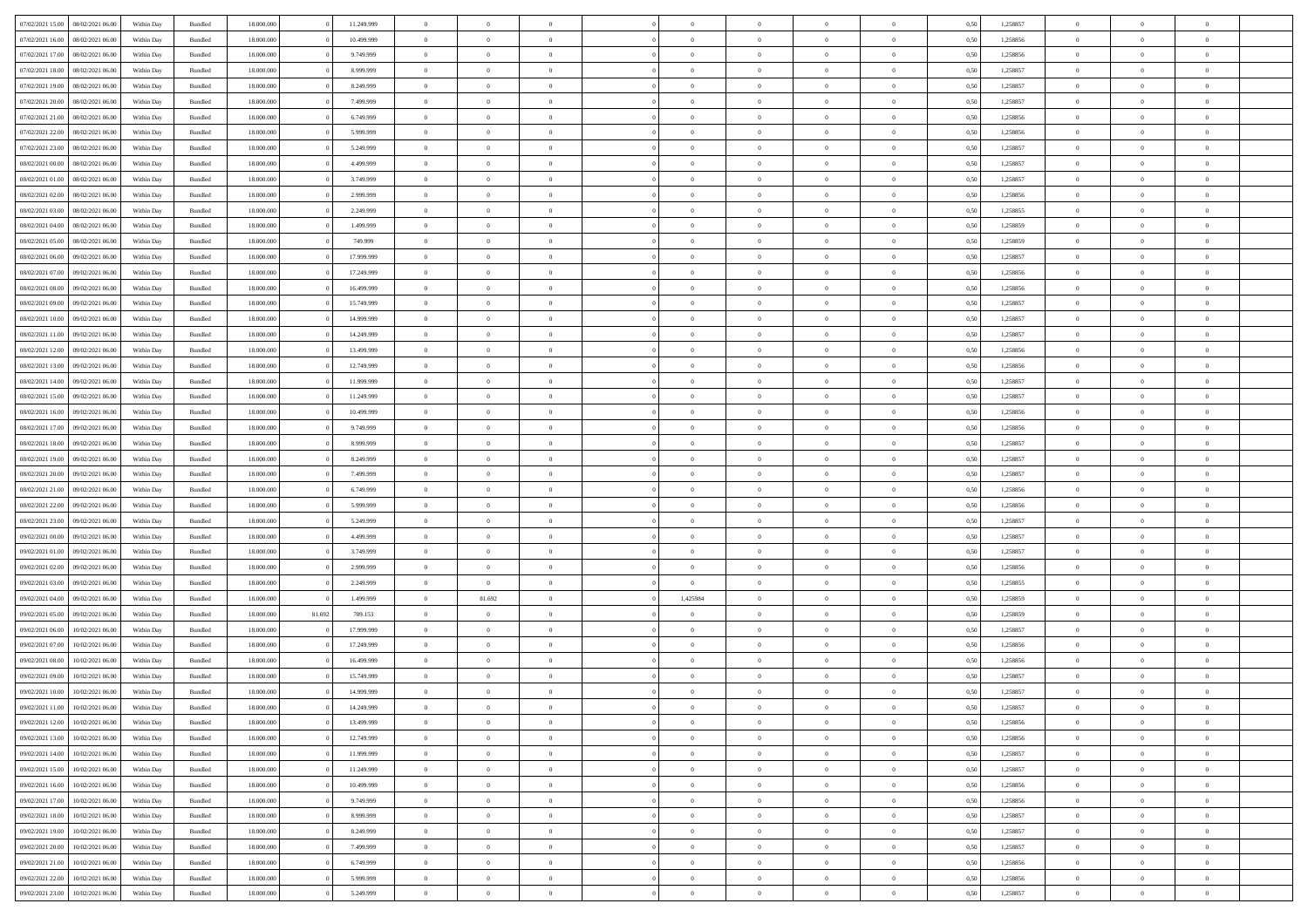|                  |                  |            |                    |            |        |            | $\overline{0}$ |                |                |                | $\Omega$       | $\Omega$       | $\theta$       |      |          | $\theta$       | $\overline{0}$ | $\theta$       |  |
|------------------|------------------|------------|--------------------|------------|--------|------------|----------------|----------------|----------------|----------------|----------------|----------------|----------------|------|----------|----------------|----------------|----------------|--|
| 07/02/2021 15:00 | 08/02/2021 06:00 | Within Day | Bundled            | 18.000.000 |        | 11.249.999 |                | $\theta$       |                | $\Omega$       |                |                |                | 0.50 | 1,258857 |                |                |                |  |
| 07/02/2021 16:00 | 08/02/2021 06:00 | Within Day | Bundled            | 18.000.000 |        | 10.499.999 | $\overline{0}$ | $\theta$       | $\overline{0}$ | $\overline{0}$ | $\bf{0}$       | $\overline{0}$ | $\overline{0}$ | 0,50 | 1,258856 | $\theta$       | $\theta$       | $\overline{0}$ |  |
| 07/02/2021 17:00 | 08/02/2021 06:00 | Within Day | Bundled            | 18.000.000 |        | 9.749.999  | $\overline{0}$ | $\overline{0}$ | $\overline{0}$ | $\overline{0}$ | $\bf{0}$       | $\overline{0}$ | $\bf{0}$       | 0,50 | 1,258856 | $\bf{0}$       | $\overline{0}$ | $\overline{0}$ |  |
| 07/02/2021 18:00 | 08/02/2021 06:00 | Within Dav | Bundled            | 18.000.000 |        | 8.999.999  | $\overline{0}$ | $\overline{0}$ | $\overline{0}$ | $\overline{0}$ | $\bf{0}$       | $\overline{0}$ | $\overline{0}$ | 0.50 | 1.258857 | $\theta$       | $\theta$       | $\overline{0}$ |  |
| 07/02/2021 19:00 | 08/02/2021 06:00 | Within Day | Bundled            | 18.000.000 |        | 8.249.999  | $\overline{0}$ | $\theta$       | $\overline{0}$ | $\overline{0}$ | $\bf{0}$       | $\overline{0}$ | $\bf{0}$       | 0,50 | 1,258857 | $\theta$       | $\theta$       | $\overline{0}$ |  |
|                  |                  |            |                    |            |        |            |                |                |                |                |                |                |                |      |          |                |                |                |  |
| 07/02/2021 20.00 | 08/02/2021 06:00 | Within Day | Bundled            | 18.000.000 |        | 7.499.999  | $\overline{0}$ | $\bf{0}$       | $\overline{0}$ | $\bf{0}$       | $\overline{0}$ | $\overline{0}$ | $\mathbf{0}$   | 0,50 | 1,258857 | $\bf{0}$       | $\overline{0}$ | $\bf{0}$       |  |
| 07/02/2021 21:00 | 08/02/2021 06:00 | Within Dav | Bundled            | 18.000.000 |        | 6.749.999  | $\overline{0}$ | $\overline{0}$ | $\overline{0}$ | $\overline{0}$ | $\overline{0}$ | $\overline{0}$ | $\overline{0}$ | 0.50 | 1.258856 | $\theta$       | $\overline{0}$ | $\overline{0}$ |  |
| 07/02/2021 22.00 | 08/02/2021 06:00 | Within Day | Bundled            | 18.000.000 |        | 5.999.999  | $\overline{0}$ | $\theta$       | $\overline{0}$ | $\overline{0}$ | $\bf{0}$       | $\overline{0}$ | $\bf{0}$       | 0,50 | 1,258856 | $\theta$       | $\theta$       | $\overline{0}$ |  |
| 07/02/2021 23:00 | 08/02/2021 06:00 | Within Day | Bundled            | 18.000.000 |        | 5.249.999  | $\overline{0}$ | $\overline{0}$ | $\overline{0}$ | $\bf{0}$       | $\bf{0}$       | $\bf{0}$       | $\bf{0}$       | 0,50 | 1,258857 | $\,0\,$        | $\overline{0}$ | $\overline{0}$ |  |
|                  |                  |            |                    |            |        |            |                |                |                |                |                |                |                |      |          |                |                |                |  |
| 08/02/2021 00:00 | 08/02/2021 06:00 | Within Dav | Bundled            | 18.000.000 |        | 4.499.999  | $\overline{0}$ | $\overline{0}$ | $\overline{0}$ | $\overline{0}$ | $\overline{0}$ | $\overline{0}$ | $\overline{0}$ | 0.50 | 1,258857 | $\theta$       | $\overline{0}$ | $\overline{0}$ |  |
| 08/02/2021 01:00 | 08/02/2021 06:00 | Within Day | Bundled            | 18.000.000 |        | 3.749.999  | $\overline{0}$ | $\theta$       | $\overline{0}$ | $\overline{0}$ | $\bf{0}$       | $\overline{0}$ | $\bf{0}$       | 0,50 | 1,258857 | $\theta$       | $\theta$       | $\overline{0}$ |  |
| 08/02/2021 02:00 | 08/02/2021 06:00 | Within Day | Bundled            | 18.000.000 |        | 2.999.999  | $\overline{0}$ | $\overline{0}$ | $\overline{0}$ | $\bf{0}$       | $\bf{0}$       | $\bf{0}$       | $\bf{0}$       | 0,50 | 1,258856 | $\bf{0}$       | $\overline{0}$ | $\overline{0}$ |  |
| 08/02/2021 03:00 | 08/02/2021 06:00 | Within Dav | Bundled            | 18.000.000 |        | 2.249.999  | $\overline{0}$ | $\overline{0}$ | $\overline{0}$ | $\overline{0}$ | $\bf{0}$       | $\overline{0}$ | $\overline{0}$ | 0.50 | 1.258855 | $\theta$       | $\theta$       | $\overline{0}$ |  |
| 08/02/2021 04:00 | 08/02/2021 06:00 | Within Day | Bundled            | 18.000.000 |        | 1.499.999  | $\overline{0}$ | $\theta$       | $\overline{0}$ | $\overline{0}$ | $\bf{0}$       | $\overline{0}$ | $\overline{0}$ | 0,50 | 1,258859 | $\theta$       | $\theta$       | $\overline{0}$ |  |
|                  |                  |            |                    |            |        |            |                |                |                |                |                |                |                |      |          |                |                |                |  |
| 08/02/2021 05:00 | 08/02/2021 06:00 | Within Day | Bundled            | 18.000.000 |        | 749.999    | $\overline{0}$ | $\bf{0}$       | $\overline{0}$ | $\bf{0}$       | $\overline{0}$ | $\overline{0}$ | $\mathbf{0}$   | 0,50 | 1,258859 | $\bf{0}$       | $\overline{0}$ | $\bf{0}$       |  |
| 08/02/2021 06:00 | 09/02/2021 06:00 | Within Dav | Bundled            | 18.000.000 |        | 17.999.999 | $\overline{0}$ | $\overline{0}$ | $\overline{0}$ | $\overline{0}$ | $\overline{0}$ | $\overline{0}$ | $\overline{0}$ | 0.50 | 1,258857 | $\theta$       | $\overline{0}$ | $\overline{0}$ |  |
| 08/02/2021 07:00 | 09/02/2021 06:00 | Within Day | Bundled            | 18.000.000 |        | 17.249.999 | $\overline{0}$ | $\theta$       | $\overline{0}$ | $\overline{0}$ | $\bf{0}$       | $\overline{0}$ | $\bf{0}$       | 0,50 | 1,258856 | $\theta$       | $\theta$       | $\overline{0}$ |  |
| 08/02/2021 08:00 | 09/02/2021 06:00 | Within Day | Bundled            | 18.000.000 |        | 16.499.999 | $\overline{0}$ | $\overline{0}$ | $\overline{0}$ | $\bf{0}$       | $\bf{0}$       | $\bf{0}$       | $\bf{0}$       | 0,50 | 1,258856 | $\,0\,$        | $\overline{0}$ | $\overline{0}$ |  |
| 08/02/2021 09:00 | 09/02/2021 06:00 | Within Dav | Bundled            | 18.000.000 |        | 15.749.999 | $\overline{0}$ | $\overline{0}$ | $\overline{0}$ | $\overline{0}$ | $\overline{0}$ | $\overline{0}$ | $\overline{0}$ | 0.50 | 1,258857 | $\theta$       | $\overline{0}$ | $\overline{0}$ |  |
|                  |                  |            |                    |            |        |            |                |                |                |                |                |                |                |      |          |                |                |                |  |
| 08/02/2021 10:00 | 09/02/2021 06:00 | Within Day | Bundled            | 18.000.000 |        | 14.999.999 | $\overline{0}$ | $\theta$       | $\overline{0}$ | $\overline{0}$ | $\bf{0}$       | $\overline{0}$ | $\bf{0}$       | 0,50 | 1,258857 | $\theta$       | $\theta$       | $\overline{0}$ |  |
| 08/02/2021 11:00 | 09/02/2021 06:00 | Within Day | Bundled            | 18.000.000 |        | 14.249.999 | $\overline{0}$ | $\overline{0}$ | $\overline{0}$ | $\bf{0}$       | $\bf{0}$       | $\bf{0}$       | $\bf{0}$       | 0,50 | 1,258857 | $\,0\,$        | $\overline{0}$ | $\overline{0}$ |  |
| 08/02/2021 12:00 | 09/02/2021 06:00 | Within Day | Bundled            | 18.000.000 |        | 13,499.999 | $\overline{0}$ | $\overline{0}$ | $\overline{0}$ | $\overline{0}$ | $\bf{0}$       | $\overline{0}$ | $\overline{0}$ | 0.50 | 1.258856 | $\theta$       | $\theta$       | $\overline{0}$ |  |
| 08/02/2021 13:00 | 09/02/2021 06:00 | Within Day | Bundled            | 18.000.000 |        | 12.749.999 | $\overline{0}$ | $\theta$       | $\overline{0}$ | $\overline{0}$ | $\bf{0}$       | $\overline{0}$ | $\bf{0}$       | 0,50 | 1,258856 | $\theta$       | $\overline{0}$ | $\overline{0}$ |  |
|                  |                  |            |                    |            |        |            |                |                |                |                |                |                |                |      |          |                |                |                |  |
| 08/02/2021 14:00 | 09/02/2021 06:00 | Within Day | Bundled            | 18.000.000 |        | 11.999.999 | $\overline{0}$ | $\bf{0}$       | $\overline{0}$ | $\bf{0}$       | $\overline{0}$ | $\overline{0}$ | $\mathbf{0}$   | 0,50 | 1,258857 | $\overline{0}$ | $\overline{0}$ | $\bf{0}$       |  |
| 08/02/2021 15:00 | 09/02/2021 06:00 | Within Dav | Bundled            | 18.000.000 |        | 11.249.999 | $\overline{0}$ | $\overline{0}$ | $\overline{0}$ | $\overline{0}$ | $\overline{0}$ | $\overline{0}$ | $\overline{0}$ | 0.50 | 1,258857 | $\theta$       | $\theta$       | $\overline{0}$ |  |
| 08/02/2021 16:00 | 09/02/2021 06:00 | Within Day | Bundled            | 18.000.000 |        | 10.499.999 | $\overline{0}$ | $\theta$       | $\overline{0}$ | $\overline{0}$ | $\bf{0}$       | $\overline{0}$ | $\bf{0}$       | 0,50 | 1,258856 | $\theta$       | $\theta$       | $\overline{0}$ |  |
| 08/02/2021 17:00 | 09/02/2021 06:00 | Within Day | Bundled            | 18.000.000 |        | 9.749.999  | $\overline{0}$ | $\overline{0}$ | $\overline{0}$ | $\bf{0}$       | $\bf{0}$       | $\bf{0}$       | $\bf{0}$       | 0,50 | 1,258856 | $\,0\,$        | $\overline{0}$ | $\overline{0}$ |  |
| 08/02/2021 18:00 | 09/02/2021 06:00 | Within Day | Bundled            | 18.000.000 |        | 8.999.999  | $\overline{0}$ | $\overline{0}$ | $\overline{0}$ | $\overline{0}$ | $\overline{0}$ | $\overline{0}$ | $\overline{0}$ | 0.50 | 1,258857 | $\theta$       | $\overline{0}$ | $\overline{0}$ |  |
| 08/02/2021 19:00 | 09/02/2021 06:00 | Within Day | Bundled            | 18.000.000 |        | 8.249.999  | $\overline{0}$ | $\theta$       | $\overline{0}$ | $\overline{0}$ | $\bf{0}$       | $\overline{0}$ | $\bf{0}$       | 0,50 | 1,258857 | $\,$ 0 $\,$    | $\theta$       | $\overline{0}$ |  |
|                  |                  |            |                    |            |        |            |                |                |                |                |                |                |                |      |          |                |                |                |  |
| 08/02/2021 20:00 | 09/02/2021 06:00 | Within Day | Bundled            | 18.000.000 |        | 7.499.999  | $\overline{0}$ | $\overline{0}$ | $\overline{0}$ | $\bf{0}$       | $\bf{0}$       | $\bf{0}$       | $\bf{0}$       | 0,50 | 1,258857 | $\bf{0}$       | $\overline{0}$ | $\overline{0}$ |  |
| 08/02/2021 21:00 | 09/02/2021 06:00 | Within Day | Bundled            | 18.000.000 |        | 6.749.999  | $\overline{0}$ | $\Omega$       | $\Omega$       | $\Omega$       | $\Omega$       | $\Omega$       | $\overline{0}$ | 0.50 | 1,258856 | $\,0\,$        | $\theta$       | $\theta$       |  |
| 08/02/2021 22:00 | 09/02/2021 06:00 | Within Day | Bundled            | 18.000.000 |        | 5.999.999  | $\overline{0}$ | $\theta$       | $\overline{0}$ | $\overline{0}$ | $\bf{0}$       | $\overline{0}$ | $\bf{0}$       | 0,50 | 1,258856 | $\theta$       | $\theta$       | $\overline{0}$ |  |
| 08/02/2021 23.00 | 09/02/2021 06:00 | Within Day | Bundled            | 18.000.000 |        | 5.249.999  | $\overline{0}$ | $\overline{0}$ | $\overline{0}$ | $\overline{0}$ | $\bf{0}$       | $\overline{0}$ | $\mathbf{0}$   | 0,50 | 1,258857 | $\bf{0}$       | $\overline{0}$ | $\bf{0}$       |  |
|                  | 09/02/2021 06:00 |            |                    | 18,000,000 |        | 4.499.999  | $\overline{0}$ | $\Omega$       | $\Omega$       | $\Omega$       | $\Omega$       | $\Omega$       | $\overline{0}$ | 0.50 | 1,258857 | $\theta$       | $\theta$       | $\theta$       |  |
| 09/02/2021 00:00 |                  | Within Day | Bundled            |            |        |            |                |                |                |                |                |                |                |      |          |                |                |                |  |
| 09/02/2021 01:00 | 09/02/2021 06:00 | Within Day | Bundled            | 18.000.000 |        | 3.749.999  | $\overline{0}$ | $\theta$       | $\overline{0}$ | $\overline{0}$ | $\bf{0}$       | $\overline{0}$ | $\bf{0}$       | 0,50 | 1,258857 | $\theta$       | $\theta$       | $\overline{0}$ |  |
| 09/02/2021 02:00 | 09/02/2021 06:00 | Within Day | Bundled            | 18.000.000 |        | 2.999.999  | $\overline{0}$ | $\overline{0}$ | $\overline{0}$ | $\overline{0}$ | $\bf{0}$       | $\overline{0}$ | $\bf{0}$       | 0,50 | 1,258856 | $\,0\,$        | $\overline{0}$ | $\overline{0}$ |  |
| 09/02/2021 03:00 | 09/02/2021 06:00 | Within Day | Bundled            | 18,000,000 |        | 2.249.999  | $\overline{0}$ | $\Omega$       | $\Omega$       | $\Omega$       | $\theta$       | $\theta$       | $\overline{0}$ | 0.50 | 1,258855 | $\theta$       | $\theta$       | $\theta$       |  |
| 09/02/2021 04:00 | 09/02/2021 06:00 | Within Day | Bundled            | 18.000.000 |        | 1.499.999  | $\overline{0}$ | 81.692         | $\overline{0}$ | 1,425984       | $\bf{0}$       | $\overline{0}$ | $\bf{0}$       | 0,50 | 1,258859 | $\,$ 0 $\,$    | $\overline{0}$ | $\overline{0}$ |  |
| 09/02/2021 05:00 | 09/02/2021 06:00 | Within Day | Bundled            | 18.000.000 | 81.692 | 709.153    | $\overline{0}$ | $\overline{0}$ | $\overline{0}$ | $\overline{0}$ | $\bf{0}$       | $\overline{0}$ | $\bf{0}$       | 0,50 | 1,258859 | $\bf{0}$       | $\overline{0}$ | $\overline{0}$ |  |
|                  |                  |            |                    |            |        |            |                |                |                |                |                |                |                |      |          |                |                |                |  |
| 09/02/2021 06:00 | 10/02/2021 06:00 | Within Day | Bundled            | 18.000.000 |        | 17.999.999 | $\overline{0}$ | $\Omega$       | $\Omega$       | $\Omega$       | $\Omega$       | $\overline{0}$ | $\overline{0}$ | 0.50 | 1,258857 | $\,0\,$        | $\theta$       | $\theta$       |  |
| 09/02/2021 07:00 | 10/02/2021 06:00 | Within Day | Bundled            | 18.000.000 |        | 17.249.999 | $\overline{0}$ | $\theta$       | $\overline{0}$ | $\overline{0}$ | $\bf{0}$       | $\overline{0}$ | $\bf{0}$       | 0,50 | 1,258856 | $\,$ 0 $\,$    | $\overline{0}$ | $\overline{0}$ |  |
| 09/02/2021 08:00 | 10/02/2021 06:00 | Within Day | Bundled            | 18.000.000 |        | 16.499.999 | $\overline{0}$ | $\overline{0}$ | $\overline{0}$ | $\overline{0}$ | $\bf{0}$       | $\overline{0}$ | $\mathbf{0}$   | 0,50 | 1,258856 | $\bf{0}$       | $\overline{0}$ | $\bf{0}$       |  |
| 09/02/2021 09:00 | 10/02/2021 06:00 | Within Day | Bundled            | 18,000,000 |        | 15.749.999 | $\overline{0}$ | $\Omega$       | $\Omega$       | $\Omega$       | $\Omega$       | $\Omega$       | $\overline{0}$ | 0.50 | 1,258857 | $\theta$       | $\theta$       | $\theta$       |  |
| 09/02/2021 10:00 | 10/02/2021 06:00 | Within Day | Bundled            | 18.000.000 |        | 14.999.999 | $\overline{0}$ | $\overline{0}$ | $\overline{0}$ | $\bf{0}$       | $\,$ 0         | $\overline{0}$ | $\bf{0}$       | 0,50 | 1,258857 | $\,0\,$        | $\,$ 0 $\,$    | $\overline{0}$ |  |
|                  | 10/02/2021 06:00 |            |                    |            |        |            |                |                |                |                |                |                |                |      |          |                |                |                |  |
| 09/02/2021 11:00 |                  | Within Day | $\mathbf B$ undled | 18.000.000 |        | 14.249.999 | $\bf{0}$       | $\bf{0}$       |                |                | $\bf{0}$       |                |                | 0,50 | 1,258857 | $\bf{0}$       | $\overline{0}$ |                |  |
| 09/02/2021 12:00 | 10/02/2021 06:00 | Within Day | Bundled            | 18,000,000 |        | 13,499.999 | $\overline{0}$ | $\overline{0}$ | $\overline{0}$ | $\Omega$       | $\overline{0}$ | $\overline{0}$ | $\overline{0}$ | 0.50 | 1,258856 | $\theta$       | $\theta$       | $\theta$       |  |
| 09/02/2021 13:00 | 10/02/2021 06:00 | Within Day | Bundled            | 18.000.000 |        | 12.749.999 | $\overline{0}$ | $\,$ 0         | $\overline{0}$ | $\overline{0}$ | $\,$ 0 $\,$    | $\overline{0}$ | $\mathbf{0}$   | 0,50 | 1,258856 | $\,$ 0 $\,$    | $\,$ 0 $\,$    | $\,$ 0         |  |
| 09/02/2021 14:00 | 10/02/2021 06:00 | Within Day | Bundled            | 18.000.000 |        | 11.999.999 | $\overline{0}$ | $\overline{0}$ | $\overline{0}$ | $\overline{0}$ | $\overline{0}$ | $\overline{0}$ | $\mathbf{0}$   | 0,50 | 1,258857 | $\overline{0}$ | $\bf{0}$       | $\bf{0}$       |  |
| 09/02/2021 15:00 | 10/02/2021 06:00 | Within Day | Bundled            | 18,000,000 |        | 11.249.999 | $\overline{0}$ | $\overline{0}$ | $\overline{0}$ | $\Omega$       | $\overline{0}$ | $\overline{0}$ | $\bf{0}$       | 0,50 | 1,258857 | $\bf{0}$       | $\theta$       | $\overline{0}$ |  |
|                  |                  |            |                    |            |        |            |                |                |                |                |                |                |                |      |          |                |                |                |  |
| 09/02/2021 16:00 | 10/02/2021 06:00 | Within Day | Bundled            | 18.000.000 |        | 10.499.999 | $\overline{0}$ | $\,$ 0         | $\overline{0}$ | $\overline{0}$ | $\overline{0}$ | $\overline{0}$ | $\bf{0}$       | 0,50 | 1,258856 | $\,$ 0 $\,$    | $\overline{0}$ | $\overline{0}$ |  |
| 09/02/2021 17:00 | 10/02/2021 06:00 | Within Day | Bundled            | 18.000.000 |        | 9.749.999  | $\overline{0}$ | $\overline{0}$ | $\overline{0}$ | $\overline{0}$ | $\overline{0}$ | $\overline{0}$ | $\mathbf{0}$   | 0,50 | 1,258856 | $\overline{0}$ | $\bf{0}$       | $\bf{0}$       |  |
| 09/02/2021 18:00 | 10/02/2021 06:00 | Within Day | Bundled            | 18,000,000 |        | 8,999,999  | $\overline{0}$ | $\overline{0}$ | $\overline{0}$ | $\Omega$       | $\overline{0}$ | $\overline{0}$ | $\bf{0}$       | 0.50 | 1,258857 | $\overline{0}$ | $\theta$       | $\overline{0}$ |  |
| 09/02/2021 19:00 | 10/02/2021 06:00 | Within Day | Bundled            | 18.000.000 |        | 8.249.999  | $\overline{0}$ | $\,$ 0         | $\overline{0}$ | $\overline{0}$ | $\bf{0}$       | $\overline{0}$ | $\bf{0}$       | 0,50 | 1,258857 | $\,$ 0 $\,$    | $\overline{0}$ | $\overline{0}$ |  |
| 09/02/2021 20:00 | 10/02/2021 06:00 | Within Day | Bundled            | 18.000.000 |        | 7.499.999  | $\overline{0}$ | $\bf{0}$       | $\overline{0}$ | $\overline{0}$ | $\overline{0}$ | $\overline{0}$ | $\mathbf{0}$   | 0,50 | 1,258857 | $\overline{0}$ | $\overline{0}$ | $\bf{0}$       |  |
|                  |                  |            |                    |            |        |            |                |                |                |                |                |                |                |      |          |                |                |                |  |
| 09/02/2021 21:00 | 10/02/2021 06:00 | Within Day | Bundled            | 18,000,000 |        | 6.749.999  | $\overline{0}$ | $\overline{0}$ | $\overline{0}$ | $\Omega$       | $\overline{0}$ | $\overline{0}$ | $\bf{0}$       | 0.50 | 1,258856 | $\overline{0}$ | $\overline{0}$ | $\overline{0}$ |  |
| 09/02/2021 22.00 | 10/02/2021 06:00 | Within Day | Bundled            | 18.000.000 |        | 5.999.999  | $\overline{0}$ | $\,$ 0 $\,$    | $\overline{0}$ | $\overline{0}$ | $\bf{0}$       | $\overline{0}$ | $\bf{0}$       | 0,50 | 1,258856 | $\,$ 0 $\,$    | $\,$ 0 $\,$    | $\bf{0}$       |  |
| 09/02/2021 23:00 | 10/02/2021 06:00 | Within Day | Bundled            | 18.000.000 |        | 5.249.999  | $\overline{0}$ | $\bf{0}$       | $\overline{0}$ | $\bf{0}$       | $\bf{0}$       | $\overline{0}$ | $\bf{0}$       | 0,50 | 1,258857 | $\overline{0}$ | $\overline{0}$ | $\bf{0}$       |  |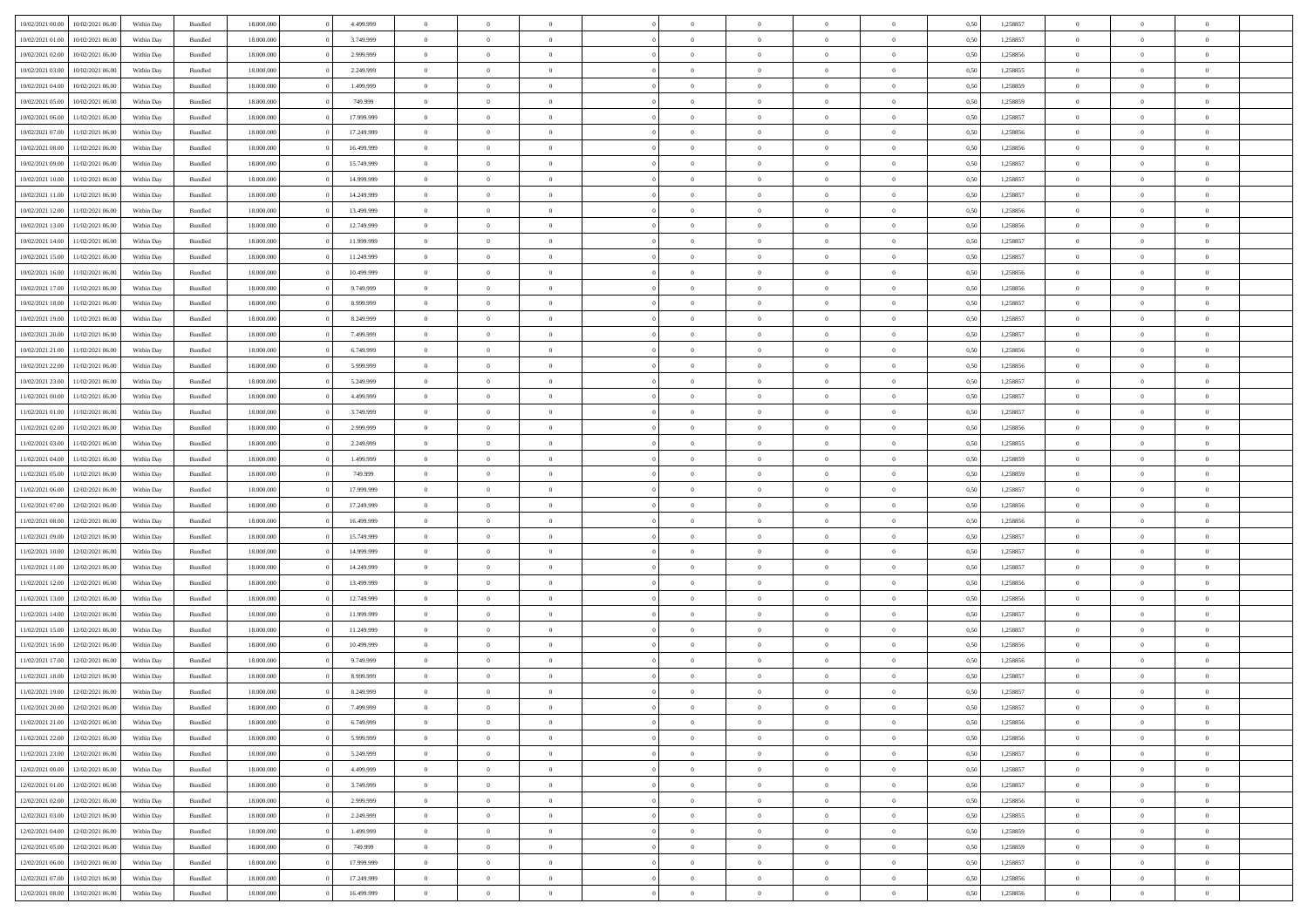|                  | 10/02/2021 06:00 | Within Day | Bundled            | 18.000.000 | 4.499.999  | $\overline{0}$ | $\Omega$       |                | $\Omega$       | $\Omega$       | $\Omega$       | $\theta$       | 0.50 | 1,258857 | $\theta$       | $\theta$       | $\theta$       |  |
|------------------|------------------|------------|--------------------|------------|------------|----------------|----------------|----------------|----------------|----------------|----------------|----------------|------|----------|----------------|----------------|----------------|--|
| 10/02/2021 00:00 |                  |            |                    |            |            |                |                |                |                |                |                |                |      |          |                |                |                |  |
| 10/02/2021 01:00 | 10/02/2021 06:00 | Within Day | Bundled            | 18.000.000 | 3.749.999  | $\overline{0}$ | $\theta$       | $\overline{0}$ | $\overline{0}$ | $\bf{0}$       | $\overline{0}$ | $\overline{0}$ | 0,50 | 1,258857 | $\theta$       | $\theta$       | $\overline{0}$ |  |
| 10/02/2021 02:00 | 10/02/2021 06:00 | Within Day | Bundled            | 18.000.000 | 2.999.999  | $\overline{0}$ | $\overline{0}$ | $\overline{0}$ | $\overline{0}$ | $\bf{0}$       | $\overline{0}$ | $\bf{0}$       | 0,50 | 1,258856 | $\bf{0}$       | $\overline{0}$ | $\overline{0}$ |  |
| 10/02/2021 03:00 | 10/02/2021 06:00 | Within Dav | Bundled            | 18.000.000 | 2.249.999  | $\overline{0}$ | $\theta$       | $\overline{0}$ | $\overline{0}$ | $\bf{0}$       | $\overline{0}$ | $\overline{0}$ | 0.50 | 1.258855 | $\theta$       | $\theta$       | $\overline{0}$ |  |
| 10/02/2021 04:00 | 10/02/2021 06:00 | Within Day | Bundled            | 18.000.000 | 1.499.999  | $\overline{0}$ | $\theta$       | $\overline{0}$ | $\overline{0}$ | $\bf{0}$       | $\overline{0}$ | $\bf{0}$       | 0,50 | 1,258859 | $\theta$       | $\theta$       | $\overline{0}$ |  |
|                  |                  |            |                    |            |            |                |                |                |                |                |                |                |      |          |                |                |                |  |
| 10/02/2021 05:00 | 10/02/2021 06:00 | Within Day | Bundled            | 18.000.000 | 749.999    | $\overline{0}$ | $\bf{0}$       | $\overline{0}$ | $\bf{0}$       | $\overline{0}$ | $\overline{0}$ | $\mathbf{0}$   | 0,50 | 1,258859 | $\overline{0}$ | $\overline{0}$ | $\bf{0}$       |  |
| 10/02/2021 06:00 | 11/02/2021 06:00 | Within Dav | Bundled            | 18.000.000 | 17.999.999 | $\overline{0}$ | $\overline{0}$ | $\overline{0}$ | $\overline{0}$ | $\bf{0}$       | $\overline{0}$ | $\overline{0}$ | 0.50 | 1,258857 | $\theta$       | $\overline{0}$ | $\overline{0}$ |  |
| 10/02/2021 07:00 | 11/02/2021 06:00 | Within Day | Bundled            | 18.000.000 | 17.249.999 | $\overline{0}$ | $\theta$       | $\overline{0}$ | $\overline{0}$ | $\bf{0}$       | $\overline{0}$ | $\bf{0}$       | 0,50 | 1,258856 | $\theta$       | $\theta$       | $\overline{0}$ |  |
| 10/02/2021 08:00 | 11/02/2021 06:00 | Within Day | Bundled            | 18.000.000 | 16.499.999 | $\overline{0}$ | $\overline{0}$ | $\overline{0}$ | $\bf{0}$       | $\bf{0}$       | $\bf{0}$       | $\bf{0}$       | 0,50 | 1,258856 | $\,0\,$        | $\overline{0}$ | $\overline{0}$ |  |
| 10/02/2021 09:00 | 11/02/2021 06:00 | Within Dav | Bundled            | 18.000.000 | 15.749.999 | $\overline{0}$ | $\overline{0}$ | $\overline{0}$ | $\overline{0}$ | $\overline{0}$ | $\overline{0}$ | $\overline{0}$ | 0.50 | 1,258857 | $\theta$       | $\overline{0}$ | $\overline{0}$ |  |
| 10/02/2021 10:00 | 11/02/2021 06:00 | Within Day | Bundled            | 18.000.000 | 14.999.999 | $\overline{0}$ | $\theta$       | $\overline{0}$ | $\overline{0}$ | $\bf{0}$       | $\overline{0}$ | $\bf{0}$       | 0,50 | 1,258857 | $\theta$       | $\theta$       | $\overline{0}$ |  |
| 10/02/2021 11:00 | 11/02/2021 06:00 | Within Day | Bundled            | 18.000.000 | 14.249.999 | $\overline{0}$ | $\overline{0}$ | $\overline{0}$ | $\bf{0}$       | $\bf{0}$       | $\bf{0}$       | $\bf{0}$       | 0,50 | 1,258857 | $\bf{0}$       | $\overline{0}$ | $\overline{0}$ |  |
|                  |                  |            |                    |            |            |                |                |                |                |                |                |                |      |          |                |                |                |  |
| 10/02/2021 12:00 | 11/02/2021 06:00 | Within Day | Bundled            | 18.000.000 | 13.499.999 | $\overline{0}$ | $\theta$       | $\overline{0}$ | $\overline{0}$ | $\bf{0}$       | $\overline{0}$ | $\overline{0}$ | 0.50 | 1.258856 | $\theta$       | $\theta$       | $\overline{0}$ |  |
| 10/02/2021 13:00 | 11/02/2021 06:00 | Within Day | Bundled            | 18.000.000 | 12.749.999 | $\overline{0}$ | $\theta$       | $\overline{0}$ | $\overline{0}$ | $\bf{0}$       | $\overline{0}$ | $\overline{0}$ | 0,50 | 1,258856 | $\theta$       | $\theta$       | $\overline{0}$ |  |
| 10/02/2021 14:00 | 11/02/2021 06:00 | Within Day | Bundled            | 18.000.000 | 11.999.999 | $\overline{0}$ | $\overline{0}$ | $\overline{0}$ | $\bf{0}$       | $\overline{0}$ | $\overline{0}$ | $\mathbf{0}$   | 0,50 | 1,258857 | $\overline{0}$ | $\overline{0}$ | $\bf{0}$       |  |
| 10/02/2021 15:00 | 11/02/2021 06:00 | Within Dav | Bundled            | 18.000.000 | 11.249.999 | $\overline{0}$ | $\overline{0}$ | $\overline{0}$ | $\overline{0}$ | $\overline{0}$ | $\overline{0}$ | $\overline{0}$ | 0.50 | 1,258857 | $\theta$       | $\overline{0}$ | $\overline{0}$ |  |
| 10/02/2021 16:00 | 11/02/2021 06:00 | Within Day | Bundled            | 18.000.000 | 10.499.999 | $\overline{0}$ | $\theta$       | $\overline{0}$ | $\overline{0}$ | $\bf{0}$       | $\overline{0}$ | $\bf{0}$       | 0,50 | 1,258856 | $\theta$       | $\theta$       | $\overline{0}$ |  |
| 10/02/2021 17:00 | 11/02/2021 06:00 | Within Day | Bundled            | 18.000.000 | 9.749.999  | $\overline{0}$ | $\overline{0}$ | $\overline{0}$ | $\bf{0}$       | $\bf{0}$       | $\bf{0}$       | $\bf{0}$       | 0,50 | 1,258856 | $\,0\,$        | $\overline{0}$ | $\overline{0}$ |  |
| 10/02/2021 18:00 | 11/02/2021 06:00 | Within Day | Bundled            | 18.000.000 | 8.999.999  | $\overline{0}$ | $\overline{0}$ | $\overline{0}$ | $\overline{0}$ | $\overline{0}$ | $\overline{0}$ | $\overline{0}$ | 0.50 | 1,258857 | $\theta$       | $\overline{0}$ | $\overline{0}$ |  |
|                  |                  |            |                    |            |            |                |                |                |                |                |                |                |      |          |                |                |                |  |
| 10/02/2021 19:00 | 11/02/2021 06:00 | Within Day | Bundled            | 18.000.000 | 8.249.999  | $\overline{0}$ | $\theta$       | $\overline{0}$ | $\overline{0}$ | $\bf{0}$       | $\overline{0}$ | $\bf{0}$       | 0,50 | 1,258857 | $\theta$       | $\theta$       | $\overline{0}$ |  |
| 10/02/2021 20:00 | 11/02/2021 06:00 | Within Day | Bundled            | 18.000.000 | 7.499.999  | $\overline{0}$ | $\overline{0}$ | $\overline{0}$ | $\bf{0}$       | $\bf{0}$       | $\bf{0}$       | $\bf{0}$       | 0,50 | 1,258857 | $\,0\,$        | $\overline{0}$ | $\overline{0}$ |  |
| 10/02/2021 21:00 | 11/02/2021 06:00 | Within Day | Bundled            | 18.000.000 | 6.749.999  | $\overline{0}$ | $\overline{0}$ | $\overline{0}$ | $\overline{0}$ | $\bf{0}$       | $\overline{0}$ | $\overline{0}$ | 0.50 | 1.258856 | $\theta$       | $\theta$       | $\overline{0}$ |  |
| 10/02/2021 22:00 | 11/02/2021 06:00 | Within Day | Bundled            | 18.000.000 | 5.999.999  | $\overline{0}$ | $\theta$       | $\overline{0}$ | $\overline{0}$ | $\bf{0}$       | $\overline{0}$ | $\bf{0}$       | 0,50 | 1,258856 | $\theta$       | $\overline{0}$ | $\overline{0}$ |  |
| 10/02/2021 23:00 | 11/02/2021 06:00 | Within Day | Bundled            | 18.000.000 | 5.249.999  | $\overline{0}$ | $\bf{0}$       | $\overline{0}$ | $\bf{0}$       | $\overline{0}$ | $\overline{0}$ | $\mathbf{0}$   | 0,50 | 1,258857 | $\overline{0}$ | $\overline{0}$ | $\bf{0}$       |  |
| 11/02/2021 00:00 | 11/02/2021 06:00 | Within Dav | Bundled            | 18.000.000 | 4.499.999  | $\overline{0}$ | $\overline{0}$ | $\overline{0}$ | $\overline{0}$ | $\overline{0}$ | $\overline{0}$ | $\overline{0}$ | 0.50 | 1,258857 | $\theta$       | $\theta$       | $\overline{0}$ |  |
| 11/02/2021 01:00 | 11/02/2021 06:00 |            |                    | 18.000.000 | 3.749.999  | $\overline{0}$ | $\theta$       | $\overline{0}$ | $\overline{0}$ | $\bf{0}$       | $\overline{0}$ |                |      | 1,258857 | $\theta$       | $\theta$       | $\overline{0}$ |  |
|                  |                  | Within Day | Bundled            |            |            |                |                |                |                |                |                | $\bf{0}$       | 0,50 |          |                |                |                |  |
| 11/02/2021 02:00 | 11/02/2021 06:00 | Within Day | Bundled            | 18.000.000 | 2.999.999  | $\overline{0}$ | $\overline{0}$ | $\overline{0}$ | $\bf{0}$       | $\bf{0}$       | $\bf{0}$       | $\bf{0}$       | 0,50 | 1,258856 | $\,0\,$        | $\overline{0}$ | $\overline{0}$ |  |
| 11/02/2021 03:00 | 11/02/2021 06:00 | Within Day | Bundled            | 18,000,000 | 2.249.999  | $\overline{0}$ | $\overline{0}$ | $\overline{0}$ | $\overline{0}$ | $\overline{0}$ | $\overline{0}$ | $\overline{0}$ | 0.50 | 1,258855 | $\theta$       | $\overline{0}$ | $\overline{0}$ |  |
| 11/02/2021 04:00 | 11/02/2021 06:00 | Within Day | Bundled            | 18.000.000 | 1.499.999  | $\overline{0}$ | $\theta$       | $\overline{0}$ | $\overline{0}$ | $\bf{0}$       | $\overline{0}$ | $\bf{0}$       | 0,50 | 1,258859 | $\,$ 0 $\,$    | $\theta$       | $\overline{0}$ |  |
| 11/02/2021 05:00 | 11/02/2021 06:00 | Within Day | Bundled            | 18.000.000 | 749.999    | $\overline{0}$ | $\overline{0}$ | $\overline{0}$ | $\bf{0}$       | $\bf{0}$       | $\bf{0}$       | $\bf{0}$       | 0,50 | 1,258859 | $\bf{0}$       | $\overline{0}$ | $\overline{0}$ |  |
| 11/02/2021 06:00 | 12/02/2021 06:00 | Within Day | Bundled            | 18.000.000 | 17.999.999 | $\overline{0}$ | $\Omega$       | $\Omega$       | $\Omega$       | $\Omega$       | $\Omega$       | $\overline{0}$ | 0.50 | 1,258857 | $\,0\,$        | $\theta$       | $\theta$       |  |
| 11/02/2021 07:00 | 12/02/2021 06:00 | Within Day | Bundled            | 18.000.000 | 17.249.999 | $\overline{0}$ | $\theta$       | $\overline{0}$ | $\overline{0}$ | $\bf{0}$       | $\overline{0}$ | $\bf{0}$       | 0,50 | 1,258856 | $\theta$       | $\theta$       | $\overline{0}$ |  |
|                  |                  |            |                    |            |            |                |                |                |                |                |                |                |      |          |                |                |                |  |
| 11/02/2021 08:00 | 12/02/2021 06:00 | Within Day | Bundled            | 18.000.000 | 16.499.999 | $\overline{0}$ | $\bf{0}$       | $\overline{0}$ | $\bf{0}$       | $\bf{0}$       | $\overline{0}$ | $\mathbf{0}$   | 0,50 | 1,258856 | $\bf{0}$       | $\overline{0}$ | $\bf{0}$       |  |
| 11/02/2021 09:00 | 12/02/2021 06:00 | Within Day | Bundled            | 18,000,000 | 15.749.999 | $\overline{0}$ | $\Omega$       | $\Omega$       | $\Omega$       | $\Omega$       | $\Omega$       | $\overline{0}$ | 0.50 | 1,258857 | $\theta$       | $\theta$       | $\theta$       |  |
| 11/02/2021 10:00 | 12/02/2021 06:00 | Within Day | Bundled            | 18.000.000 | 14.999.999 | $\overline{0}$ | $\theta$       | $\overline{0}$ | $\overline{0}$ | $\bf{0}$       | $\overline{0}$ | $\bf{0}$       | 0,50 | 1,258857 | $\theta$       | $\theta$       | $\overline{0}$ |  |
| 11/02/2021 11:00 | 12/02/2021 06:00 | Within Day | Bundled            | 18.000.000 | 14.249.999 | $\overline{0}$ | $\overline{0}$ | $\overline{0}$ | $\bf{0}$       | $\bf{0}$       | $\bf{0}$       | $\bf{0}$       | 0,50 | 1,258857 | $\,0\,$        | $\overline{0}$ | $\overline{0}$ |  |
| 11/02/2021 12:00 | 12/02/2021 06:00 | Within Day | Bundled            | 18,000,000 | 13.499.999 | $\overline{0}$ | $\Omega$       | $\Omega$       | $\Omega$       | $\Omega$       | $\theta$       | $\overline{0}$ | 0.50 | 1,258856 | $\theta$       | $\theta$       | $\theta$       |  |
| 11/02/2021 13:00 | 12/02/2021 06:00 | Within Day | Bundled            | 18.000.000 | 12.749.999 | $\overline{0}$ | $\theta$       | $\overline{0}$ | $\overline{0}$ | $\bf{0}$       | $\overline{0}$ | $\bf{0}$       | 0,50 | 1,258856 | $\,$ 0 $\,$    | $\overline{0}$ | $\overline{0}$ |  |
| 11/02/2021 14:00 | 12/02/2021 06:00 | Within Day | Bundled            | 18.000.000 | 11.999.999 | $\overline{0}$ | $\overline{0}$ | $\overline{0}$ | $\bf{0}$       | $\bf{0}$       | $\bf{0}$       | $\bf{0}$       | 0,50 | 1,258857 | $\bf{0}$       | $\overline{0}$ | $\overline{0}$ |  |
|                  |                  |            |                    |            |            |                |                |                |                |                |                |                |      |          |                |                |                |  |
| 11/02/2021 15:00 | 12/02/2021 06:00 | Within Day | Bundled            | 18.000.000 | 11.249.999 | $\overline{0}$ | $\Omega$       | $\Omega$       | $\Omega$       | $\Omega$       | $\overline{0}$ | $\overline{0}$ | 0.50 | 1,258857 | $\,0\,$        | $\theta$       | $\theta$       |  |
| 11/02/2021 16:00 | 12/02/2021 06:00 | Within Day | Bundled            | 18.000.000 | 10.499.999 | $\overline{0}$ | $\theta$       | $\overline{0}$ | $\overline{0}$ | $\bf{0}$       | $\overline{0}$ | $\bf{0}$       | 0,50 | 1,258856 | $\,$ 0 $\,$    | $\theta$       | $\overline{0}$ |  |
| 11/02/2021 17:00 | 12/02/2021 06:00 | Within Day | Bundled            | 18.000.000 | 9.749.999  | $\overline{0}$ | $\overline{0}$ | $\overline{0}$ | $\bf{0}$       | $\bf{0}$       | $\bf{0}$       | $\mathbf{0}$   | 0,50 | 1,258856 | $\bf{0}$       | $\overline{0}$ | $\bf{0}$       |  |
| 11/02/2021 18:00 | 12/02/2021 06:00 | Within Day | Bundled            | 18,000,000 | 8.999.999  | $\overline{0}$ | $\Omega$       | $\Omega$       | $\Omega$       | $\Omega$       | $\Omega$       | $\overline{0}$ | 0.50 | 1,258857 | $\theta$       | $\theta$       | $\theta$       |  |
| 11/02/2021 19:00 | 12/02/2021 06:00 | Within Day | Bundled            | 18.000.000 | 8.249.999  | $\overline{0}$ | $\overline{0}$ | $\overline{0}$ | $\bf{0}$       | $\,$ 0         | $\bf{0}$       | $\bf{0}$       | 0,50 | 1,258857 | $\,0\,$        | $\overline{0}$ | $\overline{0}$ |  |
| 11/02/2021 20:00 | 12/02/2021 06:00 | Within Day | $\mathbf B$ undled | 18.000.000 | 7.499.999  | $\bf{0}$       | $\bf{0}$       |                |                | $\bf{0}$       |                |                | 0,50 | 1,258857 | $\bf{0}$       | $\overline{0}$ |                |  |
| 11/02/2021 21:00 | 12/02/2021 06:00 | Within Day | Bundled            | 18,000,000 | 6.749.999  | $\overline{0}$ | $\overline{0}$ | $\overline{0}$ | $\Omega$       | $\overline{0}$ | $\overline{0}$ | $\overline{0}$ | 0.50 | 1,258856 | $\theta$       | $\theta$       | $\theta$       |  |
| 11/02/2021 22.00 | 12/02/2021 06:00 | Within Day | Bundled            | 18.000.000 | 5.999.999  | $\overline{0}$ | $\,$ 0         | $\overline{0}$ | $\bf{0}$       | $\,$ 0 $\,$    | $\overline{0}$ | $\mathbf{0}$   | 0,50 | 1,258856 | $\,$ 0 $\,$    | $\,$ 0 $\,$    | $\,$ 0         |  |
|                  |                  |            |                    |            |            |                |                |                |                |                |                |                |      |          |                |                |                |  |
| 11/02/2021 23:00 | 12/02/2021 06:00 | Within Day | Bundled            | 18.000.000 | 5.249.999  | $\overline{0}$ | $\overline{0}$ | $\overline{0}$ | $\overline{0}$ | $\overline{0}$ | $\overline{0}$ | $\mathbf{0}$   | 0,50 | 1,258857 | $\overline{0}$ | $\bf{0}$       | $\bf{0}$       |  |
| 12/02/2021 00:00 | 12/02/2021 06:00 | Within Day | Bundled            | 18.000.000 | 4.499.999  | $\overline{0}$ | $\overline{0}$ | $\overline{0}$ | $\Omega$       | $\overline{0}$ | $\overline{0}$ | $\overline{0}$ | 0,50 | 1,258857 | $\overline{0}$ | $\theta$       | $\overline{0}$ |  |
| 12/02/2021 01:00 | 12/02/2021 06:00 | Within Day | Bundled            | 18.000.000 | 3.749.999  | $\overline{0}$ | $\,$ 0         | $\overline{0}$ | $\overline{0}$ | $\,$ 0 $\,$    | $\overline{0}$ | $\bf{0}$       | 0,50 | 1,258857 | $\,$ 0 $\,$    | $\overline{0}$ | $\overline{0}$ |  |
| 12/02/2021 02:00 | 12/02/2021 06:00 | Within Day | Bundled            | 18.000.000 | 2.999.999  | $\overline{0}$ | $\overline{0}$ | $\overline{0}$ | $\overline{0}$ | $\overline{0}$ | $\overline{0}$ | $\mathbf{0}$   | 0,50 | 1,258856 | $\overline{0}$ | $\bf{0}$       | $\bf{0}$       |  |
| 12/02/2021 03:00 | 12/02/2021 06:00 | Within Day | Bundled            | 18.000.000 | 2.249.999  | $\overline{0}$ | $\overline{0}$ | $\overline{0}$ | $\Omega$       | $\overline{0}$ | $\overline{0}$ | $\bf{0}$       | 0.50 | 1,258855 | $\overline{0}$ | $\theta$       | $\overline{0}$ |  |
| 12/02/2021 04:00 | 12/02/2021 06:00 | Within Day | Bundled            | 18.000.000 | 1.499.999  | $\overline{0}$ | $\,$ 0         | $\overline{0}$ | $\bf{0}$       | $\bf{0}$       | $\bf{0}$       | $\bf{0}$       | 0,50 | 1,258859 | $\,$ 0 $\,$    | $\overline{0}$ | $\overline{0}$ |  |
|                  |                  |            |                    |            |            |                |                |                |                |                |                |                |      |          |                |                |                |  |
| 12/02/2021 05:00 | 12/02/2021 06:00 | Within Day | Bundled            | 18.000.000 | 749.999    | $\overline{0}$ | $\bf{0}$       | $\overline{0}$ | $\overline{0}$ | $\overline{0}$ | $\overline{0}$ | $\mathbf{0}$   | 0,50 | 1,258859 | $\overline{0}$ | $\overline{0}$ | $\bf{0}$       |  |
| 12/02/2021 06:00 | 13/02/2021 06:00 | Within Day | Bundled            | 18,000,000 | 17.999.999 | $\overline{0}$ | $\overline{0}$ | $\overline{0}$ | $\Omega$       | $\overline{0}$ | $\overline{0}$ | $\overline{0}$ | 0.50 | 1,258857 | $\overline{0}$ | $\overline{0}$ | $\overline{0}$ |  |
| 12/02/2021 07:00 | 13/02/2021 06:00 | Within Day | Bundled            | 18.000.000 | 17.249.999 | $\overline{0}$ | $\,$ 0 $\,$    | $\overline{0}$ | $\overline{0}$ | $\bf{0}$       | $\bf{0}$       | $\bf{0}$       | 0,50 | 1,258856 | $\,$ 0 $\,$    | $\,$ 0 $\,$    | $\bf{0}$       |  |
| 12/02/2021 08:00 | 13/02/2021 06:00 | Within Day | Bundled            | 18.000.000 | 16.499.999 | $\overline{0}$ | $\bf{0}$       | $\overline{0}$ | $\bf{0}$       | $\bf{0}$       | $\bf{0}$       | $\bf{0}$       | 0,50 | 1,258856 | $\overline{0}$ | $\overline{0}$ | $\bf{0}$       |  |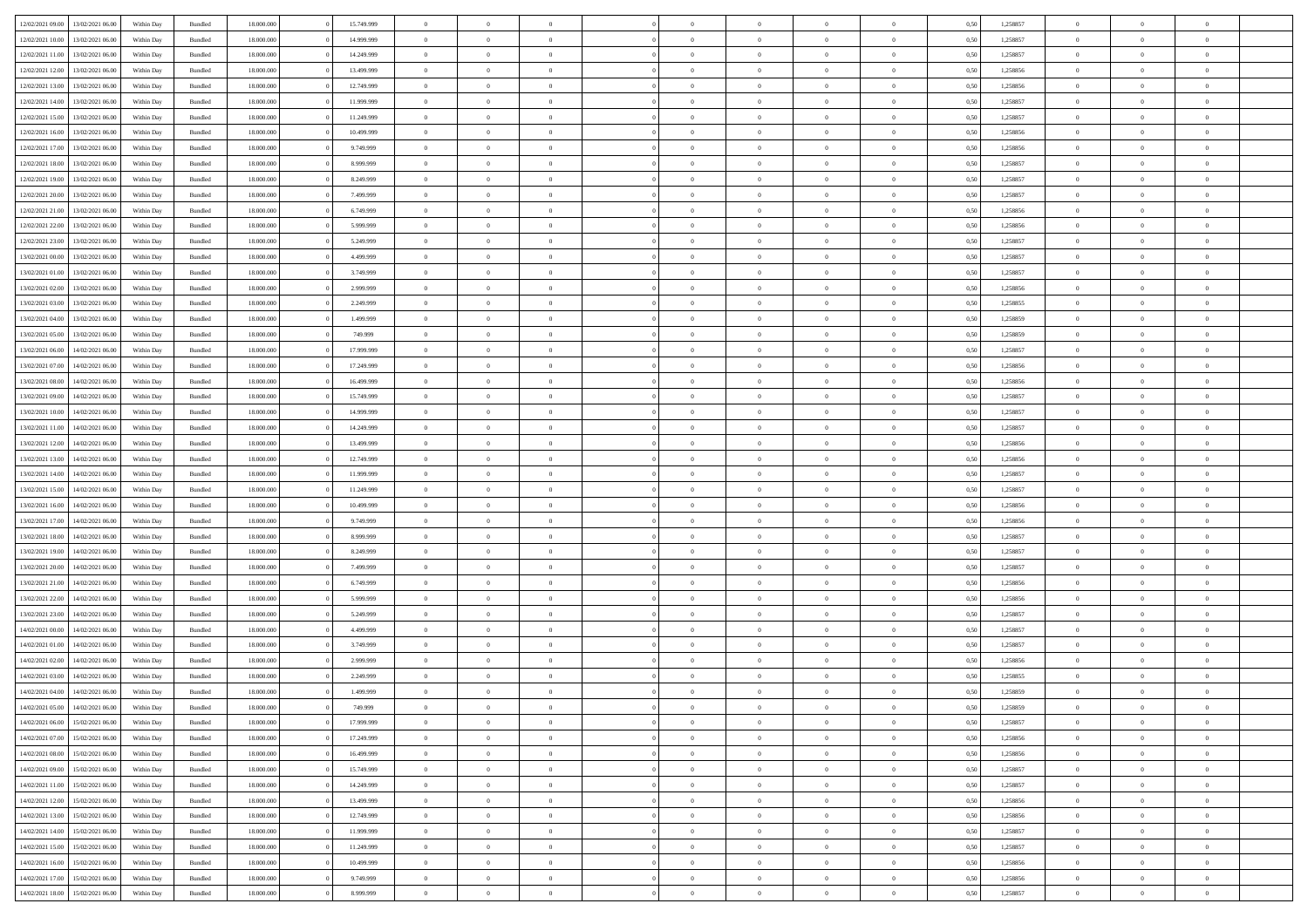|                  | 13/02/2021 06:00 | Within Day | Bundled            | 18.000.000 | 15.749.999 | $\overline{0}$ | $\theta$       |                | $\Omega$       | $\Omega$       | $\Omega$       | $\theta$       | 0.50 | 1,258857 | $\theta$       | $\overline{0}$ | $\theta$       |  |
|------------------|------------------|------------|--------------------|------------|------------|----------------|----------------|----------------|----------------|----------------|----------------|----------------|------|----------|----------------|----------------|----------------|--|
| 12/02/2021 09:00 |                  |            |                    |            |            |                |                |                |                |                |                |                |      |          |                |                |                |  |
| 12/02/2021 10:00 | 13/02/2021 06:00 | Within Day | Bundled            | 18.000.000 | 14.999.999 | $\overline{0}$ | $\theta$       | $\overline{0}$ | $\overline{0}$ | $\bf{0}$       | $\overline{0}$ | $\overline{0}$ | 0,50 | 1,258857 | $\theta$       | $\theta$       | $\overline{0}$ |  |
| 12/02/2021 11:00 | 13/02/2021 06:00 | Within Day | Bundled            | 18.000.000 | 14.249.999 | $\overline{0}$ | $\overline{0}$ | $\overline{0}$ | $\bf{0}$       | $\bf{0}$       | $\bf{0}$       | $\bf{0}$       | 0,50 | 1,258857 | $\overline{0}$ | $\overline{0}$ | $\overline{0}$ |  |
| 12/02/2021 12:00 | 13/02/2021 06:00 | Within Dav | Bundled            | 18.000.000 | 13,499.999 | $\overline{0}$ | $\theta$       | $\overline{0}$ | $\overline{0}$ | $\bf{0}$       | $\overline{0}$ | $\overline{0}$ | 0.50 | 1.258856 | $\theta$       | $\theta$       | $\overline{0}$ |  |
|                  |                  |            |                    |            |            |                |                |                |                |                |                |                |      |          |                |                |                |  |
| 12/02/2021 13:00 | 13/02/2021 06:00 | Within Day | Bundled            | 18.000.000 | 12.749.999 | $\overline{0}$ | $\theta$       | $\overline{0}$ | $\overline{0}$ | $\bf{0}$       | $\overline{0}$ | $\bf{0}$       | 0,50 | 1,258856 | $\theta$       | $\theta$       | $\overline{0}$ |  |
| 12/02/2021 14:00 | 13/02/2021 06:00 | Within Day | Bundled            | 18.000.000 | 11.999.999 | $\overline{0}$ | $\bf{0}$       | $\overline{0}$ | $\bf{0}$       | $\overline{0}$ | $\overline{0}$ | $\mathbf{0}$   | 0,50 | 1,258857 | $\overline{0}$ | $\overline{0}$ | $\bf{0}$       |  |
| 12/02/2021 15:00 | 13/02/2021 06:00 | Within Dav | Bundled            | 18.000.000 | 11.249.999 | $\overline{0}$ | $\overline{0}$ | $\overline{0}$ | $\overline{0}$ | $\bf{0}$       | $\overline{0}$ | $\overline{0}$ | 0.50 | 1,258857 | $\theta$       | $\overline{0}$ | $\overline{0}$ |  |
| 12/02/2021 16:00 | 13/02/2021 06:00 | Within Day | Bundled            | 18.000.000 | 10.499.999 | $\overline{0}$ | $\theta$       | $\overline{0}$ | $\overline{0}$ | $\bf{0}$       | $\overline{0}$ | $\bf{0}$       | 0,50 | 1,258856 | $\theta$       | $\theta$       | $\overline{0}$ |  |
|                  |                  |            |                    |            |            |                |                |                |                |                |                |                |      |          |                |                |                |  |
| 12/02/2021 17:00 | 13/02/2021 06:00 | Within Day | Bundled            | 18.000.000 | 9.749.999  | $\overline{0}$ | $\overline{0}$ | $\overline{0}$ | $\bf{0}$       | $\bf{0}$       | $\bf{0}$       | $\bf{0}$       | 0,50 | 1,258856 | $\,0\,$        | $\overline{0}$ | $\overline{0}$ |  |
| 12/02/2021 18:00 | 13/02/2021 06:00 | Within Dav | Bundled            | 18.000.000 | 8.999.999  | $\overline{0}$ | $\overline{0}$ | $\overline{0}$ | $\overline{0}$ | $\overline{0}$ | $\overline{0}$ | $\overline{0}$ | 0.50 | 1,258857 | $\theta$       | $\overline{0}$ | $\overline{0}$ |  |
| 12/02/2021 19:00 | 13/02/2021 06:00 | Within Day | Bundled            | 18.000.000 | 8.249.999  | $\overline{0}$ | $\theta$       | $\overline{0}$ | $\overline{0}$ | $\bf{0}$       | $\overline{0}$ | $\bf{0}$       | 0,50 | 1,258857 | $\theta$       | $\theta$       | $\overline{0}$ |  |
| 12/02/2021 20:00 | 13/02/2021 06:00 | Within Day | Bundled            | 18.000.000 | 7.499.999  | $\overline{0}$ | $\overline{0}$ | $\overline{0}$ | $\bf{0}$       | $\bf{0}$       | $\bf{0}$       | $\bf{0}$       | 0,50 | 1,258857 | $\bf{0}$       | $\overline{0}$ | $\overline{0}$ |  |
| 12/02/2021 21:00 | 13/02/2021 06:00 | Within Day | Bundled            | 18.000.000 | 6.749.999  | $\overline{0}$ | $\overline{0}$ | $\overline{0}$ | $\overline{0}$ | $\bf{0}$       | $\overline{0}$ | $\overline{0}$ | 0.50 | 1.258856 | $\theta$       | $\theta$       | $\overline{0}$ |  |
|                  |                  |            |                    |            |            | $\overline{0}$ | $\theta$       |                |                | $\bf{0}$       |                |                |      |          | $\theta$       |                |                |  |
| 12/02/2021 22:00 | 13/02/2021 06:00 | Within Day | Bundled            | 18.000.000 | 5.999.999  |                |                | $\overline{0}$ | $\overline{0}$ |                | $\overline{0}$ | $\overline{0}$ | 0,50 | 1,258856 |                | $\theta$       | $\overline{0}$ |  |
| 12/02/2021 23:00 | 13/02/2021 06:00 | Within Day | Bundled            | 18.000.000 | 5.249.999  | $\overline{0}$ | $\overline{0}$ | $\overline{0}$ | $\bf{0}$       | $\overline{0}$ | $\overline{0}$ | $\mathbf{0}$   | 0,50 | 1,258857 | $\overline{0}$ | $\overline{0}$ | $\bf{0}$       |  |
| 13/02/2021 00:00 | 13/02/2021 06:00 | Within Dav | Bundled            | 18.000.000 | 4.499.999  | $\overline{0}$ | $\overline{0}$ | $\overline{0}$ | $\overline{0}$ | $\overline{0}$ | $\overline{0}$ | $\overline{0}$ | 0.50 | 1,258857 | $\theta$       | $\overline{0}$ | $\overline{0}$ |  |
| 13/02/2021 01:00 | 13/02/2021 06:00 | Within Day | Bundled            | 18.000.000 | 3.749.999  | $\overline{0}$ | $\theta$       | $\overline{0}$ | $\overline{0}$ | $\bf{0}$       | $\overline{0}$ | $\bf{0}$       | 0,50 | 1,258857 | $\theta$       | $\theta$       | $\overline{0}$ |  |
| 13/02/2021 02:00 | 13/02/2021 06:00 | Within Day | Bundled            | 18.000.000 | 2.999.999  | $\overline{0}$ | $\overline{0}$ | $\overline{0}$ | $\bf{0}$       | $\bf{0}$       | $\bf{0}$       | $\bf{0}$       | 0,50 | 1,258856 | $\,0\,$        | $\overline{0}$ | $\overline{0}$ |  |
|                  |                  |            |                    |            |            |                |                |                |                |                |                |                |      |          |                |                |                |  |
| 13/02/2021 03:00 | 13/02/2021 06:00 | Within Day | Bundled            | 18.000.000 | 2.249.999  | $\overline{0}$ | $\overline{0}$ | $\overline{0}$ | $\overline{0}$ | $\overline{0}$ | $\overline{0}$ | $\overline{0}$ | 0.50 | 1,258855 | $\theta$       | $\overline{0}$ | $\overline{0}$ |  |
| 13/02/2021 04:00 | 13/02/2021 06:00 | Within Day | Bundled            | 18.000.000 | 1.499.999  | $\overline{0}$ | $\theta$       | $\overline{0}$ | $\overline{0}$ | $\bf{0}$       | $\overline{0}$ | $\bf{0}$       | 0,50 | 1,258859 | $\theta$       | $\theta$       | $\overline{0}$ |  |
| 13/02/2021 05:00 | 13/02/2021 06:00 | Within Day | Bundled            | 18.000.000 | 749.999    | $\overline{0}$ | $\overline{0}$ | $\overline{0}$ | $\bf{0}$       | $\bf{0}$       | $\bf{0}$       | $\bf{0}$       | 0,50 | 1,258859 | $\,0\,$        | $\overline{0}$ | $\overline{0}$ |  |
| 13/02/2021 06:00 | 14/02/2021 06:00 | Within Day | Bundled            | 18.000.000 | 17.999.999 | $\overline{0}$ | $\overline{0}$ | $\overline{0}$ | $\overline{0}$ | $\bf{0}$       | $\overline{0}$ | $\overline{0}$ | 0.50 | 1.258857 | $\theta$       | $\theta$       | $\overline{0}$ |  |
| 13/02/2021 07:00 | 14/02/2021 06:00 | Within Day | Bundled            | 18.000.000 | 17.249.999 | $\overline{0}$ | $\theta$       | $\overline{0}$ | $\overline{0}$ | $\bf{0}$       | $\overline{0}$ | $\bf{0}$       | 0,50 | 1,258856 | $\theta$       | $\overline{0}$ | $\overline{0}$ |  |
|                  |                  |            |                    |            |            |                |                |                |                |                |                |                |      |          |                |                |                |  |
| 13/02/2021 08:00 | 14/02/2021 06:00 | Within Day | Bundled            | 18.000.000 | 16.499.999 | $\overline{0}$ | $\bf{0}$       | $\overline{0}$ | $\bf{0}$       | $\overline{0}$ | $\overline{0}$ | $\mathbf{0}$   | 0,50 | 1,258856 | $\overline{0}$ | $\overline{0}$ | $\bf{0}$       |  |
| 13/02/2021 09:00 | 14/02/2021 06:00 | Within Dav | Bundled            | 18.000.000 | 15.749.999 | $\overline{0}$ | $\overline{0}$ | $\overline{0}$ | $\overline{0}$ | $\overline{0}$ | $\overline{0}$ | $\overline{0}$ | 0.50 | 1,258857 | $\theta$       | $\theta$       | $\overline{0}$ |  |
| 13/02/2021 10:00 | 14/02/2021 06:00 | Within Day | Bundled            | 18.000.000 | 14.999.999 | $\overline{0}$ | $\theta$       | $\overline{0}$ | $\overline{0}$ | $\bf{0}$       | $\overline{0}$ | $\bf{0}$       | 0,50 | 1,258857 | $\theta$       | $\theta$       | $\overline{0}$ |  |
| 13/02/2021 11:00 | 14/02/2021 06:00 | Within Day | Bundled            | 18.000.000 | 14.249.999 | $\overline{0}$ | $\overline{0}$ | $\overline{0}$ | $\bf{0}$       | $\bf{0}$       | $\bf{0}$       | $\bf{0}$       | 0,50 | 1,258857 | $\,0\,$        | $\overline{0}$ | $\overline{0}$ |  |
|                  | 14/02/2021 06:00 |            | Bundled            | 18.000.000 | 13.499.999 | $\overline{0}$ | $\overline{0}$ | $\overline{0}$ | $\overline{0}$ | $\overline{0}$ | $\overline{0}$ | $\overline{0}$ | 0.50 | 1,258856 | $\theta$       | $\overline{0}$ | $\overline{0}$ |  |
| 13/02/2021 12:00 |                  | Within Day |                    |            |            |                |                |                |                |                |                |                |      |          |                |                |                |  |
| 13/02/2021 13:00 | 14/02/2021 06:00 | Within Day | Bundled            | 18.000.000 | 12.749.999 | $\overline{0}$ | $\theta$       | $\overline{0}$ | $\overline{0}$ | $\bf{0}$       | $\overline{0}$ | $\bf{0}$       | 0,50 | 1,258856 | $\,$ 0 $\,$    | $\theta$       | $\overline{0}$ |  |
| 13/02/2021 14:00 | 14/02/2021 06:00 | Within Day | Bundled            | 18.000.000 | 11.999.999 | $\overline{0}$ | $\overline{0}$ | $\overline{0}$ | $\bf{0}$       | $\bf{0}$       | $\bf{0}$       | $\bf{0}$       | 0,50 | 1,258857 | $\bf{0}$       | $\overline{0}$ | $\overline{0}$ |  |
| 13/02/2021 15:00 | 14/02/2021 06:00 | Within Day | Bundled            | 18.000.000 | 11.249.999 | $\overline{0}$ | $\Omega$       | $\Omega$       | $\Omega$       | $\Omega$       | $\Omega$       | $\overline{0}$ | 0.50 | 1,258857 | $\,0\,$        | $\theta$       | $\theta$       |  |
| 13/02/2021 16:00 | 14/02/2021 06:00 | Within Day | Bundled            | 18.000.000 | 10.499.999 | $\overline{0}$ | $\theta$       | $\overline{0}$ | $\overline{0}$ | $\bf{0}$       | $\overline{0}$ | $\bf{0}$       | 0,50 | 1,258856 | $\theta$       | $\theta$       | $\overline{0}$ |  |
|                  |                  |            |                    |            |            |                |                |                |                |                |                |                |      |          |                |                |                |  |
| 13/02/2021 17:00 | 14/02/2021 06:00 | Within Day | Bundled            | 18.000.000 | 9.749.999  | $\overline{0}$ | $\bf{0}$       | $\overline{0}$ | $\bf{0}$       | $\bf{0}$       | $\overline{0}$ | $\mathbf{0}$   | 0,50 | 1,258856 | $\bf{0}$       | $\overline{0}$ | $\bf{0}$       |  |
| 13/02/2021 18:00 | 14/02/2021 06:00 | Within Day | Bundled            | 18,000,000 | 8.999.999  | $\overline{0}$ | $\Omega$       | $\Omega$       | $\Omega$       | $\Omega$       | $\Omega$       | $\overline{0}$ | 0.50 | 1,258857 | $\theta$       | $\theta$       | $\theta$       |  |
| 13/02/2021 19:00 | 14/02/2021 06:00 | Within Day | Bundled            | 18.000.000 | 8.249.999  | $\overline{0}$ | $\theta$       | $\overline{0}$ | $\overline{0}$ | $\bf{0}$       | $\overline{0}$ | $\bf{0}$       | 0,50 | 1,258857 | $\theta$       | $\theta$       | $\overline{0}$ |  |
| 13/02/2021 20:00 | 14/02/2021 06:00 | Within Day | Bundled            | 18.000.000 | 7.499.999  | $\overline{0}$ | $\overline{0}$ | $\overline{0}$ | $\bf{0}$       | $\bf{0}$       | $\bf{0}$       | $\bf{0}$       | 0,50 | 1,258857 | $\,0\,$        | $\overline{0}$ | $\overline{0}$ |  |
| 13/02/2021 21:00 | 14/02/2021 06:00 | Within Day | Bundled            | 18,000,000 | 6.749.999  | $\overline{0}$ | $\Omega$       | $\Omega$       | $\Omega$       | $\Omega$       | $\theta$       | $\overline{0}$ | 0.50 | 1,258856 | $\theta$       | $\theta$       | $\theta$       |  |
|                  |                  |            |                    |            |            |                |                |                |                |                |                |                |      |          |                |                |                |  |
| 13/02/2021 22:00 | 14/02/2021 06:00 | Within Day | Bundled            | 18.000.000 | 5.999.999  | $\overline{0}$ | $\theta$       | $\overline{0}$ | $\overline{0}$ | $\bf{0}$       | $\overline{0}$ | $\bf{0}$       | 0,50 | 1,258856 | $\,$ 0 $\,$    | $\overline{0}$ | $\overline{0}$ |  |
| 13/02/2021 23:00 | 14/02/2021 06:00 | Within Day | Bundled            | 18.000.000 | 5.249.999  | $\overline{0}$ | $\overline{0}$ | $\overline{0}$ | $\bf{0}$       | $\bf{0}$       | $\bf{0}$       | $\bf{0}$       | 0,50 | 1,258857 | $\bf{0}$       | $\overline{0}$ | $\overline{0}$ |  |
| 14/02/2021 00:00 | 14/02/2021 06:00 | Within Day | Bundled            | 18.000.000 | 4.499.999  | $\overline{0}$ | $\Omega$       | $\Omega$       | $\Omega$       | $\Omega$       | $\overline{0}$ | $\overline{0}$ | 0.50 | 1,258857 | $\,0\,$        | $\theta$       | $\theta$       |  |
| 14/02/2021 01:00 | 14/02/2021 06:00 | Within Day | Bundled            | 18.000.000 | 3.749.999  | $\overline{0}$ | $\theta$       | $\overline{0}$ | $\overline{0}$ | $\bf{0}$       | $\overline{0}$ | $\bf{0}$       | 0,50 | 1,258857 | $\,$ 0 $\,$    | $\theta$       | $\overline{0}$ |  |
| 14/02/2021 02:00 | 14/02/2021 06:00 | Within Day | Bundled            | 18.000.000 | 2.999.999  | $\overline{0}$ | $\overline{0}$ | $\overline{0}$ | $\bf{0}$       | $\bf{0}$       | $\bf{0}$       | $\mathbf{0}$   | 0,50 | 1,258856 | $\bf{0}$       | $\overline{0}$ | $\bf{0}$       |  |
|                  |                  |            |                    |            |            |                |                |                |                |                |                |                |      |          |                |                |                |  |
| 14/02/2021 03:00 | 14/02/2021 06.00 | Within Day | Bundled            | 18,000,000 | 2.249.999  | $\overline{0}$ | $\Omega$       | $\Omega$       | $\Omega$       | $\Omega$       | $\Omega$       | $\overline{0}$ | 0.50 | 1,258855 | $\theta$       | $\theta$       | $\theta$       |  |
| 14/02/2021 04:00 | 14/02/2021 06:00 | Within Day | Bundled            | 18.000.000 | 1.499.999  | $\overline{0}$ | $\overline{0}$ | $\overline{0}$ | $\bf{0}$       | $\,$ 0         | $\bf{0}$       | $\bf{0}$       | 0,50 | 1,258859 | $\,0\,$        | $\overline{0}$ | $\overline{0}$ |  |
| 14/02/2021 05:00 | 14/02/2021 06:00 | Within Day | $\mathbf B$ undled | 18.000.000 | 749.999    | $\bf{0}$       | $\bf{0}$       |                |                | $\bf{0}$       |                |                | 0,50 | 1,258859 | $\bf{0}$       | $\overline{0}$ |                |  |
| 14/02/2021 06:00 | 15/02/2021 06:00 | Within Day | Bundled            | 18,000,000 | 17.999.999 | $\overline{0}$ | $\overline{0}$ | $\overline{0}$ | $\Omega$       | $\overline{0}$ | $\overline{0}$ | $\overline{0}$ | 0.50 | 1,258857 | $\theta$       | $\theta$       | $\theta$       |  |
| 14/02/2021 07:00 | 15/02/2021 06:00 | Within Day | Bundled            | 18.000.000 | 17.249.999 | $\overline{0}$ | $\,$ 0         | $\overline{0}$ | $\bf{0}$       | $\,$ 0 $\,$    | $\overline{0}$ | $\mathbf{0}$   | 0,50 | 1,258856 | $\,$ 0 $\,$    | $\overline{0}$ | $\,$ 0         |  |
|                  |                  |            |                    |            |            |                |                |                |                |                |                |                |      |          |                |                |                |  |
| 14/02/2021 08:00 | 15/02/2021 06:00 | Within Day | Bundled            | 18.000.000 | 16.499.999 | $\overline{0}$ | $\overline{0}$ | $\overline{0}$ | $\overline{0}$ | $\overline{0}$ | $\overline{0}$ | $\mathbf{0}$   | 0,50 | 1,258856 | $\overline{0}$ | $\bf{0}$       | $\bf{0}$       |  |
| 14/02/2021 09:00 | 15/02/2021 06:00 | Within Day | Bundled            | 18.000.000 | 15.749.999 | $\overline{0}$ | $\theta$       | $\overline{0}$ | $\Omega$       | $\overline{0}$ | $\overline{0}$ | $\bf{0}$       | 0,50 | 1,258857 | $\overline{0}$ | $\theta$       | $\overline{0}$ |  |
| 14/02/2021 11:00 | 15/02/2021 06:00 | Within Day | Bundled            | 18.000.000 | 14.249.999 | $\overline{0}$ | $\,$ 0         | $\overline{0}$ | $\overline{0}$ | $\overline{0}$ | $\overline{0}$ | $\bf{0}$       | 0,50 | 1,258857 | $\,$ 0 $\,$    | $\overline{0}$ | $\overline{0}$ |  |
| 14/02/2021 12:00 | 15/02/2021 06:00 | Within Day | Bundled            | 18.000.000 | 13.499.999 | $\overline{0}$ | $\overline{0}$ | $\overline{0}$ | $\overline{0}$ | $\overline{0}$ | $\overline{0}$ | $\mathbf{0}$   | 0,50 | 1,258856 | $\overline{0}$ | $\bf{0}$       | $\bf{0}$       |  |
| 14/02/2021 13:00 | 15/02/2021 06:00 | Within Day | Bundled            | 18.000.000 | 12.749.999 | $\overline{0}$ | $\overline{0}$ | $\overline{0}$ | $\Omega$       | $\overline{0}$ | $\overline{0}$ | $\bf{0}$       | 0.50 | 1,258856 | $\overline{0}$ | $\theta$       | $\overline{0}$ |  |
|                  |                  |            |                    |            |            |                |                |                |                |                |                |                |      |          |                |                |                |  |
| 14/02/2021 14:00 | 15/02/2021 06:00 | Within Day | Bundled            | 18.000.000 | 11.999.999 | $\overline{0}$ | $\,$ 0         | $\overline{0}$ | $\bf{0}$       | $\bf{0}$       | $\bf{0}$       | $\bf{0}$       | 0,50 | 1,258857 | $\,$ 0 $\,$    | $\overline{0}$ | $\overline{0}$ |  |
| 14/02/2021 15:00 | 15/02/2021 06:00 | Within Day | Bundled            | 18.000.000 | 11.249.999 | $\overline{0}$ | $\bf{0}$       | $\overline{0}$ | $\overline{0}$ | $\overline{0}$ | $\bf{0}$       | $\mathbf{0}$   | 0,50 | 1,258857 | $\overline{0}$ | $\overline{0}$ | $\bf{0}$       |  |
| 14/02/2021 16:00 | 15/02/2021 06:00 | Within Day | Bundled            | 18,000,000 | 10.499.999 | $\overline{0}$ | $\overline{0}$ | $\overline{0}$ | $\Omega$       | $\overline{0}$ | $\overline{0}$ | $\bf{0}$       | 0.50 | 1,258856 | $\overline{0}$ | $\overline{0}$ | $\overline{0}$ |  |
| 14/02/2021 17:00 | 15/02/2021 06:00 | Within Day | Bundled            | 18.000.000 | 9.749.999  | $\overline{0}$ | $\,$ 0 $\,$    | $\overline{0}$ | $\overline{0}$ | $\bf{0}$       | $\bf{0}$       | $\bf{0}$       | 0,50 | 1,258856 | $\,$ 0 $\,$    | $\overline{0}$ | $\bf{0}$       |  |
|                  |                  |            |                    |            |            |                | $\bf{0}$       | $\overline{0}$ | $\bf{0}$       | $\bf{0}$       |                |                |      |          |                | $\overline{0}$ | $\bf{0}$       |  |
| 14/02/2021 18:00 | 15/02/2021 06:00 | Within Day | Bundled            | 18.000.000 | 8.999.999  | $\overline{0}$ |                |                |                |                | $\bf{0}$       | $\bf{0}$       | 0,50 | 1,258857 | $\overline{0}$ |                |                |  |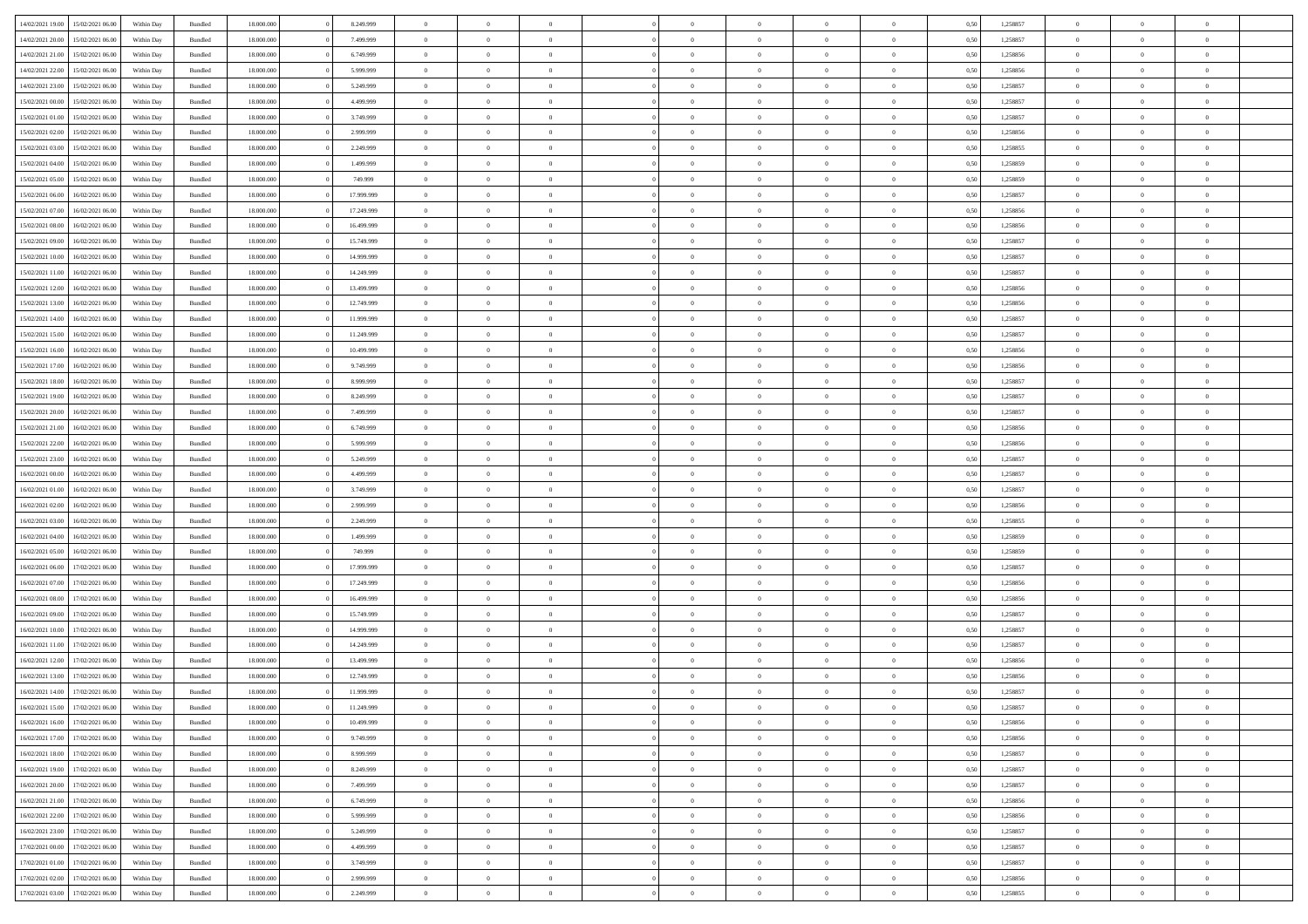|                  |                  |            |                    |            |            | $\overline{0}$ | $\Omega$       |                |                | $\Omega$       | $\Omega$       | $\theta$       |      |          | $\theta$       |                | $\theta$       |  |
|------------------|------------------|------------|--------------------|------------|------------|----------------|----------------|----------------|----------------|----------------|----------------|----------------|------|----------|----------------|----------------|----------------|--|
| 14/02/2021 19:00 | 15/02/2021 06:00 | Within Day | Bundled            | 18.000.000 | 8.249.999  |                |                |                | $\Omega$       |                |                |                | 0.50 | 1,258857 |                | $\theta$       |                |  |
| 14/02/2021 20:00 | 15/02/2021 06:00 | Within Day | Bundled            | 18.000.000 | 7.499.999  | $\overline{0}$ | $\theta$       | $\overline{0}$ | $\overline{0}$ | $\bf{0}$       | $\overline{0}$ | $\overline{0}$ | 0,50 | 1,258857 | $\theta$       | $\theta$       | $\overline{0}$ |  |
| 14/02/2021 21:00 | 15/02/2021 06:00 | Within Day | Bundled            | 18.000.000 | 6.749.999  | $\overline{0}$ | $\overline{0}$ | $\overline{0}$ | $\bf{0}$       | $\bf{0}$       | $\bf{0}$       | $\bf{0}$       | 0,50 | 1,258856 | $\bf{0}$       | $\overline{0}$ | $\overline{0}$ |  |
| 14/02/2021 22:00 | 15/02/2021 06:00 | Within Dav | Bundled            | 18.000.000 | 5.999.999  | $\overline{0}$ | $\theta$       | $\overline{0}$ | $\overline{0}$ | $\bf{0}$       | $\overline{0}$ | $\overline{0}$ | 0.50 | 1.258856 | $\theta$       | $\theta$       | $\overline{0}$ |  |
| 14/02/2021 23:00 | 15/02/2021 06:00 | Within Day | Bundled            | 18.000.000 | 5.249.999  | $\overline{0}$ | $\theta$       | $\overline{0}$ | $\overline{0}$ | $\bf{0}$       | $\overline{0}$ | $\bf{0}$       | 0,50 | 1,258857 | $\theta$       | $\theta$       | $\overline{0}$ |  |
|                  |                  |            |                    |            |            |                |                |                |                |                |                |                |      |          |                |                |                |  |
| 15/02/2021 00:00 | 15/02/2021 06:00 | Within Day | Bundled            | 18.000.000 | 4.499.999  | $\overline{0}$ | $\bf{0}$       | $\overline{0}$ | $\bf{0}$       | $\overline{0}$ | $\overline{0}$ | $\mathbf{0}$   | 0,50 | 1,258857 | $\overline{0}$ | $\overline{0}$ | $\bf{0}$       |  |
| 15/02/2021 01:00 | 15/02/2021 06:00 | Within Dav | Bundled            | 18.000.000 | 3.749.999  | $\overline{0}$ | $\overline{0}$ | $\overline{0}$ | $\overline{0}$ | $\bf{0}$       | $\overline{0}$ | $\overline{0}$ | 0.50 | 1,258857 | $\theta$       | $\theta$       | $\overline{0}$ |  |
| 15/02/2021 02:00 | 15/02/2021 06:00 | Within Day | Bundled            | 18.000.000 | 2.999.999  | $\overline{0}$ | $\theta$       | $\overline{0}$ | $\overline{0}$ | $\bf{0}$       | $\overline{0}$ | $\bf{0}$       | 0,50 | 1,258856 | $\theta$       | $\theta$       | $\overline{0}$ |  |
| 15/02/2021 03:00 | 15/02/2021 06:00 | Within Day | Bundled            | 18.000.000 | 2.249.999  | $\overline{0}$ | $\overline{0}$ | $\overline{0}$ | $\bf{0}$       | $\bf{0}$       | $\bf{0}$       | $\bf{0}$       | 0,50 | 1,258855 | $\,0\,$        | $\overline{0}$ | $\overline{0}$ |  |
| 15/02/2021 04:00 | 15/02/2021 06:00 | Within Dav | Bundled            | 18.000.000 | 1.499.999  | $\overline{0}$ | $\overline{0}$ | $\overline{0}$ | $\overline{0}$ | $\overline{0}$ | $\overline{0}$ | $\overline{0}$ | 0.50 | 1,258859 | $\theta$       | $\overline{0}$ | $\overline{0}$ |  |
| 15/02/2021 05:00 | 15/02/2021 06:00 | Within Day | Bundled            | 18.000.000 | 749.999    | $\overline{0}$ | $\theta$       | $\overline{0}$ | $\overline{0}$ | $\bf{0}$       | $\overline{0}$ | $\bf{0}$       | 0,50 | 1,258859 | $\theta$       | $\theta$       | $\overline{0}$ |  |
| 15/02/2021 06:00 | 16/02/2021 06:00 | Within Day | Bundled            | 18.000.000 | 17.999.999 | $\overline{0}$ | $\overline{0}$ | $\overline{0}$ | $\bf{0}$       | $\bf{0}$       | $\bf{0}$       | $\bf{0}$       | 0,50 | 1,258857 | $\bf{0}$       | $\overline{0}$ | $\overline{0}$ |  |
|                  |                  |            |                    |            |            |                |                |                |                |                |                |                |      |          | $\theta$       |                |                |  |
| 15/02/2021 07:00 | 16/02/2021 06:00 | Within Day | Bundled            | 18.000.000 | 17.249.999 | $\overline{0}$ | $\theta$       | $\overline{0}$ | $\overline{0}$ | $\bf{0}$       | $\overline{0}$ | $\overline{0}$ | 0.50 | 1.258856 |                | $\theta$       | $\overline{0}$ |  |
| 15/02/2021 08:00 | 16/02/2021 06:00 | Within Day | Bundled            | 18.000.000 | 16.499.999 | $\overline{0}$ | $\theta$       | $\overline{0}$ | $\overline{0}$ | $\bf{0}$       | $\overline{0}$ | $\overline{0}$ | 0,50 | 1,258856 | $\theta$       | $\theta$       | $\overline{0}$ |  |
| 15/02/2021 09:00 | 16/02/2021 06:00 | Within Day | Bundled            | 18.000.000 | 15.749.999 | $\overline{0}$ | $\overline{0}$ | $\overline{0}$ | $\bf{0}$       | $\overline{0}$ | $\overline{0}$ | $\mathbf{0}$   | 0,50 | 1,258857 | $\bf{0}$       | $\overline{0}$ | $\bf{0}$       |  |
| 15/02/2021 10:00 | 16/02/2021 06:00 | Within Dav | Bundled            | 18.000.000 | 14.999.999 | $\overline{0}$ | $\overline{0}$ | $\overline{0}$ | $\overline{0}$ | $\overline{0}$ | $\overline{0}$ | $\overline{0}$ | 0.50 | 1,258857 | $\theta$       | $\overline{0}$ | $\overline{0}$ |  |
| 15/02/2021 11:00 | 16/02/2021 06:00 | Within Day | Bundled            | 18.000.000 | 14.249.999 | $\overline{0}$ | $\theta$       | $\overline{0}$ | $\overline{0}$ | $\bf{0}$       | $\overline{0}$ | $\bf{0}$       | 0,50 | 1,258857 | $\theta$       | $\theta$       | $\overline{0}$ |  |
| 15/02/2021 12:00 | 16/02/2021 06:00 | Within Day | Bundled            | 18.000.000 | 13.499.999 | $\overline{0}$ | $\overline{0}$ | $\overline{0}$ | $\bf{0}$       | $\bf{0}$       | $\bf{0}$       | $\bf{0}$       | 0,50 | 1,258856 | $\,0\,$        | $\overline{0}$ | $\overline{0}$ |  |
| 15/02/2021 13:00 | 16/02/2021 06:00 | Within Day | Bundled            | 18.000.000 | 12.749.999 | $\overline{0}$ | $\overline{0}$ | $\overline{0}$ | $\overline{0}$ | $\overline{0}$ | $\overline{0}$ | $\overline{0}$ | 0.50 | 1,258856 | $\theta$       | $\overline{0}$ | $\overline{0}$ |  |
|                  |                  |            |                    |            |            |                |                |                |                |                |                |                |      |          |                |                |                |  |
| 15/02/2021 14:00 | 16/02/2021 06:00 | Within Day | Bundled            | 18.000.000 | 11.999.999 | $\overline{0}$ | $\theta$       | $\overline{0}$ | $\overline{0}$ | $\bf{0}$       | $\overline{0}$ | $\bf{0}$       | 0,50 | 1,258857 | $\theta$       | $\theta$       | $\overline{0}$ |  |
| 15/02/2021 15:00 | 16/02/2021 06:00 | Within Day | Bundled            | 18.000.000 | 11.249.999 | $\overline{0}$ | $\overline{0}$ | $\overline{0}$ | $\bf{0}$       | $\bf{0}$       | $\bf{0}$       | $\bf{0}$       | 0,50 | 1,258857 | $\,0\,$        | $\overline{0}$ | $\overline{0}$ |  |
| 15/02/2021 16:00 | 16/02/2021 06:00 | Within Day | Bundled            | 18.000.000 | 10.499.999 | $\overline{0}$ | $\overline{0}$ | $\overline{0}$ | $\overline{0}$ | $\bf{0}$       | $\overline{0}$ | $\overline{0}$ | 0.50 | 1.258856 | $\theta$       | $\theta$       | $\overline{0}$ |  |
| 15/02/2021 17:00 | 16/02/2021 06:00 | Within Day | Bundled            | 18.000.000 | 9.749.999  | $\overline{0}$ | $\theta$       | $\overline{0}$ | $\overline{0}$ | $\bf{0}$       | $\overline{0}$ | $\bf{0}$       | 0,50 | 1,258856 | $\theta$       | $\overline{0}$ | $\overline{0}$ |  |
| 15/02/2021 18:00 | 16/02/2021 06:00 | Within Day | Bundled            | 18.000.000 | 8.999.999  | $\overline{0}$ | $\bf{0}$       | $\overline{0}$ | $\bf{0}$       | $\overline{0}$ | $\overline{0}$ | $\mathbf{0}$   | 0,50 | 1,258857 | $\bf{0}$       | $\overline{0}$ | $\bf{0}$       |  |
| 15/02/2021 19:00 | 16/02/2021 06:00 | Within Dav | Bundled            | 18.000.000 | 8.249.999  | $\overline{0}$ | $\overline{0}$ | $\overline{0}$ | $\overline{0}$ | $\overline{0}$ | $\overline{0}$ | $\overline{0}$ | 0.50 | 1,258857 | $\theta$       | $\theta$       | $\overline{0}$ |  |
| 15/02/2021 20:00 | 16/02/2021 06:00 |            |                    | 18.000.000 | 7.499.999  | $\overline{0}$ | $\theta$       | $\overline{0}$ | $\overline{0}$ | $\bf{0}$       | $\overline{0}$ |                |      | 1,258857 | $\theta$       | $\theta$       | $\overline{0}$ |  |
|                  |                  | Within Day | Bundled            |            |            |                |                |                |                |                |                | $\bf{0}$       | 0,50 |          |                |                |                |  |
| 15/02/2021 21:00 | 16/02/2021 06:00 | Within Day | Bundled            | 18.000.000 | 6.749.999  | $\overline{0}$ | $\overline{0}$ | $\overline{0}$ | $\bf{0}$       | $\bf{0}$       | $\bf{0}$       | $\bf{0}$       | 0,50 | 1,258856 | $\,0\,$        | $\overline{0}$ | $\overline{0}$ |  |
| 15/02/2021 22:00 | 16/02/2021 06:00 | Within Day | Bundled            | 18,000,000 | 5.999.999  | $\overline{0}$ | $\overline{0}$ | $\overline{0}$ | $\overline{0}$ | $\overline{0}$ | $\overline{0}$ | $\overline{0}$ | 0.50 | 1,258856 | $\theta$       | $\theta$       | $\overline{0}$ |  |
| 15/02/2021 23:00 | 16/02/2021 06:00 | Within Day | Bundled            | 18.000.000 | 5.249.999  | $\overline{0}$ | $\theta$       | $\overline{0}$ | $\overline{0}$ | $\bf{0}$       | $\overline{0}$ | $\bf{0}$       | 0,50 | 1,258857 | $\,$ 0 $\,$    | $\theta$       | $\overline{0}$ |  |
| 16/02/2021 00:00 | 16/02/2021 06:00 | Within Day | Bundled            | 18.000.000 | 4.499.999  | $\overline{0}$ | $\overline{0}$ | $\overline{0}$ | $\bf{0}$       | $\bf{0}$       | $\bf{0}$       | $\bf{0}$       | 0,50 | 1,258857 | $\bf{0}$       | $\overline{0}$ | $\overline{0}$ |  |
| 16/02/2021 01:00 | 16/02/2021 06:00 | Within Day | Bundled            | 18.000.000 | 3.749.999  | $\overline{0}$ | $\Omega$       | $\Omega$       | $\Omega$       | $\Omega$       | $\Omega$       | $\overline{0}$ | 0.50 | 1,258857 | $\,0\,$        | $\theta$       | $\theta$       |  |
| 16/02/2021 02:00 | 16/02/2021 06:00 | Within Day | Bundled            | 18.000.000 | 2.999.999  | $\overline{0}$ | $\theta$       | $\overline{0}$ | $\overline{0}$ | $\bf{0}$       | $\overline{0}$ | $\bf{0}$       | 0,50 | 1,258856 | $\theta$       | $\theta$       | $\overline{0}$ |  |
|                  |                  |            |                    |            |            |                |                |                |                |                |                |                |      |          |                |                |                |  |
| 16/02/2021 03:00 | 16/02/2021 06:00 | Within Day | Bundled            | 18.000.000 | 2.249.999  | $\overline{0}$ | $\bf{0}$       | $\overline{0}$ | $\bf{0}$       | $\bf{0}$       | $\overline{0}$ | $\mathbf{0}$   | 0,50 | 1,258855 | $\overline{0}$ | $\overline{0}$ | $\bf{0}$       |  |
| 16/02/2021 04:00 | 16/02/2021 06:00 | Within Day | Bundled            | 18,000,000 | 1.499.999  | $\overline{0}$ | $\Omega$       | $\Omega$       | $\Omega$       | $\Omega$       | $\Omega$       | $\overline{0}$ | 0.50 | 1,258859 | $\theta$       | $\theta$       | $\theta$       |  |
| 16/02/2021 05:00 | 16/02/2021 06:00 | Within Day | Bundled            | 18.000.000 | 749.999    | $\overline{0}$ | $\theta$       | $\overline{0}$ | $\overline{0}$ | $\bf{0}$       | $\overline{0}$ | $\bf{0}$       | 0,50 | 1,258859 | $\theta$       | $\theta$       | $\overline{0}$ |  |
| 16/02/2021 06:00 | 17/02/2021 06:00 | Within Day | Bundled            | 18.000.000 | 17.999.999 | $\overline{0}$ | $\overline{0}$ | $\overline{0}$ | $\bf{0}$       | $\bf{0}$       | $\bf{0}$       | $\bf{0}$       | 0,50 | 1,258857 | $\,0\,$        | $\overline{0}$ | $\overline{0}$ |  |
| 16/02/2021 07:00 | 17/02/2021 06:00 | Within Day | Bundled            | 18,000,000 | 17.249.999 | $\overline{0}$ | $\Omega$       | $\Omega$       | $\Omega$       | $\Omega$       | $\theta$       | $\overline{0}$ | 0.50 | 1,258856 | $\theta$       | $\theta$       | $\theta$       |  |
| 16/02/2021 08:00 | 17/02/2021 06:00 | Within Day | Bundled            | 18.000.000 | 16.499.999 | $\overline{0}$ | $\theta$       | $\overline{0}$ | $\overline{0}$ | $\bf{0}$       | $\overline{0}$ | $\bf{0}$       | 0,50 | 1,258856 | $\,$ 0 $\,$    | $\overline{0}$ | $\overline{0}$ |  |
| 16/02/2021 09:00 | 17/02/2021 06:00 | Within Day | Bundled            | 18.000.000 | 15.749.999 | $\overline{0}$ | $\overline{0}$ | $\overline{0}$ | $\bf{0}$       | $\bf{0}$       | $\bf{0}$       | $\bf{0}$       | 0,50 | 1,258857 | $\overline{0}$ | $\overline{0}$ | $\overline{0}$ |  |
|                  | 17/02/2021 06:00 |            |                    | 18.000.000 | 14.999.999 | $\overline{0}$ | $\Omega$       | $\Omega$       | $\Omega$       | $\Omega$       | $\overline{0}$ | $\overline{0}$ | 0.50 | 1,258857 | $\,0\,$        | $\theta$       | $\theta$       |  |
| 16/02/2021 10:00 |                  | Within Day | Bundled            |            |            |                |                |                |                |                |                |                |      |          |                |                |                |  |
| 16/02/2021 11:00 | 17/02/2021 06:00 | Within Day | Bundled            | 18.000.000 | 14.249.999 | $\overline{0}$ | $\theta$       | $\overline{0}$ | $\overline{0}$ | $\bf{0}$       | $\overline{0}$ | $\bf{0}$       | 0,50 | 1,258857 | $\,$ 0 $\,$    | $\theta$       | $\overline{0}$ |  |
| 16/02/2021 12:00 | 17/02/2021 06:00 | Within Day | Bundled            | 18.000.000 | 13.499.999 | $\overline{0}$ | $\overline{0}$ | $\overline{0}$ | $\bf{0}$       | $\bf{0}$       | $\bf{0}$       | $\mathbf{0}$   | 0,50 | 1,258856 | $\overline{0}$ | $\overline{0}$ | $\bf{0}$       |  |
| 16/02/2021 13:00 | 17/02/2021 06.00 | Within Day | Bundled            | 18,000,000 | 12.749.999 | $\overline{0}$ | $\Omega$       | $\Omega$       | $\Omega$       | $\Omega$       | $\Omega$       | $\overline{0}$ | 0.50 | 1,258856 | $\theta$       | $\theta$       | $\theta$       |  |
| 16/02/2021 14:00 | 17/02/2021 06:00 | Within Day | Bundled            | 18.000.000 | 11.999.999 | $\overline{0}$ | $\overline{0}$ | $\overline{0}$ | $\bf{0}$       | $\,$ 0         | $\bf{0}$       | $\bf{0}$       | 0,50 | 1,258857 | $\,0\,$        | $\overline{0}$ | $\overline{0}$ |  |
| 16/02/2021 15:00 | 17/02/2021 06:00 | Within Day | $\mathbf B$ undled | 18.000.000 | 11.249.999 | $\bf{0}$       | $\bf{0}$       |                |                | $\bf{0}$       |                |                | 0,50 | 1,258857 | $\bf{0}$       | $\overline{0}$ |                |  |
| 16/02/2021 16:00 | 17/02/2021 06:00 | Within Day | Bundled            | 18,000,000 | 10.499.999 | $\overline{0}$ | $\overline{0}$ | $\overline{0}$ | $\Omega$       | $\overline{0}$ | $\overline{0}$ | $\overline{0}$ | 0.50 | 1,258856 | $\theta$       | $\theta$       | $\theta$       |  |
| 16/02/2021 17:00 | 17/02/2021 06:00 | Within Day | Bundled            | 18.000.000 | 9.749.999  | $\overline{0}$ | $\,$ 0         | $\overline{0}$ | $\bf{0}$       | $\,$ 0 $\,$    | $\overline{0}$ | $\mathbf{0}$   | 0,50 | 1,258856 | $\,$ 0 $\,$    | $\,$ 0 $\,$    | $\,$ 0         |  |
|                  |                  |            |                    |            |            |                |                |                |                |                |                |                |      |          |                |                |                |  |
| 16/02/2021 18:00 | 17/02/2021 06:00 | Within Day | Bundled            | 18.000.000 | 8.999.999  | $\overline{0}$ | $\overline{0}$ | $\overline{0}$ | $\overline{0}$ | $\overline{0}$ | $\overline{0}$ | $\mathbf{0}$   | 0,50 | 1,258857 | $\overline{0}$ | $\bf{0}$       | $\bf{0}$       |  |
| 16/02/2021 19:00 | 17/02/2021 06:00 | Within Day | Bundled            | 18,000,000 | 8.249.999  | $\overline{0}$ | $\overline{0}$ | $\overline{0}$ | $\Omega$       | $\overline{0}$ | $\overline{0}$ | $\overline{0}$ | 0,50 | 1,258857 | $\overline{0}$ | $\theta$       | $\overline{0}$ |  |
| 16/02/2021 20:00 | 17/02/2021 06:00 | Within Day | Bundled            | 18.000.000 | 7.499.999  | $\overline{0}$ | $\,$ 0         | $\overline{0}$ | $\overline{0}$ | $\,$ 0 $\,$    | $\overline{0}$ | $\mathbf{0}$   | 0,50 | 1,258857 | $\,$ 0 $\,$    | $\overline{0}$ | $\overline{0}$ |  |
| 16/02/2021 21:00 | 17/02/2021 06:00 | Within Day | Bundled            | 18.000.000 | 6.749.999  | $\overline{0}$ | $\overline{0}$ | $\overline{0}$ | $\overline{0}$ | $\overline{0}$ | $\overline{0}$ | $\mathbf{0}$   | 0,50 | 1,258856 | $\overline{0}$ | $\overline{0}$ | $\bf{0}$       |  |
| 16/02/2021 22:00 | 17/02/2021 06:00 | Within Day | Bundled            | 18,000,000 | 5.999.999  | $\overline{0}$ | $\overline{0}$ | $\overline{0}$ | $\Omega$       | $\overline{0}$ | $\overline{0}$ | $\bf{0}$       | 0.50 | 1,258856 | $\overline{0}$ | $\theta$       | $\overline{0}$ |  |
| 16/02/2021 23:00 | 17/02/2021 06:00 | Within Day | Bundled            | 18.000.000 | 5.249.999  | $\overline{0}$ | $\,$ 0         | $\overline{0}$ | $\overline{0}$ | $\bf{0}$       | $\overline{0}$ | $\bf{0}$       | 0,50 | 1,258857 | $\,$ 0 $\,$    | $\overline{0}$ | $\overline{0}$ |  |
| 17/02/2021 00:00 | 17/02/2021 06:00 | Within Day | Bundled            | 18.000.000 | 4.499.999  | $\overline{0}$ | $\bf{0}$       | $\overline{0}$ | $\overline{0}$ | $\overline{0}$ | $\overline{0}$ | $\mathbf{0}$   | 0,50 | 1,258857 | $\overline{0}$ | $\overline{0}$ | $\bf{0}$       |  |
|                  |                  |            |                    |            |            |                |                |                |                |                |                |                |      |          |                |                |                |  |
| 17/02/2021 01:00 | 17/02/2021 06:00 | Within Day | Bundled            | 18,000,000 | 3.749.999  | $\overline{0}$ | $\overline{0}$ | $\overline{0}$ | $\Omega$       | $\overline{0}$ | $\overline{0}$ | $\overline{0}$ | 0.50 | 1,258857 | $\overline{0}$ | $\overline{0}$ | $\overline{0}$ |  |
| 17/02/2021 02:00 | 17/02/2021 06:00 | Within Day | Bundled            | 18.000.000 | 2.999.999  | $\overline{0}$ | $\,$ 0 $\,$    | $\overline{0}$ | $\overline{0}$ | $\bf{0}$       | $\overline{0}$ | $\bf{0}$       | 0,50 | 1,258856 | $\,$ 0 $\,$    | $\,$ 0 $\,$    | $\bf{0}$       |  |
| 17/02/2021 03:00 | 17/02/2021 06:00 | Within Day | Bundled            | 18.000.000 | 2.249.999  | $\overline{0}$ | $\bf{0}$       | $\overline{0}$ | $\bf{0}$       | $\bf{0}$       | $\overline{0}$ | $\bf{0}$       | 0,50 | 1,258855 | $\overline{0}$ | $\overline{0}$ | $\bf{0}$       |  |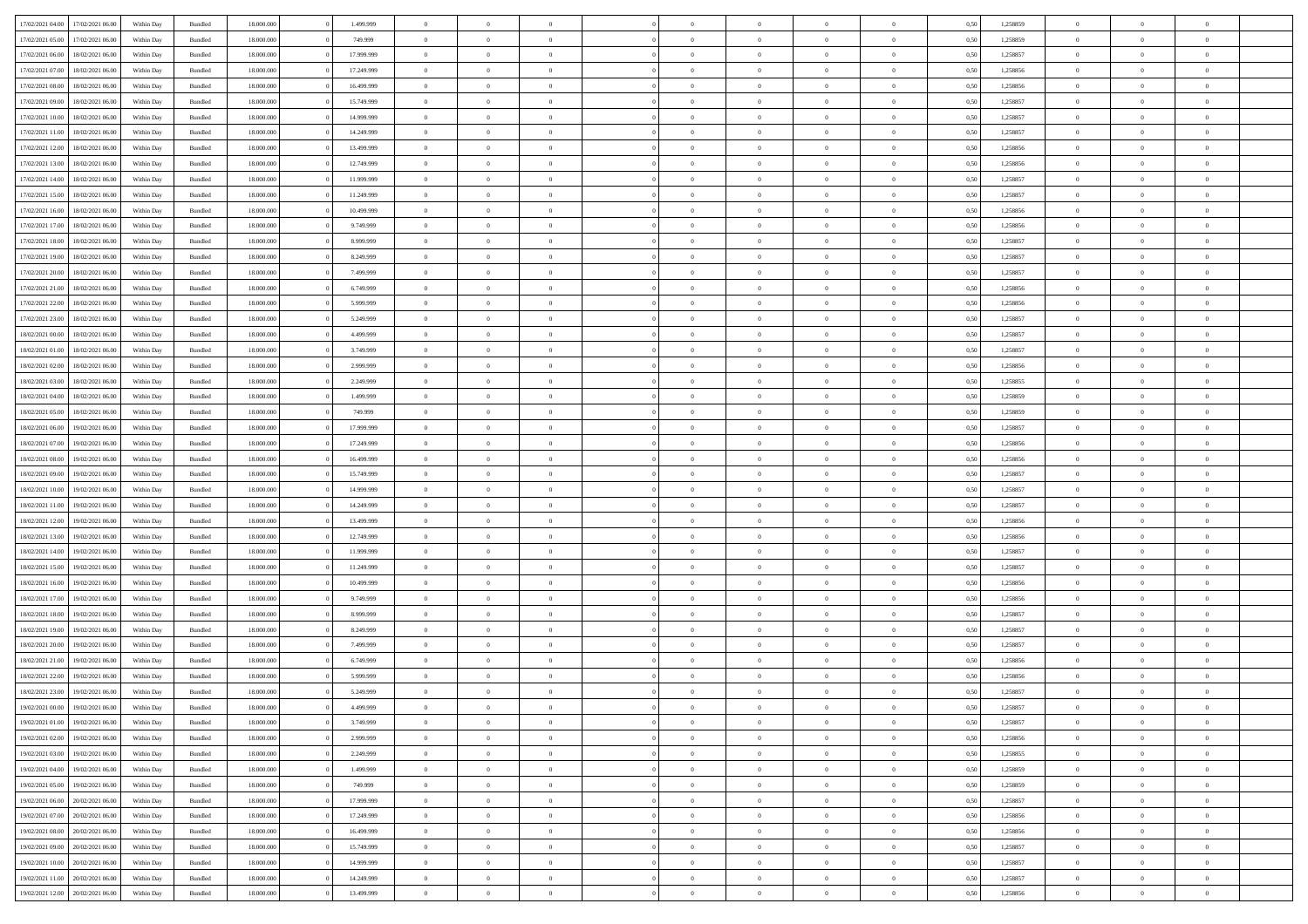| 17/02/2021 04:00 | 17/02/2021 06:00 | Within Day | Bundled            | 18.000.000 | 1.499.999  | $\overline{0}$ | $\Omega$       |                | $\Omega$       | $\Omega$       | $\Omega$       | $\theta$       | 0.50 | 1,258859 | $\theta$       | $\theta$       | $\theta$       |  |
|------------------|------------------|------------|--------------------|------------|------------|----------------|----------------|----------------|----------------|----------------|----------------|----------------|------|----------|----------------|----------------|----------------|--|
|                  |                  |            |                    |            |            |                |                |                |                |                |                |                |      |          |                |                |                |  |
| 17/02/2021 05:00 | 17/02/2021 06:00 | Within Day | Bundled            | 18.000.000 | 749.999    | $\overline{0}$ | $\theta$       | $\overline{0}$ | $\overline{0}$ | $\bf{0}$       | $\overline{0}$ | $\overline{0}$ | 0,50 | 1,258859 | $\theta$       | $\theta$       | $\overline{0}$ |  |
| 17/02/2021 06:00 | 18/02/2021 06:00 | Within Day | Bundled            | 18.000.000 | 17.999.999 | $\overline{0}$ | $\overline{0}$ | $\overline{0}$ | $\bf{0}$       | $\bf{0}$       | $\overline{0}$ | $\bf{0}$       | 0,50 | 1,258857 | $\overline{0}$ | $\overline{0}$ | $\overline{0}$ |  |
| 17/02/2021 07:00 | 18/02/2021 06:00 | Within Dav | Bundled            | 18.000.000 | 17.249.999 | $\overline{0}$ | $\overline{0}$ | $\overline{0}$ | $\overline{0}$ | $\bf{0}$       | $\overline{0}$ | $\overline{0}$ | 0.50 | 1.258856 | $\theta$       | $\theta$       | $\overline{0}$ |  |
| 17/02/2021 08:00 | 18/02/2021 06:00 | Within Day | Bundled            | 18.000.000 | 16.499.999 | $\overline{0}$ | $\theta$       | $\overline{0}$ | $\overline{0}$ | $\bf{0}$       | $\overline{0}$ | $\bf{0}$       | 0,50 | 1,258856 | $\theta$       | $\theta$       | $\overline{0}$ |  |
| 17/02/2021 09:00 | 18/02/2021 06:00 | Within Day | Bundled            | 18.000.000 | 15.749.999 | $\overline{0}$ | $\bf{0}$       | $\overline{0}$ | $\overline{0}$ | $\overline{0}$ | $\overline{0}$ | $\mathbf{0}$   | 0,50 | 1,258857 | $\overline{0}$ | $\overline{0}$ | $\bf{0}$       |  |
|                  |                  |            |                    |            |            |                |                |                |                | $\bf{0}$       |                |                |      |          | $\theta$       | $\overline{0}$ | $\overline{0}$ |  |
| 17/02/2021 10:00 | 18/02/2021 06:00 | Within Dav | Bundled            | 18.000.000 | 14.999.999 | $\overline{0}$ | $\overline{0}$ | $\overline{0}$ | $\overline{0}$ |                | $\overline{0}$ | $\overline{0}$ | 0.50 | 1,258857 |                |                |                |  |
| 17/02/2021 11:00 | 18/02/2021 06:00 | Within Day | Bundled            | 18.000.000 | 14.249.999 | $\overline{0}$ | $\theta$       | $\overline{0}$ | $\overline{0}$ | $\bf{0}$       | $\overline{0}$ | $\bf{0}$       | 0,50 | 1,258857 | $\theta$       | $\theta$       | $\overline{0}$ |  |
| 17/02/2021 12:00 | 18/02/2021 06:00 | Within Day | Bundled            | 18.000.000 | 13.499.999 | $\overline{0}$ | $\overline{0}$ | $\overline{0}$ | $\overline{0}$ | $\bf{0}$       | $\overline{0}$ | $\bf{0}$       | 0,50 | 1,258856 | $\,0\,$        | $\overline{0}$ | $\overline{0}$ |  |
| 17/02/2021 13:00 | 18/02/2021 06:00 | Within Dav | Bundled            | 18.000.000 | 12.749.999 | $\overline{0}$ | $\overline{0}$ | $\overline{0}$ | $\overline{0}$ | $\overline{0}$ | $\overline{0}$ | $\overline{0}$ | 0.50 | 1,258856 | $\theta$       | $\overline{0}$ | $\overline{0}$ |  |
| 17/02/2021 14:00 | 18/02/2021 06:00 | Within Day | Bundled            | 18.000.000 | 11.999.999 | $\overline{0}$ | $\theta$       | $\overline{0}$ | $\overline{0}$ | $\bf{0}$       | $\overline{0}$ | $\bf{0}$       | 0,50 | 1,258857 | $\theta$       | $\theta$       | $\overline{0}$ |  |
| 17/02/2021 15:00 | 18/02/2021 06:00 | Within Day | Bundled            | 18.000.000 | 11.249.999 | $\overline{0}$ | $\overline{0}$ | $\overline{0}$ | $\overline{0}$ | $\bf{0}$       | $\overline{0}$ | $\bf{0}$       | 0,50 | 1,258857 | $\overline{0}$ | $\overline{0}$ | $\overline{0}$ |  |
| 17/02/2021 16:00 | 18/02/2021 06:00 | Within Dav | Bundled            | 18.000.000 | 10.499.999 | $\overline{0}$ | $\overline{0}$ | $\overline{0}$ | $\overline{0}$ | $\bf{0}$       | $\overline{0}$ | $\overline{0}$ | 0.50 | 1.258856 | $\theta$       | $\theta$       | $\overline{0}$ |  |
| 17/02/2021 17:00 | 18/02/2021 06:00 |            |                    | 18.000.000 | 9.749.999  | $\overline{0}$ | $\theta$       | $\overline{0}$ | $\overline{0}$ | $\bf{0}$       | $\overline{0}$ | $\overline{0}$ |      | 1,258856 | $\theta$       | $\theta$       | $\overline{0}$ |  |
|                  |                  | Within Day | Bundled            |            |            |                |                |                |                |                |                |                | 0,50 |          |                |                |                |  |
| 17/02/2021 18:00 | 18/02/2021 06:00 | Within Day | Bundled            | 18.000.000 | 8.999.999  | $\overline{0}$ | $\overline{0}$ | $\overline{0}$ | $\overline{0}$ | $\overline{0}$ | $\overline{0}$ | $\mathbf{0}$   | 0,50 | 1,258857 | $\overline{0}$ | $\overline{0}$ | $\bf{0}$       |  |
| 17/02/2021 19:00 | 18/02/2021 06:00 | Within Dav | Bundled            | 18.000.000 | 8.249.999  | $\overline{0}$ | $\overline{0}$ | $\overline{0}$ | $\overline{0}$ | $\overline{0}$ | $\overline{0}$ | $\overline{0}$ | 0.50 | 1,258857 | $\theta$       | $\overline{0}$ | $\overline{0}$ |  |
| 17/02/2021 20:00 | 18/02/2021 06:00 | Within Day | Bundled            | 18.000.000 | 7.499.999  | $\overline{0}$ | $\theta$       | $\overline{0}$ | $\overline{0}$ | $\bf{0}$       | $\overline{0}$ | $\bf{0}$       | 0,50 | 1,258857 | $\theta$       | $\theta$       | $\overline{0}$ |  |
| 17/02/2021 21:00 | 18/02/2021 06:00 | Within Day | Bundled            | 18.000.000 | 6.749.999  | $\overline{0}$ | $\overline{0}$ | $\overline{0}$ | $\bf{0}$       | $\bf{0}$       | $\bf{0}$       | $\bf{0}$       | 0,50 | 1,258856 | $\,0\,$        | $\overline{0}$ | $\overline{0}$ |  |
| 17/02/2021 22:00 | 18/02/2021 06:00 | Within Dav | Bundled            | 18.000.000 | 5.999.999  | $\overline{0}$ | $\overline{0}$ | $\overline{0}$ | $\overline{0}$ | $\overline{0}$ | $\overline{0}$ | $\overline{0}$ | 0.50 | 1,258856 | $\theta$       | $\overline{0}$ | $\overline{0}$ |  |
| 17/02/2021 23:00 | 18/02/2021 06:00 | Within Day | Bundled            | 18.000.000 | 5.249.999  | $\overline{0}$ | $\theta$       | $\overline{0}$ | $\overline{0}$ | $\bf{0}$       | $\overline{0}$ | $\bf{0}$       | 0,50 | 1,258857 | $\theta$       | $\theta$       | $\overline{0}$ |  |
|                  |                  |            |                    |            |            |                | $\overline{0}$ |                |                | $\bf{0}$       |                |                |      |          | $\,0\,$        | $\overline{0}$ | $\overline{0}$ |  |
| 18/02/2021 00:00 | 18/02/2021 06:00 | Within Day | Bundled            | 18.000.000 | 4.499.999  | $\overline{0}$ |                | $\overline{0}$ | $\bf{0}$       |                | $\bf{0}$       | $\bf{0}$       | 0,50 | 1,258857 | $\theta$       |                |                |  |
| 18/02/2021 01:00 | 18/02/2021 06:00 | Within Day | Bundled            | 18.000.000 | 3.749.999  | $\overline{0}$ | $\overline{0}$ | $\overline{0}$ | $\overline{0}$ | $\bf{0}$       | $\overline{0}$ | $\overline{0}$ | 0.50 | 1.258857 |                | $\theta$       | $\overline{0}$ |  |
| 18/02/2021 02:00 | 18/02/2021 06:00 | Within Day | Bundled            | 18.000.000 | 2.999.999  | $\overline{0}$ | $\theta$       | $\overline{0}$ | $\overline{0}$ | $\bf{0}$       | $\overline{0}$ | $\bf{0}$       | 0,50 | 1,258856 | $\theta$       | $\overline{0}$ | $\overline{0}$ |  |
| 18/02/2021 03:00 | 18/02/2021 06:00 | Within Day | Bundled            | 18.000.000 | 2.249.999  | $\overline{0}$ | $\bf{0}$       | $\overline{0}$ | $\bf{0}$       | $\overline{0}$ | $\overline{0}$ | $\mathbf{0}$   | 0,50 | 1,258855 | $\bf{0}$       | $\overline{0}$ | $\bf{0}$       |  |
| 18/02/2021 04:00 | 18/02/2021 06:00 | Within Dav | Bundled            | 18.000.000 | 1.499.999  | $\overline{0}$ | $\overline{0}$ | $\overline{0}$ | $\overline{0}$ | $\overline{0}$ | $\overline{0}$ | $\overline{0}$ | 0.50 | 1,258859 | $\theta$       | $\overline{0}$ | $\overline{0}$ |  |
| 18/02/2021 05:00 | 18/02/2021 06:00 | Within Day | Bundled            | 18.000.000 | 749.999    | $\overline{0}$ | $\theta$       | $\overline{0}$ | $\overline{0}$ | $\bf{0}$       | $\overline{0}$ | $\bf{0}$       | 0,50 | 1,258859 | $\theta$       | $\theta$       | $\overline{0}$ |  |
| 18/02/2021 06:00 | 19/02/2021 06:00 | Within Day | Bundled            | 18.000.000 | 17.999.999 | $\overline{0}$ | $\overline{0}$ | $\overline{0}$ | $\bf{0}$       | $\bf{0}$       | $\bf{0}$       | $\bf{0}$       | 0,50 | 1,258857 | $\,0\,$        | $\overline{0}$ | $\overline{0}$ |  |
| 18/02/2021 07:00 | 19/02/2021 06:00 | Within Day | Bundled            | 18.000.000 | 17.249.999 | $\overline{0}$ | $\overline{0}$ | $\overline{0}$ | $\overline{0}$ | $\overline{0}$ | $\overline{0}$ | $\overline{0}$ | 0.50 | 1,258856 | $\theta$       | $\theta$       | $\overline{0}$ |  |
|                  |                  |            |                    |            |            |                |                |                |                |                |                |                |      |          |                |                |                |  |
| 18/02/2021 08:00 | 19/02/2021 06:00 | Within Day | Bundled            | 18.000.000 | 16.499.999 | $\overline{0}$ | $\theta$       | $\overline{0}$ | $\overline{0}$ | $\bf{0}$       | $\overline{0}$ | $\bf{0}$       | 0,50 | 1,258856 | $\,$ 0 $\,$    | $\theta$       | $\overline{0}$ |  |
| 18/02/2021 09:00 | 19/02/2021 06:00 | Within Day | Bundled            | 18.000.000 | 15.749.999 | $\overline{0}$ | $\overline{0}$ | $\overline{0}$ | $\bf{0}$       | $\bf{0}$       | $\bf{0}$       | $\bf{0}$       | 0,50 | 1,258857 | $\bf{0}$       | $\overline{0}$ | $\overline{0}$ |  |
| 18/02/2021 10:00 | 19/02/2021 06.00 | Within Day | Bundled            | 18.000.000 | 14.999.999 | $\overline{0}$ | $\Omega$       | $\Omega$       | $\Omega$       | $\Omega$       | $\Omega$       | $\overline{0}$ | 0.50 | 1,258857 | $\,0\,$        | $\theta$       | $\theta$       |  |
| 18/02/2021 11:00 | 19/02/2021 06:00 | Within Day | Bundled            | 18.000.000 | 14.249.999 | $\overline{0}$ | $\theta$       | $\overline{0}$ | $\overline{0}$ | $\bf{0}$       | $\overline{0}$ | $\bf{0}$       | 0,50 | 1,258857 | $\theta$       | $\theta$       | $\overline{0}$ |  |
| 18/02/2021 12:00 | 19/02/2021 06:00 | Within Day | Bundled            | 18.000.000 | 13.499.999 | $\overline{0}$ | $\bf{0}$       | $\overline{0}$ | $\bf{0}$       | $\bf{0}$       | $\overline{0}$ | $\mathbf{0}$   | 0,50 | 1,258856 | $\overline{0}$ | $\overline{0}$ | $\bf{0}$       |  |
| 18/02/2021 13:00 | 19/02/2021 06:00 | Within Day | Bundled            | 18,000,000 | 12.749.999 | $\overline{0}$ | $\Omega$       | $\Omega$       | $\Omega$       | $\Omega$       | $\Omega$       | $\overline{0}$ | 0.50 | 1,258856 | $\theta$       | $\theta$       | $\theta$       |  |
| 18/02/2021 14:00 | 19/02/2021 06:00 | Within Day | Bundled            | 18.000.000 | 11.999.999 | $\overline{0}$ | $\theta$       | $\overline{0}$ | $\overline{0}$ | $\bf{0}$       | $\overline{0}$ | $\bf{0}$       | 0,50 | 1,258857 | $\theta$       | $\theta$       | $\overline{0}$ |  |
| 18/02/2021 15:00 | 19/02/2021 06:00 | Within Day | Bundled            | 18.000.000 | 11.249.999 | $\overline{0}$ | $\overline{0}$ | $\overline{0}$ | $\bf{0}$       | $\bf{0}$       | $\bf{0}$       | $\bf{0}$       | 0,50 | 1,258857 | $\,0\,$        | $\overline{0}$ | $\overline{0}$ |  |
|                  |                  |            |                    |            |            |                |                |                |                |                |                |                |      |          |                |                |                |  |
| 18/02/2021 16:00 | 19/02/2021 06:00 | Within Day | Bundled            | 18,000,000 | 10.499.999 | $\overline{0}$ | $\Omega$       | $\Omega$       | $\Omega$       | $\Omega$       | $\theta$       | $\overline{0}$ | 0.50 | 1,258856 | $\theta$       | $\theta$       | $\theta$       |  |
| 18/02/2021 17:00 | 19/02/2021 06:00 | Within Day | Bundled            | 18.000.000 | 9.749.999  | $\overline{0}$ | $\theta$       | $\overline{0}$ | $\overline{0}$ | $\bf{0}$       | $\overline{0}$ | $\bf{0}$       | 0,50 | 1,258856 | $\,$ 0 $\,$    | $\overline{0}$ | $\overline{0}$ |  |
| 18/02/2021 18:00 | 19/02/2021 06:00 | Within Day | Bundled            | 18.000.000 | 8.999.999  | $\overline{0}$ | $\overline{0}$ | $\overline{0}$ | $\bf{0}$       | $\bf{0}$       | $\bf{0}$       | $\bf{0}$       | 0,50 | 1,258857 | $\overline{0}$ | $\overline{0}$ | $\overline{0}$ |  |
| 18/02/2021 19:00 | 19/02/2021 06:00 | Within Day | Bundled            | 18.000.000 | 8.249.999  | $\overline{0}$ | $\Omega$       | $\Omega$       | $\Omega$       | $\Omega$       | $\overline{0}$ | $\overline{0}$ | 0.50 | 1,258857 | $\,0\,$        | $\theta$       | $\theta$       |  |
| 18/02/2021 20:00 | 19/02/2021 06:00 | Within Day | Bundled            | 18.000.000 | 7.499.999  | $\overline{0}$ | $\theta$       | $\overline{0}$ | $\overline{0}$ | $\bf{0}$       | $\overline{0}$ | $\bf{0}$       | 0,50 | 1,258857 | $\,$ 0 $\,$    | $\theta$       | $\overline{0}$ |  |
| 18/02/2021 21:00 | 19/02/2021 06:00 | Within Day | Bundled            | 18.000.000 | 6.749.999  | $\overline{0}$ | $\overline{0}$ | $\overline{0}$ | $\overline{0}$ | $\bf{0}$       | $\overline{0}$ | $\mathbf{0}$   | 0,50 | 1,258856 | $\overline{0}$ | $\overline{0}$ | $\bf{0}$       |  |
| 18/02/2021 22:00 | 19/02/2021 06:00 | Within Day | Bundled            | 18,000,000 | 5.999.999  | $\overline{0}$ | $\Omega$       | $\Omega$       | $\Omega$       | $\Omega$       | $\Omega$       | $\overline{0}$ | 0.50 | 1,258856 | $\theta$       | $\theta$       | $\theta$       |  |
| 18/02/2021 23:00 | 19/02/2021 06:00 | Within Day | Bundled            | 18.000.000 | 5.249.999  | $\overline{0}$ | $\overline{0}$ | $\overline{0}$ | $\bf{0}$       | $\,$ 0         | $\overline{0}$ | $\bf{0}$       | 0,50 | 1,258857 | $\,0\,$        | $\,$ 0 $\,$    | $\overline{0}$ |  |
| 19/02/2021 00:00 | 19/02/2021 06:00 | Within Day | $\mathbf B$ undled | 18.000.000 | 4.499.999  | $\bf{0}$       | $\bf{0}$       |                |                | $\bf{0}$       |                |                | 0,50 | 1,258857 | $\bf{0}$       | $\overline{0}$ |                |  |
|                  |                  |            |                    |            |            |                |                |                |                |                |                |                |      |          |                |                |                |  |
| 19/02/2021 01:00 | 19/02/2021 06:00 | Within Day | Bundled            | 18,000,000 | 3.749.999  | $\overline{0}$ | $\overline{0}$ | $\overline{0}$ | $\Omega$       | $\overline{0}$ | $\overline{0}$ | $\overline{0}$ | 0.50 | 1,258857 | $\theta$       | $\theta$       | $\theta$       |  |
| 19/02/2021 02:00 | 19/02/2021 06:00 | Within Day | Bundled            | 18.000.000 | 2.999.999  | $\overline{0}$ | $\,$ 0         | $\overline{0}$ | $\overline{0}$ | $\,$ 0 $\,$    | $\overline{0}$ | $\mathbf{0}$   | 0,50 | 1,258856 | $\,$ 0 $\,$    | $\,$ 0 $\,$    | $\,$ 0         |  |
| 19/02/2021 03:00 | 19/02/2021 06:00 | Within Day | Bundled            | 18.000.000 | 2.249.999  | $\overline{0}$ | $\overline{0}$ | $\overline{0}$ | $\overline{0}$ | $\overline{0}$ | $\overline{0}$ | $\mathbf{0}$   | 0,50 | 1,258855 | $\overline{0}$ | $\bf{0}$       | $\bf{0}$       |  |
| 19/02/2021 04:00 | 19/02/2021 06:00 | Within Day | Bundled            | 18.000.000 | 1.499.999  | $\overline{0}$ | $\overline{0}$ | $\overline{0}$ | $\Omega$       | $\overline{0}$ | $\overline{0}$ | $\bf{0}$       | 0,50 | 1,258859 | $\overline{0}$ | $\theta$       | $\overline{0}$ |  |
| 19/02/2021 05:00 | 19/02/2021 06:00 | Within Day | Bundled            | 18.000.000 | 749.999    | $\overline{0}$ | $\,$ 0         | $\overline{0}$ | $\overline{0}$ | $\,$ 0 $\,$    | $\overline{0}$ | $\bf{0}$       | 0,50 | 1,258859 | $\,$ 0 $\,$    | $\overline{0}$ | $\overline{0}$ |  |
| 19/02/2021 06:00 | 20/02/2021 06:00 | Within Day | Bundled            | 18.000.000 | 17.999.999 | $\overline{0}$ | $\overline{0}$ | $\overline{0}$ | $\overline{0}$ | $\overline{0}$ | $\overline{0}$ | $\mathbf{0}$   | 0,50 | 1,258857 | $\overline{0}$ | $\bf{0}$       | $\bf{0}$       |  |
| 19/02/2021 07:00 | 20/02/2021 06:00 | Within Day | Bundled            | 18.000.000 | 17.249.999 | $\overline{0}$ | $\overline{0}$ | $\overline{0}$ | $\Omega$       | $\overline{0}$ | $\overline{0}$ | $\bf{0}$       | 0.50 | 1,258856 | $\overline{0}$ | $\theta$       | $\overline{0}$ |  |
|                  |                  |            |                    |            |            |                |                |                |                |                |                |                |      |          |                |                |                |  |
| 19/02/2021 08:00 | 20/02/2021 06:00 | Within Day | Bundled            | 18.000.000 | 16.499.999 | $\overline{0}$ | $\,$ 0         | $\overline{0}$ | $\overline{0}$ | $\bf{0}$       | $\overline{0}$ | $\bf{0}$       | 0,50 | 1,258856 | $\,$ 0 $\,$    | $\overline{0}$ | $\overline{0}$ |  |
| 19/02/2021 09:00 | 20/02/2021 06:00 | Within Day | Bundled            | 18.000.000 | 15.749.999 | $\overline{0}$ | $\bf{0}$       | $\overline{0}$ | $\overline{0}$ | $\overline{0}$ | $\overline{0}$ | $\mathbf{0}$   | 0,50 | 1,258857 | $\overline{0}$ | $\overline{0}$ | $\bf{0}$       |  |
| 19/02/2021 10:00 | 20/02/2021 06:00 | Within Day | Bundled            | 18,000,000 | 14,999,999 | $\overline{0}$ | $\overline{0}$ | $\overline{0}$ | $\Omega$       | $\overline{0}$ | $\overline{0}$ | $\bf{0}$       | 0.50 | 1,258857 | $\overline{0}$ | $\overline{0}$ | $\overline{0}$ |  |
| 19/02/2021 11:00 | 20/02/2021 06:00 | Within Day | Bundled            | 18.000.000 | 14.249.999 | $\overline{0}$ | $\bf{0}$       | $\overline{0}$ | $\overline{0}$ | $\bf{0}$       | $\overline{0}$ | $\mathbf{0}$   | 0,50 | 1,258857 | $\,$ 0 $\,$    | $\,$ 0 $\,$    | $\bf{0}$       |  |
| 19/02/2021 12:00 | 20/02/2021 06:00 | Within Day | Bundled            | 18.000.000 | 13.499.999 | $\overline{0}$ | $\overline{0}$ | $\overline{0}$ | $\overline{0}$ | $\bf{0}$       | $\overline{0}$ | $\mathbf{0}$   | 0,50 | 1,258856 | $\overline{0}$ | $\bf{0}$       | $\bf{0}$       |  |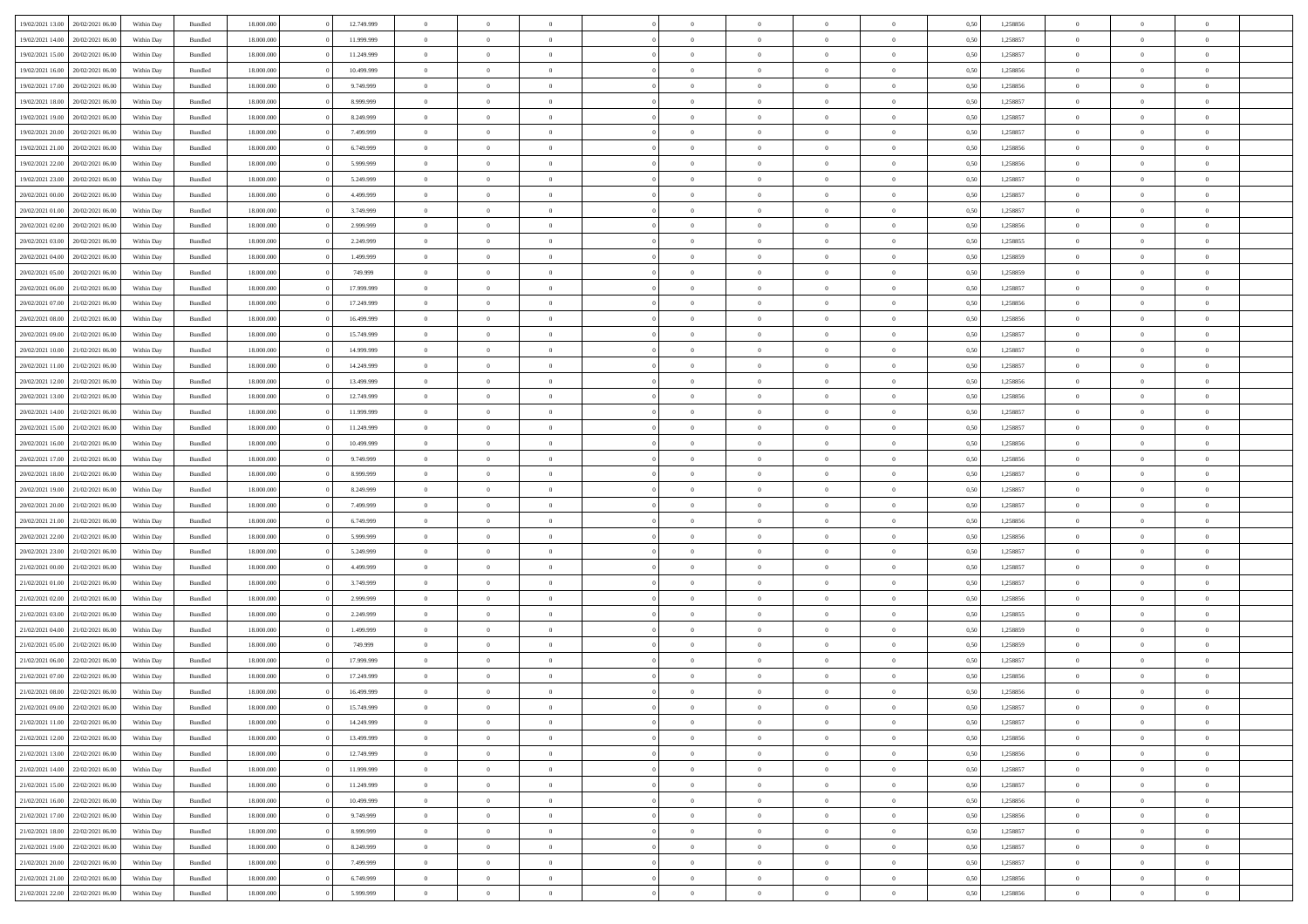|                  | 20/02/2021 06:00                  | Within Dav | Bundled            | 18.000.000 | 12.749.999 | $\overline{0}$ | $\Omega$       |                | $\Omega$       | $\Omega$       | $\Omega$       | $\theta$       | 0.50 | 1,258856 | $\theta$       | $\theta$       | $\theta$       |  |
|------------------|-----------------------------------|------------|--------------------|------------|------------|----------------|----------------|----------------|----------------|----------------|----------------|----------------|------|----------|----------------|----------------|----------------|--|
| 19/02/2021 13:00 |                                   |            |                    |            |            |                |                |                |                |                |                |                |      |          |                |                |                |  |
| 19/02/2021 14:00 | 20/02/2021 06:00                  | Within Day | Bundled            | 18.000.000 | 11.999.999 | $\overline{0}$ | $\theta$       | $\overline{0}$ | $\overline{0}$ | $\bf{0}$       | $\overline{0}$ | $\overline{0}$ | 0,50 | 1,258857 | $\theta$       | $\theta$       | $\overline{0}$ |  |
| 19/02/2021 15:00 | 20/02/2021 06:00                  | Within Day | Bundled            | 18.000.000 | 11.249.999 | $\overline{0}$ | $\overline{0}$ | $\overline{0}$ | $\bf{0}$       | $\bf{0}$       | $\bf{0}$       | $\bf{0}$       | 0,50 | 1,258857 | $\overline{0}$ | $\overline{0}$ | $\overline{0}$ |  |
|                  |                                   |            |                    |            |            |                |                |                |                |                |                |                |      |          |                |                |                |  |
| 19/02/2021 16:00 | 20/02/2021 06:00                  | Within Dav | Bundled            | 18.000.000 | 10.499.999 | $\overline{0}$ | $\theta$       | $\overline{0}$ | $\overline{0}$ | $\bf{0}$       | $\overline{0}$ | $\overline{0}$ | 0.50 | 1.258856 | $\theta$       | $\theta$       | $\overline{0}$ |  |
| 19/02/2021 17:00 | 20/02/2021 06:00                  | Within Day | Bundled            | 18.000.000 | 9.749.999  | $\overline{0}$ | $\theta$       | $\overline{0}$ | $\overline{0}$ | $\bf{0}$       | $\overline{0}$ | $\bf{0}$       | 0,50 | 1,258856 | $\theta$       | $\theta$       | $\overline{0}$ |  |
| 19/02/2021 18:00 | 20/02/2021 06:00                  | Within Day | Bundled            | 18.000.000 | 8.999.999  | $\overline{0}$ | $\bf{0}$       | $\overline{0}$ | $\bf{0}$       | $\overline{0}$ | $\overline{0}$ | $\mathbf{0}$   | 0,50 | 1,258857 | $\overline{0}$ | $\overline{0}$ | $\bf{0}$       |  |
| 19/02/2021 19:00 | 20/02/2021 06:00                  | Within Dav | Bundled            | 18.000.000 | 8.249.999  | $\overline{0}$ | $\overline{0}$ | $\overline{0}$ | $\overline{0}$ | $\bf{0}$       | $\overline{0}$ | $\overline{0}$ | 0.50 | 1,258857 | $\theta$       | $\theta$       | $\overline{0}$ |  |
|                  |                                   |            |                    |            |            |                |                |                |                |                |                |                |      |          |                |                |                |  |
| 19/02/2021 20:00 | 20/02/2021 06:00                  | Within Day | Bundled            | 18.000.000 | 7.499.999  | $\overline{0}$ | $\theta$       | $\overline{0}$ | $\overline{0}$ | $\bf{0}$       | $\overline{0}$ | $\bf{0}$       | 0,50 | 1,258857 | $\theta$       | $\theta$       | $\overline{0}$ |  |
| 19/02/2021 21:00 | 20/02/2021 06:00                  | Within Day | Bundled            | 18.000.000 | 6.749.999  | $\overline{0}$ | $\overline{0}$ | $\overline{0}$ | $\bf{0}$       | $\bf{0}$       | $\bf{0}$       | $\bf{0}$       | 0,50 | 1,258856 | $\,0\,$        | $\overline{0}$ | $\overline{0}$ |  |
| 19/02/2021 22.00 | 20/02/2021 06:00                  | Within Dav | Bundled            | 18.000.000 | 5.999.999  | $\overline{0}$ | $\overline{0}$ | $\overline{0}$ | $\overline{0}$ | $\overline{0}$ | $\overline{0}$ | $\overline{0}$ | 0.50 | 1,258856 | $\theta$       | $\overline{0}$ | $\overline{0}$ |  |
|                  |                                   |            |                    |            |            |                |                |                |                |                |                |                |      |          |                |                |                |  |
| 19/02/2021 23:00 | 20/02/2021 06:00                  | Within Day | Bundled            | 18.000.000 | 5.249.999  | $\overline{0}$ | $\theta$       | $\overline{0}$ | $\overline{0}$ | $\bf{0}$       | $\overline{0}$ | $\bf{0}$       | 0,50 | 1,258857 | $\theta$       | $\theta$       | $\overline{0}$ |  |
| 20/02/2021 00:00 | 20/02/2021 06:00                  | Within Day | Bundled            | 18.000.000 | 4.499.999  | $\overline{0}$ | $\overline{0}$ | $\overline{0}$ | $\bf{0}$       | $\bf{0}$       | $\bf{0}$       | $\bf{0}$       | 0,50 | 1,258857 | $\bf{0}$       | $\overline{0}$ | $\overline{0}$ |  |
| 20/02/2021 01:00 | 20/02/2021 06:00                  | Within Day | Bundled            | 18.000.000 | 3.749.999  | $\overline{0}$ | $\theta$       | $\overline{0}$ | $\overline{0}$ | $\bf{0}$       | $\overline{0}$ | $\overline{0}$ | 0.50 | 1.258857 | $\theta$       | $\theta$       | $\overline{0}$ |  |
| 20/02/2021 02:00 | 20/02/2021 06:00                  | Within Day | Bundled            | 18.000.000 | 2.999.999  | $\overline{0}$ | $\theta$       | $\overline{0}$ | $\overline{0}$ | $\bf{0}$       | $\overline{0}$ | $\overline{0}$ | 0,50 | 1,258856 | $\theta$       | $\theta$       | $\overline{0}$ |  |
|                  |                                   |            |                    |            |            |                |                |                |                |                |                |                |      |          |                |                |                |  |
| 20/02/2021 03:00 | 20/02/2021 06:00                  | Within Day | Bundled            | 18.000.000 | 2.249.999  | $\overline{0}$ | $\overline{0}$ | $\overline{0}$ | $\bf{0}$       | $\overline{0}$ | $\overline{0}$ | $\mathbf{0}$   | 0,50 | 1,258855 | $\overline{0}$ | $\overline{0}$ | $\bf{0}$       |  |
| 20/02/2021 04:00 | 20/02/2021 06:00                  | Within Dav | Bundled            | 18.000.000 | 1.499.999  | $\overline{0}$ | $\overline{0}$ | $\overline{0}$ | $\overline{0}$ | $\bf{0}$       | $\overline{0}$ | $\overline{0}$ | 0.50 | 1.258859 | $\theta$       | $\overline{0}$ | $\overline{0}$ |  |
| 20/02/2021 05:00 | 20/02/2021 06:00                  | Within Day | Bundled            | 18.000.000 | 749.999    | $\overline{0}$ | $\theta$       | $\overline{0}$ | $\overline{0}$ | $\bf{0}$       | $\overline{0}$ | $\bf{0}$       | 0,50 | 1,258859 | $\theta$       | $\theta$       | $\overline{0}$ |  |
|                  |                                   |            |                    |            |            |                |                |                |                |                |                |                |      |          |                |                |                |  |
| 20/02/2021 06:00 | 21/02/2021 06:00                  | Within Day | Bundled            | 18.000.000 | 17.999.999 | $\overline{0}$ | $\overline{0}$ | $\overline{0}$ | $\bf{0}$       | $\bf{0}$       | $\bf{0}$       | $\bf{0}$       | 0,50 | 1,258857 | $\,0\,$        | $\overline{0}$ | $\overline{0}$ |  |
| 20/02/2021 07:00 | 21/02/2021 06:00                  | Within Day | Bundled            | 18.000.000 | 17.249.999 | $\overline{0}$ | $\overline{0}$ | $\overline{0}$ | $\overline{0}$ | $\overline{0}$ | $\overline{0}$ | $\overline{0}$ | 0.50 | 1,258856 | $\theta$       | $\overline{0}$ | $\overline{0}$ |  |
| 20/02/2021 08:00 | 21/02/2021 06:00                  | Within Day | Bundled            | 18.000.000 | 16.499.999 | $\overline{0}$ | $\theta$       | $\overline{0}$ | $\overline{0}$ | $\bf{0}$       | $\overline{0}$ | $\bf{0}$       | 0,50 | 1,258856 | $\theta$       | $\theta$       | $\overline{0}$ |  |
| 20/02/2021 09:00 | 21/02/2021 06:00                  | Within Day | Bundled            | 18.000.000 | 15.749.999 | $\overline{0}$ | $\overline{0}$ | $\overline{0}$ | $\bf{0}$       | $\bf{0}$       | $\bf{0}$       | $\bf{0}$       | 0,50 | 1,258857 | $\,0\,$        | $\overline{0}$ | $\overline{0}$ |  |
|                  |                                   |            |                    |            |            |                |                |                |                |                |                |                |      |          |                |                |                |  |
| 20/02/2021 10:00 | 21/02/2021 06:00                  | Within Day | Bundled            | 18.000.000 | 14.999.999 | $\overline{0}$ | $\overline{0}$ | $\overline{0}$ | $\overline{0}$ | $\bf{0}$       | $\overline{0}$ | $\overline{0}$ | 0.50 | 1.258857 | $\theta$       | $\theta$       | $\overline{0}$ |  |
| 20/02/2021 11:00 | 21/02/2021 06:00                  | Within Day | Bundled            | 18.000.000 | 14.249.999 | $\overline{0}$ | $\theta$       | $\overline{0}$ | $\overline{0}$ | $\bf{0}$       | $\overline{0}$ | $\bf{0}$       | 0,50 | 1,258857 | $\theta$       | $\overline{0}$ | $\overline{0}$ |  |
| 20/02/2021 12:00 | 21/02/2021 06:00                  | Within Day | Bundled            | 18.000.000 | 13.499.999 | $\overline{0}$ | $\overline{0}$ | $\overline{0}$ | $\bf{0}$       | $\overline{0}$ | $\bf{0}$       | $\mathbf{0}$   | 0,50 | 1,258856 | $\overline{0}$ | $\overline{0}$ | $\bf{0}$       |  |
| 20/02/2021 13:00 | 21/02/2021 06:00                  | Within Dav | Bundled            | 18.000.000 | 12.749.999 | $\overline{0}$ | $\overline{0}$ | $\overline{0}$ | $\overline{0}$ | $\overline{0}$ | $\overline{0}$ | $\overline{0}$ | 0.50 | 1,258856 | $\theta$       | $\theta$       | $\overline{0}$ |  |
|                  |                                   |            |                    |            |            |                |                |                |                |                |                |                |      |          |                |                |                |  |
| 20/02/2021 14:00 | 21/02/2021 06:00                  | Within Day | Bundled            | 18.000.000 | 11.999.999 | $\overline{0}$ | $\theta$       | $\overline{0}$ | $\overline{0}$ | $\bf{0}$       | $\overline{0}$ | $\bf{0}$       | 0,50 | 1,258857 | $\theta$       | $\theta$       | $\overline{0}$ |  |
| 20/02/2021 15:00 | 21/02/2021 06:00                  | Within Day | Bundled            | 18.000.000 | 11.249.999 | $\overline{0}$ | $\overline{0}$ | $\overline{0}$ | $\bf{0}$       | $\bf{0}$       | $\bf{0}$       | $\bf{0}$       | 0,50 | 1,258857 | $\,0\,$        | $\overline{0}$ | $\overline{0}$ |  |
| 20/02/2021 16:00 | 21/02/2021 06:00                  | Within Day | Bundled            | 18,000,000 | 10.499.999 | $\overline{0}$ | $\overline{0}$ | $\overline{0}$ | $\overline{0}$ | $\overline{0}$ | $\overline{0}$ | $\overline{0}$ | 0.50 | 1,258856 | $\theta$       | $\theta$       | $\overline{0}$ |  |
| 20/02/2021 17:00 | 21/02/2021 06:00                  | Within Day | Bundled            | 18.000.000 | 9.749.999  | $\overline{0}$ | $\theta$       | $\overline{0}$ | $\overline{0}$ | $\bf{0}$       | $\overline{0}$ | $\bf{0}$       | 0,50 | 1,258856 | $\,$ 0 $\,$    | $\theta$       | $\overline{0}$ |  |
|                  |                                   |            |                    |            |            |                |                |                |                |                |                |                |      |          |                |                |                |  |
| 20/02/2021 18:00 | 21/02/2021 06:00                  | Within Day | Bundled            | 18.000.000 | 8.999.999  | $\overline{0}$ | $\overline{0}$ | $\overline{0}$ | $\bf{0}$       | $\bf{0}$       | $\bf{0}$       | $\bf{0}$       | 0,50 | 1,258857 | $\bf{0}$       | $\overline{0}$ | $\overline{0}$ |  |
| 20/02/2021 19:00 | 21/02/2021 06:00                  | Within Day | Bundled            | 18.000.000 | 8.249.999  | $\overline{0}$ | $\Omega$       | $\Omega$       | $\Omega$       | $\Omega$       | $\Omega$       | $\overline{0}$ | 0.50 | 1,258857 | $\,0\,$        | $\Omega$       | $\theta$       |  |
| 20/02/2021 20:00 | 21/02/2021 06:00                  | Within Day | Bundled            | 18.000.000 | 7.499.999  | $\overline{0}$ | $\theta$       | $\overline{0}$ | $\overline{0}$ | $\bf{0}$       | $\overline{0}$ | $\bf{0}$       | 0,50 | 1,258857 | $\theta$       | $\theta$       | $\overline{0}$ |  |
|                  |                                   |            |                    |            |            |                |                |                |                |                |                |                |      |          |                |                |                |  |
| 20/02/2021 21:00 | 21/02/2021 06:00                  | Within Day | Bundled            | 18.000.000 | 6.749.999  | $\overline{0}$ | $\bf{0}$       | $\overline{0}$ | $\overline{0}$ | $\bf{0}$       | $\overline{0}$ | $\mathbf{0}$   | 0,50 | 1,258856 | $\overline{0}$ | $\overline{0}$ | $\bf{0}$       |  |
| 20/02/2021 22:00 | 21/02/2021 06:00                  | Within Day | Bundled            | 18,000,000 | 5.999.999  | $\overline{0}$ | $\Omega$       | $\Omega$       | $\Omega$       | $\Omega$       | $\Omega$       | $\overline{0}$ | 0.50 | 1,258856 | $\theta$       | $\theta$       | $\theta$       |  |
| 20/02/2021 23:00 | 21/02/2021 06:00                  | Within Day | Bundled            | 18.000.000 | 5.249.999  | $\overline{0}$ | $\theta$       | $\overline{0}$ | $\overline{0}$ | $\bf{0}$       | $\overline{0}$ | $\bf{0}$       | 0,50 | 1,258857 | $\theta$       | $\theta$       | $\overline{0}$ |  |
| 21/02/2021 00:00 | 21/02/2021 06:00                  | Within Day | Bundled            | 18.000.000 | 4.499.999  | $\overline{0}$ | $\overline{0}$ | $\overline{0}$ | $\overline{0}$ | $\bf{0}$       | $\overline{0}$ | $\bf{0}$       | 0,50 | 1,258857 | $\bf{0}$       | $\overline{0}$ | $\overline{0}$ |  |
|                  |                                   |            |                    |            |            |                |                |                |                |                |                |                |      |          |                |                |                |  |
| 21/02/2021 01:00 | 21/02/2021 06:00                  | Within Day | Bundled            | 18,000,000 | 3.749.999  | $\overline{0}$ | $\Omega$       | $\Omega$       | $\Omega$       | $\Omega$       | $\theta$       | $\overline{0}$ | 0.50 | 1,258857 | $\theta$       | $\theta$       | $\theta$       |  |
| 21/02/2021 02:00 | 21/02/2021 06:00                  | Within Day | Bundled            | 18.000.000 | 2.999.999  | $\overline{0}$ | $\theta$       | $\overline{0}$ | $\overline{0}$ | $\bf{0}$       | $\overline{0}$ | $\bf{0}$       | 0,50 | 1,258856 | $\,$ 0 $\,$    | $\theta$       | $\overline{0}$ |  |
| 21/02/2021 03:00 | 21/02/2021 06:00                  | Within Day | Bundled            | 18.000.000 | 2.249.999  | $\overline{0}$ | $\overline{0}$ | $\overline{0}$ | $\overline{0}$ | $\bf{0}$       | $\overline{0}$ | $\bf{0}$       | 0,50 | 1,258855 | $\overline{0}$ | $\overline{0}$ | $\overline{0}$ |  |
| 21/02/2021 04:00 | 21/02/2021 06:00                  |            |                    | 18.000.000 | 1.499.999  | $\overline{0}$ | $\Omega$       | $\Omega$       | $\Omega$       | $\Omega$       | $\overline{0}$ | $\overline{0}$ | 0.50 | 1,258859 | $\,0\,$        | $\theta$       | $\theta$       |  |
|                  |                                   | Within Day | Bundled            |            |            |                |                |                |                |                |                |                |      |          |                |                |                |  |
| 21/02/2021 05:00 | 21/02/2021 06:00                  | Within Day | Bundled            | 18.000.000 | 749.999    | $\overline{0}$ | $\theta$       | $\overline{0}$ | $\overline{0}$ | $\bf{0}$       | $\overline{0}$ | $\bf{0}$       | 0,50 | 1,258859 | $\,$ 0 $\,$    | $\theta$       | $\overline{0}$ |  |
| 21/02/2021 06:00 | 22/02/2021 06:00                  | Within Day | Bundled            | 18.000.000 | 17.999.999 | $\overline{0}$ | $\overline{0}$ | $\overline{0}$ | $\overline{0}$ | $\bf{0}$       | $\overline{0}$ | $\mathbf{0}$   | 0,50 | 1,258857 | $\overline{0}$ | $\overline{0}$ | $\bf{0}$       |  |
| 21/02/2021 07:00 | 22/02/2021 06:00                  | Within Day | Bundled            | 18,000,000 | 17.249.999 | $\overline{0}$ | $\Omega$       | $\Omega$       | $\Omega$       | $\Omega$       | $\Omega$       | $\overline{0}$ | 0.50 | 1,258856 | $\theta$       | $\Omega$       | $\theta$       |  |
| 21/02/2021 08:00 | 22/02/2021 06:00                  | Within Day | Bundled            | 18.000.000 | 16.499.999 | $\overline{0}$ | $\overline{0}$ | $\overline{0}$ | $\bf{0}$       | $\,$ 0         | $\overline{0}$ | $\bf{0}$       | 0,50 | 1,258856 | $\,0\,$        | $\overline{0}$ | $\overline{0}$ |  |
|                  |                                   |            |                    |            |            |                |                |                |                |                |                |                |      |          |                |                |                |  |
| 21/02/2021 09:00 | 22/02/2021 06:00                  | Within Day | $\mathbf B$ undled | 18.000.000 | 15.749.999 | $\bf{0}$       | $\bf{0}$       |                |                | $\bf{0}$       |                |                | 0,50 | 1,258857 | $\bf{0}$       | $\overline{0}$ |                |  |
| 21/02/2021 11:00 | 22/02/2021 06:00                  | Within Day | Bundled            | 18,000,000 | 14.249.999 | $\overline{0}$ | $\overline{0}$ | $\overline{0}$ | $\Omega$       | $\overline{0}$ | $\overline{0}$ | $\overline{0}$ | 0.50 | 1,258857 | $\theta$       | $\theta$       | $\theta$       |  |
| 21/02/2021 12:00 | 22/02/2021 06:00                  | Within Day | Bundled            | 18.000.000 | 13.499.999 | $\overline{0}$ | $\,$ 0         | $\overline{0}$ | $\overline{0}$ | $\,$ 0 $\,$    | $\overline{0}$ | $\mathbf{0}$   | 0,50 | 1,258856 | $\,$ 0 $\,$    | $\,$ 0 $\,$    | $\,$ 0         |  |
|                  |                                   |            |                    |            |            |                |                |                |                |                |                |                |      |          |                |                |                |  |
| 21/02/2021 13:00 | 22/02/2021 06:00                  | Within Day | Bundled            | 18.000.000 | 12.749.999 | $\overline{0}$ | $\overline{0}$ | $\overline{0}$ | $\overline{0}$ | $\overline{0}$ | $\overline{0}$ | $\mathbf{0}$   | 0,50 | 1,258856 | $\overline{0}$ | $\bf{0}$       | $\bf{0}$       |  |
| 21/02/2021 14:00 | 22/02/2021 06:00                  | Within Day | Bundled            | 18,000,000 | 11.999.999 | $\overline{0}$ | $\overline{0}$ | $\overline{0}$ | $\Omega$       | $\overline{0}$ | $\overline{0}$ | $\bf{0}$       | 0,50 | 1,258857 | $\overline{0}$ | $\theta$       | $\overline{0}$ |  |
| 21/02/2021 15:00 | 22/02/2021 06:00                  | Within Day | Bundled            | 18.000.000 | 11.249.999 | $\overline{0}$ | $\,$ 0         | $\overline{0}$ | $\overline{0}$ | $\,$ 0 $\,$    | $\overline{0}$ | $\bf{0}$       | 0,50 | 1,258857 | $\,$ 0 $\,$    | $\overline{0}$ | $\overline{0}$ |  |
| 21/02/2021 16:00 | 22/02/2021 06:00                  | Within Day | Bundled            | 18.000.000 | 10.499.999 | $\overline{0}$ | $\overline{0}$ | $\overline{0}$ | $\overline{0}$ | $\overline{0}$ | $\overline{0}$ | $\mathbf{0}$   | 0,50 | 1,258856 | $\overline{0}$ | $\overline{0}$ | $\bf{0}$       |  |
|                  |                                   |            |                    |            |            |                |                |                |                |                |                |                |      |          |                |                |                |  |
| 21/02/2021 17:00 | 22/02/2021 06:00                  | Within Day | Bundled            | 18,000,000 | 9.749.999  | $\overline{0}$ | $\overline{0}$ | $\overline{0}$ | $\Omega$       | $\overline{0}$ | $\overline{0}$ | $\bf{0}$       | 0.50 | 1,258856 | $\overline{0}$ | $\theta$       | $\overline{0}$ |  |
| 21/02/2021 18:00 | 22/02/2021 06:00                  | Within Day | Bundled            | 18.000.000 | 8.999.999  | $\overline{0}$ | $\,$ 0         | $\overline{0}$ | $\bf{0}$       | $\bf{0}$       | $\bf{0}$       | $\bf{0}$       | 0,50 | 1,258857 | $\,$ 0 $\,$    | $\overline{0}$ | $\overline{0}$ |  |
| 21/02/2021 19:00 | 22/02/2021 06:00                  | Within Day | Bundled            | 18.000.000 | 8.249.999  | $\overline{0}$ | $\bf{0}$       | $\overline{0}$ | $\overline{0}$ | $\overline{0}$ | $\overline{0}$ | $\mathbf{0}$   | 0,50 | 1,258857 | $\overline{0}$ | $\overline{0}$ | $\bf{0}$       |  |
|                  |                                   |            |                    | 18,000,000 | 7.499.999  | $\overline{0}$ | $\overline{0}$ |                | $\Omega$       | $\overline{0}$ | $\overline{0}$ |                |      |          |                | $\overline{0}$ | $\overline{0}$ |  |
| 21/02/2021 20:00 | 22/02/2021 06:00                  | Within Day | Bundled            |            |            |                |                | $\overline{0}$ |                |                |                | $\bf{0}$       | 0.50 | 1,258857 | $\overline{0}$ |                |                |  |
| 21/02/2021 21:00 | 22/02/2021 06:00                  | Within Day | Bundled            | 18.000.000 | 6.749.999  | $\overline{0}$ | $\bf{0}$       | $\overline{0}$ | $\overline{0}$ | $\bf{0}$       | $\bf{0}$       | $\mathbf{0}$   | 0,50 | 1,258856 | $\,$ 0 $\,$    | $\,$ 0 $\,$    | $\bf{0}$       |  |
|                  | 21/02/2021 22.00 22/02/2021 06:00 | Within Day | Bundled            | 18.000.000 | 5.999.999  | $\overline{0}$ | $\overline{0}$ | $\overline{0}$ | $\overline{0}$ | $\bf{0}$       | $\bf{0}$       | $\mathbf{0}$   | 0,50 | 1,258856 | $\overline{0}$ | $\bf{0}$       | $\bf{0}$       |  |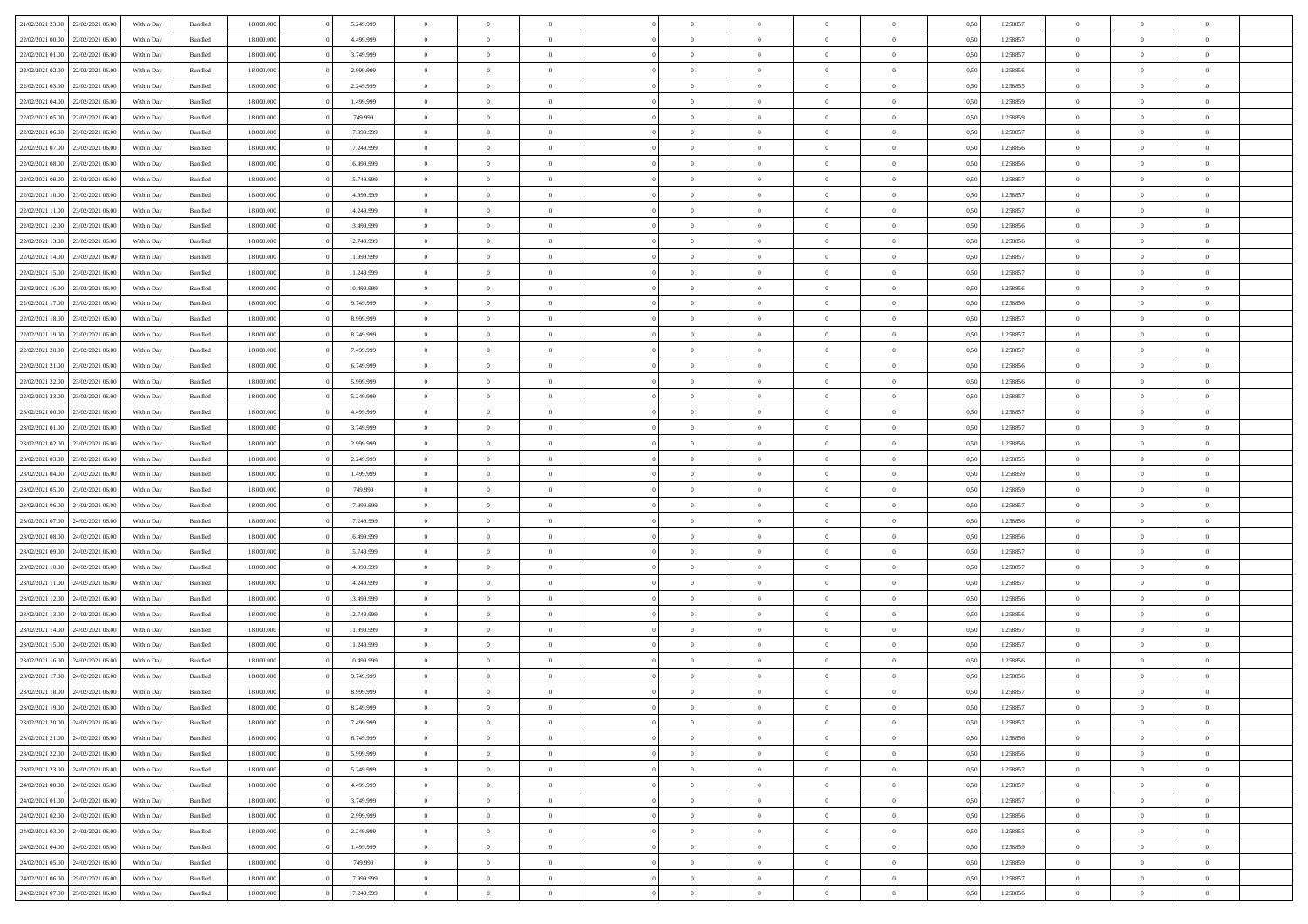|                                   |                  |            |                    |            |            | $\overline{0}$ | $\Omega$       |                |                | $\Omega$       | $\Omega$       | $\theta$       |      |          | $\theta$       |                | $\theta$       |  |
|-----------------------------------|------------------|------------|--------------------|------------|------------|----------------|----------------|----------------|----------------|----------------|----------------|----------------|------|----------|----------------|----------------|----------------|--|
| 21/02/2021 23:00                  | 22/02/2021 06:00 | Within Day | Bundled            | 18.000.000 | 5.249.999  |                |                |                | $\Omega$       |                |                |                | 0.50 | 1,258857 |                | $\theta$       |                |  |
| 22/02/2021 00:00                  | 22/02/2021 06:00 | Within Day | Bundled            | 18.000.000 | 4.499.999  | $\overline{0}$ | $\theta$       | $\overline{0}$ | $\overline{0}$ | $\bf{0}$       | $\overline{0}$ | $\overline{0}$ | 0,50 | 1,258857 | $\theta$       | $\theta$       | $\overline{0}$ |  |
| 22/02/2021 01:00                  | 22/02/2021 06:00 | Within Day | Bundled            | 18.000.000 | 3.749.999  | $\overline{0}$ | $\overline{0}$ | $\overline{0}$ | $\bf{0}$       | $\bf{0}$       | $\bf{0}$       | $\bf{0}$       | 0,50 | 1,258857 | $\bf{0}$       | $\overline{0}$ | $\overline{0}$ |  |
| 22/02/2021 02:00                  | 22/02/2021 06:00 | Within Dav | Bundled            | 18.000.000 | 2.999.999  | $\overline{0}$ | $\theta$       | $\overline{0}$ | $\overline{0}$ | $\bf{0}$       | $\overline{0}$ | $\overline{0}$ | 0.50 | 1.258856 | $\theta$       | $\theta$       | $\overline{0}$ |  |
| 22/02/2021 03:00                  | 22/02/2021 06:00 | Within Day | Bundled            | 18.000.000 | 2.249.999  | $\overline{0}$ | $\theta$       | $\overline{0}$ | $\overline{0}$ | $\bf{0}$       | $\overline{0}$ | $\bf{0}$       | 0,50 | 1,258855 | $\theta$       | $\theta$       | $\overline{0}$ |  |
|                                   |                  |            |                    |            |            |                |                |                |                |                |                |                |      |          |                |                |                |  |
| 22/02/2021 04:00                  | 22/02/2021 06:00 | Within Day | Bundled            | 18.000.000 | 1.499.999  | $\overline{0}$ | $\bf{0}$       | $\overline{0}$ | $\bf{0}$       | $\overline{0}$ | $\overline{0}$ | $\mathbf{0}$   | 0,50 | 1,258859 | $\overline{0}$ | $\overline{0}$ | $\bf{0}$       |  |
| 22/02/2021 05:00                  | 22/02/2021 06:00 | Within Dav | Bundled            | 18.000.000 | 749.999    | $\overline{0}$ | $\overline{0}$ | $\overline{0}$ | $\overline{0}$ | $\bf{0}$       | $\overline{0}$ | $\overline{0}$ | 0.50 | 1,258859 | $\theta$       | $\theta$       | $\overline{0}$ |  |
| 22/02/2021 06:00                  | 23/02/2021 06:00 | Within Day | Bundled            | 18.000.000 | 17.999.999 | $\overline{0}$ | $\theta$       | $\overline{0}$ | $\overline{0}$ | $\bf{0}$       | $\overline{0}$ | $\bf{0}$       | 0,50 | 1,258857 | $\theta$       | $\theta$       | $\overline{0}$ |  |
| 22/02/2021 07:00                  | 23/02/2021 06:00 | Within Day | Bundled            | 18.000.000 | 17.249.999 | $\overline{0}$ | $\overline{0}$ | $\overline{0}$ | $\bf{0}$       | $\bf{0}$       | $\bf{0}$       | $\bf{0}$       | 0,50 | 1,258856 | $\,0\,$        | $\overline{0}$ | $\overline{0}$ |  |
|                                   |                  |            |                    |            |            |                |                |                |                |                |                |                |      |          |                |                |                |  |
| 22/02/2021 08:00                  | 23/02/2021 06:00 | Within Dav | Bundled            | 18.000.000 | 16.499.999 | $\overline{0}$ | $\overline{0}$ | $\overline{0}$ | $\overline{0}$ | $\overline{0}$ | $\overline{0}$ | $\overline{0}$ | 0.50 | 1,258856 | $\theta$       | $\overline{0}$ | $\overline{0}$ |  |
| 22/02/2021 09:00                  | 23/02/2021 06:00 | Within Day | Bundled            | 18.000.000 | 15.749.999 | $\overline{0}$ | $\theta$       | $\overline{0}$ | $\overline{0}$ | $\bf{0}$       | $\overline{0}$ | $\bf{0}$       | 0,50 | 1,258857 | $\theta$       | $\theta$       | $\overline{0}$ |  |
| 22/02/2021 10:00                  | 23/02/2021 06:00 | Within Day | Bundled            | 18.000.000 | 14.999.999 | $\overline{0}$ | $\overline{0}$ | $\overline{0}$ | $\bf{0}$       | $\bf{0}$       | $\bf{0}$       | $\bf{0}$       | 0,50 | 1,258857 | $\bf{0}$       | $\overline{0}$ | $\overline{0}$ |  |
| 22/02/2021 11:00                  | 23/02/2021 06:00 | Within Day | Bundled            | 18.000.000 | 14.249.999 | $\overline{0}$ | $\theta$       | $\overline{0}$ | $\overline{0}$ | $\bf{0}$       | $\overline{0}$ | $\overline{0}$ | 0.50 | 1.258857 | $\theta$       | $\theta$       | $\overline{0}$ |  |
| 22/02/2021 12:00                  | 23/02/2021 06:00 | Within Day | Bundled            | 18.000.000 | 13.499.999 | $\overline{0}$ | $\theta$       | $\overline{0}$ | $\overline{0}$ | $\bf{0}$       | $\overline{0}$ | $\overline{0}$ | 0,50 | 1,258856 | $\theta$       | $\theta$       | $\overline{0}$ |  |
|                                   |                  |            |                    |            |            |                |                |                |                |                |                |                |      |          |                |                |                |  |
| 22/02/2021 13:00                  | 23/02/2021 06:00 | Within Day | Bundled            | 18.000.000 | 12.749.999 | $\overline{0}$ | $\overline{0}$ | $\overline{0}$ | $\bf{0}$       | $\overline{0}$ | $\overline{0}$ | $\mathbf{0}$   | 0,50 | 1,258856 | $\overline{0}$ | $\overline{0}$ | $\bf{0}$       |  |
| 22/02/2021 14:00                  | 23/02/2021 06:00 | Within Dav | Bundled            | 18.000.000 | 11.999.999 | $\overline{0}$ | $\overline{0}$ | $\overline{0}$ | $\overline{0}$ | $\bf{0}$       | $\overline{0}$ | $\overline{0}$ | 0.50 | 1,258857 | $\theta$       | $\overline{0}$ | $\overline{0}$ |  |
| 22/02/2021 15:00                  | 23/02/2021 06:00 | Within Day | Bundled            | 18.000.000 | 11.249.999 | $\overline{0}$ | $\theta$       | $\overline{0}$ | $\overline{0}$ | $\bf{0}$       | $\overline{0}$ | $\bf{0}$       | 0,50 | 1,258857 | $\theta$       | $\theta$       | $\overline{0}$ |  |
| 22/02/2021 16:00                  | 23/02/2021 06:00 | Within Day | Bundled            | 18.000.000 | 10.499.999 | $\overline{0}$ | $\overline{0}$ | $\overline{0}$ | $\bf{0}$       | $\bf{0}$       | $\bf{0}$       | $\bf{0}$       | 0,50 | 1,258856 | $\,0\,$        | $\overline{0}$ | $\overline{0}$ |  |
| 22/02/2021 17:00                  | 23/02/2021 06:00 | Within Day | Bundled            | 18.000.000 | 9.749.999  | $\overline{0}$ | $\overline{0}$ | $\overline{0}$ | $\overline{0}$ | $\overline{0}$ | $\overline{0}$ | $\overline{0}$ | 0.50 | 1,258856 | $\theta$       | $\overline{0}$ | $\overline{0}$ |  |
|                                   |                  |            |                    |            |            |                |                |                |                |                |                |                |      |          |                |                |                |  |
| 22/02/2021 18:00                  | 23/02/2021 06:00 | Within Day | Bundled            | 18.000.000 | 8.999.999  | $\overline{0}$ | $\theta$       | $\overline{0}$ | $\overline{0}$ | $\bf{0}$       | $\overline{0}$ | $\bf{0}$       | 0,50 | 1,258857 | $\theta$       | $\theta$       | $\overline{0}$ |  |
| 22/02/2021 19:00                  | 23/02/2021 06:00 | Within Day | Bundled            | 18.000.000 | 8.249.999  | $\overline{0}$ | $\overline{0}$ | $\overline{0}$ | $\bf{0}$       | $\bf{0}$       | $\overline{0}$ | $\bf{0}$       | 0,50 | 1,258857 | $\,0\,$        | $\overline{0}$ | $\overline{0}$ |  |
| 22/02/2021 20:00                  | 23/02/2021 06:00 | Within Day | Bundled            | 18.000.000 | 7.499.999  | $\overline{0}$ | $\overline{0}$ | $\overline{0}$ | $\overline{0}$ | $\bf{0}$       | $\overline{0}$ | $\overline{0}$ | 0.50 | 1.258857 | $\theta$       | $\theta$       | $\overline{0}$ |  |
| 22/02/2021 21:00                  | 23/02/2021 06:00 | Within Day | Bundled            | 18.000.000 | 6.749.999  | $\overline{0}$ | $\theta$       | $\overline{0}$ | $\overline{0}$ | $\bf{0}$       | $\overline{0}$ | $\bf{0}$       | 0,50 | 1,258856 | $\theta$       | $\overline{0}$ | $\overline{0}$ |  |
|                                   |                  |            |                    |            |            |                |                |                |                |                |                |                |      |          |                |                |                |  |
| 22/02/2021 22:00                  | 23/02/2021 06:00 | Within Day | Bundled            | 18.000.000 | 5.999.999  | $\overline{0}$ | $\bf{0}$       | $\overline{0}$ | $\overline{0}$ | $\overline{0}$ | $\overline{0}$ | $\mathbf{0}$   | 0,50 | 1,258856 | $\overline{0}$ | $\overline{0}$ | $\bf{0}$       |  |
| 22/02/2021 23:00                  | 23/02/2021 06:00 | Within Dav | Bundled            | 18.000.000 | 5.249.999  | $\overline{0}$ | $\overline{0}$ | $\overline{0}$ | $\overline{0}$ | $\overline{0}$ | $\overline{0}$ | $\overline{0}$ | 0.50 | 1,258857 | $\theta$       | $\theta$       | $\overline{0}$ |  |
| 23/02/2021 00:00                  | 23/02/2021 06:00 | Within Day | Bundled            | 18.000.000 | 4.499.999  | $\overline{0}$ | $\theta$       | $\overline{0}$ | $\overline{0}$ | $\bf{0}$       | $\overline{0}$ | $\bf{0}$       | 0,50 | 1,258857 | $\theta$       | $\theta$       | $\overline{0}$ |  |
| 23/02/2021 01:00                  | 23/02/2021 06:00 | Within Day | Bundled            | 18.000.000 | 3.749.999  | $\overline{0}$ | $\overline{0}$ | $\overline{0}$ | $\overline{0}$ | $\bf{0}$       | $\overline{0}$ | $\bf{0}$       | 0,50 | 1,258857 | $\,0\,$        | $\overline{0}$ | $\overline{0}$ |  |
| 23/02/2021 02:00                  | 23/02/2021 06:00 | Within Day | Bundled            | 18.000.000 | 2.999.999  | $\overline{0}$ | $\overline{0}$ | $\overline{0}$ | $\overline{0}$ | $\overline{0}$ | $\overline{0}$ | $\overline{0}$ | 0.50 | 1,258856 | $\theta$       | $\theta$       | $\overline{0}$ |  |
| 23/02/2021 03:00                  | 23/02/2021 06:00 | Within Day | Bundled            | 18.000.000 | 2.249.999  | $\overline{0}$ | $\theta$       | $\overline{0}$ | $\overline{0}$ | $\bf{0}$       | $\overline{0}$ | $\bf{0}$       | 0,50 | 1,258855 | $\,$ 0 $\,$    | $\theta$       | $\overline{0}$ |  |
|                                   |                  |            |                    |            |            |                |                |                |                |                |                |                |      |          |                |                |                |  |
| 23/02/2021 04:00                  | 23/02/2021 06:00 | Within Day | Bundled            | 18.000.000 | 1.499.999  | $\overline{0}$ | $\overline{0}$ | $\overline{0}$ | $\overline{0}$ | $\bf{0}$       | $\overline{0}$ | $\bf{0}$       | 0,50 | 1,258859 | $\bf{0}$       | $\overline{0}$ | $\overline{0}$ |  |
| 23/02/2021 05:00                  | 23/02/2021 06:00 | Within Day | Bundled            | 18.000.000 | 749.999    | $\overline{0}$ | $\Omega$       | $\Omega$       | $\Omega$       | $\Omega$       | $\Omega$       | $\overline{0}$ | 0.50 | 1,258859 | $\,0\,$        | $\Omega$       | $\theta$       |  |
| 23/02/2021 06:00                  | 24/02/2021 06.00 | Within Day | Bundled            | 18.000.000 | 17.999.999 | $\overline{0}$ | $\theta$       | $\overline{0}$ | $\overline{0}$ | $\bf{0}$       | $\overline{0}$ | $\bf{0}$       | 0,50 | 1,258857 | $\theta$       | $\theta$       | $\overline{0}$ |  |
| 23/02/2021 07:00                  | 24/02/2021 06:00 | Within Day | Bundled            | 18.000.000 | 17.249.999 | $\overline{0}$ | $\bf{0}$       | $\overline{0}$ | $\overline{0}$ | $\bf{0}$       | $\overline{0}$ | $\mathbf{0}$   | 0,50 | 1,258856 | $\overline{0}$ | $\overline{0}$ | $\bf{0}$       |  |
|                                   | 24/02/2021 06:00 |            |                    | 18,000,000 |            | $\overline{0}$ | $\Omega$       | $\Omega$       | $\Omega$       | $\Omega$       | $\Omega$       | $\overline{0}$ | 0.50 | 1,258856 | $\theta$       | $\theta$       | $\theta$       |  |
| 23/02/2021 08:00                  |                  | Within Day | Bundled            |            | 16.499.999 |                |                |                |                |                |                |                |      |          |                |                |                |  |
| 23/02/2021 09:00                  | 24/02/2021 06.00 | Within Day | Bundled            | 18.000.000 | 15.749.999 | $\overline{0}$ | $\theta$       | $\overline{0}$ | $\overline{0}$ | $\bf{0}$       | $\overline{0}$ | $\bf{0}$       | 0,50 | 1,258857 | $\theta$       | $\theta$       | $\overline{0}$ |  |
| 23/02/2021 10:00                  | 24/02/2021 06:00 | Within Day | Bundled            | 18.000.000 | 14.999.999 | $\overline{0}$ | $\overline{0}$ | $\overline{0}$ | $\overline{0}$ | $\bf{0}$       | $\overline{0}$ | $\bf{0}$       | 0,50 | 1,258857 | $\bf{0}$       | $\overline{0}$ | $\overline{0}$ |  |
| 23/02/2021 11:00                  | 24/02/2021 06:00 | Within Day | Bundled            | 18,000,000 | 14.249.999 | $\overline{0}$ | $\Omega$       | $\Omega$       | $\Omega$       | $\Omega$       | $\theta$       | $\overline{0}$ | 0.50 | 1,258857 | $\theta$       | $\theta$       | $\theta$       |  |
| 23/02/2021 12:00                  | 24/02/2021 06.00 | Within Day | Bundled            | 18.000.000 | 13.499.999 | $\overline{0}$ | $\theta$       | $\overline{0}$ | $\overline{0}$ | $\bf{0}$       | $\overline{0}$ | $\bf{0}$       | 0,50 | 1,258856 | $\,$ 0 $\,$    | $\theta$       | $\overline{0}$ |  |
| 23/02/2021 13:00                  | 24/02/2021 06:00 | Within Day | Bundled            | 18.000.000 | 12.749.999 | $\overline{0}$ | $\overline{0}$ | $\overline{0}$ | $\overline{0}$ | $\bf{0}$       | $\overline{0}$ | $\bf{0}$       | 0,50 | 1,258856 | $\overline{0}$ | $\overline{0}$ | $\overline{0}$ |  |
|                                   |                  |            |                    |            |            |                |                |                |                |                |                |                |      |          |                |                |                |  |
| 23/02/2021 14:00                  | 24/02/2021 06.00 | Within Day | Bundled            | 18.000.000 | 11.999.999 | $\overline{0}$ | $\Omega$       | $\Omega$       | $\Omega$       | $\Omega$       | $\overline{0}$ | $\overline{0}$ | 0.50 | 1,258857 | $\,0\,$        | $\theta$       | $\theta$       |  |
| 23/02/2021 15:00                  | 24/02/2021 06.00 | Within Day | Bundled            | 18.000.000 | 11.249.999 | $\overline{0}$ | $\theta$       | $\overline{0}$ | $\overline{0}$ | $\bf{0}$       | $\overline{0}$ | $\bf{0}$       | 0,50 | 1,258857 | $\,$ 0 $\,$    | $\theta$       | $\overline{0}$ |  |
| 23/02/2021 16:00                  | 24/02/2021 06:00 | Within Day | Bundled            | 18.000.000 | 10.499.999 | $\overline{0}$ | $\overline{0}$ | $\overline{0}$ | $\bf{0}$       | $\bf{0}$       | $\bf{0}$       | $\mathbf{0}$   | 0,50 | 1,258856 | $\overline{0}$ | $\overline{0}$ | $\bf{0}$       |  |
| 23/02/2021 17:00                  | 24/02/2021 06:00 | Within Day | Bundled            | 18,000,000 | 9.749.999  | $\overline{0}$ | $\Omega$       | $\Omega$       | $\Omega$       | $\Omega$       | $\Omega$       | $\overline{0}$ | 0.50 | 1,258856 | $\theta$       | $\theta$       | $\theta$       |  |
| 23/02/2021 18:00                  | 24/02/2021 06:00 | Within Day | Bundled            | 18.000.000 | 8.999.999  | $\overline{0}$ | $\overline{0}$ | $\overline{0}$ | $\bf{0}$       | $\,$ 0         | $\bf{0}$       | $\bf{0}$       | 0,50 | 1,258857 | $\,0\,$        | $\overline{0}$ | $\overline{0}$ |  |
|                                   |                  |            |                    |            |            |                |                |                |                |                |                |                |      |          |                |                |                |  |
| 23/02/2021 19:00                  | 24/02/2021 06:00 | Within Day | $\mathbf B$ undled | 18.000.000 | 8.249.999  | $\bf{0}$       | $\bf{0}$       |                |                | $\bf{0}$       |                |                | 0,50 | 1,258857 | $\bf{0}$       | $\overline{0}$ |                |  |
| 23/02/2021 20:00                  | 24/02/2021 06:00 | Within Day | Bundled            | 18,000,000 | 7.499.999  | $\overline{0}$ | $\overline{0}$ | $\overline{0}$ | $\Omega$       | $\overline{0}$ | $\overline{0}$ | $\overline{0}$ | 0.50 | 1,258857 | $\theta$       | $\theta$       | $\theta$       |  |
| 23/02/2021 21:00                  | 24/02/2021 06.00 | Within Day | Bundled            | 18.000.000 | 6.749.999  | $\overline{0}$ | $\,$ 0         | $\overline{0}$ | $\bf{0}$       | $\,$ 0 $\,$    | $\overline{0}$ | $\mathbf{0}$   | 0,50 | 1,258856 | $\,$ 0 $\,$    | $\,$ 0 $\,$    | $\,$ 0         |  |
| 23/02/2021 22.00                  | 24/02/2021 06:00 | Within Day | Bundled            | 18.000.000 | 5.999.999  | $\overline{0}$ | $\overline{0}$ | $\overline{0}$ | $\overline{0}$ | $\overline{0}$ | $\overline{0}$ | $\mathbf{0}$   | 0,50 | 1,258856 | $\overline{0}$ | $\bf{0}$       | $\bf{0}$       |  |
| 23/02/2021 23:00                  | 24/02/2021 06:00 | Within Day | Bundled            | 18,000,000 | 5.249.999  | $\overline{0}$ | $\overline{0}$ | $\overline{0}$ | $\Omega$       | $\overline{0}$ | $\overline{0}$ | $\overline{0}$ | 0,50 | 1,258857 | $\overline{0}$ | $\theta$       | $\overline{0}$ |  |
|                                   |                  |            |                    |            |            |                |                |                |                |                |                |                |      |          |                |                |                |  |
| 24/02/2021 00:00                  | 24/02/2021 06.00 | Within Day | Bundled            | 18.000.000 | 4.499.999  | $\overline{0}$ | $\,$ 0         | $\overline{0}$ | $\overline{0}$ | $\,$ 0 $\,$    | $\overline{0}$ | $\mathbf{0}$   | 0,50 | 1,258857 | $\,$ 0 $\,$    | $\overline{0}$ | $\overline{0}$ |  |
| 24/02/2021 01:00                  | 24/02/2021 06:00 | Within Day | Bundled            | 18.000.000 | 3.749.999  | $\overline{0}$ | $\overline{0}$ | $\overline{0}$ | $\overline{0}$ | $\overline{0}$ | $\overline{0}$ | $\mathbf{0}$   | 0,50 | 1,258857 | $\overline{0}$ | $\overline{0}$ | $\bf{0}$       |  |
| 24/02/2021 02:00                  | 24/02/2021 06:00 | Within Day | Bundled            | 18,000,000 | 2.999.999  | $\overline{0}$ | $\overline{0}$ | $\overline{0}$ | $\Omega$       | $\overline{0}$ | $\overline{0}$ | $\bf{0}$       | 0.50 | 1,258856 | $\overline{0}$ | $\theta$       | $\overline{0}$ |  |
| 24/02/2021 03:00                  | 24/02/2021 06.00 | Within Day | Bundled            | 18.000.000 | 2.249.999  | $\overline{0}$ | $\,$ 0         | $\overline{0}$ | $\bf{0}$       | $\bf{0}$       | $\bf{0}$       | $\bf{0}$       | 0,50 | 1,258855 | $\,$ 0 $\,$    | $\overline{0}$ | $\overline{0}$ |  |
| 24/02/2021 04:00                  | 24/02/2021 06:00 | Within Day | Bundled            | 18.000.000 | 1.499.999  | $\overline{0}$ | $\bf{0}$       | $\overline{0}$ | $\overline{0}$ | $\overline{0}$ | $\overline{0}$ | $\mathbf{0}$   | 0,50 | 1,258859 | $\overline{0}$ | $\overline{0}$ | $\bf{0}$       |  |
|                                   |                  |            |                    |            |            |                |                |                |                |                |                |                |      |          |                |                |                |  |
| 24/02/2021 05:00                  | 24/02/2021 06:00 | Within Day | Bundled            | 18,000,000 | 749.999    | $\overline{0}$ | $\overline{0}$ | $\overline{0}$ | $\Omega$       | $\overline{0}$ | $\overline{0}$ | $\overline{0}$ | 0.50 | 1,258859 | $\overline{0}$ | $\overline{0}$ | $\overline{0}$ |  |
| 24/02/2021 06:00                  | 25/02/2021 06:00 | Within Day | Bundled            | 18.000.000 | 17.999.999 | $\overline{0}$ | $\bf{0}$       | $\overline{0}$ | $\overline{0}$ | $\bf{0}$       | $\bf{0}$       | $\bf{0}$       | 0,50 | 1,258857 | $\,$ 0 $\,$    | $\,$ 0 $\,$    | $\bf{0}$       |  |
| 24/02/2021 07:00 25/02/2021 06:00 |                  | Within Day | Bundled            | 18.000.000 | 17.249.999 | $\overline{0}$ | $\bf{0}$       | $\overline{0}$ | $\bf{0}$       | $\bf{0}$       | $\bf{0}$       | $\bf{0}$       | 0,50 | 1,258856 | $\overline{0}$ | $\overline{0}$ | $\bf{0}$       |  |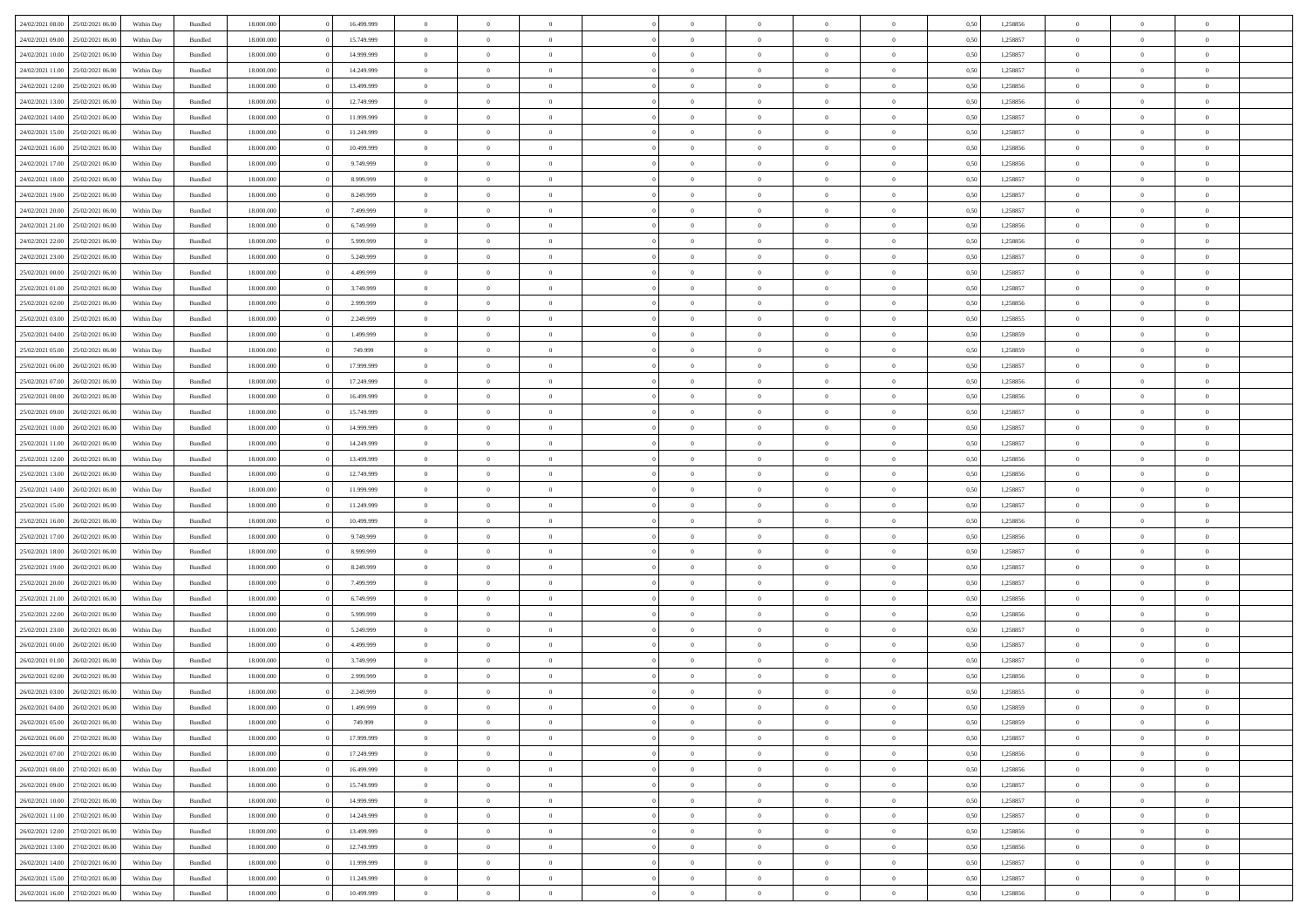|                                   | 25/02/2021 06:00 | Within Day | Bundled            | 18.000.000 | 16.499.999 | $\overline{0}$ | $\Omega$       |                | $\Omega$       | $\Omega$       | $\Omega$       | $\theta$       | 0.50 | 1,258856 | $\theta$       | $\theta$       | $\theta$       |  |
|-----------------------------------|------------------|------------|--------------------|------------|------------|----------------|----------------|----------------|----------------|----------------|----------------|----------------|------|----------|----------------|----------------|----------------|--|
| 24/02/2021 08:00                  |                  |            |                    |            |            |                |                |                |                |                |                |                |      |          |                |                |                |  |
| 24/02/2021 09:00                  | 25/02/2021 06:00 | Within Day | Bundled            | 18.000.000 | 15.749.999 | $\overline{0}$ | $\theta$       | $\overline{0}$ | $\overline{0}$ | $\bf{0}$       | $\overline{0}$ | $\overline{0}$ | 0,50 | 1,258857 | $\theta$       | $\theta$       | $\overline{0}$ |  |
| 24/02/2021 10:00                  | 25/02/2021 06:00 | Within Day | Bundled            | 18.000.000 | 14.999.999 | $\overline{0}$ | $\overline{0}$ | $\overline{0}$ | $\bf{0}$       | $\bf{0}$       | $\bf{0}$       | $\bf{0}$       | 0,50 | 1,258857 | $\bf{0}$       | $\overline{0}$ | $\overline{0}$ |  |
| 24/02/2021 11:00                  | 25/02/2021 06:00 | Within Dav | Bundled            | 18.000.000 | 14.249.999 | $\overline{0}$ | $\theta$       | $\overline{0}$ | $\overline{0}$ | $\bf{0}$       | $\overline{0}$ | $\overline{0}$ | 0.50 | 1.258857 | $\theta$       | $\theta$       | $\overline{0}$ |  |
|                                   |                  |            |                    |            |            | $\overline{0}$ |                |                |                |                |                |                |      |          | $\theta$       |                |                |  |
| 24/02/2021 12:00                  | 25/02/2021 06:00 | Within Day | Bundled            | 18.000.000 | 13.499.999 |                | $\theta$       | $\overline{0}$ | $\overline{0}$ | $\bf{0}$       | $\overline{0}$ | $\bf{0}$       | 0,50 | 1,258856 |                | $\theta$       | $\overline{0}$ |  |
| 24/02/2021 13:00                  | 25/02/2021 06:00 | Within Day | Bundled            | 18.000.000 | 12.749.999 | $\overline{0}$ | $\bf{0}$       | $\overline{0}$ | $\bf{0}$       | $\overline{0}$ | $\overline{0}$ | $\mathbf{0}$   | 0,50 | 1,258856 | $\overline{0}$ | $\overline{0}$ | $\bf{0}$       |  |
| 24/02/2021 14:00                  | 25/02/2021 06:00 | Within Dav | Bundled            | 18.000.000 | 11.999.999 | $\overline{0}$ | $\overline{0}$ | $\overline{0}$ | $\overline{0}$ | $\bf{0}$       | $\overline{0}$ | $\overline{0}$ | 0.50 | 1,258857 | $\theta$       | $\theta$       | $\overline{0}$ |  |
| 24/02/2021 15:00                  | 25/02/2021 06:00 | Within Day | Bundled            | 18.000.000 | 11.249.999 | $\overline{0}$ | $\theta$       | $\overline{0}$ | $\overline{0}$ | $\bf{0}$       | $\overline{0}$ | $\bf{0}$       | 0,50 | 1,258857 | $\theta$       | $\theta$       | $\overline{0}$ |  |
|                                   | 25/02/2021 06:00 | Within Day | Bundled            | 18.000.000 | 10.499.999 | $\overline{0}$ | $\overline{0}$ | $\overline{0}$ | $\bf{0}$       | $\bf{0}$       | $\bf{0}$       | $\bf{0}$       | 0,50 | 1,258856 | $\,0\,$        | $\overline{0}$ | $\overline{0}$ |  |
| 24/02/2021 16:00                  |                  |            |                    |            |            |                |                |                |                |                |                |                |      |          |                |                |                |  |
| 24/02/2021 17:00                  | 25/02/2021 06:00 | Within Dav | Bundled            | 18.000.000 | 9.749.999  | $\overline{0}$ | $\overline{0}$ | $\overline{0}$ | $\overline{0}$ | $\overline{0}$ | $\overline{0}$ | $\overline{0}$ | 0.50 | 1,258856 | $\theta$       | $\overline{0}$ | $\overline{0}$ |  |
| 24/02/2021 18:00                  | 25/02/2021 06:00 | Within Day | Bundled            | 18.000.000 | 8.999.999  | $\overline{0}$ | $\theta$       | $\overline{0}$ | $\overline{0}$ | $\bf{0}$       | $\overline{0}$ | $\bf{0}$       | 0,50 | 1,258857 | $\theta$       | $\theta$       | $\overline{0}$ |  |
| 24/02/2021 19:00                  | 25/02/2021 06:00 | Within Day | Bundled            | 18.000.000 | 8.249.999  | $\overline{0}$ | $\overline{0}$ | $\overline{0}$ | $\bf{0}$       | $\bf{0}$       | $\bf{0}$       | $\bf{0}$       | 0,50 | 1,258857 | $\bf{0}$       | $\overline{0}$ | $\overline{0}$ |  |
| 24/02/2021 20:00                  | 25/02/2021 06:00 | Within Day | Bundled            | 18.000.000 | 7.499.999  | $\overline{0}$ | $\theta$       | $\overline{0}$ | $\overline{0}$ | $\bf{0}$       | $\overline{0}$ | $\overline{0}$ | 0.50 | 1.258857 | $\theta$       | $\theta$       | $\overline{0}$ |  |
|                                   |                  |            |                    |            |            | $\overline{0}$ | $\theta$       |                |                | $\bf{0}$       |                |                |      |          | $\theta$       |                |                |  |
| 24/02/2021 21:00                  | 25/02/2021 06:00 | Within Day | Bundled            | 18.000.000 | 6.749.999  |                |                | $\overline{0}$ | $\overline{0}$ |                | $\overline{0}$ | $\overline{0}$ | 0,50 | 1,258856 |                | $\theta$       | $\overline{0}$ |  |
| 24/02/2021 22:00                  | 25/02/2021 06:00 | Within Day | Bundled            | 18.000.000 | 5.999.999  | $\overline{0}$ | $\overline{0}$ | $\overline{0}$ | $\bf{0}$       | $\overline{0}$ | $\bf{0}$       | $\mathbf{0}$   | 0,50 | 1,258856 | $\bf{0}$       | $\overline{0}$ | $\bf{0}$       |  |
| 24/02/2021 23:00                  | 25/02/2021 06:00 | Within Dav | Bundled            | 18.000.000 | 5.249.999  | $\overline{0}$ | $\overline{0}$ | $\overline{0}$ | $\overline{0}$ | $\bf{0}$       | $\overline{0}$ | $\overline{0}$ | 0.50 | 1,258857 | $\theta$       | $\theta$       | $\overline{0}$ |  |
| 25/02/2021 00:00                  | 25/02/2021 06:00 | Within Day | Bundled            | 18.000.000 | 4.499.999  | $\overline{0}$ | $\theta$       | $\overline{0}$ | $\overline{0}$ | $\bf{0}$       | $\overline{0}$ | $\bf{0}$       | 0,50 | 1,258857 | $\theta$       | $\theta$       | $\overline{0}$ |  |
| 25/02/2021 01:00                  | 25/02/2021 06:00 | Within Day | Bundled            | 18.000.000 | 3.749.999  | $\overline{0}$ | $\overline{0}$ | $\overline{0}$ | $\bf{0}$       | $\bf{0}$       | $\bf{0}$       | $\bf{0}$       | 0,50 | 1,258857 | $\,0\,$        | $\overline{0}$ | $\overline{0}$ |  |
|                                   |                  |            |                    |            |            |                |                |                |                |                |                |                |      |          |                |                |                |  |
| 25/02/2021 02:00                  | 25/02/2021 06:00 | Within Day | Bundled            | 18.000.000 | 2.999.999  | $\overline{0}$ | $\overline{0}$ | $\overline{0}$ | $\overline{0}$ | $\overline{0}$ | $\overline{0}$ | $\overline{0}$ | 0.50 | 1,258856 | $\theta$       | $\overline{0}$ | $\overline{0}$ |  |
| 25/02/2021 03:00                  | 25/02/2021 06:00 | Within Day | Bundled            | 18.000.000 | 2.249.999  | $\overline{0}$ | $\theta$       | $\overline{0}$ | $\overline{0}$ | $\bf{0}$       | $\overline{0}$ | $\bf{0}$       | 0,50 | 1,258855 | $\theta$       | $\theta$       | $\overline{0}$ |  |
| 25/02/2021 04:00                  | 25/02/2021 06:00 | Within Day | Bundled            | 18.000.000 | 1.499.999  | $\overline{0}$ | $\overline{0}$ | $\overline{0}$ | $\bf{0}$       | $\bf{0}$       | $\bf{0}$       | $\bf{0}$       | 0,50 | 1,258859 | $\,0\,$        | $\overline{0}$ | $\overline{0}$ |  |
| 25/02/2021 05:00                  | 25/02/2021 06:00 | Within Day | Bundled            | 18.000.000 | 749,999    | $\overline{0}$ | $\overline{0}$ | $\overline{0}$ | $\overline{0}$ | $\bf{0}$       | $\overline{0}$ | $\overline{0}$ | 0.50 | 1.258859 | $\theta$       | $\theta$       | $\overline{0}$ |  |
|                                   |                  |            |                    |            |            |                |                |                |                |                |                |                |      |          |                |                |                |  |
| 25/02/2021 06:00                  | 26/02/2021 06:00 | Within Day | Bundled            | 18.000.000 | 17.999.999 | $\overline{0}$ | $\theta$       | $\overline{0}$ | $\overline{0}$ | $\bf{0}$       | $\overline{0}$ | $\bf{0}$       | 0,50 | 1,258857 | $\theta$       | $\theta$       | $\overline{0}$ |  |
| 25/02/2021 07:00                  | 26/02/2021 06:00 | Within Day | Bundled            | 18.000.000 | 17.249.999 | $\overline{0}$ | $\overline{0}$ | $\overline{0}$ | $\bf{0}$       | $\overline{0}$ | $\bf{0}$       | $\mathbf{0}$   | 0,50 | 1,258856 | $\overline{0}$ | $\overline{0}$ | $\bf{0}$       |  |
| 25/02/2021 08:00                  | 26/02/2021 06:00 | Within Dav | Bundled            | 18.000.000 | 16.499.999 | $\overline{0}$ | $\overline{0}$ | $\overline{0}$ | $\overline{0}$ | $\overline{0}$ | $\overline{0}$ | $\overline{0}$ | 0.50 | 1,258856 | $\theta$       | $\theta$       | $\overline{0}$ |  |
| 25/02/2021 09:00                  | 26/02/2021 06:00 | Within Day | Bundled            | 18.000.000 | 15.749.999 | $\overline{0}$ | $\theta$       | $\overline{0}$ | $\overline{0}$ | $\bf{0}$       | $\overline{0}$ | $\bf{0}$       | 0,50 | 1,258857 | $\theta$       | $\theta$       | $\overline{0}$ |  |
| 25/02/2021 10:00                  | 26/02/2021 06:00 | Within Day | Bundled            | 18.000.000 | 14.999.999 | $\overline{0}$ | $\overline{0}$ | $\overline{0}$ | $\bf{0}$       | $\bf{0}$       | $\bf{0}$       | $\bf{0}$       | 0,50 | 1,258857 | $\,0\,$        | $\overline{0}$ | $\overline{0}$ |  |
|                                   |                  |            |                    |            |            |                |                |                |                |                |                |                |      |          |                |                |                |  |
| 25/02/2021 11:00                  | 26/02/2021 06:00 | Within Day | Bundled            | 18.000.000 | 14.249.999 | $\overline{0}$ | $\overline{0}$ | $\overline{0}$ | $\overline{0}$ | $\bf{0}$       | $\overline{0}$ | $\overline{0}$ | 0.50 | 1,258857 | $\theta$       | $\theta$       | $\overline{0}$ |  |
| 25/02/2021 12:00                  | 26/02/2021 06:00 | Within Day | Bundled            | 18.000.000 | 13.499.999 | $\overline{0}$ | $\theta$       | $\overline{0}$ | $\overline{0}$ | $\bf{0}$       | $\overline{0}$ | $\bf{0}$       | 0,50 | 1,258856 | $\,$ 0 $\,$    | $\theta$       | $\overline{0}$ |  |
| 25/02/2021 13:00                  | 26/02/2021 06:00 | Within Day | Bundled            | 18.000.000 | 12.749.999 | $\overline{0}$ | $\overline{0}$ | $\overline{0}$ | $\bf{0}$       | $\bf{0}$       | $\overline{0}$ | $\bf{0}$       | 0,50 | 1,258856 | $\bf{0}$       | $\overline{0}$ | $\overline{0}$ |  |
| 25/02/2021 14:00                  | 26/02/2021 06:00 | Within Day | Bundled            | 18.000.000 | 11.999.999 | $\overline{0}$ | $\Omega$       | $\Omega$       | $\Omega$       | $\Omega$       | $\Omega$       | $\overline{0}$ | 0.50 | 1,258857 | $\,0\,$        | $\Omega$       | $\theta$       |  |
| 25/02/2021 15:00                  | 26/02/2021 06:00 |            |                    | 18.000.000 | 11.249.999 | $\overline{0}$ | $\theta$       | $\overline{0}$ | $\overline{0}$ | $\bf{0}$       | $\overline{0}$ |                |      | 1,258857 | $\theta$       | $\theta$       | $\overline{0}$ |  |
|                                   |                  | Within Day | Bundled            |            |            |                |                |                |                |                |                | $\bf{0}$       | 0,50 |          |                |                |                |  |
| 25/02/2021 16:00                  | 26/02/2021 06:00 | Within Day | Bundled            | 18.000.000 | 10.499.999 | $\overline{0}$ | $\bf{0}$       | $\overline{0}$ | $\overline{0}$ | $\bf{0}$       | $\overline{0}$ | $\mathbf{0}$   | 0,50 | 1,258856 | $\overline{0}$ | $\overline{0}$ | $\bf{0}$       |  |
| 25/02/2021 17:00                  | 26/02/2021 06:00 | Within Day | Bundled            | 18,000,000 | 9.749.999  | $\overline{0}$ | $\Omega$       | $\Omega$       | $\Omega$       | $\Omega$       | $\Omega$       | $\overline{0}$ | 0.50 | 1,258856 | $\theta$       | $\theta$       | $\theta$       |  |
| 25/02/2021 18:00                  | 26/02/2021 06:00 | Within Day | Bundled            | 18.000.000 | 8.999.999  | $\overline{0}$ | $\theta$       | $\overline{0}$ | $\overline{0}$ | $\bf{0}$       | $\overline{0}$ | $\bf{0}$       | 0,50 | 1,258857 | $\theta$       | $\theta$       | $\overline{0}$ |  |
| 25/02/2021 19:00                  | 26/02/2021 06:00 | Within Day | Bundled            | 18.000.000 | 8.249.999  | $\overline{0}$ | $\overline{0}$ | $\overline{0}$ | $\overline{0}$ | $\bf{0}$       | $\overline{0}$ | $\bf{0}$       | 0,50 | 1,258857 | $\bf{0}$       | $\overline{0}$ | $\overline{0}$ |  |
|                                   |                  |            |                    |            |            |                |                |                |                |                |                |                |      |          |                |                |                |  |
| 25/02/2021 20:00                  | 26/02/2021 06:00 | Within Day | Bundled            | 18,000,000 | 7.499.999  | $\overline{0}$ | $\Omega$       | $\Omega$       | $\Omega$       | $\Omega$       | $\theta$       | $\overline{0}$ | 0.50 | 1,258857 | $\theta$       | $\theta$       | $\theta$       |  |
| 25/02/2021 21:00                  | 26/02/2021 06:00 | Within Day | Bundled            | 18.000.000 | 6.749.999  | $\overline{0}$ | $\theta$       | $\overline{0}$ | $\overline{0}$ | $\bf{0}$       | $\overline{0}$ | $\bf{0}$       | 0,50 | 1,258856 | $\,$ 0 $\,$    | $\theta$       | $\overline{0}$ |  |
| 25/02/2021 22.00                  | 26/02/2021 06:00 | Within Day | Bundled            | 18.000.000 | 5.999.999  | $\overline{0}$ | $\overline{0}$ | $\overline{0}$ | $\overline{0}$ | $\bf{0}$       | $\overline{0}$ | $\bf{0}$       | 0,50 | 1,258856 | $\bf{0}$       | $\overline{0}$ | $\overline{0}$ |  |
| 25/02/2021 23:00                  | 26/02/2021 06:00 | Within Day | Bundled            | 18.000.000 | 5.249.999  | $\overline{0}$ | $\Omega$       | $\Omega$       | $\Omega$       | $\Omega$       | $\overline{0}$ | $\overline{0}$ | 0.50 | 1,258857 | $\,0\,$        | $\Omega$       | $\theta$       |  |
| 26/02/2021 00:00                  | 26/02/2021 06:00 | Within Day | Bundled            | 18.000.000 | 4.499.999  | $\overline{0}$ | $\theta$       | $\overline{0}$ | $\overline{0}$ | $\bf{0}$       | $\overline{0}$ | $\bf{0}$       | 0,50 | 1,258857 | $\,$ 0 $\,$    | $\theta$       | $\overline{0}$ |  |
|                                   |                  |            |                    |            |            |                |                |                |                |                |                |                |      |          |                |                |                |  |
| 26/02/2021 01:00                  | 26/02/2021 06:00 | Within Day | Bundled            | 18.000.000 | 3.749.999  | $\overline{0}$ | $\overline{0}$ | $\overline{0}$ | $\overline{0}$ | $\bf{0}$       | $\overline{0}$ | $\mathbf{0}$   | 0,50 | 1,258857 | $\overline{0}$ | $\overline{0}$ | $\bf{0}$       |  |
| 26/02/2021 02:00                  | 26/02/2021 06:00 | Within Day | Bundled            | 18,000,000 | 2.999.999  | $\overline{0}$ | $\Omega$       | $\Omega$       | $\Omega$       | $\Omega$       | $\Omega$       | $\overline{0}$ | 0.50 | 1,258856 | $\theta$       | $\Omega$       | $\theta$       |  |
| 26/02/2021 03:00                  | 26/02/2021 06:00 | Within Day | Bundled            | 18.000.000 | 2.249.999  | $\overline{0}$ | $\overline{0}$ | $\overline{0}$ | $\bf{0}$       | $\,$ 0         | $\overline{0}$ | $\bf{0}$       | 0,50 | 1,258855 | $\,0\,$        | $\overline{0}$ | $\overline{0}$ |  |
| 26/02/2021 04:00                  | 26/02/2021 06:00 | Within Day | $\mathbf B$ undled | 18.000.000 | 1.499.999  | $\bf{0}$       | $\bf{0}$       |                |                | $\bf{0}$       |                |                | 0,50 | 1,258859 | $\bf{0}$       | $\overline{0}$ |                |  |
| 26/02/2021 05:00                  | 26/02/2021 06:00 | Within Day |                    | 18,000,000 | 749.999    | $\overline{0}$ | $\overline{0}$ | $\overline{0}$ | $\Omega$       | $\overline{0}$ | $\overline{0}$ | $\overline{0}$ | 0.50 |          | $\theta$       | $\theta$       | $\theta$       |  |
|                                   |                  |            | Bundled            |            |            |                |                |                |                |                |                |                |      | 1,258859 |                |                |                |  |
| 26/02/2021 06:00                  | 27/02/2021 06.00 | Within Day | Bundled            | 18.000.000 | 17.999.999 | $\overline{0}$ | $\,$ 0         | $\overline{0}$ | $\overline{0}$ | $\,$ 0 $\,$    | $\overline{0}$ | $\mathbf{0}$   | 0,50 | 1,258857 | $\,$ 0 $\,$    | $\overline{0}$ | $\,$ 0         |  |
| 26/02/2021 07:00                  | 27/02/2021 06:00 | Within Day | Bundled            | 18.000.000 | 17.249.999 | $\overline{0}$ | $\overline{0}$ | $\overline{0}$ | $\overline{0}$ | $\overline{0}$ | $\overline{0}$ | $\mathbf{0}$   | 0,50 | 1,258856 | $\overline{0}$ | $\bf{0}$       | $\bf{0}$       |  |
| 26/02/2021 08:00                  | 27/02/2021 06:00 | Within Day | Bundled            | 18.000.000 | 16.499.999 | $\overline{0}$ | $\theta$       | $\overline{0}$ | $\Omega$       | $\overline{0}$ | $\overline{0}$ | $\bf{0}$       | 0,50 | 1,258856 | $\overline{0}$ | $\theta$       | $\overline{0}$ |  |
| 26/02/2021 09:00                  | 27/02/2021 06.00 | Within Day | Bundled            | 18.000.000 | 15.749.999 | $\overline{0}$ | $\,$ 0         | $\overline{0}$ | $\overline{0}$ | $\overline{0}$ | $\overline{0}$ | $\bf{0}$       | 0,50 | 1,258857 | $\,$ 0 $\,$    | $\overline{0}$ | $\overline{0}$ |  |
|                                   |                  |            |                    |            |            |                |                |                |                |                |                |                |      |          |                |                |                |  |
| 26/02/2021 10:00                  | 27/02/2021 06:00 | Within Day | Bundled            | 18.000.000 | 14.999.999 | $\overline{0}$ | $\overline{0}$ | $\overline{0}$ | $\overline{0}$ | $\overline{0}$ | $\overline{0}$ | $\mathbf{0}$   | 0,50 | 1,258857 | $\overline{0}$ | $\bf{0}$       | $\bf{0}$       |  |
| 26/02/2021 11:00                  | 27/02/2021 06:00 | Within Day | Bundled            | 18.000.000 | 14.249.999 | $\overline{0}$ | $\overline{0}$ | $\overline{0}$ | $\Omega$       | $\overline{0}$ | $\overline{0}$ | $\bf{0}$       | 0.50 | 1,258857 | $\overline{0}$ | $\theta$       | $\overline{0}$ |  |
| 26/02/2021 12:00                  | 27/02/2021 06.00 | Within Day | Bundled            | 18.000.000 | 13.499.999 | $\overline{0}$ | $\,$ 0         | $\overline{0}$ | $\bf{0}$       | $\bf{0}$       | $\bf{0}$       | $\bf{0}$       | 0,50 | 1,258856 | $\,$ 0 $\,$    | $\overline{0}$ | $\overline{0}$ |  |
| 26/02/2021 13:00                  | 27/02/2021 06:00 | Within Day | Bundled            | 18.000.000 | 12.749.999 | $\overline{0}$ | $\bf{0}$       | $\overline{0}$ | $\overline{0}$ | $\overline{0}$ | $\overline{0}$ | $\mathbf{0}$   | 0,50 | 1,258856 | $\overline{0}$ | $\overline{0}$ | $\bf{0}$       |  |
|                                   |                  |            |                    | 18,000,000 |            | $\overline{0}$ | $\overline{0}$ | $\overline{0}$ | $\Omega$       | $\overline{0}$ | $\overline{0}$ |                | 0.50 |          | $\overline{0}$ | $\overline{0}$ | $\overline{0}$ |  |
| 26/02/2021 14:00                  | 27/02/2021 06:00 | Within Day | Bundled            |            | 11.999.999 |                |                |                |                |                |                | $\bf{0}$       |      | 1,258857 |                |                |                |  |
| 26/02/2021 15:00                  | 27/02/2021 06.00 | Within Day | Bundled            | 18.000.000 | 11.249.999 | $\overline{0}$ | $\,$ 0 $\,$    | $\overline{0}$ | $\overline{0}$ | $\bf{0}$       | $\bf{0}$       | $\bf{0}$       | 0,50 | 1,258857 | $\,$ 0 $\,$    | $\overline{0}$ | $\overline{0}$ |  |
| 26/02/2021 16:00 27/02/2021 06:00 |                  | Within Day | Bundled            | 18.000.000 | 10.499.999 | $\overline{0}$ | $\bf{0}$       | $\overline{0}$ | $\bf{0}$       | $\bf{0}$       | $\bf{0}$       | $\bf{0}$       | 0,50 | 1,258856 | $\overline{0}$ | $\overline{0}$ | $\bf{0}$       |  |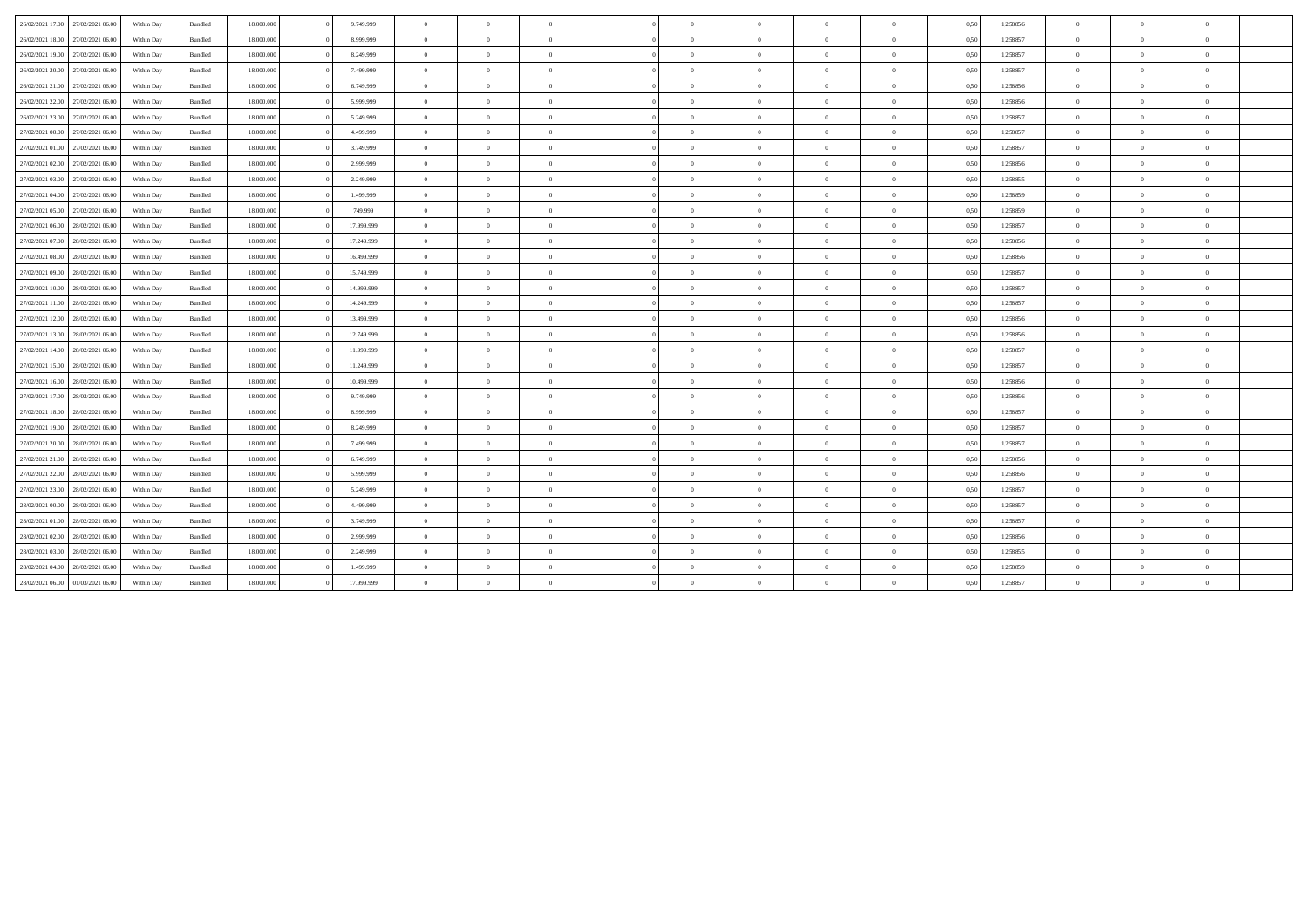| 26/02/2021 17:00 27/02/2021 06:00    | Within Day | 18,000,000<br>Bundled            | 9.749.999  | $\overline{0}$ | $\theta$       | $\overline{0}$ | $\sqrt{2}$ | $\theta$       | $\overline{0}$ | $\overline{0}$ | 0,50 | 1,258856 | $\Omega$       | $\Omega$       | $\mathbf{0}$   |
|--------------------------------------|------------|----------------------------------|------------|----------------|----------------|----------------|------------|----------------|----------------|----------------|------|----------|----------------|----------------|----------------|
|                                      |            |                                  |            |                |                |                |            |                |                |                |      |          |                |                |                |
| 26/02/2021 18:00<br>27/02/2021 06:00 | Within Day | Bundled<br>18,000,000            | 8,999,999  | $\overline{0}$ | $\theta$       | $\overline{0}$ | $\theta$   | $\theta$       | $\overline{0}$ | $\theta$       | 0.50 | 1,258857 | $\overline{0}$ | $\Omega$       | $\overline{0}$ |
| 26/02/2021 19:00<br>27/02/2021 06:00 | Within Day | Bundled<br>18.000.000            | 8.249.999  | $\overline{0}$ | $\theta$       | $\theta$       | $\sqrt{2}$ | $\theta$       | $\overline{0}$ | $\mathbf{0}$   | 0,50 | 1,258857 | $\overline{0}$ | $\Omega$       | $\bf{0}$       |
| 26/02/2021 20:00<br>27/02/2021 06:00 | Within Day | Bundled<br>18.000.000            | 7.499.999  | $\overline{0}$ | $\theta$       | $\overline{0}$ | $\Omega$   | $\theta$       | $\overline{0}$ | $\mathbf{0}$   | 0,50 | 1,258857 | $\theta$       | $\Omega$       | $\bf{0}$       |
| 26/02/2021 21:00<br>27/02/2021 06:00 | Within Day | Bundled<br>18,000,000            | 6.749.999  | $\overline{0}$ | $\theta$       | $\theta$       | $\theta$   | $\theta$       | $\overline{0}$ | $\theta$       | 0,50 | 1,258856 | $\theta$       | $\Omega$       | $\overline{0}$ |
| 26/02/2021 22:00<br>27/02/2021 06:00 | Within Day | Bundled<br>18.000.000            | 5.999.999  | $\overline{0}$ | $\theta$       | $\theta$       | $\sqrt{2}$ | $\theta$       | $\overline{0}$ | $\mathbf{0}$   | 0,50 | 1,258856 | $\overline{0}$ | $\Omega$       | $\overline{0}$ |
| 26/02/2021 23:00<br>27/02/2021 06:00 | Within Day | Bundled<br>18,000,000            | 5.249.999  | $\overline{0}$ | $\theta$       | $\Omega$       | $\Omega$   | $\theta$       | $\overline{0}$ | $\overline{0}$ | 0,50 | 1,258857 | $\Omega$       | $\Omega$       | $\mathbf{0}$   |
| 27/02/2021 00:00<br>27/02/2021 06:00 | Within Day | 18,000,000<br>Bundled            | 4.499.999  | $\overline{0}$ | $\overline{0}$ | $\theta$       | $\Omega$   | $\overline{0}$ | $\overline{0}$ | $\overline{0}$ | 0,50 | 1,258857 | $\overline{0}$ | $\overline{0}$ | $\overline{0}$ |
| 27/02/2021 01:00<br>27/02/2021 06:00 | Within Day | Bundled<br>18.000.000            | 3.749.999  | $\overline{0}$ | $\theta$       | $\theta$       | $\sqrt{2}$ | $\theta$       | $\overline{0}$ | $\mathbf{0}$   | 0,50 | 1,258857 | $\overline{0}$ | $\Omega$       | $\bf{0}$       |
| 27/02/2021 06:00<br>27/02/2021 02:00 | Within Day | Bundled<br>18,000,000            | 2.999.999  | $\overline{0}$ | $\theta$       | $\overline{0}$ | $\Omega$   | $\theta$       | $\overline{0}$ | $\overline{0}$ | 0,50 | 1,258856 | $\overline{0}$ | $\Omega$       | $\theta$       |
| 27/02/2021 03:00<br>27/02/2021 06:00 | Within Day | 18,000,000<br>Bundled            | 2.249.999  | $\overline{0}$ | $\theta$       | $\theta$       | $\Omega$   | $\theta$       | $\overline{0}$ | $\mathbf{0}$   | 0.50 | 1,258855 | $\overline{0}$ | $\Omega$       | $\overline{0}$ |
| 27/02/2021 04:00<br>27/02/2021 06:00 | Within Day | Bundled<br>18.000.000            | 1.499.999  | $\overline{0}$ | $\theta$       | $\theta$       | $\sqrt{2}$ | $\theta$       | $\overline{0}$ | $\overline{0}$ | 0,50 | 1,258859 | $\overline{0}$ | $\Omega$       | $\overline{0}$ |
| 27/02/2021 05:00<br>27/02/2021 06:00 | Within Day | Bundled<br>18.000.000            | 749.999    | $\overline{0}$ | $\theta$       | $\Omega$       | $\Omega$   | $\theta$       | $\overline{0}$ | $\mathbf{0}$   | 0,50 | 1,258859 | $\overline{0}$ | $\Omega$       | $\bf{0}$       |
| 27/02/2021 06:00<br>28/02/2021 06:00 | Within Day | Bundled<br>18,000,000            | 17.999.999 | $\overline{0}$ | $\theta$       | $\theta$       | $\theta$   | $\theta$       | $\overline{0}$ | $\mathbf{0}$   | 0,50 | 1,258857 | $\theta$       | $\Omega$       | $\overline{0}$ |
| 27/02/2021 07:00<br>28/02/2021 06:00 | Within Day | Bundled<br>18.000.000            | 17.249.999 | $\overline{0}$ | $\theta$       | $\theta$       | $\sqrt{2}$ | $\theta$       | $\overline{0}$ | $\mathbf{0}$   | 0,50 | 1,258856 | $\overline{0}$ | $\Omega$       | $\overline{0}$ |
| 27/02/2021 08:00<br>28/02/2021 06:00 | Within Day | Bundled<br>18,000,000            | 16.499.999 | $\overline{0}$ | $\theta$       | $\overline{0}$ | $\Omega$   | $\theta$       | $\overline{0}$ | $\overline{0}$ | 0,50 | 1,258856 | $\Omega$       | $\Omega$       | $\mathbf{0}$   |
| 27/02/2021 09:00<br>28/02/2021 06:00 | Within Day | 18,000,000<br>Bundled            | 15.749.999 | $\overline{0}$ | $\overline{0}$ | $\theta$       | $\Omega$   | $\overline{0}$ | $\overline{0}$ | $\overline{0}$ | 0,50 | 1,258857 | $\overline{0}$ | $\overline{0}$ | $\overline{0}$ |
| 27/02/2021 10:00<br>28/02/2021 06:00 | Within Day | Bundled<br>18.000.000            | 14.999.999 | $\overline{0}$ | $\theta$       | $\theta$       | $\sqrt{2}$ | $\theta$       | $\overline{0}$ | $\mathbf{0}$   | 0,50 | 1,258857 | $\overline{0}$ | $\Omega$       | $\overline{0}$ |
| 27/02/2021 11:00<br>28/02/2021 06:00 | Within Day | Bundled<br>18,000,000            | 14.249.999 | $\overline{0}$ | $\theta$       | $\overline{0}$ | $\Omega$   | $\theta$       | $\overline{0}$ | $\overline{0}$ | 0,50 | 1,258857 | $\overline{0}$ | $\Omega$       | $\overline{0}$ |
| 27/02/2021 12:00<br>28/02/2021 06:00 | Within Day | Bundled<br>18,000,000            | 13,499,999 | $\overline{0}$ | $\theta$       | $\theta$       | $\Omega$   | $\theta$       | $\overline{0}$ | $\mathbf{0}$   | 0.50 | 1,258856 | $\overline{0}$ | $\Omega$       | $\theta$       |
| 27/02/2021 13:00<br>28/02/2021 06:00 | Within Day | Bundled<br>18.000.000            | 12.749.999 | $\overline{0}$ | $\overline{0}$ | $\theta$       | $\sqrt{2}$ | $\theta$       | $\overline{0}$ | $\mathbf{0}$   | 0,50 | 1,258856 | $\bf{0}$       | $\overline{0}$ | $\overline{0}$ |
| 27/02/2021 14:00 28/02/2021 06:00    | Within Day | Bundled<br>18.000.000            | 11.999.999 | $\overline{0}$ | $\theta$       | $\Omega$       | $\Omega$   | $\theta$       | $\overline{0}$ | $\mathbf{0}$   | 0,50 | 1,258857 | $\overline{0}$ | $\Omega$       | $\theta$       |
| 27/02/2021 15:00<br>28/02/2021 06:00 | Within Day | Bundled<br>18,000,000            | 11.249.999 | $\overline{0}$ | $\theta$       | $\theta$       | $\theta$   | $\theta$       | $\overline{0}$ | $\mathbf{0}$   | 0,50 | 1,258857 | $\theta$       | $\Omega$       | $\overline{0}$ |
| 27/02/2021 16:00<br>28/02/2021 06:00 | Within Day | Bundled<br>18.000.000            | 10.499.999 | $\overline{0}$ | $\theta$       | $\theta$       | $\sqrt{2}$ | $\theta$       | $\overline{0}$ | $\mathbf{0}$   | 0,50 | 1,258856 | $\overline{0}$ | $\Omega$       | $\bf{0}$       |
| 27/02/2021 17:00<br>28/02/2021 06:00 | Within Day | Bundled<br>18,000,000            | 9.749.999  | $\overline{0}$ | $\theta$       | $\overline{0}$ | $\Omega$   | $\theta$       | $\overline{0}$ | $\overline{0}$ | 0,50 | 1,258856 | $\Omega$       | $\Omega$       | $\theta$       |
| 27/02/2021 18:00<br>28/02/2021 06:00 | Within Day | 18,000,000<br>Bundled            | 8.999.999  | $\overline{0}$ | $\overline{0}$ | $\theta$       | $\Omega$   | $\overline{0}$ | $\overline{0}$ | $\overline{0}$ | 0,50 | 1,258857 | $\overline{0}$ | $\overline{0}$ | $\bf{0}$       |
| 27/02/2021 19:00<br>28/02/2021 06:00 | Within Day | Bundled<br>18.000.000            | 8.249.999  | $\overline{0}$ | $\theta$       | $\theta$       | $\sqrt{2}$ | $\theta$       | $\overline{0}$ | $\mathbf{0}$   | 0,50 | 1,258857 | $\overline{0}$ | $\Omega$       | $\overline{0}$ |
| 27/02/2021 20:00<br>28/02/2021 06:00 | Within Day | Bundled<br>18.000.000            | 7.499.999  | $\overline{0}$ | $\theta$       | $\overline{0}$ | $\Omega$   | $\theta$       | $\overline{0}$ | $\mathbf{0}$   | 0,50 | 1,258857 | $\overline{0}$ | $\Omega$       | $\bf{0}$       |
| 27/02/2021 21:00<br>28/02/2021 06:00 | Within Day | Bundled<br>18,000,000            | 6.749.999  | $\overline{0}$ | $\theta$       | $\theta$       | $\theta$   | $\theta$       | $\overline{0}$ | $\mathbf{0}$   | 0,50 | 1,258856 | $\overline{0}$ | $\Omega$       | $\mathbf{0}$   |
| 27/02/2021 22:00<br>28/02/2021 06:00 | Within Day | $\mathbf B$ undled<br>18.000.000 | 5.999.999  | $\overline{0}$ | $\overline{0}$ | $\overline{0}$ | $\sqrt{2}$ | $\theta$       | $\overline{0}$ | $\mathbf{0}$   | 0,50 | 1,258856 | $\bf{0}$       | $\overline{0}$ | $\overline{0}$ |
| 27/02/2021 23:00<br>28/02/2021 06:00 | Within Day | Bundled<br>18.000.000            | 5.249.999  | $\overline{0}$ | $\overline{0}$ | $\theta$       | $\sqrt{2}$ | $\theta$       | $\overline{0}$ | $\mathbf{0}$   | 0,50 | 1,258857 | $\bf{0}$       | $\overline{0}$ | $\overline{0}$ |
| 28/02/2021 00:00<br>28/02/2021 06:00 | Within Day | Bundled<br>18,000,000            | 4.499.999  | $\overline{0}$ | $\overline{0}$ | $\overline{0}$ | $\Omega$   | $\overline{0}$ | $\overline{0}$ | $\mathbf{0}$   | 0,50 | 1,258857 | $\theta$       | $\overline{0}$ | $\overline{0}$ |
| 28/02/2021 01:00<br>28/02/2021 06:00 | Within Day | Bundled<br>18.000.000            | 3.749.999  | $\overline{0}$ | $\theta$       | $\theta$       | $\sqrt{2}$ | $\theta$       | $\overline{0}$ | $\mathbf{0}$   | 0,50 | 1,258857 | $\overline{0}$ | $\Omega$       | $\bf{0}$       |
| 28/02/2021 02:00<br>28/02/2021 06:00 | Within Day | Bundled<br>18.000.000            | 2.999.999  | $\overline{0}$ | $\overline{0}$ | $\theta$       | $\sqrt{2}$ | $\overline{0}$ | $\overline{0}$ | $\overline{0}$ | 0,50 | 1,258856 | $\bf{0}$       | $\overline{0}$ | $\overline{0}$ |
| 28/02/2021 03:00<br>28/02/2021 06:00 | Within Day | 18,000,000<br>Bundled            | 2.249.999  | $\overline{0}$ | $\overline{0}$ | $\theta$       | $\Omega$   | $\overline{0}$ | $\overline{0}$ | $\overline{0}$ | 0,50 | 1,258855 | $\overline{0}$ | $\overline{0}$ | $\mathbf{0}$   |
| 28/02/2021 04:00<br>28/02/2021 06:00 | Within Day | Bundled<br>18.000.000            | 1.499.999  | $\overline{0}$ | $\Omega$       | $\Omega$       | $\sqrt{2}$ | $\theta$       | $\theta$       | $\Omega$       | 0,50 | 1,258859 | $\overline{0}$ | $\Omega$       | $\overline{0}$ |
| 28/02/2021 06:00 01/03/2021 06:00    | Within Day | Bundled<br>18.000.000            | 17.999.999 | $\overline{0}$ | $\overline{0}$ | $\overline{0}$ | $\theta$   | $\overline{0}$ | $\overline{0}$ | $\Omega$       | 0,50 | 1,258857 | $\bf{0}$       | $\overline{0}$ | $\overline{0}$ |
|                                      |            |                                  |            |                |                |                |            |                |                |                |      |          |                |                |                |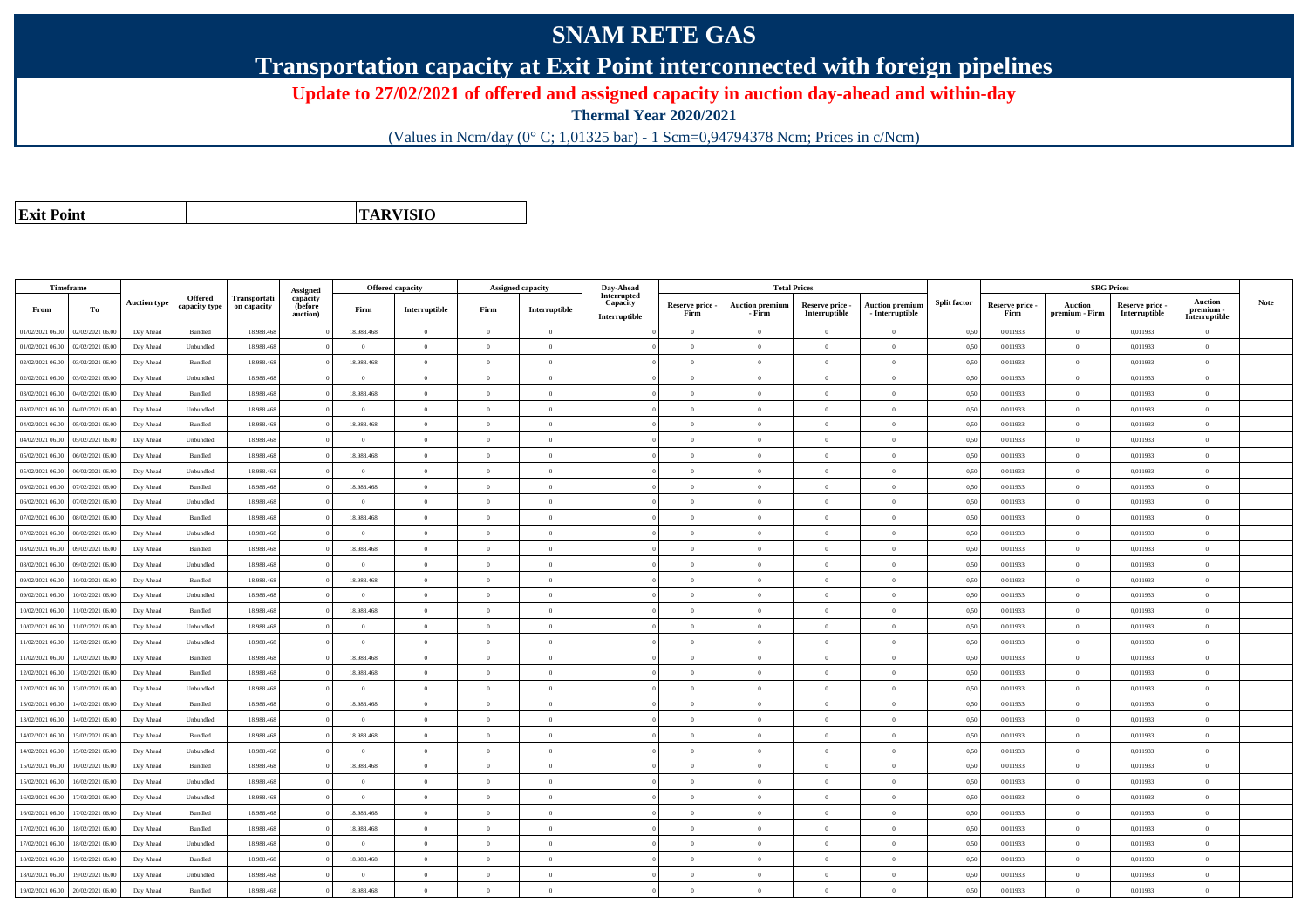## **SNAM RETE GAS**

**Transportation capacity at Exit Point interconnected with foreign pipelines**

**Update to 27/02/2021 of offered and assigned capacity in auction day-ahead and within-day**

**Thermal Year 2020/2021**

(Values in Ncm/day (0° C; 1,01325 bar) - 1 Scm=0,94794378 Ncm; Prices in c/Ncm)

**Exit Point**

**TARVISIO**

|                  | Timeframe        |                     |                |              |                      | <b>Offered capacity</b> |                |                |                   | Day-Ahead                 |                         |                                  | <b>Total Prices</b>              |                                           |                     |                         | <b>SRG Prices</b>                |                                  |                            |      |
|------------------|------------------|---------------------|----------------|--------------|----------------------|-------------------------|----------------|----------------|-------------------|---------------------------|-------------------------|----------------------------------|----------------------------------|-------------------------------------------|---------------------|-------------------------|----------------------------------|----------------------------------|----------------------------|------|
|                  |                  |                     | Offered        | Transportati | Assigned<br>capacity |                         |                |                | Assigned capacity | Interrupted               |                         |                                  |                                  |                                           |                     |                         |                                  |                                  | <b>Auction</b>             |      |
| From             | To               | <b>Auction type</b> | capacity type  | on capacity  | (before<br>auction)  | Firm                    | Interruptible  | Firm           | Interruptible     | Capacity<br>Interruptible | Reserve price -<br>Firm | <b>Auction premium</b><br>- Firm | Reserve price -<br>Interruptible | <b>Auction premium</b><br>- Interruptible | <b>Split factor</b> | Reserve price -<br>Firm | <b>Auction</b><br>premium - Firm | Reserve price -<br>Interruptible | premium -<br>Interruptible | Note |
| 01/02/2021 06:00 | 02/02/2021 06:00 | Day Ahead           | Bundled        | 18.988.468   |                      | 18.988.468              | $\overline{0}$ | $\theta$       | $\Omega$          |                           | $\Omega$                | $\theta$                         | $\Omega$                         | $\theta$                                  | 0,50                | 0,011933                | $\Omega$                         | 0,011933                         | $\theta$                   |      |
| 01/02/2021 06:00 | 02/02/2021 06.0  | Day Ahead           | Unbundled      | 18.988.468   |                      | $\overline{0}$          | $\overline{0}$ | $\Omega$       | $\theta$          |                           | $\theta$                | $\Omega$                         | $\overline{0}$                   | $\bf{0}$                                  | 0,50                | 0,011933                | $\theta$                         | 0,011933                         | $\overline{0}$             |      |
| 02/02/2021 06:00 | 03/02/2021 06:00 | Day Ahead           | Bundled        | 18.988.468   |                      | 18,988,468              | $\overline{0}$ | $\Omega$       | $\Omega$          |                           | $\theta$                | $\theta$                         | $\Omega$                         | $\theta$                                  | 0,50                | 0.011933                | $\theta$                         | 0.011933                         | $\theta$                   |      |
| 02/02/2021 06:00 | 03/02/2021 06.00 | Day Ahead           | Unbundled      | 18.988.468   |                      | $\theta$                | $\overline{0}$ | $\Omega$       | $\theta$          |                           | $\theta$                | $\sqrt{2}$                       | $\Omega$                         | $\theta$                                  | 0,50                | 0,011933                | $\theta$                         | 0,011933                         | $\theta$                   |      |
| 03/02/2021 06:00 | 04/02/2021 06:00 | Day Ahead           | Bundled        | 18.988.468   |                      | 18.988.468              | $\overline{0}$ | $\theta$       | $\Omega$          |                           | $\theta$                | $\theta$                         | $\theta$                         | $\bf{0}$                                  | 0,50                | 0,011933                | $\theta$                         | 0,011933                         | $\overline{0}$             |      |
| 03/02/2021 06:00 | 04/02/2021 06.00 | Day Ahead           | Unbundled      | 18,988,468   |                      | $\theta$                | $\overline{0}$ | $\Omega$       | $\theta$          |                           | $\theta$                | $\sqrt{2}$                       | $\theta$                         | $\overline{0}$                            | 0,50                | 0.011933                | $\theta$                         | 0.011933                         | $\sqrt{2}$                 |      |
| 04/02/2021 06:00 | 05/02/2021 06.0  | Day Ahead           | Bundled        | 18.988.468   |                      | 18.988.468              | $\bf{0}$       | $\overline{0}$ | $\theta$          |                           | $\bf{0}$                | $\theta$                         | $\overline{0}$                   | $\,$ 0                                    | 0,50                | 0,011933                | $\bf{0}$                         | 0,011933                         | $\overline{0}$             |      |
| 04/02/2021 06:00 | 05/02/2021 06.00 | Day Ahead           | Unbundled      | 18.988.468   |                      | $\overline{0}$          | $\overline{0}$ | $\overline{0}$ | $\theta$          |                           | $\theta$                | $\theta$                         | $\overline{0}$                   | $\bf{0}$                                  | 0,50                | 0,011933                | $\theta$                         | 0,011933                         | $\overline{0}$             |      |
| 05/02/2021 06:00 | 06/02/2021 06:00 | Day Ahead           | Bundled        | 18.988.468   |                      | 18.988.468              | $\overline{0}$ | $\Omega$       | $\theta$          |                           | $\theta$                | $\theta$                         | $\Omega$                         | $\bf{0}$                                  | 0,50                | 0,011933                | $\theta$                         | 0,011933                         | $\theta$                   |      |
| 05/02/2021 06:00 | 06/02/2021 06:00 | Day Ahead           | Unbundled      | 18.988.468   |                      | $\Omega$                | $\mathbf{0}$   | $\Omega$       | $\Omega$          |                           | $\Omega$                | $\theta$                         | $\Omega$                         | $\bf{0}$                                  | 0,50                | 0,011933                | $\theta$                         | 0,011933                         | $\theta$                   |      |
| 06/02/2021 06:00 | 07/02/2021 06:00 | Day Ahead           | Bundled        | 18,988,468   |                      | 18,988,468              | $\overline{0}$ | $\theta$       | $\theta$          |                           | $\theta$                | $\theta$                         | $\theta$                         | $\theta$                                  | 0,50                | 0,011933                | $\theta$                         | 0.011933                         | $\theta$                   |      |
| 06/02/2021 06:00 | 07/02/2021 06.00 | Day Ahead           | Unbundled      | 18.988.468   |                      | $\bf{0}$                | $\overline{0}$ | $\theta$       | $\theta$          |                           | $\theta$                | $\theta$                         | $\overline{0}$                   | $\overline{0}$                            | 0,50                | 0,011933                | $\theta$                         | 0,011933                         | $\overline{0}$             |      |
| 07/02/2021 06:00 | 08/02/2021 06:00 | Day Ahead           | <b>Bundled</b> | 18,988,468   |                      | 18,988,468              | $\Omega$       | $\Omega$       | $\theta$          |                           | $\theta$                | $\Omega$                         | $\Omega$                         | $\theta$                                  | 0.50                | 0.011933                | $\theta$                         | 0.011933                         | $\theta$                   |      |
| 07/02/2021 06:00 | 08/02/2021 06:00 | Day Ahead           | Unbundled      | 18,988,468   |                      | $\overline{0}$          | $\overline{0}$ | $\overline{0}$ | $\overline{0}$    |                           | $\overline{0}$          | $\theta$                         | $\theta$                         | $\overline{0}$                            | 0,50                | 0,011933                | $\overline{0}$                   | 0.011933                         | $\overline{0}$             |      |
| 08/02/2021 06:00 | 09/02/2021 06.00 | Day Ahead           | Bundled        | 18.988.468   |                      | 18.988.468              | $\overline{0}$ | $\theta$       | $\theta$          |                           | $\theta$                | $\Omega$                         | $\overline{0}$                   | $\bf{0}$                                  | 0,50                | 0,011933                | $\theta$                         | 0,011933                         | $\overline{0}$             |      |
| 08/02/2021 06:00 | 09/02/2021 06:00 | Day Ahead           | Unbundled      | 18.988.468   |                      | $\theta$                | $\overline{0}$ | $\Omega$       | $\Omega$          |                           | $\theta$                | $\Omega$                         | $\Omega$                         | $\theta$                                  | 0,50                | 0,011933                | $\theta$                         | 0,011933                         | $\theta$                   |      |
| 09/02/2021 06:00 | 10/02/2021 06.00 | Day Ahead           | Bundled        | 18.988.468   |                      | 18.988.468              | $\overline{0}$ | $\theta$       | $\Omega$          |                           | $\theta$                | $\sqrt{2}$                       | $\Omega$                         | $\overline{0}$                            | 0,50                | 0,011933                | $\theta$                         | 0,011933                         | $\theta$                   |      |
| 09/02/2021 06:00 | 10/02/2021 06:00 | Day Ahead           | Unbundled      | 18.988.468   |                      | $\overline{0}$          | $\overline{0}$ | $\theta$       | $\Omega$          |                           | $\theta$                | $\theta$                         | $\overline{0}$                   | $\bf{0}$                                  | 0,50                | 0,011933                | $\theta$                         | 0,011933                         | $\overline{0}$             |      |
| 10/02/2021 06:00 | 11/02/2021 06:00 | Day Ahead           | Bundled        | 18,988,468   |                      | 18,988,468              | $\overline{0}$ | $\theta$       | $\theta$          |                           | $\theta$                | $\Omega$                         | $\theta$                         | $\overline{0}$                            | 0.50                | 0.011933                | $\mathbf{0}$                     | 0.011933                         | $\theta$                   |      |
| 10/02/2021 06:00 | 1/02/2021 06.00  | Day Ahead           | Unbundled      | 18.988.468   |                      | $\theta$                | $\mathbf{0}$   | $\theta$       | $\Omega$          |                           | $\theta$                | $\theta$                         | $\Omega$                         | $\bf{0}$                                  | 0,50                | 0,011933                | $\theta$                         | 0,011933                         | $\theta$                   |      |
| 11/02/2021 06:00 | 12/02/2021 06:00 | Day Ahead           | Unbundled      | 18,988,468   |                      | $\overline{0}$          | $\overline{0}$ | $\theta$       | $\theta$          |                           | $\theta$                | $\theta$                         | $\theta$                         | $\bf{0}$                                  | 0.50                | 0.011933                | $\overline{0}$                   | 0.011933                         | $\overline{0}$             |      |
| 11/02/2021 06:00 | 12/02/2021 06:00 | Day Ahead           | Bundled        | 18.988.468   |                      | 18.988.468              | $\overline{0}$ | $\Omega$       | $\Omega$          |                           | $\overline{0}$          | $\mathbf{a}$                     | $\Omega$                         | $\bf{0}$                                  | 0,50                | 0,011933                | $\overline{0}$                   | 0,011933                         | $\theta$                   |      |
| 12/02/2021 06.00 | 13/02/2021 06.0  | Day Ahead           | Bundled        | 18.988.468   |                      | 18.988.468              | $\overline{0}$ | $\theta$       | $\theta$          |                           | $\theta$                | $\theta$                         | $\theta$                         | $\bf{0}$                                  | 0,50                | 0,011933                | $\overline{0}$                   | 0,011933                         | $\overline{0}$             |      |
| 12/02/2021 06:00 | 13/02/2021 06:00 | Day Ahead           | Unbundled      | 18.988.468   |                      | $\overline{0}$          | $\overline{0}$ | $\theta$       | $\theta$          |                           | $\theta$                | $\theta$                         | $\theta$                         | $\overline{0}$                            | 0,50                | 0,011933                | $\theta$                         | 0,011933                         | $\theta$                   |      |
| 13/02/2021 06:00 | 14/02/2021 06.00 | Day Ahead           | Bundled        | 18.988.468   |                      | 18.988.468              | $\overline{0}$ | $\theta$       | $\theta$          |                           | $\theta$                | $\theta$                         | $\overline{0}$                   | $\overline{0}$                            | 0,50                | 0,011933                | $\theta$                         | 0,011933                         | $\overline{0}$             |      |
| 13/02/2021 06:00 | 14/02/2021 06.0  | Day Ahead           | Unbundled      | 18.988.468   |                      | $\Omega$                | $\mathbf{0}$   | $\theta$       | $\Omega$          |                           | $\theta$                | $\Omega$                         | $\Omega$                         | $\theta$                                  | 0,50                | 0,011933                | $\theta$                         | 0,011933                         | $\theta$                   |      |
| 14/02/2021 06:00 | 15/02/2021 06:00 | Day Ahead           | Bundled        | 18,988,468   |                      | 18,988,468              | $\theta$       | $\overline{0}$ | $\theta$          |                           | $\theta$                | $\theta$                         | $\Omega$                         | $\theta$                                  | 0,50                | 0.011933                | $\theta$                         | 0.011933                         | $\theta$                   |      |
| 14/02/2021 06:00 | 15/02/2021 06.00 | Day Ahead           | Unbundled      | 18.988.468   |                      | $\bf{0}$                | $\overline{0}$ | $\overline{0}$ | $\theta$          |                           | $\theta$                | $\theta$                         | $\overline{0}$                   | $\bf{0}$                                  | 0,50                | 0,011933                | $\theta$                         | 0,011933                         | $\overline{0}$             |      |
| 15/02/2021 06:00 | 16/02/2021 06:00 | Day Ahead           | Bundled        | 18.988.468   |                      | 18.988.468              | $\overline{0}$ | $\Omega$       | $\Omega$          |                           | $\Omega$                |                                  | $\Omega$                         | $\bf{0}$                                  | 0,50                | 0,011933                | $\theta$                         | 0,011933                         | $\theta$                   |      |
| 15/02/2021 06:00 | 16/02/2021 06:00 | Day Ahead           | Unbundled      | 18.988.468   |                      | $\theta$                | $\overline{0}$ | $\theta$       | $\Omega$          |                           | $\theta$                | $\sqrt{2}$                       | $\Omega$                         | $\bf{0}$                                  | 0,50                | 0,011933                | $\theta$                         | 0,011933                         | $\overline{0}$             |      |
| 16/02/2021 06:00 | 17/02/2021 06.00 | Day Ahead           | Unbundled      | 18.988.468   |                      | $\overline{0}$          | $\overline{0}$ | $\theta$       | $\theta$          |                           | $\theta$                | $\theta$                         | $\overline{0}$                   | $\bf{0}$                                  | 0,50                | 0,011933                | $\theta$                         | 0,011933                         | $\overline{0}$             |      |
| 16/02/2021 06:00 | 17/02/2021 06:00 | Day Ahead           | Bundled        | 18,988,468   |                      | 18,988,468              | $\overline{0}$ | $\theta$       | $\Omega$          |                           | $\theta$                | $\theta$                         | $\theta$                         | $\theta$                                  | 0.50                | 0.011933                | $\theta$                         | 0.011933                         | $\theta$                   |      |
| 17/02/2021 06:00 | 18/02/2021 06.0  | Day Ahead           | Bundled        | 18.988.468   |                      | 18.988.468              | $\mathbf{0}$   | $\theta$       | $\Omega$          |                           | $\theta$                | $\sqrt{2}$                       | $\Omega$                         | $\bf{0}$                                  | 0,50                | 0,011933                | $\theta$                         | 0,011933                         | $\overline{0}$             |      |
| 17/02/2021 06:00 | 18/02/2021 06:00 | Day Ahead           | Unbundled      | 18,988,468   |                      | $\theta$                | $\theta$       | $\overline{0}$ | $\theta$          |                           | $\theta$                | $\theta$                         | $\Omega$                         | $\theta$                                  | 0,50                | 0,011933                | $\theta$                         | 0.011933                         | $\theta$                   |      |
| 18/02/2021 06:00 | 19/02/2021 06:00 | Day Ahead           | Bundled        | 18.988.468   |                      | 18.988.468              | $\mathbf{0}$   | $\Omega$       | $\Omega$          |                           | $\Omega$                | $\theta$                         | $\Omega$                         | $\bf{0}$                                  | 0,50                | 0,011933                | $\theta$                         | 0,011933                         | $\theta$                   |      |
| 18/02/2021 06:00 | 9/02/2021 06.0   | Day Ahead           | Unbundled      | 18.988.46    |                      | $\overline{0}$          | $\theta$       | $\theta$       | $\theta$          |                           | $\theta$                | $\Omega$                         | $\Omega$                         | $\bf{0}$                                  | 0,50                | 0,011933                | $\theta$                         | 0,011933                         | $\overline{0}$             |      |
| 19/02/2021 06:00 | 20/02/2021 06:00 | Day Ahead           | Bundled        | 18.988.468   |                      | 18.988.468              | $\mathbf{0}$   | $\theta$       | $\theta$          |                           | $\theta$                | $\theta$                         | $\Omega$                         | $\theta$                                  | 0,50                | 0,011933                | $\theta$                         | 0,011933                         | $\overline{0}$             |      |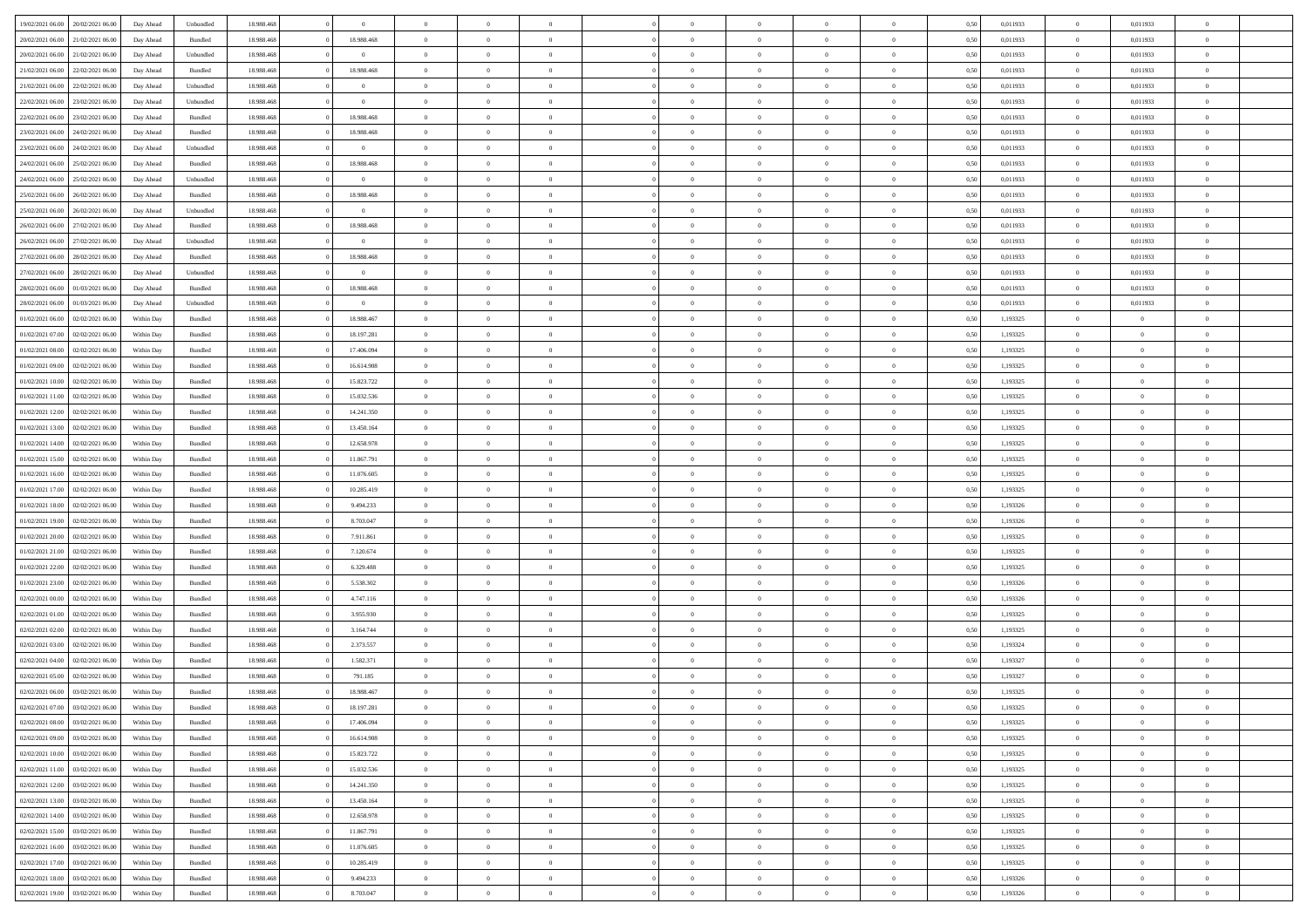| 19/02/2021 06:00 20/02/2021 06:00     | Day Ahead  | Unbundled | 18.988.468 | $\overline{0}$ | $\overline{0}$ | $\overline{0}$ |                | $\overline{0}$ | $\theta$       |                | $\theta$       | 0,50 | 0,011933 | $\theta$       | 0,011933       | $\theta$       |  |
|---------------------------------------|------------|-----------|------------|----------------|----------------|----------------|----------------|----------------|----------------|----------------|----------------|------|----------|----------------|----------------|----------------|--|
| 20/02/2021 06:00<br>21/02/2021 06:00  | Day Ahead  | Bundled   | 18.988.46  | 18.988.468     | $\bf{0}$       | $\bf{0}$       | $\bf{0}$       | $\overline{0}$ | $\bf{0}$       | $\overline{0}$ | $\bf{0}$       | 0,50 | 0,011933 | $\,$ 0 $\,$    | 0,011933       | $\overline{0}$ |  |
| 20/02/2021 06:00<br>21/02/2021 06:00  | Day Ahead  | Unbundled | 18,988,468 | $\overline{0}$ | $\overline{0}$ | $\bf{0}$       | $\overline{0}$ | $\bf{0}$       | $\bf{0}$       | $\overline{0}$ | $\bf{0}$       | 0.50 | 0.011933 | $\bf{0}$       | 0.011933       | $\overline{0}$ |  |
| 21/02/2021 06:00<br>22/02/2021 06:00  | Day Ahead  | Bundled   | 18.988.468 | 18.988.468     | $\overline{0}$ | $\overline{0}$ | $\overline{0}$ | $\theta$       | $\theta$       | $\overline{0}$ | $\bf{0}$       | 0,50 | 0,011933 | $\,$ 0 $\,$    | 0,011933       | $\overline{0}$ |  |
| 21/02/2021 06:00<br>22/02/2021 06.00  | Day Ahead  | Unbundled | 18.988.46  | $\overline{0}$ | $\bf{0}$       | $\overline{0}$ | $\bf{0}$       | $\overline{0}$ | $\theta$       | $\overline{0}$ | $\bf{0}$       | 0,50 | 0,011933 | $\,$ 0 $\,$    | 0,011933       | $\overline{0}$ |  |
|                                       |            |           |            |                |                |                |                |                |                | $\theta$       |                |      |          |                |                |                |  |
| 22/02/2021 06:00<br>23/02/2021 06:00  | Day Ahead  | Unbundled | 18,988,468 | $\overline{0}$ | $\overline{0}$ | $\overline{0}$ | $\overline{0}$ | $\bf{0}$       | $\overline{0}$ |                | $\bf{0}$       | 0.50 | 0.011933 | $\bf{0}$       | 0.011933       | $\overline{0}$ |  |
| 22/02/2021 06:00<br>23/02/2021 06:00  | Day Ahead  | Bundled   | 18.988.468 | 18.988.468     | $\bf{0}$       | $\overline{0}$ | $\overline{0}$ | $\overline{0}$ | $\overline{0}$ | $\overline{0}$ | $\bf{0}$       | 0,50 | 0,011933 | $\,$ 0 $\,$    | 0,011933       | $\overline{0}$ |  |
| 23/02/2021 06:00<br>24/02/2021 06.00  | Day Ahead  | Bundled   | 18.988.46  | 18.988.468     | $\bf{0}$       | $\overline{0}$ | $\overline{0}$ | $\overline{0}$ | $\overline{0}$ | $\overline{0}$ | $\bf{0}$       | 0,50 | 0,011933 | $\,$ 0 $\,$    | 0,011933       | $\overline{0}$ |  |
| 23/02/2021 06:00<br>24/02/2021 06:00  | Day Ahead  | Unbundled | 18,988,468 | $\overline{0}$ | $\overline{0}$ | $\bf{0}$       | $\overline{0}$ | $\bf{0}$       | $\overline{0}$ | $\overline{0}$ | $\bf{0}$       | 0.50 | 0.011933 | $\bf{0}$       | 0.011933       | $\overline{0}$ |  |
| 24/02/2021 06:00<br>25/02/2021 06:00  | Day Ahead  | Bundled   | 18.988.468 | 18.988.468     | $\overline{0}$ | $\bf{0}$       | $\overline{0}$ | $\overline{0}$ | $\overline{0}$ | $\overline{0}$ | $\bf{0}$       | 0,50 | 0,011933 | $\bf{0}$       | 0,011933       | $\overline{0}$ |  |
| 24/02/2021 06:00<br>25/02/2021 06.00  | Day Ahead  | Unbundled | 18.988.46  | $\bf{0}$       | $\bf{0}$       | $\overline{0}$ | $\bf{0}$       | $\bf{0}$       | $\bf{0}$       | $\overline{0}$ | $\bf{0}$       | 0,50 | 0,011933 | $\,$ 0 $\,$    | 0,011933       | $\overline{0}$ |  |
| 25/02/2021 06:00<br>26/02/2021 06:00  | Day Ahead  | Bundled   | 18,988,468 | 18.988.468     | $\overline{0}$ | $\bf{0}$       | $\overline{0}$ | $\overline{0}$ | $\bf{0}$       | $\overline{0}$ | $\bf{0}$       | 0.50 | 0.011933 | $\bf{0}$       | 0.011933       | $\overline{0}$ |  |
| 25/02/2021 06:00<br>26/02/2021 06:00  | Day Ahead  | Unbundled | 18.988.468 | $\bf{0}$       | $\overline{0}$ | $\overline{0}$ | $\overline{0}$ | $\overline{0}$ | $\theta$       | $\overline{0}$ | $\bf{0}$       | 0,50 | 0,011933 | $\,$ 0 $\,$    | 0,011933       | $\overline{0}$ |  |
|                                       |            |           |            |                |                |                |                |                |                |                |                |      |          |                |                |                |  |
| 26/02/2021 06:00<br>27/02/2021 06.00  | Day Ahead  | Bundled   | 18.988.46  | 18.988.468     | $\bf{0}$       | $\overline{0}$ | $\bf{0}$       | $\overline{0}$ | $\theta$       | $\overline{0}$ | $\bf{0}$       | 0,50 | 0,011933 | $\,$ 0 $\,$    | 0,011933       | $\overline{0}$ |  |
| 26/02/2021 06:00<br>27/02/2021 06.00  | Day Ahead  | Unbundled | 18,988,468 | $\overline{0}$ | $\overline{0}$ | $\overline{0}$ | $\overline{0}$ | $\bf{0}$       | $\theta$       | $\Omega$       | $\bf{0}$       | 0.50 | 0.011933 | $\bf{0}$       | 0.011933       | $\overline{0}$ |  |
| 27/02/2021 06:00<br>28/02/2021 06:00  | Day Ahead  | Bundled   | 18.988.468 | 18.988.468     | $\overline{0}$ | $\overline{0}$ | $\overline{0}$ | $\overline{0}$ | $\overline{0}$ | $\overline{0}$ | $\bf{0}$       | 0,50 | 0,011933 | $\bf{0}$       | 0,011933       | $\overline{0}$ |  |
| 27/02/2021 06:00<br>28/02/2021 06:00  | Day Ahead  | Unbundled | 18.988.46  | $\bf{0}$       | $\bf{0}$       | $\overline{0}$ | $\overline{0}$ | $\overline{0}$ | $\theta$       | $\overline{0}$ | $\bf{0}$       | 0,50 | 0,011933 | $\,$ 0 $\,$    | 0,011933       | $\overline{0}$ |  |
| 28/02/2021 06:00<br>01/03/2021 06:00  | Day Ahead  | Bundled   | 18,988,468 | 18.988.468     | $\overline{0}$ | $\overline{0}$ | $\overline{0}$ | $\bf{0}$       | $\overline{0}$ | $\overline{0}$ | $\bf{0}$       | 0.50 | 0.011933 | $\bf{0}$       | 0.011933       | $\overline{0}$ |  |
| 28/02/2021 06:00<br>01/03/2021 06:00  | Day Ahead  | Unbundled | 18.988.468 | $\overline{0}$ | $\bf{0}$       | $\bf{0}$       | $\overline{0}$ | $\overline{0}$ | $\overline{0}$ | $\overline{0}$ | $\bf{0}$       | 0,50 | 0,011933 | $\,$ 0 $\,$    | 0,011933       | $\overline{0}$ |  |
| 01/02/2021 06:00<br>02/02/2021 06.00  | Within Day | Bundled   | 18.988.46  | 18.988.467     | $\bf{0}$       | $\overline{0}$ | $\bf{0}$       | $\bf{0}$       | $\overline{0}$ | $\overline{0}$ | $\bf{0}$       | 0,50 | 1,193325 | $\,$ 0 $\,$    | $\bf{0}$       | $\overline{0}$ |  |
|                                       |            |           |            |                |                |                |                |                |                |                |                |      |          |                |                |                |  |
| 01/02/2021 07:00<br>02/02/2021 06:00  | Within Day | Bundled   | 18,988,468 | 18.197.281     | $\overline{0}$ | $\bf{0}$       | $\overline{0}$ | $\overline{0}$ | $\bf{0}$       | $\overline{0}$ | $\bf{0}$       | 0.50 | 1,193325 | $\bf{0}$       | $\overline{0}$ | $\overline{0}$ |  |
| 01/02/2021 08:00<br>02/02/2021 06:00  | Within Day | Bundled   | 18.988.468 | 17.406.094     | $\overline{0}$ | $\overline{0}$ | $\overline{0}$ | $\overline{0}$ | $\theta$       | $\overline{0}$ | $\bf{0}$       | 0,50 | 1,193325 | $\theta$       | $\theta$       | $\overline{0}$ |  |
| 01/02/2021 09:00<br>02/02/2021 06.00  | Within Day | Bundled   | 18.988.46  | 16.614.908     | $\bf{0}$       | $\overline{0}$ | $\bf{0}$       | $\bf{0}$       | $\overline{0}$ | $\overline{0}$ | $\bf{0}$       | 0,50 | 1,193325 | $\,$ 0 $\,$    | $\bf{0}$       | $\overline{0}$ |  |
| 01/02/2021 10:00<br>02/02/2021 06:00  | Within Day | Bundled   | 18,988,468 | 15.823.722     | $\overline{0}$ | $\overline{0}$ | $\overline{0}$ | $\bf{0}$       | $\overline{0}$ | $\Omega$       | $\bf{0}$       | 0.50 | 1.193325 | $\bf{0}$       | $\theta$       | $\overline{0}$ |  |
| 01/02/2021 11:00<br>02/02/2021 06:00  | Within Day | Bundled   | 18.988.468 | 15.032.536     | $\bf{0}$       | $\overline{0}$ | $\overline{0}$ | $\overline{0}$ | $\overline{0}$ | $\overline{0}$ | $\bf{0}$       | 0,50 | 1,193325 | $\,$ 0 $\,$    | $\theta$       | $\overline{0}$ |  |
| 01/02/2021 12:00<br>02/02/2021 06.00  | Within Day | Bundled   | 18.988.46  | 14.241.350     | $\bf{0}$       | $\overline{0}$ | $\bf{0}$       | $\overline{0}$ | $\theta$       | $\overline{0}$ | $\bf{0}$       | 0,50 | 1,193325 | $\,$ 0 $\,$    | $\theta$       | $\overline{0}$ |  |
| 01/02/2021 13:00<br>02/02/2021 06:00  | Within Day | Bundled   | 18,988,468 | 13.450.164     | $\overline{0}$ | $\overline{0}$ | $\overline{0}$ | $\bf{0}$       | $\overline{0}$ | $\overline{0}$ | $\bf{0}$       | 0.50 | 1.193325 | $\bf{0}$       | $\overline{0}$ | $\overline{0}$ |  |
| 01/02/2021 14:00<br>02/02/2021 06:00  | Within Day | Bundled   | 18.988.468 | 12.658.978     | $\overline{0}$ | $\overline{0}$ | $\overline{0}$ | $\overline{0}$ | $\overline{0}$ | $\overline{0}$ | $\bf{0}$       | 0,50 | 1,193325 | $\,$ 0 $\,$    | $\theta$       | $\overline{0}$ |  |
| 02/02/2021 06.00                      | Within Day | Bundled   | 18.988.46  | 11.867.791     | $\bf{0}$       | $\bf{0}$       | $\bf{0}$       | $\bf{0}$       | $\overline{0}$ | $\overline{0}$ | $\bf{0}$       | 0,50 | 1,193325 | $\,$ 0 $\,$    | $\bf{0}$       | $\overline{0}$ |  |
| 01/02/2021 15:00                      |            |           |            |                |                |                |                |                |                |                |                |      |          |                |                |                |  |
| 01/02/2021 16:00<br>02/02/2021 06:00  | Within Day | Bundled   | 18,988,468 | 11.076.605     | $\overline{0}$ | $\bf{0}$       | $\overline{0}$ | $\bf{0}$       | $\bf{0}$       | $\overline{0}$ | $\bf{0}$       | 0.50 | 1,193325 | $\bf{0}$       | $\overline{0}$ | $\overline{0}$ |  |
| 01/02/2021 17:00<br>02/02/2021 06:00  | Within Day | Bundled   | 18.988.468 | 10.285.419     | $\overline{0}$ | $\overline{0}$ | $\overline{0}$ | $\overline{0}$ | $\overline{0}$ | $\overline{0}$ | $\bf{0}$       | 0.50 | 1,193325 | $\theta$       | $\theta$       | $\overline{0}$ |  |
| 01/02/2021 18:00<br>02/02/2021 06.00  | Within Day | Bundled   | 18.988.46  | 9.494.233      | $\bf{0}$       | $\overline{0}$ | $\bf{0}$       | $\bf{0}$       | $\overline{0}$ | $\overline{0}$ | $\bf{0}$       | 0,50 | 1,193326 | $\,$ 0 $\,$    | $\bf{0}$       | $\overline{0}$ |  |
| 01/02/2021 19:00<br>02/02/2021 06:00  | Within Day | Bundled   | 18,988,468 | 8,703,047      | $\overline{0}$ | $\overline{0}$ | $\overline{0}$ | $\bf{0}$       | $\theta$       | $\Omega$       | $\bf{0}$       | 0.50 | 1,193326 | $\theta$       | $\theta$       | $\overline{0}$ |  |
| 01/02/2021 20:00<br>02/02/2021 06:00  | Within Day | Bundled   | 18.988.468 | 7.911.861      | $\overline{0}$ | $\overline{0}$ | $\overline{0}$ | $\overline{0}$ | $\overline{0}$ | $\overline{0}$ | $\overline{0}$ | 0.50 | 1,193325 | $\theta$       | $\theta$       | $\overline{0}$ |  |
| 01/02/2021 21:00<br>02/02/2021 06.00  | Within Day | Bundled   | 18.988.46  | 7.120.674      | $\bf{0}$       | $\overline{0}$ | $\bf{0}$       | $\bf{0}$       | $\bf{0}$       | $\overline{0}$ | $\bf{0}$       | 0,50 | 1,193325 | $\,$ 0 $\,$    | $\bf{0}$       | $\overline{0}$ |  |
| 01/02/2021 22.00<br>02/02/2021 06:00  | Within Day | Bundled   | 18,988,468 | 6.329.488      | $\overline{0}$ | $\overline{0}$ | $\overline{0}$ | $\bf{0}$       | $\overline{0}$ | $\overline{0}$ | $\bf{0}$       | 0.50 | 1.193325 | $\bf{0}$       | $\overline{0}$ | $\overline{0}$ |  |
| 01/02/2021 23:00<br>02/02/2021 06:00  | Within Day | Bundled   | 18.988.468 | 5.538.302      | $\overline{0}$ | $\overline{0}$ | $\overline{0}$ | $\overline{0}$ | $\overline{0}$ | $\overline{0}$ | $\overline{0}$ | 0.50 | 1,193326 | $\theta$       | $\theta$       | $\overline{0}$ |  |
|                                       |            |           |            |                |                |                |                |                |                |                |                |      |          |                |                |                |  |
| 02/02/2021 00:00<br>02/02/2021 06.00  | Within Day | Bundled   | 18.988.46  | 4.747.116      | $\bf{0}$       | $\bf{0}$       | $\bf{0}$       | $\bf{0}$       | $\overline{0}$ | $\overline{0}$ | $\bf{0}$       | 0,50 | 1,193326 | $\,$ 0 $\,$    | $\bf{0}$       | $\overline{0}$ |  |
| 02/02/2021 01:00<br>02/02/2021 06:00  | Within Day | Bundled   | 18,988,468 | 3.955.930      | $\overline{0}$ | $\bf{0}$       | $\overline{0}$ | $\overline{0}$ | $\bf{0}$       | $\overline{0}$ | $\bf{0}$       | 0.50 | 1,193325 | $\bf{0}$       | $\overline{0}$ | $\overline{0}$ |  |
| 02/02/2021 02:00<br>02/02/2021 06:00  | Within Day | Bundled   | 18.988.468 | 3.164.744      | $\overline{0}$ | $\overline{0}$ | $\overline{0}$ | $\overline{0}$ | $\overline{0}$ | $\overline{0}$ | $\bf{0}$       | 0.50 | 1,193325 | $\theta$       | $\theta$       | $\overline{0}$ |  |
| 02/02/2021 03:00<br>02/02/2021 06.00  | Within Day | Bundled   | 18.988.46  | 2.373.557      | $\bf{0}$       | $\overline{0}$ | $\bf{0}$       | $\bf{0}$       | $\overline{0}$ | $\overline{0}$ | $\bf{0}$       | 0,50 | 1,193324 | $\,$ 0 $\,$    | $\bf{0}$       | $\overline{0}$ |  |
| 02/02/2021 04:00<br>02/02/2021 06:00  | Within Day | Bundled   | 18,988,468 | 1.582.371      | $\overline{0}$ | $\overline{0}$ | $\Omega$       | $\overline{0}$ | $\overline{0}$ | $\Omega$       | $\bf{0}$       | 0.50 | 1,193327 | $\bf{0}$       | $\theta$       | $\overline{0}$ |  |
| 02/02/2021 05:00<br>02/02/2021 06:00  | Within Day | Bundled   | 18.988.468 | 791.185        | $\overline{0}$ | $\overline{0}$ | $\Omega$       | $\overline{0}$ | $\theta$       | $\Omega$       | $\overline{0}$ | 0.50 | 1,193327 | $\theta$       | $\theta$       | $\overline{0}$ |  |
| 02/02/2021 06:00<br>03/02/2021 06:00  | Within Day | Bundled   | 18.988.46  | 18.988.467     | $\bf{0}$       | $\bf{0}$       | $\overline{0}$ | $\bf{0}$       | $\bf{0}$       | $\overline{0}$ | $\bf{0}$       | 0,50 | 1,193325 | $\,$ 0 $\,$    | $\bf{0}$       | $\overline{0}$ |  |
| $02/02/2021$ 07.00 $03/02/2021$ 06.00 | Within Day | Bundled   | 18.988.468 | 18.197.281     | $\overline{0}$ | $\Omega$       |                | $\overline{0}$ |                |                |                | 0,50 | 1,193325 | $\theta$       | $\bf{0}$       |                |  |
| 02/02/2021 08:00 03/02/2021 06:00     | Within Day | Bundled   | 18.988.468 | 17.406.094     | $\overline{0}$ | $\overline{0}$ | $\overline{0}$ | $\overline{0}$ | $\overline{0}$ | $\overline{0}$ | $\bf{0}$       | 0,50 | 1,193325 | $\theta$       | $\overline{0}$ | $\overline{0}$ |  |
|                                       |            |           |            |                |                |                |                |                |                |                |                |      |          |                |                |                |  |
| 02/02/2021 09:00<br>03/02/2021 06:00  | Within Day | Bundled   | 18.988.468 | 16.614.908     | $\overline{0}$ | $\bf{0}$       | $\overline{0}$ | $\overline{0}$ | $\bf{0}$       | $\overline{0}$ | $\bf{0}$       | 0,50 | 1,193325 | $\bf{0}$       | $\overline{0}$ | $\bf{0}$       |  |
| 02/02/2021 10:00 03/02/2021 06:00     | Within Day | Bundled   | 18.988.468 | 15.823.722     | $\overline{0}$ | $\bf{0}$       | $\overline{0}$ | $\overline{0}$ | $\overline{0}$ | $\overline{0}$ | $\,$ 0 $\,$    | 0.50 | 1,193325 | $\overline{0}$ | $\bf{0}$       | $\,$ 0 $\,$    |  |
| 02/02/2021 11:00 03/02/2021 06:00     | Within Day | Bundled   | 18.988.468 | 15.032.536     | $\overline{0}$ | $\overline{0}$ | $\overline{0}$ | $\overline{0}$ | $\overline{0}$ | $\overline{0}$ | $\bf{0}$       | 0,50 | 1,193325 | $\overline{0}$ | $\theta$       | $\overline{0}$ |  |
| 02/02/2021 12:00<br>03/02/2021 06:00  | Within Day | Bundled   | 18.988.468 | 14.241.350     | $\overline{0}$ | $\bf{0}$       | $\overline{0}$ | $\overline{0}$ | $\bf{0}$       | $\overline{0}$ | $\bf{0}$       | 0,50 | 1,193325 | $\overline{0}$ | $\bf{0}$       | $\overline{0}$ |  |
| 02/02/2021 13:00<br>03/02/2021 06:00  | Within Day | Bundled   | 18.988.468 | 13.450.164     | $\overline{0}$ | $\bf{0}$       | $\overline{0}$ | $\overline{0}$ | $\bf{0}$       | $\overline{0}$ | $\bf{0}$       | 0.50 | 1,193325 | $\,$ 0 $\,$    | $\theta$       | $\,$ 0         |  |
| 02/02/2021 14:00<br>03/02/2021 06:00  | Within Day | Bundled   | 18.988.468 | 12.658.978     | $\overline{0}$ | $\overline{0}$ | $\overline{0}$ | $\overline{0}$ | $\overline{0}$ | $\overline{0}$ | $\bf{0}$       | 0,50 | 1,193325 | $\overline{0}$ | $\theta$       | $\overline{0}$ |  |
| 03/02/2021 06:00<br>02/02/2021 15:00  | Within Day | Bundled   | 18.988.468 | 11.867.791     | $\overline{0}$ | $\overline{0}$ | $\overline{0}$ | $\overline{0}$ | $\overline{0}$ | $\overline{0}$ | $\bf{0}$       | 0,50 | 1,193325 | $\bf{0}$       | $\,$ 0 $\,$    | $\,$ 0         |  |
|                                       |            |           |            |                |                |                |                |                |                |                |                |      |          |                |                |                |  |
| 02/02/2021 16:00<br>03/02/2021 06:00  | Within Day | Bundled   | 18,988,468 | 11.076.605     | $\overline{0}$ | $\overline{0}$ | $\overline{0}$ | $\overline{0}$ | $\overline{0}$ | $\overline{0}$ | $\bf{0}$       | 0.50 | 1.193325 | $\overline{0}$ | $\,$ 0 $\,$    | $\,$ 0         |  |
| 02/02/2021 17:00 03/02/2021 06:00     | Within Day | Bundled   | 18.988.468 | 10.285.419     | $\overline{0}$ | $\overline{0}$ | $\overline{0}$ | $\overline{0}$ | $\overline{0}$ | $\overline{0}$ | $\bf{0}$       | 0,50 | 1,193325 | $\overline{0}$ | $\theta$       | $\overline{0}$ |  |
| 02/02/2021 18:00<br>03/02/2021 06:00  | Within Day | Bundled   | 18.988.468 | 9.494.233      | $\overline{0}$ | $\bf{0}$       | $\overline{0}$ | $\overline{0}$ | $\overline{0}$ | $\overline{0}$ | $\bf{0}$       | 0,50 | 1,193326 | $\bf{0}$       | $\bf{0}$       | $\overline{0}$ |  |
| 02/02/2021 19:00 03/02/2021 06:00     | Within Day | Bundled   | 18.988.468 | 8.703.047      | $\overline{0}$ | $\bf{0}$       | $\overline{0}$ | $\overline{0}$ | $\,$ 0 $\,$    | $\overline{0}$ | $\bf{0}$       | 0,50 | 1,193326 | $\overline{0}$ | $\,$ 0 $\,$    | $\,$ 0 $\,$    |  |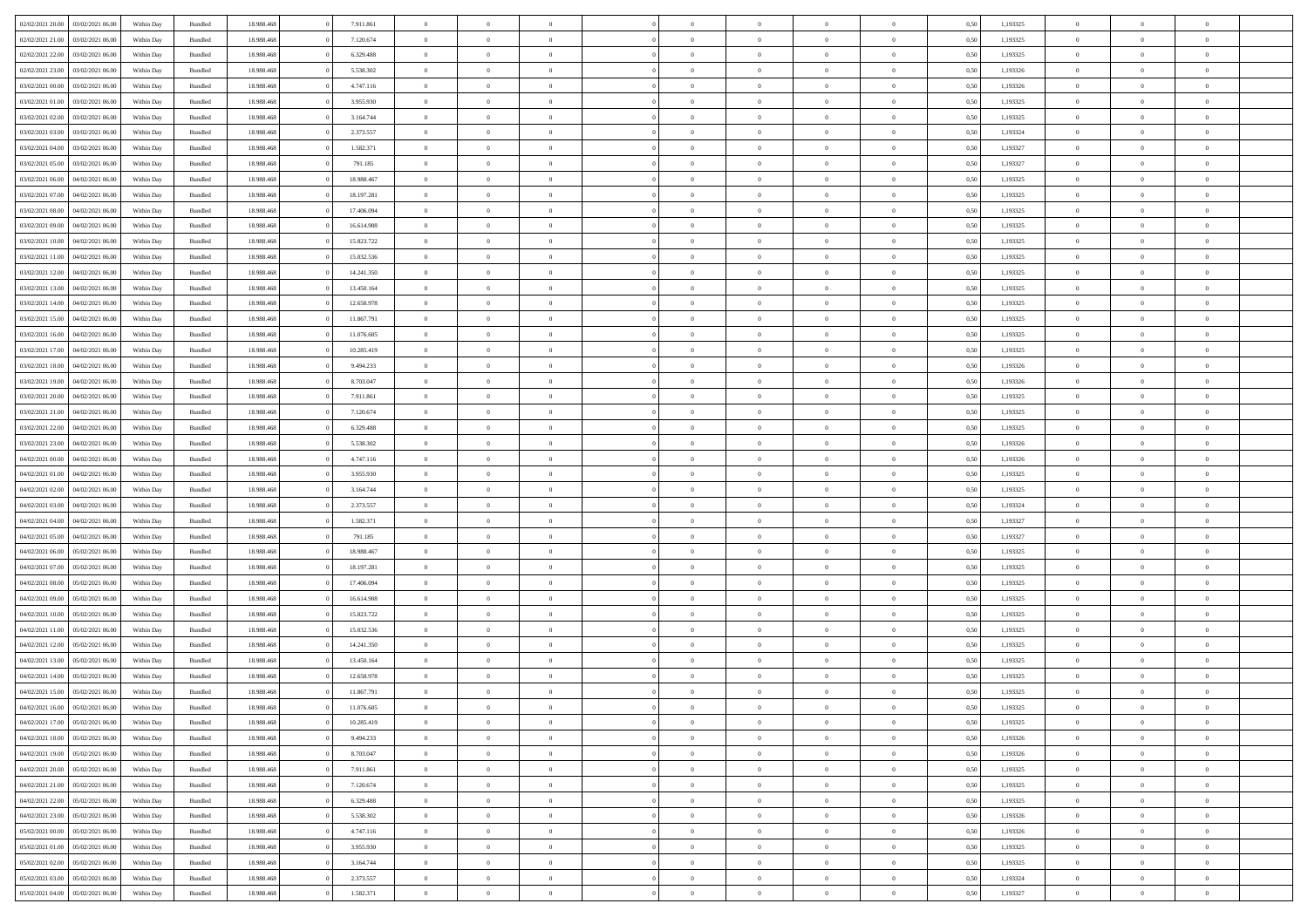| 02/02/2021 20:00 | 03/02/2021 06:00 | Within Day | Bundled            | 18.988.468 | 7.911.861  | $\overline{0}$ | $\theta$       |                | $\Omega$       | $\Omega$       | $\Omega$       | $\theta$       | 0.50 | 1,193325 | $\theta$       | $\overline{0}$ | $\theta$       |  |
|------------------|------------------|------------|--------------------|------------|------------|----------------|----------------|----------------|----------------|----------------|----------------|----------------|------|----------|----------------|----------------|----------------|--|
| 02/02/2021 21:00 | 03/02/2021 06:00 | Within Day | Bundled            | 18.988.468 | 7.120.674  | $\overline{0}$ | $\theta$       | $\overline{0}$ | $\overline{0}$ | $\bf{0}$       | $\overline{0}$ | $\overline{0}$ | 0,50 | 1,193325 | $\theta$       | $\overline{0}$ | $\overline{0}$ |  |
| 02/02/2021 22.00 | 03/02/2021 06:00 | Within Day | Bundled            | 18.988.468 | 6.329.488  | $\overline{0}$ | $\overline{0}$ | $\overline{0}$ | $\overline{0}$ | $\bf{0}$       | $\overline{0}$ | $\bf{0}$       | 0,50 | 1,193325 | $\bf{0}$       | $\overline{0}$ | $\overline{0}$ |  |
| 02/02/2021 23:00 | 03/02/2021 06:00 | Within Dav | Bundled            | 18.988.468 | 5.538.302  | $\overline{0}$ | $\theta$       | $\overline{0}$ | $\overline{0}$ | $\bf{0}$       | $\overline{0}$ | $\overline{0}$ | 0.50 | 1,193326 | $\theta$       | $\theta$       | $\overline{0}$ |  |
| 03/02/2021 00:00 | 03/02/2021 06.00 | Within Day | Bundled            | 18.988.468 | 4.747.116  | $\overline{0}$ | $\theta$       | $\overline{0}$ | $\overline{0}$ | $\bf{0}$       | $\overline{0}$ | $\bf{0}$       | 0,50 | 1,193326 | $\theta$       | $\theta$       | $\overline{0}$ |  |
|                  |                  |            |                    |            |            |                |                |                |                |                |                |                |      |          |                |                |                |  |
| 03/02/2021 01:00 | 03/02/2021 06:00 | Within Day | Bundled            | 18.988.468 | 3.955.930  | $\overline{0}$ | $\bf{0}$       | $\overline{0}$ | $\overline{0}$ | $\overline{0}$ | $\overline{0}$ | $\mathbf{0}$   | 0,50 | 1,193325 | $\overline{0}$ | $\overline{0}$ | $\bf{0}$       |  |
| 03/02/2021 02:00 | 03/02/2021 06:00 | Within Dav | Bundled            | 18.988.468 | 3.164.744  | $\overline{0}$ | $\overline{0}$ | $\overline{0}$ | $\overline{0}$ | $\bf{0}$       | $\overline{0}$ | $\overline{0}$ | 0.50 | 1,193325 | $\theta$       | $\overline{0}$ | $\overline{0}$ |  |
| 03/02/2021 03:00 | 03/02/2021 06:00 | Within Day | Bundled            | 18.988.468 | 2.373.557  | $\overline{0}$ | $\theta$       | $\overline{0}$ | $\overline{0}$ | $\bf{0}$       | $\overline{0}$ | $\bf{0}$       | 0,50 | 1,193324 | $\theta$       | $\theta$       | $\overline{0}$ |  |
| 03/02/2021 04:00 | 03/02/2021 06:00 | Within Day | Bundled            | 18.988.468 | 1.582.371  | $\overline{0}$ | $\overline{0}$ | $\overline{0}$ | $\overline{0}$ | $\bf{0}$       | $\overline{0}$ | $\bf{0}$       | 0,50 | 1,193327 | $\,0\,$        | $\overline{0}$ | $\overline{0}$ |  |
| 03/02/2021 05:00 | 03/02/2021 06:00 | Within Dav | Bundled            | 18.988.468 | 791.185    | $\overline{0}$ | $\overline{0}$ | $\overline{0}$ | $\overline{0}$ | $\overline{0}$ | $\overline{0}$ | $\overline{0}$ | 0.50 | 1,193327 | $\theta$       | $\overline{0}$ | $\overline{0}$ |  |
| 03/02/2021 06:00 | 04/02/2021 06.00 | Within Day | Bundled            | 18.988.468 | 18.988.467 | $\overline{0}$ | $\theta$       | $\overline{0}$ | $\overline{0}$ | $\bf{0}$       | $\overline{0}$ | $\bf{0}$       | 0,50 | 1,193325 | $\theta$       | $\theta$       | $\overline{0}$ |  |
| 03/02/2021 07:00 | 04/02/2021 06.00 | Within Day | Bundled            | 18.988.468 | 18.197.281 | $\overline{0}$ | $\overline{0}$ | $\overline{0}$ | $\overline{0}$ | $\bf{0}$       | $\overline{0}$ | $\bf{0}$       | 0,50 | 1,193325 | $\bf{0}$       | $\overline{0}$ | $\overline{0}$ |  |
|                  |                  |            |                    |            |            |                |                |                |                |                |                |                |      |          |                |                |                |  |
| 03/02/2021 08:00 | 04/02/2021 06:00 | Within Day | Bundled            | 18.988.468 | 17.406.094 | $\overline{0}$ | $\theta$       | $\overline{0}$ | $\overline{0}$ | $\bf{0}$       | $\overline{0}$ | $\overline{0}$ | 0.50 | 1,193325 | $\theta$       | $\theta$       | $\overline{0}$ |  |
| 03/02/2021 09:00 | 04/02/2021 06.00 | Within Day | Bundled            | 18.988.468 | 16.614.908 | $\overline{0}$ | $\theta$       | $\overline{0}$ | $\overline{0}$ | $\bf{0}$       | $\overline{0}$ | $\overline{0}$ | 0,50 | 1,193325 | $\theta$       | $\theta$       | $\overline{0}$ |  |
| 03/02/2021 10:00 | 04/02/2021 06.00 | Within Day | Bundled            | 18.988.468 | 15.823.722 | $\overline{0}$ | $\overline{0}$ | $\overline{0}$ | $\overline{0}$ | $\overline{0}$ | $\overline{0}$ | $\mathbf{0}$   | 0,50 | 1,193325 | $\overline{0}$ | $\overline{0}$ | $\bf{0}$       |  |
| 03/02/2021 11:00 | 04/02/2021 06:00 | Within Dav | Bundled            | 18.988.468 | 15.032.536 | $\overline{0}$ | $\overline{0}$ | $\overline{0}$ | $\overline{0}$ | $\bf{0}$       | $\overline{0}$ | $\overline{0}$ | 0.50 | 1,193325 | $\theta$       | $\overline{0}$ | $\overline{0}$ |  |
| 03/02/2021 12:00 | 04/02/2021 06.00 | Within Day | Bundled            | 18.988.468 | 14.241.350 | $\overline{0}$ | $\theta$       | $\overline{0}$ | $\overline{0}$ | $\bf{0}$       | $\overline{0}$ | $\bf{0}$       | 0,50 | 1,193325 | $\theta$       | $\theta$       | $\overline{0}$ |  |
| 03/02/2021 13:00 | 04/02/2021 06.00 | Within Day | Bundled            | 18.988.468 | 13.450.164 | $\overline{0}$ | $\overline{0}$ | $\overline{0}$ | $\overline{0}$ | $\bf{0}$       | $\overline{0}$ | $\bf{0}$       | 0,50 | 1,193325 | $\,0\,$        | $\overline{0}$ | $\overline{0}$ |  |
| 03/02/2021 14:00 | 04/02/2021 06:00 | Within Day | Bundled            | 18.988.468 | 12.658.978 | $\overline{0}$ | $\overline{0}$ | $\overline{0}$ | $\overline{0}$ | $\overline{0}$ | $\overline{0}$ | $\overline{0}$ | 0.50 | 1,193325 | $\theta$       | $\overline{0}$ | $\overline{0}$ |  |
|                  |                  |            |                    |            |            | $\overline{0}$ | $\theta$       | $\overline{0}$ |                | $\bf{0}$       | $\overline{0}$ |                |      |          | $\theta$       | $\theta$       | $\overline{0}$ |  |
| 03/02/2021 15:00 | 04/02/2021 06.00 | Within Day | Bundled            | 18.988.468 | 11.867.791 |                |                |                | $\overline{0}$ |                |                | $\bf{0}$       | 0,50 | 1,193325 |                |                |                |  |
| 03/02/2021 16:00 | 04/02/2021 06.00 | Within Day | Bundled            | 18.988.468 | 11.076.605 | $\overline{0}$ | $\overline{0}$ | $\overline{0}$ | $\bf{0}$       | $\bf{0}$       | $\bf{0}$       | $\bf{0}$       | 0,50 | 1,193325 | $\,0\,$        | $\overline{0}$ | $\overline{0}$ |  |
| 03/02/2021 17:00 | 04/02/2021 06:00 | Within Day | Bundled            | 18.988.468 | 10.285.419 | $\overline{0}$ | $\overline{0}$ | $\overline{0}$ | $\overline{0}$ | $\bf{0}$       | $\overline{0}$ | $\overline{0}$ | 0.50 | 1,193325 | $\theta$       | $\theta$       | $\overline{0}$ |  |
| 03/02/2021 18:00 | 04/02/2021 06.00 | Within Day | Bundled            | 18.988.468 | 9.494.233  | $\overline{0}$ | $\theta$       | $\overline{0}$ | $\overline{0}$ | $\bf{0}$       | $\overline{0}$ | $\bf{0}$       | 0,50 | 1,193326 | $\theta$       | $\overline{0}$ | $\overline{0}$ |  |
| 03/02/2021 19:00 | 04/02/2021 06.00 | Within Day | Bundled            | 18.988.468 | 8.703.047  | $\overline{0}$ | $\overline{0}$ | $\overline{0}$ | $\bf{0}$       | $\overline{0}$ | $\overline{0}$ | $\mathbf{0}$   | 0,50 | 1,193326 | $\bf{0}$       | $\overline{0}$ | $\bf{0}$       |  |
| 03/02/2021 20:00 | 04/02/2021 06:00 | Within Dav | Bundled            | 18.988.468 | 7.911.861  | $\overline{0}$ | $\overline{0}$ | $\overline{0}$ | $\overline{0}$ | $\overline{0}$ | $\overline{0}$ | $\overline{0}$ | 0.50 | 1,193325 | $\theta$       | $\overline{0}$ | $\overline{0}$ |  |
| 03/02/2021 21:00 | 04/02/2021 06.00 | Within Day | Bundled            | 18.988.468 | 7.120.674  | $\overline{0}$ | $\theta$       | $\overline{0}$ | $\overline{0}$ | $\bf{0}$       | $\overline{0}$ | $\bf{0}$       | 0,50 | 1,193325 | $\theta$       | $\theta$       | $\overline{0}$ |  |
| 03/02/2021 22.00 | 04/02/2021 06.00 | Within Day | Bundled            | 18.988.468 | 6.329.488  | $\overline{0}$ | $\overline{0}$ | $\overline{0}$ | $\bf{0}$       | $\bf{0}$       | $\bf{0}$       | $\bf{0}$       | 0,50 | 1,193325 | $\,0\,$        | $\overline{0}$ | $\overline{0}$ |  |
|                  |                  |            |                    |            |            |                |                |                |                | $\overline{0}$ |                |                |      |          | $\theta$       | $\overline{0}$ |                |  |
| 03/02/2021 23:00 | 04/02/2021 06:00 | Within Day | Bundled            | 18.988.468 | 5.538.302  | $\overline{0}$ | $\overline{0}$ | $\overline{0}$ | $\overline{0}$ |                | $\overline{0}$ | $\overline{0}$ | 0.50 | 1,193326 |                |                | $\overline{0}$ |  |
| 04/02/2021 00:00 | 04/02/2021 06.00 | Within Day | Bundled            | 18.988.468 | 4.747.116  | $\overline{0}$ | $\theta$       | $\overline{0}$ | $\overline{0}$ | $\bf{0}$       | $\overline{0}$ | $\bf{0}$       | 0,50 | 1,193326 | $\,$ 0 $\,$    | $\theta$       | $\overline{0}$ |  |
| 04/02/2021 01:00 | 04/02/2021 06.00 | Within Day | Bundled            | 18.988.468 | 3.955.930  | $\overline{0}$ | $\overline{0}$ | $\overline{0}$ | $\bf{0}$       | $\bf{0}$       | $\bf{0}$       | $\bf{0}$       | 0,50 | 1,193325 | $\bf{0}$       | $\overline{0}$ | $\overline{0}$ |  |
| 04/02/2021 02:00 | 04/02/2021 06.00 | Within Day | Bundled            | 18.988.468 | 3.164.744  | $\overline{0}$ | $\Omega$       | $\Omega$       | $\Omega$       | $\Omega$       | $\overline{0}$ | $\overline{0}$ | 0.50 | 1,193325 | $\,0\,$        | $\Omega$       | $\theta$       |  |
| 04/02/2021 03:00 | 04/02/2021 06.00 | Within Day | Bundled            | 18.988.468 | 2.373.557  | $\overline{0}$ | $\theta$       | $\overline{0}$ | $\overline{0}$ | $\bf{0}$       | $\overline{0}$ | $\bf{0}$       | 0,50 | 1,193324 | $\theta$       | $\theta$       | $\overline{0}$ |  |
| 04/02/2021 04:00 | 04/02/2021 06.00 | Within Day | Bundled            | 18.988.468 | 1.582.371  | $\overline{0}$ | $\overline{0}$ | $\overline{0}$ | $\bf{0}$       | $\bf{0}$       | $\overline{0}$ | $\mathbf{0}$   | 0,50 | 1,193327 | $\bf{0}$       | $\overline{0}$ | $\bf{0}$       |  |
| 04/02/2021 05:00 | 04/02/2021 06.00 | Within Day | Bundled            | 18.988.468 | 791.185    | $\overline{0}$ | $\Omega$       | $\Omega$       | $\Omega$       | $\Omega$       | $\Omega$       | $\overline{0}$ | 0.50 | 1,193327 | $\theta$       | $\theta$       | $\theta$       |  |
| 04/02/2021 06:00 | 05/02/2021 06:00 | Within Day | Bundled            | 18.988.468 | 18.988.467 | $\overline{0}$ | $\theta$       | $\overline{0}$ | $\overline{0}$ | $\bf{0}$       | $\overline{0}$ | $\bf{0}$       | 0,50 | 1,193325 | $\theta$       | $\theta$       | $\overline{0}$ |  |
|                  |                  |            |                    |            |            |                | $\overline{0}$ |                |                | $\bf{0}$       |                |                |      |          | $\,0\,$        | $\overline{0}$ | $\overline{0}$ |  |
| 04/02/2021 07:00 | 05/02/2021 06:00 | Within Day | Bundled            | 18.988.468 | 18.197.281 | $\overline{0}$ |                | $\overline{0}$ | $\bf{0}$       |                | $\bf{0}$       | $\bf{0}$       | 0,50 | 1,193325 |                |                |                |  |
| 04/02/2021 08:00 | 05/02/2021 06:00 | Within Day | Bundled            | 18.988.468 | 17,406,094 | $\overline{0}$ | $\Omega$       | $\Omega$       | $\Omega$       | $\Omega$       | $\theta$       | $\overline{0}$ | 0.50 | 1,193325 | $\theta$       | $\theta$       | $\theta$       |  |
| 04/02/2021 09:00 | 05/02/2021 06:00 | Within Day | Bundled            | 18.988.468 | 16.614.908 | $\overline{0}$ | $\theta$       | $\overline{0}$ | $\overline{0}$ | $\bf{0}$       | $\overline{0}$ | $\bf{0}$       | 0,50 | 1,193325 | $\theta$       | $\theta$       | $\overline{0}$ |  |
| 04/02/2021 10:00 | 05/02/2021 06:00 | Within Day | Bundled            | 18.988.468 | 15.823.722 | $\overline{0}$ | $\overline{0}$ | $\overline{0}$ | $\bf{0}$       | $\bf{0}$       | $\bf{0}$       | $\bf{0}$       | 0,50 | 1,193325 | $\,0\,$        | $\overline{0}$ | $\overline{0}$ |  |
| 04/02/2021 11:00 | 05/02/2021 06:00 | Within Day | Bundled            | 18.988.468 | 15.032.536 | $\overline{0}$ | $\Omega$       | $\Omega$       | $\Omega$       | $\Omega$       | $\overline{0}$ | $\overline{0}$ | 0.50 | 1,193325 | $\,0\,$        | $\theta$       | $\theta$       |  |
| 04/02/2021 12:00 | 05/02/2021 06:00 | Within Day | Bundled            | 18.988.468 | 14.241.350 | $\overline{0}$ | $\theta$       | $\overline{0}$ | $\overline{0}$ | $\bf{0}$       | $\overline{0}$ | $\bf{0}$       | 0,50 | 1,193325 | $\,$ 0 $\,$    | $\theta$       | $\overline{0}$ |  |
| 04/02/2021 13:00 | 05/02/2021 06:00 | Within Day | Bundled            | 18.988.468 | 13.450.164 | $\overline{0}$ | $\overline{0}$ | $\overline{0}$ | $\bf{0}$       | $\bf{0}$       | $\bf{0}$       | $\mathbf{0}$   | 0,50 | 1,193325 | $\bf{0}$       | $\overline{0}$ | $\bf{0}$       |  |
| 04/02/2021 14:00 | 05/02/2021 06:00 | Within Day | Bundled            | 18.988.468 | 12.658.978 | $\overline{0}$ | $\Omega$       | $\Omega$       | $\Omega$       | $\Omega$       | $\Omega$       | $\overline{0}$ | 0.50 | 1,193325 | $\theta$       | $\theta$       | $\theta$       |  |
| 04/02/2021 15:00 | 05/02/2021 06:00 | Within Day | Bundled            | 18.988.468 | 11.867.791 | $\overline{0}$ | $\overline{0}$ | $\overline{0}$ | $\bf{0}$       | $\,$ 0         | $\bf{0}$       | $\bf{0}$       | 0,50 | 1,193325 | $\,0\,$        | $\overline{0}$ | $\overline{0}$ |  |
| 04/02/2021 16:00 | 05/02/2021 06:00 | Within Day | $\mathbf B$ undled | 18.988.468 |            |                |                |                |                |                |                |                |      |          |                |                |                |  |
|                  |                  |            |                    |            | 11.076.605 | $\bf{0}$       | $\bf{0}$       |                |                |                |                |                | 0,50 | 1,193325 | $\bf{0}$       | $\overline{0}$ |                |  |
| 04/02/2021 17.00 | 05/02/2021 06:00 | Within Day | Bundled            | 18,988,468 | 10.285.419 | $\overline{0}$ | $\overline{0}$ | $\overline{0}$ | $\Omega$       | $\overline{0}$ | $\overline{0}$ | $\overline{0}$ | 0.50 | 1,193325 | $\theta$       | $\theta$       | $\theta$       |  |
| 04/02/2021 18:00 | 05/02/2021 06:00 | Within Day | Bundled            | 18.988.468 | 9.494.233  | $\overline{0}$ | $\,$ 0         | $\overline{0}$ | $\bf{0}$       | $\,$ 0 $\,$    | $\overline{0}$ | $\mathbf{0}$   | 0,50 | 1,193326 | $\,$ 0 $\,$    | $\,$ 0 $\,$    | $\,$ 0         |  |
| 04/02/2021 19:00 | 05/02/2021 06:00 | Within Day | Bundled            | 18.988.468 | 8.703.047  | $\overline{0}$ | $\overline{0}$ | $\overline{0}$ | $\overline{0}$ | $\overline{0}$ | $\overline{0}$ | $\mathbf{0}$   | 0,50 | 1,193326 | $\overline{0}$ | $\bf{0}$       | $\bf{0}$       |  |
| 04/02/2021 20:00 | 05/02/2021 06:00 | Within Day | Bundled            | 18.988.468 | 7.911.861  | $\overline{0}$ | $\overline{0}$ | $\overline{0}$ | $\Omega$       | $\overline{0}$ | $\overline{0}$ | $\bf{0}$       | 0,50 | 1,193325 | $\overline{0}$ | $\theta$       | $\overline{0}$ |  |
| 04/02/2021 21:00 | 05/02/2021 06:00 | Within Day | Bundled            | 18.988.468 | 7.120.674  | $\overline{0}$ | $\,$ 0         | $\overline{0}$ | $\overline{0}$ | $\overline{0}$ | $\overline{0}$ | $\bf{0}$       | 0,50 | 1,193325 | $\,$ 0 $\,$    | $\overline{0}$ | $\overline{0}$ |  |
| 04/02/2021 22.00 | 05/02/2021 06:00 | Within Day | Bundled            | 18.988.468 | 6.329.488  | $\overline{0}$ | $\overline{0}$ | $\overline{0}$ | $\overline{0}$ | $\overline{0}$ | $\overline{0}$ | $\mathbf{0}$   | 0,50 | 1,193325 | $\overline{0}$ | $\bf{0}$       | $\bf{0}$       |  |
| 04/02/2021 23:00 | 05/02/2021 06:00 | Within Day | Bundled            | 18.988.468 | 5.538.302  | $\overline{0}$ | $\overline{0}$ | $\overline{0}$ | $\Omega$       | $\overline{0}$ | $\overline{0}$ | $\bf{0}$       | 0.50 | 1,193326 | $\overline{0}$ | $\theta$       | $\overline{0}$ |  |
| 05/02/2021 00:00 | 05/02/2021 06:00 |            |                    | 18.988.468 | 4.747.116  | $\overline{0}$ | $\,$ 0         | $\overline{0}$ |                | $\bf{0}$       |                |                |      | 1,193326 | $\,$ 0 $\,$    | $\overline{0}$ | $\overline{0}$ |  |
|                  |                  | Within Day | Bundled            |            |            |                |                |                | $\bf{0}$       |                | $\bf{0}$       | $\bf{0}$       | 0,50 |          |                |                |                |  |
| 05/02/2021 01:00 | 05/02/2021 06:00 | Within Day | Bundled            | 18.988.468 | 3.955.930  | $\overline{0}$ | $\bf{0}$       | $\overline{0}$ | $\overline{0}$ | $\overline{0}$ | $\overline{0}$ | $\mathbf{0}$   | 0,50 | 1,193325 | $\overline{0}$ | $\overline{0}$ | $\bf{0}$       |  |
| 05/02/2021 02:00 | 05/02/2021 06:00 | Within Day | Bundled            | 18,988,468 | 3.164.744  | $\overline{0}$ | $\overline{0}$ | $\overline{0}$ | $\Omega$       | $\overline{0}$ | $\overline{0}$ | $\bf{0}$       | 0.50 | 1,193325 | $\overline{0}$ | $\theta$       | $\overline{0}$ |  |
| 05/02/2021 03:00 | 05/02/2021 06:00 | Within Day | Bundled            | 18.988.468 | 2.373.557  | $\overline{0}$ | $\,$ 0 $\,$    | $\overline{0}$ | $\overline{0}$ | $\bf{0}$       | $\bf{0}$       | $\bf{0}$       | 0,50 | 1,193324 | $\,$ 0 $\,$    | $\,$ 0 $\,$    | $\bf{0}$       |  |
| 05/02/2021 04:00 | 05/02/2021 06:00 | Within Day | Bundled            | 18.988.468 | 1.582.371  | $\overline{0}$ | $\bf{0}$       | $\overline{0}$ | $\bf{0}$       | $\bf{0}$       | $\bf{0}$       | $\bf{0}$       | 0,50 | 1,193327 | $\overline{0}$ | $\overline{0}$ | $\bf{0}$       |  |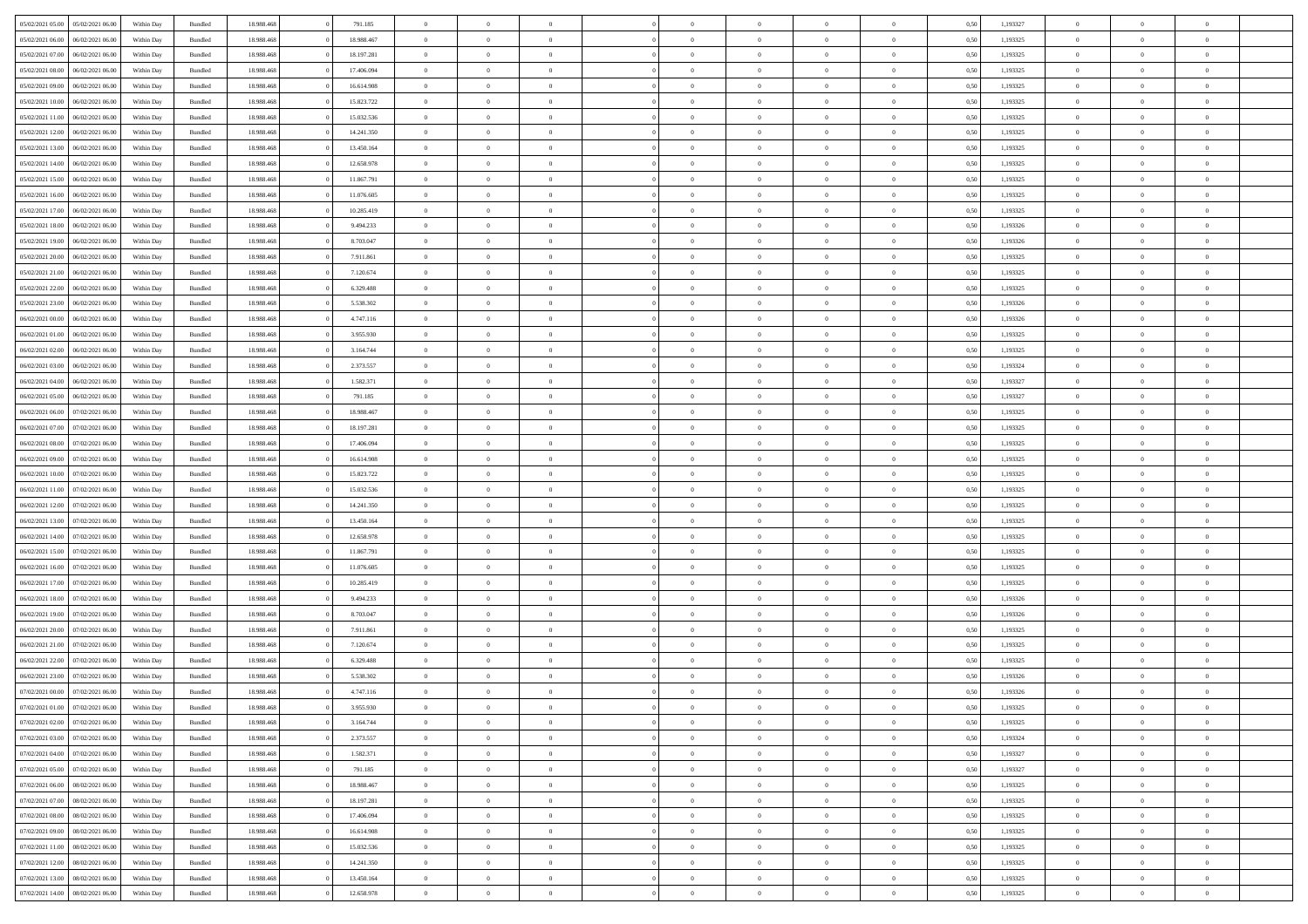| 05/02/2021 05:00 | 05/02/2021 06:00 | Within Day | Bundled            | 18.988.468 | 791.185    | $\overline{0}$ | $\theta$       |                | $\Omega$       | $\Omega$       | $\Omega$       | $\theta$       | 0.50 | 1,193327 | $\theta$       | $\overline{0}$ | $\theta$       |  |
|------------------|------------------|------------|--------------------|------------|------------|----------------|----------------|----------------|----------------|----------------|----------------|----------------|------|----------|----------------|----------------|----------------|--|
| 05/02/2021 06:00 | 06/02/2021 06:00 | Within Day | Bundled            | 18.988.468 | 18.988.467 | $\overline{0}$ | $\theta$       | $\overline{0}$ | $\overline{0}$ | $\bf{0}$       | $\overline{0}$ | $\overline{0}$ | 0,50 | 1,193325 | $\theta$       | $\overline{0}$ | $\overline{0}$ |  |
| 05/02/2021 07:00 | 06/02/2021 06:00 | Within Day | Bundled            | 18.988.468 | 18.197.281 | $\overline{0}$ | $\overline{0}$ | $\overline{0}$ | $\bf{0}$       | $\bf{0}$       | $\bf{0}$       | $\bf{0}$       | 0,50 | 1,193325 | $\bf{0}$       | $\overline{0}$ | $\overline{0}$ |  |
|                  |                  |            |                    |            |            |                |                |                |                |                |                |                |      |          | $\theta$       |                |                |  |
| 05/02/2021 08:00 | 06/02/2021 06:00 | Within Dav | Bundled            | 18.988.468 | 17.406.094 | $\overline{0}$ | $\theta$       | $\overline{0}$ | $\overline{0}$ | $\bf{0}$       | $\overline{0}$ | $\overline{0}$ | 0.50 | 1,193325 |                | $\theta$       | $\overline{0}$ |  |
| 05/02/2021 09:00 | 06/02/2021 06:00 | Within Day | Bundled            | 18.988.468 | 16.614.908 | $\overline{0}$ | $\theta$       | $\overline{0}$ | $\overline{0}$ | $\bf{0}$       | $\overline{0}$ | $\bf{0}$       | 0,50 | 1,193325 | $\theta$       | $\theta$       | $\overline{0}$ |  |
| 05/02/2021 10:00 | 06/02/2021 06:00 | Within Day | Bundled            | 18.988.468 | 15.823.722 | $\overline{0}$ | $\bf{0}$       | $\overline{0}$ | $\bf{0}$       | $\overline{0}$ | $\overline{0}$ | $\mathbf{0}$   | 0,50 | 1,193325 | $\bf{0}$       | $\overline{0}$ | $\bf{0}$       |  |
| 05/02/2021 11:00 | 06/02/2021 06:00 | Within Dav | Bundled            | 18.988.468 | 15.032.536 | $\overline{0}$ | $\overline{0}$ | $\overline{0}$ | $\overline{0}$ | $\bf{0}$       | $\overline{0}$ | $\overline{0}$ | 0.50 | 1,193325 | $\theta$       | $\overline{0}$ | $\overline{0}$ |  |
|                  |                  |            |                    |            |            |                |                |                |                |                |                |                |      |          |                |                |                |  |
| 05/02/2021 12:00 | 06/02/2021 06:00 | Within Day | Bundled            | 18.988.468 | 14.241.350 | $\overline{0}$ | $\theta$       | $\overline{0}$ | $\overline{0}$ | $\bf{0}$       | $\overline{0}$ | $\bf{0}$       | 0,50 | 1,193325 | $\theta$       | $\theta$       | $\overline{0}$ |  |
| 05/02/2021 13:00 | 06/02/2021 06:00 | Within Day | Bundled            | 18.988.468 | 13.450.164 | $\overline{0}$ | $\overline{0}$ | $\overline{0}$ | $\bf{0}$       | $\bf{0}$       | $\bf{0}$       | $\bf{0}$       | 0,50 | 1,193325 | $\,0\,$        | $\overline{0}$ | $\overline{0}$ |  |
| 05/02/2021 14:00 | 06/02/2021 06:00 | Within Dav | Bundled            | 18.988.468 | 12.658.978 | $\overline{0}$ | $\overline{0}$ | $\overline{0}$ | $\overline{0}$ | $\overline{0}$ | $\overline{0}$ | $\overline{0}$ | 0.50 | 1,193325 | $\theta$       | $\overline{0}$ | $\overline{0}$ |  |
| 05/02/2021 15:00 | 06/02/2021 06:00 |            | Bundled            | 18.988.468 | 11.867.791 | $\overline{0}$ | $\theta$       | $\overline{0}$ | $\overline{0}$ | $\bf{0}$       | $\overline{0}$ |                |      | 1,193325 | $\theta$       | $\theta$       | $\overline{0}$ |  |
|                  |                  | Within Day |                    |            |            |                |                |                |                |                |                | $\bf{0}$       | 0,50 |          |                |                |                |  |
| 05/02/2021 16:00 | 06/02/2021 06:00 | Within Day | Bundled            | 18.988.468 | 11.076.605 | $\overline{0}$ | $\overline{0}$ | $\overline{0}$ | $\bf{0}$       | $\bf{0}$       | $\bf{0}$       | $\bf{0}$       | 0,50 | 1,193325 | $\bf{0}$       | $\overline{0}$ | $\overline{0}$ |  |
| 05/02/2021 17:00 | 06/02/2021 06:00 | Within Dav | Bundled            | 18.988.468 | 10.285.419 | $\overline{0}$ | $\theta$       | $\overline{0}$ | $\overline{0}$ | $\bf{0}$       | $\overline{0}$ | $\overline{0}$ | 0.50 | 1,193325 | $\theta$       | $\theta$       | $\overline{0}$ |  |
| 05/02/2021 18:00 | 06/02/2021 06:00 | Within Day | Bundled            | 18.988.468 | 9.494.233  | $\overline{0}$ | $\theta$       | $\overline{0}$ | $\overline{0}$ | $\bf{0}$       | $\overline{0}$ | $\overline{0}$ | 0,50 | 1,193326 | $\theta$       | $\theta$       | $\overline{0}$ |  |
|                  |                  |            |                    |            |            |                |                |                |                |                |                |                |      |          |                |                |                |  |
| 05/02/2021 19:00 | 06/02/2021 06:00 | Within Day | Bundled            | 18.988.468 | 8.703.047  | $\overline{0}$ | $\overline{0}$ | $\overline{0}$ | $\bf{0}$       | $\overline{0}$ | $\overline{0}$ | $\mathbf{0}$   | 0,50 | 1,193326 | $\bf{0}$       | $\overline{0}$ | $\bf{0}$       |  |
| 05/02/2021 20:00 | 06/02/2021 06:00 | Within Dav | Bundled            | 18.988.468 | 7.911.861  | $\overline{0}$ | $\overline{0}$ | $\overline{0}$ | $\overline{0}$ | $\bf{0}$       | $\overline{0}$ | $\overline{0}$ | 0.50 | 1,193325 | $\theta$       | $\overline{0}$ | $\overline{0}$ |  |
| 05/02/2021 21:00 | 06/02/2021 06:00 | Within Day | Bundled            | 18.988.468 | 7.120.674  | $\overline{0}$ | $\theta$       | $\overline{0}$ | $\overline{0}$ | $\bf{0}$       | $\overline{0}$ | $\bf{0}$       | 0,50 | 1,193325 | $\theta$       | $\theta$       | $\overline{0}$ |  |
| 05/02/2021 22.00 | 06/02/2021 06:00 | Within Day | Bundled            | 18.988.468 | 6.329.488  | $\overline{0}$ | $\overline{0}$ | $\overline{0}$ | $\bf{0}$       | $\bf{0}$       | $\bf{0}$       | $\bf{0}$       | 0,50 | 1,193325 | $\,0\,$        | $\overline{0}$ | $\overline{0}$ |  |
| 05/02/2021 23:00 | 06/02/2021 06:00 | Within Dav | Bundled            | 18.988.468 | 5.538.302  | $\overline{0}$ | $\overline{0}$ | $\overline{0}$ | $\overline{0}$ | $\overline{0}$ | $\overline{0}$ | $\overline{0}$ | 0.50 | 1,193326 | $\theta$       | $\overline{0}$ | $\overline{0}$ |  |
|                  |                  |            |                    |            |            |                |                |                |                |                |                |                |      |          |                |                |                |  |
| 06/02/2021 00:00 | 06/02/2021 06:00 | Within Day | Bundled            | 18.988.468 | 4.747.116  | $\overline{0}$ | $\theta$       | $\overline{0}$ | $\overline{0}$ | $\bf{0}$       | $\overline{0}$ | $\bf{0}$       | 0,50 | 1,193326 | $\theta$       | $\theta$       | $\overline{0}$ |  |
| 06/02/2021 01:00 | 06/02/2021 06:00 | Within Day | Bundled            | 18.988.468 | 3.955.930  | $\overline{0}$ | $\overline{0}$ | $\overline{0}$ | $\bf{0}$       | $\bf{0}$       | $\bf{0}$       | $\bf{0}$       | 0,50 | 1,193325 | $\,0\,$        | $\overline{0}$ | $\overline{0}$ |  |
| 06/02/2021 02:00 | 06/02/2021 06:00 | Within Day | Bundled            | 18.988.468 | 3.164.744  | $\overline{0}$ | $\overline{0}$ | $\overline{0}$ | $\overline{0}$ | $\bf{0}$       | $\overline{0}$ | $\overline{0}$ | 0.50 | 1,193325 | $\theta$       | $\theta$       | $\overline{0}$ |  |
| 06/02/2021 03:00 | 06/02/2021 06:00 |            |                    | 18.988.468 | 2.373.557  | $\overline{0}$ | $\theta$       | $\overline{0}$ | $\overline{0}$ | $\bf{0}$       | $\overline{0}$ |                |      | 1,193324 | $\theta$       | $\overline{0}$ | $\overline{0}$ |  |
|                  |                  | Within Day | Bundled            |            |            |                |                |                |                |                |                | $\bf{0}$       | 0,50 |          |                |                |                |  |
| 06/02/2021 04:00 | 06/02/2021 06:00 | Within Day | Bundled            | 18.988.468 | 1.582.371  | $\overline{0}$ | $\bf{0}$       | $\overline{0}$ | $\bf{0}$       | $\overline{0}$ | $\overline{0}$ | $\mathbf{0}$   | 0,50 | 1,193327 | $\overline{0}$ | $\overline{0}$ | $\bf{0}$       |  |
| 06/02/2021 05:00 | 06/02/2021 06:00 | Within Dav | Bundled            | 18.988.468 | 791.185    | $\overline{0}$ | $\overline{0}$ | $\overline{0}$ | $\overline{0}$ | $\overline{0}$ | $\overline{0}$ | $\overline{0}$ | 0.50 | 1,193327 | $\theta$       | $\overline{0}$ | $\overline{0}$ |  |
| 06/02/2021 06:00 | 07/02/2021 06.00 | Within Day | Bundled            | 18.988.468 | 18.988.467 | $\overline{0}$ | $\theta$       | $\overline{0}$ | $\overline{0}$ | $\bf{0}$       | $\overline{0}$ | $\bf{0}$       | 0,50 | 1,193325 | $\theta$       | $\theta$       | $\overline{0}$ |  |
|                  | 07/02/2021 06:00 | Within Day | Bundled            | 18.988.468 | 18.197.281 | $\overline{0}$ | $\overline{0}$ | $\overline{0}$ | $\bf{0}$       | $\bf{0}$       | $\bf{0}$       | $\bf{0}$       | 0,50 | 1,193325 | $\,0\,$        | $\overline{0}$ | $\overline{0}$ |  |
| 06/02/2021 07:00 |                  |            |                    |            |            |                |                |                |                |                |                |                |      |          |                |                |                |  |
| 06/02/2021 08:00 | 07/02/2021 06:00 | Within Day | Bundled            | 18.988.468 | 17.406.094 | $\overline{0}$ | $\overline{0}$ | $\overline{0}$ | $\overline{0}$ | $\overline{0}$ | $\overline{0}$ | $\overline{0}$ | 0.50 | 1,193325 | $\theta$       | $\overline{0}$ | $\overline{0}$ |  |
| 06/02/2021 09:00 | 07/02/2021 06:00 | Within Day | Bundled            | 18.988.468 | 16.614.908 | $\overline{0}$ | $\theta$       | $\overline{0}$ | $\overline{0}$ | $\bf{0}$       | $\overline{0}$ | $\bf{0}$       | 0,50 | 1,193325 | $\,$ 0 $\,$    | $\theta$       | $\overline{0}$ |  |
| 06/02/2021 10:00 | 07/02/2021 06:00 | Within Day | Bundled            | 18.988.468 | 15.823.722 | $\overline{0}$ | $\overline{0}$ | $\overline{0}$ | $\bf{0}$       | $\bf{0}$       | $\bf{0}$       | $\bf{0}$       | 0,50 | 1,193325 | $\bf{0}$       | $\overline{0}$ | $\overline{0}$ |  |
| 06/02/2021 11:00 | 07/02/2021 06:00 |            |                    | 18.988.468 | 15.032.536 | $\overline{0}$ | $\Omega$       | $\Omega$       | $\Omega$       | $\Omega$       | $\overline{0}$ | $\overline{0}$ | 0.50 | 1,193325 | $\,0\,$        | $\theta$       | $\theta$       |  |
|                  |                  | Within Day | Bundled            |            |            |                |                |                |                |                |                |                |      |          |                |                |                |  |
| 06/02/2021 12:00 | 07/02/2021 06.00 | Within Day | Bundled            | 18.988.468 | 14.241.350 | $\overline{0}$ | $\theta$       | $\overline{0}$ | $\overline{0}$ | $\bf{0}$       | $\overline{0}$ | $\bf{0}$       | 0,50 | 1,193325 | $\theta$       | $\theta$       | $\overline{0}$ |  |
| 06/02/2021 13:00 | 07/02/2021 06:00 | Within Day | Bundled            | 18.988.468 | 13.450.164 | $\overline{0}$ | $\bf{0}$       | $\overline{0}$ | $\bf{0}$       | $\bf{0}$       | $\overline{0}$ | $\mathbf{0}$   | 0,50 | 1,193325 | $\overline{0}$ | $\overline{0}$ | $\bf{0}$       |  |
| 06/02/2021 14:00 | 07/02/2021 06:00 | Within Day | Bundled            | 18.988.468 | 12.658.978 | $\overline{0}$ | $\Omega$       | $\Omega$       | $\Omega$       | $\Omega$       | $\Omega$       | $\overline{0}$ | 0.50 | 1,193325 | $\theta$       | $\theta$       | $\theta$       |  |
| 06/02/2021 15:00 | 07/02/2021 06:00 | Within Day | Bundled            | 18.988.468 | 11.867.791 | $\overline{0}$ | $\theta$       | $\overline{0}$ | $\overline{0}$ | $\bf{0}$       | $\overline{0}$ | $\bf{0}$       | 0,50 | 1,193325 | $\theta$       | $\theta$       | $\overline{0}$ |  |
|                  |                  |            |                    |            |            |                |                |                |                |                |                |                |      |          |                |                |                |  |
| 06/02/2021 16:00 | 07/02/2021 06:00 | Within Day | Bundled            | 18.988.468 | 11.076.605 | $\overline{0}$ | $\overline{0}$ | $\overline{0}$ | $\bf{0}$       | $\bf{0}$       | $\bf{0}$       | $\bf{0}$       | 0,50 | 1,193325 | $\,0\,$        | $\overline{0}$ | $\overline{0}$ |  |
| 06/02/2021 17:00 | 07/02/2021 06:00 | Within Day | Bundled            | 18.988.468 | 10.285.419 | $\overline{0}$ | $\Omega$       | $\Omega$       | $\Omega$       | $\Omega$       | $\theta$       | $\overline{0}$ | 0.50 | 1,193325 | $\theta$       | $\theta$       | $\theta$       |  |
| 06/02/2021 18:00 | 07/02/2021 06:00 | Within Day | Bundled            | 18.988.468 | 9.494.233  | $\overline{0}$ | $\theta$       | $\overline{0}$ | $\overline{0}$ | $\bf{0}$       | $\overline{0}$ | $\bf{0}$       | 0,50 | 1,193326 | $\theta$       | $\theta$       | $\overline{0}$ |  |
| 06/02/2021 19:00 | 07/02/2021 06:00 | Within Day | Bundled            | 18.988.468 | 8.703.047  | $\overline{0}$ | $\overline{0}$ | $\overline{0}$ | $\bf{0}$       | $\bf{0}$       | $\bf{0}$       | $\bf{0}$       | 0,50 | 1,193326 | $\bf{0}$       | $\overline{0}$ | $\overline{0}$ |  |
|                  |                  |            |                    |            |            |                |                |                |                |                |                |                |      |          |                |                |                |  |
| 06/02/2021 20:00 | 07/02/2021 06:00 | Within Day | Bundled            | 18.988.468 | 7.911.861  | $\overline{0}$ | $\Omega$       | $\Omega$       | $\Omega$       | $\Omega$       | $\overline{0}$ | $\overline{0}$ | 0.50 | 1,193325 | $\,0\,$        | $\theta$       | $\theta$       |  |
| 06/02/2021 21:00 | 07/02/2021 06.00 | Within Day | Bundled            | 18.988.468 | 7.120.674  | $\overline{0}$ | $\theta$       | $\overline{0}$ | $\overline{0}$ | $\bf{0}$       | $\overline{0}$ | $\bf{0}$       | 0,50 | 1,193325 | $\,$ 0 $\,$    | $\theta$       | $\overline{0}$ |  |
| 06/02/2021 22.00 | 07/02/2021 06:00 | Within Day | Bundled            | 18.988.468 | 6.329.488  | $\overline{0}$ | $\overline{0}$ | $\overline{0}$ | $\bf{0}$       | $\bf{0}$       | $\bf{0}$       | $\mathbf{0}$   | 0,50 | 1,193325 | $\overline{0}$ | $\overline{0}$ | $\bf{0}$       |  |
| 06/02/2021 23:00 | 07/02/2021 06:00 | Within Day | Bundled            | 18.988.468 | 5.538.302  | $\overline{0}$ | $\Omega$       | $\Omega$       | $\Omega$       | $\Omega$       | $\Omega$       | $\overline{0}$ | 0.50 | 1,193326 | $\theta$       | $\theta$       | $\theta$       |  |
| 07/02/2021 00:00 | 07/02/2021 06:00 |            |                    | 18.988.468 | 4.747.116  | $\overline{0}$ | $\overline{0}$ | $\overline{0}$ | $\bf{0}$       | $\,$ 0         |                |                |      | 1,193326 | $\,0\,$        | $\overline{0}$ | $\overline{0}$ |  |
|                  |                  | Within Day | Bundled            |            |            |                |                |                |                |                | $\bf{0}$       | $\bf{0}$       | 0,50 |          |                |                |                |  |
| 07/02/2021 01:00 | 07/02/2021 06:00 | Within Day | $\mathbf B$ undled | 18.988.468 | 3.955.930  | $\bf{0}$       | $\bf{0}$       |                |                | $\bf{0}$       |                |                | 0,50 | 1,193325 | $\bf{0}$       | $\overline{0}$ |                |  |
| 07/02/2021 02:00 | 07/02/2021 06:00 | Within Day | Bundled            | 18,988,468 | 3.164.744  | $\overline{0}$ | $\overline{0}$ | $\overline{0}$ | $\Omega$       | $\overline{0}$ | $\overline{0}$ | $\overline{0}$ | 0,50 | 1,193325 | $\theta$       | $\theta$       | $\theta$       |  |
| 07/02/2021 03:00 | 07/02/2021 06:00 | Within Day | Bundled            | 18.988.468 | 2.373.557  | $\overline{0}$ | $\,$ 0         | $\overline{0}$ | $\bf{0}$       | $\,$ 0 $\,$    | $\overline{0}$ | $\mathbf{0}$   | 0,50 | 1,193324 | $\,$ 0 $\,$    | $\,$ 0 $\,$    | $\,$ 0         |  |
| 07/02/2021 04:00 | 07/02/2021 06:00 | Within Day | Bundled            | 18.988.468 | 1.582.371  | $\overline{0}$ | $\overline{0}$ | $\overline{0}$ | $\overline{0}$ | $\overline{0}$ | $\overline{0}$ | $\mathbf{0}$   | 0,50 | 1,193327 | $\overline{0}$ | $\bf{0}$       | $\bf{0}$       |  |
|                  |                  |            |                    |            |            |                |                |                |                |                |                |                |      |          |                |                |                |  |
| 07/02/2021 05:00 | 07/02/2021 06:00 | Within Day | Bundled            | 18.988.468 | 791.185    | $\overline{0}$ | $\overline{0}$ | $\overline{0}$ | $\Omega$       | $\overline{0}$ | $\overline{0}$ | $\bf{0}$       | 0,50 | 1,193327 | $\overline{0}$ | $\theta$       | $\overline{0}$ |  |
| 07/02/2021 06:00 | 08/02/2021 06:00 | Within Day | Bundled            | 18.988.468 | 18.988.467 | $\overline{0}$ | $\,$ 0         | $\overline{0}$ | $\overline{0}$ | $\overline{0}$ | $\overline{0}$ | $\bf{0}$       | 0,50 | 1,193325 | $\,$ 0 $\,$    | $\overline{0}$ | $\overline{0}$ |  |
| 07/02/2021 07:00 | 08/02/2021 06:00 | Within Day | Bundled            | 18.988.468 | 18.197.281 | $\overline{0}$ | $\overline{0}$ | $\overline{0}$ | $\overline{0}$ | $\overline{0}$ | $\overline{0}$ | $\mathbf{0}$   | 0,50 | 1,193325 | $\overline{0}$ | $\bf{0}$       | $\bf{0}$       |  |
| 07/02/2021 08:00 | 08/02/2021 06:00 | Within Day | Bundled            | 18.988.468 | 17,406,094 | $\overline{0}$ | $\overline{0}$ | $\overline{0}$ | $\Omega$       | $\overline{0}$ | $\overline{0}$ | $\bf{0}$       | 0.50 | 1,193325 | $\overline{0}$ | $\theta$       | $\overline{0}$ |  |
|                  |                  |            |                    |            |            |                |                |                |                |                |                |                |      |          |                |                |                |  |
| 07/02/2021 09:00 | 08/02/2021 06:00 | Within Day | Bundled            | 18.988.468 | 16.614.908 | $\overline{0}$ | $\,$ 0         | $\overline{0}$ | $\bf{0}$       | $\bf{0}$       | $\bf{0}$       | $\bf{0}$       | 0,50 | 1,193325 | $\,$ 0 $\,$    | $\overline{0}$ | $\overline{0}$ |  |
| 07/02/2021 11:00 | 08/02/2021 06:00 | Within Day | Bundled            | 18.988.468 | 15.032.536 | $\overline{0}$ | $\bf{0}$       | $\overline{0}$ | $\overline{0}$ | $\overline{0}$ | $\overline{0}$ | $\mathbf{0}$   | 0,50 | 1,193325 | $\overline{0}$ | $\overline{0}$ | $\bf{0}$       |  |
| 07/02/2021 12:00 | 08/02/2021 06:00 | Within Day | Bundled            | 18,988,468 | 14.241.350 | $\overline{0}$ | $\overline{0}$ | $\overline{0}$ | $\Omega$       | $\overline{0}$ | $\overline{0}$ | $\bf{0}$       | 0.50 | 1,193325 | $\overline{0}$ | $\overline{0}$ | $\overline{0}$ |  |
| 07/02/2021 13:00 | 08/02/2021 06:00 | Within Day | Bundled            | 18.988.468 | 13.450.164 | $\overline{0}$ | $\bf{0}$       | $\overline{0}$ | $\overline{0}$ | $\bf{0}$       | $\bf{0}$       | $\mathbf{0}$   | 0,50 | 1,193325 | $\,$ 0 $\,$    | $\,$ 0 $\,$    | $\bf{0}$       |  |
|                  |                  |            |                    |            |            |                |                |                |                |                |                |                |      |          |                |                |                |  |
| 07/02/2021 14:00 | 08/02/2021 06:00 | Within Day | Bundled            | 18.988.468 | 12.658.978 | $\overline{0}$ | $\overline{0}$ | $\overline{0}$ | $\overline{0}$ | $\bf{0}$       | $\bf{0}$       | $\mathbf{0}$   | 0,50 | 1,193325 | $\overline{0}$ | $\bf{0}$       | $\bf{0}$       |  |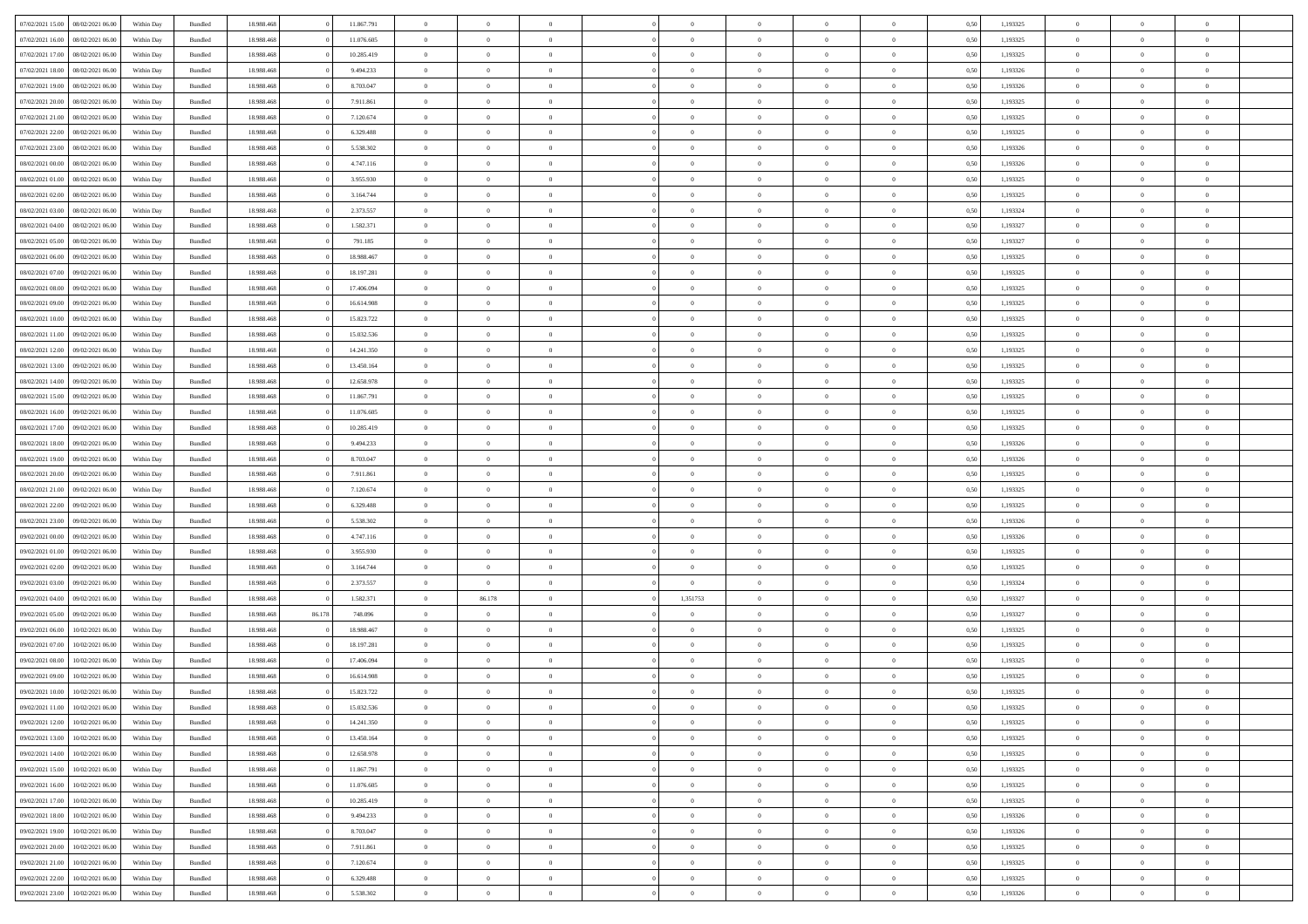|                  |                  |            |                    |            |        |            | $\overline{0}$ |                |                |                | $\Omega$       | $\Omega$       | $\theta$       |      |          | $\theta$       | $\overline{0}$ | $\theta$       |  |
|------------------|------------------|------------|--------------------|------------|--------|------------|----------------|----------------|----------------|----------------|----------------|----------------|----------------|------|----------|----------------|----------------|----------------|--|
| 07/02/2021 15:00 | 08/02/2021 06:00 | Within Day | Bundled            | 18.988.468 |        | 11.867.791 |                | $\theta$       |                | $\Omega$       |                |                |                | 0.50 | 1,193325 |                |                |                |  |
| 07/02/2021 16:00 | 08/02/2021 06:00 | Within Day | Bundled            | 18.988.468 |        | 11.076.605 | $\overline{0}$ | $\theta$       | $\overline{0}$ | $\overline{0}$ | $\bf{0}$       | $\overline{0}$ | $\overline{0}$ | 0,50 | 1,193325 | $\theta$       | $\overline{0}$ | $\overline{0}$ |  |
| 07/02/2021 17:00 | 08/02/2021 06:00 | Within Day | Bundled            | 18.988.468 |        | 10.285.419 | $\overline{0}$ | $\overline{0}$ | $\overline{0}$ | $\bf{0}$       | $\bf{0}$       | $\bf{0}$       | $\bf{0}$       | 0,50 | 1,193325 | $\bf{0}$       | $\overline{0}$ | $\overline{0}$ |  |
| 07/02/2021 18:00 | 08/02/2021 06:00 | Within Dav | Bundled            | 18.988.468 |        | 9.494.233  | $\overline{0}$ | $\overline{0}$ | $\overline{0}$ | $\overline{0}$ | $\bf{0}$       | $\overline{0}$ | $\overline{0}$ | 0.50 | 1,193326 | $\theta$       | $\theta$       | $\overline{0}$ |  |
|                  |                  |            |                    |            |        |            |                |                |                |                |                |                |                |      |          |                |                |                |  |
| 07/02/2021 19:00 | 08/02/2021 06:00 | Within Day | Bundled            | 18.988.468 |        | 8.703.047  | $\overline{0}$ | $\theta$       | $\overline{0}$ | $\overline{0}$ | $\bf{0}$       | $\overline{0}$ | $\bf{0}$       | 0,50 | 1,193326 | $\theta$       | $\theta$       | $\overline{0}$ |  |
| 07/02/2021 20.00 | 08/02/2021 06:00 | Within Day | Bundled            | 18.988.468 |        | 7.911.861  | $\overline{0}$ | $\bf{0}$       | $\overline{0}$ | $\bf{0}$       | $\overline{0}$ | $\overline{0}$ | $\mathbf{0}$   | 0,50 | 1,193325 | $\overline{0}$ | $\overline{0}$ | $\bf{0}$       |  |
| 07/02/2021 21:00 | 08/02/2021 06:00 | Within Dav | Bundled            | 18.988.468 |        | 7.120.674  | $\overline{0}$ | $\overline{0}$ | $\overline{0}$ | $\overline{0}$ | $\bf{0}$       | $\overline{0}$ | $\overline{0}$ | 0.50 | 1,193325 | $\theta$       | $\overline{0}$ | $\overline{0}$ |  |
| 07/02/2021 22.00 | 08/02/2021 06:00 | Within Day | Bundled            | 18.988.468 |        | 6.329.488  | $\overline{0}$ | $\theta$       | $\overline{0}$ | $\overline{0}$ | $\bf{0}$       | $\overline{0}$ | $\bf{0}$       | 0,50 | 1,193325 | $\theta$       | $\theta$       | $\overline{0}$ |  |
|                  |                  |            |                    |            |        |            |                | $\overline{0}$ |                |                | $\bf{0}$       |                |                |      |          | $\,0\,$        | $\overline{0}$ | $\overline{0}$ |  |
| 07/02/2021 23:00 | 08/02/2021 06:00 | Within Day | Bundled            | 18.988.468 |        | 5.538.302  | $\overline{0}$ |                | $\overline{0}$ | $\bf{0}$       |                | $\bf{0}$       | $\bf{0}$       | 0,50 | 1,193326 |                |                |                |  |
| 08/02/2021 00:00 | 08/02/2021 06:00 | Within Dav | Bundled            | 18.988.468 |        | 4.747.116  | $\overline{0}$ | $\overline{0}$ | $\overline{0}$ | $\overline{0}$ | $\overline{0}$ | $\overline{0}$ | $\overline{0}$ | 0.50 | 1,193326 | $\theta$       | $\overline{0}$ | $\overline{0}$ |  |
| 08/02/2021 01:00 | 08/02/2021 06:00 | Within Day | Bundled            | 18.988.468 |        | 3.955.930  | $\overline{0}$ | $\theta$       | $\overline{0}$ | $\overline{0}$ | $\bf{0}$       | $\overline{0}$ | $\bf{0}$       | 0,50 | 1,193325 | $\theta$       | $\theta$       | $\overline{0}$ |  |
| 08/02/2021 02:00 | 08/02/2021 06:00 | Within Day | Bundled            | 18.988.468 |        | 3.164.744  | $\overline{0}$ | $\overline{0}$ | $\overline{0}$ | $\bf{0}$       | $\bf{0}$       | $\bf{0}$       | $\bf{0}$       | 0,50 | 1,193325 | $\bf{0}$       | $\overline{0}$ | $\overline{0}$ |  |
| 08/02/2021 03:00 | 08/02/2021 06:00 | Within Dav | Bundled            | 18.988.468 |        | 2.373.557  | $\overline{0}$ | $\overline{0}$ | $\overline{0}$ | $\overline{0}$ | $\bf{0}$       | $\overline{0}$ | $\overline{0}$ | 0.50 | 1,193324 | $\theta$       | $\theta$       | $\overline{0}$ |  |
|                  |                  |            |                    |            |        |            |                |                |                |                |                |                |                |      |          |                |                |                |  |
| 08/02/2021 04:00 | 08/02/2021 06:00 | Within Day | Bundled            | 18.988.468 |        | 1.582.371  | $\overline{0}$ | $\theta$       | $\overline{0}$ | $\overline{0}$ | $\bf{0}$       | $\overline{0}$ | $\overline{0}$ | 0,50 | 1,193327 | $\theta$       | $\theta$       | $\overline{0}$ |  |
| 08/02/2021 05:00 | 08/02/2021 06:00 | Within Day | Bundled            | 18.988.468 |        | 791.185    | $\overline{0}$ | $\bf{0}$       | $\overline{0}$ | $\bf{0}$       | $\overline{0}$ | $\overline{0}$ | $\mathbf{0}$   | 0,50 | 1,193327 | $\overline{0}$ | $\overline{0}$ | $\bf{0}$       |  |
| 08/02/2021 06:00 | 09/02/2021 06:00 | Within Dav | Bundled            | 18.988.468 |        | 18.988.467 | $\overline{0}$ | $\overline{0}$ | $\overline{0}$ | $\overline{0}$ | $\overline{0}$ | $\overline{0}$ | $\overline{0}$ | 0.50 | 1,193325 | $\theta$       | $\overline{0}$ | $\overline{0}$ |  |
| 08/02/2021 07:00 | 09/02/2021 06:00 | Within Day | Bundled            | 18.988.468 |        | 18.197.281 | $\overline{0}$ | $\theta$       | $\overline{0}$ | $\overline{0}$ | $\bf{0}$       | $\overline{0}$ | $\bf{0}$       | 0,50 | 1,193325 | $\theta$       | $\theta$       | $\overline{0}$ |  |
| 08/02/2021 08:00 | 09/02/2021 06:00 | Within Day | Bundled            | 18.988.468 |        | 17.406.094 | $\overline{0}$ | $\overline{0}$ | $\overline{0}$ | $\bf{0}$       | $\bf{0}$       | $\bf{0}$       | $\bf{0}$       | 0,50 | 1,193325 | $\,0\,$        | $\overline{0}$ | $\overline{0}$ |  |
|                  |                  |            |                    |            |        |            |                |                |                |                |                |                |                |      |          |                |                |                |  |
| 08/02/2021 09:00 | 09/02/2021 06:00 | Within Day | Bundled            | 18.988.468 |        | 16.614.908 | $\overline{0}$ | $\overline{0}$ | $\overline{0}$ | $\overline{0}$ | $\overline{0}$ | $\overline{0}$ | $\overline{0}$ | 0.50 | 1,193325 | $\theta$       | $\overline{0}$ | $\overline{0}$ |  |
| 08/02/2021 10:00 | 09/02/2021 06.00 | Within Day | Bundled            | 18.988.468 |        | 15.823.722 | $\overline{0}$ | $\theta$       | $\overline{0}$ | $\overline{0}$ | $\bf{0}$       | $\overline{0}$ | $\bf{0}$       | 0,50 | 1,193325 | $\theta$       | $\theta$       | $\overline{0}$ |  |
| 08/02/2021 11:00 | 09/02/2021 06:00 | Within Day | Bundled            | 18.988.468 |        | 15.032.536 | $\overline{0}$ | $\overline{0}$ | $\overline{0}$ | $\bf{0}$       | $\bf{0}$       | $\bf{0}$       | $\bf{0}$       | 0,50 | 1,193325 | $\,0\,$        | $\overline{0}$ | $\overline{0}$ |  |
| 08/02/2021 12:00 | 09/02/2021 06:00 | Within Day | Bundled            | 18.988.468 |        | 14.241.350 | $\overline{0}$ | $\overline{0}$ | $\overline{0}$ | $\overline{0}$ | $\bf{0}$       | $\overline{0}$ | $\overline{0}$ | 0.50 | 1,193325 | $\theta$       | $\theta$       | $\overline{0}$ |  |
|                  |                  |            |                    |            |        |            | $\overline{0}$ | $\theta$       |                |                |                |                |                |      |          | $\theta$       | $\overline{0}$ |                |  |
| 08/02/2021 13:00 | 09/02/2021 06:00 | Within Day | Bundled            | 18.988.468 |        | 13.450.164 |                |                | $\overline{0}$ | $\overline{0}$ | $\bf{0}$       | $\overline{0}$ | $\bf{0}$       | 0,50 | 1,193325 |                |                | $\overline{0}$ |  |
| 08/02/2021 14:00 | 09/02/2021 06:00 | Within Day | Bundled            | 18.988.468 |        | 12.658.978 | $\overline{0}$ | $\overline{0}$ | $\overline{0}$ | $\bf{0}$       | $\overline{0}$ | $\overline{0}$ | $\mathbf{0}$   | 0,50 | 1,193325 | $\overline{0}$ | $\overline{0}$ | $\bf{0}$       |  |
| 08/02/2021 15:00 | 09/02/2021 06:00 | Within Dav | Bundled            | 18.988.468 |        | 11.867.791 | $\overline{0}$ | $\overline{0}$ | $\overline{0}$ | $\overline{0}$ | $\overline{0}$ | $\overline{0}$ | $\overline{0}$ | 0.50 | 1,193325 | $\theta$       | $\overline{0}$ | $\overline{0}$ |  |
| 08/02/2021 16:00 | 09/02/2021 06:00 | Within Day | Bundled            | 18.988.468 |        | 11.076.605 | $\overline{0}$ | $\theta$       | $\overline{0}$ | $\overline{0}$ | $\bf{0}$       | $\overline{0}$ | $\bf{0}$       | 0,50 | 1,193325 | $\theta$       | $\theta$       | $\overline{0}$ |  |
| 08/02/2021 17:00 | 09/02/2021 06:00 | Within Day | Bundled            | 18.988.468 |        | 10.285.419 | $\overline{0}$ | $\overline{0}$ | $\overline{0}$ | $\bf{0}$       | $\bf{0}$       | $\bf{0}$       | $\bf{0}$       | 0,50 | 1,193325 | $\,0\,$        | $\overline{0}$ | $\overline{0}$ |  |
|                  |                  |            |                    |            |        |            |                |                |                |                |                |                |                |      |          |                |                |                |  |
| 08/02/2021 18:00 | 09/02/2021 06:00 | Within Day | Bundled            | 18.988.468 |        | 9.494.233  | $\overline{0}$ | $\overline{0}$ | $\overline{0}$ | $\overline{0}$ | $\overline{0}$ | $\overline{0}$ | $\overline{0}$ | 0.50 | 1,193326 | $\theta$       | $\overline{0}$ | $\overline{0}$ |  |
| 08/02/2021 19:00 | 09/02/2021 06:00 | Within Day | Bundled            | 18.988.468 |        | 8.703.047  | $\overline{0}$ | $\theta$       | $\overline{0}$ | $\overline{0}$ | $\bf{0}$       | $\overline{0}$ | $\bf{0}$       | 0,50 | 1,193326 | $\,$ 0 $\,$    | $\theta$       | $\overline{0}$ |  |
| 08/02/2021 20:00 | 09/02/2021 06:00 | Within Day | Bundled            | 18.988.468 |        | 7.911.861  | $\overline{0}$ | $\overline{0}$ | $\overline{0}$ | $\bf{0}$       | $\bf{0}$       | $\bf{0}$       | $\bf{0}$       | 0,50 | 1,193325 | $\bf{0}$       | $\overline{0}$ | $\overline{0}$ |  |
| 08/02/2021 21:00 | 09/02/2021 06:00 | Within Day | Bundled            | 18.988.468 |        | 7.120.674  | $\overline{0}$ | $\Omega$       | $\Omega$       | $\Omega$       | $\Omega$       | $\overline{0}$ | $\overline{0}$ | 0.50 | 1,193325 | $\,0\,$        | $\theta$       | $\theta$       |  |
| 08/02/2021 22:00 | 09/02/2021 06:00 | Within Day | Bundled            | 18.988.468 |        | 6.329.488  | $\overline{0}$ | $\theta$       | $\overline{0}$ | $\overline{0}$ | $\bf{0}$       | $\overline{0}$ | $\bf{0}$       | 0,50 | 1,193325 | $\theta$       | $\theta$       | $\overline{0}$ |  |
|                  |                  |            |                    |            |        |            |                |                |                |                |                |                |                |      |          |                |                |                |  |
| 08/02/2021 23.00 | 09/02/2021 06:00 | Within Day | Bundled            | 18.988.468 |        | 5.538.302  | $\overline{0}$ | $\overline{0}$ | $\overline{0}$ | $\bf{0}$       | $\bf{0}$       | $\overline{0}$ | $\mathbf{0}$   | 0,50 | 1,193326 | $\overline{0}$ | $\overline{0}$ | $\bf{0}$       |  |
| 09/02/2021 00:00 | 09/02/2021 06:00 | Within Day | Bundled            | 18.988.468 |        | 4.747.116  | $\overline{0}$ | $\Omega$       | $\Omega$       | $\Omega$       | $\bf{0}$       | $\Omega$       | $\overline{0}$ | 0.50 | 1,193326 | $\theta$       | $\theta$       | $\theta$       |  |
| 09/02/2021 01:00 | 09/02/2021 06:00 | Within Day | Bundled            | 18.988.468 |        | 3.955.930  | $\overline{0}$ | $\theta$       | $\overline{0}$ | $\overline{0}$ | $\bf{0}$       | $\overline{0}$ | $\bf{0}$       | 0,50 | 1,193325 | $\theta$       | $\theta$       | $\overline{0}$ |  |
| 09/02/2021 02:00 | 09/02/2021 06:00 | Within Day | Bundled            | 18.988.468 |        | 3.164.744  | $\overline{0}$ | $\overline{0}$ | $\overline{0}$ | $\bf{0}$       | $\bf{0}$       | $\bf{0}$       | $\bf{0}$       | 0,50 | 1,193325 | $\,0\,$        | $\overline{0}$ | $\overline{0}$ |  |
|                  |                  |            |                    |            |        |            |                |                |                |                |                |                |                |      |          |                |                |                |  |
| 09/02/2021 03:00 | 09/02/2021 06:00 | Within Day | Bundled            | 18.988.468 |        | 2.373.557  | $\overline{0}$ | $\Omega$       | $\Omega$       | $\Omega$       | $\overline{0}$ | $\theta$       | $\overline{0}$ | 0.50 | 1,193324 | $\theta$       | $\theta$       | $\theta$       |  |
| 09/02/2021 04:00 | 09/02/2021 06:00 | Within Day | Bundled            | 18.988.468 |        | 1.582.371  | $\overline{0}$ | 86.178         | $\overline{0}$ | 1,351753       | $\bf{0}$       | $\overline{0}$ | $\bf{0}$       | 0,50 | 1,193327 | $\theta$       | $\theta$       | $\overline{0}$ |  |
| 09/02/2021 05:00 | 09/02/2021 06:00 | Within Day | Bundled            | 18.988.468 | 86.178 | 748.096    | $\overline{0}$ | $\overline{0}$ | $\overline{0}$ | $\bf{0}$       | $\bf{0}$       | $\bf{0}$       | $\bf{0}$       | 0,50 | 1,193327 | $\bf{0}$       | $\overline{0}$ | $\overline{0}$ |  |
| 09/02/2021 06:00 | 10/02/2021 06:00 | Within Day | Bundled            | 18.988.468 |        | 18.988.467 | $\overline{0}$ | $\Omega$       | $\Omega$       | $\Omega$       | $\Omega$       | $\overline{0}$ | $\overline{0}$ | 0.50 | 1,193325 | $\,0\,$        | $\theta$       | $\theta$       |  |
| 09/02/2021 07:00 | 10/02/2021 06:00 | Within Day | Bundled            | 18.988.468 |        | 18.197.281 | $\overline{0}$ | $\theta$       | $\overline{0}$ | $\overline{0}$ | $\bf{0}$       | $\overline{0}$ | $\bf{0}$       | 0,50 | 1,193325 | $\,$ 0 $\,$    | $\theta$       | $\overline{0}$ |  |
|                  |                  |            |                    |            |        |            |                |                |                |                |                |                |                |      |          |                |                |                |  |
| 09/02/2021 08:00 | 10/02/2021 06:00 | Within Day | Bundled            | 18.988.468 |        | 17.406.094 | $\overline{0}$ | $\overline{0}$ | $\overline{0}$ | $\bf{0}$       | $\bf{0}$       | $\bf{0}$       | $\mathbf{0}$   | 0,50 | 1,193325 | $\bf{0}$       | $\overline{0}$ | $\bf{0}$       |  |
| 09/02/2021 09:00 | 10/02/2021 06:00 | Within Day | Bundled            | 18.988.468 |        | 16.614.908 | $\overline{0}$ | $\Omega$       | $\Omega$       | $\Omega$       | $\Omega$       | $\Omega$       | $\overline{0}$ | 0.50 | 1,193325 | $\theta$       | $\theta$       | $\theta$       |  |
| 09/02/2021 10:00 | 10/02/2021 06:00 | Within Day | Bundled            | 18.988.468 |        | 15.823.722 | $\overline{0}$ | $\overline{0}$ | $\overline{0}$ | $\bf{0}$       | $\,$ 0         | $\bf{0}$       | $\bf{0}$       | 0,50 | 1,193325 | $\,0\,$        | $\overline{0}$ | $\overline{0}$ |  |
| 09/02/2021 11:00 | 10/02/2021 06:00 | Within Day | $\mathbf B$ undled | 18.988.468 |        | 15.032.536 | $\bf{0}$       | $\bf{0}$       |                |                | $\bf{0}$       |                |                | 0,50 | 1,193325 | $\bf{0}$       | $\overline{0}$ |                |  |
| 09/02/2021 12:00 | 10/02/2021 06:00 | Within Day | Bundled            | 18,988,468 |        | 14.241.350 | $\overline{0}$ | $\Omega$       | $\overline{0}$ | $\Omega$       | $\theta$       | $\overline{0}$ | $\overline{0}$ | 0,50 | 1,193325 | $\theta$       | $\theta$       | $\theta$       |  |
|                  |                  |            |                    |            |        |            |                | $\,$ 0         |                |                | $\,$ 0 $\,$    |                |                |      |          | $\,$ 0 $\,$    | $\overline{0}$ | $\,$ 0         |  |
| 09/02/2021 13:00 | 10/02/2021 06:00 | Within Day | Bundled            | 18.988.468 |        | 13.450.164 | $\overline{0}$ |                | $\overline{0}$ | $\bf{0}$       |                | $\overline{0}$ | $\mathbf{0}$   | 0,50 | 1,193325 |                |                |                |  |
| 09/02/2021 14:00 | 10/02/2021 06:00 | Within Day | Bundled            | 18.988.468 |        | 12.658.978 | $\overline{0}$ | $\overline{0}$ | $\overline{0}$ | $\overline{0}$ | $\overline{0}$ | $\overline{0}$ | $\mathbf{0}$   | 0,50 | 1,193325 | $\overline{0}$ | $\bf{0}$       | $\bf{0}$       |  |
| 09/02/2021 15:00 | 10/02/2021 06:00 | Within Day | Bundled            | 18.988.468 |        | 11.867.791 | $\overline{0}$ | $\theta$       | $\overline{0}$ | $\Omega$       | $\overline{0}$ | $\overline{0}$ | $\bf{0}$       | 0,50 | 1,193325 | $\bf{0}$       | $\theta$       | $\overline{0}$ |  |
| 09/02/2021 16:00 | 10/02/2021 06:00 | Within Day | Bundled            | 18.988.468 |        | 11.076.605 | $\overline{0}$ | $\,$ 0         | $\overline{0}$ | $\overline{0}$ | $\overline{0}$ | $\overline{0}$ | $\bf{0}$       | 0,50 | 1,193325 | $\,$ 0 $\,$    | $\overline{0}$ | $\overline{0}$ |  |
| 09/02/2021 17:00 | 10/02/2021 06:00 | Within Day | Bundled            | 18.988.468 |        | 10.285.419 | $\overline{0}$ | $\overline{0}$ | $\overline{0}$ | $\overline{0}$ | $\overline{0}$ | $\overline{0}$ | $\mathbf{0}$   | 0,50 | 1,193325 | $\overline{0}$ | $\bf{0}$       | $\bf{0}$       |  |
|                  |                  |            |                    |            |        |            |                |                |                |                |                |                |                |      |          |                |                |                |  |
| 09/02/2021 18:00 | 10/02/2021 06:00 | Within Day | Bundled            | 18.988.468 |        | 9.494.233  | $\overline{0}$ | $\overline{0}$ | $\overline{0}$ | $\Omega$       | $\overline{0}$ | $\overline{0}$ | $\bf{0}$       | 0.50 | 1,193326 | $\overline{0}$ | $\theta$       | $\overline{0}$ |  |
| 09/02/2021 19:00 | 10/02/2021 06:00 | Within Day | Bundled            | 18.988.468 |        | 8.703.047  | $\overline{0}$ | $\,$ 0         | $\overline{0}$ | $\bf{0}$       | $\bf{0}$       | $\bf{0}$       | $\bf{0}$       | 0,50 | 1,193326 | $\,$ 0 $\,$    | $\overline{0}$ | $\overline{0}$ |  |
| 09/02/2021 20:00 | 10/02/2021 06:00 | Within Day | Bundled            | 18.988.468 |        | 7.911.861  | $\overline{0}$ | $\bf{0}$       | $\overline{0}$ | $\overline{0}$ | $\overline{0}$ | $\overline{0}$ | $\mathbf{0}$   | 0,50 | 1,193325 | $\overline{0}$ | $\overline{0}$ | $\bf{0}$       |  |
| 09/02/2021 21:00 | 10/02/2021 06:00 | Within Day | Bundled            | 18,988,468 |        | 7.120.674  | $\overline{0}$ | $\overline{0}$ | $\overline{0}$ | $\Omega$       | $\overline{0}$ | $\overline{0}$ | $\bf{0}$       | 0.50 | 1,193325 | $\overline{0}$ | $\overline{0}$ | $\overline{0}$ |  |
| 09/02/2021 22.00 | 10/02/2021 06:00 | Within Day | Bundled            | 18.988.468 |        | 6.329.488  | $\overline{0}$ | $\bf{0}$       | $\overline{0}$ | $\overline{0}$ | $\bf{0}$       | $\bf{0}$       | $\bf{0}$       | 0,50 | 1,193325 | $\,$ 0 $\,$    | $\,$ 0 $\,$    | $\bf{0}$       |  |
|                  |                  |            |                    |            |        |            |                |                |                |                |                |                |                |      |          |                |                |                |  |
| 09/02/2021 23.00 | 10/02/2021 06:00 | Within Day | Bundled            | 18.988.468 |        | 5.538.302  | $\overline{0}$ | $\overline{0}$ | $\overline{0}$ | $\overline{0}$ | $\bf{0}$       | $\bf{0}$       | $\mathbf{0}$   | 0,50 | 1,193326 | $\overline{0}$ | $\bf{0}$       | $\bf{0}$       |  |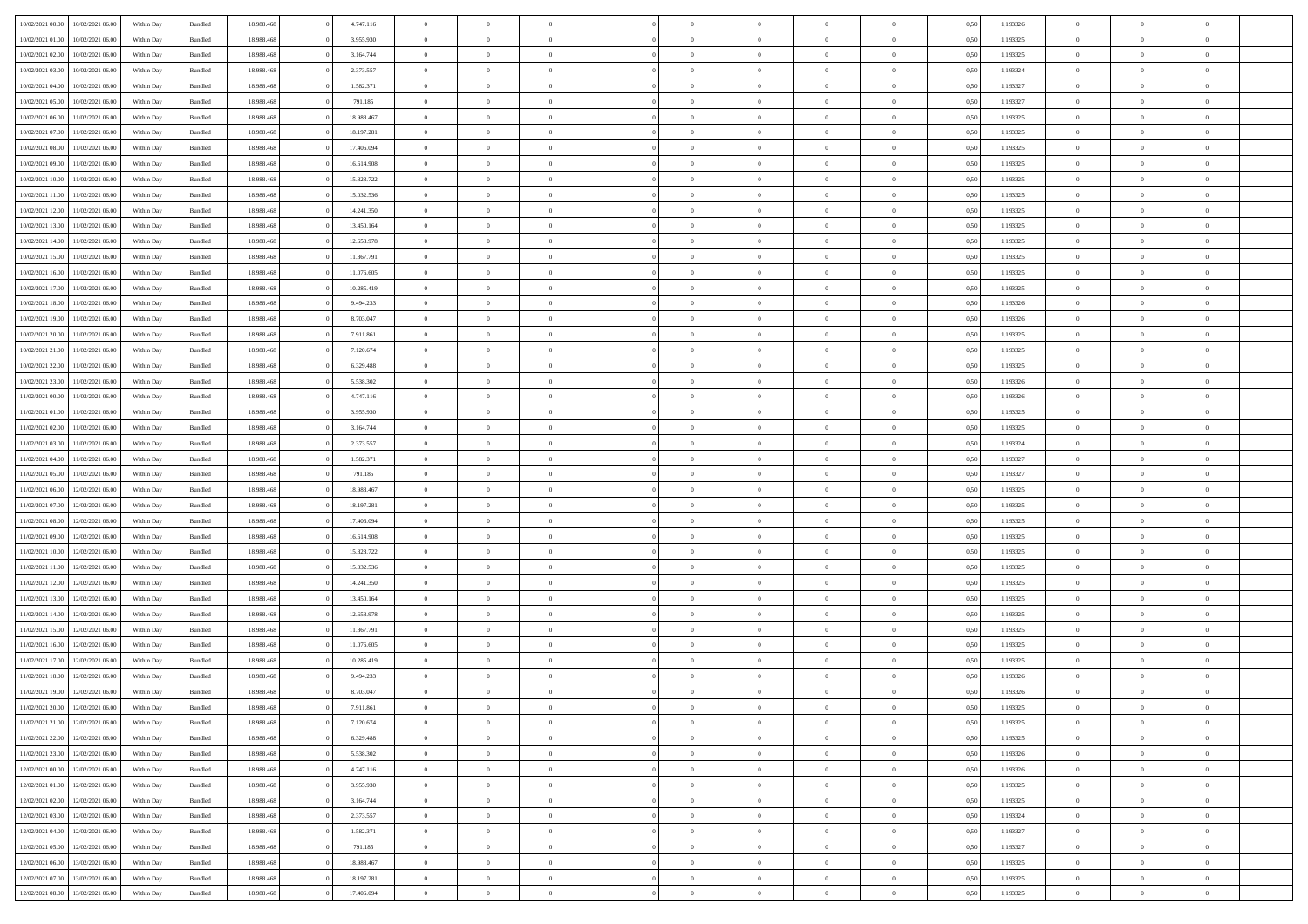|                  |                  |            |                    |            |            | $\overline{0}$ |                |                |                | $\Omega$       | $\Omega$       | $\theta$       |      |          | $\theta$       | $\overline{0}$ | $\theta$       |  |
|------------------|------------------|------------|--------------------|------------|------------|----------------|----------------|----------------|----------------|----------------|----------------|----------------|------|----------|----------------|----------------|----------------|--|
| 10/02/2021 00:00 | 10/02/2021 06:00 | Within Day | Bundled            | 18.988.468 | 4.747.116  |                | $\theta$       |                | $\Omega$       |                |                |                | 0.50 | 1,193326 |                |                |                |  |
| 10/02/2021 01:00 | 10/02/2021 06:00 | Within Day | Bundled            | 18.988.468 | 3.955.930  | $\overline{0}$ | $\theta$       | $\overline{0}$ | $\overline{0}$ | $\bf{0}$       | $\overline{0}$ | $\overline{0}$ | 0,50 | 1,193325 | $\theta$       | $\overline{0}$ | $\overline{0}$ |  |
| 10/02/2021 02:00 | 10/02/2021 06:00 | Within Day | Bundled            | 18.988.468 | 3.164.744  | $\overline{0}$ | $\overline{0}$ | $\overline{0}$ | $\bf{0}$       | $\bf{0}$       | $\bf{0}$       | $\bf{0}$       | 0,50 | 1,193325 | $\bf{0}$       | $\overline{0}$ | $\overline{0}$ |  |
| 10/02/2021 03:00 | 10/02/2021 06:00 | Within Dav | Bundled            | 18.988.468 | 2.373.557  | $\overline{0}$ | $\theta$       | $\overline{0}$ | $\overline{0}$ | $\bf{0}$       | $\overline{0}$ | $\overline{0}$ | 0.50 | 1,193324 | $\theta$       | $\theta$       | $\overline{0}$ |  |
|                  |                  |            |                    |            |            |                |                |                |                |                |                |                |      |          |                |                |                |  |
| 10/02/2021 04:00 | 10/02/2021 06:00 | Within Day | Bundled            | 18.988.468 | 1.582.371  | $\overline{0}$ | $\theta$       | $\overline{0}$ | $\overline{0}$ | $\bf{0}$       | $\overline{0}$ | $\bf{0}$       | 0,50 | 1,193327 | $\theta$       | $\theta$       | $\overline{0}$ |  |
| 10/02/2021 05:00 | 10/02/2021 06:00 | Within Day | Bundled            | 18.988.468 | 791.185    | $\overline{0}$ | $\bf{0}$       | $\overline{0}$ | $\bf{0}$       | $\overline{0}$ | $\overline{0}$ | $\mathbf{0}$   | 0,50 | 1,193327 | $\overline{0}$ | $\overline{0}$ | $\bf{0}$       |  |
| 10/02/2021 06:00 | 11/02/2021 06:00 | Within Dav | Bundled            | 18.988.468 | 18.988.467 | $\overline{0}$ | $\overline{0}$ | $\overline{0}$ | $\overline{0}$ | $\bf{0}$       | $\overline{0}$ | $\overline{0}$ | 0.50 | 1,193325 | $\theta$       | $\overline{0}$ | $\overline{0}$ |  |
| 10/02/2021 07:00 | 11/02/2021 06:00 | Within Day | Bundled            | 18.988.468 | 18.197.281 | $\overline{0}$ | $\theta$       | $\overline{0}$ | $\overline{0}$ | $\bf{0}$       | $\overline{0}$ | $\bf{0}$       | 0,50 | 1,193325 | $\theta$       | $\theta$       | $\overline{0}$ |  |
|                  |                  |            |                    |            |            |                | $\overline{0}$ |                |                | $\bf{0}$       |                |                |      |          | $\,0\,$        | $\overline{0}$ | $\overline{0}$ |  |
| 10/02/2021 08:00 | 11/02/2021 06:00 | Within Day | Bundled            | 18.988.468 | 17.406.094 | $\overline{0}$ |                | $\overline{0}$ | $\bf{0}$       |                | $\bf{0}$       | $\bf{0}$       | 0,50 | 1,193325 |                |                |                |  |
| 10/02/2021 09:00 | 11/02/2021 06:00 | Within Dav | Bundled            | 18.988.468 | 16.614.908 | $\overline{0}$ | $\overline{0}$ | $\overline{0}$ | $\overline{0}$ | $\overline{0}$ | $\overline{0}$ | $\overline{0}$ | 0.50 | 1,193325 | $\theta$       | $\overline{0}$ | $\overline{0}$ |  |
| 10/02/2021 10:00 | 11/02/2021 06:00 | Within Day | Bundled            | 18.988.468 | 15.823.722 | $\overline{0}$ | $\theta$       | $\overline{0}$ | $\overline{0}$ | $\bf{0}$       | $\overline{0}$ | $\bf{0}$       | 0,50 | 1,193325 | $\theta$       | $\theta$       | $\overline{0}$ |  |
| 10/02/2021 11:00 | 11/02/2021 06:00 | Within Day | Bundled            | 18.988.468 | 15.032.536 | $\overline{0}$ | $\overline{0}$ | $\overline{0}$ | $\bf{0}$       | $\bf{0}$       | $\bf{0}$       | $\bf{0}$       | 0,50 | 1,193325 | $\bf{0}$       | $\overline{0}$ | $\overline{0}$ |  |
| 10/02/2021 12:00 | 11/02/2021 06:00 | Within Day | Bundled            | 18.988.468 | 14.241.350 | $\overline{0}$ | $\theta$       | $\overline{0}$ | $\overline{0}$ | $\bf{0}$       | $\overline{0}$ | $\overline{0}$ | 0.50 | 1,193325 | $\theta$       | $\theta$       | $\overline{0}$ |  |
|                  |                  |            |                    |            |            | $\overline{0}$ | $\theta$       | $\overline{0}$ | $\overline{0}$ | $\bf{0}$       | $\overline{0}$ | $\overline{0}$ |      |          | $\theta$       | $\theta$       | $\overline{0}$ |  |
| 10/02/2021 13:00 | 11/02/2021 06:00 | Within Day | Bundled            | 18.988.468 | 13.450.164 |                |                |                |                |                |                |                | 0,50 | 1,193325 |                |                |                |  |
| 10/02/2021 14:00 | 11/02/2021 06:00 | Within Day | Bundled            | 18.988.468 | 12.658.978 | $\overline{0}$ | $\overline{0}$ | $\overline{0}$ | $\bf{0}$       | $\overline{0}$ | $\overline{0}$ | $\mathbf{0}$   | 0,50 | 1,193325 | $\overline{0}$ | $\overline{0}$ | $\bf{0}$       |  |
| 10/02/2021 15:00 | 11/02/2021 06:00 | Within Dav | Bundled            | 18.988.468 | 11.867.791 | $\overline{0}$ | $\overline{0}$ | $\overline{0}$ | $\overline{0}$ | $\bf{0}$       | $\overline{0}$ | $\overline{0}$ | 0.50 | 1,193325 | $\theta$       | $\overline{0}$ | $\overline{0}$ |  |
| 10/02/2021 16:00 | 11/02/2021 06:00 | Within Day | Bundled            | 18.988.468 | 11.076.605 | $\overline{0}$ | $\theta$       | $\overline{0}$ | $\overline{0}$ | $\bf{0}$       | $\overline{0}$ | $\bf{0}$       | 0,50 | 1,193325 | $\theta$       | $\theta$       | $\overline{0}$ |  |
| 10/02/2021 17:00 | 11/02/2021 06:00 | Within Day | Bundled            | 18.988.468 | 10.285.419 | $\overline{0}$ | $\overline{0}$ | $\overline{0}$ | $\bf{0}$       | $\bf{0}$       | $\bf{0}$       | $\bf{0}$       | 0,50 | 1,193325 | $\,0\,$        | $\overline{0}$ | $\overline{0}$ |  |
|                  |                  |            |                    |            |            |                |                |                |                |                |                |                |      |          |                |                |                |  |
| 10/02/2021 18:00 | 11/02/2021 06:00 | Within Day | Bundled            | 18.988.468 | 9.494.233  | $\overline{0}$ | $\overline{0}$ | $\overline{0}$ | $\overline{0}$ | $\overline{0}$ | $\overline{0}$ | $\overline{0}$ | 0.50 | 1,193326 | $\theta$       | $\overline{0}$ | $\overline{0}$ |  |
| 10/02/2021 19:00 | 11/02/2021 06:00 | Within Day | Bundled            | 18.988.468 | 8.703.047  | $\overline{0}$ | $\theta$       | $\overline{0}$ | $\overline{0}$ | $\bf{0}$       | $\overline{0}$ | $\bf{0}$       | 0,50 | 1,193326 | $\theta$       | $\theta$       | $\overline{0}$ |  |
| 10/02/2021 20:00 | 11/02/2021 06:00 | Within Day | Bundled            | 18.988.468 | 7.911.861  | $\overline{0}$ | $\overline{0}$ | $\overline{0}$ | $\bf{0}$       | $\bf{0}$       | $\bf{0}$       | $\bf{0}$       | 0,50 | 1,193325 | $\,0\,$        | $\overline{0}$ | $\overline{0}$ |  |
| 10/02/2021 21:00 | 11/02/2021 06:00 | Within Day | Bundled            | 18.988.468 | 7.120.674  | $\overline{0}$ | $\overline{0}$ | $\overline{0}$ | $\overline{0}$ | $\bf{0}$       | $\overline{0}$ | $\overline{0}$ | 0.50 | 1,193325 | $\theta$       | $\theta$       | $\overline{0}$ |  |
| 10/02/2021 22:00 | 11/02/2021 06:00 |            |                    | 18.988.468 | 6.329.488  | $\overline{0}$ | $\theta$       | $\overline{0}$ | $\overline{0}$ | $\bf{0}$       | $\overline{0}$ |                |      | 1,193325 | $\theta$       | $\overline{0}$ | $\overline{0}$ |  |
|                  |                  | Within Day | Bundled            |            |            |                |                |                |                |                |                | $\bf{0}$       | 0,50 |          |                |                |                |  |
| 10/02/2021 23:00 | 11/02/2021 06:00 | Within Day | Bundled            | 18.988.468 | 5.538.302  | $\overline{0}$ | $\overline{0}$ | $\overline{0}$ | $\bf{0}$       | $\overline{0}$ | $\overline{0}$ | $\mathbf{0}$   | 0,50 | 1,193326 | $\overline{0}$ | $\overline{0}$ | $\bf{0}$       |  |
| 11/02/2021 00:00 | 11/02/2021 06:00 | Within Dav | Bundled            | 18.988.468 | 4.747.116  | $\overline{0}$ | $\overline{0}$ | $\overline{0}$ | $\overline{0}$ | $\overline{0}$ | $\overline{0}$ | $\overline{0}$ | 0.50 | 1,193326 | $\theta$       | $\overline{0}$ | $\overline{0}$ |  |
| 11/02/2021 01:00 | 11/02/2021 06:00 | Within Day | Bundled            | 18.988.468 | 3.955.930  | $\overline{0}$ | $\theta$       | $\overline{0}$ | $\overline{0}$ | $\bf{0}$       | $\overline{0}$ | $\bf{0}$       | 0,50 | 1,193325 | $\theta$       | $\theta$       | $\overline{0}$ |  |
| 11/02/2021 02:00 | 11/02/2021 06:00 | Within Day | Bundled            | 18.988.468 | 3.164.744  | $\overline{0}$ | $\overline{0}$ | $\overline{0}$ | $\bf{0}$       | $\bf{0}$       | $\bf{0}$       | $\bf{0}$       | 0,50 | 1,193325 | $\,0\,$        | $\overline{0}$ | $\overline{0}$ |  |
|                  | 11/02/2021 06:00 |            | Bundled            | 18.988.468 | 2.373.557  | $\overline{0}$ | $\overline{0}$ | $\overline{0}$ | $\overline{0}$ | $\overline{0}$ | $\overline{0}$ | $\overline{0}$ | 0.50 | 1,193324 | $\theta$       | $\overline{0}$ | $\overline{0}$ |  |
| 11/02/2021 03:00 |                  | Within Day |                    |            |            |                |                |                |                |                |                |                |      |          |                |                |                |  |
| 11/02/2021 04:00 | 11/02/2021 06:00 | Within Day | Bundled            | 18.988.468 | 1.582.371  | $\overline{0}$ | $\theta$       | $\overline{0}$ | $\overline{0}$ | $\bf{0}$       | $\overline{0}$ | $\bf{0}$       | 0,50 | 1,193327 | $\,$ 0 $\,$    | $\theta$       | $\overline{0}$ |  |
| 11/02/2021 05:00 | 11/02/2021 06:00 | Within Day | Bundled            | 18.988.468 | 791.185    | $\overline{0}$ | $\overline{0}$ | $\overline{0}$ | $\bf{0}$       | $\bf{0}$       | $\bf{0}$       | $\bf{0}$       | 0,50 | 1,193327 | $\bf{0}$       | $\overline{0}$ | $\overline{0}$ |  |
| 11/02/2021 06:00 | 12/02/2021 06:00 | Within Day | Bundled            | 18.988.468 | 18.988.467 | $\overline{0}$ | $\Omega$       | $\Omega$       | $\Omega$       | $\Omega$       | $\overline{0}$ | $\overline{0}$ | 0.50 | 1,193325 | $\,0\,$        | $\Omega$       | $\theta$       |  |
| 11/02/2021 07:00 | 12/02/2021 06:00 | Within Day | Bundled            | 18.988.468 | 18.197.281 | $\overline{0}$ | $\theta$       | $\overline{0}$ | $\overline{0}$ | $\bf{0}$       | $\overline{0}$ | $\bf{0}$       | 0,50 | 1,193325 | $\theta$       | $\theta$       | $\overline{0}$ |  |
|                  |                  |            |                    |            |            |                |                |                |                |                |                |                |      |          |                |                |                |  |
| 11/02/2021 08:00 | 12/02/2021 06:00 | Within Day | Bundled            | 18.988.468 | 17.406.094 | $\overline{0}$ | $\bf{0}$       | $\overline{0}$ | $\bf{0}$       | $\bf{0}$       | $\overline{0}$ | $\mathbf{0}$   | 0,50 | 1,193325 | $\overline{0}$ | $\overline{0}$ | $\bf{0}$       |  |
| 11/02/2021 09:00 | 12/02/2021 06:00 | Within Day | Bundled            | 18.988.468 | 16.614.908 | $\overline{0}$ | $\Omega$       | $\Omega$       | $\Omega$       | $\Omega$       | $\Omega$       | $\overline{0}$ | 0.50 | 1,193325 | $\theta$       | $\theta$       | $\theta$       |  |
| 11/02/2021 10:00 | 12/02/2021 06:00 | Within Day | Bundled            | 18.988.468 | 15.823.722 | $\overline{0}$ | $\theta$       | $\overline{0}$ | $\overline{0}$ | $\bf{0}$       | $\overline{0}$ | $\bf{0}$       | 0,50 | 1,193325 | $\theta$       | $\theta$       | $\overline{0}$ |  |
| 11/02/2021 11:00 | 12/02/2021 06:00 | Within Day | Bundled            | 18.988.468 | 15.032.536 | $\overline{0}$ | $\overline{0}$ | $\overline{0}$ | $\bf{0}$       | $\bf{0}$       | $\bf{0}$       | $\bf{0}$       | 0,50 | 1,193325 | $\,0\,$        | $\overline{0}$ | $\overline{0}$ |  |
| 11/02/2021 12:00 | 12/02/2021 06:00 | Within Day | Bundled            | 18.988.468 | 14.241.350 | $\overline{0}$ | $\Omega$       | $\Omega$       | $\Omega$       | $\Omega$       | $\theta$       | $\overline{0}$ | 0.50 | 1,193325 | $\theta$       | $\theta$       | $\theta$       |  |
|                  |                  |            |                    |            |            |                |                |                |                |                |                |                |      |          |                |                |                |  |
| 11/02/2021 13:00 | 12/02/2021 06:00 | Within Day | Bundled            | 18.988.468 | 13.450.164 | $\overline{0}$ | $\theta$       | $\overline{0}$ | $\overline{0}$ | $\bf{0}$       | $\overline{0}$ | $\bf{0}$       | 0,50 | 1,193325 | $\theta$       | $\theta$       | $\overline{0}$ |  |
| 11/02/2021 14:00 | 12/02/2021 06:00 | Within Day | Bundled            | 18.988.468 | 12.658.978 | $\overline{0}$ | $\overline{0}$ | $\overline{0}$ | $\bf{0}$       | $\bf{0}$       | $\bf{0}$       | $\bf{0}$       | 0,50 | 1,193325 | $\,0\,$        | $\overline{0}$ | $\overline{0}$ |  |
| 11/02/2021 15:00 | 12/02/2021 06:00 | Within Day | Bundled            | 18.988.468 | 11.867.791 | $\overline{0}$ | $\Omega$       | $\Omega$       | $\Omega$       | $\Omega$       | $\overline{0}$ | $\overline{0}$ | 0.50 | 1,193325 | $\,0\,$        | $\theta$       | $\theta$       |  |
| 11/02/2021 16:00 | 12/02/2021 06:00 | Within Day | Bundled            | 18.988.468 | 11.076.605 | $\overline{0}$ | $\theta$       | $\overline{0}$ | $\overline{0}$ | $\bf{0}$       | $\overline{0}$ | $\bf{0}$       | 0,50 | 1,193325 | $\,$ 0 $\,$    | $\theta$       | $\overline{0}$ |  |
| 11/02/2021 17:00 | 12/02/2021 06:00 | Within Day | Bundled            | 18.988.468 | 10.285.419 | $\overline{0}$ | $\overline{0}$ | $\overline{0}$ | $\overline{0}$ | $\bf{0}$       | $\overline{0}$ | $\mathbf{0}$   | 0,50 | 1,193325 | $\overline{0}$ | $\overline{0}$ | $\bf{0}$       |  |
|                  |                  |            |                    |            |            |                |                |                |                |                |                |                |      |          |                |                |                |  |
| 11/02/2021 18:00 | 12/02/2021 06:00 | Within Day | Bundled            | 18.988.468 | 9.494.233  | $\overline{0}$ | $\Omega$       | $\Omega$       | $\Omega$       | $\Omega$       | $\Omega$       | $\overline{0}$ | 0.50 | 1,193326 | $\theta$       | $\theta$       | $\theta$       |  |
| 11/02/2021 19:00 | 12/02/2021 06:00 | Within Day | Bundled            | 18.988.468 | 8.703.047  | $\overline{0}$ | $\,$ 0 $\,$    | $\overline{0}$ | $\bf{0}$       | $\,$ 0         | $\overline{0}$ | $\bf{0}$       | 0,50 | 1,193326 | $\,0\,$        | $\overline{0}$ | $\overline{0}$ |  |
| 11/02/2021 20:00 | 12/02/2021 06:00 | Within Day | $\mathbf B$ undled | 18.988.468 | 7.911.861  | $\bf{0}$       | $\bf{0}$       |                |                | $\bf{0}$       |                |                | 0,50 | 1,193325 | $\bf{0}$       | $\overline{0}$ |                |  |
| 11/02/2021 21:00 | 12/02/2021 06:00 | Within Day | Bundled            | 18,988,468 | 7.120.674  | $\overline{0}$ | $\overline{0}$ | $\overline{0}$ | $\Omega$       | $\overline{0}$ | $\overline{0}$ | $\overline{0}$ | 0,50 | 1,193325 | $\theta$       | $\theta$       | $\theta$       |  |
| 11/02/2021 22.00 | 12/02/2021 06:00 | Within Day | Bundled            | 18.988.468 | 6.329.488  | $\overline{0}$ | $\,$ 0         | $\overline{0}$ | $\overline{0}$ | $\,$ 0 $\,$    | $\overline{0}$ | $\mathbf{0}$   | 0,50 | 1,193325 | $\,$ 0 $\,$    | $\,$ 0 $\,$    | $\,$ 0         |  |
|                  |                  |            |                    |            |            |                |                |                |                |                |                |                |      |          |                |                |                |  |
| 11/02/2021 23:00 | 12/02/2021 06:00 | Within Day | Bundled            | 18.988.468 | 5.538.302  | $\overline{0}$ | $\overline{0}$ | $\overline{0}$ | $\overline{0}$ | $\overline{0}$ | $\overline{0}$ | $\mathbf{0}$   | 0,50 | 1,193326 | $\overline{0}$ | $\bf{0}$       | $\bf{0}$       |  |
| 12/02/2021 00:00 | 12/02/2021 06:00 | Within Day | Bundled            | 18.988.468 | 4.747.116  | $\overline{0}$ | $\overline{0}$ | $\overline{0}$ | $\Omega$       | $\overline{0}$ | $\overline{0}$ | $\overline{0}$ | 0,50 | 1,193326 | $\overline{0}$ | $\theta$       | $\overline{0}$ |  |
| 12/02/2021 01:00 | 12/02/2021 06:00 | Within Day | Bundled            | 18.988.468 | 3.955.930  | $\overline{0}$ | $\,$ 0         | $\overline{0}$ | $\overline{0}$ | $\,$ 0 $\,$    | $\overline{0}$ | $\mathbf{0}$   | 0,50 | 1,193325 | $\,$ 0 $\,$    | $\overline{0}$ | $\overline{0}$ |  |
| 12/02/2021 02:00 | 12/02/2021 06:00 | Within Day | Bundled            | 18.988.468 | 3.164.744  | $\overline{0}$ | $\overline{0}$ | $\overline{0}$ | $\overline{0}$ | $\overline{0}$ | $\overline{0}$ | $\mathbf{0}$   | 0,50 | 1,193325 | $\overline{0}$ | $\overline{0}$ | $\bf{0}$       |  |
| 12/02/2021 03:00 | 12/02/2021 06:00 | Within Day | Bundled            | 18.988.468 | 2.373.557  | $\overline{0}$ | $\overline{0}$ | $\overline{0}$ | $\Omega$       | $\overline{0}$ | $\overline{0}$ | $\bf{0}$       | 0.50 | 1,193324 | $\overline{0}$ | $\theta$       | $\overline{0}$ |  |
|                  |                  |            |                    |            |            |                |                |                |                |                |                |                |      |          |                |                |                |  |
| 12/02/2021 04:00 | 12/02/2021 06:00 | Within Day | Bundled            | 18.988.468 | 1.582.371  | $\overline{0}$ | $\,$ 0         | $\overline{0}$ | $\overline{0}$ | $\bf{0}$       | $\overline{0}$ | $\bf{0}$       | 0,50 | 1,193327 | $\,$ 0 $\,$    | $\overline{0}$ | $\overline{0}$ |  |
| 12/02/2021 05:00 | 12/02/2021 06:00 | Within Day | Bundled            | 18.988.468 | 791.185    | $\overline{0}$ | $\bf{0}$       | $\overline{0}$ | $\overline{0}$ | $\overline{0}$ | $\overline{0}$ | $\mathbf{0}$   | 0,50 | 1,193327 | $\overline{0}$ | $\overline{0}$ | $\bf{0}$       |  |
| 12/02/2021 06:00 | 13/02/2021 06:00 | Within Day | Bundled            | 18,988,468 | 18.988.467 | $\overline{0}$ | $\overline{0}$ | $\overline{0}$ | $\Omega$       | $\overline{0}$ | $\overline{0}$ | $\bf{0}$       | 0.50 | 1,193325 | $\overline{0}$ | $\overline{0}$ | $\overline{0}$ |  |
| 12/02/2021 07:00 | 13/02/2021 06:00 | Within Day | Bundled            | 18.988.468 | 18.197.281 | $\overline{0}$ | $\bf{0}$       | $\overline{0}$ | $\overline{0}$ | $\bf{0}$       | $\overline{0}$ | $\mathbf{0}$   | 0,50 | 1,193325 | $\,$ 0 $\,$    | $\,$ 0 $\,$    | $\bf{0}$       |  |
|                  |                  |            |                    |            |            |                |                |                |                |                |                |                |      |          |                |                |                |  |
| 12/02/2021 08:00 | 13/02/2021 06:00 | Within Day | Bundled            | 18.988.468 | 17.406.094 | $\overline{0}$ | $\overline{0}$ | $\overline{0}$ | $\overline{0}$ | $\bf{0}$       | $\overline{0}$ | $\mathbf{0}$   | 0,50 | 1,193325 | $\overline{0}$ | $\bf{0}$       | $\bf{0}$       |  |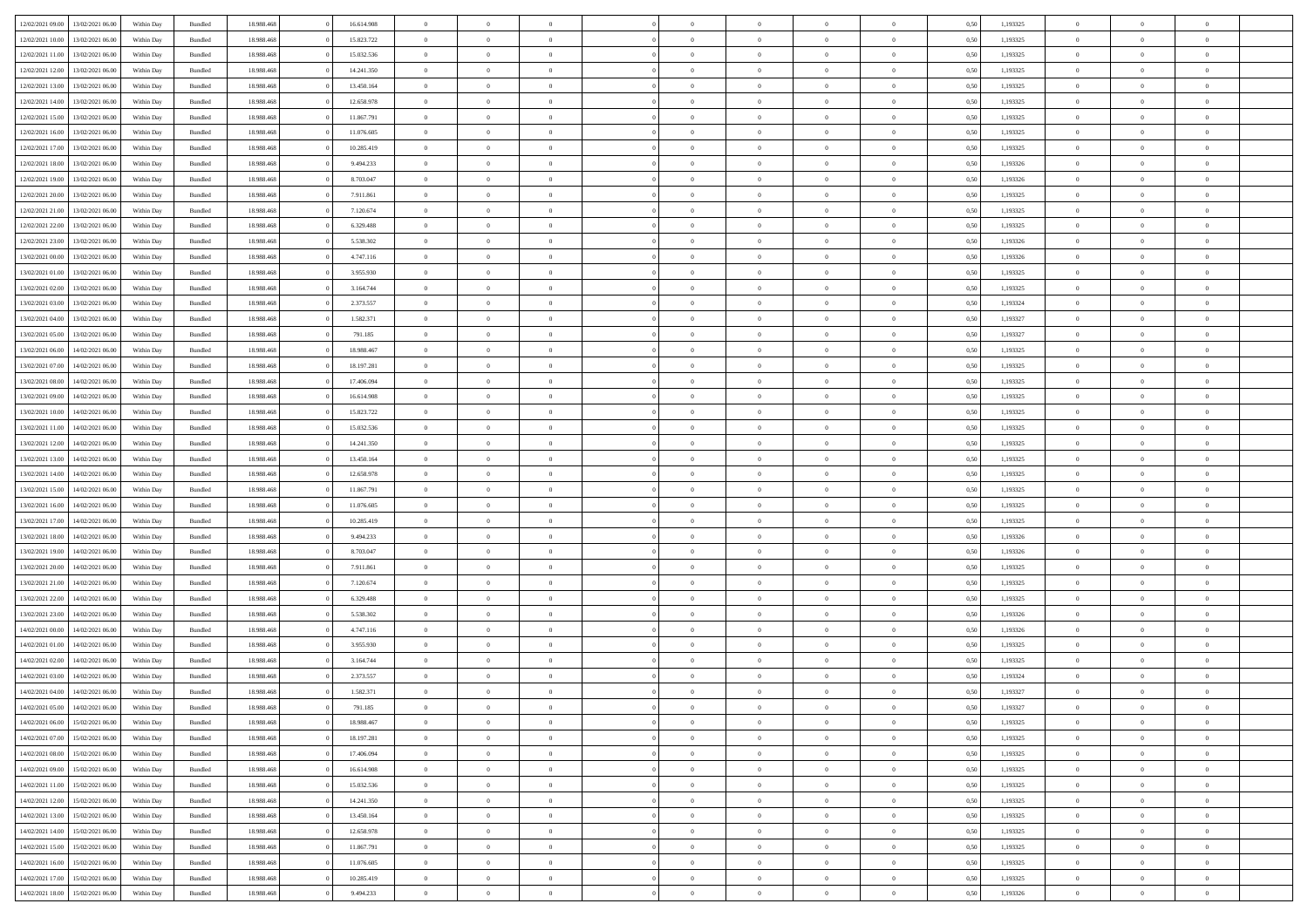|                  |                  |            |                    |            |            | $\overline{0}$ |                |                |                | $\Omega$       | $\Omega$       | $\theta$       |      |          | $\theta$       | $\overline{0}$ | $\theta$       |  |
|------------------|------------------|------------|--------------------|------------|------------|----------------|----------------|----------------|----------------|----------------|----------------|----------------|------|----------|----------------|----------------|----------------|--|
| 12/02/2021 09:00 | 13/02/2021 06:00 | Within Day | Bundled            | 18.988.468 | 16.614.908 |                | $\theta$       |                | $\Omega$       |                |                |                | 0.50 | 1,193325 |                |                |                |  |
| 12/02/2021 10:00 | 13/02/2021 06:00 | Within Day | Bundled            | 18.988.468 | 15.823.722 | $\overline{0}$ | $\theta$       | $\overline{0}$ | $\overline{0}$ | $\bf{0}$       | $\overline{0}$ | $\overline{0}$ | 0,50 | 1,193325 | $\theta$       | $\overline{0}$ | $\overline{0}$ |  |
| 12/02/2021 11:00 | 13/02/2021 06:00 | Within Day | Bundled            | 18.988.468 | 15.032.536 | $\overline{0}$ | $\overline{0}$ | $\overline{0}$ | $\bf{0}$       | $\bf{0}$       | $\bf{0}$       | $\bf{0}$       | 0,50 | 1,193325 | $\bf{0}$       | $\overline{0}$ | $\overline{0}$ |  |
| 12/02/2021 12:00 | 13/02/2021 06:00 | Within Dav | Bundled            | 18.988.468 | 14.241.350 | $\overline{0}$ | $\theta$       | $\overline{0}$ | $\overline{0}$ | $\bf{0}$       | $\overline{0}$ | $\overline{0}$ | 0.50 | 1,193325 | $\theta$       | $\theta$       | $\overline{0}$ |  |
|                  |                  |            |                    |            |            |                |                |                |                |                |                |                |      |          |                |                |                |  |
| 12/02/2021 13:00 | 13/02/2021 06:00 | Within Day | Bundled            | 18.988.468 | 13.450.164 | $\overline{0}$ | $\theta$       | $\overline{0}$ | $\overline{0}$ | $\bf{0}$       | $\overline{0}$ | $\bf{0}$       | 0,50 | 1,193325 | $\theta$       | $\theta$       | $\overline{0}$ |  |
| 12/02/2021 14:00 | 13/02/2021 06:00 | Within Day | Bundled            | 18.988.468 | 12.658.978 | $\overline{0}$ | $\bf{0}$       | $\overline{0}$ | $\bf{0}$       | $\overline{0}$ | $\overline{0}$ | $\mathbf{0}$   | 0,50 | 1,193325 | $\overline{0}$ | $\overline{0}$ | $\bf{0}$       |  |
| 12/02/2021 15:00 | 13/02/2021 06:00 | Within Dav | Bundled            | 18.988.468 | 11.867.791 | $\overline{0}$ | $\overline{0}$ | $\overline{0}$ | $\overline{0}$ | $\bf{0}$       | $\overline{0}$ | $\overline{0}$ | 0.50 | 1,193325 | $\theta$       | $\overline{0}$ | $\overline{0}$ |  |
| 12/02/2021 16:00 | 13/02/2021 06:00 | Within Day | Bundled            | 18.988.468 | 11.076.605 | $\overline{0}$ | $\theta$       | $\overline{0}$ | $\overline{0}$ | $\bf{0}$       | $\overline{0}$ | $\bf{0}$       | 0,50 | 1,193325 | $\theta$       | $\theta$       | $\overline{0}$ |  |
| 12/02/2021 17:00 | 13/02/2021 06:00 | Within Day | Bundled            | 18.988.468 | 10.285.419 | $\overline{0}$ | $\overline{0}$ | $\overline{0}$ | $\bf{0}$       | $\bf{0}$       | $\bf{0}$       | $\bf{0}$       | 0,50 | 1,193325 | $\,0\,$        | $\overline{0}$ | $\overline{0}$ |  |
|                  |                  |            |                    |            |            |                |                |                |                |                |                |                |      |          |                |                |                |  |
| 12/02/2021 18:00 | 13/02/2021 06:00 | Within Dav | Bundled            | 18.988.468 | 9.494.233  | $\overline{0}$ | $\overline{0}$ | $\overline{0}$ | $\overline{0}$ | $\overline{0}$ | $\overline{0}$ | $\overline{0}$ | 0.50 | 1,193326 | $\theta$       | $\overline{0}$ | $\overline{0}$ |  |
| 12/02/2021 19:00 | 13/02/2021 06:00 | Within Day | Bundled            | 18.988.468 | 8.703.047  | $\overline{0}$ | $\theta$       | $\overline{0}$ | $\overline{0}$ | $\bf{0}$       | $\overline{0}$ | $\bf{0}$       | 0,50 | 1,193326 | $\theta$       | $\theta$       | $\overline{0}$ |  |
| 12/02/2021 20:00 | 13/02/2021 06:00 | Within Day | Bundled            | 18.988.468 | 7.911.861  | $\overline{0}$ | $\overline{0}$ | $\overline{0}$ | $\bf{0}$       | $\bf{0}$       | $\bf{0}$       | $\bf{0}$       | 0,50 | 1,193325 | $\bf{0}$       | $\overline{0}$ | $\overline{0}$ |  |
| 12/02/2021 21:00 | 13/02/2021 06:00 | Within Day | Bundled            | 18.988.468 | 7.120.674  | $\overline{0}$ | $\theta$       | $\overline{0}$ | $\overline{0}$ | $\bf{0}$       | $\overline{0}$ | $\overline{0}$ | 0.50 | 1,193325 | $\theta$       | $\theta$       | $\overline{0}$ |  |
| 12/02/2021 22:00 | 13/02/2021 06:00 | Within Day | Bundled            | 18.988.468 | 6.329.488  | $\overline{0}$ | $\theta$       | $\overline{0}$ | $\overline{0}$ | $\bf{0}$       | $\overline{0}$ | $\overline{0}$ | 0,50 | 1,193325 | $\theta$       | $\theta$       | $\overline{0}$ |  |
|                  |                  |            |                    |            |            |                |                |                |                |                |                |                |      |          |                |                |                |  |
| 12/02/2021 23:00 | 13/02/2021 06:00 | Within Day | Bundled            | 18.988.468 | 5.538.302  | $\overline{0}$ | $\overline{0}$ | $\overline{0}$ | $\bf{0}$       | $\overline{0}$ | $\overline{0}$ | $\mathbf{0}$   | 0,50 | 1,193326 | $\overline{0}$ | $\overline{0}$ | $\bf{0}$       |  |
| 13/02/2021 00:00 | 13/02/2021 06:00 | Within Dav | Bundled            | 18.988.468 | 4.747.116  | $\overline{0}$ | $\overline{0}$ | $\overline{0}$ | $\overline{0}$ | $\bf{0}$       | $\overline{0}$ | $\overline{0}$ | 0.50 | 1,193326 | $\theta$       | $\overline{0}$ | $\overline{0}$ |  |
| 13/02/2021 01:00 | 13/02/2021 06:00 | Within Day | Bundled            | 18.988.468 | 3.955.930  | $\overline{0}$ | $\theta$       | $\overline{0}$ | $\overline{0}$ | $\bf{0}$       | $\overline{0}$ | $\bf{0}$       | 0,50 | 1,193325 | $\theta$       | $\theta$       | $\overline{0}$ |  |
| 13/02/2021 02:00 | 13/02/2021 06:00 | Within Day | Bundled            | 18.988.468 | 3.164.744  | $\overline{0}$ | $\overline{0}$ | $\overline{0}$ | $\bf{0}$       | $\bf{0}$       | $\bf{0}$       | $\bf{0}$       | 0,50 | 1,193325 | $\,0\,$        | $\overline{0}$ | $\overline{0}$ |  |
| 13/02/2021 03:00 | 13/02/2021 06:00 | Within Day | Bundled            | 18.988.468 | 2.373.557  | $\overline{0}$ | $\overline{0}$ | $\overline{0}$ | $\overline{0}$ | $\overline{0}$ | $\overline{0}$ | $\overline{0}$ | 0.50 | 1,193324 | $\theta$       | $\overline{0}$ | $\overline{0}$ |  |
|                  |                  |            |                    |            |            |                |                |                |                |                |                |                |      |          |                |                |                |  |
| 13/02/2021 04:00 | 13/02/2021 06:00 | Within Day | Bundled            | 18.988.468 | 1.582.371  | $\overline{0}$ | $\theta$       | $\overline{0}$ | $\overline{0}$ | $\bf{0}$       | $\overline{0}$ | $\bf{0}$       | 0,50 | 1,193327 | $\theta$       | $\theta$       | $\overline{0}$ |  |
| 13/02/2021 05:00 | 13/02/2021 06:00 | Within Day | Bundled            | 18.988.468 | 791.185    | $\overline{0}$ | $\overline{0}$ | $\overline{0}$ | $\bf{0}$       | $\bf{0}$       | $\bf{0}$       | $\bf{0}$       | 0,50 | 1,193327 | $\,0\,$        | $\overline{0}$ | $\overline{0}$ |  |
| 13/02/2021 06:00 | 14/02/2021 06:00 | Within Day | Bundled            | 18.988.468 | 18.988.467 | $\overline{0}$ | $\overline{0}$ | $\overline{0}$ | $\overline{0}$ | $\bf{0}$       | $\overline{0}$ | $\overline{0}$ | 0.50 | 1,193325 | $\theta$       | $\theta$       | $\overline{0}$ |  |
| 13/02/2021 07:00 | 14/02/2021 06:00 | Within Day | Bundled            | 18.988.468 | 18.197.281 | $\overline{0}$ | $\theta$       | $\overline{0}$ | $\overline{0}$ | $\bf{0}$       | $\overline{0}$ | $\bf{0}$       | 0,50 | 1,193325 | $\theta$       | $\overline{0}$ | $\overline{0}$ |  |
|                  |                  |            |                    |            |            |                |                |                |                |                |                |                |      |          |                |                |                |  |
| 13/02/2021 08:00 | 14/02/2021 06:00 | Within Day | Bundled            | 18.988.468 | 17.406.094 | $\overline{0}$ | $\overline{0}$ | $\overline{0}$ | $\bf{0}$       | $\overline{0}$ | $\overline{0}$ | $\mathbf{0}$   | 0,50 | 1,193325 | $\overline{0}$ | $\overline{0}$ | $\bf{0}$       |  |
| 13/02/2021 09:00 | 14/02/2021 06:00 | Within Dav | Bundled            | 18.988.468 | 16.614.908 | $\overline{0}$ | $\overline{0}$ | $\overline{0}$ | $\overline{0}$ | $\overline{0}$ | $\overline{0}$ | $\overline{0}$ | 0.50 | 1,193325 | $\theta$       | $\overline{0}$ | $\overline{0}$ |  |
| 13/02/2021 10:00 | 14/02/2021 06:00 | Within Day | Bundled            | 18.988.468 | 15.823.722 | $\overline{0}$ | $\theta$       | $\overline{0}$ | $\overline{0}$ | $\bf{0}$       | $\overline{0}$ | $\bf{0}$       | 0,50 | 1,193325 | $\theta$       | $\theta$       | $\overline{0}$ |  |
| 13/02/2021 11:00 | 14/02/2021 06:00 | Within Day | Bundled            | 18.988.468 | 15.032.536 | $\overline{0}$ | $\overline{0}$ | $\overline{0}$ | $\bf{0}$       | $\bf{0}$       | $\bf{0}$       | $\bf{0}$       | 0,50 | 1,193325 | $\,0\,$        | $\overline{0}$ | $\overline{0}$ |  |
| 13/02/2021 12:00 | 14/02/2021 06:00 | Within Day | Bundled            | 18.988.468 | 14.241.350 | $\overline{0}$ | $\overline{0}$ | $\overline{0}$ | $\overline{0}$ | $\overline{0}$ | $\overline{0}$ | $\overline{0}$ | 0.50 | 1,193325 | $\theta$       | $\overline{0}$ | $\overline{0}$ |  |
|                  |                  |            |                    |            |            |                |                |                |                |                |                |                |      |          |                |                |                |  |
| 13/02/2021 13:00 | 14/02/2021 06:00 | Within Day | Bundled            | 18.988.468 | 13.450.164 | $\overline{0}$ | $\theta$       | $\overline{0}$ | $\overline{0}$ | $\bf{0}$       | $\overline{0}$ | $\bf{0}$       | 0,50 | 1,193325 | $\,$ 0 $\,$    | $\theta$       | $\overline{0}$ |  |
| 13/02/2021 14:00 | 14/02/2021 06:00 | Within Day | Bundled            | 18.988.468 | 12.658.978 | $\overline{0}$ | $\overline{0}$ | $\overline{0}$ | $\overline{0}$ | $\bf{0}$       | $\overline{0}$ | $\bf{0}$       | 0,50 | 1,193325 | $\bf{0}$       | $\overline{0}$ | $\overline{0}$ |  |
| 13/02/2021 15:00 | 14/02/2021 06:00 | Within Day | Bundled            | 18.988.468 | 11.867.791 | $\overline{0}$ | $\Omega$       | $\Omega$       | $\Omega$       | $\Omega$       | $\overline{0}$ | $\overline{0}$ | 0.50 | 1,193325 | $\,0\,$        | $\theta$       | $\theta$       |  |
| 13/02/2021 16:00 | 14/02/2021 06:00 | Within Day | Bundled            | 18.988.468 | 11.076.605 | $\overline{0}$ | $\theta$       | $\overline{0}$ | $\overline{0}$ | $\bf{0}$       | $\overline{0}$ | $\bf{0}$       | 0,50 | 1,193325 | $\theta$       | $\theta$       | $\overline{0}$ |  |
| 13/02/2021 17:00 | 14/02/2021 06:00 | Within Day | Bundled            | 18.988.468 | 10.285.419 | $\overline{0}$ | $\bf{0}$       | $\overline{0}$ | $\overline{0}$ | $\bf{0}$       | $\overline{0}$ | $\mathbf{0}$   | 0,50 | 1,193325 | $\overline{0}$ | $\overline{0}$ | $\bf{0}$       |  |
|                  |                  |            |                    |            |            |                |                |                |                | $\Omega$       |                |                |      |          |                |                |                |  |
| 13/02/2021 18:00 | 14/02/2021 06:00 | Within Day | Bundled            | 18.988.468 | 9.494.233  | $\overline{0}$ | $\Omega$       | $\Omega$       | $\Omega$       |                | $\Omega$       | $\overline{0}$ | 0.50 | 1,193326 | $\theta$       | $\theta$       | $\theta$       |  |
| 13/02/2021 19:00 | 14/02/2021 06:00 | Within Day | Bundled            | 18.988.468 | 8.703.047  | $\overline{0}$ | $\theta$       | $\overline{0}$ | $\overline{0}$ | $\bf{0}$       | $\overline{0}$ | $\bf{0}$       | 0,50 | 1,193326 | $\theta$       | $\theta$       | $\overline{0}$ |  |
| 13/02/2021 20:00 | 14/02/2021 06:00 | Within Day | Bundled            | 18.988.468 | 7.911.861  | $\overline{0}$ | $\overline{0}$ | $\overline{0}$ | $\overline{0}$ | $\bf{0}$       | $\overline{0}$ | $\bf{0}$       | 0,50 | 1,193325 | $\,0\,$        | $\overline{0}$ | $\overline{0}$ |  |
| 13/02/2021 21:00 | 14/02/2021 06:00 | Within Day | Bundled            | 18.988.468 | 7.120.674  | $\overline{0}$ | $\Omega$       | $\Omega$       | $\Omega$       | $\Omega$       | $\theta$       | $\overline{0}$ | 0.50 | 1,193325 | $\theta$       | $\theta$       | $\theta$       |  |
| 13/02/2021 22:00 | 14/02/2021 06:00 | Within Day | Bundled            | 18.988.468 | 6.329.488  | $\overline{0}$ | $\theta$       | $\overline{0}$ | $\overline{0}$ | $\bf{0}$       | $\overline{0}$ | $\bf{0}$       | 0,50 | 1,193325 | $\theta$       | $\theta$       | $\overline{0}$ |  |
|                  |                  |            |                    |            |            |                |                |                |                |                |                |                |      |          |                |                |                |  |
| 13/02/2021 23:00 | 14/02/2021 06:00 | Within Day | Bundled            | 18.988.468 | 5.538.302  | $\overline{0}$ | $\overline{0}$ | $\overline{0}$ | $\overline{0}$ | $\bf{0}$       | $\overline{0}$ | $\bf{0}$       | 0,50 | 1,193326 | $\,0\,$        | $\overline{0}$ | $\overline{0}$ |  |
| 14/02/2021 00:00 | 14/02/2021 06:00 | Within Day | Bundled            | 18.988.468 | 4.747.116  | $\overline{0}$ | $\Omega$       | $\Omega$       | $\Omega$       | $\Omega$       | $\overline{0}$ | $\overline{0}$ | 0.50 | 1,193326 | $\,0\,$        | $\theta$       | $\theta$       |  |
| 14/02/2021 01:00 | 14/02/2021 06:00 | Within Day | Bundled            | 18.988.468 | 3.955.930  | $\overline{0}$ | $\theta$       | $\overline{0}$ | $\overline{0}$ | $\bf{0}$       | $\overline{0}$ | $\bf{0}$       | 0,50 | 1,193325 | $\,$ 0 $\,$    | $\theta$       | $\overline{0}$ |  |
| 14/02/2021 02:00 | 14/02/2021 06:00 | Within Day | Bundled            | 18.988.468 | 3.164.744  | $\overline{0}$ | $\overline{0}$ | $\overline{0}$ | $\overline{0}$ | $\bf{0}$       | $\overline{0}$ | $\mathbf{0}$   | 0,50 | 1,193325 | $\overline{0}$ | $\overline{0}$ | $\bf{0}$       |  |
| 14/02/2021 03:00 | 14/02/2021 06.00 | Within Day | Bundled            | 18.988.468 | 2.373.557  | $\overline{0}$ | $\Omega$       | $\Omega$       | $\Omega$       | $\Omega$       | $\Omega$       | $\overline{0}$ | 0.50 | 1,193324 | $\theta$       | $\theta$       | $\theta$       |  |
| 14/02/2021 04:00 | 14/02/2021 06:00 | Within Day | Bundled            | 18.988.468 | 1.582.371  | $\overline{0}$ | $\,$ 0 $\,$    | $\overline{0}$ | $\bf{0}$       | $\,$ 0         | $\overline{0}$ | $\bf{0}$       | 0,50 | 1,193327 | $\,0\,$        | $\overline{0}$ | $\overline{0}$ |  |
|                  |                  |            |                    |            |            |                |                |                |                |                |                |                |      |          |                |                |                |  |
| 14/02/2021 05:00 | 14/02/2021 06:00 | Within Day | $\mathbf B$ undled | 18.988.468 | 791.185    | $\bf{0}$       | $\bf{0}$       |                |                | $\bf{0}$       |                |                | 0,50 | 1,193327 | $\bf{0}$       | $\overline{0}$ |                |  |
| 14/02/2021 06:00 | 15/02/2021 06:00 | Within Day | Bundled            | 18,988,468 | 18.988.467 | $\overline{0}$ | $\Omega$       | $\overline{0}$ | $\Omega$       | $\theta$       | $\overline{0}$ | $\overline{0}$ | 0.50 | 1,193325 | $\theta$       | $\theta$       | $\theta$       |  |
| 14/02/2021 07:00 | 15/02/2021 06:00 | Within Day | Bundled            | 18.988.468 | 18.197.281 | $\overline{0}$ | $\,$ 0         | $\overline{0}$ | $\overline{0}$ | $\,$ 0 $\,$    | $\overline{0}$ | $\mathbf{0}$   | 0,50 | 1,193325 | $\,$ 0 $\,$    | $\overline{0}$ | $\,$ 0         |  |
| 14/02/2021 08:00 | 15/02/2021 06:00 | Within Day | Bundled            | 18.988.468 | 17.406.094 | $\overline{0}$ | $\overline{0}$ | $\overline{0}$ | $\overline{0}$ | $\overline{0}$ | $\overline{0}$ | $\mathbf{0}$   | 0,50 | 1,193325 | $\overline{0}$ | $\bf{0}$       | $\bf{0}$       |  |
|                  |                  |            |                    |            |            | $\overline{0}$ | $\theta$       | $\overline{0}$ | $\Omega$       | $\overline{0}$ | $\overline{0}$ |                |      |          | $\overline{0}$ | $\theta$       | $\overline{0}$ |  |
| 14/02/2021 09:00 | 15/02/2021 06:00 | Within Day | Bundled            | 18.988.468 | 16.614.908 |                |                |                |                |                |                | $\bf{0}$       | 0,50 | 1,193325 |                |                |                |  |
| 14/02/2021 11:00 | 15/02/2021 06:00 | Within Day | Bundled            | 18.988.468 | 15.032.536 | $\overline{0}$ | $\,$ 0         | $\overline{0}$ | $\overline{0}$ | $\overline{0}$ | $\overline{0}$ | $\bf{0}$       | 0,50 | 1,193325 | $\,$ 0 $\,$    | $\overline{0}$ | $\overline{0}$ |  |
| 14/02/2021 12:00 | 15/02/2021 06:00 | Within Day | Bundled            | 18.988.468 | 14.241.350 | $\overline{0}$ | $\overline{0}$ | $\overline{0}$ | $\overline{0}$ | $\overline{0}$ | $\overline{0}$ | $\mathbf{0}$   | 0,50 | 1,193325 | $\overline{0}$ | $\overline{0}$ | $\bf{0}$       |  |
| 14/02/2021 13:00 | 15/02/2021 06:00 | Within Day | Bundled            | 18.988.468 | 13.450.164 | $\overline{0}$ | $\overline{0}$ | $\overline{0}$ | $\Omega$       | $\overline{0}$ | $\overline{0}$ | $\bf{0}$       | 0.50 | 1,193325 | $\overline{0}$ | $\theta$       | $\overline{0}$ |  |
| 14/02/2021 14:00 | 15/02/2021 06:00 | Within Day | Bundled            | 18.988.468 | 12.658.978 | $\overline{0}$ | $\,$ 0         | $\overline{0}$ | $\bf{0}$       | $\bf{0}$       | $\bf{0}$       | $\bf{0}$       | 0,50 | 1,193325 | $\,$ 0 $\,$    | $\overline{0}$ | $\overline{0}$ |  |
|                  |                  |            |                    |            |            |                | $\bf{0}$       |                |                |                |                |                |      |          |                | $\overline{0}$ | $\bf{0}$       |  |
| 14/02/2021 15:00 | 15/02/2021 06:00 | Within Day | Bundled            | 18.988.468 | 11.867.791 | $\overline{0}$ |                | $\overline{0}$ | $\overline{0}$ | $\overline{0}$ | $\bf{0}$       | $\mathbf{0}$   | 0,50 | 1,193325 | $\overline{0}$ |                |                |  |
| 14/02/2021 16:00 | 15/02/2021 06:00 | Within Day | Bundled            | 18,988,468 | 11.076.605 | $\overline{0}$ | $\overline{0}$ | $\overline{0}$ | $\Omega$       | $\overline{0}$ | $\overline{0}$ | $\overline{0}$ | 0.50 | 1,193325 | $\overline{0}$ | $\theta$       | $\overline{0}$ |  |
| 14/02/2021 17:00 | 15/02/2021 06:00 | Within Day | Bundled            | 18.988.468 | 10.285.419 | $\overline{0}$ | $\,$ 0         | $\overline{0}$ | $\overline{0}$ | $\bf{0}$       | $\bf{0}$       | $\bf{0}$       | 0,50 | 1,193325 | $\,$ 0 $\,$    | $\,$ 0 $\,$    | $\bf{0}$       |  |
| 14/02/2021 18:00 | 15/02/2021 06:00 | Within Day | Bundled            | 18.988.468 | 9.494.233  | $\overline{0}$ | $\overline{0}$ | $\overline{0}$ | $\overline{0}$ | $\bf{0}$       | $\bf{0}$       | $\mathbf{0}$   | 0,50 | 1,193326 | $\overline{0}$ | $\bf{0}$       | $\bf{0}$       |  |
|                  |                  |            |                    |            |            |                |                |                |                |                |                |                |      |          |                |                |                |  |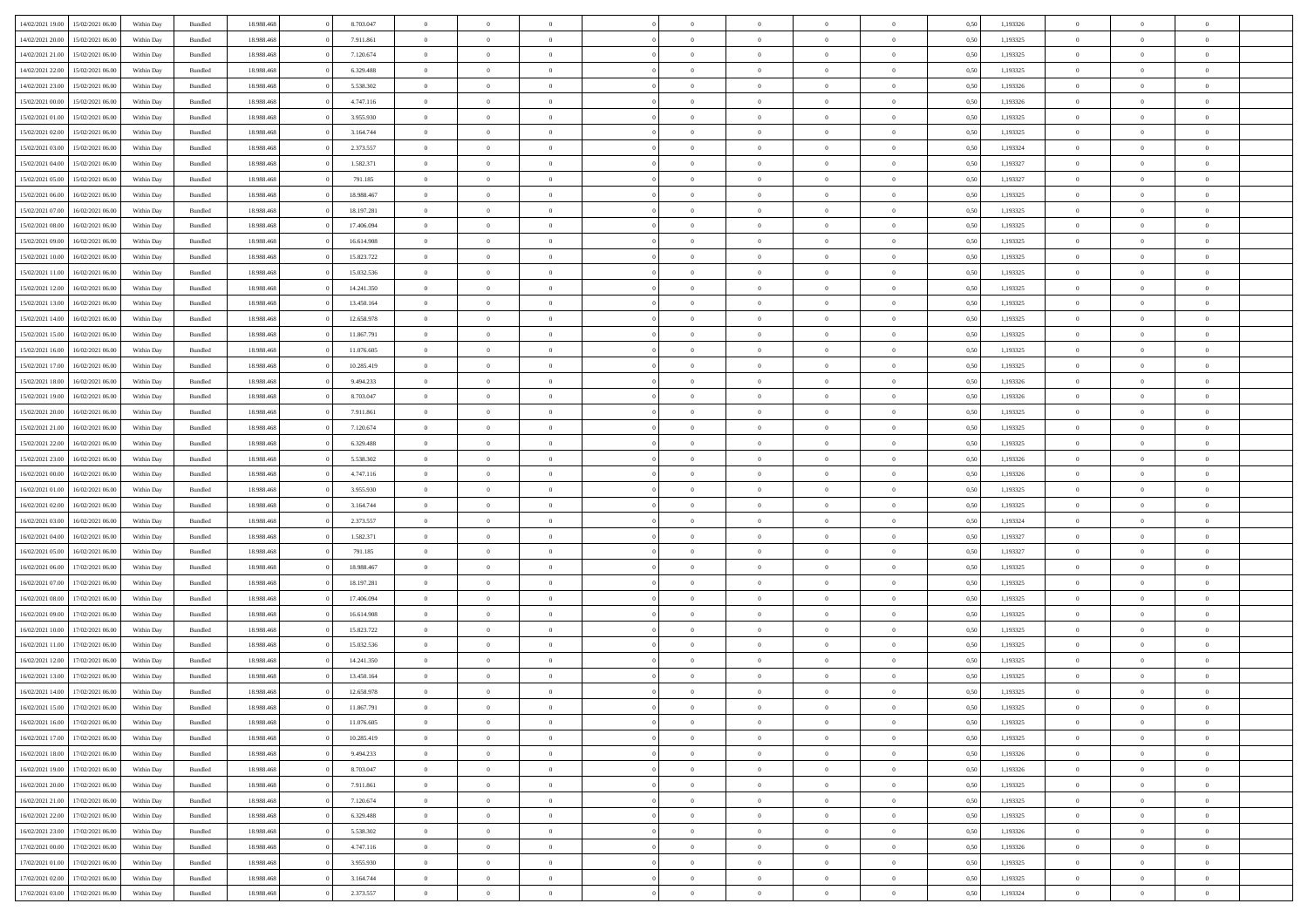|                  |                  |            |                    |            |            | $\overline{0}$ |                |                |                | $\Omega$       | $\Omega$       | $\theta$       |      |          | $\theta$       | $\overline{0}$ | $\theta$       |  |
|------------------|------------------|------------|--------------------|------------|------------|----------------|----------------|----------------|----------------|----------------|----------------|----------------|------|----------|----------------|----------------|----------------|--|
| 14/02/2021 19:00 | 15/02/2021 06:00 | Within Day | Bundled            | 18.988.468 | 8.703.047  |                | $\theta$       |                | $\Omega$       |                |                |                | 0.50 | 1,193326 |                |                |                |  |
| 14/02/2021 20:00 | 15/02/2021 06:00 | Within Day | Bundled            | 18.988.468 | 7.911.861  | $\overline{0}$ | $\theta$       | $\overline{0}$ | $\overline{0}$ | $\bf{0}$       | $\overline{0}$ | $\overline{0}$ | 0,50 | 1,193325 | $\theta$       | $\overline{0}$ | $\overline{0}$ |  |
| 14/02/2021 21:00 | 15/02/2021 06:00 | Within Day | Bundled            | 18.988.468 | 7.120.674  | $\overline{0}$ | $\overline{0}$ | $\overline{0}$ | $\bf{0}$       | $\bf{0}$       | $\bf{0}$       | $\bf{0}$       | 0,50 | 1,193325 | $\bf{0}$       | $\overline{0}$ | $\overline{0}$ |  |
| 14/02/2021 22:00 | 15/02/2021 06:00 | Within Dav | Bundled            | 18.988.468 | 6.329.488  | $\overline{0}$ | $\theta$       | $\overline{0}$ | $\overline{0}$ | $\bf{0}$       | $\overline{0}$ | $\overline{0}$ | 0.50 | 1,193325 | $\theta$       | $\theta$       | $\overline{0}$ |  |
|                  |                  |            |                    |            |            |                |                |                |                |                |                |                |      |          |                |                |                |  |
| 14/02/2021 23:00 | 15/02/2021 06:00 | Within Day | Bundled            | 18.988.468 | 5.538.302  | $\overline{0}$ | $\theta$       | $\overline{0}$ | $\overline{0}$ | $\bf{0}$       | $\overline{0}$ | $\bf{0}$       | 0,50 | 1,193326 | $\theta$       | $\theta$       | $\overline{0}$ |  |
| 15/02/2021 00:00 | 15/02/2021 06:00 | Within Day | Bundled            | 18.988.468 | 4.747.116  | $\overline{0}$ | $\bf{0}$       | $\overline{0}$ | $\bf{0}$       | $\overline{0}$ | $\overline{0}$ | $\mathbf{0}$   | 0,50 | 1,193326 | $\overline{0}$ | $\overline{0}$ | $\bf{0}$       |  |
| 15/02/2021 01:00 | 15/02/2021 06:00 | Within Dav | Bundled            | 18.988.468 | 3.955.930  | $\overline{0}$ | $\overline{0}$ | $\overline{0}$ | $\overline{0}$ | $\bf{0}$       | $\overline{0}$ | $\overline{0}$ | 0.50 | 1,193325 | $\theta$       | $\overline{0}$ | $\overline{0}$ |  |
| 15/02/2021 02:00 | 15/02/2021 06:00 | Within Day | Bundled            | 18.988.468 | 3.164.744  | $\overline{0}$ | $\theta$       | $\overline{0}$ | $\overline{0}$ | $\bf{0}$       | $\overline{0}$ | $\bf{0}$       | 0,50 | 1,193325 | $\theta$       | $\theta$       | $\overline{0}$ |  |
|                  |                  |            |                    |            |            |                | $\overline{0}$ |                |                | $\bf{0}$       |                |                |      |          | $\,0\,$        | $\overline{0}$ | $\overline{0}$ |  |
| 15/02/2021 03:00 | 15/02/2021 06:00 | Within Day | Bundled            | 18.988.468 | 2.373.557  | $\overline{0}$ |                | $\overline{0}$ | $\bf{0}$       |                | $\bf{0}$       | $\bf{0}$       | 0,50 | 1,193324 |                |                |                |  |
| 15/02/2021 04:00 | 15/02/2021 06:00 | Within Dav | Bundled            | 18.988.468 | 1.582.371  | $\overline{0}$ | $\overline{0}$ | $\overline{0}$ | $\overline{0}$ | $\overline{0}$ | $\overline{0}$ | $\overline{0}$ | 0.50 | 1,193327 | $\theta$       | $\overline{0}$ | $\overline{0}$ |  |
| 15/02/2021 05:00 | 15/02/2021 06:00 | Within Day | Bundled            | 18.988.468 | 791.185    | $\overline{0}$ | $\theta$       | $\overline{0}$ | $\overline{0}$ | $\bf{0}$       | $\overline{0}$ | $\bf{0}$       | 0,50 | 1,193327 | $\theta$       | $\theta$       | $\overline{0}$ |  |
| 15/02/2021 06:00 | 16/02/2021 06:00 | Within Day | Bundled            | 18.988.468 | 18.988.467 | $\overline{0}$ | $\overline{0}$ | $\overline{0}$ | $\bf{0}$       | $\bf{0}$       | $\bf{0}$       | $\bf{0}$       | 0,50 | 1,193325 | $\bf{0}$       | $\overline{0}$ | $\overline{0}$ |  |
| 15/02/2021 07:00 | 16/02/2021 06:00 | Within Day | Bundled            | 18.988.468 | 18.197.281 | $\overline{0}$ | $\theta$       | $\overline{0}$ | $\overline{0}$ | $\bf{0}$       | $\overline{0}$ | $\overline{0}$ | 0.50 | 1,193325 | $\theta$       | $\theta$       | $\overline{0}$ |  |
|                  |                  |            |                    |            |            |                |                |                |                |                |                |                |      |          |                |                |                |  |
| 15/02/2021 08:00 | 16/02/2021 06:00 | Within Day | Bundled            | 18.988.468 | 17.406.094 | $\overline{0}$ | $\theta$       | $\overline{0}$ | $\overline{0}$ | $\bf{0}$       | $\overline{0}$ | $\overline{0}$ | 0,50 | 1,193325 | $\theta$       | $\theta$       | $\overline{0}$ |  |
| 15/02/2021 09:00 | 16/02/2021 06:00 | Within Day | Bundled            | 18.988.468 | 16.614.908 | $\overline{0}$ | $\overline{0}$ | $\overline{0}$ | $\bf{0}$       | $\overline{0}$ | $\overline{0}$ | $\mathbf{0}$   | 0,50 | 1,193325 | $\bf{0}$       | $\overline{0}$ | $\bf{0}$       |  |
| 15/02/2021 10:00 | 16/02/2021 06:00 | Within Dav | Bundled            | 18.988.468 | 15.823.722 | $\overline{0}$ | $\overline{0}$ | $\overline{0}$ | $\overline{0}$ | $\bf{0}$       | $\overline{0}$ | $\overline{0}$ | 0.50 | 1,193325 | $\theta$       | $\overline{0}$ | $\overline{0}$ |  |
| 15/02/2021 11:00 | 16/02/2021 06:00 | Within Day | Bundled            | 18.988.468 | 15.032.536 | $\overline{0}$ | $\theta$       | $\overline{0}$ | $\overline{0}$ | $\bf{0}$       | $\overline{0}$ | $\bf{0}$       | 0,50 | 1,193325 | $\theta$       | $\theta$       | $\overline{0}$ |  |
|                  |                  |            |                    |            |            |                | $\overline{0}$ | $\overline{0}$ |                | $\bf{0}$       |                |                |      |          | $\,0\,$        | $\overline{0}$ | $\overline{0}$ |  |
| 15/02/2021 12:00 | 16/02/2021 06:00 | Within Day | Bundled            | 18.988.468 | 14.241.350 | $\overline{0}$ |                |                | $\bf{0}$       |                | $\bf{0}$       | $\bf{0}$       | 0,50 | 1,193325 |                |                |                |  |
| 15/02/2021 13:00 | 16/02/2021 06:00 | Within Day | Bundled            | 18.988.468 | 13.450.164 | $\overline{0}$ | $\overline{0}$ | $\overline{0}$ | $\overline{0}$ | $\overline{0}$ | $\overline{0}$ | $\overline{0}$ | 0.50 | 1,193325 | $\theta$       | $\overline{0}$ | $\overline{0}$ |  |
| 15/02/2021 14:00 | 16/02/2021 06:00 | Within Day | Bundled            | 18.988.468 | 12.658.978 | $\overline{0}$ | $\theta$       | $\overline{0}$ | $\overline{0}$ | $\bf{0}$       | $\overline{0}$ | $\bf{0}$       | 0,50 | 1,193325 | $\theta$       | $\theta$       | $\overline{0}$ |  |
| 15/02/2021 15:00 | 16/02/2021 06:00 | Within Day | Bundled            | 18.988.468 | 11.867.791 | $\overline{0}$ | $\overline{0}$ | $\overline{0}$ | $\bf{0}$       | $\bf{0}$       | $\bf{0}$       | $\bf{0}$       | 0,50 | 1,193325 | $\,0\,$        | $\overline{0}$ | $\overline{0}$ |  |
| 15/02/2021 16:00 | 16/02/2021 06:00 | Within Day | Bundled            | 18.988.468 | 11.076.605 | $\overline{0}$ | $\overline{0}$ | $\overline{0}$ | $\overline{0}$ | $\bf{0}$       | $\overline{0}$ | $\overline{0}$ | 0.50 | 1,193325 | $\theta$       | $\theta$       | $\overline{0}$ |  |
|                  |                  |            |                    |            |            |                |                |                |                |                |                |                |      |          |                |                |                |  |
| 15/02/2021 17:00 | 16/02/2021 06:00 | Within Day | Bundled            | 18.988.468 | 10.285.419 | $\overline{0}$ | $\theta$       | $\overline{0}$ | $\overline{0}$ | $\bf{0}$       | $\overline{0}$ | $\bf{0}$       | 0,50 | 1,193325 | $\theta$       | $\overline{0}$ | $\overline{0}$ |  |
| 15/02/2021 18:00 | 16/02/2021 06:00 | Within Day | Bundled            | 18.988.468 | 9.494.233  | $\overline{0}$ | $\overline{0}$ | $\overline{0}$ | $\bf{0}$       | $\overline{0}$ | $\overline{0}$ | $\mathbf{0}$   | 0,50 | 1,193326 | $\bf{0}$       | $\overline{0}$ | $\bf{0}$       |  |
| 15/02/2021 19:00 | 16/02/2021 06:00 | Within Dav | Bundled            | 18.988.468 | 8.703.047  | $\overline{0}$ | $\overline{0}$ | $\overline{0}$ | $\overline{0}$ | $\overline{0}$ | $\overline{0}$ | $\overline{0}$ | 0.50 | 1,193326 | $\theta$       | $\overline{0}$ | $\overline{0}$ |  |
| 15/02/2021 20:00 | 16/02/2021 06:00 | Within Day | Bundled            | 18.988.468 | 7.911.861  | $\overline{0}$ | $\theta$       | $\overline{0}$ | $\overline{0}$ | $\bf{0}$       | $\overline{0}$ | $\bf{0}$       | 0,50 | 1,193325 | $\theta$       | $\theta$       | $\overline{0}$ |  |
|                  |                  |            |                    |            |            |                |                |                |                |                |                |                |      |          |                |                |                |  |
| 15/02/2021 21:00 | 16/02/2021 06:00 | Within Day | Bundled            | 18.988.468 | 7.120.674  | $\overline{0}$ | $\overline{0}$ | $\overline{0}$ | $\bf{0}$       | $\bf{0}$       | $\bf{0}$       | $\bf{0}$       | 0,50 | 1,193325 | $\,0\,$        | $\overline{0}$ | $\overline{0}$ |  |
| 15/02/2021 22:00 | 16/02/2021 06:00 | Within Day | Bundled            | 18.988.468 | 6.329.488  | $\overline{0}$ | $\overline{0}$ | $\overline{0}$ | $\overline{0}$ | $\overline{0}$ | $\overline{0}$ | $\overline{0}$ | 0.50 | 1,193325 | $\theta$       | $\overline{0}$ | $\overline{0}$ |  |
| 15/02/2021 23:00 | 16/02/2021 06:00 | Within Day | Bundled            | 18.988.468 | 5.538.302  | $\overline{0}$ | $\theta$       | $\overline{0}$ | $\overline{0}$ | $\bf{0}$       | $\overline{0}$ | $\bf{0}$       | 0,50 | 1,193326 | $\,$ 0 $\,$    | $\theta$       | $\overline{0}$ |  |
| 16/02/2021 00:00 | 16/02/2021 06:00 | Within Day | Bundled            | 18.988.468 | 4.747.116  | $\overline{0}$ | $\overline{0}$ | $\overline{0}$ | $\bf{0}$       | $\bf{0}$       | $\bf{0}$       | $\bf{0}$       | 0,50 | 1,193326 | $\bf{0}$       | $\overline{0}$ | $\overline{0}$ |  |
| 16/02/2021 01:00 | 16/02/2021 06:00 | Within Day | Bundled            | 18.988.468 | 3.955.930  | $\overline{0}$ | $\Omega$       | $\Omega$       | $\Omega$       | $\Omega$       | $\overline{0}$ | $\overline{0}$ | 0.50 | 1,193325 | $\,0\,$        | $\Omega$       | $\theta$       |  |
|                  |                  |            |                    |            |            |                |                |                |                |                |                |                |      |          |                |                |                |  |
| 16/02/2021 02:00 | 16/02/2021 06:00 | Within Day | Bundled            | 18.988.468 | 3.164.744  | $\overline{0}$ | $\theta$       | $\overline{0}$ | $\overline{0}$ | $\bf{0}$       | $\overline{0}$ | $\bf{0}$       | 0,50 | 1,193325 | $\theta$       | $\theta$       | $\overline{0}$ |  |
| 16/02/2021 03:00 | 16/02/2021 06:00 | Within Day | Bundled            | 18.988.468 | 2.373.557  | $\overline{0}$ | $\bf{0}$       | $\overline{0}$ | $\bf{0}$       | $\bf{0}$       | $\overline{0}$ | $\mathbf{0}$   | 0,50 | 1,193324 | $\bf{0}$       | $\overline{0}$ | $\bf{0}$       |  |
| 16/02/2021 04:00 | 16/02/2021 06:00 | Within Day | Bundled            | 18.988.468 | 1.582.371  | $\overline{0}$ | $\Omega$       | $\Omega$       | $\Omega$       | $\Omega$       | $\Omega$       | $\overline{0}$ | 0.50 | 1,193327 | $\theta$       | $\theta$       | $\theta$       |  |
| 16/02/2021 05:00 | 16/02/2021 06:00 | Within Day | Bundled            | 18.988.468 | 791.185    | $\overline{0}$ | $\theta$       | $\overline{0}$ | $\overline{0}$ | $\bf{0}$       | $\overline{0}$ | $\bf{0}$       | 0,50 | 1,193327 | $\theta$       | $\theta$       | $\overline{0}$ |  |
|                  |                  |            |                    |            |            |                | $\overline{0}$ |                |                | $\bf{0}$       |                |                |      |          | $\,0\,$        | $\overline{0}$ | $\overline{0}$ |  |
| 16/02/2021 06:00 | 17/02/2021 06:00 | Within Day | Bundled            | 18.988.468 | 18.988.467 | $\overline{0}$ |                | $\overline{0}$ | $\bf{0}$       |                | $\bf{0}$       | $\bf{0}$       | 0,50 | 1,193325 |                |                |                |  |
| 16/02/2021 07:00 | 17/02/2021 06:00 | Within Day | Bundled            | 18.988.468 | 18.197.281 | $\overline{0}$ | $\Omega$       | $\Omega$       | $\Omega$       | $\Omega$       | $\theta$       | $\overline{0}$ | 0.50 | 1,193325 | $\theta$       | $\theta$       | $\theta$       |  |
| 16/02/2021 08:00 | 17/02/2021 06:00 | Within Day | Bundled            | 18.988.468 | 17.406.094 | $\overline{0}$ | $\theta$       | $\overline{0}$ | $\overline{0}$ | $\bf{0}$       | $\overline{0}$ | $\bf{0}$       | 0,50 | 1,193325 | $\theta$       | $\theta$       | $\overline{0}$ |  |
| 16/02/2021 09:00 | 17/02/2021 06:00 | Within Day | Bundled            | 18.988.468 | 16.614.908 | $\overline{0}$ | $\overline{0}$ | $\overline{0}$ | $\bf{0}$       | $\bf{0}$       | $\bf{0}$       | $\bf{0}$       | 0,50 | 1,193325 | $\,0\,$        | $\overline{0}$ | $\overline{0}$ |  |
| 16/02/2021 10:00 | 17/02/2021 06:00 | Within Day | Bundled            | 18.988.468 | 15.823.722 | $\overline{0}$ | $\Omega$       | $\Omega$       | $\Omega$       | $\Omega$       | $\overline{0}$ | $\overline{0}$ | 0.50 | 1,193325 | $\,0\,$        | $\theta$       | $\theta$       |  |
| 16/02/2021 11:00 | 17/02/2021 06:00 |            |                    | 18.988.468 | 15.032.536 | $\overline{0}$ | $\theta$       | $\overline{0}$ | $\overline{0}$ | $\bf{0}$       | $\overline{0}$ |                |      | 1,193325 | $\,$ 0 $\,$    | $\theta$       | $\overline{0}$ |  |
|                  |                  | Within Day | Bundled            |            |            |                |                |                |                |                |                | $\bf{0}$       | 0,50 |          |                |                |                |  |
| 16/02/2021 12:00 | 17/02/2021 06:00 | Within Day | Bundled            | 18.988.468 | 14.241.350 | $\overline{0}$ | $\overline{0}$ | $\overline{0}$ | $\bf{0}$       | $\bf{0}$       | $\bf{0}$       | $\mathbf{0}$   | 0,50 | 1,193325 | $\overline{0}$ | $\overline{0}$ | $\bf{0}$       |  |
| 16/02/2021 13:00 | 17/02/2021 06.00 | Within Day | Bundled            | 18.988.468 | 13.450.164 | $\overline{0}$ | $\Omega$       | $\Omega$       | $\Omega$       | $\Omega$       | $\Omega$       | $\overline{0}$ | 0.50 | 1,193325 | $\theta$       | $\theta$       | $\theta$       |  |
| 16/02/2021 14:00 | 17/02/2021 06:00 | Within Day | Bundled            | 18.988.468 | 12.658.978 | $\overline{0}$ | $\,$ 0 $\,$    | $\overline{0}$ | $\bf{0}$       | $\,$ 0         | $\bf{0}$       | $\bf{0}$       | 0,50 | 1,193325 | $\,0\,$        | $\overline{0}$ | $\overline{0}$ |  |
| 16/02/2021 15:00 | 17/02/2021 06:00 | Within Day | $\mathbf B$ undled | 18.988.468 | 11.867.791 | $\bf{0}$       | $\bf{0}$       |                |                |                |                |                | 0,50 | 1,193325 | $\bf{0}$       | $\overline{0}$ |                |  |
|                  |                  |            |                    |            |            |                |                |                |                |                |                |                |      |          |                |                |                |  |
| 16/02/2021 16:00 | 17/02/2021 06:00 | Within Day | Bundled            | 18,988,468 | 11.076.605 | $\overline{0}$ | $\Omega$       | $\overline{0}$ | $\Omega$       | $\theta$       | $\overline{0}$ | $\overline{0}$ | 0,50 | 1,193325 | $\theta$       | $\theta$       | $\theta$       |  |
| 16/02/2021 17:00 | 17/02/2021 06:00 | Within Day | Bundled            | 18.988.468 | 10.285.419 | $\overline{0}$ | $\,$ 0         | $\overline{0}$ | $\bf{0}$       | $\,$ 0 $\,$    | $\overline{0}$ | $\mathbf{0}$   | 0,50 | 1,193325 | $\,$ 0 $\,$    | $\,$ 0 $\,$    | $\,$ 0         |  |
| 16/02/2021 18:00 | 17/02/2021 06:00 | Within Day | Bundled            | 18.988.468 | 9.494.233  | $\overline{0}$ | $\overline{0}$ | $\overline{0}$ | $\overline{0}$ | $\overline{0}$ | $\overline{0}$ | $\mathbf{0}$   | 0,50 | 1,193326 | $\overline{0}$ | $\bf{0}$       | $\bf{0}$       |  |
| 16/02/2021 19:00 | 17/02/2021 06:00 | Within Day | Bundled            | 18.988.468 | 8.703.047  | $\overline{0}$ | $\theta$       | $\overline{0}$ | $\Omega$       | $\overline{0}$ | $\overline{0}$ | $\bf{0}$       | 0,50 | 1,193326 | $\overline{0}$ | $\theta$       | $\overline{0}$ |  |
| 16/02/2021 20:00 | 17/02/2021 06:00 | Within Day | Bundled            | 18.988.468 | 7.911.861  | $\overline{0}$ | $\,$ 0         | $\overline{0}$ | $\overline{0}$ | $\overline{0}$ | $\overline{0}$ | $\bf{0}$       | 0,50 | 1,193325 | $\,$ 0 $\,$    | $\overline{0}$ | $\overline{0}$ |  |
|                  |                  |            |                    |            |            |                |                |                |                |                |                |                |      |          |                |                |                |  |
| 16/02/2021 21:00 | 17/02/2021 06:00 | Within Day | Bundled            | 18.988.468 | 7.120.674  | $\overline{0}$ | $\overline{0}$ | $\overline{0}$ | $\overline{0}$ | $\overline{0}$ | $\overline{0}$ | $\mathbf{0}$   | 0,50 | 1,193325 | $\overline{0}$ | $\bf{0}$       | $\bf{0}$       |  |
| 16/02/2021 22:00 | 17/02/2021 06:00 | Within Day | Bundled            | 18.988.468 | 6.329.488  | $\overline{0}$ | $\overline{0}$ | $\overline{0}$ | $\Omega$       | $\overline{0}$ | $\overline{0}$ | $\bf{0}$       | 0.50 | 1,193325 | $\overline{0}$ | $\theta$       | $\overline{0}$ |  |
| 16/02/2021 23:00 | 17/02/2021 06:00 | Within Day | Bundled            | 18.988.468 | 5.538.302  | $\overline{0}$ | $\,$ 0         | $\overline{0}$ | $\bf{0}$       | $\bf{0}$       | $\bf{0}$       | $\bf{0}$       | 0,50 | 1,193326 | $\,$ 0 $\,$    | $\overline{0}$ | $\overline{0}$ |  |
| 17/02/2021 00:00 | 17/02/2021 06:00 | Within Day | Bundled            | 18.988.468 | 4.747.116  | $\overline{0}$ | $\bf{0}$       | $\overline{0}$ | $\overline{0}$ | $\overline{0}$ | $\overline{0}$ | $\mathbf{0}$   | 0,50 | 1,193326 | $\overline{0}$ | $\overline{0}$ | $\bf{0}$       |  |
|                  |                  |            |                    |            |            |                |                |                |                |                |                |                |      |          |                |                |                |  |
| 17/02/2021 01:00 | 17/02/2021 06:00 | Within Day | Bundled            | 18,988,468 | 3.955.930  | $\overline{0}$ | $\overline{0}$ | $\overline{0}$ | $\Omega$       | $\overline{0}$ | $\overline{0}$ | $\bf{0}$       | 0.50 | 1,193325 | $\overline{0}$ | $\overline{0}$ | $\overline{0}$ |  |
| 17/02/2021 02:00 | 17/02/2021 06:00 | Within Day | Bundled            | 18.988.468 | 3.164.744  | $\overline{0}$ | $\bf{0}$       | $\overline{0}$ | $\overline{0}$ | $\bf{0}$       | $\bf{0}$       | $\mathbf{0}$   | 0,50 | 1,193325 | $\,$ 0 $\,$    | $\,$ 0 $\,$    | $\bf{0}$       |  |
| 17/02/2021 03:00 | 17/02/2021 06:00 | Within Day | Bundled            | 18.988.468 | 2.373.557  | $\overline{0}$ | $\overline{0}$ | $\overline{0}$ | $\overline{0}$ | $\bf{0}$       | $\bf{0}$       | $\mathbf{0}$   | 0,50 | 1,193324 | $\overline{0}$ | $\bf{0}$       | $\bf{0}$       |  |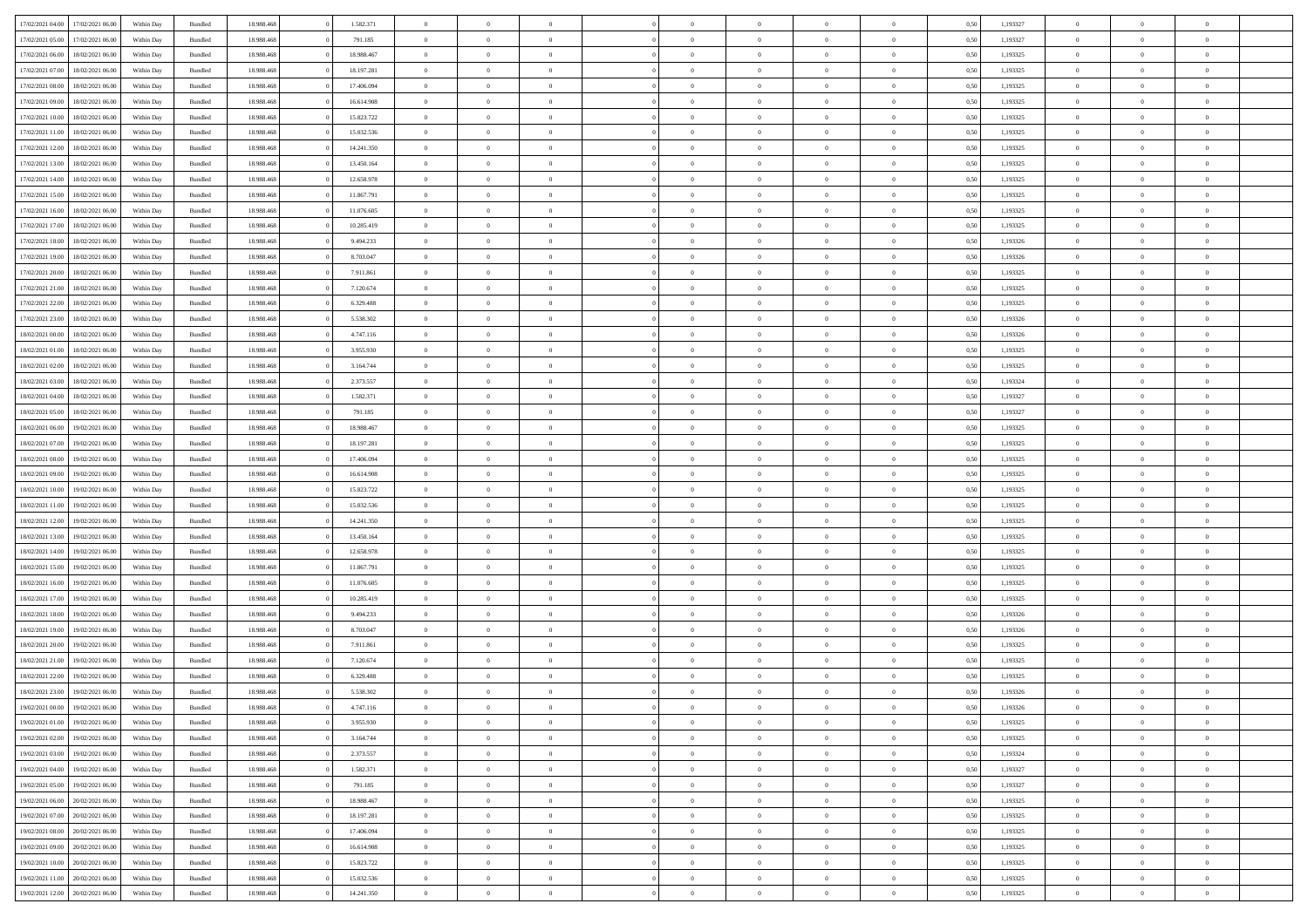|                  | 17/02/2021 06:00 | Within Day | Bundled            | 18.988.468 | 1.582.371  | $\overline{0}$ | $\theta$       |                | $\Omega$       | $\Omega$       | $\Omega$       | $\theta$       | 0.50 | 1,193327 | $\theta$       | $\overline{0}$ | $\theta$       |  |
|------------------|------------------|------------|--------------------|------------|------------|----------------|----------------|----------------|----------------|----------------|----------------|----------------|------|----------|----------------|----------------|----------------|--|
| 17/02/2021 04:00 |                  |            |                    |            |            |                |                |                |                |                |                |                |      |          |                |                |                |  |
| 17/02/2021 05:00 | 17/02/2021 06:00 | Within Day | Bundled            | 18.988.468 | 791.185    | $\overline{0}$ | $\theta$       | $\overline{0}$ | $\overline{0}$ | $\bf{0}$       | $\overline{0}$ | $\overline{0}$ | 0,50 | 1,193327 | $\theta$       | $\overline{0}$ | $\overline{0}$ |  |
| 17/02/2021 06:00 | 18/02/2021 06:00 | Within Day | Bundled            | 18.988.468 | 18.988.467 | $\overline{0}$ | $\overline{0}$ | $\overline{0}$ | $\bf{0}$       | $\bf{0}$       | $\bf{0}$       | $\bf{0}$       | 0,50 | 1,193325 | $\bf{0}$       | $\overline{0}$ | $\overline{0}$ |  |
| 17/02/2021 07:00 | 18/02/2021 06:00 | Within Dav | Bundled            | 18.988.468 | 18.197.281 | $\overline{0}$ | $\overline{0}$ | $\overline{0}$ | $\overline{0}$ | $\bf{0}$       | $\overline{0}$ | $\overline{0}$ | 0.50 | 1,193325 | $\theta$       | $\theta$       | $\overline{0}$ |  |
|                  |                  |            |                    |            |            |                |                |                |                |                |                |                |      |          |                |                |                |  |
| 17/02/2021 08:00 | 18/02/2021 06:00 | Within Day | Bundled            | 18.988.468 | 17.406.094 | $\overline{0}$ | $\theta$       | $\overline{0}$ | $\overline{0}$ | $\bf{0}$       | $\overline{0}$ | $\bf{0}$       | 0,50 | 1,193325 | $\theta$       | $\theta$       | $\overline{0}$ |  |
| 17/02/2021 09:00 | 18/02/2021 06:00 | Within Day | Bundled            | 18.988.468 | 16.614.908 | $\overline{0}$ | $\bf{0}$       | $\overline{0}$ | $\bf{0}$       | $\overline{0}$ | $\overline{0}$ | $\mathbf{0}$   | 0,50 | 1,193325 | $\overline{0}$ | $\overline{0}$ | $\bf{0}$       |  |
| 17/02/2021 10:00 | 18/02/2021 06:00 | Within Dav | Bundled            | 18.988.468 | 15.823.722 | $\overline{0}$ | $\overline{0}$ | $\overline{0}$ | $\overline{0}$ | $\bf{0}$       | $\overline{0}$ | $\overline{0}$ | 0.50 | 1,193325 | $\theta$       | $\overline{0}$ | $\overline{0}$ |  |
| 17/02/2021 11:00 | 18/02/2021 06:00 | Within Day | Bundled            | 18.988.468 | 15.032.536 | $\overline{0}$ | $\theta$       | $\overline{0}$ | $\overline{0}$ | $\bf{0}$       | $\overline{0}$ | $\bf{0}$       | 0,50 | 1,193325 | $\theta$       | $\theta$       | $\overline{0}$ |  |
| 17/02/2021 12:00 | 18/02/2021 06:00 | Within Day | Bundled            | 18.988.468 | 14.241.350 | $\overline{0}$ | $\overline{0}$ | $\overline{0}$ | $\overline{0}$ | $\bf{0}$       | $\overline{0}$ | $\bf{0}$       | 0,50 | 1,193325 | $\,0\,$        | $\overline{0}$ | $\overline{0}$ |  |
|                  |                  |            |                    |            |            |                |                |                |                |                |                |                |      |          |                |                |                |  |
| 17/02/2021 13:00 | 18/02/2021 06:00 | Within Dav | Bundled            | 18.988.468 | 13.450.164 | $\overline{0}$ | $\overline{0}$ | $\overline{0}$ | $\overline{0}$ | $\overline{0}$ | $\overline{0}$ | $\overline{0}$ | 0.50 | 1,193325 | $\theta$       | $\overline{0}$ | $\overline{0}$ |  |
| 17/02/2021 14:00 | 18/02/2021 06:00 | Within Day | Bundled            | 18.988.468 | 12.658.978 | $\overline{0}$ | $\theta$       | $\overline{0}$ | $\overline{0}$ | $\bf{0}$       | $\overline{0}$ | $\bf{0}$       | 0,50 | 1,193325 | $\theta$       | $\theta$       | $\overline{0}$ |  |
| 17/02/2021 15:00 | 18/02/2021 06:00 | Within Day | Bundled            | 18.988.468 | 11.867.791 | $\overline{0}$ | $\overline{0}$ | $\overline{0}$ | $\overline{0}$ | $\bf{0}$       | $\overline{0}$ | $\bf{0}$       | 0,50 | 1,193325 | $\bf{0}$       | $\overline{0}$ | $\overline{0}$ |  |
| 17/02/2021 16:00 | 18/02/2021 06:00 | Within Dav | Bundled            | 18.988.468 | 11.076.605 | $\overline{0}$ | $\overline{0}$ | $\overline{0}$ | $\overline{0}$ | $\bf{0}$       | $\overline{0}$ | $\overline{0}$ | 0.50 | 1,193325 | $\theta$       | $\theta$       | $\overline{0}$ |  |
| 17/02/2021 17:00 | 18/02/2021 06:00 | Within Day | Bundled            | 18.988.468 | 10.285.419 | $\overline{0}$ | $\theta$       | $\overline{0}$ | $\overline{0}$ | $\bf{0}$       | $\overline{0}$ | $\overline{0}$ | 0,50 | 1,193325 | $\theta$       | $\theta$       | $\overline{0}$ |  |
|                  |                  |            |                    |            |            |                |                |                |                |                |                |                |      |          |                |                |                |  |
| 17/02/2021 18:00 | 18/02/2021 06:00 | Within Day | Bundled            | 18.988.468 | 9.494.233  | $\overline{0}$ | $\overline{0}$ | $\overline{0}$ | $\overline{0}$ | $\overline{0}$ | $\overline{0}$ | $\mathbf{0}$   | 0,50 | 1,193326 | $\overline{0}$ | $\overline{0}$ | $\bf{0}$       |  |
| 17/02/2021 19:00 | 18/02/2021 06:00 | Within Dav | Bundled            | 18.988.468 | 8.703.047  | $\overline{0}$ | $\overline{0}$ | $\overline{0}$ | $\overline{0}$ | $\overline{0}$ | $\overline{0}$ | $\overline{0}$ | 0.50 | 1,193326 | $\theta$       | $\overline{0}$ | $\overline{0}$ |  |
| 17/02/2021 20:00 | 18/02/2021 06:00 | Within Day | Bundled            | 18.988.468 | 7.911.861  | $\overline{0}$ | $\theta$       | $\overline{0}$ | $\overline{0}$ | $\bf{0}$       | $\overline{0}$ | $\bf{0}$       | 0,50 | 1,193325 | $\theta$       | $\theta$       | $\overline{0}$ |  |
| 17/02/2021 21:00 | 18/02/2021 06:00 | Within Day | Bundled            | 18.988.468 | 7.120.674  | $\overline{0}$ | $\overline{0}$ | $\overline{0}$ | $\overline{0}$ | $\bf{0}$       | $\overline{0}$ | $\bf{0}$       | 0,50 | 1,193325 | $\,0\,$        | $\overline{0}$ | $\overline{0}$ |  |
| 17/02/2021 22:00 | 18/02/2021 06:00 | Within Dav | Bundled            | 18.988.468 | 6.329.488  | $\overline{0}$ | $\overline{0}$ | $\overline{0}$ | $\overline{0}$ | $\overline{0}$ | $\overline{0}$ | $\overline{0}$ | 0.50 | 1,193325 | $\theta$       | $\overline{0}$ | $\overline{0}$ |  |
|                  |                  |            |                    |            |            |                |                |                |                |                |                |                |      |          |                |                |                |  |
| 17/02/2021 23:00 | 18/02/2021 06:00 | Within Day | Bundled            | 18.988.468 | 5.538.302  | $\overline{0}$ | $\theta$       | $\overline{0}$ | $\overline{0}$ | $\bf{0}$       | $\overline{0}$ | $\bf{0}$       | 0,50 | 1,193326 | $\theta$       | $\theta$       | $\overline{0}$ |  |
| 18/02/2021 00:00 | 18/02/2021 06:00 | Within Day | Bundled            | 18.988.468 | 4.747.116  | $\overline{0}$ | $\overline{0}$ | $\overline{0}$ | $\overline{0}$ | $\bf{0}$       | $\overline{0}$ | $\bf{0}$       | 0,50 | 1,193326 | $\,0\,$        | $\overline{0}$ | $\overline{0}$ |  |
| 18/02/2021 01:00 | 18/02/2021 06:00 | Within Day | Bundled            | 18.988.468 | 3.955.930  | $\overline{0}$ | $\overline{0}$ | $\overline{0}$ | $\overline{0}$ | $\bf{0}$       | $\overline{0}$ | $\overline{0}$ | 0.50 | 1,193325 | $\theta$       | $\theta$       | $\overline{0}$ |  |
| 18/02/2021 02:00 | 18/02/2021 06:00 | Within Day | Bundled            | 18.988.468 | 3.164.744  | $\overline{0}$ | $\theta$       | $\overline{0}$ | $\overline{0}$ | $\bf{0}$       | $\overline{0}$ | $\bf{0}$       | 0,50 | 1,193325 | $\theta$       | $\overline{0}$ | $\overline{0}$ |  |
| 18/02/2021 03:00 | 18/02/2021 06:00 | Within Day | Bundled            | 18.988.468 | 2.373.557  | $\overline{0}$ | $\bf{0}$       | $\overline{0}$ | $\overline{0}$ | $\overline{0}$ | $\overline{0}$ | $\mathbf{0}$   | 0,50 | 1,193324 | $\overline{0}$ | $\overline{0}$ | $\bf{0}$       |  |
|                  |                  |            |                    |            |            |                |                |                |                |                |                |                |      |          |                |                |                |  |
| 18/02/2021 04:00 | 18/02/2021 06:00 | Within Dav | Bundled            | 18.988.468 | 1.582.371  | $\overline{0}$ | $\overline{0}$ | $\overline{0}$ | $\overline{0}$ | $\overline{0}$ | $\overline{0}$ | $\overline{0}$ | 0.50 | 1,193327 | $\theta$       | $\overline{0}$ | $\overline{0}$ |  |
| 18/02/2021 05:00 | 18/02/2021 06:00 | Within Day | Bundled            | 18.988.468 | 791.185    | $\overline{0}$ | $\theta$       | $\overline{0}$ | $\overline{0}$ | $\bf{0}$       | $\overline{0}$ | $\bf{0}$       | 0,50 | 1,193327 | $\theta$       | $\theta$       | $\overline{0}$ |  |
| 18/02/2021 06:00 | 19/02/2021 06:00 | Within Day | Bundled            | 18.988.468 | 18.988.467 | $\overline{0}$ | $\overline{0}$ | $\overline{0}$ | $\overline{0}$ | $\bf{0}$       | $\bf{0}$       | $\bf{0}$       | 0,50 | 1,193325 | $\,0\,$        | $\overline{0}$ | $\overline{0}$ |  |
| 18/02/2021 07:00 | 19/02/2021 06:00 | Within Day | Bundled            | 18.988.468 | 18.197.281 | $\overline{0}$ | $\overline{0}$ | $\overline{0}$ | $\overline{0}$ | $\overline{0}$ | $\overline{0}$ | $\overline{0}$ | 0.50 | 1,193325 | $\theta$       | $\overline{0}$ | $\overline{0}$ |  |
| 18/02/2021 08:00 | 19/02/2021 06:00 | Within Day | Bundled            | 18.988.468 | 17.406.094 | $\overline{0}$ | $\theta$       | $\overline{0}$ | $\overline{0}$ | $\bf{0}$       | $\overline{0}$ | $\bf{0}$       | 0,50 | 1,193325 | $\,$ 0 $\,$    | $\theta$       | $\overline{0}$ |  |
| 18/02/2021 09:00 | 19/02/2021 06:00 | Within Day | Bundled            | 18.988.468 | 16.614.908 | $\overline{0}$ | $\overline{0}$ | $\overline{0}$ | $\bf{0}$       | $\bf{0}$       | $\bf{0}$       | $\bf{0}$       | 0,50 | 1,193325 | $\bf{0}$       | $\overline{0}$ | $\overline{0}$ |  |
|                  |                  |            |                    |            |            |                |                |                |                |                |                |                |      |          |                |                | $\theta$       |  |
| 18/02/2021 10:00 | 19/02/2021 06.00 | Within Day | Bundled            | 18.988.468 | 15.823.722 | $\overline{0}$ | $\Omega$       | $\Omega$       | $\Omega$       | $\Omega$       | $\overline{0}$ | $\overline{0}$ | 0.50 | 1,193325 | $\,0\,$        | $\theta$       |                |  |
| 18/02/2021 11:00 | 19/02/2021 06:00 | Within Day | Bundled            | 18.988.468 | 15.032.536 | $\overline{0}$ | $\theta$       | $\overline{0}$ | $\overline{0}$ | $\bf{0}$       | $\overline{0}$ | $\bf{0}$       | 0,50 | 1,193325 | $\theta$       | $\theta$       | $\overline{0}$ |  |
| 18/02/2021 12:00 | 19/02/2021 06:00 | Within Day | Bundled            | 18.988.468 | 14.241.350 | $\overline{0}$ | $\bf{0}$       | $\overline{0}$ | $\bf{0}$       | $\bf{0}$       | $\overline{0}$ | $\mathbf{0}$   | 0,50 | 1,193325 | $\bf{0}$       | $\overline{0}$ | $\bf{0}$       |  |
| 18/02/2021 13:00 | 19/02/2021 06:00 | Within Day | Bundled            | 18.988.468 | 13.450.164 | $\overline{0}$ | $\Omega$       | $\Omega$       | $\Omega$       | $\Omega$       | $\Omega$       | $\overline{0}$ | 0.50 | 1,193325 | $\theta$       | $\theta$       | $\theta$       |  |
| 18/02/2021 14:00 | 19/02/2021 06:00 | Within Day | Bundled            | 18.988.468 | 12.658.978 | $\overline{0}$ | $\theta$       | $\overline{0}$ | $\overline{0}$ | $\bf{0}$       | $\overline{0}$ | $\bf{0}$       | 0,50 | 1,193325 | $\theta$       | $\theta$       | $\overline{0}$ |  |
| 18/02/2021 15:00 | 19/02/2021 06:00 | Within Day | Bundled            | 18.988.468 | 11.867.791 | $\overline{0}$ | $\overline{0}$ | $\overline{0}$ | $\bf{0}$       | $\bf{0}$       | $\bf{0}$       | $\bf{0}$       | 0,50 | 1,193325 | $\,0\,$        | $\overline{0}$ | $\overline{0}$ |  |
|                  |                  |            |                    |            |            |                |                |                |                |                |                |                |      |          |                |                |                |  |
| 18/02/2021 16:00 | 19/02/2021 06:00 | Within Day | Bundled            | 18.988.468 | 11.076.605 | $\overline{0}$ | $\Omega$       | $\Omega$       | $\Omega$       | $\Omega$       | $\theta$       | $\overline{0}$ | 0.50 | 1,193325 | $\theta$       | $\theta$       | $\theta$       |  |
| 18/02/2021 17:00 | 19/02/2021 06:00 | Within Day | Bundled            | 18.988.468 | 10.285.419 | $\overline{0}$ | $\theta$       | $\overline{0}$ | $\overline{0}$ | $\bf{0}$       | $\overline{0}$ | $\bf{0}$       | 0,50 | 1,193325 | $\,$ 0 $\,$    | $\theta$       | $\overline{0}$ |  |
| 18/02/2021 18:00 | 19/02/2021 06:00 | Within Day | Bundled            | 18.988.468 | 9.494.233  | $\overline{0}$ | $\overline{0}$ | $\overline{0}$ | $\bf{0}$       | $\bf{0}$       | $\bf{0}$       | $\bf{0}$       | 0,50 | 1,193326 | $\bf{0}$       | $\overline{0}$ | $\overline{0}$ |  |
| 18/02/2021 19:00 | 19/02/2021 06:00 | Within Day | Bundled            | 18.988.468 | 8,703,047  | $\overline{0}$ | $\Omega$       | $\Omega$       | $\Omega$       | $\Omega$       | $\overline{0}$ | $\overline{0}$ | 0.50 | 1,193326 | $\,0\,$        | $\theta$       | $\theta$       |  |
| 18/02/2021 20:00 | 19/02/2021 06:00 | Within Day | Bundled            | 18.988.468 | 7.911.861  | $\overline{0}$ | $\theta$       | $\overline{0}$ | $\overline{0}$ | $\bf{0}$       | $\overline{0}$ | $\bf{0}$       | 0,50 | 1,193325 | $\,$ 0 $\,$    | $\theta$       | $\overline{0}$ |  |
| 18/02/2021 21:00 | 19/02/2021 06:00 | Within Day | Bundled            | 18.988.468 | 7.120.674  | $\overline{0}$ | $\overline{0}$ | $\overline{0}$ | $\overline{0}$ | $\bf{0}$       | $\overline{0}$ | $\mathbf{0}$   | 0,50 | 1,193325 | $\overline{0}$ | $\overline{0}$ | $\bf{0}$       |  |
|                  |                  |            |                    |            |            |                |                |                |                |                |                |                |      |          |                |                |                |  |
| 18/02/2021 22:00 | 19/02/2021 06:00 | Within Day | Bundled            | 18.988.468 | 6.329.488  | $\overline{0}$ | $\Omega$       | $\Omega$       | $\Omega$       | $\Omega$       | $\Omega$       | $\overline{0}$ | 0.50 | 1,193325 | $\theta$       | $\theta$       | $\theta$       |  |
| 18/02/2021 23:00 | 19/02/2021 06:00 | Within Day | Bundled            | 18.988.468 | 5.538.302  | $\overline{0}$ | $\overline{0}$ | $\overline{0}$ | $\bf{0}$       | $\,$ 0         | $\overline{0}$ | $\bf{0}$       | 0,50 | 1,193326 | $\,0\,$        | $\overline{0}$ | $\overline{0}$ |  |
| 19/02/2021 00:00 | 19/02/2021 06:00 | Within Day | $\mathbf B$ undled | 18.988.468 | 4.747.116  | $\bf{0}$       | $\bf{0}$       |                |                | $\bf{0}$       |                |                | 0,50 | 1,193326 | $\bf{0}$       | $\overline{0}$ |                |  |
| 19/02/2021 01:00 | 19/02/2021 06:00 | Within Day | Bundled            | 18,988,468 | 3.955.930  | $\overline{0}$ | $\overline{0}$ | $\overline{0}$ | $\Omega$       | $\theta$       | $\overline{0}$ | $\overline{0}$ | 0.50 | 1,193325 | $\theta$       | $\theta$       | $\theta$       |  |
| 19/02/2021 02:00 | 19/02/2021 06:00 | Within Day | Bundled            | 18.988.468 | 3.164.744  | $\overline{0}$ | $\,$ 0         | $\overline{0}$ | $\overline{0}$ | $\,$ 0 $\,$    | $\overline{0}$ | $\mathbf{0}$   | 0,50 | 1,193325 | $\,$ 0 $\,$    | $\,$ 0 $\,$    | $\,$ 0         |  |
| 19/02/2021 03:00 | 19/02/2021 06:00 | Within Day | Bundled            | 18.988.468 | 2.373.557  | $\overline{0}$ | $\overline{0}$ | $\overline{0}$ | $\overline{0}$ | $\overline{0}$ | $\overline{0}$ | $\mathbf{0}$   | 0,50 | 1,193324 | $\overline{0}$ | $\bf{0}$       | $\bf{0}$       |  |
|                  |                  |            |                    |            |            |                |                |                |                |                |                |                |      |          |                |                |                |  |
| 19/02/2021 04:00 | 19/02/2021 06:00 | Within Day | Bundled            | 18.988.468 | 1.582.371  | $\overline{0}$ | $\theta$       | $\overline{0}$ | $\Omega$       | $\overline{0}$ | $\overline{0}$ | $\bf{0}$       | 0,50 | 1,193327 | $\overline{0}$ | $\theta$       | $\overline{0}$ |  |
| 19/02/2021 05:00 | 19/02/2021 06:00 | Within Day | Bundled            | 18.988.468 | 791.185    | $\overline{0}$ | $\,$ 0         | $\overline{0}$ | $\overline{0}$ | $\overline{0}$ | $\overline{0}$ | $\bf{0}$       | 0,50 | 1,193327 | $\,$ 0 $\,$    | $\overline{0}$ | $\overline{0}$ |  |
| 19/02/2021 06:00 | 20/02/2021 06:00 | Within Day | Bundled            | 18.988.468 | 18.988.467 | $\overline{0}$ | $\overline{0}$ | $\overline{0}$ | $\overline{0}$ | $\overline{0}$ | $\overline{0}$ | $\mathbf{0}$   | 0,50 | 1,193325 | $\overline{0}$ | $\bf{0}$       | $\bf{0}$       |  |
| 19/02/2021 07:00 | 20/02/2021 06:00 | Within Day | Bundled            | 18.988.468 | 18.197.281 | $\overline{0}$ | $\overline{0}$ | $\overline{0}$ | $\Omega$       | $\overline{0}$ | $\overline{0}$ | $\bf{0}$       | 0.50 | 1,193325 | $\overline{0}$ | $\theta$       | $\overline{0}$ |  |
| 19/02/2021 08:00 | 20/02/2021 06:00 | Within Day | Bundled            | 18.988.468 | 17.406.094 | $\overline{0}$ | $\,$ 0         | $\overline{0}$ | $\overline{0}$ | $\bf{0}$       | $\overline{0}$ | $\bf{0}$       | 0,50 | 1,193325 | $\,$ 0 $\,$    | $\overline{0}$ | $\overline{0}$ |  |
|                  |                  |            |                    |            |            |                |                |                |                |                |                |                |      |          |                |                |                |  |
| 19/02/2021 09:00 | 20/02/2021 06:00 | Within Day | Bundled            | 18.988.468 | 16.614.908 | $\overline{0}$ | $\bf{0}$       | $\overline{0}$ | $\overline{0}$ | $\overline{0}$ | $\overline{0}$ | $\mathbf{0}$   | 0,50 | 1,193325 | $\overline{0}$ | $\overline{0}$ | $\bf{0}$       |  |
| 19/02/2021 10:00 | 20/02/2021 06:00 | Within Day | Bundled            | 18,988,468 | 15.823.722 | $\overline{0}$ | $\overline{0}$ | $\overline{0}$ | $\Omega$       | $\overline{0}$ | $\overline{0}$ | $\bf{0}$       | 0.50 | 1,193325 | $\overline{0}$ | $\overline{0}$ | $\overline{0}$ |  |
| 19/02/2021 11:00 | 20/02/2021 06:00 | Within Day | Bundled            | 18.988.468 | 15.032.536 | $\overline{0}$ | $\bf{0}$       | $\overline{0}$ | $\overline{0}$ | $\bf{0}$       | $\overline{0}$ | $\mathbf{0}$   | 0,50 | 1,193325 | $\,$ 0 $\,$    | $\,$ 0 $\,$    | $\bf{0}$       |  |
| 19/02/2021 12:00 | 20/02/2021 06:00 | Within Day | Bundled            | 18.988.468 | 14.241.350 | $\overline{0}$ | $\overline{0}$ | $\overline{0}$ | $\overline{0}$ | $\bf{0}$       | $\bf{0}$       | $\mathbf{0}$   | 0,50 | 1,193325 | $\overline{0}$ | $\bf{0}$       | $\bf{0}$       |  |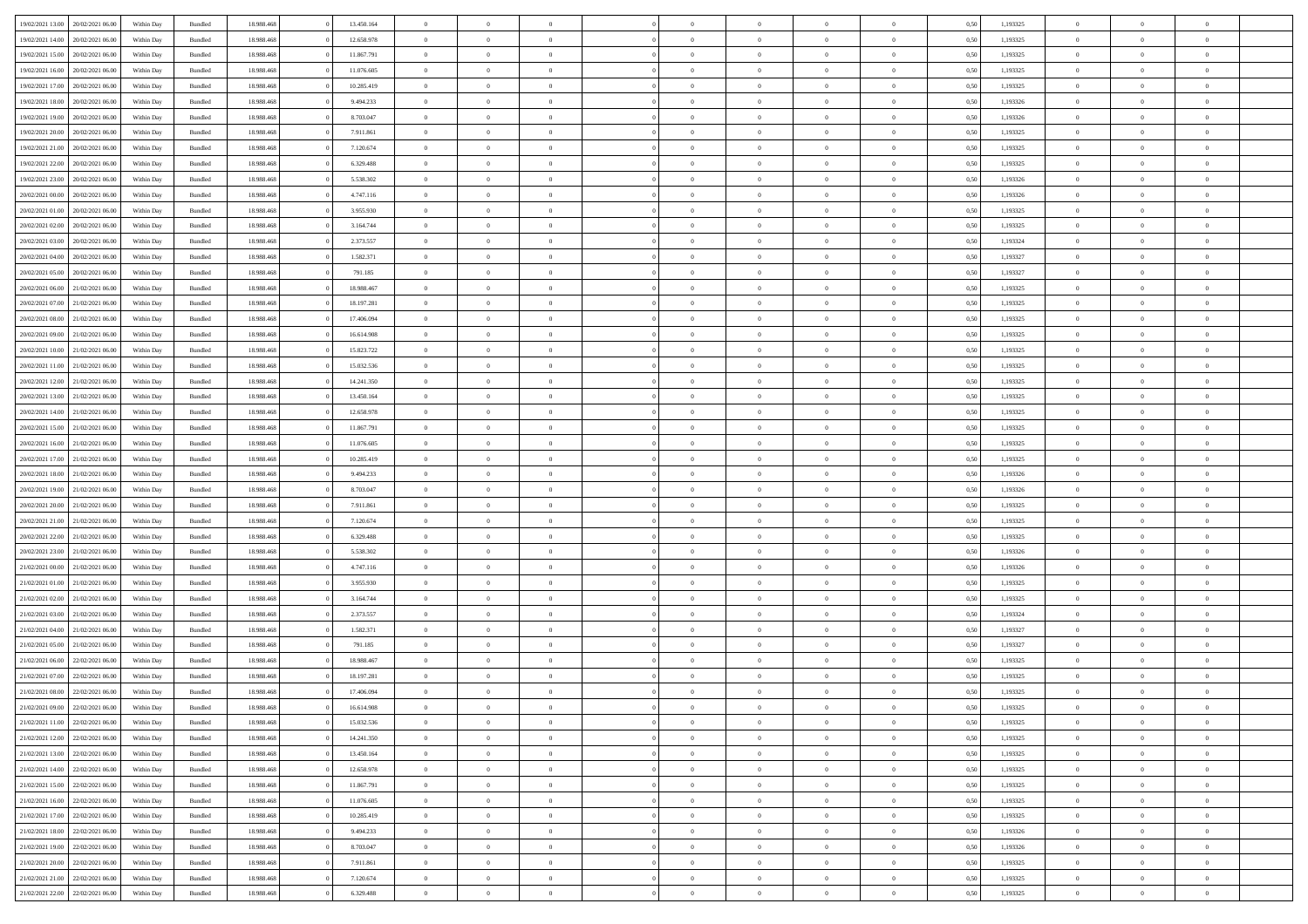|                                   | 20/02/2021 06:00 | Within Day | Bundled            | 18.988.468 | 13.450.164 | $\overline{0}$ | $\theta$       |                | $\Omega$       | $\Omega$       | $\Omega$       | $\theta$       | 0.50 | 1,193325 | $\theta$       | $\overline{0}$ | $\theta$       |  |
|-----------------------------------|------------------|------------|--------------------|------------|------------|----------------|----------------|----------------|----------------|----------------|----------------|----------------|------|----------|----------------|----------------|----------------|--|
| 19/02/2021 13:00                  |                  |            |                    |            |            |                |                |                |                |                |                |                |      |          |                |                |                |  |
| 19/02/2021 14:00                  | 20/02/2021 06:00 | Within Day | Bundled            | 18.988.468 | 12.658.978 | $\overline{0}$ | $\theta$       | $\overline{0}$ | $\overline{0}$ | $\bf{0}$       | $\overline{0}$ | $\overline{0}$ | 0,50 | 1,193325 | $\theta$       | $\theta$       | $\overline{0}$ |  |
| 19/02/2021 15:00                  | 20/02/2021 06:00 | Within Day | Bundled            | 18.988.468 | 11.867.791 | $\overline{0}$ | $\overline{0}$ | $\overline{0}$ | $\bf{0}$       | $\bf{0}$       | $\bf{0}$       | $\bf{0}$       | 0,50 | 1,193325 | $\bf{0}$       | $\overline{0}$ | $\overline{0}$ |  |
| 19/02/2021 16:00                  | 20/02/2021 06:00 | Within Dav | Bundled            | 18.988.468 | 11.076.605 | $\overline{0}$ | $\theta$       | $\overline{0}$ | $\overline{0}$ | $\bf{0}$       | $\overline{0}$ | $\overline{0}$ | 0.50 | 1,193325 | $\theta$       | $\theta$       | $\overline{0}$ |  |
|                                   |                  |            |                    |            |            |                |                |                |                |                |                |                |      |          |                |                |                |  |
| 19/02/2021 17:00                  | 20/02/2021 06:00 | Within Day | Bundled            | 18.988.468 | 10.285.419 | $\overline{0}$ | $\theta$       | $\overline{0}$ | $\overline{0}$ | $\bf{0}$       | $\overline{0}$ | $\bf{0}$       | 0,50 | 1,193325 | $\theta$       | $\theta$       | $\overline{0}$ |  |
| 19/02/2021 18:00                  | 20/02/2021 06:00 | Within Day | Bundled            | 18.988.468 | 9.494.233  | $\overline{0}$ | $\bf{0}$       | $\overline{0}$ | $\bf{0}$       | $\overline{0}$ | $\overline{0}$ | $\mathbf{0}$   | 0,50 | 1,193326 | $\overline{0}$ | $\overline{0}$ | $\bf{0}$       |  |
| 19/02/2021 19:00                  | 20/02/2021 06:00 | Within Dav | Bundled            | 18.988.468 | 8.703.047  | $\overline{0}$ | $\overline{0}$ | $\overline{0}$ | $\overline{0}$ | $\bf{0}$       | $\overline{0}$ | $\overline{0}$ | 0.50 | 1,193326 | $\theta$       | $\overline{0}$ | $\overline{0}$ |  |
| 19/02/2021 20:00                  | 20/02/2021 06:00 | Within Day | Bundled            | 18.988.468 | 7.911.861  | $\overline{0}$ | $\theta$       | $\overline{0}$ | $\overline{0}$ | $\bf{0}$       | $\overline{0}$ | $\bf{0}$       | 0,50 | 1,193325 | $\theta$       | $\theta$       | $\overline{0}$ |  |
| 19/02/2021 21:00                  | 20/02/2021 06:00 | Within Day | Bundled            | 18.988.468 | 7.120.674  | $\overline{0}$ | $\overline{0}$ | $\overline{0}$ | $\bf{0}$       | $\bf{0}$       | $\bf{0}$       | $\bf{0}$       | 0,50 | 1,193325 | $\,0\,$        | $\overline{0}$ | $\overline{0}$ |  |
|                                   |                  |            |                    |            |            |                |                |                |                |                |                |                |      |          |                |                |                |  |
| 19/02/2021 22.00                  | 20/02/2021 06:00 | Within Dav | Bundled            | 18.988.468 | 6.329.488  | $\overline{0}$ | $\overline{0}$ | $\overline{0}$ | $\overline{0}$ | $\overline{0}$ | $\overline{0}$ | $\overline{0}$ | 0.50 | 1,193325 | $\theta$       | $\overline{0}$ | $\overline{0}$ |  |
| 19/02/2021 23:00                  | 20/02/2021 06:00 | Within Day | Bundled            | 18.988.468 | 5.538.302  | $\overline{0}$ | $\theta$       | $\overline{0}$ | $\overline{0}$ | $\bf{0}$       | $\overline{0}$ | $\bf{0}$       | 0,50 | 1,193326 | $\theta$       | $\theta$       | $\overline{0}$ |  |
| 20/02/2021 00:00                  | 20/02/2021 06:00 | Within Day | Bundled            | 18.988.468 | 4.747.116  | $\overline{0}$ | $\overline{0}$ | $\overline{0}$ | $\bf{0}$       | $\bf{0}$       | $\bf{0}$       | $\bf{0}$       | 0,50 | 1,193326 | $\bf{0}$       | $\overline{0}$ | $\overline{0}$ |  |
| 20/02/2021 01:00                  | 20/02/2021 06:00 | Within Day | Bundled            | 18.988.468 | 3.955.930  | $\overline{0}$ | $\theta$       | $\overline{0}$ | $\overline{0}$ | $\bf{0}$       | $\overline{0}$ | $\overline{0}$ | 0.50 | 1,193325 | $\theta$       | $\theta$       | $\overline{0}$ |  |
| 20/02/2021 02:00                  | 20/02/2021 06:00 | Within Day | Bundled            | 18.988.468 | 3.164.744  | $\overline{0}$ | $\theta$       | $\overline{0}$ | $\overline{0}$ | $\bf{0}$       | $\overline{0}$ | $\overline{0}$ | 0,50 | 1,193325 | $\theta$       | $\theta$       | $\overline{0}$ |  |
|                                   |                  |            |                    |            |            |                |                |                |                |                |                |                |      |          |                |                |                |  |
| 20/02/2021 03:00                  | 20/02/2021 06:00 | Within Day | Bundled            | 18.988.468 | 2.373.557  | $\overline{0}$ | $\bf{0}$       | $\overline{0}$ | $\bf{0}$       | $\overline{0}$ | $\overline{0}$ | $\mathbf{0}$   | 0,50 | 1,193324 | $\overline{0}$ | $\overline{0}$ | $\bf{0}$       |  |
| 20/02/2021 04:00                  | 20/02/2021 06:00 | Within Dav | Bundled            | 18.988.468 | 1.582.371  | $\overline{0}$ | $\overline{0}$ | $\overline{0}$ | $\overline{0}$ | $\bf{0}$       | $\overline{0}$ | $\overline{0}$ | 0.50 | 1,193327 | $\theta$       | $\overline{0}$ | $\overline{0}$ |  |
| 20/02/2021 05:00                  | 20/02/2021 06:00 | Within Day | Bundled            | 18.988.468 | 791.185    | $\overline{0}$ | $\theta$       | $\overline{0}$ | $\overline{0}$ | $\bf{0}$       | $\overline{0}$ | $\bf{0}$       | 0,50 | 1,193327 | $\theta$       | $\theta$       | $\overline{0}$ |  |
| 20/02/2021 06:00                  | 21/02/2021 06:00 | Within Day | Bundled            | 18.988.468 | 18.988.467 | $\overline{0}$ | $\overline{0}$ | $\overline{0}$ | $\bf{0}$       | $\bf{0}$       | $\bf{0}$       | $\bf{0}$       | 0,50 | 1,193325 | $\,0\,$        | $\overline{0}$ | $\overline{0}$ |  |
| 20/02/2021 07:00                  | 21/02/2021 06:00 | Within Day | Bundled            | 18.988.468 | 18.197.281 | $\overline{0}$ | $\overline{0}$ | $\overline{0}$ | $\overline{0}$ | $\overline{0}$ | $\overline{0}$ | $\overline{0}$ | 0.50 | 1,193325 | $\theta$       | $\overline{0}$ | $\overline{0}$ |  |
|                                   |                  |            |                    |            |            |                |                |                |                |                |                |                |      |          |                |                |                |  |
| 20/02/2021 08:00                  | 21/02/2021 06:00 | Within Day | Bundled            | 18.988.468 | 17.406.094 | $\overline{0}$ | $\theta$       | $\overline{0}$ | $\overline{0}$ | $\bf{0}$       | $\overline{0}$ | $\bf{0}$       | 0,50 | 1,193325 | $\theta$       | $\theta$       | $\overline{0}$ |  |
| 20/02/2021 09:00                  | 21/02/2021 06:00 | Within Day | Bundled            | 18.988.468 | 16.614.908 | $\overline{0}$ | $\overline{0}$ | $\overline{0}$ | $\bf{0}$       | $\bf{0}$       | $\bf{0}$       | $\bf{0}$       | 0,50 | 1,193325 | $\,0\,$        | $\overline{0}$ | $\overline{0}$ |  |
| 20/02/2021 10:00                  | 21/02/2021 06:00 | Within Day | Bundled            | 18.988.468 | 15.823.722 | $\overline{0}$ | $\overline{0}$ | $\overline{0}$ | $\overline{0}$ | $\bf{0}$       | $\overline{0}$ | $\overline{0}$ | 0.50 | 1,193325 | $\theta$       | $\theta$       | $\overline{0}$ |  |
| 20/02/2021 11:00                  | 21/02/2021 06:00 | Within Day | Bundled            | 18.988.468 | 15.032.536 | $\overline{0}$ | $\theta$       | $\overline{0}$ | $\overline{0}$ | $\bf{0}$       | $\overline{0}$ | $\bf{0}$       | 0,50 | 1,193325 | $\theta$       | $\overline{0}$ | $\overline{0}$ |  |
| 20/02/2021 12:00                  | 21/02/2021 06:00 | Within Day | Bundled            | 18.988.468 | 14.241.350 | $\overline{0}$ | $\overline{0}$ | $\overline{0}$ | $\bf{0}$       | $\overline{0}$ | $\overline{0}$ | $\mathbf{0}$   | 0,50 | 1,193325 | $\overline{0}$ | $\overline{0}$ | $\bf{0}$       |  |
|                                   |                  |            |                    |            |            |                |                |                |                |                |                |                |      |          |                |                |                |  |
| 20/02/2021 13:00                  | 21/02/2021 06:00 | Within Dav | Bundled            | 18.988.468 | 13.450.164 | $\overline{0}$ | $\overline{0}$ | $\overline{0}$ | $\overline{0}$ | $\overline{0}$ | $\overline{0}$ | $\overline{0}$ | 0.50 | 1,193325 | $\theta$       | $\theta$       | $\overline{0}$ |  |
| 20/02/2021 14:00                  | 21/02/2021 06:00 | Within Day | Bundled            | 18.988.468 | 12.658.978 | $\overline{0}$ | $\theta$       | $\overline{0}$ | $\overline{0}$ | $\bf{0}$       | $\overline{0}$ | $\bf{0}$       | 0,50 | 1,193325 | $\theta$       | $\theta$       | $\overline{0}$ |  |
| 20/02/2021 15:00                  | 21/02/2021 06:00 | Within Day | Bundled            | 18.988.468 | 11.867.791 | $\overline{0}$ | $\overline{0}$ | $\overline{0}$ | $\bf{0}$       | $\bf{0}$       | $\overline{0}$ | $\bf{0}$       | 0,50 | 1,193325 | $\,0\,$        | $\overline{0}$ | $\overline{0}$ |  |
| 20/02/2021 16:00                  | 21/02/2021 06:00 | Within Day | Bundled            | 18.988.468 | 11.076.605 | $\overline{0}$ | $\overline{0}$ | $\overline{0}$ | $\overline{0}$ | $\bf{0}$       | $\overline{0}$ | $\overline{0}$ | 0.50 | 1,193325 | $\theta$       | $\overline{0}$ | $\overline{0}$ |  |
| 20/02/2021 17:00                  | 21/02/2021 06:00 | Within Day | Bundled            | 18.988.468 | 10.285.419 | $\overline{0}$ | $\theta$       | $\overline{0}$ | $\overline{0}$ | $\bf{0}$       | $\overline{0}$ | $\bf{0}$       | 0,50 | 1,193325 | $\,$ 0 $\,$    | $\theta$       | $\overline{0}$ |  |
|                                   |                  |            |                    |            |            |                |                |                |                |                |                |                |      |          |                |                |                |  |
| 20/02/2021 18:00                  | 21/02/2021 06:00 | Within Day | Bundled            | 18.988.468 | 9.494.233  | $\overline{0}$ | $\overline{0}$ | $\overline{0}$ | $\overline{0}$ | $\bf{0}$       | $\overline{0}$ | $\bf{0}$       | 0,50 | 1,193326 | $\bf{0}$       | $\overline{0}$ | $\overline{0}$ |  |
| 20/02/2021 19:00                  | 21/02/2021 06:00 | Within Day | Bundled            | 18.988.468 | 8.703.047  | $\overline{0}$ | $\Omega$       | $\Omega$       | $\Omega$       | $\Omega$       | $\Omega$       | $\overline{0}$ | 0.50 | 1,193326 | $\,0\,$        | $\Omega$       | $\theta$       |  |
| 20/02/2021 20:00                  | 21/02/2021 06:00 | Within Day | Bundled            | 18.988.468 | 7.911.861  | $\overline{0}$ | $\theta$       | $\overline{0}$ | $\overline{0}$ | $\bf{0}$       | $\overline{0}$ | $\bf{0}$       | 0,50 | 1,193325 | $\theta$       | $\theta$       | $\overline{0}$ |  |
| 20/02/2021 21:00                  | 21/02/2021 06:00 | Within Day | Bundled            | 18.988.468 | 7.120.674  | $\overline{0}$ | $\bf{0}$       | $\overline{0}$ | $\overline{0}$ | $\bf{0}$       | $\overline{0}$ | $\mathbf{0}$   | 0,50 | 1,193325 | $\bf{0}$       | $\overline{0}$ | $\bf{0}$       |  |
| 20/02/2021 22:00                  | 21/02/2021 06:00 | Within Day | Bundled            | 18.988.468 | 6.329.488  | $\overline{0}$ | $\Omega$       | $\Omega$       | $\Omega$       | $\Omega$       | $\Omega$       | $\overline{0}$ | 0.50 | 1,193325 | $\theta$       | $\theta$       | $\theta$       |  |
| 20/02/2021 23:00                  | 21/02/2021 06:00 |            |                    | 18.988.468 | 5.538.302  | $\overline{0}$ | $\theta$       | $\overline{0}$ | $\overline{0}$ | $\bf{0}$       | $\overline{0}$ |                |      | 1,193326 | $\theta$       | $\theta$       | $\overline{0}$ |  |
|                                   |                  | Within Day | Bundled            |            |            |                |                |                |                |                |                | $\bf{0}$       | 0,50 |          |                |                |                |  |
| 21/02/2021 00:00                  | 21/02/2021 06:00 | Within Day | Bundled            | 18.988.468 | 4.747.116  | $\overline{0}$ | $\overline{0}$ | $\overline{0}$ | $\overline{0}$ | $\bf{0}$       | $\overline{0}$ | $\bf{0}$       | 0,50 | 1,193326 | $\,0\,$        | $\overline{0}$ | $\overline{0}$ |  |
| 21/02/2021 01:00                  | 21/02/2021 06:00 | Within Day | Bundled            | 18.988.468 | 3.955.930  | $\overline{0}$ | $\Omega$       | $\Omega$       | $\Omega$       | $\Omega$       | $\theta$       | $\overline{0}$ | 0.50 | 1,193325 | $\theta$       | $\theta$       | $\theta$       |  |
| 21/02/2021 02:00                  | 21/02/2021 06:00 | Within Day | Bundled            | 18.988.468 | 3.164.744  | $\overline{0}$ | $\theta$       | $\overline{0}$ | $\overline{0}$ | $\bf{0}$       | $\overline{0}$ | $\bf{0}$       | 0,50 | 1,193325 | $\,$ 0 $\,$    | $\theta$       | $\overline{0}$ |  |
| 21/02/2021 03:00                  | 21/02/2021 06:00 | Within Day | Bundled            | 18.988.468 | 2.373.557  | $\overline{0}$ | $\overline{0}$ | $\overline{0}$ | $\overline{0}$ | $\bf{0}$       | $\overline{0}$ | $\bf{0}$       | 0,50 | 1,193324 | $\bf{0}$       | $\overline{0}$ | $\overline{0}$ |  |
| 21/02/2021 04:00                  | 21/02/2021 06:00 | Within Day | Bundled            | 18.988.468 | 1.582.371  | $\overline{0}$ | $\Omega$       | $\Omega$       | $\Omega$       | $\Omega$       | $\overline{0}$ | $\overline{0}$ | 0.50 | 1,193327 | $\,0\,$        | $\theta$       | $\theta$       |  |
|                                   |                  |            |                    |            |            |                |                |                |                |                |                |                |      |          |                |                |                |  |
| 21/02/2021 05:00                  | 21/02/2021 06:00 | Within Day | Bundled            | 18.988.468 | 791.185    | $\overline{0}$ | $\theta$       | $\overline{0}$ | $\overline{0}$ | $\bf{0}$       | $\overline{0}$ | $\bf{0}$       | 0,50 | 1,193327 | $\,$ 0 $\,$    | $\theta$       | $\overline{0}$ |  |
| 21/02/2021 06:00                  | 22/02/2021 06:00 | Within Day | Bundled            | 18.988.468 | 18.988.467 | $\overline{0}$ | $\overline{0}$ | $\overline{0}$ | $\overline{0}$ | $\bf{0}$       | $\overline{0}$ | $\mathbf{0}$   | 0,50 | 1,193325 | $\bf{0}$       | $\overline{0}$ | $\bf{0}$       |  |
| 21/02/2021 07:00                  | 22/02/2021 06:00 | Within Day | Bundled            | 18.988.468 | 18.197.281 | $\overline{0}$ | $\Omega$       | $\Omega$       | $\Omega$       | $\Omega$       | $\Omega$       | $\overline{0}$ | 0.50 | 1,193325 | $\theta$       | $\Omega$       | $\theta$       |  |
| 21/02/2021 08:00                  | 22/02/2021 06:00 | Within Day | Bundled            | 18.988.468 | 17.406.094 | $\overline{0}$ | $\,$ 0 $\,$    | $\overline{0}$ | $\bf{0}$       | $\,$ 0         | $\overline{0}$ | $\bf{0}$       | 0,50 | 1,193325 | $\,0\,$        | $\overline{0}$ | $\overline{0}$ |  |
| 21/02/2021 09:00                  | 22/02/2021 06:00 | Within Day | $\mathbf B$ undled | 18.988.468 | 16.614.908 | $\bf{0}$       | $\bf{0}$       |                |                |                |                |                | 0,50 | 1,193325 | $\bf{0}$       | $\overline{0}$ |                |  |
|                                   |                  |            |                    |            |            |                |                |                |                |                |                |                |      |          |                |                |                |  |
| 21/02/2021 11:00                  | 22/02/2021 06:00 | Within Day | Bundled            | 18,988,468 | 15.032.536 | $\overline{0}$ | $\overline{0}$ | $\overline{0}$ | $\Omega$       | $\theta$       | $\overline{0}$ | $\overline{0}$ | 0.50 | 1,193325 | $\theta$       | $\theta$       | $\theta$       |  |
| 21/02/2021 12:00                  | 22/02/2021 06:00 | Within Day | Bundled            | 18.988.468 | 14.241.350 | $\overline{0}$ | $\,$ 0         | $\overline{0}$ | $\overline{0}$ | $\,$ 0 $\,$    | $\overline{0}$ | $\mathbf{0}$   | 0,50 | 1,193325 | $\,$ 0 $\,$    | $\overline{0}$ | $\,$ 0         |  |
| 21/02/2021 13:00                  | 22/02/2021 06:00 | Within Day | Bundled            | 18.988.468 | 13.450.164 | $\overline{0}$ | $\overline{0}$ | $\overline{0}$ | $\overline{0}$ | $\overline{0}$ | $\overline{0}$ | $\mathbf{0}$   | 0,50 | 1,193325 | $\overline{0}$ | $\bf{0}$       | $\bf{0}$       |  |
| 21/02/2021 14:00                  | 22/02/2021 06:00 | Within Day | Bundled            | 18.988.468 | 12.658.978 | $\overline{0}$ | $\theta$       | $\overline{0}$ | $\Omega$       | $\overline{0}$ | $\overline{0}$ | $\bf{0}$       | 0,50 | 1,193325 | $\overline{0}$ | $\theta$       | $\overline{0}$ |  |
| 21/02/2021 15:00                  | 22/02/2021 06:00 | Within Day | Bundled            | 18.988.468 | 11.867.791 | $\overline{0}$ | $\,$ 0         | $\overline{0}$ | $\overline{0}$ | $\overline{0}$ | $\overline{0}$ | $\bf{0}$       | 0,50 | 1,193325 | $\,$ 0 $\,$    | $\overline{0}$ | $\overline{0}$ |  |
|                                   |                  |            |                    |            |            |                |                |                |                |                |                |                |      |          |                |                |                |  |
| 21/02/2021 16:00                  | 22/02/2021 06:00 | Within Day | Bundled            | 18.988.468 | 11.076.605 | $\overline{0}$ | $\overline{0}$ | $\overline{0}$ | $\overline{0}$ | $\overline{0}$ | $\overline{0}$ | $\mathbf{0}$   | 0,50 | 1,193325 | $\overline{0}$ | $\bf{0}$       | $\bf{0}$       |  |
| 21/02/2021 17:00                  | 22/02/2021 06:00 | Within Day | Bundled            | 18.988.468 | 10.285.419 | $\overline{0}$ | $\overline{0}$ | $\overline{0}$ | $\Omega$       | $\overline{0}$ | $\overline{0}$ | $\bf{0}$       | 0.50 | 1,193325 | $\overline{0}$ | $\theta$       | $\overline{0}$ |  |
| 21/02/2021 18:00                  | 22/02/2021 06:00 | Within Day | Bundled            | 18.988.468 | 9.494.233  | $\overline{0}$ | $\,$ 0         | $\overline{0}$ | $\overline{0}$ | $\bf{0}$       | $\bf{0}$       | $\bf{0}$       | 0,50 | 1,193326 | $\,$ 0 $\,$    | $\overline{0}$ | $\overline{0}$ |  |
| 21/02/2021 19:00                  | 22/02/2021 06:00 | Within Day | Bundled            | 18.988.468 | 8.703.047  | $\overline{0}$ | $\bf{0}$       | $\overline{0}$ | $\overline{0}$ | $\overline{0}$ | $\bf{0}$       | $\mathbf{0}$   | 0,50 | 1,193326 | $\overline{0}$ | $\overline{0}$ | $\bf{0}$       |  |
| 21/02/2021 20:00                  | 22/02/2021 06:00 | Within Day | Bundled            | 18,988,468 | 7.911.861  | $\overline{0}$ | $\overline{0}$ | $\overline{0}$ | $\Omega$       | $\overline{0}$ | $\overline{0}$ | $\bf{0}$       | 0.50 | 1,193325 | $\overline{0}$ | $\theta$       | $\overline{0}$ |  |
|                                   |                  |            |                    |            |            |                | $\bf{0}$       |                | $\overline{0}$ |                |                |                |      |          | $\,$ 0 $\,$    | $\,$ 0 $\,$    |                |  |
| 21/02/2021 21:00                  | 22/02/2021 06:00 | Within Day | Bundled            | 18.988.468 | 7.120.674  | $\overline{0}$ |                | $\overline{0}$ |                | $\bf{0}$       | $\bf{0}$       | $\bf{0}$       | 0,50 | 1,193325 |                |                | $\bf{0}$       |  |
| 21/02/2021 22.00 22/02/2021 06:00 |                  | Within Day | Bundled            | 18.988.468 | 6.329.488  | $\overline{0}$ | $\overline{0}$ | $\overline{0}$ | $\overline{0}$ | $\bf{0}$       | $\bf{0}$       | $\mathbf{0}$   | 0,50 | 1,193325 | $\overline{0}$ | $\bf{0}$       | $\bf{0}$       |  |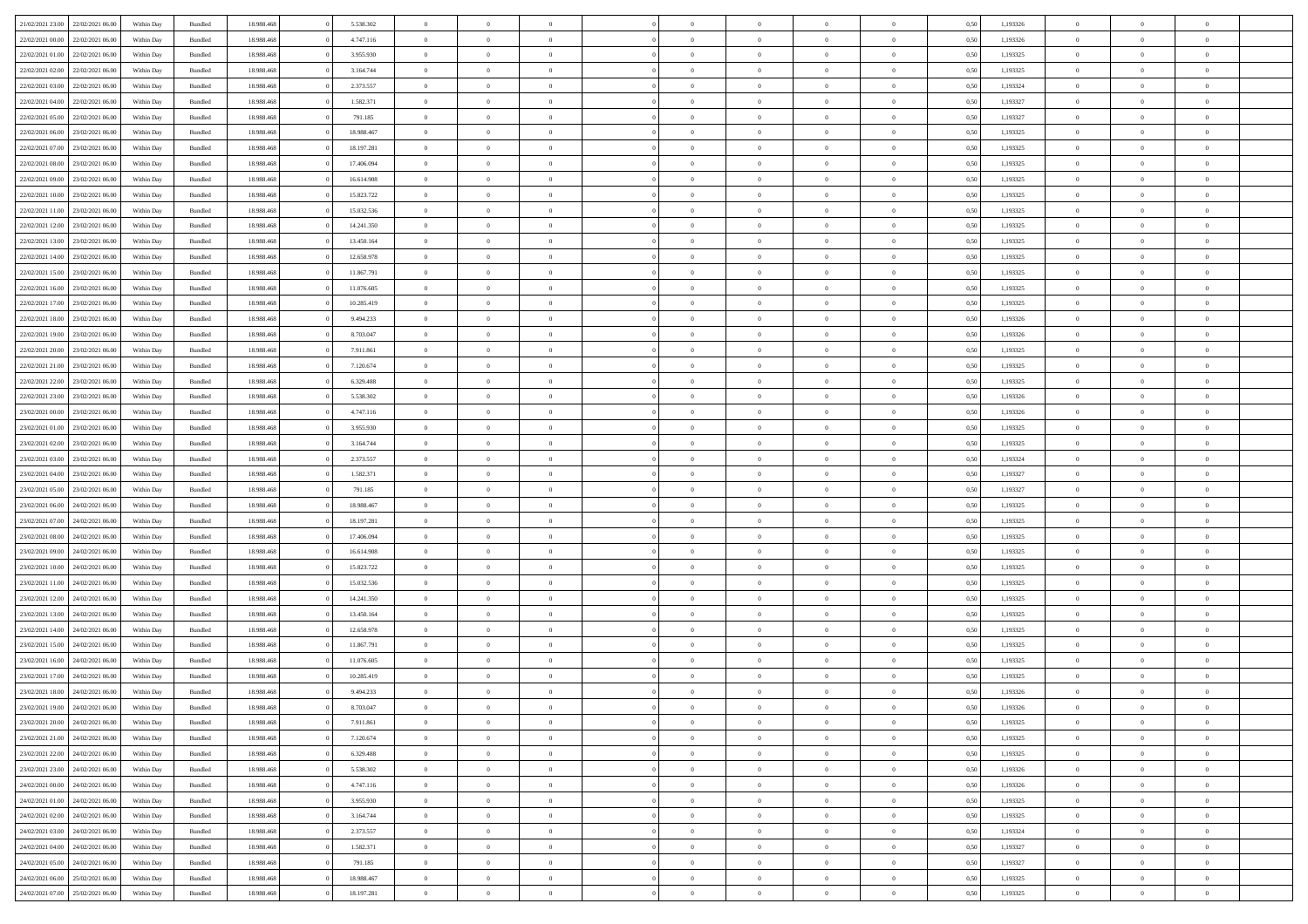|                                   | 22/02/2021 06:00 | Within Day | Bundled            | 18.988.468 | 5.538.302  | $\overline{0}$ | $\Omega$       |                | $\Omega$       | $\Omega$       | $\Omega$       | $\theta$       | 0.50 | 1,193326 | $\theta$       | $\theta$       | $\theta$       |  |
|-----------------------------------|------------------|------------|--------------------|------------|------------|----------------|----------------|----------------|----------------|----------------|----------------|----------------|------|----------|----------------|----------------|----------------|--|
| 21/02/2021 23:00                  |                  |            |                    |            |            |                |                |                |                |                |                |                |      |          |                |                |                |  |
| 22/02/2021 00:00                  | 22/02/2021 06:00 | Within Day | Bundled            | 18.988.468 | 4.747.116  | $\overline{0}$ | $\theta$       | $\overline{0}$ | $\overline{0}$ | $\bf{0}$       | $\overline{0}$ | $\overline{0}$ | 0,50 | 1,193326 | $\theta$       | $\theta$       | $\overline{0}$ |  |
| 22/02/2021 01:00                  | 22/02/2021 06:00 | Within Day | Bundled            | 18.988.468 | 3.955.930  | $\overline{0}$ | $\overline{0}$ | $\overline{0}$ | $\bf{0}$       | $\bf{0}$       | $\bf{0}$       | $\bf{0}$       | 0,50 | 1,193325 | $\bf{0}$       | $\overline{0}$ | $\overline{0}$ |  |
| 22/02/2021 02:00                  | 22/02/2021 06:00 | Within Dav | Bundled            | 18.988.468 | 3.164.744  | $\overline{0}$ | $\theta$       | $\overline{0}$ | $\overline{0}$ | $\bf{0}$       | $\overline{0}$ | $\overline{0}$ | 0.50 | 1,193325 | $\theta$       | $\theta$       | $\overline{0}$ |  |
|                                   |                  |            |                    |            |            |                |                |                |                |                |                |                |      |          |                |                |                |  |
| 22/02/2021 03:00                  | 22/02/2021 06:00 | Within Day | Bundled            | 18.988.468 | 2.373.557  | $\overline{0}$ | $\theta$       | $\overline{0}$ | $\overline{0}$ | $\bf{0}$       | $\overline{0}$ | $\bf{0}$       | 0,50 | 1,193324 | $\theta$       | $\theta$       | $\overline{0}$ |  |
| 22/02/2021 04:00                  | 22/02/2021 06:00 | Within Day | Bundled            | 18.988.468 | 1.582.371  | $\overline{0}$ | $\overline{0}$ | $\overline{0}$ | $\bf{0}$       | $\overline{0}$ | $\bf{0}$       | $\mathbf{0}$   | 0,50 | 1,193327 | $\overline{0}$ | $\overline{0}$ | $\bf{0}$       |  |
| 22/02/2021 05:00                  | 22/02/2021 06:00 | Within Dav | Bundled            | 18.988.468 | 791.185    | $\overline{0}$ | $\theta$       | $\overline{0}$ | $\overline{0}$ | $\bf{0}$       | $\overline{0}$ | $\overline{0}$ | 0.50 | 1,193327 | $\theta$       | $\theta$       | $\overline{0}$ |  |
| 22/02/2021 06:00                  | 23/02/2021 06:00 | Within Day | Bundled            | 18.988.468 | 18.988.467 | $\overline{0}$ | $\theta$       | $\overline{0}$ | $\overline{0}$ | $\bf{0}$       | $\overline{0}$ | $\bf{0}$       | 0,50 | 1,193325 | $\theta$       | $\theta$       | $\overline{0}$ |  |
|                                   |                  |            |                    |            |            |                | $\overline{0}$ |                |                | $\bf{0}$       |                |                |      |          | $\,0\,$        | $\overline{0}$ | $\overline{0}$ |  |
| 22/02/2021 07:00                  | 23/02/2021 06:00 | Within Day | Bundled            | 18.988.468 | 18.197.281 | $\overline{0}$ |                | $\overline{0}$ | $\bf{0}$       |                | $\bf{0}$       | $\bf{0}$       | 0,50 | 1,193325 |                |                |                |  |
| 22/02/2021 08:00                  | 23/02/2021 06:00 | Within Dav | Bundled            | 18.988.468 | 17.406.094 | $\overline{0}$ | $\overline{0}$ | $\overline{0}$ | $\overline{0}$ | $\overline{0}$ | $\overline{0}$ | $\overline{0}$ | 0.50 | 1,193325 | $\theta$       | $\overline{0}$ | $\overline{0}$ |  |
| 22/02/2021 09:00                  | 23/02/2021 06:00 | Within Day | Bundled            | 18.988.468 | 16.614.908 | $\overline{0}$ | $\theta$       | $\overline{0}$ | $\overline{0}$ | $\bf{0}$       | $\overline{0}$ | $\bf{0}$       | 0,50 | 1,193325 | $\theta$       | $\theta$       | $\overline{0}$ |  |
| 22/02/2021 10:00                  | 23/02/2021 06:00 | Within Day | Bundled            | 18.988.468 | 15.823.722 | $\overline{0}$ | $\overline{0}$ | $\overline{0}$ | $\bf{0}$       | $\bf{0}$       | $\bf{0}$       | $\bf{0}$       | 0,50 | 1,193325 | $\,0\,$        | $\overline{0}$ | $\overline{0}$ |  |
| 22/02/2021 11:00                  | 23/02/2021 06:00 | Within Dav | Bundled            | 18.988.468 | 15.032.536 | $\overline{0}$ | $\theta$       | $\overline{0}$ | $\overline{0}$ | $\bf{0}$       | $\overline{0}$ | $\overline{0}$ | 0.50 | 1,193325 | $\theta$       | $\theta$       | $\overline{0}$ |  |
|                                   |                  |            |                    |            |            | $\overline{0}$ | $\theta$       | $\overline{0}$ |                | $\bf{0}$       | $\overline{0}$ | $\overline{0}$ |      |          | $\theta$       | $\theta$       | $\overline{0}$ |  |
| 22/02/2021 12:00                  | 23/02/2021 06:00 | Within Day | Bundled            | 18.988.468 | 14.241.350 |                |                |                | $\overline{0}$ |                |                |                | 0,50 | 1,193325 |                |                |                |  |
| 22/02/2021 13:00                  | 23/02/2021 06:00 | Within Day | Bundled            | 18.988.468 | 13.450.164 | $\overline{0}$ | $\overline{0}$ | $\overline{0}$ | $\bf{0}$       | $\overline{0}$ | $\overline{0}$ | $\mathbf{0}$   | 0,50 | 1,193325 | $\overline{0}$ | $\overline{0}$ | $\bf{0}$       |  |
| 22/02/2021 14:00                  | 23/02/2021 06:00 | Within Dav | Bundled            | 18.988.468 | 12.658.978 | $\overline{0}$ | $\overline{0}$ | $\overline{0}$ | $\overline{0}$ | $\bf{0}$       | $\overline{0}$ | $\overline{0}$ | 0.50 | 1,193325 | $\theta$       | $\overline{0}$ | $\overline{0}$ |  |
| 22/02/2021 15:00                  | 23/02/2021 06:00 | Within Day | Bundled            | 18.988.468 | 11.867.791 | $\overline{0}$ | $\theta$       | $\overline{0}$ | $\overline{0}$ | $\bf{0}$       | $\overline{0}$ | $\bf{0}$       | 0,50 | 1,193325 | $\theta$       | $\theta$       | $\overline{0}$ |  |
| 22/02/2021 16:00                  | 23/02/2021 06:00 | Within Day | Bundled            | 18.988.468 | 11.076.605 | $\overline{0}$ | $\overline{0}$ | $\overline{0}$ | $\bf{0}$       | $\bf{0}$       | $\bf{0}$       | $\bf{0}$       | 0,50 | 1,193325 | $\,0\,$        | $\overline{0}$ | $\overline{0}$ |  |
|                                   |                  |            |                    |            |            |                |                |                |                | $\overline{0}$ |                |                |      |          | $\theta$       | $\overline{0}$ | $\overline{0}$ |  |
| 22/02/2021 17:00                  | 23/02/2021 06:00 | Within Dav | Bundled            | 18.988.468 | 10.285.419 | $\overline{0}$ | $\overline{0}$ | $\overline{0}$ | $\overline{0}$ |                | $\overline{0}$ | $\overline{0}$ | 0.50 | 1,193325 |                |                |                |  |
| 22/02/2021 18:00                  | 23/02/2021 06:00 | Within Day | Bundled            | 18.988.468 | 9.494.233  | $\overline{0}$ | $\theta$       | $\overline{0}$ | $\overline{0}$ | $\bf{0}$       | $\overline{0}$ | $\bf{0}$       | 0,50 | 1,193326 | $\theta$       | $\theta$       | $\overline{0}$ |  |
| 22/02/2021 19:00                  | 23/02/2021 06:00 | Within Day | Bundled            | 18.988.468 | 8.703.047  | $\overline{0}$ | $\overline{0}$ | $\overline{0}$ | $\bf{0}$       | $\bf{0}$       | $\overline{0}$ | $\bf{0}$       | 0,50 | 1,193326 | $\,0\,$        | $\overline{0}$ | $\overline{0}$ |  |
| 22/02/2021 20:00                  | 23/02/2021 06:00 | Within Day | Bundled            | 18.988.468 | 7.911.861  | $\overline{0}$ | $\overline{0}$ | $\overline{0}$ | $\overline{0}$ | $\bf{0}$       | $\overline{0}$ | $\overline{0}$ | 0.50 | 1,193325 | $\theta$       | $\theta$       | $\overline{0}$ |  |
| 22/02/2021 21:00                  | 23/02/2021 06:00 | Within Day | Bundled            | 18.988.468 | 7.120.674  | $\overline{0}$ | $\theta$       | $\overline{0}$ | $\overline{0}$ | $\bf{0}$       | $\overline{0}$ | $\bf{0}$       | 0,50 | 1,193325 | $\theta$       | $\theta$       | $\overline{0}$ |  |
|                                   |                  |            |                    |            |            |                |                |                |                |                |                |                |      |          |                |                |                |  |
| 22/02/2021 22:00                  | 23/02/2021 06:00 | Within Day | Bundled            | 18.988.468 | 6.329.488  | $\overline{0}$ | $\overline{0}$ | $\overline{0}$ | $\overline{0}$ | $\overline{0}$ | $\overline{0}$ | $\mathbf{0}$   | 0,50 | 1,193325 | $\overline{0}$ | $\overline{0}$ | $\bf{0}$       |  |
| 22/02/2021 23:00                  | 23/02/2021 06:00 | Within Dav | Bundled            | 18.988.468 | 5.538.302  | $\overline{0}$ | $\overline{0}$ | $\overline{0}$ | $\overline{0}$ | $\overline{0}$ | $\overline{0}$ | $\overline{0}$ | 0.50 | 1,193326 | $\theta$       | $\theta$       | $\overline{0}$ |  |
| 23/02/2021 00:00                  | 23/02/2021 06:00 | Within Day | Bundled            | 18.988.468 | 4.747.116  | $\overline{0}$ | $\theta$       | $\overline{0}$ | $\overline{0}$ | $\bf{0}$       | $\overline{0}$ | $\bf{0}$       | 0,50 | 1,193326 | $\theta$       | $\theta$       | $\overline{0}$ |  |
| 23/02/2021 01:00                  | 23/02/2021 06:00 | Within Day | Bundled            | 18.988.468 | 3.955.930  | $\overline{0}$ | $\overline{0}$ | $\overline{0}$ | $\bf{0}$       | $\bf{0}$       | $\overline{0}$ | $\bf{0}$       | 0,50 | 1,193325 | $\,0\,$        | $\overline{0}$ | $\overline{0}$ |  |
| 23/02/2021 02:00                  | 23/02/2021 06:00 | Within Day | Bundled            | 18.988.468 | 3.164.744  | $\overline{0}$ | $\overline{0}$ | $\overline{0}$ | $\overline{0}$ | $\bf{0}$       | $\overline{0}$ | $\overline{0}$ | 0.50 | 1,193325 | $\theta$       | $\theta$       | $\overline{0}$ |  |
|                                   |                  |            |                    |            |            |                |                |                |                |                |                |                |      |          |                |                |                |  |
| 23/02/2021 03:00                  | 23/02/2021 06:00 | Within Day | Bundled            | 18.988.468 | 2.373.557  | $\overline{0}$ | $\theta$       | $\overline{0}$ | $\overline{0}$ | $\bf{0}$       | $\overline{0}$ | $\bf{0}$       | 0,50 | 1,193324 | $\theta$       | $\theta$       | $\overline{0}$ |  |
| 23/02/2021 04:00                  | 23/02/2021 06:00 | Within Day | Bundled            | 18.988.468 | 1.582.371  | $\overline{0}$ | $\overline{0}$ | $\overline{0}$ | $\overline{0}$ | $\bf{0}$       | $\overline{0}$ | $\bf{0}$       | 0,50 | 1,193327 | $\,0\,$        | $\overline{0}$ | $\overline{0}$ |  |
| 23/02/2021 05:00                  | 23/02/2021 06:00 | Within Day | Bundled            | 18.988.468 | 791.185    | $\overline{0}$ | $\Omega$       | $\Omega$       | $\Omega$       | $\Omega$       | $\Omega$       | $\overline{0}$ | 0.50 | 1,193327 | $\,0\,$        | $\Omega$       | $\theta$       |  |
| 23/02/2021 06:00                  | 24/02/2021 06.00 | Within Day | Bundled            | 18.988.468 | 18.988.467 | $\overline{0}$ | $\theta$       | $\overline{0}$ | $\overline{0}$ | $\bf{0}$       | $\overline{0}$ | $\bf{0}$       | 0,50 | 1,193325 | $\theta$       | $\theta$       | $\overline{0}$ |  |
|                                   |                  |            |                    |            |            |                | $\overline{0}$ |                |                | $\bf{0}$       |                |                |      |          |                | $\overline{0}$ | $\bf{0}$       |  |
| 23/02/2021 07:00                  | 24/02/2021 06:00 | Within Day | Bundled            | 18.988.468 | 18.197.281 | $\overline{0}$ |                | $\overline{0}$ | $\overline{0}$ |                | $\overline{0}$ | $\mathbf{0}$   | 0,50 | 1,193325 | $\overline{0}$ |                |                |  |
| 23/02/2021 08:00                  | 24/02/2021 06:00 | Within Day | Bundled            | 18.988.468 | 17.406.094 | $\overline{0}$ | $\Omega$       | $\Omega$       | $\Omega$       | $\Omega$       | $\Omega$       | $\overline{0}$ | 0.50 | 1,193325 | $\theta$       | $\Omega$       | $\theta$       |  |
| 23/02/2021 09:00                  | 24/02/2021 06.00 | Within Day | Bundled            | 18.988.468 | 16.614.908 | $\overline{0}$ | $\theta$       | $\overline{0}$ | $\overline{0}$ | $\bf{0}$       | $\overline{0}$ | $\bf{0}$       | 0,50 | 1,193325 | $\theta$       | $\theta$       | $\overline{0}$ |  |
| 23/02/2021 10:00                  | 24/02/2021 06:00 | Within Day | Bundled            | 18.988.468 | 15.823.722 | $\overline{0}$ | $\overline{0}$ | $\overline{0}$ | $\overline{0}$ | $\bf{0}$       | $\overline{0}$ | $\bf{0}$       | 0,50 | 1,193325 | $\,0\,$        | $\overline{0}$ | $\overline{0}$ |  |
| 23/02/2021 11:00                  | 24/02/2021 06:00 | Within Day | Bundled            | 18.988.468 | 15.032.536 | $\overline{0}$ | $\Omega$       | $\Omega$       | $\Omega$       | $\Omega$       | $\theta$       | $\overline{0}$ | 0.50 | 1,193325 | $\theta$       | $\theta$       | $\theta$       |  |
|                                   |                  |            |                    |            |            | $\overline{0}$ | $\theta$       | $\overline{0}$ |                | $\bf{0}$       | $\overline{0}$ |                |      |          | $\theta$       | $\theta$       | $\overline{0}$ |  |
| 23/02/2021 12:00                  | 24/02/2021 06.00 | Within Day | Bundled            | 18.988.468 | 14.241.350 |                |                |                | $\overline{0}$ |                |                | $\bf{0}$       | 0,50 | 1,193325 |                |                |                |  |
| 23/02/2021 13:00                  | 24/02/2021 06:00 | Within Day | Bundled            | 18.988.468 | 13.450.164 | $\overline{0}$ | $\overline{0}$ | $\overline{0}$ | $\overline{0}$ | $\bf{0}$       | $\overline{0}$ | $\bf{0}$       | 0,50 | 1,193325 | $\,0\,$        | $\overline{0}$ | $\overline{0}$ |  |
| 23/02/2021 14:00                  | 24/02/2021 06.00 | Within Day | Bundled            | 18.988.468 | 12.658.978 | $\overline{0}$ | $\Omega$       | $\Omega$       | $\Omega$       | $\Omega$       | $\overline{0}$ | $\overline{0}$ | 0.50 | 1,193325 | $\,0\,$        | $\Omega$       | $\theta$       |  |
| 23/02/2021 15:00                  | 24/02/2021 06.00 | Within Day | Bundled            | 18.988.468 | 11.867.791 | $\overline{0}$ | $\theta$       | $\overline{0}$ | $\overline{0}$ | $\bf{0}$       | $\overline{0}$ | $\bf{0}$       | 0,50 | 1,193325 | $\theta$       | $\theta$       | $\overline{0}$ |  |
| 23/02/2021 16:00                  | 24/02/2021 06:00 | Within Day | Bundled            | 18.988.468 | 11.076.605 | $\overline{0}$ | $\overline{0}$ | $\overline{0}$ | $\overline{0}$ | $\bf{0}$       | $\overline{0}$ | $\mathbf{0}$   | 0,50 | 1,193325 | $\bf{0}$       | $\overline{0}$ | $\bf{0}$       |  |
| 23/02/2021 17:00                  | 24/02/2021 06.00 |            | Bundled            | 18.988.468 | 10.285.419 | $\overline{0}$ | $\Omega$       | $\Omega$       | $\Omega$       | $\Omega$       | $\Omega$       | $\overline{0}$ | 0.50 | 1,193325 | $\theta$       | $\Omega$       | $\theta$       |  |
|                                   |                  | Within Day |                    |            |            |                |                |                |                |                |                |                |      |          |                |                |                |  |
| 23/02/2021 18:00                  | 24/02/2021 06:00 | Within Day | Bundled            | 18.988.468 | 9.494.233  | $\overline{0}$ | $\,$ 0 $\,$    | $\overline{0}$ | $\bf{0}$       | $\,$ 0         | $\overline{0}$ | $\bf{0}$       | 0,50 | 1,193326 | $\,0\,$        | $\overline{0}$ | $\overline{0}$ |  |
| 23/02/2021 19:00                  | 24/02/2021 06:00 | Within Day | $\mathbf B$ undled | 18.988.468 | 8.703.047  | $\bf{0}$       | $\bf{0}$       |                |                |                |                |                | 0,50 | 1,193326 | $\bf{0}$       | $\overline{0}$ |                |  |
| 23/02/2021 20:00                  | 24/02/2021 06:00 | Within Day | Bundled            | 18,988,468 | 7.911.861  | $\overline{0}$ | $\overline{0}$ | $\overline{0}$ | $\Omega$       | $\overline{0}$ | $\overline{0}$ | $\overline{0}$ | 0,50 | 1,193325 | $\theta$       | $\theta$       | $\theta$       |  |
| 23/02/2021 21:00                  | 24/02/2021 06.00 | Within Day | Bundled            | 18.988.468 | 7.120.674  | $\overline{0}$ | $\,$ 0         | $\overline{0}$ | $\overline{0}$ | $\,$ 0 $\,$    | $\overline{0}$ | $\mathbf{0}$   | 0,50 | 1,193325 | $\,$ 0 $\,$    | $\,$ 0 $\,$    | $\,$ 0         |  |
|                                   |                  |            |                    |            |            |                |                |                |                |                |                |                |      |          |                |                |                |  |
| 23/02/2021 22.00                  | 24/02/2021 06:00 | Within Day | Bundled            | 18.988.468 | 6.329.488  | $\overline{0}$ | $\overline{0}$ | $\overline{0}$ | $\overline{0}$ | $\overline{0}$ | $\overline{0}$ | $\mathbf{0}$   | 0,50 | 1,193325 | $\overline{0}$ | $\bf{0}$       | $\bf{0}$       |  |
| 23/02/2021 23:00                  | 24/02/2021 06:00 | Within Day | Bundled            | 18.988.468 | 5.538.302  | $\overline{0}$ | $\overline{0}$ | $\overline{0}$ | $\Omega$       | $\overline{0}$ | $\overline{0}$ | $\overline{0}$ | 0,50 | 1,193326 | $\overline{0}$ | $\theta$       | $\overline{0}$ |  |
| 24/02/2021 00:00                  | 24/02/2021 06.00 | Within Day | Bundled            | 18.988.468 | 4.747.116  | $\overline{0}$ | $\,$ 0         | $\overline{0}$ | $\overline{0}$ | $\,$ 0 $\,$    | $\overline{0}$ | $\mathbf{0}$   | 0,50 | 1,193326 | $\,$ 0 $\,$    | $\overline{0}$ | $\overline{0}$ |  |
| 24/02/2021 01:00                  | 24/02/2021 06:00 | Within Day | Bundled            | 18.988.468 | 3.955.930  | $\overline{0}$ | $\overline{0}$ | $\overline{0}$ | $\overline{0}$ | $\overline{0}$ | $\overline{0}$ | $\mathbf{0}$   | 0,50 | 1,193325 | $\overline{0}$ | $\overline{0}$ | $\bf{0}$       |  |
| 24/02/2021 02:00                  | 24/02/2021 06:00 | Within Day | Bundled            | 18.988.468 | 3.164.744  | $\overline{0}$ | $\overline{0}$ | $\overline{0}$ | $\Omega$       | $\overline{0}$ | $\overline{0}$ | $\bf{0}$       | 0.50 | 1,193325 | $\overline{0}$ | $\theta$       | $\overline{0}$ |  |
| 24/02/2021 03:00                  | 24/02/2021 06.00 |            |                    | 18.988.468 | 2.373.557  | $\overline{0}$ | $\,$ 0         |                |                | $\bf{0}$       |                |                |      | 1,193324 | $\,$ 0 $\,$    | $\overline{0}$ | $\overline{0}$ |  |
|                                   |                  | Within Day | Bundled            |            |            |                |                | $\overline{0}$ | $\bf{0}$       |                | $\bf{0}$       | $\bf{0}$       | 0,50 |          |                |                |                |  |
| 24/02/2021 04:00                  | 24/02/2021 06:00 | Within Day | Bundled            | 18.988.468 | 1.582.371  | $\overline{0}$ | $\bf{0}$       | $\overline{0}$ | $\overline{0}$ | $\overline{0}$ | $\overline{0}$ | $\mathbf{0}$   | 0,50 | 1,193327 | $\overline{0}$ | $\overline{0}$ | $\bf{0}$       |  |
| 24/02/2021 05:00                  | 24/02/2021 06:00 | Within Day | Bundled            | 18,988,468 | 791.185    | $\overline{0}$ | $\overline{0}$ | $\overline{0}$ | $\Omega$       | $\overline{0}$ | $\overline{0}$ | $\overline{0}$ | 0.50 | 1,193327 | $\overline{0}$ | $\theta$       | $\overline{0}$ |  |
| 24/02/2021 06:00                  | 25/02/2021 06:00 | Within Day | Bundled            | 18.988.468 | 18.988.467 | $\overline{0}$ | $\bf{0}$       | $\overline{0}$ | $\overline{0}$ | $\bf{0}$       | $\bf{0}$       | $\mathbf{0}$   | 0,50 | 1,193325 | $\,$ 0 $\,$    | $\,$ 0 $\,$    | $\bf{0}$       |  |
| 24/02/2021 07:00 25/02/2021 06:00 |                  | Within Day | Bundled            | 18.988.468 | 18.197.281 | $\overline{0}$ | $\overline{0}$ | $\overline{0}$ | $\overline{0}$ | $\bf{0}$       | $\bf{0}$       | $\mathbf{0}$   | 0,50 | 1,193325 | $\overline{0}$ | $\bf{0}$       | $\bf{0}$       |  |
|                                   |                  |            |                    |            |            |                |                |                |                |                |                |                |      |          |                |                |                |  |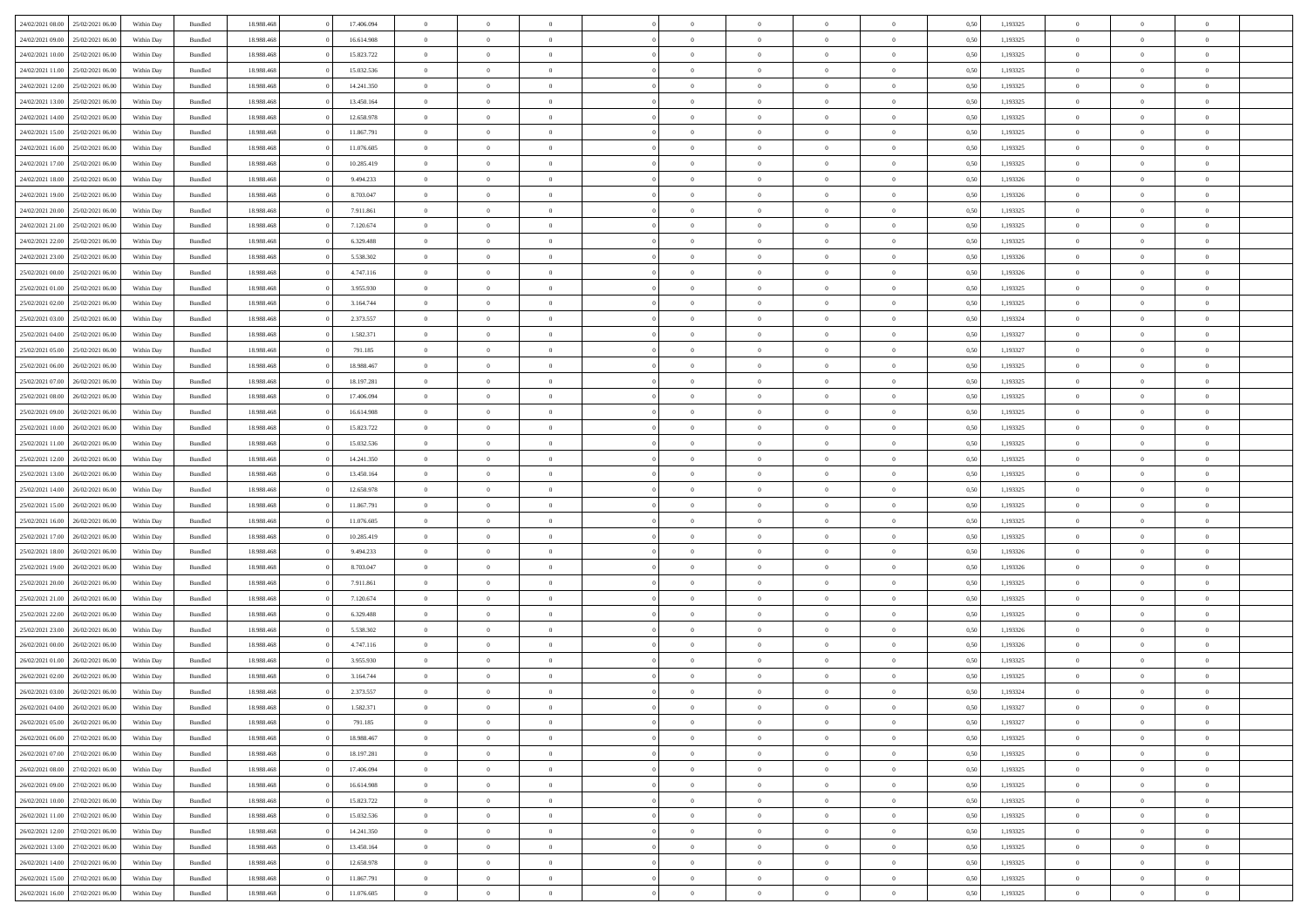|                                   | 25/02/2021 06:00 | Within Day | Bundled            | 18.988.468 | 17.406.094 | $\overline{0}$ | $\Omega$       |                | $\Omega$       | $\Omega$       | $\Omega$       | $\theta$       | 0.50 | 1,193325 | $\theta$       | $\overline{0}$ | $\theta$       |  |
|-----------------------------------|------------------|------------|--------------------|------------|------------|----------------|----------------|----------------|----------------|----------------|----------------|----------------|------|----------|----------------|----------------|----------------|--|
| 24/02/2021 08:00                  |                  |            |                    |            |            |                |                |                |                |                |                |                |      |          |                |                |                |  |
| 24/02/2021 09:00                  | 25/02/2021 06:00 | Within Day | Bundled            | 18.988.468 | 16.614.908 | $\overline{0}$ | $\theta$       | $\overline{0}$ | $\overline{0}$ | $\bf{0}$       | $\overline{0}$ | $\overline{0}$ | 0,50 | 1,193325 | $\theta$       | $\overline{0}$ | $\overline{0}$ |  |
| 24/02/2021 10:00                  | 25/02/2021 06:00 | Within Day | Bundled            | 18.988.468 | 15.823.722 | $\overline{0}$ | $\overline{0}$ | $\overline{0}$ | $\bf{0}$       | $\bf{0}$       | $\bf{0}$       | $\bf{0}$       | 0,50 | 1,193325 | $\bf{0}$       | $\overline{0}$ | $\overline{0}$ |  |
| 24/02/2021 11:00                  | 25/02/2021 06:00 | Within Dav | Bundled            | 18.988.468 | 15.032.536 | $\overline{0}$ | $\theta$       | $\overline{0}$ | $\overline{0}$ | $\bf{0}$       | $\overline{0}$ | $\overline{0}$ | 0.50 | 1,193325 | $\theta$       | $\theta$       | $\overline{0}$ |  |
|                                   |                  |            |                    |            |            |                |                |                |                |                |                |                |      |          |                |                |                |  |
| 24/02/2021 12:00                  | 25/02/2021 06:00 | Within Day | Bundled            | 18.988.468 | 14.241.350 | $\overline{0}$ | $\theta$       | $\overline{0}$ | $\overline{0}$ | $\bf{0}$       | $\overline{0}$ | $\bf{0}$       | 0,50 | 1,193325 | $\theta$       | $\theta$       | $\overline{0}$ |  |
| 24/02/2021 13:00                  | 25/02/2021 06:00 | Within Day | Bundled            | 18.988.468 | 13.450.164 | $\overline{0}$ | $\bf{0}$       | $\overline{0}$ | $\bf{0}$       | $\overline{0}$ | $\overline{0}$ | $\mathbf{0}$   | 0,50 | 1,193325 | $\overline{0}$ | $\overline{0}$ | $\bf{0}$       |  |
| 24/02/2021 14:00                  | 25/02/2021 06:00 | Within Dav | Bundled            | 18.988.468 | 12.658.978 | $\overline{0}$ | $\overline{0}$ | $\overline{0}$ | $\overline{0}$ | $\bf{0}$       | $\overline{0}$ | $\overline{0}$ | 0.50 | 1,193325 | $\theta$       | $\overline{0}$ | $\overline{0}$ |  |
| 24/02/2021 15:00                  | 25/02/2021 06:00 | Within Day | Bundled            | 18.988.468 | 11.867.791 | $\overline{0}$ | $\theta$       | $\overline{0}$ | $\overline{0}$ | $\bf{0}$       | $\overline{0}$ | $\bf{0}$       | 0,50 | 1,193325 | $\theta$       | $\theta$       | $\overline{0}$ |  |
|                                   |                  |            |                    |            |            |                | $\overline{0}$ |                |                | $\bf{0}$       |                |                |      |          | $\,0\,$        | $\overline{0}$ | $\overline{0}$ |  |
| 24/02/2021 16:00                  | 25/02/2021 06:00 | Within Day | Bundled            | 18.988.468 | 11.076.605 | $\overline{0}$ |                | $\overline{0}$ | $\bf{0}$       |                | $\bf{0}$       | $\bf{0}$       | 0,50 | 1,193325 |                |                |                |  |
| 24/02/2021 17:00                  | 25/02/2021 06:00 | Within Dav | Bundled            | 18.988.468 | 10.285.419 | $\overline{0}$ | $\overline{0}$ | $\overline{0}$ | $\overline{0}$ | $\overline{0}$ | $\overline{0}$ | $\overline{0}$ | 0.50 | 1,193325 | $\theta$       | $\overline{0}$ | $\overline{0}$ |  |
| 24/02/2021 18:00                  | 25/02/2021 06:00 | Within Day | Bundled            | 18.988.468 | 9.494.233  | $\overline{0}$ | $\theta$       | $\overline{0}$ | $\overline{0}$ | $\bf{0}$       | $\overline{0}$ | $\bf{0}$       | 0,50 | 1,193326 | $\theta$       | $\theta$       | $\overline{0}$ |  |
| 24/02/2021 19:00                  | 25/02/2021 06:00 | Within Day | Bundled            | 18.988.468 | 8.703.047  | $\overline{0}$ | $\overline{0}$ | $\overline{0}$ | $\bf{0}$       | $\bf{0}$       | $\bf{0}$       | $\bf{0}$       | 0,50 | 1,193326 | $\bf{0}$       | $\overline{0}$ | $\overline{0}$ |  |
| 24/02/2021 20:00                  | 25/02/2021 06:00 | Within Dav | Bundled            | 18.988.468 | 7.911.861  | $\overline{0}$ | $\theta$       | $\overline{0}$ | $\overline{0}$ | $\bf{0}$       | $\overline{0}$ | $\overline{0}$ | 0.50 | 1,193325 | $\theta$       | $\theta$       | $\overline{0}$ |  |
|                                   |                  |            |                    |            |            | $\overline{0}$ | $\theta$       |                |                |                |                |                |      |          | $\theta$       |                |                |  |
| 24/02/2021 21:00                  | 25/02/2021 06:00 | Within Day | Bundled            | 18.988.468 | 7.120.674  |                |                | $\overline{0}$ | $\overline{0}$ | $\bf{0}$       | $\overline{0}$ | $\overline{0}$ | 0,50 | 1,193325 |                | $\theta$       | $\overline{0}$ |  |
| 24/02/2021 22:00                  | 25/02/2021 06:00 | Within Day | Bundled            | 18.988.468 | 6.329.488  | $\overline{0}$ | $\overline{0}$ | $\overline{0}$ | $\bf{0}$       | $\overline{0}$ | $\overline{0}$ | $\mathbf{0}$   | 0,50 | 1,193325 | $\overline{0}$ | $\overline{0}$ | $\bf{0}$       |  |
| 24/02/2021 23:00                  | 25/02/2021 06:00 | Within Dav | Bundled            | 18.988.468 | 5.538.302  | $\overline{0}$ | $\overline{0}$ | $\overline{0}$ | $\overline{0}$ | $\bf{0}$       | $\overline{0}$ | $\overline{0}$ | 0.50 | 1,193326 | $\theta$       | $\overline{0}$ | $\overline{0}$ |  |
| 25/02/2021 00:00                  | 25/02/2021 06:00 | Within Day | Bundled            | 18.988.468 | 4.747.116  | $\overline{0}$ | $\theta$       | $\overline{0}$ | $\overline{0}$ | $\bf{0}$       | $\overline{0}$ | $\bf{0}$       | 0,50 | 1,193326 | $\theta$       | $\theta$       | $\overline{0}$ |  |
| 25/02/2021 01:00                  | 25/02/2021 06:00 | Within Day | Bundled            | 18.988.468 | 3.955.930  | $\overline{0}$ | $\overline{0}$ | $\overline{0}$ | $\bf{0}$       | $\bf{0}$       | $\bf{0}$       | $\bf{0}$       | 0,50 | 1,193325 | $\,0\,$        | $\overline{0}$ | $\overline{0}$ |  |
|                                   |                  |            |                    |            |            |                |                |                |                |                |                |                |      |          |                |                |                |  |
| 25/02/2021 02:00                  | 25/02/2021 06:00 | Within Dav | Bundled            | 18.988.468 | 3.164.744  | $\overline{0}$ | $\overline{0}$ | $\overline{0}$ | $\overline{0}$ | $\overline{0}$ | $\overline{0}$ | $\overline{0}$ | 0.50 | 1,193325 | $\theta$       | $\overline{0}$ | $\overline{0}$ |  |
| 25/02/2021 03:00                  | 25/02/2021 06:00 | Within Day | Bundled            | 18.988.468 | 2.373.557  | $\overline{0}$ | $\theta$       | $\overline{0}$ | $\overline{0}$ | $\bf{0}$       | $\overline{0}$ | $\bf{0}$       | 0,50 | 1,193324 | $\theta$       | $\theta$       | $\overline{0}$ |  |
| 25/02/2021 04:00                  | 25/02/2021 06:00 | Within Day | Bundled            | 18.988.468 | 1.582.371  | $\overline{0}$ | $\overline{0}$ | $\overline{0}$ | $\bf{0}$       | $\bf{0}$       | $\bf{0}$       | $\bf{0}$       | 0,50 | 1,193327 | $\,0\,$        | $\overline{0}$ | $\overline{0}$ |  |
| 25/02/2021 05:00                  | 25/02/2021 06:00 | Within Day | Bundled            | 18.988.468 | 791.185    | $\overline{0}$ | $\overline{0}$ | $\overline{0}$ | $\overline{0}$ | $\bf{0}$       | $\overline{0}$ | $\overline{0}$ | 0.50 | 1,193327 | $\theta$       | $\theta$       | $\overline{0}$ |  |
|                                   |                  |            |                    |            |            | $\overline{0}$ | $\theta$       |                |                |                |                |                |      |          | $\theta$       | $\overline{0}$ |                |  |
| 25/02/2021 06:00                  | 26/02/2021 06:00 | Within Day | Bundled            | 18.988.468 | 18.988.467 |                |                | $\overline{0}$ | $\overline{0}$ | $\bf{0}$       | $\overline{0}$ | $\bf{0}$       | 0,50 | 1,193325 |                |                | $\overline{0}$ |  |
| 25/02/2021 07:00                  | 26/02/2021 06:00 | Within Day | Bundled            | 18.988.468 | 18.197.281 | $\overline{0}$ | $\overline{0}$ | $\overline{0}$ | $\bf{0}$       | $\overline{0}$ | $\bf{0}$       | $\mathbf{0}$   | 0,50 | 1,193325 | $\overline{0}$ | $\overline{0}$ | $\bf{0}$       |  |
| 25/02/2021 08:00                  | 26/02/2021 06:00 | Within Dav | Bundled            | 18.988.468 | 17.406.094 | $\overline{0}$ | $\overline{0}$ | $\overline{0}$ | $\overline{0}$ | $\overline{0}$ | $\overline{0}$ | $\overline{0}$ | 0.50 | 1,193325 | $\theta$       | $\theta$       | $\overline{0}$ |  |
| 25/02/2021 09:00                  | 26/02/2021 06:00 | Within Day | Bundled            | 18.988.468 | 16.614.908 | $\overline{0}$ | $\theta$       | $\overline{0}$ | $\overline{0}$ | $\bf{0}$       | $\overline{0}$ | $\bf{0}$       | 0,50 | 1,193325 | $\theta$       | $\theta$       | $\overline{0}$ |  |
| 25/02/2021 10:00                  | 26/02/2021 06:00 | Within Day | Bundled            | 18.988.468 | 15.823.722 | $\overline{0}$ | $\overline{0}$ | $\overline{0}$ | $\bf{0}$       | $\bf{0}$       | $\bf{0}$       | $\bf{0}$       | 0,50 | 1,193325 | $\,0\,$        | $\overline{0}$ | $\overline{0}$ |  |
|                                   |                  |            |                    |            |            |                |                |                |                |                |                |                |      |          |                |                |                |  |
| 25/02/2021 11:00                  | 26/02/2021 06:00 | Within Day | Bundled            | 18.988.468 | 15.032.536 | $\overline{0}$ | $\overline{0}$ | $\overline{0}$ | $\overline{0}$ | $\bf{0}$       | $\overline{0}$ | $\overline{0}$ | 0.50 | 1,193325 | $\theta$       | $\overline{0}$ | $\overline{0}$ |  |
| 25/02/2021 12:00                  | 26/02/2021 06:00 | Within Day | Bundled            | 18.988.468 | 14.241.350 | $\overline{0}$ | $\theta$       | $\overline{0}$ | $\overline{0}$ | $\bf{0}$       | $\overline{0}$ | $\bf{0}$       | 0,50 | 1,193325 | $\,$ 0 $\,$    | $\theta$       | $\overline{0}$ |  |
| 25/02/2021 13:00                  | 26/02/2021 06:00 | Within Day | Bundled            | 18.988.468 | 13.450.164 | $\overline{0}$ | $\overline{0}$ | $\overline{0}$ | $\bf{0}$       | $\bf{0}$       | $\bf{0}$       | $\bf{0}$       | 0,50 | 1,193325 | $\bf{0}$       | $\overline{0}$ | $\overline{0}$ |  |
| 25/02/2021 14:00                  | 26/02/2021 06:00 | Within Day | Bundled            | 18.988.468 | 12.658.978 | $\overline{0}$ | $\Omega$       | $\Omega$       | $\Omega$       | $\Omega$       | $\Omega$       | $\overline{0}$ | 0.50 | 1,193325 | $\,0\,$        | $\Omega$       | $\theta$       |  |
| 25/02/2021 15:00                  | 26/02/2021 06:00 | Within Day | Bundled            | 18.988.468 | 11.867.791 | $\overline{0}$ | $\theta$       | $\overline{0}$ | $\overline{0}$ | $\bf{0}$       | $\overline{0}$ | $\bf{0}$       | 0,50 | 1,193325 | $\theta$       | $\theta$       | $\overline{0}$ |  |
|                                   |                  |            |                    |            |            |                |                |                |                |                |                |                |      |          |                |                |                |  |
| 25/02/2021 16:00                  | 26/02/2021 06:00 | Within Day | Bundled            | 18.988.468 | 11.076.605 | $\overline{0}$ | $\bf{0}$       | $\overline{0}$ | $\overline{0}$ | $\bf{0}$       | $\overline{0}$ | $\mathbf{0}$   | 0,50 | 1,193325 | $\bf{0}$       | $\overline{0}$ | $\bf{0}$       |  |
| 25/02/2021 17:00                  | 26/02/2021 06:00 | Within Day | Bundled            | 18.988.468 | 10.285.419 | $\overline{0}$ | $\Omega$       | $\Omega$       | $\Omega$       | $\Omega$       | $\Omega$       | $\overline{0}$ | 0.50 | 1,193325 | $\theta$       | $\theta$       | $\theta$       |  |
| 25/02/2021 18:00                  | 26/02/2021 06:00 | Within Day | Bundled            | 18.988.468 | 9.494.233  | $\overline{0}$ | $\theta$       | $\overline{0}$ | $\overline{0}$ | $\bf{0}$       | $\overline{0}$ | $\bf{0}$       | 0,50 | 1,193326 | $\theta$       | $\theta$       | $\overline{0}$ |  |
| 25/02/2021 19:00                  | 26/02/2021 06:00 | Within Day | Bundled            | 18.988.468 | 8.703.047  | $\overline{0}$ | $\overline{0}$ | $\overline{0}$ | $\overline{0}$ | $\bf{0}$       | $\overline{0}$ | $\bf{0}$       | 0,50 | 1,193326 | $\,0\,$        | $\overline{0}$ | $\overline{0}$ |  |
|                                   |                  |            |                    |            |            |                | $\Omega$       |                |                | $\Omega$       | $\theta$       |                |      |          |                | $\theta$       | $\theta$       |  |
| 25/02/2021 20:00                  | 26/02/2021 06:00 | Within Day | Bundled            | 18.988.468 | 7.911.861  | $\overline{0}$ |                | $\Omega$       | $\Omega$       |                |                | $\overline{0}$ | 0.50 | 1,193325 | $\theta$       |                |                |  |
| 25/02/2021 21:00                  | 26/02/2021 06:00 | Within Day | Bundled            | 18.988.468 | 7.120.674  | $\overline{0}$ | $\theta$       | $\overline{0}$ | $\overline{0}$ | $\bf{0}$       | $\overline{0}$ | $\bf{0}$       | 0,50 | 1,193325 | $\theta$       | $\theta$       | $\overline{0}$ |  |
| 25/02/2021 22.00                  | 26/02/2021 06:00 | Within Day | Bundled            | 18.988.468 | 6.329.488  | $\overline{0}$ | $\overline{0}$ | $\overline{0}$ | $\overline{0}$ | $\bf{0}$       | $\overline{0}$ | $\bf{0}$       | 0,50 | 1,193325 | $\bf{0}$       | $\overline{0}$ | $\overline{0}$ |  |
| 25/02/2021 23:00                  | 26/02/2021 06:00 | Within Day | Bundled            | 18.988.468 | 5.538.302  | $\overline{0}$ | $\Omega$       | $\Omega$       | $\Omega$       | $\Omega$       | $\overline{0}$ | $\overline{0}$ | 0.50 | 1,193326 | $\,0\,$        | $\theta$       | $\theta$       |  |
| 26/02/2021 00:00                  | 26/02/2021 06:00 | Within Day | Bundled            | 18.988.468 | 4.747.116  | $\overline{0}$ | $\theta$       | $\overline{0}$ | $\overline{0}$ | $\bf{0}$       | $\overline{0}$ | $\bf{0}$       | 0,50 | 1,193326 | $\,$ 0 $\,$    | $\theta$       | $\overline{0}$ |  |
|                                   |                  |            |                    |            |            |                |                |                |                |                |                |                |      |          |                |                |                |  |
| 26/02/2021 01:00                  | 26/02/2021 06:00 | Within Day | Bundled            | 18.988.468 | 3.955.930  | $\overline{0}$ | $\overline{0}$ | $\overline{0}$ | $\overline{0}$ | $\bf{0}$       | $\overline{0}$ | $\mathbf{0}$   | 0,50 | 1,193325 | $\bf{0}$       | $\overline{0}$ | $\bf{0}$       |  |
| 26/02/2021 02:00                  | 26/02/2021 06:00 | Within Day | Bundled            | 18.988.468 | 3.164.744  | $\overline{0}$ | $\Omega$       | $\Omega$       | $\Omega$       | $\Omega$       | $\Omega$       | $\overline{0}$ | 0.50 | 1,193325 | $\theta$       | $\Omega$       | $\theta$       |  |
| 26/02/2021 03:00                  | 26/02/2021 06:00 | Within Day | Bundled            | 18.988.468 | 2.373.557  | $\overline{0}$ | $\,$ 0 $\,$    | $\overline{0}$ | $\bf{0}$       | $\,$ 0         | $\overline{0}$ | $\bf{0}$       | 0,50 | 1,193324 | $\,0\,$        | $\overline{0}$ | $\overline{0}$ |  |
| 26/02/2021 04:00                  | 26/02/2021 06:00 | Within Day | $\mathbf B$ undled | 18.988.468 | 1.582.371  | $\bf{0}$       | $\bf{0}$       |                |                |                |                |                | 0,50 | 1,193327 | $\bf{0}$       | $\overline{0}$ |                |  |
| 26/02/2021 05:00                  | 26/02/2021 06:00 | Within Day | Bundled            | 18,988,468 | 791.185    | $\overline{0}$ | $\overline{0}$ | $\overline{0}$ | $\Omega$       | $\theta$       | $\overline{0}$ | $\overline{0}$ | 0,50 | 1,193327 | $\theta$       | $\theta$       | $\theta$       |  |
|                                   |                  |            |                    |            |            |                |                |                |                |                |                |                |      |          |                |                |                |  |
| 26/02/2021 06:00                  | 27/02/2021 06.00 | Within Day | Bundled            | 18.988.468 | 18.988.467 | $\overline{0}$ | $\,$ 0         | $\overline{0}$ | $\overline{0}$ | $\,$ 0 $\,$    | $\overline{0}$ | $\mathbf{0}$   | 0,50 | 1,193325 | $\,$ 0 $\,$    | $\overline{0}$ | $\,$ 0         |  |
| 26/02/2021 07:00                  | 27/02/2021 06:00 | Within Day | Bundled            | 18.988.468 | 18.197.281 | $\overline{0}$ | $\overline{0}$ | $\overline{0}$ | $\overline{0}$ | $\overline{0}$ | $\overline{0}$ | $\mathbf{0}$   | 0,50 | 1,193325 | $\overline{0}$ | $\bf{0}$       | $\bf{0}$       |  |
| 26/02/2021 08:00                  | 27/02/2021 06:00 | Within Day | Bundled            | 18.988.468 | 17.406.094 | $\overline{0}$ | $\theta$       | $\overline{0}$ | $\Omega$       | $\overline{0}$ | $\overline{0}$ | $\bf{0}$       | 0,50 | 1,193325 | $\bf{0}$       | $\theta$       | $\overline{0}$ |  |
| 26/02/2021 09:00                  | 27/02/2021 06.00 | Within Day | Bundled            | 18.988.468 | 16.614.908 | $\overline{0}$ | $\,$ 0         | $\overline{0}$ | $\overline{0}$ | $\overline{0}$ | $\overline{0}$ | $\bf{0}$       | 0,50 | 1,193325 | $\,$ 0 $\,$    | $\overline{0}$ | $\overline{0}$ |  |
|                                   |                  |            |                    |            |            |                |                |                |                |                |                |                |      |          |                |                |                |  |
| 26/02/2021 10:00                  | 27/02/2021 06:00 | Within Day | Bundled            | 18.988.468 | 15.823.722 | $\overline{0}$ | $\overline{0}$ | $\overline{0}$ | $\overline{0}$ | $\overline{0}$ | $\overline{0}$ | $\mathbf{0}$   | 0,50 | 1,193325 | $\overline{0}$ | $\overline{0}$ | $\bf{0}$       |  |
| 26/02/2021 11:00                  | 27/02/2021 06:00 | Within Day | Bundled            | 18.988.468 | 15.032.536 | $\overline{0}$ | $\overline{0}$ | $\overline{0}$ | $\Omega$       | $\overline{0}$ | $\overline{0}$ | $\bf{0}$       | 0.50 | 1,193325 | $\overline{0}$ | $\theta$       | $\overline{0}$ |  |
| 26/02/2021 12:00                  | 27/02/2021 06.00 | Within Day | Bundled            | 18.988.468 | 14.241.350 | $\overline{0}$ | $\,$ 0         | $\overline{0}$ | $\overline{0}$ | $\bf{0}$       | $\overline{0}$ | $\bf{0}$       | 0,50 | 1,193325 | $\,$ 0 $\,$    | $\overline{0}$ | $\overline{0}$ |  |
| 26/02/2021 13:00                  | 27/02/2021 06:00 | Within Day | Bundled            | 18.988.468 | 13.450.164 | $\overline{0}$ | $\bf{0}$       | $\overline{0}$ | $\overline{0}$ | $\overline{0}$ | $\overline{0}$ | $\mathbf{0}$   | 0,50 | 1,193325 | $\overline{0}$ | $\overline{0}$ | $\bf{0}$       |  |
| 26/02/2021 14:00                  | 27/02/2021 06:00 | Within Day | Bundled            | 18,988,468 | 12.658.978 | $\overline{0}$ | $\overline{0}$ | $\overline{0}$ | $\Omega$       | $\overline{0}$ | $\overline{0}$ | $\bf{0}$       | 0.50 | 1,193325 | $\overline{0}$ | $\theta$       | $\overline{0}$ |  |
|                                   |                  |            |                    |            |            |                |                |                |                |                |                |                |      |          |                |                |                |  |
| 26/02/2021 15:00                  | 27/02/2021 06.00 | Within Day | Bundled            | 18.988.468 | 11.867.791 | $\overline{0}$ | $\,$ 0         | $\overline{0}$ | $\overline{0}$ | $\bf{0}$       | $\overline{0}$ | $\bf{0}$       | 0,50 | 1,193325 | $\,$ 0 $\,$    | $\,$ 0 $\,$    | $\overline{0}$ |  |
| 26/02/2021 16:00 27/02/2021 06:00 |                  | Within Day | Bundled            | 18.988.468 | 11.076.605 | $\overline{0}$ | $\overline{0}$ | $\overline{0}$ | $\overline{0}$ | $\bf{0}$       | $\overline{0}$ | $\mathbf{0}$   | 0,50 | 1,193325 | $\overline{0}$ | $\bf{0}$       | $\bf{0}$       |  |